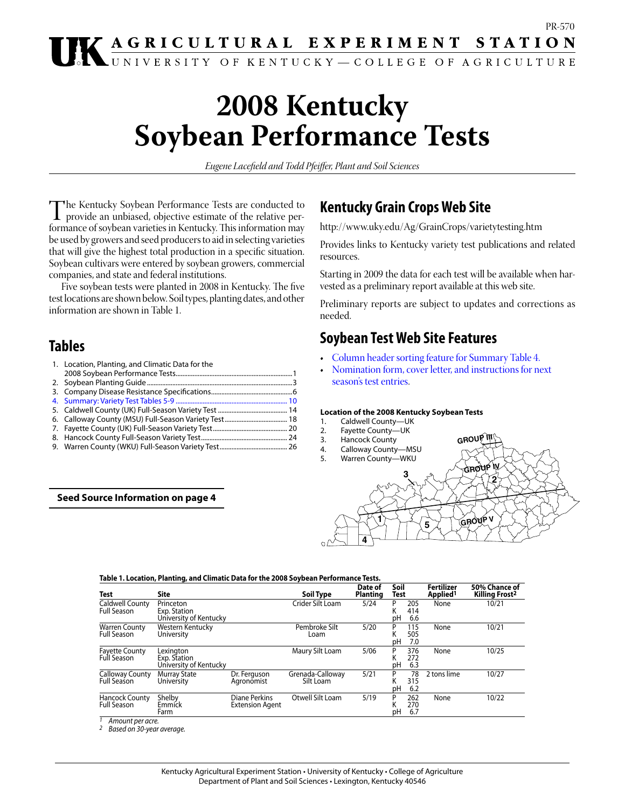# **2008 Kentucky Soybean Performance Tests**

*Eugene Lacefield and Todd Pfeiffer, Plant and Soil Sciences*

The Kentucky Soybean Performance Tests are conducted to provide an unbiased, objective estimate of the relative per-<br>formance of soybean varieties in Kentucky. This information may formance of soybean varieties in Kentucky. This information may be used by growers and seed producers to aid in selecting varieties that will give the highest total production in a specific situation. Soybean cultivars were entered by soybean growers, commercial companies, and state and federal institutions.

Five soybean tests were planted in 2008 in Kentucky. The five test locations are shown below. Soil types, planting dates, and other information are shown in Table 1.

# **Tables**

| 1. Location, Planting, and Climatic Data for the |  |
|--------------------------------------------------|--|
|                                                  |  |
|                                                  |  |
|                                                  |  |
|                                                  |  |
|                                                  |  |
|                                                  |  |
|                                                  |  |
|                                                  |  |
|                                                  |  |

# **Seed Source Information on page 4**

# **Kentucky Grain Crops Web Site**

http://www.uky.edu/Ag/GrainCrops/varietytesting.htm

Provides links to Kentucky variety test publications and related resources.

Starting in 2009 the data for each test will be available when harvested as a preliminary report available at this web site.

Preliminary reports are subject to updates and corrections as needed.

# **Soybean Test Web Site Features**

- Column header sorting feature for [Summary](#page-29-0) Table 4.
- [Nomination](#page-85-0) form, cover [letter,](#page-81-0) and [instructions](#page-81-0) for next [season's test entries.](#page-82-0)

# **Location of the 2008 Kentucky Soybean Tests**

- 1. Caldwell County—UK
- 2. Fayette County—UK
- **3 GROU GROUP IV <sup>5</sup> GROUP V 1 4 2** 3. Hancock County 4. Calloway County—MSU 5. Warren County—WKU

| Table 1. Location, Planting, and Climatic Data for the 2008 Soybean Performance Tests. |  |
|----------------------------------------------------------------------------------------|--|
|                                                                                        |  |

| <b>Test</b>                                 | Site                                                |                                         | Soil Type                     | Date of<br><b>Planting</b> | Soil<br>Test |                   | Fertilizer<br>Applied <sup>1</sup> | 50% Chance of<br><b>Killing Frost<sup>2</sup></b> |
|---------------------------------------------|-----------------------------------------------------|-----------------------------------------|-------------------------------|----------------------------|--------------|-------------------|------------------------------------|---------------------------------------------------|
| Caldwell County<br><b>Full Season</b>       | Princeton<br>Exp. Station<br>University of Kentucky |                                         | Crider Silt Loam              | 5/24                       | P<br>κ<br>рH | 205<br>414<br>6.6 | None                               | 10/21                                             |
| <b>Warren County</b><br><b>Full Season</b>  | Western Kentucky<br>University                      |                                         | Pembroke Silt<br>Loam         | 5/20                       | P<br>рH      | 115<br>505<br>7.0 | None                               | 10/21                                             |
| <b>Fayette County</b><br>Full Season        | Lexington<br>Exp. Station<br>University of Kentucky |                                         | Maury Silt Loam               | 5/06                       | P<br>κ<br>рH | 376<br>272<br>6.3 | None                               | 10/25                                             |
| Calloway County<br><b>Full Season</b>       | <b>Murray State</b><br>University                   | Dr. Ferguson<br>Agronomist              | Grenada-Calloway<br>Silt Loam | 5/21                       | P<br>рH      | 78<br>315<br>6.2  | 2 tons lime                        | 10/27                                             |
| <b>Hancock County</b><br><b>Full Season</b> | Shelby<br>Emmick<br>Farm                            | Diane Perkins<br><b>Extension Agent</b> | Otwell Silt Loam              | 5/19                       | P<br>pН      | 262<br>270<br>6.7 | None                               | 10/22                                             |

*1 Amount per acre.*

*2 Based on 30-year average.*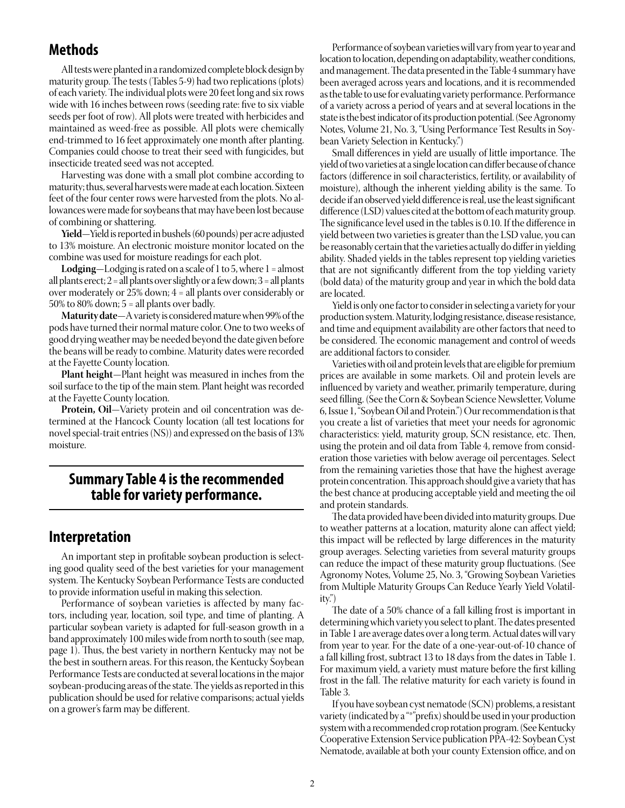# **Methods**

All tests were planted in a randomized complete block design by maturity group. The tests (Tables 5-9) had two replications (plots) of each variety.The individual plotswere 20 feet long and six rows wide with 16 inches between rows (seeding rate: five to six viable seeds per foot of row). All plots were treated with herbicides and maintained as weed-free as possible. All plots were chemically end-trimmed to 16 feet approximately one month after planting. Companies could choose to treat their seed with fungicides, but insecticide treated seed was not accepted.

Harvesting was done with a small plot combine according to maturity; thus, several harvests were made at each location. Sixteen feet of the four center rows were harvested from the plots. No allowances were made for soybeans that may have been lost because of combining or shattering.

**Yield**—Yield is reported in bushels (60 pounds) per acre adjusted to 13% moisture. An electronic moisture monitor located on the combine was used for moisture readings for each plot.

**Lodging**—Lodging is rated on a scale of 1 to 5, where 1 = almost all plants erect; 2 = all plants over slightly or a few down; 3 = all plants over moderately or 25% down; 4 = all plants over considerably or 50% to 80% down; 5 = all plants over badly.

**Maturity date**—A variety is considered mature when 99% of the pods have turned their normal mature color. One to two weeks of good drying weather may be needed beyond the date given before the beans will be ready to combine. Maturity dates were recorded at the Fayette County location.

**Plant height**—Plant height was measured in inches from the soil surface to the tip of the main stem. Plant height was recorded at the Fayette County location.

**Protein, Oil**—Variety protein and oil concentration was determined at the Hancock County location (all test locations for novel special-trait entries  $(NS)$ ) and expressed on the basis of 13% moisture.

# **Summary Table 4 is the recommended table for variety performance.**

# **Interpretation**

An important step in profitable soybean production is selecting good quality seed of the best varieties for your management system. The Kentucky Soybean Performance Tests are conducted to provide information useful in making this selection.

Performance of soybean varieties is affected by many factors, including year, location, soil type, and time of planting. A particular soybean variety is adapted for full-season growth in a band approximately 100 miles wide from north to south (see map, page 1). Thus, the best variety in northern Kentucky may not be the best in southern areas. For this reason, the Kentucky Soybean Performance Tests are conducted at several locations in the major soybean-producing areas of the state. The yields as reported in this publication should be used for relative comparisons; actual yields on a grower's farm may be different.

Performance of soybean varieties will vary from year to year and location to location, depending on adaptability, weather conditions, and management. The data presented in the Table 4 summary have been averaged across years and locations, and it is recommended as the table to use for evaluating variety performance. Performance of a variety across a period of years and at several locations in the state is the best indicator of its production potential. (See Agronomy Notes, Volume 21, No. 3, "Using Performance Test Results in Soybean Variety Selection in Kentucky.")

Small differences in yield are usually of little importance. The yield of two varieties at a single location can differ because of chance factors (difference in soil characteristics, fertility, or availability of moisture), although the inherent yielding ability is the same. To decide if an observed yield difference is real, use the least significant difference (LSD) values cited at the bottom of each maturity group. The significance level used in the tables is 0.10. If the difference in yield between two varieties is greater than the LSD value, you can be reasonably certain that the varieties actually do differ in yielding ability. Shaded yields in the tables represent top yielding varieties that are not significantly different from the top yielding variety (bold data) of the maturity group and year in which the bold data are located.

Yield is only one factor to consider in selecting a variety for your production system. Maturity, lodging resistance, disease resistance, and time and equipment availability are other factors that need to be considered. The economic management and control of weeds are additional factors to consider.

Varieties with oil and protein levels that are eligible for premium prices are available in some markets. Oil and protein levels are influenced by variety and weather, primarily temperature, during seed filling. (See the Corn & Soybean Science Newsletter, Volume 6, Issue 1, "Soybean Oil and Protein.") Our recommendation is that you create a list of varieties that meet your needs for agronomic characteristics: yield, maturity group, SCN resistance, etc. Then, using the protein and oil data from Table 4, remove from consideration those varieties with below average oil percentages. Select from the remaining varieties those that have the highest average protein concentration. This approach should give a variety that has the best chance at producing acceptable yield and meeting the oil and protein standards.

The data provided have been divided into maturity groups. Due to weather patterns at a location, maturity alone can affect yield; this impact will be reflected by large differences in the maturity group averages. Selecting varieties from several maturity groups can reduce the impact of these maturity group fluctuations. (See Agronomy Notes, Volume 25, No. 3, "Growing Soybean Varieties from Multiple Maturity Groups Can Reduce Yearly Yield Volatility.")

The date of a 50% chance of a fall killing frost is important in determining which variety you select to plant. The dates presented in Table 1 are average dates over a long term. Actual dates will vary from year to year. For the date of a one-year-out-of-10 chance of a fall killing frost, subtract 13 to 18 days from the dates in Table 1. For maximum yield, a variety must mature before the first killing frost in the fall. The relative maturity for each variety is found in Table 3.

 If you have soybean cyst nematode (SCN) problems, a resistant variety (indicated by a "\*"prefix) should be used in your production system with a recommended crop rotation program. (See Kentucky Cooperative Extension Service publication PPA-42: SoybeanCyst Nematode, available at both your county Extension office, and on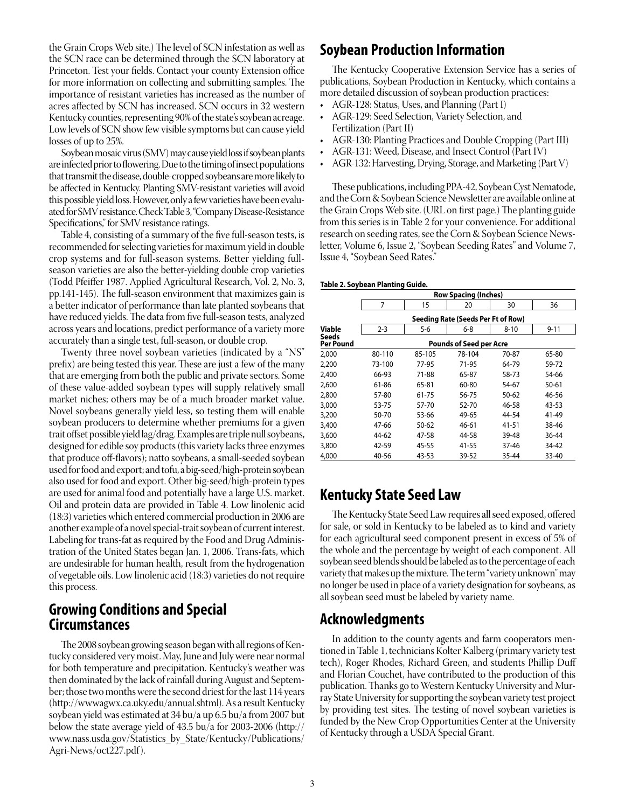the Grain Crops Web site.) The level of SCN infestation as well as the SCN race can be determined through the SCN laboratory at Princeton. Test your fields. Contact your county Extension office for more information on collecting and submitting samples. The importance of resistant varieties has increased as the number of acres affected by SCN has increased. SCN occurs in 32 western Kentucky counties, representing 90% of the state's soybean acreage. Low levels of SCN show few visible symptoms but can cause yield losses of up to 25%.

Soybean mosaic virus (SMV) may cause yield loss if soybean plants are infected prior to flowering. Due to the timing of insect populations that transmit the disease, double-cropped soybeans are more likely to be affected in Kentucky. Planting SMV-resistant varieties will avoid this possible yield loss. However, only a few varieties have been evaluated for SMV resistance. Check Table 3, "Company Disease-Resistance Specifications," for SMV resistance ratings.

 Table 4, consisting of a summary of the five full-season tests, is recommended for selecting varieties for maximum yield in double crop systems and for full-season systems. Better yielding fullseason varieties are also the better-yielding double crop varieties (Todd Pfeiffer 1987. Applied Agricultural Research, Vol. 2, No. 3, pp.141-145). The full-season environment that maximizes gain is a better indicator of performance than late planted soybeans that have reduced yields. The data from five full-season tests, analyzed across years and locations, predict performance of a variety more accurately than a single test, full-season, or double crop.

 Twenty three novel soybean varieties (indicated by a "NS" prefix) are being tested this year. These are just a few of the many that are emerging from both the public and private sectors. Some of these value-added soybean types will supply relatively small market niches; others may be of a much broader market value. Novel soybeans generally yield less, so testing them will enable soybean producers to determine whether premiums for a given trait offset possible yield lag/drag. Examples are triple null soybeans, designed for edible soy products (this variety lacks three enzymes that produce off-flavors); natto soybeans, a small-seeded soybean used for food and export; and tofu, a big-seed/high-protein soybean also used for food and export. Other big-seed/high-protein types are used for animal food and potentially have a large U.S. market. Oil and protein data are provided in Table 4. Low linolenic acid (18:3) varieties which entered commercial production in 2006 are another example of a novel special-trait soybean of current interest. Labeling for trans-fat as required by the Food and Drug Administration of the United States began Jan. 1, 2006. Trans-fats, which are undesirable for human health, result from the hydrogenation of vegetable oils. Low linolenic acid (18:3) varieties do not require this process.

# **Growing Conditions and Special Circumstances**

The 2008 soybean growing season began with all regions of Kentucky considered verymoist. May, June and Julywere near normal for both temperature and precipitation. Kentucky's weather was then dominated by the lack of rainfall during August and September; those two months were the second driest for the last 114 years (http://wwwagwx.ca.uky.edu/annual.shtml). As a result Kentucky soybean yield was estimated at 34 bu/a up 6.5 bu/a from 2007 but below the state average yield of 43.5 bu/a for 2003-2006 (http:// www.nass.usda.gov/Statistics\_by\_State/Kentucky/Publications/ Agri-News/oct227.pdf).

# **Soybean Production Information**

 The Kentucky Cooperative Extension Service has a series of publications, Soybean Production in Kentucky, which contains a more detailed discussion of soybean production practices:

- AGR-128: Status, Uses, and Planning (Part I)
- • AGR-129: Seed Selection, Variety Selection, and Fertilization (Part II)
- AGR-130: Planting Practices and Double Cropping (Part III)
- • AGR-131: Weed, Disease, and Insect Control (Part IV)
- AGR-132: Harvesting, Drying, Storage, and Marketing (Part V)

These publications, including PPA-42, Soybean Cyst Nematode, and theCorn&Soybean ScienceNewsletter are available online at the Grain Crops Web site. (URL on first page.) The planting guide from this series is in Table 2 for your convenience. For additional research on seeding rates, see the Corn & Soybean Science Newsletter, Volume 6, Issue 2, "Soybean Seeding Rates" and Volume 7, Issue 4, "Soybean Seed Rates."

#### **Table 2. Soybean Planting Guide.**

|                    |         |        | <b>Row Spacing (Inches)</b>        |          |           |
|--------------------|---------|--------|------------------------------------|----------|-----------|
|                    | 7       | 15     | 20                                 | 30       | 36        |
|                    |         |        | Seeding Rate (Seeds Per Ft of Row) |          |           |
| Viable             | $2 - 3$ | 5-6    | $6 - 8$                            | $8 - 10$ | $9 - 11$  |
| Seeds<br>Per Pound |         |        | <b>Pounds of Seed per Acre</b>     |          |           |
| 2,000              | 80-110  | 85-105 | 78-104                             | 70-87    | 65-80     |
| 2,200              | 73-100  | 77-95  | 71-95                              | 64-79    | 59-72     |
| 2,400              | 66-93   | 71-88  | 65-87                              | 58-73    | 54-66     |
| 2,600              | 61-86   | 65-81  | 60-80                              | 54-67    | $50 - 61$ |
| 2,800              | 57-80   | 61-75  | 56-75                              | 50-62    | 46-56     |
| 3,000              | 53-75   | 57-70  | 52-70                              | 46-58    | 43-53     |
| 3,200              | 50-70   | 53-66  | 49-65                              | 44-54    | 41-49     |
| 3,400              | 47-66   | 50-62  | 46-61                              | 41-51    | 38-46     |
| 3,600              | 44-62   | 47-58  | 44-58                              | 39-48    | 36-44     |
| 3,800              | 42-59   | 45-55  | 41-55                              | 37-46    | 34-42     |
| 4,000              | 40-56   | 43-53  | 39-52                              | 35-44    | 33-40     |

# **Kentucky State Seed Law**

The Kentucky State Seed Law requires all seed exposed, offered for sale, or sold in Kentucky to be labeled as to kind and variety for each agricultural seed component present in excess of 5% of the whole and the percentage by weight of each component. All soybean seed blends should be labeled as to the percentage of each variety that makes up the mixture. The term "variety unknown" may no longer be used in place of a variety designation for soybeans, as all soybean seed must be labeled by variety name.

# **Acknowledgments**

In addition to the county agents and farm cooperators mentioned in Table 1, technicians Kolter Kalberg (primary variety test tech), Roger Rhodes, Richard Green, and students Phillip Duff and Florian Couchet, have contributed to the production of this publication.Thanks go to Western Kentucky University and Murray State University for supporting the soybean variety test project by providing test sites. The testing of novel soybean varieties is funded by the New Crop Opportunities Center at the University of Kentucky through a USDA Special Grant.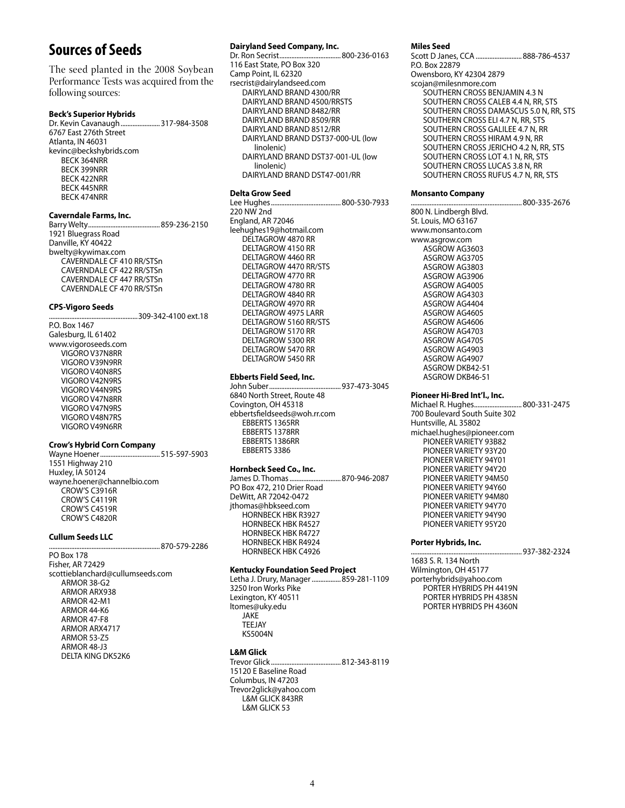# **Sources of Seeds**

The seed planted in the 2008 Soybean Performance Tests was acquired from the following sources:

#### **Beck's Superior Hybrids**

Dr. Kevin Cavanaugh.......................317-984-3508 6767 East 276th Street Atlanta, IN 46031 kevinc@beckshybrids.com BECK 364NRR BECK 399NRR BECK 422NRR BECK 445NRR BECK 474NRR

#### **Caverndale Farms, Inc.**

Barry Welty..........................................859-236-2150 1921 Bluegrass Road Danville, KY 40422 bwelty@kywimax.com CAVERNDALE CF 410 RR/STSn CAVERNDALE CF 422 RR/STSn CAVERNDALE CF 447 RR/STSn CAVERNDALE CF 470 RR/STSn

#### **CPS-Vigoro Seeds**

....................................................309-342-4100 ext.18

P.O. Box 1467 Galesburg, IL 61402 www.vigoroseeds.com VIGORO V37N8RR VIGORO V39N9RR VIGORO V40N8RS VIGORO V42N9RS VIGORO V44N9RS VIGORO V47N8RR VIGORO V47N9RS VIGORO V48N7RS VIGORO V49N6RR

#### **Crow's Hybrid Corn Company**

Wayne Hoener...................................515-597-5903 1551 Highway 210 Huxley, IA 50124 wayne.hoener@channelbio.com CROW'S C3916R CROW'S C4119R CROW'S C4519R CROW'S C4820R

870-579-2286

#### **Cullum Seeds LLC**

PO Box 178 Fisher, AR 72429 scottieblanchard@cullumseeds.com ARMOR 38-G2 ARMOR ARX938 ARMOR 42-M1 ARMOR 44-K6 ARMOR 47-F8 ARMOR ARX4717 ARMOR 53-Z5 ARMOR 48-J3 DELTA KING DK52K6

#### **Dairyland Seed Company, Inc.**

Dr. Ron Secrist....................................800-236-0163 116 East State, PO Box 320 Camp Point, IL 62320 rsecrist@dairylandseed.com DAIRYLAND BRAND 4300/RR DAIRYLAND BRAND 4500/RRSTS DAIRYLAND BRAND 8482/RR DAIRYLAND BRAND 8509/RR DAIRYLAND BRAND 8512/RR DAIRYLAND BRAND DST37-000-UL (low linolenic) DAIRYLAND BRAND DST37-001-UL (low linolenic) DAIRYLAND BRAND DST47-001/RR

**Delta Grow Seed**

Lee Hughes.........................................800-530-7933 220 NW 2nd England, AR 72046 leehughes19@hotmail.com DELTAGROW 4870 RR DELTAGROW 4150 RR DELTAGROW 4460 RR DELTAGROW 4470 RR/STS DELTAGROW 4770 RR DELTAGROW 4780 RR DELTAGROW 4840 RR DELTAGROW 4970 RR DELTAGROW 4975 LARR DELTAGROW 5160 RR/STS DELTAGROW 5170 RR DELTAGROW 5300 RR DELTAGROW 5470 RR DELTAGROW 5450 RR

#### **Ebberts Field Seed, Inc.**

John Suber..........................................937-473-3045 6840 North Street, Route 48 Covington, OH 45318 ebbertsfieldseeds@woh.rr.com EBBERTS 1365RR EBBERTS 1378RR EBBERTS 1386RR EBBERTS 3386

#### **Hornbeck Seed Co., Inc.**

James D. Thomas..............................870-946-2087 PO Box 472, 210 Drier Road DeWitt, AR 72042-0472 jthomas@hbkseed.com HORNBECK HBK R3927 HORNBECK HBK R4527 HORNBECK HBK R4727 HORNBECK HBK R4924 HORNBECK HBK C4926

#### **Kentucky Foundation Seed Project**

Letha J. Drury, Manager.................859-281-1109 3250 Iron Works Pike Lexington, KY 40511 ltomes@uky.edu JAKE TEEJAY KS5004N

# **L&M Glick**

Trevor Glick.........................................812-343-8119 15120 E Baseline Road Columbus, IN 47203 Trevor2glick@yahoo.com L&M GLICK 843RR L&M GLICK 53

#### **Miles Seed**

Scott D Janes, CCA ...........................888-786-4537 P.O. Box 22879 Owensboro, KY 42304 2879 scojan@milesnmore.com SOUTHERN CROSS BENJAMIN 4.3 N SOUTHERN CROSS CALEB 4.4 N, RR, STS SOUTHERN CROSS DAMASCUS 5.0 N, RR, STS SOUTHERN CROSS ELI 4.7 N, RR, STS SOUTHERN CROSS GALILEE 4.7 N, RR SOUTHERN CROSS HIRAM 4.9 N, RR SOUTHERN CROSS JERICHO 4.2 N, RR, STS SOUTHERN CROSS LOT 4.1 N, RR, STS SOUTHERN CROSS LUCAS 3.8 N, RR SOUTHERN CROSS RUFUS 4.7 N, RR, STS

........800-335-2676

#### **Monsanto Company**

800 N. Lindbergh Blvd. St. Louis, MO 63167 www.monsanto.com www.asgrow.com ASGROW AG3603 ASGROW AG3705 ASGROW AG3803 ASGROW AG3906 ASGROW AG4005 ASGROW AG4303 ASGROW AG4404 ASGROW AG4605 ASGROW AG4606 ASGROW AG4703 ASGROW AG4705 ASGROW AG4903 ASGROW AG4907 ASGROW DKB42-51 ASGROW DKB46-51

#### **Pioneer Hi-Bred Int'l., Inc.**

Michael R. Hughes............................800-331-2475 700 Boulevard South Suite 302 Huntsville, AL 35802 michael.hughes@pioneer.com PIONEER VARIETY 93B82 PIONEER VARIETY 93Y20 PIONEER VARIETY 94Y01 PIONEER VARIETY 94Y20 PIONEER VARIETY 94M50 PIONEER VARIETY 94Y60 PIONEER VARIETY 94M80 PIONEER VARIETY 94Y70 PIONEER VARIETY 94Y90 PIONEER VARIETY 95Y20

#### **Porter Hybrids, Inc.**

.................................................................937-382-2324

1683 S. R. 134 North Wilmington, OH 45177 porterhybrids@yahoo.com PORTER HYBRIDS PH 4419N PORTER HYBRIDS PH 4385N PORTER HYBRIDS PH 4360N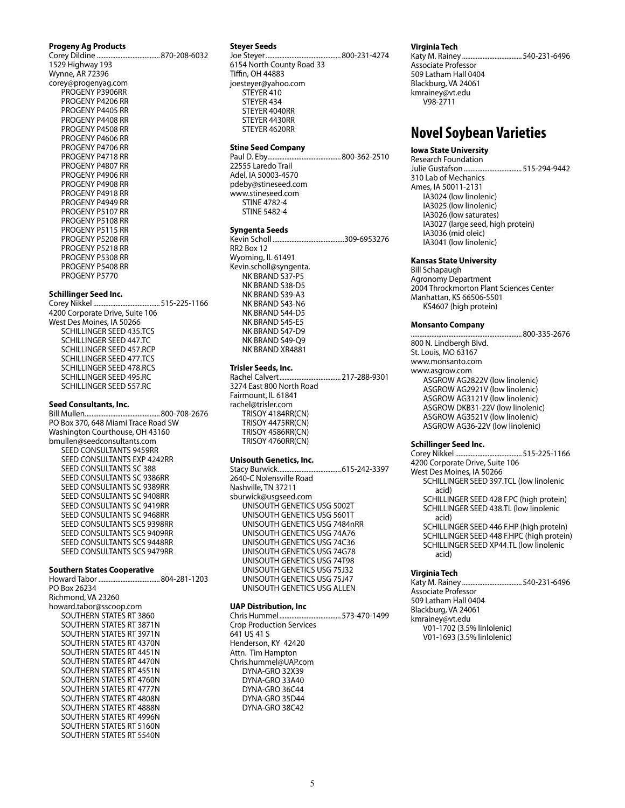# **Progeny Ag Products**

Corey Dildine .....................................870-208-6032 1529 Highway 193 Wynne, AR 72396 corey@progenyag.com PROGENY P3906RR PROGENY P4206 RR PROGENY P4405 RR PROGENY P4408 RR PROGENY P4508 RR PROGENY P4606 RR PROGENY P4706 RR PROGENY P4718 RR PROGENY P4807 RR PROGENY P4906 RR PROGENY P4908 RR PROGENY P4918 RR PROGENY P4949 RR PROGENY P5107 RR PROGENY P5108 RR PROGENY P5115 RR PROGENY P5208 RR PROGENY P5218 RR PROGENY P5308 RR PROGENY P5408 RR PROGENY P5770

#### **Schillinger Seed Inc.**

Corey Nikkel .......................................515-225-1166 4200 Corporate Drive, Suite 106 West Des Moines, IA 50266 SCHILLINGER SEED 435.TCS SCHILLINGER SEED 447.TC SCHILLINGER SEED 457.RCP SCHILLINGER SEED 477.TCS SCHILLINGER SEED 478.RCS SCHILLINGER SEED 495.RC SCHILLINGER SEED 557.RC

#### **Seed Consultants, Inc.**

Bill Mullen............................................800-708-2676 PO Box 370, 648 Miami Trace Road SW Washington Courthouse, OH 43160 bmullen@seedconsultants.com SEED CONSULTANTS 9459RR SEED CONSULTANTS EXP 4242RR SEED CONSULTANTS SC 388 SEED CONSULTANTS SC 9386RR SEED CONSULTANTS SC 9389RR SEED CONSULTANTS SC 9408RR SEED CONSULTANTS SC 9419RR SEED CONSULTANTS SC 9468RR SEED CONSULTANTS SCS 9398RR SEED CONSULTANTS SCS 9409RR SEED CONSULTANTS SCS 9448RR SEED CONSULTANTS SCS 9479RR

#### **Southern States Cooperative**

Howard Tabor ....................................804-281-1203 PO Box 26234 Richmond, VA 23260 howard.tabor@sscoop.com SOUTHERN STATES RT 3860 SOUTHERN STATES RT 3871N SOUTHERN STATES RT 3971N SOUTHERN STATES RT 4370N SOUTHERN STATES RT 4451N SOUTHERN STATES RT 4470N SOUTHERN STATES RT 4551N SOUTHERN STATES RT 4760N SOUTHERN STATES RT 4777N SOUTHERN STATES RT 4808N SOUTHERN STATES RT 4888N SOUTHERN STATES RT 4996N SOUTHERN STATES RT 5160N SOUTHERN STATES RT 5540N

#### **Steyer Seeds**

Joe Steyer............................................800-231-4274 6154 North County Road 33 Tiffin, OH 44883 joesteyer@yahoo.com STEYER 410 STEYER 434 STEYER 4040RR STEYER 4430RR STEYER 4620RR

#### **Stine Seed Company**

Paul D. Eby...........................................800-362-2510 22555 Laredo Trail Adel, IA 50003-4570 pdeby@stineseed.com www.stineseed.com STINE 4782-4 STINE 5482-4

#### **Syngenta Seeds**

Kevin Scholl ..........................................309-6953276 RR2 Box 12 Wyoming, IL 61491 Kevin.scholl@syngenta. NK BRAND S37-P5 NK BRAND S38-D5 NK BRAND S39-A3 NK BRAND S43-N6 NK BRAND S44-D5 NK BRAND S45-E5 NK BRAND S47-D9 NK BRAND S49-Q9 NK BRAND XR4881

#### **Trisler Seeds, Inc.**

Rachel Calvert....................................217-288-9301 3274 East 800 North Road Fairmount, IL 61841 rachel@trisler.com TRISOY 4184RR(CN) TRISOY 4475RR(CN) TRISOY 4586RR(CN) TRISOY 4760RR(CN)

#### **Unisouth Genetics, Inc.**

Stacy Burwick.....................................615-242-3397 2640-C Nolensville Road Nashville, TN 37211 sburwick@usgseed.com UNISOUTH GENETICS USG 5002T UNISOUTH GENETICS USG 5601T UNISOUTH GENETICS USG 7484nRR UNISOUTH GENETICS USG 74A76 UNISOUTH GENETICS USG 74C36 UNISOUTH GENETICS USG 74G78 UNISOUTH GENETICS USG 74T98 UNISOUTH GENETICS USG 75J32 UNISOUTH GENETICS USG 75J47 UNISOUTH GENETICS USG ALLEN

### **UAP Distribution, Inc**

Chris Hummel....................................573-470-1499 Crop Production Services 641 US 41 S Henderson, KY 42420 Attn. Tim Hampton Chris.hummel@UAP.com DYNA-GRO 32X39 DYNA-GRO 33A40 DYNA-GRO 36C44 DYNA-GRO 35D44 DYNA-GRO 38C42

#### **Virginia Tech**

Katy M. Rainey ...................................540-231-6496 Associate Professor 509 Latham Hall 0404 Blackburg, VA 24061 kmrainey@vt.edu V98-2711

# **Novel Soybean Varieties**

### **Iowa State University**

Research Foundation Julie Gustafson..................................515-294-9442 310 Lab of Mechanics Ames, IA 50011-2131 IA3024 (low linolenic) IA3025 (low linolenic) IA3026 (low saturates) IA3027 (large seed, high protein) IA3036 (mid oleic) IA3041 (low linolenic)

#### **Kansas State University**

Bill Schapaugh Agronomy Department 2004 Throckmorton Plant Sciences Center Manhattan, KS 66506-5501 KS4607 (high protein)

....800-335-2676

#### **Monsanto Company**

800 N. Lindbergh Blvd. St. Louis, MO 63167 www.monsanto.com www.asgrow.com ASGROW AG2822V (low linolenic) ASGROW AG2921V (low linolenic) ASGROW AG3121V (low linolenic) ASGROW DKB31-22V (low linolenic) ASGROW AG3521V (low linolenic) ASGROW AG36-22V (low linolenic)

#### **Schillinger Seed Inc.**

Corey Nikkel .......................................515-225-1166 4200 Corporate Drive, Suite 106 West Des Moines, IA 50266 SCHILLINGER SEED 397.TCL (low linolenic acid) SCHILLINGER SEED 428 F.PC (high protein) SCHILLINGER SEED 438.TL (low linolenic acid) SCHILLINGER SEED 446 F.HP (high protein) SCHILLINGER SEED 448 F.HPC (high protein) SCHILLINGER SEED XP44.TL (low linolenic acid)

#### **Virginia Tech**

Katy M. Rainey ...................................540-231-6496 Associate Professor 509 Latham Hall 0404 Blackburg, VA 24061 kmrainey@vt.edu V01-1702 (3.5% linlolenic) V01-1693 (3.5% linlolenic)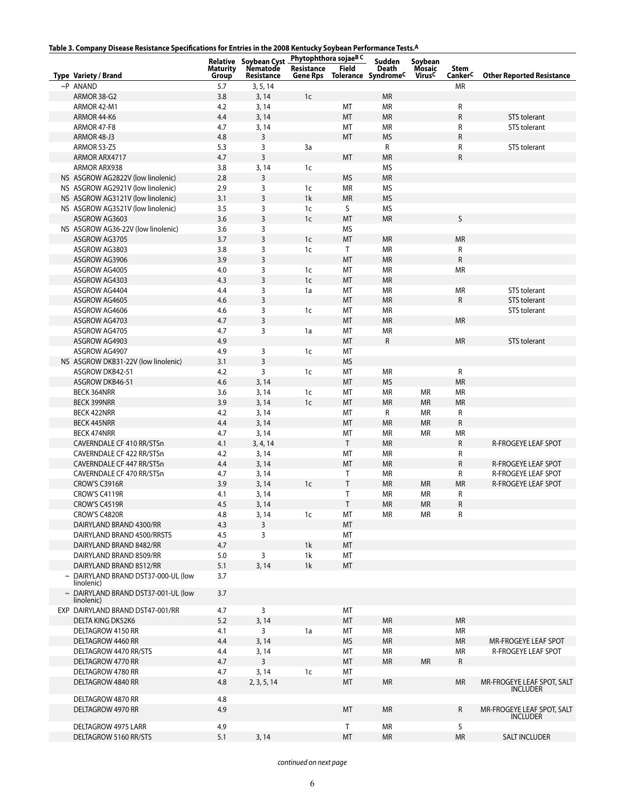| Table 3. Company Disease Resistance Specifications for Entries in the 2008 Kentucky Soybean Performance Tests. <sup>A</sup> |
|-----------------------------------------------------------------------------------------------------------------------------|
|-----------------------------------------------------------------------------------------------------------------------------|

| rable 3. Company Disease Resistance Specifications for Entries in the 2006 Rentucky Soybean Performance Tests." |                          |                                                                      |                        |              |                                                    |                                               |                             |                                               |
|-----------------------------------------------------------------------------------------------------------------|--------------------------|----------------------------------------------------------------------|------------------------|--------------|----------------------------------------------------|-----------------------------------------------|-----------------------------|-----------------------------------------------|
| Type Variety / Brand                                                                                            | <b>Maturity</b><br>Group | Relative Soybean Cyst Phytophthora sojaeBC<br>Nematode<br>Resistance | Resistance<br>Gene Rps | <b>Field</b> | Sudden<br>Death<br>Tolerance Syndrome <sup>C</sup> | Soybean<br>Mosaic<br><b>Virus<sup>C</sup></b> | Stem<br>Canker <sup>C</sup> | <b>Other Reported Resistance</b>              |
| $\sim$ P ANAND                                                                                                  | 5.7                      | 3, 5, 14                                                             |                        |              |                                                    |                                               | <b>MR</b>                   |                                               |
| ARMOR 38-G2                                                                                                     | 3.8                      | 3, 14                                                                | 1 <sub>c</sub>         |              | <b>MR</b>                                          |                                               |                             |                                               |
|                                                                                                                 |                          |                                                                      |                        |              |                                                    |                                               |                             |                                               |
| ARMOR 42-M1                                                                                                     | 4.2                      | 3, 14                                                                |                        | МT           | <b>MR</b>                                          |                                               | R                           |                                               |
| ARMOR 44-K6                                                                                                     | 4.4                      | 3, 14                                                                |                        | MT           | <b>MR</b>                                          |                                               | R                           | STS tolerant                                  |
| ARMOR 47-F8                                                                                                     | 4.7                      | 3, 14                                                                |                        | МT           | ΜR                                                 |                                               | R                           | STS tolerant                                  |
| ARMOR 48-J3                                                                                                     | 4.8                      | 3                                                                    |                        | MT           | <b>MS</b>                                          |                                               | R                           |                                               |
| <b>ARMOR 53-Z5</b>                                                                                              | 5.3                      | 3                                                                    | 3a                     |              | $\mathsf{R}$                                       |                                               | R                           | STS tolerant                                  |
| ARMOR ARX4717                                                                                                   | 4.7                      | $\overline{3}$                                                       |                        | MT           | <b>MR</b>                                          |                                               | R                           |                                               |
| <b>ARMOR ARX938</b>                                                                                             | 3.8                      | 3, 14                                                                | 1 <sub>c</sub>         |              | <b>MS</b>                                          |                                               |                             |                                               |
| NS ASGROW AG2822V (low linolenic)                                                                               | 2.8                      | 3                                                                    |                        | <b>MS</b>    | <b>MR</b>                                          |                                               |                             |                                               |
| NS ASGROW AG2921V (low linolenic)                                                                               | 2.9                      | 3                                                                    | 1c                     | MR           | ΜS                                                 |                                               |                             |                                               |
|                                                                                                                 |                          |                                                                      | 1k                     |              |                                                    |                                               |                             |                                               |
| NS ASGROW AG3121V (low linolenic)                                                                               | 3.1                      | 3                                                                    |                        | <b>MR</b>    | <b>MS</b>                                          |                                               |                             |                                               |
| NS ASGROW AG3521V (low linolenic)                                                                               | 3.5                      | 3                                                                    | 1 <sub>c</sub>         | S            | <b>MS</b>                                          |                                               |                             |                                               |
| ASGROW AG3603                                                                                                   | 3.6                      | $\overline{3}$                                                       | 1 <sub>c</sub>         | MT           | <b>MR</b>                                          |                                               | S                           |                                               |
| NS ASGROW AG36-22V (low linolenic)                                                                              | 3.6                      | 3                                                                    |                        | <b>MS</b>    |                                                    |                                               |                             |                                               |
| ASGROW AG3705                                                                                                   | 3.7                      | 3                                                                    | 1c                     | MT           | <b>MR</b>                                          |                                               | <b>MR</b>                   |                                               |
| ASGROW AG3803                                                                                                   | 3.8                      | 3                                                                    | 1c                     | T            | ΜR                                                 |                                               | R                           |                                               |
| ASGROW AG3906                                                                                                   | 3.9                      | 3                                                                    |                        | MT           | <b>MR</b>                                          |                                               | ${\sf R}$                   |                                               |
| ASGROW AG4005                                                                                                   | 4.0                      | 3                                                                    | 1 <sub>c</sub>         | MT           | <b>MR</b>                                          |                                               | <b>MR</b>                   |                                               |
| ASGROW AG4303                                                                                                   | 4.3                      | $\overline{3}$                                                       | 1 <sub>c</sub>         | MT           | <b>MR</b>                                          |                                               |                             |                                               |
|                                                                                                                 |                          |                                                                      |                        |              |                                                    |                                               |                             |                                               |
| ASGROW AG4404                                                                                                   | 4.4                      | 3                                                                    | 1a                     | МT           | ΜR                                                 |                                               | МR                          | STS tolerant                                  |
| ASGROW AG4605                                                                                                   | 4.6                      | 3                                                                    |                        | MT           | <b>MR</b>                                          |                                               | R                           | STS tolerant                                  |
| ASGROW AG4606                                                                                                   | 4.6                      | 3                                                                    | 1c                     | МT           | ΜR                                                 |                                               |                             | STS tolerant                                  |
| ASGROW AG4703                                                                                                   | 4.7                      | $\mathsf{3}$                                                         |                        | MT           | <b>MR</b>                                          |                                               | <b>MR</b>                   |                                               |
| ASGROW AG4705                                                                                                   | 4.7                      | 3                                                                    | 1a                     | MT           | <b>MR</b>                                          |                                               |                             |                                               |
| ASGROW AG4903                                                                                                   | 4.9                      |                                                                      |                        | MT           | R                                                  |                                               | <b>MR</b>                   | STS tolerant                                  |
| ASGROW AG4907                                                                                                   | 4.9                      | 3                                                                    | 1c                     | МT           |                                                    |                                               |                             |                                               |
| NS ASGROW DKB31-22V (low linolenic)                                                                             | 3.1                      | 3                                                                    |                        | <b>MS</b>    |                                                    |                                               |                             |                                               |
|                                                                                                                 |                          |                                                                      |                        |              |                                                    |                                               |                             |                                               |
| ASGROW DKB42-51                                                                                                 | 4.2                      | 3                                                                    | 1c                     | МT           | <b>MR</b>                                          |                                               | R                           |                                               |
| ASGROW DKB46-51                                                                                                 | 4.6                      | 3, 14                                                                |                        | MT           | <b>MS</b>                                          |                                               | <b>MR</b>                   |                                               |
| <b>BECK 364NRR</b>                                                                                              | 3.6                      | 3, 14                                                                | 1 <sub>c</sub>         | MT           | <b>MR</b>                                          | <b>MR</b>                                     | <b>MR</b>                   |                                               |
| <b>BECK 399NRR</b>                                                                                              | 3.9                      | 3, 14                                                                | 1 <sub>c</sub>         | MT           | <b>MR</b>                                          | <b>MR</b>                                     | <b>MR</b>                   |                                               |
| <b>BECK 422NRR</b>                                                                                              | 4.2                      | 3, 14                                                                |                        | МT           | $\mathsf{R}$                                       | <b>MR</b>                                     | R                           |                                               |
| <b>BECK 445NRR</b>                                                                                              | 4.4                      | 3, 14                                                                |                        | MT           | <b>MR</b>                                          | <b>MR</b>                                     | R                           |                                               |
| <b>BECK 474NRR</b>                                                                                              | 4.7                      | 3, 14                                                                |                        | МT           | ΜR                                                 | <b>MR</b>                                     | <b>MR</b>                   |                                               |
| CAVERNDALE CF 410 RR/STSn                                                                                       | 4.1                      | 3, 4, 14                                                             |                        | T            | <b>MR</b>                                          |                                               | R                           | R-FROGEYE LEAF SPOT                           |
| CAVERNDALE CF 422 RR/STSn                                                                                       | 4.2                      | 3, 14                                                                |                        | MT           | <b>MR</b>                                          |                                               | R                           |                                               |
|                                                                                                                 |                          |                                                                      |                        |              |                                                    |                                               |                             |                                               |
| CAVERNDALE CF 447 RR/STSn                                                                                       | 4.4                      | 3, 14                                                                |                        | MT           | <b>MR</b>                                          |                                               | R                           | <b>R-FROGEYE LEAF SPOT</b>                    |
| CAVERNDALE CF 470 RR/STSn                                                                                       | 4.7                      | 3, 14                                                                |                        | Τ            | ΜR                                                 |                                               | R                           | <b>R-FROGEYE LEAF SPOT</b>                    |
| CROW'S C3916R                                                                                                   | 3.9                      | 3, 14                                                                | 1 <sub>c</sub>         | Τ            | <b>MR</b>                                          | <b>MR</b>                                     | <b>MR</b>                   | R-FROGEYE LEAF SPOT                           |
| CROW'S C4119R                                                                                                   | 4.1                      | 3, 14                                                                |                        | T            | ΜR                                                 | <b>MR</b>                                     | R                           |                                               |
| CROW'S C4519R                                                                                                   | 4.5                      | 3, 14                                                                |                        | Τ            | <b>MR</b>                                          | <b>MR</b>                                     | R                           |                                               |
| CROW'S C4820R                                                                                                   | 4.8                      | 3, 14                                                                | 1c                     | MT           | <b>MR</b>                                          | MR                                            | R                           |                                               |
| DAIRYLAND BRAND 4300/RR                                                                                         | 4.3                      | $\overline{3}$                                                       |                        | МT           |                                                    |                                               |                             |                                               |
| DAIRYLAND BRAND 4500/RRSTS                                                                                      | 4.5                      | 3                                                                    |                        | МT           |                                                    |                                               |                             |                                               |
| DAIRYLAND BRAND 8482/RR                                                                                         | 4.7                      |                                                                      | 1 <sup>k</sup>         | MT           |                                                    |                                               |                             |                                               |
|                                                                                                                 |                          |                                                                      |                        |              |                                                    |                                               |                             |                                               |
| DAIRYLAND BRAND 8509/RR                                                                                         | 5.0                      | 3                                                                    | 1k                     | МT           |                                                    |                                               |                             |                                               |
| DAIRYLAND BRAND 8512/RR                                                                                         | 5.1                      | 3, 14                                                                | 1k                     | MT           |                                                    |                                               |                             |                                               |
| $\sim$ DAIRYLAND BRAND DST37-000-UL (low<br>linolenic)                                                          | 3.7                      |                                                                      |                        |              |                                                    |                                               |                             |                                               |
| $\sim$ DAIRYLAND BRAND DST37-001-UL (low<br>linolenic)                                                          | 3.7                      |                                                                      |                        |              |                                                    |                                               |                             |                                               |
| EXP DAIRYLAND BRAND DST47-001/RR                                                                                | 4.7                      | 3                                                                    |                        | MT           |                                                    |                                               |                             |                                               |
| DELTA KING DK52K6                                                                                               | 5.2                      | 3, 14                                                                |                        | MT           | <b>MR</b>                                          |                                               | <b>MR</b>                   |                                               |
| DELTAGROW 4150 RR                                                                                               | 4.1                      | 3                                                                    | 1a                     | MT           | MR                                                 |                                               | MR                          |                                               |
| DELTAGROW 4460 RR                                                                                               | 4.4                      | 3, 14                                                                |                        | <b>MS</b>    | <b>MR</b>                                          |                                               | <b>MR</b>                   | MR-FROGEYE LEAF SPOT                          |
| DELTAGROW 4470 RR/STS                                                                                           | 4.4                      | 3, 14                                                                |                        | МT           | MR                                                 |                                               | MR                          | R-FROGEYE LEAF SPOT                           |
|                                                                                                                 |                          |                                                                      |                        |              |                                                    |                                               |                             |                                               |
| DELTAGROW 4770 RR                                                                                               | 4.7                      | 3                                                                    |                        | MT           | <b>MR</b>                                          | <b>MR</b>                                     | R                           |                                               |
| DELTAGROW 4780 RR                                                                                               | 4.7                      | 3, 14                                                                | 1c                     | МT           |                                                    |                                               |                             |                                               |
| DELTAGROW 4840 RR                                                                                               | 4.8                      | 2, 3, 5, 14                                                          |                        | MT           | <b>MR</b>                                          |                                               | <b>MR</b>                   | MR-FROGEYE LEAF SPOT, SALT<br><b>INCLUDER</b> |
| DELTAGROW 4870 RR                                                                                               | 4.8                      |                                                                      |                        |              |                                                    |                                               |                             |                                               |
| DELTAGROW 4970 RR                                                                                               | 4.9                      |                                                                      |                        | MT           | <b>MR</b>                                          |                                               | R                           | MR-FROGEYE LEAF SPOT, SALT                    |
|                                                                                                                 |                          |                                                                      |                        |              |                                                    |                                               |                             | <b>INCLUDER</b>                               |
| DELTAGROW 4975 LARR                                                                                             | 4.9                      |                                                                      |                        | T            | <b>MR</b>                                          |                                               | S                           |                                               |
| DELTAGROW 5160 RR/STS                                                                                           | 5.1                      | 3, 14                                                                |                        | MT           | <b>MR</b>                                          |                                               | <b>MR</b>                   | <b>SALT INCLUDER</b>                          |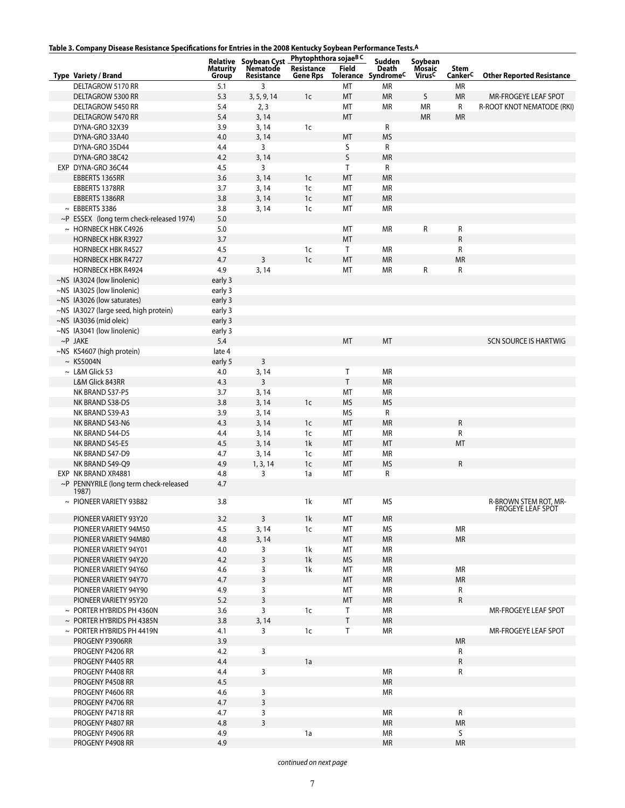|  |  | Table 3. Company Disease Resistance Specifications for Entries in the 2008 Kentucky Soybean Performance Tests.A |
|--|--|-----------------------------------------------------------------------------------------------------------------|
|  |  |                                                                                                                 |

| lable J. Company Disease hesistance Specincations for Entries in the 2000 Remucky Soybean Ferrormance rests. |                 |                                                        |                |              |                                 |                    |                     |                                  |
|--------------------------------------------------------------------------------------------------------------|-----------------|--------------------------------------------------------|----------------|--------------|---------------------------------|--------------------|---------------------|----------------------------------|
|                                                                                                              | <b>Maturity</b> | Relative Soybean Cyst Phytophthora sojaeBC<br>Nematode | Resistance     | <b>Field</b> | Sudden<br>Death                 | Soybean<br>Mosaic  | Stem                |                                  |
| Type Variety / Brand                                                                                         | Group           | Resistance                                             | Gene Rps       |              | Tolerance Syndrome <sup>C</sup> | Virus <sup>C</sup> | Canker <sup>C</sup> | <b>Other Reported Resistance</b> |
| DELTAGROW 5170 RR                                                                                            | 5.1             | 3                                                      |                | МT           | MR                              |                    | MR                  |                                  |
| DELTAGROW 5300 RR                                                                                            | 5.3             | 3, 5, 9, 14                                            | 1 <sub>c</sub> | MT           | <b>MR</b>                       | S                  | <b>MR</b>           | MR-FROGEYE LEAF SPOT             |
| DELTAGROW 5450 RR                                                                                            | 5.4             | 2, 3                                                   |                | MT           | MR                              | <b>MR</b>          | R                   | R-ROOT KNOT NEMATODE (RKI)       |
| <b>DELTAGROW 5470 RR</b>                                                                                     | 5.4             | 3, 14                                                  |                | MT           |                                 | <b>MR</b>          | <b>MR</b>           |                                  |
| DYNA-GRO 32X39                                                                                               | 3.9             | 3, 14                                                  | 1 <sub>c</sub> |              | R                               |                    |                     |                                  |
| DYNA-GRO 33A40                                                                                               | 4.0             | 3, 14                                                  |                | MT           | <b>MS</b>                       |                    |                     |                                  |
|                                                                                                              |                 |                                                        |                | S            | R                               |                    |                     |                                  |
| DYNA-GRO 35D44                                                                                               | 4.4             | 3                                                      |                |              |                                 |                    |                     |                                  |
| DYNA-GRO 38C42                                                                                               | 4.2             | 3, 14                                                  |                | S            | <b>MR</b>                       |                    |                     |                                  |
| EXP DYNA-GRO 36C44                                                                                           | 4.5             | 3                                                      |                | T            | R                               |                    |                     |                                  |
| EBBERTS 1365RR                                                                                               | 3.6             | 3, 14                                                  | 1 <sub>c</sub> | MT           | <b>MR</b>                       |                    |                     |                                  |
| EBBERTS 1378RR                                                                                               | 3.7             | 3, 14                                                  | 1 <sub>c</sub> | MT           | <b>MR</b>                       |                    |                     |                                  |
| EBBERTS 1386RR                                                                                               | 3.8             | 3, 14                                                  | 1 <sub>c</sub> | MT           | <b>MR</b>                       |                    |                     |                                  |
| $~\sim~$ EBBERTS 3386                                                                                        | 3.8             | 3, 14                                                  | 1 <sub>c</sub> | МT           | <b>MR</b>                       |                    |                     |                                  |
| ~P ESSEX (long term check-released 1974)                                                                     | 5.0             |                                                        |                |              |                                 |                    |                     |                                  |
| $~\sim~$ HORNBECK HBK C4926                                                                                  | 5.0             |                                                        |                | МT           | <b>MR</b>                       | R                  | R                   |                                  |
| <b>HORNBECK HBK R3927</b>                                                                                    | 3.7             |                                                        |                | MT           |                                 |                    | $\mathsf R$         |                                  |
| <b>HORNBECK HBK R4527</b>                                                                                    | 4.5             |                                                        | 1c             | T            | <b>MR</b>                       |                    | R                   |                                  |
| <b>HORNBECK HBK R4727</b>                                                                                    | 4.7             | $\overline{3}$                                         | 1 <sub>c</sub> | MT           | <b>MR</b>                       |                    | <b>MR</b>           |                                  |
| <b>HORNBECK HBK R4924</b>                                                                                    | 4.9             | 3, 14                                                  |                | МT           | <b>MR</b>                       | R                  | R                   |                                  |
| ~NS IA3024 (low linolenic)                                                                                   | early 3         |                                                        |                |              |                                 |                    |                     |                                  |
| ~NS IA3025 (low linolenic)                                                                                   | early 3         |                                                        |                |              |                                 |                    |                     |                                  |
| $~\sim$ NS IA3026 (low saturates)                                                                            | early 3         |                                                        |                |              |                                 |                    |                     |                                  |
| ~NS IA3027 (large seed, high protein)                                                                        | early 3         |                                                        |                |              |                                 |                    |                     |                                  |
|                                                                                                              |                 |                                                        |                |              |                                 |                    |                     |                                  |
| $\sim$ NS IA3036 (mid oleic)                                                                                 | early 3         |                                                        |                |              |                                 |                    |                     |                                  |
| ~NS IA3041 (low linolenic)                                                                                   | early 3         |                                                        |                |              |                                 |                    |                     |                                  |
| $\sim$ P JAKE                                                                                                | 5.4             |                                                        |                | MT           | MT                              |                    |                     | <b>SCN SOURCE IS HARTWIG</b>     |
| ~NS KS4607 (high protein)                                                                                    | late 4          |                                                        |                |              |                                 |                    |                     |                                  |
| $~\sim~$ KS5004N                                                                                             | early 5         | $\mathsf{3}$                                           |                |              |                                 |                    |                     |                                  |
| $\sim$ L&M Glick 53                                                                                          | 4.0             | 3, 14                                                  |                | Τ            | <b>MR</b>                       |                    |                     |                                  |
| L&M Glick 843RR                                                                                              | 4.3             | 3                                                      |                | T            | <b>MR</b>                       |                    |                     |                                  |
| NK BRAND S37-P5                                                                                              | 3.7             | 3, 14                                                  |                | МT           | MR                              |                    |                     |                                  |
| NK BRAND S38-D5                                                                                              | 3.8             | 3, 14                                                  | $1c$           | <b>MS</b>    | <b>MS</b>                       |                    |                     |                                  |
| NK BRAND S39-A3                                                                                              | 3.9             | 3, 14                                                  |                | ΜS           | R                               |                    |                     |                                  |
| NK BRAND S43-N6                                                                                              | 4.3             | 3, 14                                                  | 1 <sub>c</sub> | MT           | <b>MR</b>                       |                    | ${\sf R}$           |                                  |
| NK BRAND S44-D5                                                                                              | 4.4             | 3, 14                                                  | 1 <sub>c</sub> | MT           | <b>MR</b>                       |                    | R                   |                                  |
| NK BRAND S45-E5                                                                                              | 4.5             | 3, 14                                                  | 1k             | MT           | MT                              |                    | MT                  |                                  |
| NK BRAND S47-D9                                                                                              | 4.7             | 3, 14                                                  | 1c             | МT           | МR                              |                    |                     |                                  |
| NK BRAND S49-Q9                                                                                              | 4.9             | 1, 3, 14                                               | 1 <sub>c</sub> | MT           | <b>MS</b>                       |                    | ${\sf R}$           |                                  |
|                                                                                                              |                 |                                                        |                |              |                                 |                    |                     |                                  |
| EXP NK BRAND XR4881                                                                                          | 4.8             | 3                                                      | 1a             | МT           | R                               |                    |                     |                                  |
| ~P PENNYRILE (long term check-released<br>1987)                                                              | 4.7             |                                                        |                |              |                                 |                    |                     |                                  |
| $\sim$ PIONEER VARIETY 93B82                                                                                 | 3.8             |                                                        | 1k             | МT           | <b>MS</b>                       |                    |                     | R-BROWN STEM ROT, MR-            |
|                                                                                                              |                 |                                                        |                |              |                                 |                    |                     | <b>FROGETE LEAF SPOT</b>         |
| PIONEER VARIETY 93Y20                                                                                        | 3.2             | $\overline{3}$                                         | 1k             | MT           | <b>MR</b>                       |                    |                     |                                  |
| PIONEER VARIETY 94M50                                                                                        | 4.5             | 3, 14                                                  | 1c             | МT           | <b>MS</b>                       |                    | <b>MR</b>           |                                  |
| PIONEER VARIETY 94M80                                                                                        | 4.8             | 3, 14                                                  |                | MT           | <b>MR</b>                       |                    | <b>MR</b>           |                                  |
| PIONEER VARIETY 94Y01                                                                                        | 4.0             | 3                                                      | 1k             | МT           | <b>MR</b>                       |                    |                     |                                  |
| PIONEER VARIETY 94Y20                                                                                        | 4.2             | 3                                                      | 1k             | <b>MS</b>    | <b>MR</b>                       |                    |                     |                                  |
| PIONEER VARIETY 94Y60                                                                                        |                 |                                                        |                |              |                                 |                    |                     |                                  |
|                                                                                                              | 4.6             | 3                                                      | 1k             | МT           | МR                              |                    | <b>MR</b>           |                                  |
| PIONEER VARIETY 94Y70                                                                                        | 4.7             | $\overline{3}$                                         |                | MT           | <b>MR</b>                       |                    | <b>MR</b>           |                                  |
| PIONEER VARIETY 94Y90                                                                                        | 4.9             | 3                                                      |                | МT           | МR                              |                    | $\mathsf{R}$        |                                  |
| PIONEER VARIETY 95Y20                                                                                        | 5.2             | $\overline{3}$                                         |                | MT           | <b>MR</b>                       |                    | $\mathsf{R}$        |                                  |
| $\sim$ PORTER HYBRIDS PH 4360N                                                                               | 3.6             | 3                                                      | 1 <sub>c</sub> | Τ            | <b>MR</b>                       |                    |                     | MR-FROGEYE LEAF SPOT             |
| $\sim$ PORTER HYBRIDS PH 4385N                                                                               | 3.8             | 3, 14                                                  |                | T            | <b>MR</b>                       |                    |                     |                                  |
| $\sim$ PORTER HYBRIDS PH 4419N                                                                               | 4.1             | 3                                                      | 1c             | Τ            | <b>MR</b>                       |                    |                     | MR-FROGEYE LEAF SPOT             |
| PROGENY P3906RR                                                                                              | 3.9             |                                                        |                |              |                                 |                    | <b>MR</b>           |                                  |
| PROGENY P4206 RR                                                                                             | 4.2             | 3                                                      |                |              |                                 |                    | $\mathsf{R}$        |                                  |
| PROGENY P4405 RR                                                                                             | 4.4             |                                                        | 1a             |              |                                 |                    | $\mathsf{R}$        |                                  |
| PROGENY P4408 RR                                                                                             | 4.4             | 3                                                      |                |              | <b>MR</b>                       |                    | R                   |                                  |
| PROGENY P4508 RR                                                                                             | 4.5             |                                                        |                |              | <b>MR</b>                       |                    |                     |                                  |
| PROGENY P4606 RR                                                                                             | 4.6             | 3                                                      |                |              | <b>MR</b>                       |                    |                     |                                  |
| PROGENY P4706 RR                                                                                             | 4.7             | $\overline{3}$                                         |                |              |                                 |                    |                     |                                  |
| PROGENY P4718 RR                                                                                             | 4.7             | 3                                                      |                |              | <b>MR</b>                       |                    | R                   |                                  |
| PROGENY P4807 RR                                                                                             |                 | 3                                                      |                |              | <b>MR</b>                       |                    | <b>MR</b>           |                                  |
|                                                                                                              | 4.8             |                                                        |                |              |                                 |                    | S.                  |                                  |
| PROGENY P4906 RR                                                                                             | 4.9             |                                                        | 1a             |              | <b>MR</b>                       |                    |                     |                                  |
| PROGENY P4908 RR                                                                                             | 4.9             |                                                        |                |              | <b>MR</b>                       |                    | <b>MR</b>           |                                  |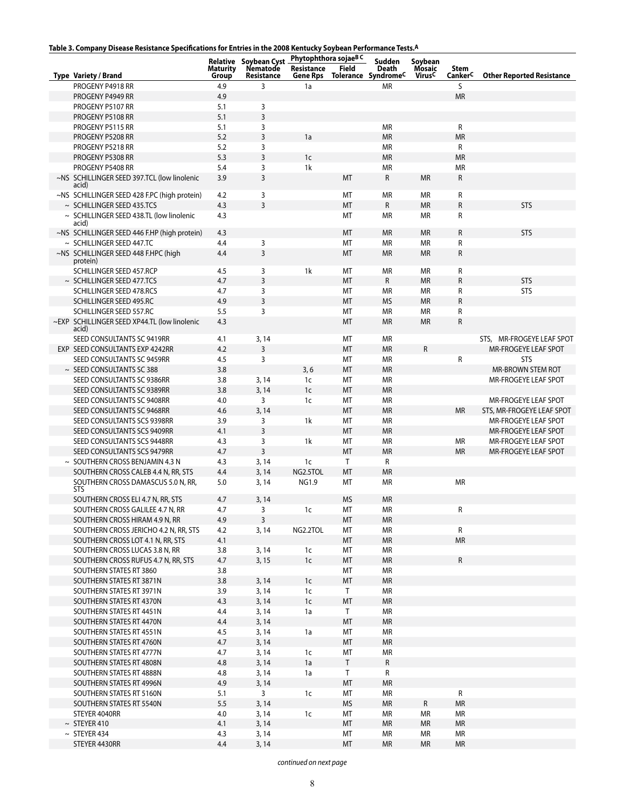# **Table 3. Company Disease Resistance Specifications for Entries in the 2008 Kentucky Soybean Performance Tests.A**

| iable 3. Company Disease Resistance Specifications for Entries in the 2000 Rentucky Soybean Ferformance Tests. |                          |                                                                      |                        |           |                                                           |                                                |                 |                                  |
|----------------------------------------------------------------------------------------------------------------|--------------------------|----------------------------------------------------------------------|------------------------|-----------|-----------------------------------------------------------|------------------------------------------------|-----------------|----------------------------------|
| Type Variety / Brand                                                                                           | <b>Maturity</b><br>Group | Relative Soybean Cyst Phytophthora sojaeBC<br>Nematode<br>Resistance | Resistance<br>Gene Rps | Field     | Sudden<br><b>Death</b><br>Tolerance Syndrome <sup>C</sup> | Soybean<br><b>Mosaic</b><br>Virus <sup>C</sup> | Stem<br>CankerC | <b>Other Reported Resistance</b> |
| PROGENY P4918 RR                                                                                               | 4.9                      | 3                                                                    | 1a                     |           | <b>MR</b>                                                 |                                                | S               |                                  |
| PROGENY P4949 RR                                                                                               | 4.9                      |                                                                      |                        |           |                                                           |                                                | <b>MR</b>       |                                  |
| PROGENY P5107 RR                                                                                               | 5.1                      | 3                                                                    |                        |           |                                                           |                                                |                 |                                  |
| PROGENY P5108 RR                                                                                               | 5.1                      | 3                                                                    |                        |           |                                                           |                                                |                 |                                  |
| PROGENY P5115 RR                                                                                               | 5.1                      | 3                                                                    |                        |           | <b>MR</b>                                                 |                                                | R               |                                  |
| PROGENY P5208 RR                                                                                               | 5.2                      | 3                                                                    | 1a                     |           | <b>MR</b>                                                 |                                                | <b>MR</b>       |                                  |
| PROGENY P5218 RR                                                                                               | 5.2                      | 3                                                                    |                        |           | <b>MR</b>                                                 |                                                | R               |                                  |
|                                                                                                                | 5.3                      | 3                                                                    | 1 <sub>c</sub>         |           | <b>MR</b>                                                 |                                                | <b>MR</b>       |                                  |
| PROGENY P5308 RR                                                                                               |                          |                                                                      |                        |           |                                                           |                                                |                 |                                  |
| PROGENY P5408 RR                                                                                               | 5.4                      | 3                                                                    | 1k                     |           | <b>MR</b>                                                 |                                                | <b>MR</b>       |                                  |
| ~NS SCHILLINGER SEED 397.TCL (low linolenic<br>acid)                                                           | 3.9                      | 3                                                                    |                        | MT        | R                                                         | <b>MR</b>                                      | R               |                                  |
| ~NS SCHILLINGER SEED 428 F.PC (high protein)                                                                   | 4.2                      | 3                                                                    |                        | MT        | <b>MR</b>                                                 | <b>MR</b>                                      | R               |                                  |
| $\sim$ SCHILLINGER SEED 435.TCS                                                                                | 4.3                      | 3                                                                    |                        | MT        | R                                                         | <b>MR</b>                                      | ${\sf R}$       | <b>STS</b>                       |
| $\sim$ SCHILLINGER SEED 438.TL (low linolenic                                                                  | 4.3                      |                                                                      |                        | МT        | <b>MR</b>                                                 | ΜR                                             | R               |                                  |
| acid)                                                                                                          |                          |                                                                      |                        |           |                                                           |                                                |                 |                                  |
| ~NS SCHILLINGER SEED 446 F.HP (high protein)                                                                   | 4.3                      |                                                                      |                        | МT        | <b>MR</b>                                                 | <b>MR</b>                                      | ${\sf R}$       | <b>STS</b>                       |
| $\sim$ SCHILLINGER SEED 447.TC                                                                                 | 4.4                      | 3                                                                    |                        | МT        | <b>MR</b>                                                 | <b>MR</b>                                      | R               |                                  |
| ~NS SCHILLINGER SEED 448 F.HPC (high                                                                           | 4.4                      | 3                                                                    |                        | MT        | <b>MR</b>                                                 | <b>MR</b>                                      | R               |                                  |
| protein)                                                                                                       |                          |                                                                      |                        |           |                                                           |                                                |                 |                                  |
| SCHILLINGER SEED 457.RCP                                                                                       | 4.5                      | 3                                                                    | 1k                     | МT        | <b>MR</b>                                                 | <b>MR</b>                                      | R               |                                  |
| $\sim$ SCHILLINGER SEED 477.TCS                                                                                | 4.7                      | $\overline{3}$                                                       |                        | MT        | R                                                         | <b>MR</b>                                      | $\mathsf R$     | <b>STS</b>                       |
| SCHILLINGER SEED 478.RCS                                                                                       | 4.7                      | 3                                                                    |                        | МT        | <b>MR</b>                                                 | <b>MR</b>                                      | R               | <b>STS</b>                       |
| SCHILLINGER SEED 495.RC                                                                                        | 4.9                      | 3                                                                    |                        | MT        | <b>MS</b>                                                 | <b>MR</b>                                      | ${\sf R}$       |                                  |
| SCHILLINGER SEED 557.RC                                                                                        | 5.5                      | 3                                                                    |                        | MT        | <b>MR</b>                                                 | <b>MR</b>                                      | R               |                                  |
| ~EXP SCHILLINGER SEED XP44.TL (low linolenic                                                                   | 4.3                      |                                                                      |                        | MT        | <b>MR</b>                                                 | <b>MR</b>                                      | ${\sf R}$       |                                  |
| acid)                                                                                                          |                          |                                                                      |                        |           |                                                           |                                                |                 |                                  |
| SEED CONSULTANTS SC 9419RR                                                                                     | 4.1                      | 3, 14                                                                |                        | МT        | MR                                                        |                                                |                 | STS, MR-FROGEYE LEAF SPOT        |
| EXP SEED CONSULTANTS EXP 4242RR                                                                                | 4.2                      | 3                                                                    |                        | MT        | <b>MR</b>                                                 | ${\sf R}$                                      |                 | MR-FROGEYE LEAF SPOT             |
| SEED CONSULTANTS SC 9459RR                                                                                     | 4.5                      | 3                                                                    |                        | MT        | <b>MR</b>                                                 |                                                | R               | <b>STS</b>                       |
| $\sim$ SEED CONSULTANTS SC 388                                                                                 | 3.8                      |                                                                      | 3, 6                   | MT        | <b>MR</b>                                                 |                                                |                 | MR-BROWN STEM ROT                |
| SEED CONSULTANTS SC 9386RR                                                                                     | 3.8                      | 3, 14                                                                | 1c                     | MT        | <b>MR</b>                                                 |                                                |                 | MR-FROGEYE LEAF SPOT             |
| SEED CONSULTANTS SC 9389RR                                                                                     | 3.8                      | 3, 14                                                                | 1 <sub>c</sub>         | MT        | <b>MR</b>                                                 |                                                |                 |                                  |
| SEED CONSULTANTS SC 9408RR                                                                                     | 4.0                      | 3                                                                    | 1c                     | MT        | <b>MR</b>                                                 |                                                |                 | MR-FROGEYE LEAF SPOT             |
| SEED CONSULTANTS SC 9468RR                                                                                     | 4.6                      | 3, 14                                                                |                        | MT        | <b>MR</b>                                                 |                                                | <b>MR</b>       | STS, MR-FROGEYE LEAF SPOT        |
| SEED CONSULTANTS SCS 9398RR                                                                                    | 3.9                      | 3                                                                    | 1k                     | MT        | <b>MR</b>                                                 |                                                |                 | MR-FROGEYE LEAF SPOT             |
| SEED CONSULTANTS SCS 9409RR                                                                                    | 4.1                      | 3                                                                    |                        | MT        | <b>MR</b>                                                 |                                                |                 | MR-FROGEYE LEAF SPOT             |
| SEED CONSULTANTS SCS 9448RR                                                                                    | 4.3                      | 3                                                                    | 1k                     | MT        | <b>MR</b>                                                 |                                                | MR              | MR-FROGEYE LEAF SPOT             |
| SEED CONSULTANTS SCS 9479RR                                                                                    | 4.7                      | $\overline{3}$                                                       |                        | MT        | <b>MR</b>                                                 |                                                | <b>MR</b>       |                                  |
| $\sim$ SOUTHERN CROSS BENJAMIN 4.3 N                                                                           |                          |                                                                      |                        |           |                                                           |                                                |                 | MR-FROGEYE LEAF SPOT             |
|                                                                                                                | 4.3                      | 3, 14                                                                | 1c                     | T.        | R                                                         |                                                |                 |                                  |
| SOUTHERN CROSS CALEB 4.4 N, RR, STS                                                                            | 4.4                      | 3, 14                                                                | NG2.5TOL               | MT        | <b>MR</b>                                                 |                                                |                 |                                  |
| SOUTHERN CROSS DAMASCUS 5.0 N, RR,<br>STS                                                                      | 5.0                      | 3, 14                                                                | NG1.9                  | МT        | <b>MR</b>                                                 |                                                | <b>MR</b>       |                                  |
| SOUTHERN CROSS ELI 4.7 N, RR, STS                                                                              | 4.7                      | 3,14                                                                 |                        | <b>MS</b> | <b>MR</b>                                                 |                                                |                 |                                  |
| SOUTHERN CROSS GALILEE 4.7 N, RR                                                                               | 4.7                      | 3                                                                    | 1c                     | МT        | МR                                                        |                                                | R               |                                  |
| SOUTHERN CROSS HIRAM 4.9 N, RR                                                                                 | 4.9                      | $\overline{3}$                                                       |                        | MT        | <b>MR</b>                                                 |                                                |                 |                                  |
| SOUTHERN CROSS JERICHO 4.2 N, RR, STS                                                                          | 4.2                      | 3, 14                                                                | NG2.2TOL               | МT        | <b>MR</b>                                                 |                                                | R               |                                  |
| SOUTHERN CROSS LOT 4.1 N, RR, STS                                                                              | 4.1                      |                                                                      |                        | MT        | <b>MR</b>                                                 |                                                | <b>MR</b>       |                                  |
| SOUTHERN CROSS LUCAS 3.8 N, RR                                                                                 | 3.8                      |                                                                      |                        | МT        | MR                                                        |                                                |                 |                                  |
|                                                                                                                |                          | 3, 14                                                                | 1 <sub>c</sub>         |           | <b>MR</b>                                                 |                                                | ${\sf R}$       |                                  |
| SOUTHERN CROSS RUFUS 4.7 N, RR, STS                                                                            | 4.7                      | 3, 15                                                                | $1c$                   | MT        |                                                           |                                                |                 |                                  |
| SOUTHERN STATES RT 3860                                                                                        | 3.8                      |                                                                      |                        | МT        | MR                                                        |                                                |                 |                                  |
| SOUTHERN STATES RT 3871N                                                                                       | 3.8                      | 3, 14                                                                | 1 <sub>c</sub>         | MT        | <b>MR</b>                                                 |                                                |                 |                                  |
| SOUTHERN STATES RT 3971N                                                                                       | 3.9                      | 3, 14                                                                | 1c                     | T.        | MR                                                        |                                                |                 |                                  |
| SOUTHERN STATES RT 4370N                                                                                       | 4.3                      | 3, 14                                                                | $1c$                   | MT        | <b>MR</b>                                                 |                                                |                 |                                  |
| SOUTHERN STATES RT 4451N                                                                                       | 4.4                      | 3, 14                                                                | 1a                     | T.        | <b>MR</b>                                                 |                                                |                 |                                  |
| SOUTHERN STATES RT 4470N                                                                                       | 4.4                      | 3, 14                                                                |                        | MT        | ${\sf MR}$                                                |                                                |                 |                                  |
| SOUTHERN STATES RT 4551N                                                                                       | 4.5                      | 3, 14                                                                | 1a                     | МT        | MR                                                        |                                                |                 |                                  |
| SOUTHERN STATES RT 4760N                                                                                       | 4.7                      | 3, 14                                                                |                        | MT        | <b>MR</b>                                                 |                                                |                 |                                  |
| SOUTHERN STATES RT 4777N                                                                                       | 4.7                      | 3, 14                                                                | 1 <sub>c</sub>         | МT        | <b>MR</b>                                                 |                                                |                 |                                  |
| SOUTHERN STATES RT 4808N                                                                                       | 4.8                      | 3, 14                                                                | 1a                     | Τ         | R                                                         |                                                |                 |                                  |
| SOUTHERN STATES RT 4888N                                                                                       | 4.8                      | 3, 14                                                                | 1a                     | T.        | R                                                         |                                                |                 |                                  |
| SOUTHERN STATES RT 4996N                                                                                       | 4.9                      | 3, 14                                                                |                        | MT        | <b>MR</b>                                                 |                                                |                 |                                  |
| SOUTHERN STATES RT 5160N                                                                                       | 5.1                      | 3                                                                    | 1 <sub>c</sub>         | МT        | MR                                                        |                                                | R               |                                  |
| SOUTHERN STATES RT 5540N                                                                                       | 5.5                      | 3, 14                                                                |                        | <b>MS</b> | <b>MR</b>                                                 | ${\sf R}$                                      | <b>MR</b>       |                                  |
| STEYER 4040RR                                                                                                  | 4.0                      | 3, 14                                                                | 1 <sub>c</sub>         | МT        | <b>MR</b>                                                 | <b>MR</b>                                      | ΜR              |                                  |
| $\sim$ STEYER 410                                                                                              | 4.1                      | 3, 14                                                                |                        | МT        | <b>MR</b>                                                 | <b>MR</b>                                      | МR              |                                  |
| $~\sim~$ STEYER 434                                                                                            | 4.3                      | 3, 14                                                                |                        | MT        | <b>MR</b>                                                 | <b>MR</b>                                      | MR              |                                  |
| STEYER 4430RR                                                                                                  | 4.4                      | 3, 14                                                                |                        | MT        | <b>MR</b>                                                 | <b>MR</b>                                      | <b>MR</b>       |                                  |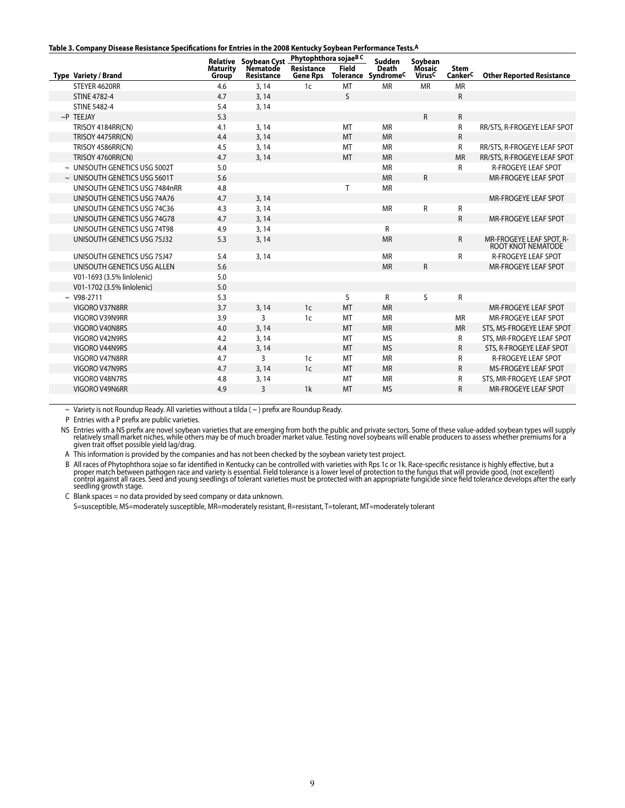#### **Table 3. Company Disease Resistance Specifications for Entries in the 2008 Kentucky Soybean Performance Tests.A**

|                                    |                          | <b>Relative Soybean Cyst</b> | Phytophthora sojae <sup>B C</sup> |              | Sudden                              | Soybean                             |                        |                                                |
|------------------------------------|--------------------------|------------------------------|-----------------------------------|--------------|-------------------------------------|-------------------------------------|------------------------|------------------------------------------------|
| <b>Type Variety / Brand</b>        | <b>Maturity</b><br>Group | Nematode<br>Resistance       | Resistance<br><b>Gene Rps</b>     | <b>Field</b> | <b>Death</b><br>Tolerance SyndromeC | <b>Mosaic</b><br>Virus <sup>C</sup> | <b>Stem</b><br>CankerC | <b>Other Reported Resistance</b>               |
| STEYER 4620RR                      | 4.6                      | 3, 14                        | 1c                                | MT           | <b>MR</b>                           | <b>MR</b>                           | <b>MR</b>              |                                                |
| <b>STINE 4782-4</b>                | 4.7                      | 3, 14                        |                                   | S            |                                     |                                     | $\mathsf{R}$           |                                                |
| <b>STINE 5482-4</b>                | 5.4                      | 3, 14                        |                                   |              |                                     |                                     |                        |                                                |
| $\sim$ P TEEJAY                    | 5.3                      |                              |                                   |              |                                     | $\mathsf{R}$                        | $\mathsf{R}$           |                                                |
| TRISOY 4184RR(CN)                  | 4.1                      | 3, 14                        |                                   | MT           | <b>MR</b>                           |                                     | R                      | RR/STS, R-FROGEYE LEAF SPOT                    |
| TRISOY 4475RR(CN)                  | 4.4                      | 3, 14                        |                                   | MT           | <b>MR</b>                           |                                     | ${\sf R}$              |                                                |
| TRISOY 4586RR(CN)                  | 4.5                      | 3, 14                        |                                   | MT           | <b>MR</b>                           |                                     | R                      | RR/STS, R-FROGEYE LEAF SPOT                    |
| TRISOY 4760RR(CN)                  | 4.7                      | 3, 14                        |                                   | <b>MT</b>    | <b>MR</b>                           |                                     | <b>MR</b>              | RR/STS, R-FROGEYE LEAF SPOT                    |
| ~ UNISOUTH GENETICS USG 5002T      | 5.0                      |                              |                                   |              | <b>MR</b>                           |                                     | R                      | <b>R-FROGEYE LEAF SPOT</b>                     |
| $\sim$ UNISOUTH GENETICS USG 5601T | 5.6                      |                              |                                   |              | <b>MR</b>                           | $\mathsf{R}$                        |                        | MR-FROGEYE LEAF SPOT                           |
| UNISOUTH GENETICS USG 7484nRR      | 4.8                      |                              |                                   | T.           | <b>MR</b>                           |                                     |                        |                                                |
| UNISOUTH GENETICS USG 74A76        | 4.7                      | 3, 14                        |                                   |              |                                     |                                     |                        | MR-FROGEYE LEAF SPOT                           |
| UNISOUTH GENETICS USG 74C36        | 4.3                      | 3, 14                        |                                   |              | <b>MR</b>                           | R                                   | ${\sf R}$              |                                                |
| UNISOUTH GENETICS USG 74G78        | 4.7                      | 3, 14                        |                                   |              |                                     |                                     | $\mathsf{R}$           | MR-FROGEYE LEAF SPOT                           |
| UNISOUTH GENETICS USG 74T98        | 4.9                      | 3, 14                        |                                   |              | R                                   |                                     |                        |                                                |
| UNISOUTH GENETICS USG 75J32        | 5.3                      | 3, 14                        |                                   |              | <b>MR</b>                           |                                     | $\mathsf{R}$           | MR-FROGEYE LEAF SPOT, R-<br>ROOT KNOT NEMATODE |
| UNISOUTH GENETICS USG 75J47        | 5.4                      | 3, 14                        |                                   |              | <b>MR</b>                           |                                     | R                      | <b>R-FROGEYE LEAF SPOT</b>                     |
| UNISOUTH GENETICS USG ALLEN        | 5.6                      |                              |                                   |              | <b>MR</b>                           | $\mathsf{R}$                        |                        | MR-FROGEYE LEAF SPOT                           |
| V01-1693 (3.5% linlolenic)         | 5.0                      |                              |                                   |              |                                     |                                     |                        |                                                |
| V01-1702 (3.5% linlolenic)         | 5.0                      |                              |                                   |              |                                     |                                     |                        |                                                |
| $~\sim~$ V98-2711                  | 5.3                      |                              |                                   | S            | R                                   | S                                   | R                      |                                                |
| VIGORO V37N8RR                     | 3.7                      | 3, 14                        | 1 <sub>c</sub>                    | <b>MT</b>    | <b>MR</b>                           |                                     |                        | MR-FROGEYE LEAF SPOT                           |
| VIGORO V39N9RR                     | 3.9                      | 3                            | 1 <sub>c</sub>                    | MT           | <b>MR</b>                           |                                     | <b>MR</b>              | MR-FROGEYE LEAF SPOT                           |
| VIGORO V40N8RS                     | 4.0                      | 3, 14                        |                                   | <b>MT</b>    | <b>MR</b>                           |                                     | <b>MR</b>              | STS, MS-FROGEYE LEAF SPOT                      |
| VIGORO V42N9RS                     | 4.2                      | 3, 14                        |                                   | MT           | <b>MS</b>                           |                                     | R                      | STS, MR-FROGEYE LEAF SPOT                      |
| VIGORO V44N9RS                     | 4.4                      | 3, 14                        |                                   | MT           | <b>MS</b>                           |                                     | $\mathsf{R}$           | STS, R-FROGEYE LEAF SPOT                       |
| VIGORO V47N8RR                     | 4.7                      | 3                            | 1 <sub>c</sub>                    | MT           | <b>MR</b>                           |                                     | R                      | <b>R-FROGEYE LEAF SPOT</b>                     |
| VIGORO V47N9RS                     | 4.7                      | 3, 14                        | 1 <sub>c</sub>                    | <b>MT</b>    | <b>MR</b>                           |                                     | $\mathsf{R}$           | <b>MS-FROGEYE LEAF SPOT</b>                    |
| VIGORO V48N7RS                     | 4.8                      | 3, 14                        |                                   | MT           | <b>MR</b>                           |                                     | R                      | STS, MR-FROGEYE LEAF SPOT                      |
| VIGORO V49N6RR                     | 4.9                      | 3                            | 1 <sup>k</sup>                    | <b>MT</b>    | <b>MS</b>                           |                                     | $\mathsf{R}$           | <b>MR-FROGEYE LEAF SPOT</b>                    |
|                                    |                          |                              |                                   |              |                                     |                                     |                        |                                                |

 $\sim$  Variety is not Roundup Ready. All varieties without a tilda ( $\sim$ ) prefix are Roundup Ready.

P Entries with a P prefix are public varieties.

NS Entries with a NS prefix are novel soybean varieties that are emerging from both the public and private sectors. Some of these value-added soybean types will supply relatively small mather than in a both the public and

A This information is provided by the companies and has not been checked by the soybean variety test project.

B All races of Phytophthora sojae so far identified in Kentucky can be controlled with varieties with Rps 1c or 1k. Race-specific resistance is highly effective, but a<br>proper match between pathogen race and variety is esse seedling growth stage.

C Blank spaces = no data provided by seed company or data unknown.

S=susceptible, MS=moderately susceptible, MR=moderately resistant, R=resistant, T=tolerant, MT=moderately tolerant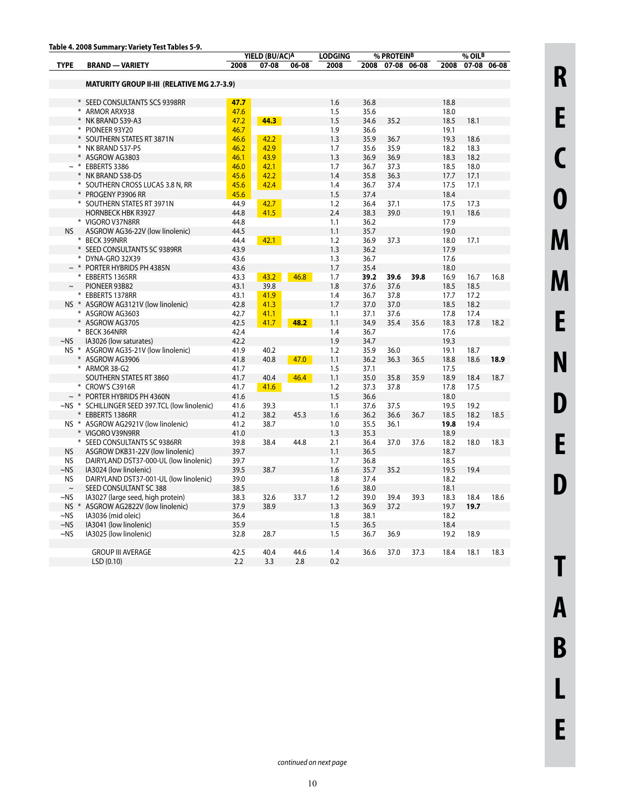|             |                                                    |              | YIELD (BU/AC) <sup>A</sup> |       | <b>LODGING</b> |              | % PROTEIN <sup>B</sup> |      | % OIL <sup>B</sup> |             |      |  |
|-------------|----------------------------------------------------|--------------|----------------------------|-------|----------------|--------------|------------------------|------|--------------------|-------------|------|--|
| <b>TYPE</b> | <b>BRAND - VARIETY</b>                             | 2008         | 07-08                      | 06-08 | 2008           | 2008         | 07-08 06-08            |      | 2008               | 07-08 06-08 |      |  |
|             |                                                    |              |                            |       |                |              |                        |      |                    |             |      |  |
|             | <b>MATURITY GROUP II-III (RELATIVE MG 2.7-3.9)</b> |              |                            |       |                |              |                        |      |                    |             |      |  |
|             |                                                    |              |                            |       |                |              |                        |      |                    |             |      |  |
|             | * SEED CONSULTANTS SCS 9398RR                      | 47.7         |                            |       | 1.6            | 36.8         |                        |      | 18.8               |             |      |  |
|             | * ARMOR ARX938                                     | 47.6         |                            |       | 1.5            | 35.6         |                        |      | 18.0               |             |      |  |
|             | * NK BRAND S39-A3                                  | 47.2         | 44.3                       |       | 1.5            | 34.6         | 35.2                   |      | 18.5               | 18.1        |      |  |
|             | * PIONEER 93Y20                                    | 46.7         |                            |       | 1.9            | 36.6         |                        |      | 19.1               |             |      |  |
|             | * SOUTHERN STATES RT 3871N                         | 46.6         | 42.2                       |       | 1.3            | 35.9         | 36.7                   |      | 19.3               | 18.6        |      |  |
|             | * NK BRAND S37-P5                                  | 46.2         | 42.9                       |       | 1.7            | 35.6         | 35.9                   |      | 18.2               | 18.3        |      |  |
|             | ASGROW AG3803                                      | 46.1         | 43.9                       |       | 1.3            | 36.9         | 36.9                   |      | 18.3               | 18.2        |      |  |
| $\sim$ *    | EBBERTS 3386                                       | 46.0         | 42.1                       |       | 1.7            | 36.7         | 37.3                   |      | 18.5               | 18.0        |      |  |
|             | ¥<br>NK BRAND S38-D5                               | 45.6         | 42.2                       |       | 1.4            | 35.8         | 36.3                   |      | 17.7               | 17.1        |      |  |
|             | * SOUTHERN CROSS LUCAS 3.8 N, RR                   | 45.6         | 42.4                       |       | 1.4            | 36.7         | 37.4                   |      | 17.5               | 17.1        |      |  |
|             | * PROGENY P3906 RR                                 | 45.6         |                            |       | 1.5            | 37.4         |                        |      | 18.4               |             |      |  |
|             | * SOUTHERN STATES RT 3971N                         | 44.9         | 42.7                       |       | 1.2            | 36.4         | 37.1                   |      | 17.5               | 17.3        |      |  |
|             | <b>HORNBECK HBK R3927</b>                          | 44.8         | 41.5                       |       | 2.4            | 38.3         | 39.0                   |      | 19.1               | 18.6        |      |  |
|             | * VIGORO V37N8RR                                   | 44.8         |                            |       | 1.1            | 36.2         |                        |      | 17.9               |             |      |  |
| <b>NS</b>   | ASGROW AG36-22V (low linolenic)                    | 44.5         |                            |       | 1.1            | 35.7         |                        |      | 19.0               |             |      |  |
|             |                                                    |              |                            |       |                |              |                        |      |                    |             |      |  |
|             | * BECK 399NRR                                      | 44.4<br>43.9 | 42.1                       |       | 1.2<br>1.3     | 36.9<br>36.2 | 37.3                   |      | 18.0<br>17.9       | 17.1        |      |  |
|             | * SEED CONSULTANTS SC 9389RR<br>₩                  |              |                            |       |                |              |                        |      |                    |             |      |  |
|             | DYNA-GRO 32X39                                     | 43.6         |                            |       | 1.3            | 36.7         |                        |      | 17.6               |             |      |  |
|             | $\sim$ * PORTER HYBRIDS PH 4385N                   | 43.6         |                            |       | 1.7            | 35.4         |                        |      | 18.0               |             |      |  |
|             | * EBBERTS 1365RR                                   | 43.3         | 43.2                       | 46.8  | 1.7            | 39.2         | 39.6                   | 39.8 | 16.9               | 16.7        | 16.8 |  |
| $\thicksim$ | PIONEER 93B82                                      | 43.1         | 39.8                       |       | 1.8            | 37.6         | 37.6                   |      | 18.5               | 18.5        |      |  |
|             | * EBBERTS 1378RR                                   | 43.1         | 41.9                       |       | 1.4            | 36.7         | 37.8                   |      | 17.7               | 17.2        |      |  |
|             | NS * ASGROW AG3121V (low linolenic)                | 42.8         | 41.3                       |       | 1.7            | 37.0         | 37.0                   |      | 18.5               | 18.2        |      |  |
|             | * ASGROW AG3603                                    | 42.7         | 41.1                       |       | 1.1            | 37.1         | 37.6                   |      | 17.8               | 17.4        |      |  |
|             | * ASGROW AG3705                                    | 42.5         | 41.7                       | 48.2  | 1.1            | 34.9         | 35.4                   | 35.6 | 18.3               | 17.8        | 18.2 |  |
|             | * BECK 364NRR                                      | 42.4         |                            |       | 1.4            | 36.7         |                        |      | 17.6               |             |      |  |
| $-NS$       | IA3026 (low saturates)                             | 42.2         |                            |       | 1.9            | 34.7         |                        |      | 19.3               |             |      |  |
|             | NS * ASGROW AG35-21V (low linolenic)               | 41.9         | 40.2                       |       | 1.2            | 35.9         | 36.0                   |      | 19.1               | 18.7        |      |  |
|             | * ASGROW AG3906                                    | 41.8         | 40.8                       | 47.0  | 1.1            | 36.2         | 36.3                   | 36.5 | 18.8               | 18.6        | 18.9 |  |
|             | * ARMOR 38-G2                                      | 41.7         |                            |       | 1.5            | 37.1         |                        |      | 17.5               |             |      |  |
|             | SOUTHERN STATES RT 3860                            | 41.7         | 40.4                       | 46.4  | 1.1            | 35.0         | 35.8                   | 35.9 | 18.9               | 18.4        | 18.7 |  |
|             | * CROW'S C3916R                                    | 41.7         | 41.6                       |       | 1.2            | 37.3         | 37.8                   |      | 17.8               | 17.5        |      |  |
| $\sim$ *    | PORTER HYBRIDS PH 4360N                            | 41.6         |                            |       | 1.5            | 36.6         |                        |      | 18.0               |             |      |  |
|             | ~NS * SCHILLINGER SEED 397.TCL (low linolenic)     | 41.6         | 39.3                       |       | 1.1            | 37.6         | 37.5                   |      | 19.5               | 19.2        |      |  |
|             | * EBBERTS 1386RR                                   | 41.2         | 38.2                       | 45.3  | 1.6            | 36.2         | 36.6                   | 36.7 | 18.5               | 18.2        | 18.5 |  |
|             | NS * ASGROW AG2921V (low linolenic)                | 41.2         | 38.7                       |       | 1.0            | 35.5         | 36.1                   |      | 19.8               | 19.4        |      |  |
|             | * VIGORO V39N9RR                                   | 41.0         |                            |       | 1.3            | 35.3         |                        |      | 18.9               |             |      |  |
|             | * SEED CONSULTANTS SC 9386RR                       | 39.8         | 38.4                       | 44.8  | 2.1            | 36.4         | 37.0                   | 37.6 | 18.2               | 18.0        | 18.3 |  |
| <b>NS</b>   | ASGROW DKB31-22V (low linolenic)                   | 39.7         |                            |       | 1.1            | 36.5         |                        |      | 18.7               |             |      |  |
| NS          | DAIRYLAND DST37-000-UL (low linolenic)             | 39.7         |                            |       | 1.7            | 36.8         |                        |      | 18.5               |             |      |  |
| $\sim$ NS   | IA3024 (low linolenic)                             | 39.5         | 38.7                       |       | 1.6            | 35.7         | 35.2                   |      | 19.5               | 19.4        |      |  |
| <b>NS</b>   | DAIRYLAND DST37-001-UL (low linolenic)             | 39.0         |                            |       | 1.8            | 37.4         |                        |      | 18.2               |             |      |  |
| $\sim$      | SEED CONSULTANT SC 388                             | 38.5         |                            |       | 1.6            | 38.0         |                        |      | 18.1               |             |      |  |
| $~\sim$ NS  | IA3027 (large seed, high protein)                  | 38.3         | 32.6                       | 33.7  | 1.2            | 39.0         | 39.4                   | 39.3 | 18.3               | 18.4        | 18.6 |  |
| $NS$ *      | ASGROW AG2822V (low linolenic)                     | 37.9         | 38.9                       |       | 1.3            | 36.9         | 37.2                   |      | 19.7               | 19.7        |      |  |
| $~\sim$ NS  | IA3036 (mid oleic)                                 | 36.4         |                            |       | 1.8            | 38.1         |                        |      | 18.2               |             |      |  |
| $~\sim$ NS  | IA3041 (low linolenic)                             | 35.9         |                            |       | 1.5            | 36.5         |                        |      | 18.4               |             |      |  |
| $~\sim$ NS  | IA3025 (low linolenic)                             | 32.8         | 28.7                       |       | 1.5            | 36.7         | 36.9                   |      | 19.2               | 18.9        |      |  |
|             |                                                    |              |                            |       |                |              |                        |      |                    |             |      |  |
|             | <b>GROUP III AVERAGE</b>                           | 42.5         | 40.4                       | 44.6  | 1.4            | 36.6         | 37.0                   | 37.3 | 18.4               | 18.1        | 18.3 |  |
|             |                                                    |              |                            |       |                |              |                        |      |                    |             |      |  |
|             | LSD(0.10)                                          | 2.2          | 3.3                        | 2.8   | 0.2            |              |                        |      |                    |             |      |  |

**B**

**L**

**E**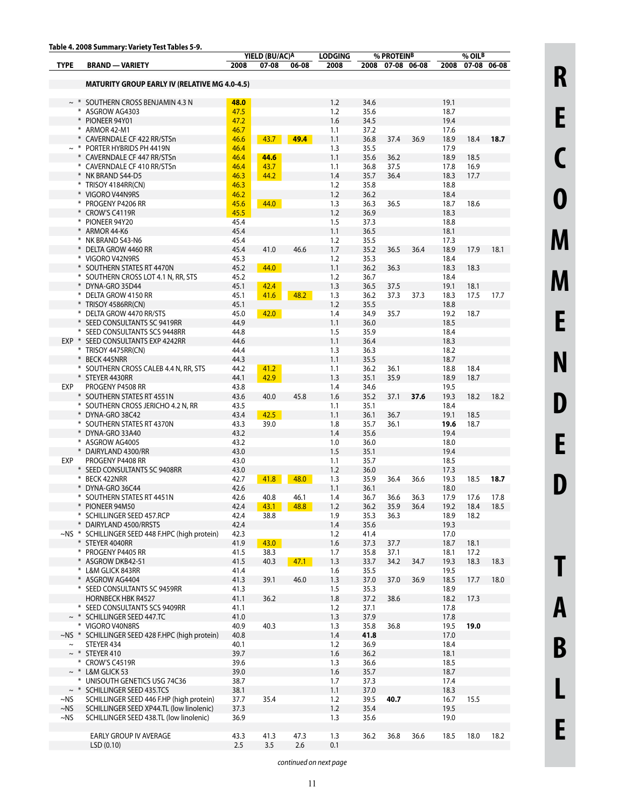|             | rable 4. 2006 Summary. variety Test Tables 5-9.                    |              | YIELD (BU/AC)A |           | <b>LODGING</b> |              | % PROTEINB       |      |              | % OILB       |      |
|-------------|--------------------------------------------------------------------|--------------|----------------|-----------|----------------|--------------|------------------|------|--------------|--------------|------|
| <b>TYPE</b> | <b>BRAND - VARIETY</b>                                             | 2008         | 07-08          | 06-08     | 2008           |              | 2008 07-08 06-08 |      | 2008         | 07-08 06-08  |      |
|             | <b>MATURITY GROUP EARLY IV (RELATIVE MG 4.0-4.5)</b>               |              |                |           |                |              |                  |      |              |              |      |
|             |                                                                    |              |                |           |                |              |                  |      |              |              |      |
| $\sim$ *    | SOUTHERN CROSS BENJAMIN 4.3 N                                      | 48.0         |                |           | 1.2            | 34.6         |                  |      | 19.1         |              |      |
|             | * ASGROW AG4303                                                    | 47.5         |                |           | 1.2            | 35.6         |                  |      | 18.7         |              |      |
|             | * PIONEER 94Y01                                                    | 47.2         |                |           | 1.6            | 34.5         |                  |      | 19.4         |              |      |
|             | * ARMOR 42-M1                                                      | 46.7         |                |           | 1.1            | 37.2         |                  |      | 17.6         |              |      |
|             | * CAVERNDALE CF 422 RR/STSn                                        | 46.6         | 43.7           | 49.4      | 1.1            | 36.8         | 37.4             | 36.9 | 18.9         | 18.4         | 18.7 |
|             | $\sim$ * PORTER HYBRIDS PH 4419N                                   | 46.4         |                |           | 1.3            | 35.5         |                  |      | 17.9         |              |      |
|             | * CAVERNDALE CF 447 RR/STSn                                        | 46.4         | 44.6           |           | 1.1            | 35.6         | 36.2             |      | 18.9         | 18.5         |      |
|             | * CAVERNDALE CF 410 RR/STSn                                        | 46.4         | 43.7           |           | 1.1            | 36.8         | 37.5             |      | 17.8         | 16.9         |      |
|             | * NK BRAND S44-D5<br>* TRISOY 4184RR(CN)                           | 46.3<br>46.3 | 44.2           |           | 1.4<br>1.2     | 35.7<br>35.8 | 36.4             |      | 18.3<br>18.8 | 17.7         |      |
|             | * VIGORO V44N9RS                                                   | 46.2         |                |           | 1.2            | 36.2         |                  |      | 18.4         |              |      |
|             | * PROGENY P4206 RR                                                 | 45.6         | 44.0           |           | 1.3            | 36.3         | 36.5             |      | 18.7         | 18.6         |      |
|             | * CROW'S C4119R                                                    | 45.5         |                |           | 1.2            | 36.9         |                  |      | 18.3         |              |      |
|             | * PIONEER 94Y20                                                    | 45.4         |                |           | 1.5            | 37.3         |                  |      | 18.8         |              |      |
|             | * ARMOR 44-K6                                                      | 45.4         |                |           | 1.1            | 36.5         |                  |      | 18.1         |              |      |
|             | * NK BRAND S43-N6                                                  | 45.4         |                |           | 1.2            | 35.5         |                  |      | 17.3         |              |      |
|             | * DELTA GROW 4460 RR                                               | 45.4         | 41.0           | 46.6      | 1.7            | 35.2         | 36.5             | 36.4 | 18.9         | 17.9         | 18.1 |
|             | * VIGORO V42N9RS                                                   | 45.3         |                |           | 1.2            | 35.3         |                  |      | 18.4         |              |      |
|             | * SOUTHERN STATES RT 4470N                                         | 45.2         | 44.0           |           | 1.1            | 36.2         | 36.3             |      | 18.3         | 18.3         |      |
|             | * SOUTHERN CROSS LOT 4.1 N, RR, STS                                | 45.2         |                |           | 1.2            | 36.7         |                  |      | 18.4         |              |      |
|             | * DYNA-GRO 35D44                                                   | 45.1         | 42.4           |           | 1.3            | 36.5         | 37.5             |      | 19.1         | 18.1         |      |
|             | * DELTA GROW 4150 RR<br>* TRISOY 4586RR(CN)                        | 45.1<br>45.1 | 41.6           | 48.2      | 1.3<br>1.2     | 36.2<br>35.5 | 37.3             | 37.3 | 18.3<br>18.8 | 17.5         | 17.7 |
|             | * DELTA GROW 4470 RR/STS                                           | 45.0         | 42.0           |           | 1.4            | 34.9         | 35.7             |      | 19.2         | 18.7         |      |
|             | * SEED CONSULTANTS SC 9419RR                                       | 44.9         |                |           | 1.1            | 36.0         |                  |      | 18.5         |              |      |
|             | * SEED CONSULTANTS SCS 9448RR                                      | 44.8         |                |           | 1.5            | 35.9         |                  |      | 18.4         |              |      |
|             | EXP * SEED CONSULTANTS EXP 4242RR                                  | 44.6         |                |           | 1.1            | 36.4         |                  |      | 18.3         |              |      |
|             | * TRISOY 4475RR(CN)                                                | 44.4         |                |           | 1.3            | 36.3         |                  |      | 18.2         |              |      |
|             | * BECK 445NRR                                                      | 44.3         |                |           | 1.1            | 35.5         |                  |      | 18.7         |              |      |
|             | * SOUTHERN CROSS CALEB 4.4 N, RR, STS                              | 44.2         | 41.2           |           | 1.1            | 36.2         | 36.1             |      | 18.8         | 18.4         |      |
|             | * STEYER 4430RR                                                    | 44.1         | 42.9           |           | 1.3            | 35.1         | 35.9             |      | 18.9         | 18.7         |      |
| EXP         | PROGENY P4508 RR                                                   | 43.8         |                |           | 1.4            | 34.6         |                  |      | 19.5         |              |      |
|             | * SOUTHERN STATES RT 4551N                                         | 43.6         | 40.0           | 45.8      | 1.6            | 35.2         | 37.1             | 37.6 | 19.3         | 18.2         | 18.2 |
|             | * SOUTHERN CROSS JERICHO 4.2 N, RR                                 | 43.5         |                |           | 1.1            | 35.1         |                  |      | 18.4         |              |      |
|             | * DYNA-GRO 38C42<br>* SOUTHERN STATES RT 4370N                     | 43.4         | 42.5<br>39.0   |           | 1.1            | 36.1<br>35.7 | 36.7<br>36.1     |      | 19.1         | 18.5<br>18.7 |      |
|             | * DYNA-GRO 33A40                                                   | 43.3<br>43.2 |                |           | 1.8<br>1.4     | 35.6         |                  |      | 19.6<br>19.4 |              |      |
|             | * ASGROW AG4005                                                    | 43.2         |                |           | 1.0            | 36.0         |                  |      | 18.0         |              |      |
|             | * DAIRYLAND 4300/RR                                                | 43.0         |                |           | 1.5            | 35.1         |                  |      | 19.4         |              |      |
| EXP         | PROGENY P4408 RR                                                   | 43.0         |                |           | 1.1            | 35.7         |                  |      | 18.5         |              |      |
|             | * SEED CONSULTANTS SC 9408RR                                       | 43.0         |                |           | 1.2            | 36.0         |                  |      | 17.3         |              |      |
|             | * BECK 422NRR                                                      | 42.7         | 41.8           | 48.0      | 1.3            | 35.9         | 36.4             | 36.6 | 19.3         | 18.5         | 18.7 |
|             | DYNA-GRO 36C44                                                     | 42.6         |                |           | 1.1            | 36.1         |                  |      | 18.0         |              |      |
|             | * SOUTHERN STATES RT 4451N                                         | 42.6         | 40.8           | 46.1      | 1.4            | 36.7         | 36.6             | 36.3 | 17.9         | 17.6         | 17.8 |
|             | * PIONEER 94M50                                                    | 42.4         |                | 43.1 48.8 | 1.2            | 36.2         | 35.9             | 36.4 | 19.2         | 18.4         | 18.5 |
|             | * SCHILLINGER SEED 457.RCP                                         | 42.4         | 38.8           |           | 1.9            | 35.3         | 36.3             |      | 18.9         | 18.2         |      |
|             | * DAIRYLAND 4500/RRSTS                                             | 42.4         |                |           | 1.4            | 35.6         |                  |      | 19.3         |              |      |
|             | ~NS * SCHILLINGER SEED 448 F.HPC (high protein)<br>* STEYER 4040RR | 42.3<br>41.9 | 43.0           |           | 1.2<br>1.6     | 41.4<br>37.3 |                  |      | 17.0<br>18.7 |              |      |
|             | * PROGENY P4405 RR                                                 | 41.5         | 38.3           |           | 1.7            | 35.8         | 37.7<br>37.1     |      | 18.1         | 18.1<br>17.2 |      |
|             | * ASGROW DKB42-51                                                  | 41.5         | 40.3           | 47.1      | 1.3            | 33.7         | 34.2             | 34.7 | 19.3         | 18.3         | 18.3 |
|             | * L&M GLICK 843RR                                                  | 41.4         |                |           | 1.6            | 35.5         |                  |      | 19.5         |              |      |
|             | * ASGROW AG4404                                                    | 41.3         | 39.1           | 46.0      | 1.3            | 37.0         | 37.0             | 36.9 | 18.5         | 17.7         | 18.0 |
|             | * SEED CONSULTANTS SC 9459RR                                       | 41.3         |                |           | 1.5            | 35.3         |                  |      | 18.9         |              |      |
|             | <b>HORNBECK HBK R4527</b>                                          | 41.1         | 36.2           |           | 1.8            | 37.2         | 38.6             |      | 18.2         | 17.3         |      |
|             | * SEED CONSULTANTS SCS 9409RR                                      | 41.1         |                |           | 1.2            | 37.1         |                  |      | 17.8         |              |      |
|             | $\sim$ * SCHILLINGER SEED 447.TC                                   | 41.0         |                |           | 1.3            | 37.9         |                  |      | 17.8         |              |      |
|             | * VIGORO V40N8RS                                                   | 40.9         | 40.3           |           | 1.3            | 35.8         | 36.8             |      | 19.5         | 19.0         |      |
|             | ~NS * SCHILLINGER SEED 428 F.HPC (high protein)                    | 40.8         |                |           | 1.4            | 41.8         |                  |      | 17.0         |              |      |
| $\thicksim$ | STEYER 434                                                         | 40.1         |                |           | 1.2            | 36.9         |                  |      | 18.4         |              |      |
|             | $\sim$ * STEYER 410<br>* CROW'S C4519R                             | 39.7<br>39.6 |                |           | 1.6<br>1.3     | 36.2<br>36.6 |                  |      | 18.1<br>18.5 |              |      |
|             | $\sim$ * L&M GLICK 53                                              | 39.0         |                |           | 1.6            | 35.7         |                  |      | 18.7         |              |      |
|             | * UNISOUTH GENETICS USG 74C36                                      | 38.7         |                |           | 1.7            | 37.3         |                  |      | 17.4         |              |      |
|             | ~ * SCHILLINGER SEED 435.TCS                                       | 38.1         |                |           | 1.1            | 37.0         |                  |      | 18.3         |              |      |
| ~NS         | SCHILLINGER SEED 446 F.HP (high protein)                           | 37.7         | 35.4           |           | 1.2            | 39.5         | 40.7             |      | 16.7         | 15.5         |      |
| $\sim$ NS   | SCHILLINGER SEED XP44.TL (low linolenic)                           | 37.3         |                |           | 1.2            | 35.4         |                  |      | 19.5         |              |      |
| $~\sim$ NS  | SCHILLINGER SEED 438.TL (low linolenic)                            | 36.9         |                |           | 1.3            | 35.6         |                  |      | 19.0         |              |      |
|             |                                                                    |              |                |           |                |              |                  |      |              |              |      |
|             | EARLY GROUP IV AVERAGE                                             | 43.3         | 41.3           | 47.3      | 1.3            | 36.2         | 36.8             | 36.6 | 18.5         | 18.0         | 18.2 |
|             | LSD(0.10)                                                          | 2.5          | 3.5            | 2.6       | 0.1            |              |                  |      |              |              |      |

**L**

**E**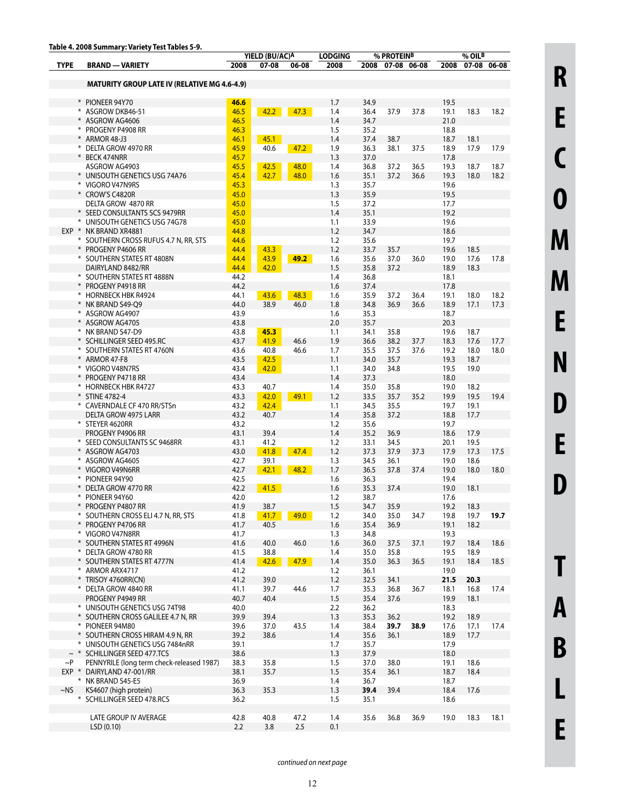|             | rable 4. 2006 Summary. variety Test Tables 5-9.<br>YIELD (BU/AC)A<br><b>LODGING</b> |              | % PROTEINB   |              |            |              | $%$ OIL <sup>B</sup> |              |              |              |              |
|-------------|-------------------------------------------------------------------------------------|--------------|--------------|--------------|------------|--------------|----------------------|--------------|--------------|--------------|--------------|
| <b>TYPE</b> | <b>BRAND - VARIETY</b>                                                              | 2008         | 07-08        | 06-08        | 2008       |              | 2008 07-08 06-08     |              | 2008         | 07-08 06-08  |              |
|             | <b>MATURITY GROUP LATE IV (RELATIVE MG 4.6-4.9)</b>                                 |              |              |              |            |              |                      |              |              |              |              |
|             |                                                                                     |              |              |              |            |              |                      |              |              |              |              |
|             | * PIONEER 94Y70                                                                     | 46.6         |              |              | 1.7        | 34.9         |                      |              | 19.5         |              |              |
|             | * ASGROW DKB46-51                                                                   | 46.5         | 42.2         | 47.3         | 1.4        | 36.4         | 37.9                 | 37.8         | 19.1         | 18.3         | 18.2         |
|             | * ASGROW AG4606                                                                     | 46.5         |              |              | 1.4        | 34.7         |                      |              | 21.0         |              |              |
|             | * PROGENY P4908 RR<br>* ARMOR 48-J3                                                 | 46.3<br>46.1 | 45.1         |              | 1.5<br>1.4 | 35.2<br>37.4 | 38.7                 |              | 18.8<br>18.7 | 18.1         |              |
|             | * DELTA GROW 4970 RR                                                                | 45.9         | 40.6         | 47.2         | 1.9        | 36.3         | 38.1                 | 37.5         | 18.9         | 17.9         | 17.9         |
|             | * BECK 474NRR                                                                       | 45.7         |              |              | 1.3        | 37.0         |                      |              | 17.8         |              |              |
|             | ASGROW AG4903                                                                       | 45.5         | 42.5         | 48.0         | 1.4        | 36.8         | 37.2                 | 36.5         | 19.3         | 18.7         | 18.7         |
|             | * UNISOUTH GENETICS USG 74A76                                                       | 45.4         | 42.7         | 48.0         | 1.6        | 35.1         | 37.2                 | 36.6         | 19.3         | 18.0         | 18.2         |
|             | * VIGORO V47N9RS                                                                    | 45.3         |              |              | 1.3        | 35.7         |                      |              | 19.6         |              |              |
|             | * CROW'S C4820R                                                                     | 45.0         |              |              | 1.3        | 35.9         |                      |              | 19.5         |              |              |
|             | DELTA GROW 4870 RR                                                                  | 45.0         |              |              | 1.5        | 37.2         |                      |              | 17.7         |              |              |
|             | * SEED CONSULTANTS SCS 9479RR                                                       | 45.0         |              |              | 1.4        | 35.1         |                      |              | 19.2         |              |              |
|             | * UNISOUTH GENETICS USG 74G78                                                       | 45.0         |              |              | 1.1        | 33.9         |                      |              | 19.6         |              |              |
|             | EXP * NK BRAND XR4881                                                               | 44.8         |              |              | 1.2        | 34.7         |                      |              | 18.6         |              |              |
|             | * SOUTHERN CROSS RUFUS 4.7 N, RR, STS                                               | 44.6         |              |              | 1.2        | 35.6         |                      |              | 19.7         |              |              |
|             | * PROGENY P4606 RR                                                                  | 44.4         | 43.3         |              | 1.2        | 33.7         | 35.7                 |              | 19.6         | 18.5         |              |
|             | * SOUTHERN STATES RT 4808N                                                          | 44.4         | 43.9         | 49.2         | 1.6        | 35.6         | 37.0                 | 36.0         | 19.0         | 17.6         | 17.8         |
|             | DAIRYLAND 8482/RR                                                                   | 44.4         | 42.0         |              | 1.5        | 35.8         | 37.2                 |              | 18.9         | 18.3         |              |
|             | * SOUTHERN STATES RT 4888N                                                          | 44.2         |              |              | 1.4        | 36.8         |                      |              | 18.1         |              |              |
|             | * PROGENY P4918 RR                                                                  | 44.2         |              |              | 1.6        | 37.4         |                      |              | 17.8         |              |              |
|             | * HORNBECK HBK R4924<br>* NK BRAND S49-O9                                           | 44.1<br>44.0 | 43.6<br>38.9 | 48.3<br>46.0 | 1.6<br>1.8 | 35.9<br>34.8 | 37.2<br>36.9         | 36.4<br>36.6 | 19.1<br>18.9 | 18.0<br>17.1 | 18.2<br>17.3 |
|             | * ASGROW AG4907                                                                     | 43.9         |              |              | 1.6        | 35.3         |                      |              | 18.7         |              |              |
|             | * ASGROW AG4705                                                                     | 43.8         |              |              | 2.0        | 35.7         |                      |              | 20.3         |              |              |
|             | * NK BRAND S47-D9                                                                   | 43.8         | 45.3         |              | 1.1        | 34.1         | 35.8                 |              | 19.6         | 18.7         |              |
|             | * SCHILLINGER SEED 495.RC                                                           | 43.7         | 41.9         | 46.6         | 1.9        | 36.6         | 38.2                 | 37.7         | 18.3         | 17.6         | 17.7         |
|             | * SOUTHERN STATES RT 4760N                                                          | 43.6         | 40.8         | 46.6         | 1.7        | 35.5         | 37.5                 | 37.6         | 19.2         | 18.0         | 18.0         |
|             | * ARMOR 47-F8                                                                       | 43.5         | 42.5         |              | 1.1        | 34.0         | 35.7                 |              | 19.3         | 18.7         |              |
|             | * VIGORO V48N7RS                                                                    | 43.4         | 42.0         |              | 1.1        | 34.0         | 34.8                 |              | 19.5         | 19.0         |              |
|             | * PROGENY P4718 RR                                                                  | 43.4         |              |              | 1.4        | 37.3         |                      |              | 18.0         |              |              |
|             | * HORNBECK HBK R4727                                                                | 43.3         | 40.7         |              | 1.4        | 35.0         | 35.8                 |              | 19.0         | 18.2         |              |
|             | * STINE 4782-4                                                                      | 43.3         | 42.0         | 49.1         | 1.2        | 33.5         | 35.7                 | 35.2         | 19.9         | 19.5         | 19.4         |
|             | * CAVERNDALE CF 470 RR/STSn                                                         | 43.2         | 42.4         |              | 1.1        | 34.5         | 35.5                 |              | 19.7         | 19.1         |              |
|             | DELTA GROW 4975 LARR                                                                | 43.2         | 40.7         |              | 1.4        | 35.8         | 37.2                 |              | 18.8         | 17.7         |              |
|             | * STEYER 4620RR                                                                     | 43.2         |              |              | 1.2        | 35.6         |                      |              | 19.7         |              |              |
|             | PROGENY P4906 RR                                                                    | 43.1         | 39.4         |              | 1.4        | 35.2         | 36.9                 |              | 18.6         | 17.9         |              |
|             | * SEED CONSULTANTS SC 9468RR                                                        | 43.1         | 41.2         |              | 1.2        | 33.1         | 34.5                 |              | 20.1         | 19.5         |              |
|             | * ASGROW AG4703<br>* ASGROW AG4605                                                  | 43.0         | 41.8<br>39.1 | 47.4         | 1.2        | 37.3<br>34.5 | 37.9                 | 37.3         | 17.9<br>19.0 | 17.3         | 17.5         |
|             | * VIGORO V49N6RR                                                                    | 42.7<br>42.7 | 42.1         | 48.2         | 1.3<br>1.7 | 36.5         | 36.1<br>37.8         | 37.4         | 19.0         | 18.6<br>18.0 | 18.0         |
|             | * PIONEER 94Y90                                                                     | 42.5         |              |              | 1.6        | 36.3         |                      |              | 19.4         |              |              |
|             | DELTA GROW 4770 RR                                                                  | 42.2         | 41.5         |              | 1.6        | 35.3         | 37.4                 |              | 19.0         | 18.1         |              |
|             | * PIONEER 94Y60                                                                     | 42.0         |              |              | 1.2        | 38.7         |                      |              | 17.6         |              |              |
|             | * PROGENY P4807 RR                                                                  | 41.9         | 38.7         |              | 1.5        | 34.7         | 35.9                 |              | 19.2         | 18.3         |              |
|             | * SOUTHERN CROSS ELI 4.7 N, RR, STS                                                 | 41.8         | 41.7         | 49.0         | 1.2        | 34.0         | 35.0                 | 34.7         | 19.8         | 19.7         | 19.7         |
|             | * PROGENY P4706 RR                                                                  | 41.7         | 40.5         |              | 1.6        | 35.4         | 36.9                 |              | 19.1         | 18.2         |              |
|             | * VIGORO V47N8RR                                                                    | 41.7         |              |              | 1.3        | 34.8         |                      |              | 19.3         |              |              |
|             | * SOUTHERN STATES RT 4996N                                                          | 41.6         | 40.0         | 46.0         | 1.6        | 36.0         | 37.5                 | 37.1         | 19.7         | 18.4         | 18.6         |
|             | * DELTA GROW 4780 RR                                                                | 41.5         | 38.8         |              | 1.4        | 35.0         | 35.8                 |              | 19.5         | 18.9         |              |
|             | * SOUTHERN STATES RT 4777N                                                          | 41.4         | 42.6         | 47.9         | 1.4        | 35.0         | 36.3                 | 36.5         | 19.1         | 18.4         | 18.5         |
|             | * ARMOR ARX4717                                                                     | 41.2         |              |              | 1.2        | 36.1         |                      |              | 19.0         |              |              |
|             | * TRISOY 4760RR(CN)                                                                 | 41.2         | 39.0         |              | 1.2        | 32.5         | 34.1                 |              | 21.5         | 20.3         |              |
|             | * DELTA GROW 4840 RR                                                                | 41.1         | 39.7         | 44.6         | 1.7        | 35.3         | 36.8                 | 36.7         | 18.1         | 16.8         | 17.4         |
|             | PROGENY P4949 RR                                                                    | 40.7         | 40.4         |              | 1.5        | 35.4         | 37.6                 |              | 19.9         | 18.1         |              |
|             | * UNISOUTH GENETICS USG 74T98                                                       | 40.0         |              |              | 2.2        | 36.2         |                      |              | 18.3         |              |              |
|             | * SOUTHERN CROSS GALILEE 4.7 N, RR<br>* PIONEER 94M80                               | 39.9         | 39.4         | 43.5         | 1.3        | 35.3<br>38.4 | 36.2                 | 38.9         | 19.2         | 18.9         |              |
|             | * SOUTHERN CROSS HIRAM 4.9 N, RR                                                    | 39.6<br>39.2 | 37.0<br>38.6 |              | 1.4<br>1.4 | 35.6         | 39.7<br>36.1         |              | 17.6<br>18.9 | 17.1<br>17.7 | 17.4         |
|             | * UNISOUTH GENETICS USG 7484nRR                                                     | 39.1         |              |              | 1.7        | 35.7         |                      |              | 17.9         |              |              |
|             | $\sim$ * SCHILLINGER SEED 477.TCS                                                   | 38.6         |              |              | 1.3        | 37.9         |                      |              | 18.0         |              |              |
| ~P          | PENNYRILE (long term check-released 1987)                                           | 38.3         | 35.8         |              | 1.5        | 37.0         | 38.0                 |              | 19.1         | 18.6         |              |
| EXP *       | DAIRYLAND 47-001/RR                                                                 | 38.1         | 35.7         |              | 1.5        | 35.4         | 36.1                 |              | 18.7         | 18.4         |              |
|             | * NK BRAND S45-E5                                                                   | 36.9         |              |              | 1.4        | 36.7         |                      |              | 18.7         |              |              |
| $\sim$ NS   | KS4607 (high protein)                                                               | 36.3         | 35.3         |              | 1.3        | 39.4         | 39.4                 |              | 18.4         | 17.6         |              |
|             | * SCHILLINGER SEED 478.RCS                                                          | 36.2         |              |              | 1.5        | 35.1         |                      |              | 18.6         |              |              |
|             |                                                                                     |              |              |              |            |              |                      |              |              |              |              |
|             | LATE GROUP IV AVERAGE                                                               | 42.8         | 40.8         | 47.2         | 1.4        | 35.6         | 36.8                 | 36.9         | 19.0         | 18.3         | 18.1         |
|             | LSD (0.10)                                                                          | 2.2          | 3.8          | 2.5          | 0.1        |              |                      |              |              |              |              |

**L**

**E**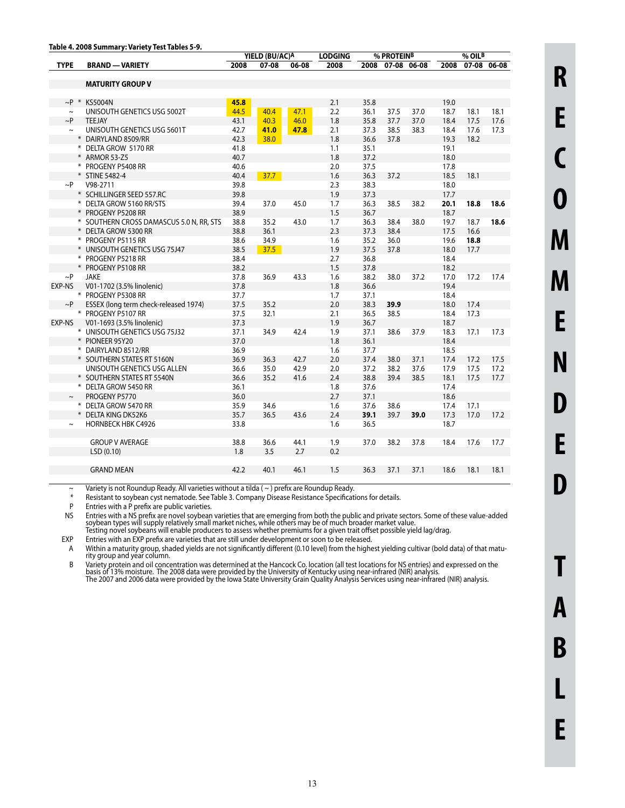|              |                                          | YIELD (BU/AC)A |           | <b>LODGING</b> |      | % PROTEINB |                  |      | % OILB |      |             |
|--------------|------------------------------------------|----------------|-----------|----------------|------|------------|------------------|------|--------|------|-------------|
| <b>TYPE</b>  | <b>BRAND - VARIETY</b>                   | 2008           | $07 - 08$ | 06-08          | 2008 |            | 2008 07-08 06-08 |      | 2008   |      | 07-08 06-08 |
|              |                                          |                |           |                |      |            |                  |      |        |      |             |
|              | <b>MATURITY GROUP V</b>                  |                |           |                |      |            |                  |      |        |      |             |
|              |                                          |                |           |                |      |            |                  |      |        |      |             |
| $\sim$ P $*$ | <b>KS5004N</b>                           | 45.8           |           |                | 2.1  | 35.8       |                  |      | 19.0   |      |             |
| $\sim$       | UNISOUTH GENETICS USG 5002T              | 44.5           | 40.4      | 47.1           | 2.2  | 36.1       | 37.5             | 37.0 | 18.7   | 18.1 | 18.1        |
| $\sim P$     | <b>TEEJAY</b>                            | 43.1           | 40.3      | 46.0           | 1.8  | 35.8       | 37.7             | 37.0 | 18.4   | 17.5 | 17.6        |
| $\sim$       | UNISOUTH GENETICS USG 5601T              | 42.7           | 41.0      | 47.8           | 2.1  | 37.3       | 38.5             | 38.3 | 18.4   | 17.6 | 17.3        |
|              | * DAIRYLAND 8509/RR                      | 42.3           | 38.0      |                | 1.8  | 36.6       | 37.8             |      | 19.3   | 18.2 |             |
|              | * DELTA GROW 5170 RR                     | 41.8           |           |                | 1.1  | 35.1       |                  |      | 19.1   |      |             |
|              | * ARMOR 53-Z5                            | 40.7           |           |                | 1.8  | 37.2       |                  |      | 18.0   |      |             |
|              | * PROGENY P5408 RR                       | 40.6           |           |                | 2.0  | 37.5       |                  |      | 17.8   |      |             |
|              | * STINE 5482-4                           | 40.4           | 37.7      |                | 1.6  | 36.3       | 37.2             |      | 18.5   | 18.1 |             |
| $\sim P$     | V98-2711                                 | 39.8           |           |                | 2.3  | 38.3       |                  |      | 18.0   |      |             |
|              | * SCHILLINGER SEED 557.RC                | 39.8           |           |                | 1.9  | 37.3       |                  |      | 17.7   |      |             |
|              | * DELTA GROW 5160 RR/STS                 | 39.4           | 37.0      | 45.0           | 1.7  | 36.3       | 38.5             | 38.2 | 20.1   | 18.8 | 18.6        |
|              | * PROGENY P5208 RR                       | 38.9           |           |                | 1.5  | 36.7       |                  |      | 18.7   |      |             |
|              | * SOUTHERN CROSS DAMASCUS 5.0 N, RR, STS | 38.8           | 35.2      | 43.0           | 1.7  | 36.3       | 38.4             | 38.0 | 19.7   | 18.7 | 18.6        |
|              | * DELTA GROW 5300 RR                     | 38.8           | 36.1      |                | 2.3  | 37.3       | 38.4             |      | 17.5   | 16.6 |             |
|              | * PROGENY P5115 RR                       | 38.6           | 34.9      |                | 1.6  | 35.2       | 36.0             |      | 19.6   | 18.8 |             |
|              | * UNISOUTH GENETICS USG 75J47            | 38.5           | 37.5      |                | 1.9  | 37.5       | 37.8             |      | 18.0   | 17.7 |             |
|              | * PROGENY P5218 RR                       | 38.4           |           |                | 2.7  | 36.8       |                  |      | 18.4   |      |             |
|              | * PROGENY P5108 RR                       | 38.2           |           |                | 1.5  | 37.8       |                  |      | 18.2   |      |             |
| $\sim P$     | <b>JAKE</b>                              | 37.8           | 36.9      | 43.3           | 1.6  | 38.2       | 38.0             | 37.2 | 17.0   | 17.2 | 17.4        |
| EXP-NS       | V01-1702 (3.5% linolenic)                | 37.8           |           |                | 1.8  | 36.6       |                  |      | 19.4   |      |             |
|              | * PROGENY P5308 RR                       | 37.7           |           |                | 1.7  | 37.1       |                  |      | 18.4   |      |             |
| $\sim P$     | ESSEX (long term check-released 1974)    | 37.5           | 35.2      |                | 2.0  | 38.3       | 39.9             |      | 18.0   | 17.4 |             |
|              | * PROGENY P5107 RR                       | 37.5           | 32.1      |                | 2.1  | 36.5       | 38.5             |      | 18.4   | 17.3 |             |
| EXP-NS       | V01-1693 (3.5% linolenic)                | 37.3           |           |                | 1.9  | 36.7       |                  |      | 18.7   |      |             |
|              | * UNISOUTH GENETICS USG 75J32            | 37.1           | 34.9      | 42.4           | 1.9  | 37.1       | 38.6             | 37.9 | 18.3   | 17.1 | 17.3        |
|              | * PIONEER 95Y20                          | 37.0           |           |                | 1.8  | 36.1       |                  |      | 18.4   |      |             |
|              | * DAIRYLAND 8512/RR                      | 36.9           |           |                | 1.6  | 37.7       |                  |      | 18.5   |      |             |
|              | * SOUTHERN STATES RT 5160N               | 36.9           | 36.3      | 42.7           | 2.0  | 37.4       | 38.0             | 37.1 | 17.4   | 17.2 | 17.5        |
|              | UNISOUTH GENETICS USG ALLEN              | 36.6           | 35.0      | 42.9           | 2.0  | 37.2       | 38.2             | 37.6 | 17.9   | 17.5 | 17.2        |
|              | * SOUTHERN STATES RT 5540N               | 36.6           | 35.2      | 41.6           | 2.4  | 38.8       | 39.4             | 38.5 | 18.1   | 17.5 | 17.7        |
|              | * DELTA GROW 5450 RR                     | 36.1           |           |                | 1.8  | 37.6       |                  |      | 17.4   |      |             |
| $\sim$       | PROGENY P5770                            | 36.0           |           |                | 2.7  | 37.1       |                  |      | 18.6   |      |             |
|              | * DELTA GROW 5470 RR                     | 35.9           | 34.6      |                | 1.6  | 37.6       | 38.6             |      | 17.4   | 17.1 |             |
|              | <b>DELTA KING DK52K6</b>                 | 35.7           | 36.5      | 43.6           | 2.4  | 39.1       | 39.7             | 39.0 | 17.3   | 17.0 | 17.2        |
| $\sim$       | <b>HORNBECK HBK C4926</b>                | 33.8           |           |                | 1.6  | 36.5       |                  |      | 18.7   |      |             |
|              |                                          |                |           |                |      |            |                  |      |        |      |             |
|              | <b>GROUP V AVERAGE</b>                   | 38.8           | 36.6      | 44.1           | 1.9  | 37.0       | 38.2             | 37.8 | 18.4   | 17.6 | 17.7        |
|              | LSD (0.10)                               | 1.8            | 3.5       | 2.7            | 0.2  |            |                  |      |        |      |             |
|              |                                          |                |           |                |      |            |                  |      |        |      |             |
|              | <b>GRAND MEAN</b>                        | 42.2           | 40.1      | 46.1           | 1.5  | 36.3       | 37.1             | 37.1 | 18.6   | 18.1 | 18.1        |
|              |                                          |                |           |                |      |            |                  |      |        |      |             |

 $\sim$  Variety is not Roundup Ready. All varieties without a tilda ( $\sim$ ) prefix are Roundup Ready.<br>
Resistant to sovhean cyst nematode. See Table 3. Company Disease Resistance Specification

\* Resistant to soybean cyst nematode. See Table 3. Company Disease Resistance Specifications for details.

Entries with a P prefix are public varieties.

NS Entries with a NS prefix are novel soybean varieties that are emerging from both the public and private sectors. Some of these value-added<br>Soybean types will supply relatively small market niches, while others may be of

EXP Entries with an EXP prefix are varieties that are still under development or soon to be released.

A Within a maturity group, shaded yields are not significantly different (0.10 level) from the highest yielding cultivar (bold data) of that maturity group and year column.

B Variety protein and oil concentration was determined at the Hancock Co. location (all test locations for NS entries) and expressed on the<br>basis of 13% moisture. The 2008 data were provided by the University of Kentucky u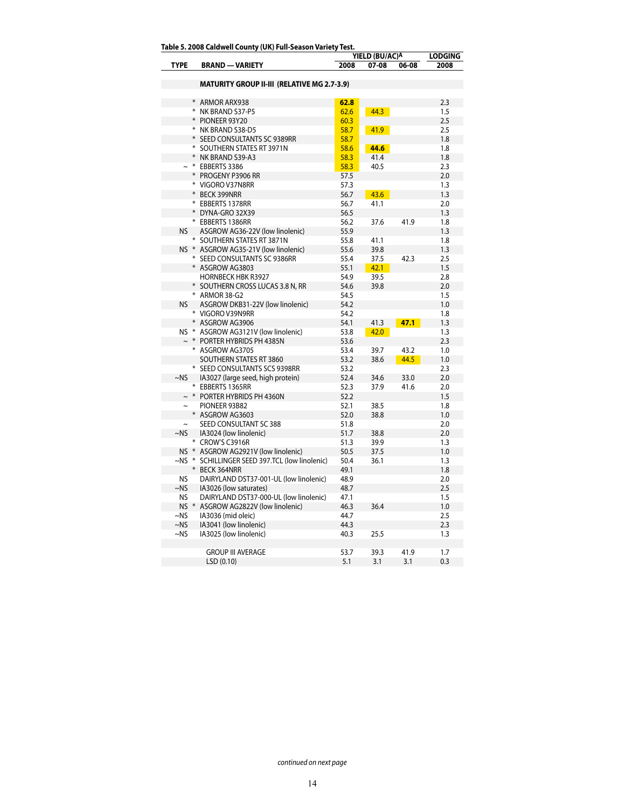**Table 5. 2008 Caldwell County (UK) Full-Season Variety Test.**

|                       |     | Table 5. 2006 Caldwell County (OK) Full-Season Variety Test. | YIELD (BU/AC)A | <b>LODGING</b> |       |      |
|-----------------------|-----|--------------------------------------------------------------|----------------|----------------|-------|------|
| <b>TYPE</b>           |     | <b>BRAND - VARIETY</b>                                       | 2008           | 07-08          | 06-08 | 2008 |
|                       |     | <b>MATURITY GROUP II-III (RELATIVE MG 2.7-3.9)</b>           |                |                |       |      |
|                       |     |                                                              |                |                |       |      |
|                       |     | * ARMOR ARX938                                               | 62.8           |                |       | 2.3  |
|                       |     | * NK BRAND S37-P5                                            | 62.6           | 44.3           |       | 1.5  |
|                       |     | PIONEER 93Y20                                                | 60.3           |                |       | 2.5  |
|                       |     | * NK BRAND S38-D5                                            | 58.7           | 41.9           |       | 2.5  |
|                       |     | * SEED CONSULTANTS SC 9389RR                                 | 58.7           |                |       | 1.8  |
|                       |     | * SOUTHERN STATES RT 3971N                                   | 58.6           | 44.6           |       | 1.8  |
|                       |     | * NK BRAND S39-A3                                            | 58.3           | 41.4           |       | 1.8  |
|                       |     | * EBBERTS 3386                                               | 58.3           | 40.5           |       | 2.3  |
|                       |     | * PROGENY P3906 RR                                           | 57.5           |                |       | 2.0  |
|                       |     | * VIGORO V37N8RR                                             | 57.3           |                |       | 1.3  |
|                       |     | * BECK 399NRR                                                | 56.7           | 43.6           |       | 1.3  |
|                       |     | * EBBERTS 1378RR                                             | 56.7           | 41.1           |       | 2.0  |
|                       |     | * DYNA-GRO 32X39                                             | 56.5           |                |       | 1.3  |
|                       |     | * EBBERTS 1386RR                                             | 56.2           | 37.6           | 41.9  | 1.8  |
| <b>NS</b>             |     | ASGROW AG36-22V (low linolenic)                              | 55.9           |                |       | 1.3  |
|                       |     | * SOUTHERN STATES RT 3871N                                   | 55.8           | 41.1           |       | 1.8  |
|                       |     | NS * ASGROW AG35-21V (low linolenic)                         | 55.6           | 39.8           |       | 1.3  |
|                       |     | * SEED CONSULTANTS SC 9386RR                                 | 55.4           | 37.5           | 42.3  | 2.5  |
|                       |     | * ASGROW AG3803                                              | 55.1           | 42.1           |       | 1.5  |
|                       |     | <b>HORNBECK HBK R3927</b>                                    | 54.9           | 39.5           |       | 2.8  |
|                       |     | * SOUTHERN CROSS LUCAS 3.8 N, RR                             | 54.6           | 39.8           |       | 2.0  |
|                       |     | * ARMOR 38-G2                                                | 54.5           |                |       | 1.5  |
| <b>NS</b>             |     | ASGROW DKB31-22V (low linolenic)                             | 54.2           |                |       | 1.0  |
|                       |     | * VIGORO V39N9RR                                             | 54.2           |                |       | 1.8  |
|                       |     | * ASGROW AG3906                                              | 54.1           | 41.3           | 47.1  | 1.3  |
|                       |     | NS * ASGROW AG3121V (low linolenic)                          | 53.8           | 42.0           |       | 1.3  |
|                       |     | $~\sim~$ * PORTER HYBRIDS PH 4385N                           | 53.6           |                |       | 2.3  |
|                       |     | * ASGROW AG3705                                              | 53.4           | 39.7           | 43.2  | 1.0  |
|                       |     | SOUTHERN STATES RT 3860                                      | 53.2           | 38.6           | 44.5  | 1.0  |
|                       |     | * SEED CONSULTANTS SCS 9398RR                                | 53.2           |                |       | 2.3  |
| $~\sim$ NS            |     | IA3027 (large seed, high protein)                            | 52.4           | 34.6           | 33.0  | 2.0  |
|                       |     | * EBBERTS 1365RR                                             | 52.3           | 37.9           | 41.6  | 2.0  |
|                       |     | $\sim$ * PORTER HYBRIDS PH 4360N                             | 52.2           |                |       | 1.5  |
| $\tilde{\phantom{a}}$ |     | PIONEER 93B82                                                | 52.1           | 38.5           |       | 1.8  |
|                       |     | * ASGROW AG3603                                              | 52.0           | 38.8           |       | 1.0  |
|                       |     | SEED CONSULTANT SC 388                                       | 51.8           |                |       | 2.0  |
| $-NS$                 |     | IA3024 (low linolenic)                                       | 51.7           | 38.8           |       | 2.0  |
|                       |     | * CROW'S C3916R                                              | 51.3           | 39.9           |       | 1.3  |
|                       |     | NS * ASGROW AG2921V (low linolenic)                          | 50.5           | 37.5           |       | 1.0  |
|                       |     | ~NS * SCHILLINGER SEED 397.TCL (low linolenic)               | 50.4           | 36.1           |       | 1.3  |
|                       | $*$ | <b>BECK 364NRR</b>                                           | 49.1           |                |       | 1.8  |
| NS                    |     | DAIRYLAND DST37-001-UL (low linolenic)                       | 48.9           |                |       | 2.0  |
| ~NS                   |     | IA3026 (low saturates)                                       | 48.7           |                |       | 2.5  |
| NS                    |     | DAIRYLAND DST37-000-UL (low linolenic)                       | 47.1           |                |       | 1.5  |
| $NS$ $*$              |     | ASGROW AG2822V (low linolenic)                               | 46.3           | 36.4           |       | 1.0  |
| $~\sim$ NS            |     | IA3036 (mid oleic)                                           | 44.7           |                |       | 2.5  |
| $~\sim$ NS            |     | IA3041 (low linolenic)                                       | 44.3           |                |       | 2.3  |
| $~\sim$ NS            |     | IA3025 (low linolenic)                                       | 40.3           | 25.5           |       | 1.3  |
|                       |     |                                                              |                |                |       |      |
|                       |     | <b>GROUP III AVERAGE</b>                                     | 53.7           | 39.3           | 41.9  | 1.7  |
|                       |     | LSD (0.10)                                                   | 5.1            | 3.1            | 3.1   | 0.3  |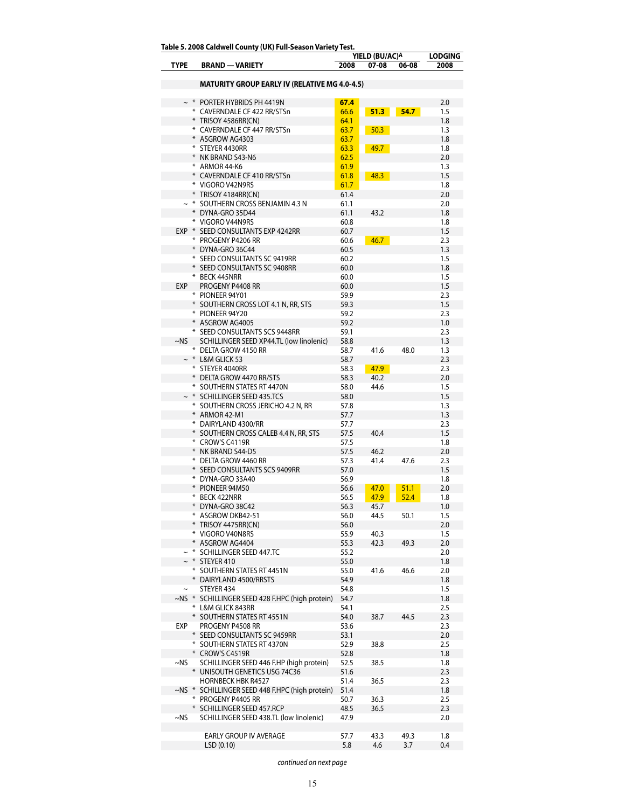**Table 5. 2008 Caldwell County (UK) Full-Season Variety Test.**

|               |   | rapie 5. 2000 Caluwell County (OK) Full-Season vallety Test.           | YIELD (BU/AC)A | <b>LODGING</b> |              |            |
|---------------|---|------------------------------------------------------------------------|----------------|----------------|--------------|------------|
| <b>TYPE</b>   |   | <b>BRAND - VARIETY</b>                                                 | 2008           | 07-08          | 06-08        | 2008       |
|               |   |                                                                        |                |                |              |            |
|               |   | MATURITY GROUP EARLY IV (RELATIVE MG 4.0-4.5)                          |                |                |              |            |
|               |   |                                                                        |                |                |              |            |
|               |   | $\sim$ * PORTER HYBRIDS PH 4419N<br>* CAVERNDALE CF 422 RR/STSn        | 67.4           |                |              | 2.0        |
|               |   |                                                                        | 66.6           | 51.3           | 54.7         | 1.5        |
|               |   | * TRISOY 4586RR(CN)<br>* CAVERNDALE CF 447 RR/STSn                     | 64.1<br>63.7   | 50.3           |              | 1.8<br>1.3 |
|               |   | * ASGROW AG4303                                                        | 63.7           |                |              | 1.8        |
|               |   | * STEYER 4430RR                                                        | 63.3           | 49.7           |              | 1.8        |
|               |   | * NK BRAND S43-N6                                                      | 62.5           |                |              | 2.0        |
|               |   | * ARMOR 44-K6                                                          | 61.9           |                |              | 1.3        |
|               |   | * CAVERNDALE CF 410 RR/STSn                                            | 61.8           | 48.3           |              | 1.5        |
|               |   | * VIGORO V42N9RS                                                       | 61.7           |                |              | 1.8        |
|               |   | * TRISOY 4184RR(CN)                                                    | 61.4           |                |              | 2.0        |
|               |   | $\sim$ * SOUTHERN CROSS BENJAMIN 4.3 N                                 | 61.1           |                |              | 2.0        |
|               |   | * DYNA-GRO 35D44                                                       | 61.1           | 43.2           |              | 1.8        |
|               |   | * VIGORO V44N9RS                                                       | 60.8           |                |              | 1.8        |
|               |   | EXP * SEED CONSULTANTS EXP 4242RR                                      | 60.7           |                |              | 1.5        |
|               |   | * PROGENY P4206 RR                                                     | 60.6           | 46.7           |              | 2.3        |
|               |   | * DYNA-GRO 36C44                                                       | 60.5           |                |              | 1.3        |
|               |   | * SEED CONSULTANTS SC 9419RR                                           | 60.2           |                |              | 1.5        |
|               |   | * SEED CONSULTANTS SC 9408RR                                           | 60.0           |                |              | 1.8        |
|               |   | * BECK 445NRR                                                          | 60.0           |                |              | 1.5        |
| EXP           |   | PROGENY P4408 RR                                                       | 60.0           |                |              | 1.5        |
|               |   | * PIONEER 94Y01<br>* SOUTHERN CROSS LOT 4.1 N, RR, STS                 | 59.9<br>59.3   |                |              | 2.3<br>1.5 |
|               |   | * PIONEER 94Y20                                                        | 59.2           |                |              | 2.3        |
|               |   | * ASGROW AG4005                                                        | 59.2           |                |              | 1.0        |
|               |   | * SEED CONSULTANTS SCS 9448RR                                          | 59.1           |                |              | 2.3        |
| ~NS           |   | SCHILLINGER SEED XP44.TL (low linolenic)                               | 58.8           |                |              | 1.3        |
|               |   | * DELTA GROW 4150 RR                                                   | 58.7           | 41.6           | 48.0         | 1.3        |
|               |   | $\sim$ * L&M GLICK 53                                                  | 58.7           |                |              | 2.3        |
|               |   | * STEYER 4040RR                                                        | 58.3           | 47.9           |              | 2.3        |
|               |   | * DELTA GROW 4470 RR/STS                                               | 58.3           | 40.2           |              | 2.0        |
|               |   | * SOUTHERN STATES RT 4470N                                             | 58.0           | 44.6           |              | 1.5        |
|               |   | $\sim$ * SCHILLINGER SEED 435.TCS                                      | 58.0           |                |              | 1.5        |
|               |   | * SOUTHERN CROSS JERICHO 4.2 N, RR                                     | 57.8           |                |              | 1.3        |
|               |   | * ARMOR 42-M1                                                          | 57.7           |                |              | 1.3        |
|               |   | * DAIRYLAND 4300/RR                                                    | 57.7           |                |              | 2.3        |
|               |   | * SOUTHERN CROSS CALEB 4.4 N, RR, STS                                  | 57.5           | 40.4           |              | 1.5        |
|               |   | * CROW'S C4119R                                                        | 57.5           |                |              | 1.8        |
|               |   | NK BRAND S44-D5                                                        | 57.5           | 46.2           |              | 2.0        |
|               |   | * DELTA GROW 4460 RR                                                   | 57.3           | 41.4           | 47.6         | 2.3        |
|               |   | SEED CONSULTANTS SCS 9409RR                                            | 57.0           |                |              | 1.5        |
|               |   | * DYNA-GRO 33A40                                                       | 56.9           | 47.0           |              | 1.8        |
|               |   | PIONEER 94M50<br>* BECK 422NRR                                         | 56.6<br>56.5   | 47.9           | 51.1<br>52.4 | 2.0<br>1.8 |
|               |   | * DYNA-GRO 38C42                                                       |                | 45.7           |              | 1.0        |
|               |   | * ASGROW DKB42-51                                                      | 56.3<br>56.0   | 44.5           | 50.1         | 1.5        |
|               |   | TRISOY 4475RR(CN)                                                      | 56.0           |                |              | 2.0        |
|               |   | * VIGORO V40N8RS                                                       | 55.9           | 40.3           |              | 1.5        |
|               |   | ASGROW AG4404                                                          | 55.3           | 42.3           | 49.3         | 2.0        |
|               |   | SCHILLINGER SEED 447.TC                                                | 55.2           |                |              | 2.0        |
|               |   | STEYER 410                                                             | 55.0           |                |              | 1.8        |
|               |   | * SOUTHERN STATES RT 4451N                                             | 55.0           | 41.6           | 46.6         | 2.0        |
|               |   | DAIRYLAND 4500/RRSTS                                                   | 54.9           |                |              | 1.8        |
| $\tilde{}$    |   | STEYER 434                                                             | 54.8           |                |              | 1.5        |
| $\sim$ NS $*$ |   | SCHILLINGER SEED 428 F.HPC (high protein)                              | 54.7           |                |              | 1.8        |
|               |   | * L&M GLICK 843RR                                                      | 54.1           |                |              | 2.5        |
|               |   | SOUTHERN STATES RT 4551N                                               | 54.0           | 38.7           | 44.5         | 2.3        |
| EXP           |   | PROGENY P4508 RR                                                       | 53.6           |                |              | 2.3        |
|               | ⋇ | SEED CONSULTANTS SC 9459RR                                             | 53.1           |                |              | 2.0        |
|               |   | * SOUTHERN STATES RT 4370N                                             | 52.9           | 38.8           |              | 2.5        |
|               |   | * CROW'S C4519R                                                        | 52.8           |                |              | 1.8        |
| ~NS           |   | SCHILLINGER SEED 446 F.HP (high protein)                               | 52.5           | 38.5           |              | 1.8        |
|               |   | UNISOUTH GENETICS USG 74C36                                            | 51.6           |                |              | 2.3        |
| ~NS *         |   | <b>HORNBECK HBK R4527</b><br>SCHILLINGER SEED 448 F.HPC (high protein) | 51.4<br>51.4   | 36.5           |              | 2.3<br>1.8 |
|               |   | * PROGENY P4405 RR                                                     | 50.7           | 36.3           |              | 2.5        |
|               |   | SCHILLINGER SEED 457.RCP                                               | 48.5           | 36.5           |              | 2.3        |
| ~NS           |   | SCHILLINGER SEED 438.TL (low linolenic)                                | 47.9           |                |              | 2.0        |
|               |   |                                                                        |                |                |              |            |
|               |   | EARLY GROUP IV AVERAGE                                                 | 57.7           | 43.3           | 49.3         | 1.8        |
|               |   | LSD(0.10)                                                              | 5.8            | 4.6            | 3.7          | 0.4        |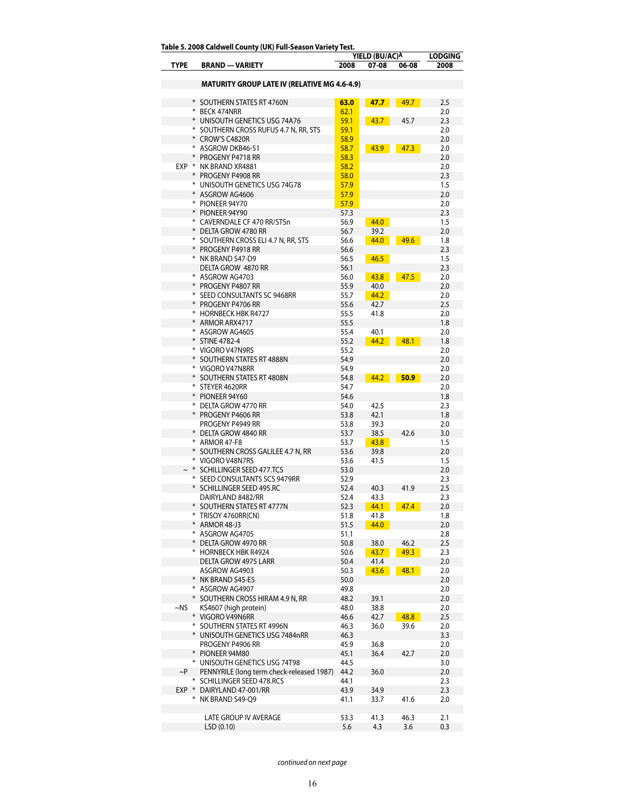|            |     |                                                           |              | YIELD (BU/AC)A |       | <b>LODGING</b> |
|------------|-----|-----------------------------------------------------------|--------------|----------------|-------|----------------|
| TYPE       |     | <b>BRAND - VARIETY</b>                                    | 2008         | 07-08          | 06-08 | 2008           |
|            |     | <b>MATURITY GROUP LATE IV (RELATIVE MG 4.6-4.9)</b>       |              |                |       |                |
|            |     |                                                           |              |                |       |                |
|            |     | * SOUTHERN STATES RT 4760N                                | 63.0         | 47.7           | 49.7  | 2.5            |
|            |     | * BECK 474NRR                                             | 62.1         |                |       | 2.0            |
|            |     | * UNISOUTH GENETICS USG 74A76                             | 59.1         | 43.7           | 45.7  | 2.3            |
|            |     | * SOUTHERN CROSS RUFUS 4.7 N, RR, STS                     | 59.1         |                |       | 2.0            |
|            |     | * CROW'S C4820R<br>* ASGROW DKB46-51                      | 58.9         |                |       | 2.0            |
|            |     | * PROGENY P4718 RR                                        | 58.7<br>58.3 | 43.9           | 47.3  | 2.0<br>2.0     |
|            |     | EXP * NK BRAND XR4881                                     | 58.2         |                |       | 2.0            |
|            |     | * PROGENY P4908 RR                                        | 58.0         |                |       | 2.3            |
|            |     | * UNISOUTH GENETICS USG 74G78                             | 57.9         |                |       | 1.5            |
|            |     | * ASGROW AG4606                                           | 57.9         |                |       | 2.0            |
|            |     | * PIONEER 94Y70                                           | 57.9         |                |       | 2.0            |
|            |     | * PIONEER 94Y90                                           | 57.3         |                |       | 2.3            |
|            |     | * CAVERNDALE CF 470 RR/STSn                               | 56.9         | 44.0           |       | 1.5            |
|            |     | * DELTA GROW 4780 RR                                      | 56.7<br>56.6 | 39.2           | 49.6  | 2.0<br>1.8     |
|            |     | * SOUTHERN CROSS ELI 4.7 N, RR, STS<br>* PROGENY P4918 RR | 56.6         | 44.0           |       | 2.3            |
|            |     | * NK BRAND S47-D9                                         | 56.5         | 46.5           |       | 1.5            |
|            |     | DELTA GROW 4870 RR                                        | 56.1         |                |       | 2.3            |
|            |     | * ASGROW AG4703                                           | 56.0         | 43.8           | 47.5  | 2.0            |
|            |     | * PROGENY P4807 RR                                        | 55.9         | 40.0           |       | 2.0            |
|            |     | * SEED CONSULTANTS SC 9468RR                              | 55.7         | 44.2           |       | 2.0            |
|            |     | * PROGENY P4706 RR                                        | 55.6         | 42.7           |       | 2.5            |
|            |     | * HORNBECK HBK R4727                                      | 55.5         | 41.8           |       | 2.0            |
|            |     | * ARMOR ARX4717                                           | 55.5         |                |       | 1.8            |
|            |     | * ASGROW AG4605<br>* STINE 4782-4                         | 55.4<br>55.2 | 40.1<br>44.2   | 48.1  | 2.0<br>1.8     |
|            |     | * VIGORO V47N9RS                                          | 55.2         |                |       | 2.0            |
|            |     | * SOUTHERN STATES RT 4888N                                | 54.9         |                |       | 2.0            |
|            |     | * VIGORO V47N8RR                                          | 54.9         |                |       | 2.0            |
|            |     | * SOUTHERN STATES RT 4808N                                | 54.8         | 44.2           | 50.9  | 2.0            |
|            |     | * STEYER 4620RR                                           | 54.7         |                |       | 2.0            |
|            |     | * PIONEER 94Y60                                           | 54.6         |                |       | 1.8            |
|            |     | * DELTA GROW 4770 RR                                      | 54.0         | 42.5           |       | 2.3            |
|            |     | * PROGENY P4606 RR                                        | 53.8         | 42.1           |       | 1.8            |
|            |     | PROGENY P4949 RR<br>* DELTA GROW 4840 RR                  | 53.8<br>53.7 | 39.3<br>38.5   | 42.6  | 2.0<br>3.0     |
|            |     | * ARMOR 47-F8                                             | 53.7         | 43.8           |       | 1.5            |
|            |     | * SOUTHERN CROSS GALILEE 4.7 N, RR                        | 53.6         | 39.8           |       | 2.0            |
|            |     | * VIGORO V48N7RS                                          | 53.6         | 41.5           |       | 1.5            |
|            |     | $\sim$ * SCHILLINGER SEED 477.TCS                         | 53.0         |                |       | 2.0            |
|            |     | * SEED CONSULTANTS SCS 9479RR                             | 52.9         |                |       | 2.3            |
|            |     | * SCHILLINGER SEED 495.RC                                 | 52.4         | 40.3           | 41.9  | 2.5            |
|            |     | DAIRYLAND 8482/RR                                         | 52.4         | 43.3           |       | 2.3            |
|            |     | * SOUTHERN STATES RT 4777N                                | 52.3         | 44.1           | 47.4  | 2.0            |
|            |     | * TRISOY 4760RR(CN)<br>* ARMOR 48-J3                      | 51.8<br>51.5 | 41.8<br>44.0   |       | 1.8<br>2.0     |
|            |     | * ASGROW AG4705                                           | 51.1         |                |       | 2.8            |
|            | $*$ | DELTA GROW 4970 RR                                        | 50.8         | 38.0           | 46.2  | 2.5            |
|            |     | * HORNBECK HBK R4924                                      | 50.6         | 43.7           | 49.3  | 2.3            |
|            |     | DELTA GROW 4975 LARR                                      | 50.4         | 41.4           |       | 2.0            |
|            |     | ASGROW AG4903                                             | 50.3         | 43.6           | 48.1  | 2.0            |
|            |     | * NK BRAND S45-E5                                         | 50.0         |                |       | 2.0            |
|            |     | * ASGROW AG4907                                           | 49.8         |                |       | 2.0            |
| $~\sim$ NS |     | * SOUTHERN CROSS HIRAM 4.9 N, RR                          | 48.2         | 39.1           |       | 2.0<br>2.0     |
|            |     | KS4607 (high protein)<br>* VIGORO V49N6RR                 | 48.0<br>46.6 | 38.8<br>42.7   | 48.8  | 2.5            |
|            |     | * SOUTHERN STATES RT 4996N                                | 46.3         | 36.0           | 39.6  | 2.0            |
|            |     | * UNISOUTH GENETICS USG 7484nRR                           | 46.3         |                |       | 3.3            |
|            |     | PROGENY P4906 RR                                          | 45.9         | 36.8           |       | 2.0            |
|            |     | * PIONEER 94M80                                           | 45.1         | 36.4           | 42.7  | 2.0            |
|            |     | * UNISOUTH GENETICS USG 74T98                             | 44.5         |                |       | 3.0            |
| $\sim$ P   |     | PENNYRILE (long term check-released 1987)                 | 44.2         | 36.0           |       | 2.0            |
|            |     | * SCHILLINGER SEED 478.RCS                                | 44.1         |                |       | 2.3            |
| EXP *      |     | DAIRYLAND 47-001/RR                                       | 43.9         | 34.9           |       | 2.3            |
|            |     | * NK BRAND S49-Q9                                         | 41.1         | 33.7           | 41.6  | 2.0            |
|            |     | LATE GROUP IV AVERAGE                                     | 53.3         | 41.3           | 46.3  | 2.1            |
|            |     | LSD(0.10)                                                 | 5.6          | 4.3            | 3.6   | 0.3            |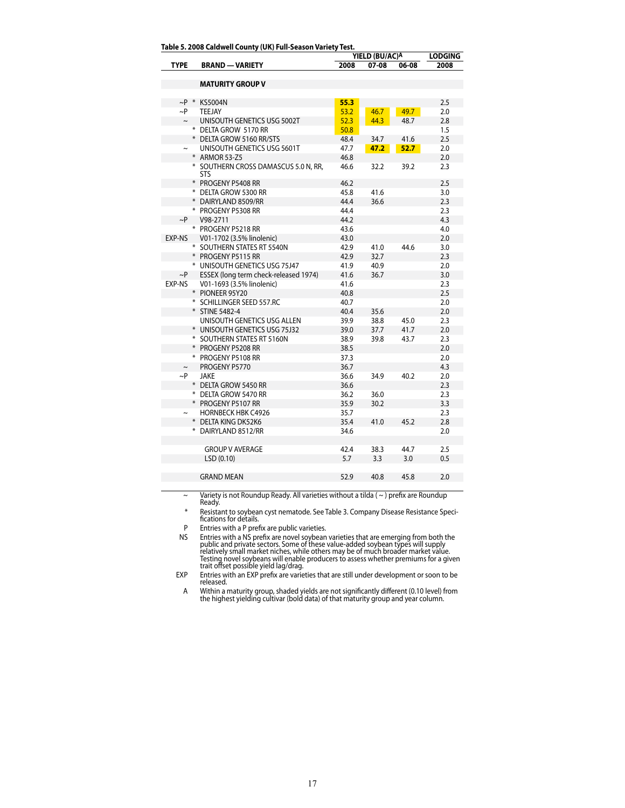| Table 5. 2008 Caldwell County (UK) Full-Season Variety Test. |
|--------------------------------------------------------------|
|--------------------------------------------------------------|

|              |  |                                                    | YIELD (BU/AC)A | <b>LODGING</b> |                   |      |
|--------------|--|----------------------------------------------------|----------------|----------------|-------------------|------|
| <b>TYPE</b>  |  | <b>BRAND - VARIETY</b>                             | 2008           | 07-08          | 06-08             | 2008 |
|              |  |                                                    |                |                |                   |      |
|              |  | <b>MATURITY GROUP V</b>                            |                |                |                   |      |
|              |  |                                                    |                |                |                   |      |
| $\sim$ P $*$ |  | <b>KS5004N</b>                                     | 55.3           |                |                   | 2.5  |
| ~P           |  | TEEJAY                                             | 53.2           | 46.7           | 49.7              | 2.0  |
| $\sim$       |  | UNISOUTH GENETICS USG 5002T                        | 52.3           | 44.3           | 48.7              | 2.8  |
|              |  | * DELTA GROW 5170 RR                               | 50.8           |                |                   | 1.5  |
|              |  | * DELTA GROW 5160 RR/STS                           | 48.4           | 34.7           | 41.6              | 2.5  |
|              |  | UNISOUTH GENETICS USG 5601T                        | 47.7           | 47.2           | 52.7 <sub>2</sub> | 2.0  |
|              |  | * ARMOR 53-Z5                                      | 46.8           |                |                   | 2.0  |
|              |  | * SOUTHERN CROSS DAMASCUS 5.0 N, RR,<br><b>STS</b> | 46.6           | 32.2           | 39.2              | 2.3  |
|              |  | * PROGENY P5408 RR                                 | 46.2           |                |                   | 2.5  |
|              |  | * DELTA GROW 5300 RR                               | 45.8           | 41.6           |                   | 3.0  |
|              |  | * DAIRYLAND 8509/RR                                | 44.4           | 36.6           |                   | 2.3  |
|              |  | * PROGENY P5308 RR                                 | 44.4           |                |                   | 2.3  |
| $\sim P$     |  | V98-2711                                           | 44.2           |                |                   | 4.3  |
|              |  | * PROGENY P5218 RR                                 | 43.6           |                |                   | 4.0  |
| EXP-NS       |  | V01-1702 (3.5% linolenic)                          | 43.0           |                |                   | 2.0  |
|              |  | * SOUTHERN STATES RT 5540N                         | 42.9           | 41.0           | 44.6              | 3.0  |
|              |  | * PROGENY P5115 RR                                 | 42.9           | 32.7           |                   | 2.3  |
|              |  | * UNISOUTH GENETICS USG 75J47                      | 41.9           | 40.9           |                   | 2.0  |
| $\sim P$     |  | ESSEX (long term check-released 1974)              | 41.6           | 36.7           |                   | 3.0  |
| EXP-NS       |  | V01-1693 (3.5% linolenic)                          | 41.6           |                |                   | 2.3  |
|              |  | * PIONEER 95Y20                                    | 40.8           |                |                   | 2.5  |
|              |  | * SCHILLINGER SEED 557.RC                          | 40.7           |                |                   | 2.0  |
|              |  | * STINE 5482-4                                     | 40.4           | 35.6           |                   | 2.0  |
|              |  | UNISOUTH GENETICS USG ALLEN                        | 39.9           | 38.8           | 45.0              | 2.3  |
|              |  | * UNISOUTH GENETICS USG 75J32                      | 39.0           | 37.7           | 41.7              | 2.0  |
|              |  | * SOUTHERN STATES RT 5160N                         | 38.9           | 39.8           | 43.7              | 2.3  |
|              |  | * PROGENY P5208 RR                                 | 38.5           |                |                   | 2.0  |
|              |  | * PROGENY P5108 RR                                 | 37.3           |                |                   | 2.0  |
| $\sim$       |  | PROGENY P5770                                      | 36.7           |                |                   | 4.3  |
| $\sim P$     |  | JAKE                                               | 36.6           | 34.9           | 40.2              | 2.0  |
|              |  | * DELTA GROW 5450 RR                               | 36.6           |                |                   | 2.3  |
|              |  | * DELTA GROW 5470 RR                               | 36.2           | 36.0           |                   | 2.3  |
|              |  | * PROGENY P5107 RR                                 | 35.9           | 30.2           |                   | 3.3  |
|              |  | <b>HORNBECK HBK C4926</b>                          | 35.7           |                |                   | 2.3  |
|              |  | * DELTA KING DK52K6                                | 35.4           | 41.0           | 45.2              | 2.8  |
|              |  | * DAIRYLAND 8512/RR                                | 34.6           |                |                   | 2.0  |
|              |  |                                                    |                |                |                   |      |
|              |  | <b>GROUP V AVERAGE</b>                             | 42.4           | 38.3           | 44.7              | 2.5  |
|              |  | LSD(0.10)                                          | 5.7            | 3.3            | 3.0               | 0.5  |
|              |  |                                                    |                |                |                   |      |
|              |  | <b>GRAND MEAN</b>                                  | 52.9           | 40.8           | 45.8              | 2.0  |
|              |  |                                                    |                |                |                   |      |

~ Variety is not Roundup Ready. All varieties without a tilda ( ~ ) prefix are Roundup Ready.

\* Resistant to soybean cyst nematode. See Table 3. Company Disease Resistance Speci-fications for details.

P Entries with a P prefix are public varieties.

NS Entries with a NS prefix are novel soybean varieties that are emerging from both the<br>public and private sectors. Some of these value-added soybean types will supply<br>relatively small market niches, while others may be of

EXP Entries with an EXP prefix are varieties that are still under development or soon to be released.

A Within a maturity group, shaded yields are not significantly different (0.10 level) from the highest yielding cultivar (bold data) of that maturity group and year column.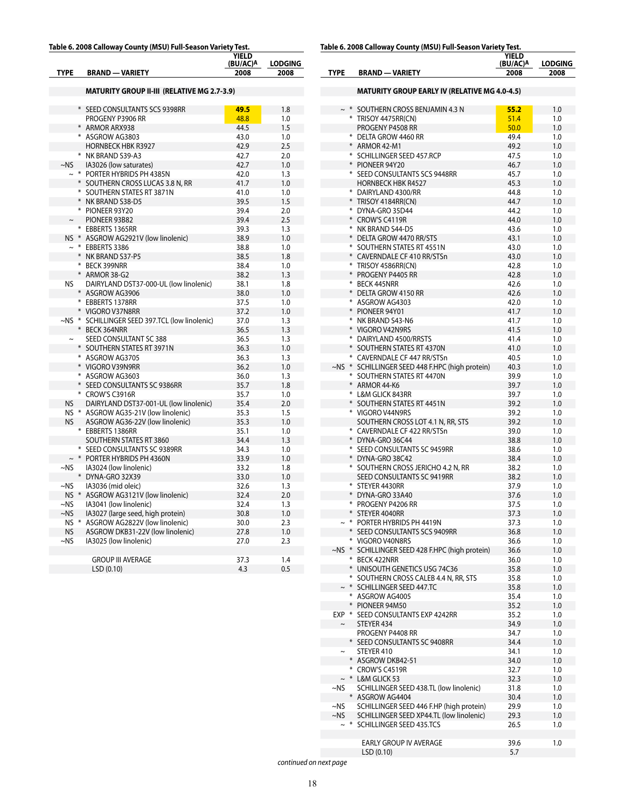#### **Table 6. 2008 Calloway County (MSU) Full-Season Variety Test.**

|             |                                                    | YIELD<br>(BU/AC)A | <b>LODGING</b> |
|-------------|----------------------------------------------------|-------------------|----------------|
| <b>TYPE</b> | <b>BRAND - VARIETY</b>                             | 2008              | 2008           |
|             | <b>MATURITY GROUP II-III (RELATIVE MG 2.7-3.9)</b> |                   |                |
|             |                                                    |                   |                |
|             | * SEED CONSULTANTS SCS 9398RR                      | 49.5              | 1.8            |
|             | PROGENY P3906 RR                                   | 48.8              | 1.0            |
|             | * ARMOR ARX938                                     | 44.5              | 1.5            |
|             | * ASGROW AG3803                                    | 43.0              | 1.0            |
|             | <b>HORNBECK HBK R3927</b>                          | 42.9              | 2.5            |
|             | * NK BRAND S39-A3                                  | 42.7              | 2.0            |
| ~NS         | IA3026 (low saturates)                             | 42.7              | 1.0            |
|             | $\sim$ * PORTER HYBRIDS PH 4385N                   | 42.0              | 1.3            |
|             | * SOUTHERN CROSS LUCAS 3.8 N, RR                   | 41.7              | 1.0            |
|             | * SOUTHERN STATES RT 3871N                         | 41.0              | 1.0            |
|             | * NK BRAND S38-D5                                  | 39.5              | 1.5            |
|             | * PIONEER 93Y20                                    | 39.4              | 2.0            |
| $\thicksim$ | PIONEER 93B82                                      | 39.4              | 2.5            |
|             | * EBBERTS 1365RR                                   | 39.3              | 1.3            |
|             | NS * ASGROW AG2921V (low linolenic)                | 38.9              | 1.0            |
|             | $\sim$ * EBBERTS 3386                              | 38.8              | 1.0            |
|             | * NK BRAND S37-P5                                  | 38.5              | 1.8            |
|             | * BECK 399NRR                                      | 38.4              | 1.0            |
|             | * ARMOR 38-G2                                      | 38.2              | 1.3            |
| NS          | DAIRYLAND DST37-000-UL (low linolenic)             | 38.1              | 1.8            |
|             | * ASGROW AG3906                                    | 38.0              | 1.0            |
|             | * EBBERTS 1378RR                                   | 37.5              | 1.0            |
|             | * VIGORO V37N8RR                                   | 37.2              | 1.0            |
|             | ~NS * SCHILLINGER SEED 397.TCL (low linolenic)     | 37.0              | 1.3            |
|             | * BECK 364NRR                                      | 36.5              | 1.3            |
| $\sim$      | SEED CONSULTANT SC 388                             | 36.5              | 1.3            |
|             | * SOUTHERN STATES RT 3971N                         | 36.3              | 1.0            |
|             | * ASGROW AG3705                                    | 36.3              | 1.3            |
|             | * VIGORO V39N9RR                                   | 36.2              | 1.0            |
|             | * ASGROW AG3603                                    | 36.0              | 1.3            |
|             | * SEED CONSULTANTS SC 9386RR                       | 35.7              | 1.8            |
|             | * CROW'S C3916R                                    | 35.7              | 1.0            |
| NS          | DAIRYLAND DST37-001-UL (low linolenic)             | 35.4              | 2.0            |
|             | NS * ASGROW AG35-21V (low linolenic)               | 35.3              | 1.5            |
| <b>NS</b>   | ASGROW AG36-22V (low linolenic)                    | 35.3              | 1.0            |
|             | * EBBERTS 1386RR                                   | 35.1              | 1.0            |
|             | SOUTHERN STATES RT 3860                            | 34.4              | 1.3            |
|             | * SEED CONSULTANTS SC 9389RR                       | 34.3              | 1.0            |
|             | * PORTER HYBRIDS PH 4360N                          | 33.9              | 1.0            |
| $\sim$ NS   | IA3024 (low linolenic)                             | 33.2              | 1.8            |
|             | * DYNA-GRO 32X39                                   | 33.0              | 1.0            |
| $\sim$ NS   | IA3036 (mid oleic)                                 | 32.6              | 1.3            |
| $NS$ $*$    | ASGROW AG3121V (low linolenic)                     | 32.4              | 2.0            |
| $\sim$ NS   | IA3041 (low linolenic)                             | 32.4              | 1.3            |
| $-NS$       | IA3027 (large seed, high protein)                  | 30.8              | 1.0            |
| NS I        | ASGROW AG2822V (low linolenic)                     | 30.0              | 2.3            |
| NS.         | ASGROW DKB31-22V (low linolenic)                   | 27.8              | 1.0            |
| $~\sim$ NS  | IA3025 (low linolenic)                             | 27.0              | 2.3            |
|             |                                                    |                   |                |
|             | <b>GROUP III AVERAGE</b>                           | 37.3              | 1.4            |
|             | LSD (0.10)                                         | 4.3               | 0.5            |
|             |                                                    |                   |                |

**Table 6. 2008 Calloway County (MSU) Full-Season Variety Test.**

| <b>TYPE</b>           | <b>BRAND - VARIETY</b>                                               | YIELD<br>(BU/AC)A<br>2008 | <b>LODGING</b><br>2008 |
|-----------------------|----------------------------------------------------------------------|---------------------------|------------------------|
|                       | <b>MATURITY GROUP EARLY IV (RELATIVE MG 4.0-4.5)</b>                 |                           |                        |
|                       | $\sim$ * SOUTHERN CROSS BENJAMIN 4.3 N                               | 55.2                      | 1.0                    |
|                       | * TRISOY 4475RR(CN)                                                  | 51.4                      | 1.0                    |
|                       | PROGENY P4508 RR                                                     | 50.0                      | 1.0                    |
|                       | * DELTA GROW 4460 RR                                                 | 49.4                      | 1.0                    |
|                       | * ARMOR 42-M1                                                        | 49.2                      | 1.0                    |
|                       | * SCHILLINGER SEED 457.RCP                                           | 47.5                      | 1.0                    |
|                       | * PIONEER 94Y20                                                      | 46.7                      | 1.0                    |
|                       | * SEED CONSULTANTS SCS 9448RR<br><b>HORNBECK HBK R4527</b>           | 45.7<br>45.3              | 1.0<br>1.0             |
|                       | * DAIRYLAND 4300/RR                                                  | 44.8                      | 1.0                    |
|                       | * TRISOY 4184RR(CN)                                                  | 44.7                      | 1.0                    |
|                       | * DYNA-GRO 35D44                                                     | 44.2                      | 1.0                    |
|                       | * CROW'S C4119R                                                      | 44.0                      | 1.0                    |
|                       | * NK BRAND S44-D5                                                    | 43.6                      | 1.0                    |
|                       | * DELTA GROW 4470 RR/STS                                             | 43.1                      | 1.0                    |
|                       | * SOUTHERN STATES RT 4551N                                           | 43.0                      | 1.0                    |
|                       | * CAVERNDALE CF 410 RR/STSn                                          | 43.0                      | 1.0                    |
|                       | * TRISOY 4586RR(CN)<br>* PROGENY P4405 RR                            | 42.8<br>42.8              | 1.0<br>1.0             |
|                       | * BECK 445NRR                                                        | 42.6                      | 1.0                    |
|                       | * DELTA GROW 4150 RR                                                 | 42.6                      | 1.0                    |
|                       | * ASGROW AG4303                                                      | 42.0                      | 1.0                    |
|                       | * PIONEER 94Y01                                                      | 41.7                      | 1.0                    |
|                       | * NK BRAND S43-N6                                                    | 41.7                      | 1.0                    |
|                       | * VIGORO V42N9RS                                                     | 41.5                      | 1.0                    |
|                       | * DAIRYLAND 4500/RRSTS                                               | 41.4                      | 1.0                    |
|                       | * SOUTHERN STATES RT 4370N                                           | 41.0                      | 1.0                    |
|                       | * CAVERNDALE CF 447 RR/STSn                                          | 40.5                      | 1.0                    |
|                       | ~NS * SCHILLINGER SEED 448 F.HPC (high protein)                      | 40.3                      | 1.0                    |
|                       | * SOUTHERN STATES RT 4470N                                           | 39.9                      | 1.0                    |
|                       | * ARMOR 44-K6<br>* L&M GLICK 843RR                                   | 39.7                      | 1.0                    |
|                       | * SOUTHERN STATES RT 4451N                                           | 39.7<br>39.2              | 1.0<br>1.0             |
|                       | * VIGORO V44N9RS                                                     | 39.2                      | 1.0                    |
|                       | SOUTHERN CROSS LOT 4.1 N, RR, STS                                    | 39.2                      | 1.0                    |
|                       | * CAVERNDALE CF 422 RR/STSn                                          | 39.0                      | 1.0                    |
|                       | * DYNA-GRO 36C44                                                     | 38.8                      | 1.0                    |
|                       | * SEED CONSULTANTS SC 9459RR                                         | 38.6                      | 1.0                    |
|                       | * DYNA-GRO 38C42                                                     | 38.4                      | 1.0                    |
|                       | * SOUTHERN CROSS JERICHO 4.2 N, RR                                   | 38.2                      | 1.0                    |
|                       | SEED CONSULTANTS SC 9419RR                                           | 38.2                      | 1.0                    |
|                       | * STEYER 4430RR<br>* DYNA-GRO 33A40                                  | 37.9<br>37.6              | 1.0<br>1.0             |
|                       | * PROGENY P4206 RR                                                   | 37.5                      | 1.0                    |
|                       | * STEYER 4040RR                                                      | 37.3                      | 1.0                    |
|                       | $\sim$ * PORTER HYBRIDS PH 4419N                                     | 37.3                      | 1.0                    |
|                       | * SEED CONSULTANTS SCS 9409RR                                        | 36.8                      | 1.0                    |
|                       | * VIGORO V40N8RS                                                     | 36.6                      | 1.0                    |
|                       | ~NS * SCHILLINGER SEED 428 F.HPC (high protein)                      | 36.6                      | 1.0                    |
|                       | * BECK 422NRR                                                        | 36.0                      | 1.0                    |
|                       | * UNISOUTH GENETICS USG 74C36                                        | 35.8                      | 1.0                    |
|                       | * SOUTHERN CROSS CALEB 4.4 N, RR, STS                                | 35.8                      | 1.0                    |
|                       | $\sim$ * SCHILLINGER SEED 447.TC                                     | 35.8                      | 1.0                    |
|                       | * ASGROW AG4005<br>* PIONEER 94M50                                   | 35.4                      | 1.0                    |
|                       | EXP * SEED CONSULTANTS EXP 4242RR                                    | 35.2<br>35.2              | 1.0<br>1.0             |
| $\tilde{}$            | STEYER 434                                                           | 34.9                      | 1.0                    |
|                       | PROGENY P4408 RR                                                     | 34.7                      | 1.0                    |
|                       | * SEED CONSULTANTS SC 9408RR                                         | 34.4                      | 1.0                    |
| $\tilde{\phantom{a}}$ | STEYER 410                                                           | 34.1                      | 1.0                    |
|                       | * ASGROW DKB42-51                                                    | 34.0                      | 1.0                    |
|                       | * CROW'S C4519R                                                      | 32.7                      | 1.0                    |
|                       | $\sim$ * L&M GLICK 53                                                | 32.3                      | 1.0                    |
| $\sim$ NS             | SCHILLINGER SEED 438.TL (low linolenic)                              | 31.8                      | 1.0                    |
|                       | * ASGROW AG4404                                                      | 30.4                      | 1.0                    |
| ~NS                   | SCHILLINGER SEED 446 F.HP (high protein)                             | 29.9                      | 1.0                    |
| ~NS<br>$\sim$ *       | SCHILLINGER SEED XP44.TL (low linolenic)<br>SCHILLINGER SEED 435.TCS | 29.3<br>26.5              | 1.0<br>1.0             |
|                       |                                                                      |                           |                        |
|                       | EARLY GROUP IV AVERAGE                                               | 39.6                      | 1.0                    |
|                       | LSD (0.10)                                                           | 5.7                       |                        |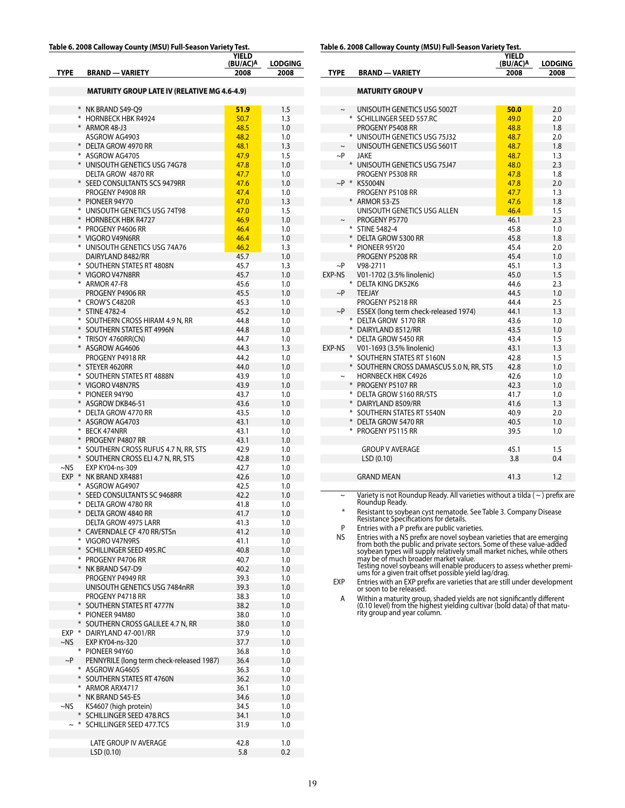#### **Table 6. 2008 Calloway County (MSU) Full-Season Variety Test. YIELD**

| <b>TYPE</b> | <b>BRAND - VARIETY</b>                                | 비디니<br>(BU/AC)A<br>2008 | LODGING<br>2008 |
|-------------|-------------------------------------------------------|-------------------------|-----------------|
|             | MATURITY GROUP LATE IV (RELATIVE MG 4.6-4.9)          |                         |                 |
|             |                                                       |                         |                 |
|             | * NK BRAND S49-O9<br>* HORNBECK HBK R4924             | 51.9<br>50.7            | 1.5<br>1.3      |
|             | * ARMOR 48-J3                                         | 48.5                    | 1.0             |
|             | ASGROW AG4903                                         | 48.2                    | 1.0             |
|             | * DELTA GROW 4970 RR                                  | 48.1                    | 1.3             |
|             | * ASGROW AG4705                                       | 47.9                    | 1.5             |
|             | * UNISOUTH GENETICS USG 74G78                         | 47.8                    | 1.0             |
|             | DELTA GROW 4870 RR                                    | 47.7                    | 1.0             |
|             | * SEED CONSULTANTS SCS 9479RR                         | 47.6                    | 1.0             |
|             | PROGENY P4908 RR                                      | 47.4                    | 1.0             |
|             | * PIONEER 94Y70                                       | 47.0                    | 1.3             |
|             | * UNISOUTH GENETICS USG 74T98<br>* HORNBECK HBK R4727 | 47.0<br>46.9            | 1.5<br>1.0      |
|             | * PROGENY P4606 RR                                    | 46.4                    | 1.0             |
|             | * VIGORO V49N6RR                                      | 46.4                    | 1.0             |
|             | * UNISOUTH GENETICS USG 74A76                         | 46.2                    | 1.3             |
|             | DAIRYLAND 8482/RR                                     | 45.7                    | 1.0             |
|             | * SOUTHERN STATES RT 4808N                            | 45.7                    | 1.3             |
|             | * VIGORO V47N8RR                                      | 45.7                    | 1.0             |
|             | * ARMOR 47-F8                                         | 45.6                    | 1.0             |
|             | PROGENY P4906 RR<br>* CROW'S C4820R                   | 45.5<br>45.3            | 1.0             |
|             | * STINE 4782-4                                        | 45.2                    | 1.0<br>1.0      |
|             | * SOUTHERN CROSS HIRAM 4.9 N, RR                      | 44.8                    | 1.0             |
|             | * SOUTHERN STATES RT 4996N                            | 44.8                    | 1.0             |
|             | * TRISOY 4760RR(CN)                                   | 44.7                    | 1.0             |
|             | * ASGROW AG4606                                       | 44.3                    | 1.3             |
|             | PROGENY P4918 RR                                      | 44.2                    | 1.0             |
|             | * STEYER 4620RR                                       | 44.0                    | 1.0             |
|             | * SOUTHERN STATES RT 4888N                            | 43.9                    | 1.0             |
|             | * VIGORO V48N7RS<br>* PIONEER 94Y90                   | 43.9<br>43.7            | 1.0             |
|             | * ASGROW DKB46-51                                     | 43.6                    | 1.0<br>1.0      |
|             | * DELTA GROW 4770 RR                                  | 43.5                    | 1.0             |
|             | * ASGROW AG4703                                       | 43.1                    | 1.0             |
|             | * BECK 474NRR                                         | 43.1                    | 1.0             |
|             | * PROGENY P4807 RR                                    | 43.1                    | 1.0             |
|             | * SOUTHERN CROSS RUFUS 4.7 N, RR, STS                 | 42.9                    | 1.0             |
|             | * SOUTHERN CROSS ELI 4.7 N, RR, STS                   | 42.8                    | 1.0             |
| $\sim$ NS   | EXP KY04-ns-309                                       | 42.7                    | 1.0             |
|             | EXP * NK BRAND XR4881<br>* ASGROW AG4907              | 42.6<br>42.5            | 1.0<br>1.0      |
|             | * SEED CONSULTANTS SC 9468RR                          | 42.2                    | 1.0             |
|             | * DELTA GROW 4780 RR                                  | 41.8                    | 1.0             |
|             | * DELTA GROW 4840 RR                                  | 41.7                    | 1.0             |
|             | DELTA GROW 4975 LARR                                  | 41.3                    | 1.0             |
|             | * CAVERNDALE CF 470 RR/STSn                           | 41.2                    | 1.0             |
|             | * VIGORO V47N9RS                                      | 41.1                    | 1.0             |
|             | * SCHILLINGER SEED 495.RC                             | 40.8                    | 1.0             |
|             | * PROGENY P4706 RR<br>* NK BRAND S47-D9               | 40.7<br>40.2            | 1.0<br>1.0      |
|             | PROGENY P4949 RR                                      | 39.3                    | 1.0             |
|             | UNISOUTH GENETICS USG 7484nRR                         | 39.3                    | 1.0             |
|             | PROGENY P4718 RR                                      | 38.3                    | 1.0             |
|             | * SOUTHERN STATES RT 4777N                            | 38.2                    | 1.0             |
|             | * PIONEER 94M80                                       | 38.0                    | 1.0             |
|             | * SOUTHERN CROSS GALILEE 4.7 N, RR                    | 38.0                    | 1.0             |
|             | EXP * DAIRYLAND 47-001/RR                             | 37.9                    | 1.0             |
| $-NS$       | EXP KY04-ns-320<br>* PIONEER 94Y60                    | 37.7<br>36.8            | 1.0<br>1.0      |
| $\sim$ P    | PENNYRILE (long term check-released 1987)             | 36.4                    | 1.0             |
|             | * ASGROW AG4605                                       | 36.3                    | 1.0             |
|             | * SOUTHERN STATES RT 4760N                            | 36.2                    | 1.0             |
|             | * ARMOR ARX4717                                       | 36.1                    | 1.0             |
|             | * NK BRAND S45-E5                                     | 34.6                    | 1.0             |
| ~NS         | KS4607 (high protein)                                 | 34.5                    | 1.0             |
|             | * SCHILLINGER SEED 478.RCS                            | 34.1                    | 1.0             |
| $\sim$ *    | SCHILLINGER SEED 477.TCS                              | 31.9                    | 1.0             |
|             | LATE GROUP IV AVERAGE                                 | 42.8                    | 1.0             |
|             | LSD (0.10)                                            | 5.8                     | 0.2             |
|             |                                                       |                         |                 |

**Table 6. 2008 Calloway County (MSU) Full-Season Variety Test.**

|             |                                          | <b>YIELD</b><br>(BU/AC)A | <b>LODGING</b> |
|-------------|------------------------------------------|--------------------------|----------------|
| <b>TYPE</b> | <b>BRAND - VARIETY</b>                   | 2008                     | 2008           |
|             |                                          |                          |                |
|             | <b>MATURITY GROUP V</b>                  |                          |                |
|             |                                          |                          |                |
| $\tilde{}$  | UNISOUTH GENETICS USG 5002T              | 50.0                     | 2.0            |
|             | * SCHILLINGER SEED 557.RC                | 49.0                     | 2.0            |
|             | PROGENY P5408 RR                         | 48.8                     | 1.8            |
|             | * UNISOUTH GENETICS USG 75J32            | 48.7                     | 2.0            |
| $\sim$      | UNISOUTH GENETICS USG 5601T              | 48.7                     | 1.8            |
| $\sim P$    | JAKE                                     | 48.7                     | 1.3            |
|             | * UNISOUTH GENETICS USG 75J47            | 48.0                     | 2.3            |
|             | PROGENY P5308 RR                         | 47.8                     | 1.8            |
|             | $\sim$ P * KS5004N                       | 47.8                     | 2.0            |
|             | PROGENY P5108 RR                         | 47.7                     | 1.3            |
|             | * ARMOR 53-Z5                            | 47.6                     | 1.8            |
|             | UNISOUTH GENETICS USG ALLEN              | 46.4                     | 1.5            |
| $\sim$      | PROGENY P5770                            | 46.1                     | 2.3            |
|             | * STINE 5482-4                           | 45.8                     | 1.0            |
|             | * DELTA GROW 5300 RR                     | 45.8                     | 1.8            |
|             | * PIONEER 95Y20                          | 45.4                     | 2.0            |
|             | PROGENY P5208 RR                         | 45.4                     | 1.0            |
| $\sim P$    | V98-2711                                 | 45.1                     | 1.3            |
| EXP-NS      | V01-1702 (3.5% linolenic)                | 45.0                     | 1.5            |
|             | * DELTA KING DK52K6                      | 44.6                     | 2.3            |
| $\sim$ P    | <b>TEEJAY</b>                            | 44.5                     | 1.0            |
|             | PROGENY P5218 RR                         | 44.4                     | 2.5            |
| $\sim P$    | ESSEX (long term check-released 1974)    | 44.1                     | 1.3            |
|             | * DELTA GROW 5170 RR                     | 43.6                     | 1.0            |
|             | * DAIRYLAND 8512/RR                      | 43.5                     | 1.0            |
|             | * DELTA GROW 5450 RR                     | 43.4                     | 1.5            |
| EXP-NS      | V01-1693 (3.5% linolenic)                | 43.1                     | 1.3            |
|             | * SOUTHERN STATES RT 5160N               | 42.8                     | 1.5            |
|             | * SOUTHERN CROSS DAMASCUS 5.0 N, RR, STS | 42.8                     | 1.0            |
|             | <b>HORNBECK HBK C4926</b>                | 42.6                     | 1.0            |
|             | * PROGENY P5107 RR                       | 42.3                     | 1.0            |
|             | * DELTA GROW 5160 RR/STS                 | 41.7                     | 1.0            |
|             | * DAIRYLAND 8509/RR                      | 41.6                     | 1.3            |
|             | * SOUTHERN STATES RT 5540N               | 40.9                     | 2.0            |
|             | * DELTA GROW 5470 RR                     | 40.5                     | 1.0            |
|             | * PROGENY P5115 RR                       | 39.5                     | 1.0            |
|             |                                          |                          |                |
|             | <b>GROUP V AVERAGE</b>                   | 45.1                     | 1.5            |
|             | LSD (0.10)                               | 3.8                      | 0.4            |
|             |                                          |                          |                |
|             | <b>GRAND MEAN</b>                        | 41.3                     | 1.2            |
|             |                                          |                          |                |

~ Variety is not Roundup Ready. All varieties without a tilda ( ~ ) prefix are Roundup Ready.

\* Resistant to soybean cyst nematode. See Table 3. Company Disease Resistance Specifications for details.

P Entries with a P prefix are public varieties.<br>NS Entries with a NS prefix are novel soybean NS<br>
Fintries with a NS prefix are novel soybean varieties that are emerging<br>
from both the public and private sectors. Some of these value-added<br>
soybean types will supply relatively small market niches, while others<br>
may

EXP Entries with an EXP prefix are varieties that are still under development or soon to be released.

A Within a maturity group, shaded yields are not significantly different (0.10 level) from the highest yielding cultivar (bold data) of that matu-rity group and year column.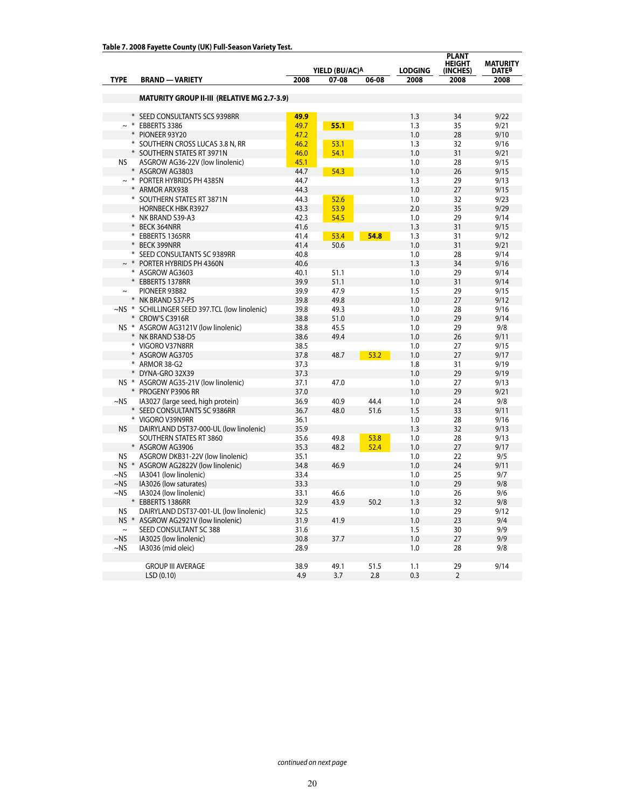|                          |                                                                               |                        |                |      |                | <b>PLANT</b>              |                                 |
|--------------------------|-------------------------------------------------------------------------------|------------------------|----------------|------|----------------|---------------------------|---------------------------------|
|                          |                                                                               |                        | YIELD (BU/AC)A |      | <b>LODGING</b> | <b>HEIGHT</b><br>(INCHES) | <b>MATURITY</b><br><b>DATEB</b> |
| <b>TYPE</b>              | <b>BRAND - VARIETY</b>                                                        | 2008<br>07-08<br>06-08 |                |      | 2008           | 2008                      | 2008                            |
|                          |                                                                               |                        |                |      |                |                           |                                 |
|                          | <b>MATURITY GROUP II-III (RELATIVE MG 2.7-3.9)</b>                            |                        |                |      |                |                           |                                 |
|                          |                                                                               |                        |                |      |                |                           |                                 |
| $\ast$                   | SEED CONSULTANTS SCS 9398RR                                                   | 49.9                   |                |      | 1.3            | 34                        | 9/22                            |
| $\sim$ *                 | EBBERTS 3386                                                                  | 49.7                   | 55.1           |      | 1.3            | 35                        | 9/21                            |
| *                        | PIONEER 93Y20                                                                 | 47.2                   |                |      | 1.0            | 28                        | 9/10                            |
|                          | * SOUTHERN CROSS LUCAS 3.8 N, RR                                              | 46.2                   | 53.1           |      | 1.3            | 32                        | 9/16                            |
|                          | * SOUTHERN STATES RT 3971N                                                    | 46.0                   | 54.1           |      | 1.0            | 31                        | 9/21                            |
| <b>NS</b>                | ASGROW AG36-22V (low linolenic)<br>* ASGROW AG3803                            | 45.1<br>44.7           | 54.3           |      | 1.0<br>1.0     | 28<br>26                  | 9/15<br>9/15                    |
| $\sim$ *                 | PORTER HYBRIDS PH 4385N                                                       | 44.7                   |                |      | 1.3            | 29                        | 9/13                            |
|                          | <b>ARMOR ARX938</b>                                                           | 44.3                   |                |      | 1.0            | 27                        | 9/15                            |
|                          | * SOUTHERN STATES RT 3871N                                                    | 44.3                   | 52.6           |      | 1.0            | 32                        | 9/23                            |
|                          | <b>HORNBECK HBK R3927</b>                                                     | 43.3                   | 53.9           |      | 2.0            | 35                        | 9/29                            |
|                          | * NK BRAND S39-A3                                                             | 42.3                   | 54.5           |      | 1.0            | 29                        | 9/14                            |
| *                        | <b>BECK 364NRR</b>                                                            | 41.6                   |                |      | 1.3            | 31                        | 9/15                            |
|                          | EBBERTS 1365RR                                                                | 41.4                   | 53.4           | 54.8 | 1.3            | 31                        | 9/12                            |
|                          | <b>BECK 399NRR</b>                                                            | 41.4                   | 50.6           |      | 1.0            | 31                        | 9/21                            |
| ₩                        | SEED CONSULTANTS SC 9389RR                                                    | 40.8                   |                |      | 1.0            | 28                        | 9/14                            |
| $\sim$ *                 | PORTER HYBRIDS PH 4360N                                                       | 40.6                   |                |      | 1.3            | 34                        | 9/16                            |
|                          | * ASGROW AG3603                                                               | 40.1                   | 51.1           |      | 1.0            | 29                        | 9/14                            |
|                          | * EBBERTS 1378RR                                                              | 39.9                   | 51.1           |      | 1.0            | 31                        | 9/14                            |
|                          | PIONEER 93B82                                                                 | 39.9                   | 47.9           |      | 1.5            | 29                        | 9/15                            |
|                          | * NK BRAND S37-P5                                                             | 39.8                   | 49.8           |      | 1.0            | 27                        | 9/12                            |
|                          | ~NS * SCHILLINGER SEED 397.TCL (low linolenic)                                | 39.8                   | 49.3           |      | 1.0            | 28                        | 9/16                            |
|                          | *<br>CROW'S C3916R                                                            | 38.8                   | 51.0           |      | 1.0            | 29                        | 9/14                            |
|                          | NS * ASGROW AG3121V (low linolenic)                                           | 38.8                   | 45.5           |      | 1.0            | 29                        | 9/8                             |
|                          | * NK BRAND S38-D5                                                             | 38.6                   | 49.4           |      | 1.0            | 26                        | 9/11                            |
|                          | * VIGORO V37N8RR                                                              | 38.5                   |                |      | 1.0            | 27                        | 9/15                            |
| *                        | ASGROW AG3705                                                                 | 37.8                   | 48.7           | 53.2 | 1.0            | 27                        | 9/17                            |
|                          | * ARMOR 38-G2                                                                 | 37.3                   |                |      | 1.8            | 31                        | 9/19                            |
|                          | DYNA-GRO 32X39                                                                | 37.3                   |                |      | 1.0            | 29                        | 9/19                            |
|                          | NS * ASGROW AG35-21V (low linolenic)                                          | 37.1                   | 47.0           |      | 1.0            | 27                        | 9/13                            |
|                          | * PROGENY P3906 RR                                                            | 37.0                   |                |      | 1.0            | 29                        | 9/21                            |
| $\sim$ NS                | IA3027 (large seed, high protein)                                             | 36.9                   | 40.9           | 44.4 | 1.0            | 24                        | 9/8                             |
|                          | * SEED CONSULTANTS SC 9386RR                                                  | 36.7                   | 48.0           | 51.6 | 1.5            | 33                        | 9/11                            |
|                          | * VIGORO V39N9RR                                                              | 36.1                   |                |      | 1.0            | 28                        | 9/16                            |
| <b>NS</b>                | DAIRYLAND DST37-000-UL (low linolenic)                                        | 35.9                   |                |      | 1.3            | 32                        | 9/13                            |
|                          | SOUTHERN STATES RT 3860                                                       | 35.6                   | 49.8           | 53.8 | 1.0            | 28                        | 9/13                            |
|                          | * ASGROW AG3906                                                               | 35.3                   | 48.2           | 52.4 | 1.0            | 27                        | 9/17                            |
| <b>NS</b>                | ASGROW DKB31-22V (low linolenic)                                              | 35.1                   |                |      | 1.0            | 22                        | 9/5                             |
|                          | NS * ASGROW AG2822V (low linolenic)                                           | 34.8                   | 46.9           |      | 1.0            | 24                        | 9/11                            |
| $\sim$ NS                | IA3041 (low linolenic)                                                        | 33.4                   |                |      | 1.0            | 25                        | 9/7                             |
| $~\sim$ NS<br>$~\sim$ NS | IA3026 (low saturates)                                                        | 33.3<br>33.1           |                |      | 1.0<br>1.0     | 29<br>26                  | 9/8<br>9/6                      |
| $\ast$                   | IA3024 (low linolenic)<br><b>EBBERTS 1386RR</b>                               | 32.9                   | 46.6<br>43.9   | 50.2 | 1.3            | 32                        | 9/8                             |
| <b>NS</b>                |                                                                               | 32.5                   |                |      | 1.0            | 29                        | 9/12                            |
|                          | DAIRYLAND DST37-001-UL (low linolenic)<br>NS * ASGROW AG2921V (low linolenic) | 31.9                   | 41.9           |      | 1.0            | 23                        | 9/4                             |
| $\sim$                   | SEED CONSULTANT SC 388                                                        | 31.6                   |                |      | 1.5            | 30                        | 9/9                             |
| $~\sim$ NS               | IA3025 (low linolenic)                                                        | 30.8                   | 37.7           |      | 1.0            | 27                        | 9/9                             |
| $~\sim$ NS               | IA3036 (mid oleic)                                                            | 28.9                   |                |      | 1.0            | 28                        | 9/8                             |
|                          |                                                                               |                        |                |      |                |                           |                                 |
|                          | <b>GROUP III AVERAGE</b>                                                      | 38.9                   | 49.1           | 51.5 | 1.1            | 29                        | 9/14                            |
|                          | LSD(0.10)                                                                     | 4.9                    | 3.7            | 2.8  | 0.3            | $\overline{2}$            |                                 |
|                          |                                                                               |                        |                |      |                |                           |                                 |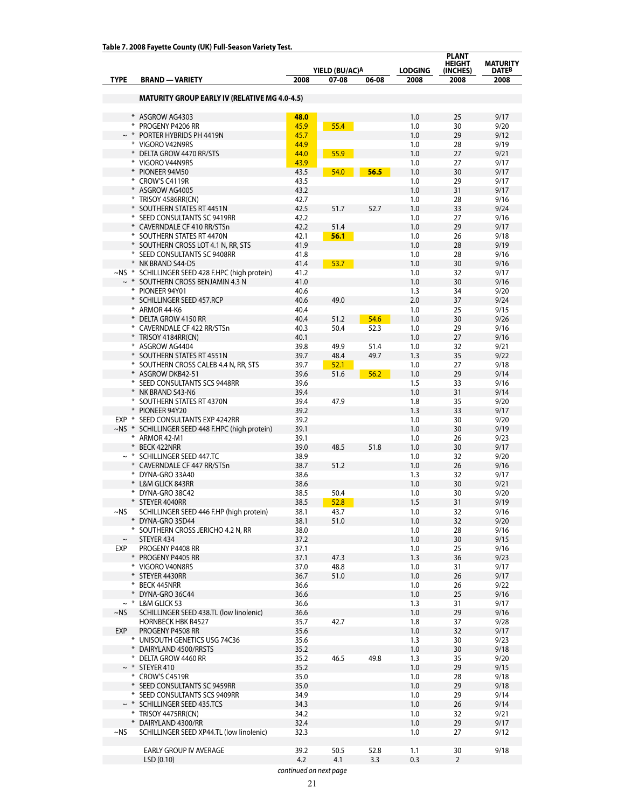|               |                                                            |              |                |             |                | <b>PLANT</b><br><b>HEIGHT</b> | <b>MATURITY</b> |
|---------------|------------------------------------------------------------|--------------|----------------|-------------|----------------|-------------------------------|-----------------|
|               |                                                            |              | YIELD (BU/AC)A |             | <b>LODGING</b> | (INCHES)                      | <b>DATEB</b>    |
| <b>TYPE</b>   | <b>BRAND - VARIETY</b>                                     | 2008         | 07-08          | 06-08       | 2008           | 2008                          | 2008            |
|               | <b>MATURITY GROUP EARLY IV (RELATIVE MG 4.0-4.5)</b>       |              |                |             |                |                               |                 |
|               |                                                            |              |                |             |                |                               |                 |
|               | * ASGROW AG4303                                            | 48.0         |                |             | 1.0            | 25                            | 9/17            |
|               | * PROGENY P4206 RR<br>$\sim$ * PORTER HYBRIDS PH 4419N     | 45.9<br>45.7 | 55.4           |             | 1.0<br>1.0     | 30<br>29                      | 9/20<br>9/12    |
|               | * VIGORO V42N9RS                                           | 44.9         |                |             | 1.0            | 28                            | 9/19            |
|               | * DELTA GROW 4470 RR/STS                                   | 44.0         | 55.9           |             | 1.0            | 27                            | 9/21            |
|               | * VIGORO V44N9RS                                           | 43.9         |                |             | 1.0            | 27                            | 9/17            |
|               | * PIONEER 94M50                                            | 43.5         | 54.0           | 56.5        | 1.0            | 30                            | 9/17            |
|               | * CROW'S C4119R                                            | 43.5         |                |             | 1.0            | 29                            | 9/17            |
|               | * ASGROW AG4005                                            | 43.2         |                |             | 1.0            | 31                            | 9/17            |
|               | * TRISOY 4586RR(CN)                                        | 42.7         |                |             | 1.0            | 28                            | 9/16            |
|               | * SOUTHERN STATES RT 4451N<br>* SEED CONSULTANTS SC 9419RR | 42.5<br>42.2 | 51.7           | 52.7        | 1.0<br>1.0     | 33<br>27                      | 9/24<br>9/16    |
|               | * CAVERNDALE CF 410 RR/STSn                                | 42.2         | 51.4           |             | 1.0            | 29                            | 9/17            |
|               | * SOUTHERN STATES RT 4470N                                 | 42.1         | 56.1           |             | 1.0            | 26                            | 9/18            |
|               | * SOUTHERN CROSS LOT 4.1 N, RR, STS                        | 41.9         |                |             | 1.0            | 28                            | 9/19            |
|               | * SEED CONSULTANTS SC 9408RR                               | 41.8         |                |             | 1.0            | 28                            | 9/16            |
|               | * NK BRAND S44-D5                                          | 41.4         | 53.7           |             | 1.0            | 30                            | 9/16            |
|               | ~NS * SCHILLINGER SEED 428 F.HPC (high protein)            | 41.2         |                |             | 1.0            | 32                            | 9/17            |
|               | $\sim$ * SOUTHERN CROSS BENJAMIN 4.3 N<br>* PIONEER 94Y01  | 41.0         |                |             | 1.0            | 30                            | 9/16            |
|               | * SCHILLINGER SEED 457.RCP                                 | 40.6<br>40.6 | 49.0           |             | 1.3<br>2.0     | 34<br>37                      | 9/20<br>9/24    |
|               | * ARMOR 44-K6                                              | 40.4         |                |             | 1.0            | 25                            | 9/15            |
|               | * DELTA GROW 4150 RR                                       | 40.4         | 51.2           | 54.6        | 1.0            | 30                            | 9/26            |
|               | * CAVERNDALE CF 422 RR/STSn                                | 40.3         | 50.4           | 52.3        | 1.0            | 29                            | 9/16            |
|               | * TRISOY 4184RR(CN)                                        | 40.1         |                |             | 1.0            | 27                            | 9/16            |
|               | * ASGROW AG4404                                            | 39.8         | 49.9           | 51.4        | 1.0            | 32                            | 9/21            |
|               | * SOUTHERN STATES RT 4551N                                 | 39.7         | 48.4           | 49.7        | 1.3            | 35                            | 9/22            |
|               | * SOUTHERN CROSS CALEB 4.4 N, RR, STS                      | 39.7         | 52.1           |             | 1.0            | 27<br>29                      | 9/18            |
|               | * ASGROW DKB42-51<br>* SEED CONSULTANTS SCS 9448RR         | 39.6<br>39.6 | 51.6           | 56.2        | 1.0<br>1.5     | 33                            | 9/14<br>9/16    |
|               | * NK BRAND S43-N6                                          | 39.4         |                |             | 1.0            | 31                            | 9/14            |
|               | * SOUTHERN STATES RT 4370N                                 | 39.4         | 47.9           |             | 1.8            | 35                            | 9/20            |
|               | * PIONEER 94Y20                                            | 39.2         |                |             | 1.3            | 33                            | 9/17            |
| EXP *         | SEED CONSULTANTS EXP 4242RR                                | 39.2         |                |             | 1.0            | 30                            | 9/20            |
| $\sim$ NS $*$ | SCHILLINGER SEED 448 F.HPC (high protein)                  | 39.1         |                |             | 1.0            | 30                            | 9/19            |
|               | * ARMOR 42-M1                                              | 39.1         |                |             | 1.0            | 26                            | 9/23            |
|               | * BECK 422NRR<br>SCHILLINGER SEED 447.TC                   | 39.0<br>38.9 | 48.5           | 51.8        | 1.0<br>1.0     | 30<br>32                      | 9/17<br>9/20    |
|               | * CAVERNDALE CF 447 RR/STSn                                | 38.7         | 51.2           |             | 1.0            | 26                            | 9/16            |
|               | * DYNA-GRO 33A40                                           | 38.6         |                |             | 1.3            | 32                            | 9/17            |
|               | * L&M GLICK 843RR                                          | 38.6         |                |             | 1.0            | 30                            | 9/21            |
|               | * DYNA-GRO 38C42                                           | 38.5         | 50.4           |             | 1.0            | 30                            | 9/20            |
|               | * STEYER 4040RR                                            | 38.5         | 52.8           |             | 1.5            | 31                            | 9/19            |
| ~NS           | SCHILLINGER SEED 446 F.HP (high protein)                   | 38.1         | 43./           |             | 1.0            | 32                            | 9/16            |
|               | * DYNA-GRO 35D44<br>* SOUTHERN CROSS JERICHO 4.2 N, RR     | 38.1<br>38.0 | 51.0           |             | 1.0<br>1.0     | 32<br>28                      | 9/20<br>9/16    |
| $\thicksim$   | STEYER 434                                                 | 37.2         |                |             | 1.0            | 30                            | 9/15            |
| EXP           | PROGENY P4408 RR                                           | 37.1         |                |             | 1.0            | 25                            | 9/16            |
|               | * PROGENY P4405 RR                                         | 37.1         | 47.3           |             | 1.3            | 36                            | 9/23            |
|               | * VIGORO V40N8RS                                           | 37.0         | 48.8           |             | 1.0            | 31                            | 9/17            |
|               | * STEYER 4430RR                                            | 36.7         | 51.0           |             | 1.0            | 26                            | 9/17            |
|               | * BECK 445NRR                                              | 36.6         |                |             | 1.0            | 26                            | 9/22            |
| $*$           | DYNA-GRO 36C44<br>$\sim$ * L&M GLICK 53                    | 36.6<br>36.6 |                |             | 1.0            | 25                            | 9/16            |
| $\sim$ NS     | SCHILLINGER SEED 438.TL (low linolenic)                    | 36.6         |                |             | 1.3<br>1.0     | 31<br>29                      | 9/17<br>9/16    |
|               | <b>HORNBECK HBK R4527</b>                                  | 35.7         | 42.7           |             | 1.8            | 37                            | 9/28            |
| EXP           | PROGENY P4508 RR                                           | 35.6         |                |             | 1.0            | 32                            | 9/17            |
|               | * UNISOUTH GENETICS USG 74C36                              | 35.6         |                |             | 1.3            | 30                            | 9/23            |
|               | * DAIRYLAND 4500/RRSTS                                     | 35.2         |                |             | 1.0            | 30                            | 9/18            |
|               | * DELTA GROW 4460 RR                                       | 35.2         | 46.5           | 49.8        | 1.3            | 35                            | 9/20            |
|               | $\sim$ * STEYER 410                                        | 35.2         |                |             | 1.0            | 29                            | 9/15            |
|               | * CROW'S C4519R<br>* SEED CONSULTANTS SC 9459RR            | 35.0<br>35.0 |                |             | 1.0<br>1.0     | 28<br>29                      | 9/18<br>9/18    |
|               | * SEED CONSULTANTS SCS 9409RR                              | 34.9         |                |             | 1.0            | 29                            | 9/14            |
|               | $\sim$ * SCHILLINGER SEED 435.TCS                          | 34.3         |                |             | 1.0            | 26                            | 9/14            |
|               | * TRISOY 4475RR(CN)                                        | 34.2         |                |             | 1.0            | 32                            | 9/21            |
|               | * DAIRYLAND 4300/RR                                        | 32.4         |                |             | 1.0            | 29                            | 9/17            |
| ~NS           | SCHILLINGER SEED XP44.TL (low linolenic)                   | 32.3         |                |             | 1.0            | 27                            | 9/12            |
|               |                                                            |              |                |             |                |                               |                 |
|               | EARLY GROUP IV AVERAGE<br>LSD(0.10)                        | 39.2<br>4.2  | 50.5<br>4.1    | 52.8<br>3.3 | 1.1<br>0.3     | 30<br>$\overline{2}$          | 9/18            |
|               |                                                            |              |                |             |                |                               |                 |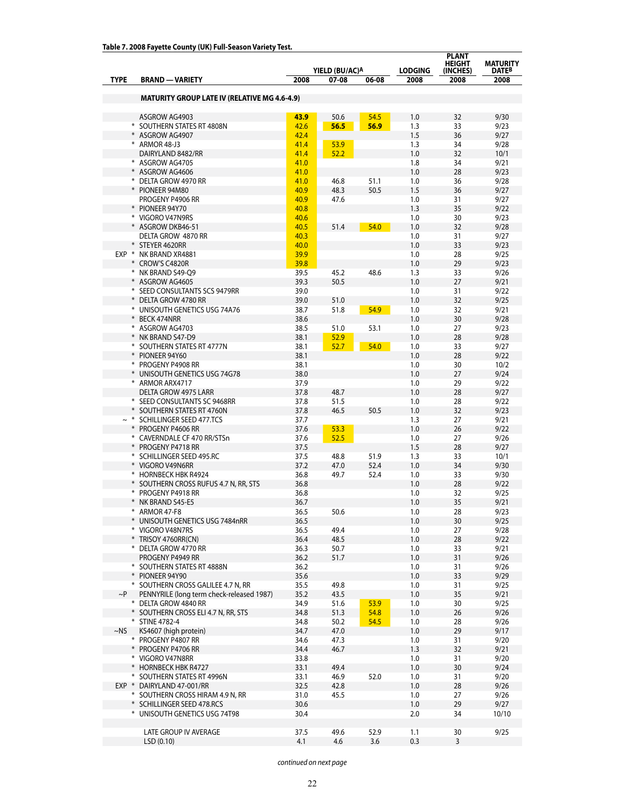|             |                                                       |                |       | <b>PLANT</b><br><b>HEIGHT</b> | <b>MATURITY</b> |          |              |  |
|-------------|-------------------------------------------------------|----------------|-------|-------------------------------|-----------------|----------|--------------|--|
|             |                                                       | YIELD (BU/AC)A |       |                               |                 |          | DATEB        |  |
| <b>TYPE</b> | <b>BRAND - VARIETY</b>                                | 2008           | 07-08 | 06-08                         | 2008            | 2008     | 2008         |  |
|             |                                                       |                |       |                               |                 |          |              |  |
|             | <b>MATURITY GROUP LATE IV (RELATIVE MG 4.6-4.9)</b>   |                |       |                               |                 |          |              |  |
|             | ASGROW AG4903                                         | 43.9           | 50.6  | 54.5                          | 1.0             | 32       | 9/30         |  |
|             | * SOUTHERN STATES RT 4808N                            | 42.6           | 56.5  | 56.9                          | 1.3             | 33       | 9/23         |  |
|             | * ASGROW AG4907                                       | 42.4           |       |                               | 1.5             | 36       | 9/27         |  |
|             | * ARMOR 48-J3                                         | 41.4           | 53.9  |                               | 1.3             | 34       | 9/28         |  |
|             | DAIRYLAND 8482/RR                                     | 41.4           | 52.2  |                               | 1.0             | 32       | 10/1         |  |
|             | * ASGROW AG4705                                       | 41.0           |       |                               | 1.8             | 34       | 9/21         |  |
|             | * ASGROW AG4606                                       | 41.0           |       |                               | 1.0             | 28       | 9/23         |  |
|             | * DELTA GROW 4970 RR                                  | 41.0           | 46.8  | 51.1                          | 1.0             | 36       | 9/28         |  |
|             | * PIONEER 94M80                                       | 40.9           | 48.3  | 50.5                          | 1.5             | 36       | 9/27         |  |
|             | PROGENY P4906 RR                                      | 40.9           | 47.6  |                               | 1.0             | 31       | 9/27         |  |
|             | * PIONEER 94Y70                                       | 40.8           |       |                               | 1.3             | 35       | 9/22         |  |
|             | * VIGORO V47N9RS                                      | 40.6           |       |                               | 1.0             | 30       | 9/23         |  |
|             | * ASGROW DKB46-51                                     | 40.5           | 51.4  | 54.0                          | 1.0             | 32       | 9/28         |  |
|             | DELTA GROW 4870 RR                                    | 40.3           |       |                               | 1.0             | 31       | 9/27         |  |
|             | * STEYER 4620RR                                       | 40.0           |       |                               | 1.0             | 33       | 9/23         |  |
|             | EXP * NK BRAND XR4881                                 | 39.9           |       |                               | 1.0             | 28       | 9/25         |  |
|             | * CROW'S C4820R                                       | 39.8           |       |                               | 1.0             | 29       | 9/23         |  |
|             | * NK BRAND S49-Q9                                     | 39.5           | 45.2  | 48.6                          | 1.3             | 33       | 9/26         |  |
|             | * ASGROW AG4605                                       | 39.3           | 50.5  |                               | 1.0             | 27       | 9/21         |  |
|             | * SEED CONSULTANTS SCS 9479RR                         | 39.0           |       |                               | 1.0             | 31       | 9/22         |  |
|             | * DELTA GROW 4780 RR                                  | 39.0           | 51.0  |                               | 1.0             | 32       | 9/25         |  |
|             | * UNISOUTH GENETICS USG 74A76<br>* BECK 474NRR        | 38.7<br>38.6   | 51.8  | 54.9                          | 1.0<br>1.0      | 32<br>30 | 9/21<br>9/28 |  |
|             | * ASGROW AG4703                                       | 38.5           | 51.0  | 53.1                          | 1.0             | 27       | 9/23         |  |
|             | * NK BRAND S47-D9                                     | 38.1           | 52.9  |                               | 1.0             | 28       | 9/28         |  |
|             | * SOUTHERN STATES RT 4777N                            | 38.1           | 52.7  | 54.0                          | 1.0             | 33       | 9/27         |  |
|             | * PIONEER 94Y60                                       | 38.1           |       |                               | 1.0             | 28       | 9/22         |  |
|             | * PROGENY P4908 RR                                    | 38.1           |       |                               | 1.0             | 30       | 10/2         |  |
|             | * UNISOUTH GENETICS USG 74G78                         | 38.0           |       |                               | 1.0             | 27       | 9/24         |  |
|             | * ARMOR ARX4717                                       | 37.9           |       |                               | 1.0             | 29       | 9/22         |  |
|             | <b>DELTA GROW 4975 LARR</b>                           | 37.8           | 48.7  |                               | 1.0             | 28       | 9/27         |  |
|             | * SEED CONSULTANTS SC 9468RR                          | 37.8           | 51.5  |                               | 1.0             | 28       | 9/22         |  |
|             | * SOUTHERN STATES RT 4760N                            | 37.8           | 46.5  | 50.5                          | 1.0             | 32       | 9/23         |  |
|             | $\sim$ * SCHILLINGER SEED 477.TCS                     | 37.7           |       |                               | 1.3             | 27       | 9/21         |  |
|             | * PROGENY P4606 RR                                    | 37.6           | 53.3  |                               | 1.0             | 26       | 9/22         |  |
|             | * CAVERNDALE CF 470 RR/STSn                           | 37.6           | 52.5  |                               | 1.0             | 27       | 9/26         |  |
|             | * PROGENY P4718 RR                                    | 37.5           |       |                               | 1.5             | 28       | 9/27         |  |
|             | * SCHILLINGER SEED 495.RC                             | 37.5           | 48.8  | 51.9                          | 1.3             | 33       | 10/1         |  |
|             | * VIGORO V49N6RR                                      | 37.2           | 47.0  | 52.4                          | 1.0             | 34       | 9/30         |  |
|             | * HORNBECK HBK R4924                                  | 36.8           | 49.7  | 52.4                          | 1.0             | 33       | 9/30         |  |
|             | * SOUTHERN CROSS RUFUS 4.7 N, RR, STS                 | 36.8           |       |                               | 1.0             | 28       | 9/22         |  |
|             | * PROGENY P4918 RR                                    | 36.8           |       |                               | 1.0             | 32       | 9/25         |  |
|             | * NK BRAND S45-E5                                     | 36.7           |       |                               | 1.0             | 35       | 9/21         |  |
|             | * ARMOR 47-F8                                         | 36.5           | 50.6  |                               | 1.0             | 28       | 9/23         |  |
|             | * UNISOUTH GENETICS USG 7484nRR                       | 36.5           |       |                               | 1.0             | 30       | 9/25         |  |
|             | * VIGORO V48N7RS                                      | 36.5           | 49.4  |                               | 1.0             | 27       | 9/28         |  |
|             | * TRISOY 4760RR(CN)                                   | 36.4           | 48.5  |                               | 1.0             | 28       | 9/22         |  |
|             | * DELTA GROW 4770 RR                                  | 36.3           | 50.7  |                               | 1.0             | 33       | 9/21         |  |
|             | PROGENY P4949 RR                                      | 36.2           | 51.7  |                               | 1.0             | 31       | 9/26         |  |
|             | * SOUTHERN STATES RT 4888N                            | 36.2           |       |                               | 1.0             | 31       | 9/26         |  |
|             | * PIONEER 94Y90<br>* SOUTHERN CROSS GALILEE 4.7 N, RR | 35.6<br>35.5   | 49.8  |                               | 1.0<br>1.0      | 33<br>31 | 9/29<br>9/25 |  |
| $\sim P$    | PENNYRILE (long term check-released 1987)             | 35.2           | 43.5  |                               | 1.0             | 35       | 9/21         |  |
|             | * DELTA GROW 4840 RR                                  | 34.9           | 51.6  | 53.9                          | 1.0             | 30       | 9/25         |  |
|             | * SOUTHERN CROSS ELI 4.7 N, RR, STS                   | 34.8           | 51.3  | 54.8                          | 1.0             | 26       | 9/26         |  |
|             | * STINE 4782-4                                        | 34.8           | 50.2  | 54.5                          | 1.0             | 28       | 9/26         |  |
| $\sim$ NS   | KS4607 (high protein)                                 | 34.7           | 47.0  |                               | 1.0             | 29       | 9/17         |  |
|             | * PROGENY P4807 RR                                    | 34.6           | 47.3  |                               | 1.0             | 31       | 9/20         |  |
|             | * PROGENY P4706 RR                                    | 34.4           | 46.7  |                               | 1.3             | 32       | 9/21         |  |
|             | * VIGORO V47N8RR                                      | 33.8           |       |                               | 1.0             | 31       | 9/20         |  |
|             | * HORNBECK HBK R4727                                  | 33.1           | 49.4  |                               | 1.0             | 30       | 9/24         |  |
|             | * SOUTHERN STATES RT 4996N                            | 33.1           | 46.9  | 52.0                          | 1.0             | 31       | 9/20         |  |
|             | EXP * DAIRYLAND 47-001/RR                             | 32.5           | 42.8  |                               | 1.0             | 28       | 9/26         |  |
|             | * SOUTHERN CROSS HIRAM 4.9 N, RR                      | 31.0           | 45.5  |                               | 1.0             | 27       | 9/26         |  |
|             | * SCHILLINGER SEED 478.RCS                            | 30.6           |       |                               | 1.0             | 29       | 9/27         |  |
|             | * UNISOUTH GENETICS USG 74T98                         | 30.4           |       |                               | 2.0             | 34       | 10/10        |  |
|             |                                                       |                |       |                               |                 |          |              |  |
|             | LATE GROUP IV AVERAGE                                 | 37.5           | 49.6  | 52.9                          | 1.1             | 30       | 9/25         |  |
|             | LSD (0.10)                                            | 4.1            | 4.6   | 3.6                           | 0.3             | 3        |              |  |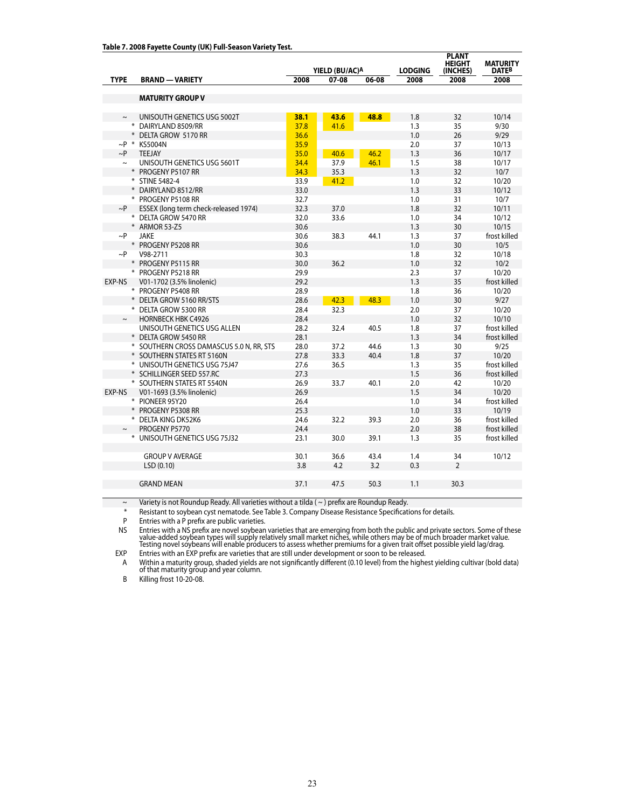|             |                                          | YIELD (BU/AC)A |                |      | <b>LODGING</b> | <b>PLANT</b><br><b>HEIGHT</b><br>(INCHES) | <b>MATURITY</b><br><b>DATEB</b> |
|-------------|------------------------------------------|----------------|----------------|------|----------------|-------------------------------------------|---------------------------------|
| <b>TYPE</b> | <b>BRAND - VARIETY</b>                   | 2008           | 07-08<br>06-08 |      | 2008           | 2008                                      | 2008                            |
|             |                                          |                |                |      |                |                                           |                                 |
|             | <b>MATURITY GROUP V</b>                  |                |                |      |                |                                           |                                 |
|             |                                          |                |                |      |                |                                           |                                 |
| $\thicksim$ | UNISOUTH GENETICS USG 5002T              | 38.1           | 43.6           | 48.8 | 1.8            | 32                                        | 10/14                           |
|             | * DAIRYLAND 8509/RR                      | 37.8           | 41.6           |      | 1.3            | 35                                        | 9/30                            |
|             | * DELTA GROW 5170 RR                     | 36.6<br>35.9   |                |      | 1.0            | 26                                        | 9/29                            |
| $\sim P$    | $\sim$ P * KS5004N<br><b>TEEJAY</b>      | 35.0           |                | 46.2 | 2.0<br>1.3     | 37<br>36                                  | 10/13<br>10/17                  |
| $\sim$      | UNISOUTH GENETICS USG 5601T              | 34.4           | 40.6<br>37.9   | 46.1 | 1.5            | 38                                        | 10/17                           |
|             | * PROGENY P5107 RR                       | 34.3           | 35.3           |      | 1.3            | 32                                        | 10/7                            |
|             | * STINE 5482-4                           | 33.9           | 41.2           |      | 1.0            | 32                                        | 10/20                           |
|             | * DAIRYLAND 8512/RR                      | 33.0           |                |      | 1.3            | 33                                        | 10/12                           |
|             | * PROGENY P5108 RR                       | 32.7           |                |      | 1.0            | 31                                        | 10/7                            |
| $\sim P$    | ESSEX (long term check-released 1974)    | 32.3           | 37.0           |      | 1.8            | 32                                        | 10/11                           |
|             | * DELTA GROW 5470 RR                     | 32.0           | 33.6           |      | 1.0            | 34                                        | 10/12                           |
|             | * ARMOR 53-Z5                            | 30.6           |                |      | 1.3            | 30                                        | 10/15                           |
| $\sim$ P    | <b>JAKE</b>                              | 30.6           | 38.3           | 44.1 | 1.3            | 37                                        | frost killed                    |
|             | * PROGENY P5208 RR                       | 30.6           |                |      | 1.0            | 30                                        | 10/5                            |
| ~P          | V98-2711                                 | 30.3           |                |      | 1.8            | 32                                        | 10/18                           |
|             | * PROGENY P5115 RR                       | 30.0           | 36.2           |      | 1.0            | 32                                        | 10/2                            |
|             | * PROGENY P5218 RR                       | 29.9           |                |      | 2.3            | 37                                        | 10/20                           |
| EXP-NS      | V01-1702 (3.5% linolenic)                | 29.2           |                |      | 1.3            | 35                                        | frost killed                    |
|             | * PROGENY P5408 RR                       | 28.9           |                |      | 1.8            | 36                                        | 10/20                           |
|             | * DELTA GROW 5160 RR/STS                 | 28.6           | 42.3           | 48.3 | 1.0            | 30                                        | 9/27                            |
|             | * DELTA GROW 5300 RR                     | 28.4           | 32.3           |      | 2.0            | 37                                        | 10/20                           |
| $\sim$      | <b>HORNBECK HBK C4926</b>                | 28.4           |                |      | 1.0            | 32                                        | 10/10                           |
|             | UNISOUTH GENETICS USG ALLEN              | 28.2           | 32.4           | 40.5 | 1.8            | 37                                        | frost killed                    |
|             | * DELTA GROW 5450 RR                     | 28.1           |                |      | 1.3            | 34                                        | frost killed                    |
|             | * SOUTHERN CROSS DAMASCUS 5.0 N, RR, STS | 28.0           | 37.2           | 44.6 | 1.3            | 30                                        | 9/25                            |
|             | * SOUTHERN STATES RT 5160N               | 27.8           | 33.3           | 40.4 | 1.8            | 37                                        | 10/20                           |
|             | * UNISOUTH GENETICS USG 75J47            | 27.6           | 36.5           |      | 1.3            | 35                                        | frost killed                    |
|             | * SCHILLINGER SEED 557.RC                | 27.3           |                |      | 1.5            | 36                                        | frost killed                    |
|             | * SOUTHERN STATES RT 5540N               | 26.9           | 33.7           | 40.1 | 2.0            | 42                                        | 10/20                           |
| EXP-NS      | V01-1693 (3.5% linolenic)                | 26.9           |                |      | 1.5            | 34                                        | 10/20                           |
|             | * PIONEER 95Y20                          | 26.4           |                |      | 1.0            | 34                                        | frost killed                    |
|             | * PROGENY P5308 RR                       | 25.3           |                |      | 1.0            | 33                                        | 10/19                           |
|             | * DELTA KING DK52K6                      | 24.6           | 32.2           | 39.3 | 2.0            | 36                                        | frost killed                    |
|             | PROGENY P5770                            | 24.4           |                |      | 2.0            | 38                                        | frost killed                    |
|             | * UNISOUTH GENETICS USG 75J32            | 23.1           | 30.0           | 39.1 | 1.3            | 35                                        | frost killed                    |
|             | <b>GROUP V AVERAGE</b>                   | 30.1           | 36.6           | 43.4 | 1.4            | 34                                        | 10/12                           |
|             | LSD(0.10)                                | 3.8            | 4.2            | 3.2  | 0.3            | $\overline{2}$                            |                                 |
|             |                                          |                |                |      |                |                                           |                                 |
|             | <b>GRAND MEAN</b>                        | 37.1           | 47.5           | 50.3 | 1.1            | 30.3                                      |                                 |
|             |                                          |                |                |      |                |                                           |                                 |

 $\sim$  Variety is not Roundup Ready. All varieties without a tilda ( $\sim$ ) prefix are Roundup Ready.

\* Resistant to soybean cyst nematode. See Table 3. Company Disease Resistance Specifications for details.

P Entries with a P prefix are public varieties.<br>NS Entries with a NS prefix are novel soybean NS Entries with a NS prefix are novel soybean varieties that are emerging from both the public and private sectors. Some of these<br>- value-added soybean types will supply relatively small market niches, while others may be

EXP Entries with an EXP prefix are varieties that are still under development or soon to be released.

A Within a maturity group, shaded yields are not significantly different (0.10 level) from the highest yielding cultivar (bold data) of that maturity group and year column.

B Killing frost 10-20-08.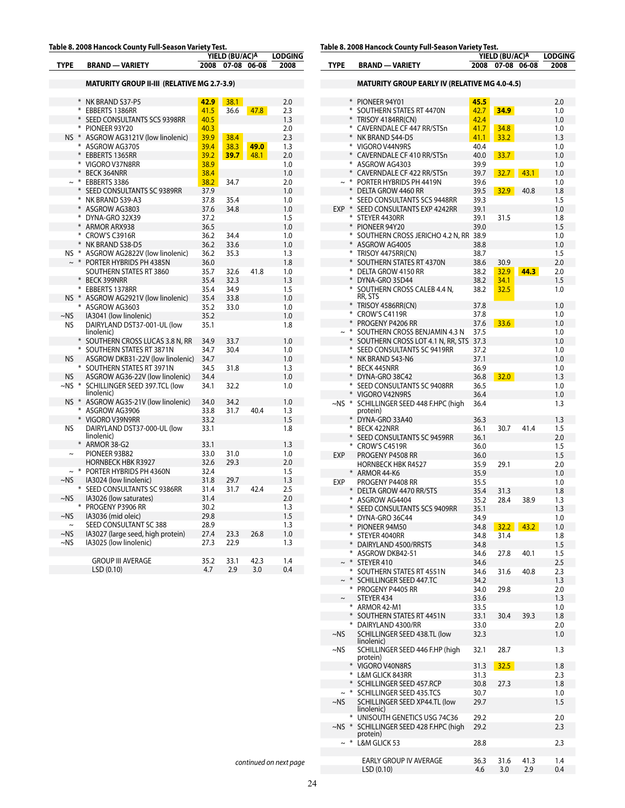# **Table 8. 2008 Hancock County Full-Season Variety Test.**

|             |        |                                                    |      | YIELD (BU/AC) <sup>A</sup> | <b>LODGING</b> |      |
|-------------|--------|----------------------------------------------------|------|----------------------------|----------------|------|
| <b>TYPE</b> |        | <b>BRAND - VARIETY</b>                             | 2008 | 07-08                      | 06-08          | 2008 |
|             |        |                                                    |      |                            |                |      |
|             |        | <b>MATURITY GROUP II-III (RELATIVE MG 2.7-3.9)</b> |      |                            |                |      |
|             | $\ast$ | NK BRAND S37-P5                                    | 42.9 | 38.1                       |                | 2.0  |
|             | ⋇      | EBBERTS 1386RR                                     | 41.5 | 36.6                       | 47.8           | 2.3  |
|             | ⋇      | SEED CONSULTANTS SCS 9398RR                        | 40.5 |                            |                | 1.3  |
|             | ⋇      | PIONEER 93Y20                                      | 40.3 |                            |                | 2.0  |
| $NS$ $*$    |        | ASGROW AG3121V (low linolenic)                     | 39.9 | 38.4                       |                | 2.3  |
|             | *      |                                                    | 39.4 | 38.3                       |                |      |
|             | $\ast$ | ASGROW AG3705                                      |      |                            | 49.0           | 1.3  |
|             | ₩      | EBBERTS 1365RR                                     | 39.2 | 39.7                       | 48.1           | 2.0  |
|             | $\ast$ | VIGORO V37N8RR                                     | 38.9 |                            |                | 1.0  |
|             | $\ast$ | <b>BECK 364NRR</b>                                 | 38.4 |                            |                | 1.0  |
|             | $\ast$ | EBBERTS 3386                                       | 38.2 | 34.7                       |                | 2.0  |
|             | *      | SEED CONSULTANTS SC 9389RR                         | 37.9 |                            |                | 1.0  |
|             | $*$    | NK BRAND S39-A3                                    | 37.8 | 35.4                       |                | 1.0  |
|             |        | ASGROW AG3803                                      | 37.6 | 34.8                       |                | 1.0  |
|             | ₩      | DYNA-GRO 32X39                                     | 37.2 |                            |                | 1.5  |
|             | ⋇      | <b>ARMOR ARX938</b>                                | 36.5 |                            |                | 1.0  |
|             | *      | CROW'S C3916R                                      | 36.2 | 34.4                       |                | 1.0  |
|             | *      | NK BRAND S38-D5                                    | 36.2 | 33.6                       |                | 1.0  |
| NS.         | ∗      | ASGROW AG2822V (low linolenic)                     | 36.2 | 35.3                       |                | 1.3  |
|             | $\ast$ | PORTER HYBRIDS PH 4385N                            | 36.0 |                            |                | 1.8  |
|             |        | SOUTHERN STATES RT 3860                            | 35.7 | 32.6                       | 41.8           | 1.0  |
|             | *      | <b>BECK 399NRR</b>                                 | 35.4 | 32.3                       |                | 1.3  |
|             | ⋇      | EBBERTS 1378RR                                     | 35.4 | 34.9                       |                | 1.5  |
| $NS$ $*$    |        | ASGROW AG2921V (low linolenic)                     | 35.4 | 33.8                       |                | 1.0  |
|             |        | ASGROW AG3603                                      | 35.2 | 33.0                       |                | 1.0  |
| $~\sim$ NS  |        | IA3041 (low linolenic)                             | 35.2 |                            |                | 1.0  |
| <b>NS</b>   |        | DAIRYLAND DST37-001-UL (low<br>linolenic)          | 35.1 |                            |                | 1.8  |
|             | $\ast$ | SOUTHERN CROSS LUCAS 3.8 N, RR                     | 34.9 | 33.7                       |                | 1.0  |
|             |        | * SOUTHERN STATES RT 3871N                         | 34.7 | 30.4                       |                | 1.0  |
| NS          |        | ASGROW DKB31-22V (low linolenic)                   | 34.7 |                            |                | 1.0  |
|             |        | SOUTHERN STATES RT 3971N                           | 34.5 | 31.8                       |                | 1.3  |
| NS          |        | ASGROW AG36-22V (low linolenic)                    | 34.4 |                            |                | 1.0  |
| ~NS         |        | SCHILLINGER SEED 397.TCL (low<br>linolenic)        | 34.1 | 32.2                       |                | 1.0  |
| $NS$ $*$    |        | ASGROW AG35-21V (low linolenic)                    | 34.0 | 34.2                       |                | 1.0  |
|             |        | ASGROW AG3906                                      | 33.8 | 31.7                       | 40.4           | 1.3  |
|             |        | VIGORO V39N9RR                                     | 33.2 |                            |                | 1.5  |
| <b>NS</b>   |        | DAIRYLAND DST37-000-UL (low<br>linolenic)          | 33.1 |                            |                | 1.8  |
|             | ¥      | ARMOR 38-G2                                        | 33.1 |                            |                | 1.3  |
| $\tilde{}$  |        | PIONEER 93B82                                      | 33.0 | 31.0                       |                | 1.0  |
|             |        | <b>HORNBECK HBK R3927</b>                          | 32.6 | 29.3                       |                | 2.0  |
|             | ₩      | PORTER HYBRIDS PH 4360N                            | 32.4 |                            |                | 1.5  |
| $\sim$ NS   |        | IA3024 (low linolenic)                             | 31.8 | 29.7                       |                | 1.3  |
|             |        | SEED CONSULTANTS SC 9386RR                         | 31.4 | 31.7                       | 42.4           | 2.5  |
| $\sim$ NS   |        | IA3026 (low saturates)                             | 31.4 |                            |                | 2.0  |
|             |        | PROGENY P3906 RR                                   | 30.2 |                            |                | 1.3  |
| $\sim$ NS   |        | IA3036 (mid oleic)                                 | 29.8 |                            |                | 1.5  |
|             |        | SEED CONSULTANT SC 388                             | 28.9 |                            |                | 1.3  |
| $\sim$ NS   |        | IA3027 (large seed, high protein)                  | 27.4 | 23.3                       | 26.8           | 1.0  |
| $\sim$ NS   |        | IA3025 (low linolenic)                             | 27.3 | 22.9                       |                | 1.3  |
|             |        |                                                    |      |                            |                |      |
|             |        | GROUP III AVERAGE                                  | 35.2 | 33.1                       | 42.3           | 1.4  |
|             |        | LSD (0.10)                                         | 4.7  | 2.9                        | 3.0            | 0.4  |
|             |        |                                                    |      |                            |                |      |

| Table 8. 2008 Hancock County Full-Season Variety Test. |  |  |
|--------------------------------------------------------|--|--|
|--------------------------------------------------------|--|--|

| -08              | 3U/AC) <sup>A</sup><br>06-08 | <b>LODGING</b><br>2008 | <b>TYPE</b> |               | <b>BRAND - VARIETY</b>                               | 2008         | YIELD (BU/AC)A | 07-08 06-08 | <b>LODGING</b><br>2008 |
|------------------|------------------------------|------------------------|-------------|---------------|------------------------------------------------------|--------------|----------------|-------------|------------------------|
| )                |                              |                        |             |               | <b>MATURITY GROUP EARLY IV (RELATIVE MG 4.0-4.5)</b> |              |                |             |                        |
| 3.1 <sub>1</sub> |                              | 2.0                    |             | ∗             | PIONEER 94Y01                                        | 45.5         |                |             | 2.0                    |
| ì.б              | 47.8                         | 2.3                    |             |               | * SOUTHERN STATES RT 4470N                           | 42.7         | 34.9           |             | 1.0                    |
|                  |                              | 1.3                    |             |               | TRISOY 4184RR(CN)                                    | 42.4         |                |             | 1.0                    |
|                  |                              | 2.0                    |             |               | * CAVERNDALE CF 447 RR/STSn                          | 41.7         | 34.8           |             | 1.0                    |
| .4               |                              | 2.3                    |             | ∗             | NK BRAND S44-D5                                      | 41.1         | 33.2           |             | 1.3                    |
| 3 <sup>2</sup>   | 49.0                         | 1.3                    |             | ∗             | VIGORO V44N9RS                                       | 40.4         |                |             | 1.0                    |
| .7               | 48.1                         | 2.0                    |             | $*$           | CAVERNDALE CF 410 RR/STSn                            | 40.0         | 33.7           |             | 1.0                    |
|                  |                              | 1.0<br>1.0             |             | $*$           | * ASGROW AG4303<br><b>CAVERNDALE CF 422 RR/STSn</b>  | 39.9<br>39.7 | 32.7           | 43.1        | 1.0<br>1.0             |
| ٠.7              |                              | 2.0                    |             |               | $\sim$ * PORTER HYBRIDS PH 4419N                     | 39.6         |                |             | 1.0                    |
|                  |                              | 1.0                    |             |               | * DELTA GROW 4460 RR                                 | 39.5         | 32.9           | 40.8        | 1.8                    |
| i.4              |                              | 1.0                    |             |               | SEED CONSULTANTS SCS 9448RR                          | 39.3         |                |             | 1.5                    |
| ا.8              |                              | 1.0                    | EXP *       |               | SEED CONSULTANTS EXP 4242RR                          | 39.1         |                |             | 1.0                    |
|                  |                              | 1.5                    |             |               | * STEYER 4430RR                                      | 39.1         | 31.5           |             | 1.8                    |
|                  |                              | 1.0                    |             |               | * PIONEER 94Y20                                      | 39.0         |                |             | 1.5                    |
| 4.               |                              | 1.0                    |             |               | SOUTHERN CROSS JERICHO 4.2 N, RR 38.9                |              |                |             | 1.0                    |
| 6.ه<br>i.3       |                              | 1.0<br>1.3             |             | ∗             | * ASGROW AG4005<br>TRISOY 4475RR(CN)                 | 38.8<br>38.7 |                |             | 1.0<br>1.5             |
|                  |                              | 1.8                    |             | $*$           | SOUTHERN STATES RT 4370N                             | 38.6         | 30.9           |             | 2.0                    |
| .6               | 41.8                         | 1.0                    |             |               | * DELTA GROW 4150 RR                                 | 38.2         | 32.9           | 44.3        | 2.0                    |
| .3               |                              | 1.3                    |             | $*$           | DYNA-GRO 35D44                                       | 38.2         | 34.1           |             | 1.5                    |
| و.               |                              | 1.5                    |             |               | * SOUTHERN CROSS CALEB 4.4 N,                        | 38.2         | 32.5           |             | 1.0                    |
| .8               |                              | 1.0                    |             |               | RR, STS                                              |              |                |             |                        |
| 0.،              |                              | 1.0                    |             |               | * TRISOY 4586RR(CN)                                  | 37.8         |                |             | 1.0                    |
|                  |                              | 1.0                    |             |               | * CROW'S C4119R<br>* PROGENY P4206 RR                | 37.8<br>37.6 | 33.6           |             | 1.0<br>1.0             |
|                  |                              | 1.8                    |             |               | $\sim$ * SOUTHERN CROSS BENJAMIN 4.3 N               | 37.5         |                |             | 1.0                    |
| .7               |                              | 1.0                    |             |               | * SOUTHERN CROSS LOT 4.1 N, RR, STS 37.3             |              |                |             | 1.0                    |
| 4.(              |                              | 1.0                    |             |               | * SEED CONSULTANTS SC 9419RR                         | 37.2         |                |             | 1.0                    |
|                  |                              | 1.0                    |             | ∗             | NK BRAND S43-N6                                      | 37.1         |                |             | 1.0                    |
| .8               |                              | 1.3                    |             | $*$           | <b>BECK 445NRR</b>                                   | 36.9         |                |             | 1.0                    |
|                  |                              | 1.0                    |             | ⋇             | DYNA-GRO 38C42                                       | 36.8         | 32.0           |             | 1.3                    |
| 2.2              |                              | 1.0                    |             |               | SEED CONSULTANTS SC 9408RR                           | 36.5         |                |             | 1.0                    |
| .2               |                              |                        |             | ⋇             | VIGORO V42N9RS                                       | 36.4         |                |             | 1.0                    |
| .7               | 40.4                         | 1.0<br>1.3             | ~NS *       |               | SCHILLINGER SEED 448 F.HPC (high<br>protein)         | 36.4         |                |             | 1.3                    |
|                  |                              | 1.5                    |             | ⋇             | DYNA-GRO 33A40                                       | 36.3         |                |             | 1.3                    |
|                  |                              | 1.8                    |             |               | <b>BECK 422NRR</b>                                   | 36.1         | 30.7           | 41.4        | 1.5                    |
|                  |                              |                        |             | ⋇             | SEED CONSULTANTS SC 9459RR                           | 36.1         |                |             | 2.0                    |
|                  |                              | 1.3                    |             |               | * CROW'S C4519R                                      | 36.0         |                |             | 1.5                    |
| .0<br>.3         |                              | 1.0<br>2.0             | <b>EXP</b>  |               | PROGENY P4508 RR                                     | 36.0         |                |             | 1.5                    |
|                  |                              | 1.5                    |             |               | <b>HORNBECK HBK R4527</b>                            | 35.9         | 29.1           |             | 2.0                    |
| 1.7              |                              | 1.3                    | <b>EXP</b>  |               | * ARMOR 44-K6<br>PROGENY P4408 RR                    | 35.9<br>35.5 |                |             | 1.0<br>1.0             |
| .7               | 42.4                         | 2.5                    |             |               | * DELTA GROW 4470 RR/STS                             | 35.4         | 31.3           |             | 1.8                    |
|                  |                              | 2.0                    |             |               | * ASGROW AG4404                                      | 35.2         | 28.4           | 38.9        | 1.3                    |
|                  |                              | 1.3                    |             |               | * SEED CONSULTANTS SCS 9409RR                        | 35.1         |                |             | 1.3                    |
|                  |                              | 1.5                    |             | ₩             | DYNA-GRO 36C44                                       | 34.9         |                |             | 1.0                    |
|                  |                              | 1.3                    |             | ⋇             | PIONEER 94M50                                        | 34.8         | 32.2           | 43.2        | 1.0                    |
| $\mathbf{.3}$    | 26.8                         | 1.0                    |             | ⋇             | STEYER 4040RR                                        | 34.8         | 31.4           |             | 1.8                    |
| و.               |                              | 1.3                    |             |               | DAIRYLAND 4500/RRSTS                                 | 34.8         |                |             | $1.5\,$                |
| $\cdot$ 1        | 42.3                         | 1.4                    |             | ⋇<br>$\sim$ * | ASGROW DKB42-51                                      | 34.6         | 27.8           | 40.1        | 1.5                    |
| 9.               | 3.0                          | 0.4                    |             | $\ast$        | STEYER 410<br>SOUTHERN STATES RT 4551N               | 34.6<br>34.6 | 31.6           | 40.8        | 2.5<br>2.3             |
|                  |                              |                        |             |               | $\sim$ * SCHILLINGER SEED 447.TC                     | 34.2         |                |             | 1.3                    |
|                  |                              |                        |             |               | * PROGENY P4405 RR                                   | 34.0         | 29.8           |             | 2.0                    |
|                  |                              |                        | $\sim$      |               | STEYER 434                                           | 33.6         |                |             | 1.3                    |
|                  |                              |                        |             |               | * ARMOR 42-M1                                        | 33.5         |                |             | 1.0                    |
|                  |                              |                        |             | ₩             | SOUTHERN STATES RT 4451N                             | 33.1         | 30.4           | 39.3        | 1.8                    |
|                  |                              |                        |             |               | * DAIRYLAND 4300/RR                                  | 33.0         |                |             | 2.0                    |
|                  |                              |                        | ~NS         |               | SCHILLINGER SEED 438.TL (low                         | 32.3         |                |             | 1.0                    |
|                  |                              |                        | ~NS         |               | linolenic)<br>SCHILLINGER SEED 446 F.HP (high        | 32.1         | 28.7           |             | 1.3                    |
|                  |                              |                        |             |               | protein)                                             |              |                |             |                        |
|                  |                              |                        |             |               | * VIGORO V40N8RS                                     | 31.3         | 32.5           |             | 1.8                    |
|                  |                              |                        |             |               | * L&M GLICK 843RR                                    | 31.3         |                |             | 2.3                    |
|                  |                              |                        |             |               | SCHILLINGER SEED 457.RCP                             | 30.8         | 27.3           |             | 1.8                    |
|                  |                              |                        |             | $\sim$ $*$    | SCHILLINGER SEED 435.TCS                             | 30.7         |                |             | 1.0                    |
|                  |                              |                        | ~NS         |               | SCHILLINGER SEED XP44.TL (low<br>linolenic)          | 29.7         |                |             | 1.5                    |
|                  |                              |                        |             |               | * UNISOUTH GENETICS USG 74C36                        | 29.2         |                |             | 2.0                    |
|                  |                              |                        |             |               | ~NS * SCHILLINGER SEED 428 F.HPC (high               | 29.2         |                |             | 2.3                    |
|                  |                              |                        |             |               | protein)                                             |              |                |             |                        |
|                  |                              |                        | $\sim$ *    |               | L&M GLICK 53                                         | 28.8         |                |             | 2.3                    |
|                  |                              |                        |             |               |                                                      |              |                |             |                        |
|                  |                              | continued on next page |             |               | EARLY GROUP IV AVERAGE<br>LSD(0.10)                  | 36.3<br>4.6  | 31.6<br>3.0    | 41.3<br>2.9 | 1.4<br>0.4             |
|                  |                              |                        |             |               |                                                      |              |                |             |                        |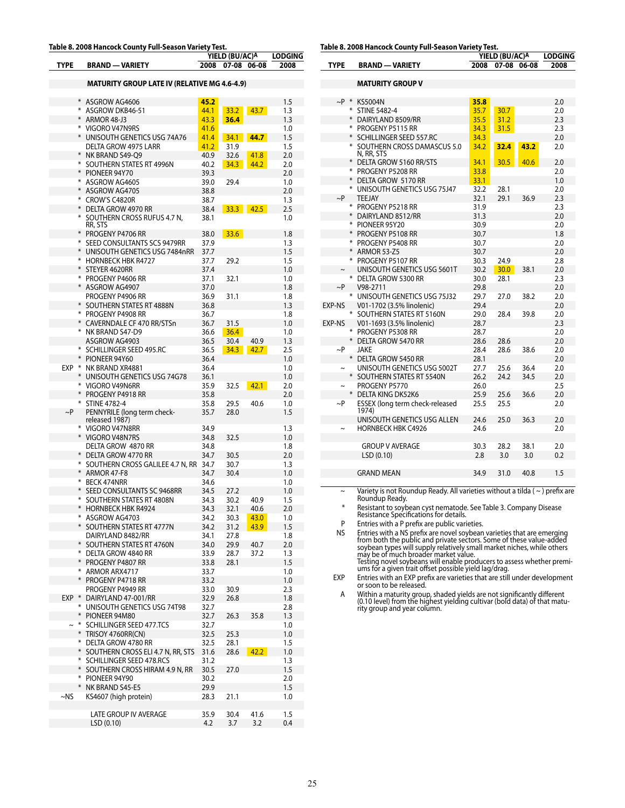#### **Table 8. 2008 Hancock County Full-Season Variety Test.**

|             |     |                                                            |              | YIELD (BU/AC) <sup>A</sup> |             | <b>LODGING</b> |
|-------------|-----|------------------------------------------------------------|--------------|----------------------------|-------------|----------------|
| <b>TYPE</b> |     | <b>BRAND - VARIETY</b>                                     | 2008         | 07-08                      | 06-08       | 2008           |
|             |     |                                                            |              |                            |             |                |
|             |     | <b>MATURITY GROUP LATE IV (RELATIVE MG 4.6-4.9)</b>        |              |                            |             |                |
|             | $*$ | ASGROW AG4606                                              | 45.2         |                            |             | 1.5            |
|             |     | * ASGROW DKB46-51                                          | 44.1         | 33.2                       | 43.7        | 1.3            |
|             |     | * ARMOR 48-J3                                              | 43.3         | 36.4                       |             | 1.3            |
|             |     | * VIGORO V47N9RS                                           | 41.6         |                            |             | 1.0            |
|             |     | * UNISOUTH GENETICS USG 74A76                              | 41.4         | 34.1                       | 44.7        | 1.5            |
|             |     | DELTA GROW 4975 LARR                                       | 41.2         | 31.9                       |             | 1.5            |
|             |     | * NK BRAND S49-Q9                                          | 40.9         | 32.6                       | 41.8        | 2.0            |
|             |     | * SOUTHERN STATES RT 4996N                                 | 40.2         | 34.3                       | 44.2        | 2.0            |
|             |     | * PIONEER 94Y70                                            | 39.3         |                            |             | 2.0            |
|             |     | * ASGROW AG4605                                            | 39.0         | 29.4                       |             | 1.0            |
|             |     | * ASGROW AG4705                                            | 38.8         |                            |             | 2.0            |
|             |     | * CROW'S C4820R                                            | 38.7         |                            |             | 1.3            |
|             |     | * DELTA GROW 4970 RR                                       | 38.4         |                            | $33.3$ 42.5 | 2.5            |
|             |     | * SOUTHERN CROSS RUFUS 4.7 N,<br>RR, STS                   | 38.1         |                            |             | 1.0            |
|             |     | * PROGENY P4706 RR                                         | 38.0         | 33.6                       |             | 1.8            |
|             |     | * SEED CONSULTANTS SCS 9479RR                              | 37.9         |                            |             | 1.3            |
|             |     | * UNISOUTH GENETICS USG 7484nRR                            | 37.7         |                            |             | 1.5            |
|             |     | * HORNBECK HBK R4727                                       | 37.7         | 29.2                       |             | 1.5            |
|             |     | * STEYER 4620RR                                            | 37.4         |                            |             | 1.0            |
|             |     | * PROGENY P4606 RR                                         | 37.1         | 32.1                       |             | 1.0            |
|             |     | * ASGROW AG4907                                            | 37.0         |                            |             | 1.8            |
|             |     | PROGENY P4906 RR                                           | 36.9         | 31.1                       |             | 1.8            |
|             |     | * SOUTHERN STATES RT 4888N                                 | 36.8         |                            |             | 1.3            |
|             |     | * PROGENY P4908 RR                                         | 36.7         |                            |             | 1.8            |
|             |     | * CAVERNDALE CF 470 RR/STSn                                | 36.7         | 31.5                       |             | 1.0            |
|             |     | * NK BRAND S47-D9                                          | 36.6         | 36.4                       |             | 1.0            |
|             |     | ASGROW AG4903                                              | 36.5         | 30.4                       | 40.9        | 1.3            |
|             |     | * SCHILLINGER SEED 495.RC                                  | 36.5         | 34.3                       | 42.7        | 2.5            |
|             |     | * PIONEER 94Y60                                            | 36.4         |                            |             | 1.0            |
|             |     | EXP * NK BRAND XR4881<br>* UNISOUTH GENETICS USG 74G78     | 36.4<br>36.1 |                            |             | 1.0<br>1.0     |
|             |     | * VIGORO V49N6RR                                           | 35.9         | 32.5                       | 42.1        | 2.0            |
|             |     | * PROGENY P4918 RR                                         | 35.8         |                            |             | 2.0            |
|             |     | * STINE 4782-4                                             | 35.8         | 29.5                       | 40.6        | 1.0            |
| $\sim P$    |     | PENNYRILE (long term check-                                | 35.7         | 28.0                       |             | 1.5            |
|             |     | released 1987)                                             |              |                            |             |                |
|             |     | * VIGORO V47N8RR                                           | 34.9         |                            |             | 1.3            |
|             |     | * VIGORO V48N7RS                                           | 34.8         | 32.5                       |             | 1.0            |
|             |     | DELTA GROW 4870 RR                                         | 34.8         |                            |             | 1.8            |
|             |     | * DELTA GROW 4770 RR                                       | 34.7         | 30.5                       |             | 2.0            |
|             |     | * SOUTHERN CROSS GALILEE 4.7 N, RR                         | 34.7         | 30.7                       |             | 1.3            |
|             |     | * ARMOR 47-F8                                              | 34.7         | 30.4                       |             | 1.0            |
|             |     | * BECK 474NRR                                              | 34.6         |                            |             | 1.0            |
|             |     | * SEED CONSULTANTS SC 9468RR<br>* SOUTHERN STATES RT 4808N | 34.5<br>34.3 | 27.2                       | 40.9        | 1.0            |
|             | $*$ | <b>HORNBECK HBK R4924</b>                                  | 34.3         | 30.2<br>32.1               | 40.6        | 1.5<br>2.0     |
|             |     | * ASGROW AG4703                                            | 34.2         | 30.3                       | 43.0        | 1.0            |
|             |     | * SOUTHERN STATES RT 4777N                                 | 34.2         | 31.2                       | 43.9        | 1.5            |
|             |     | DAIRYLAND 8482/RR                                          | 34.1         | 27.8                       |             | 1.8            |
|             |     | * SOUTHERN STATES RT 4760N                                 | 34.0         | 29.9                       | 40.7        | 2.0            |
|             | ⋇   | DELTA GROW 4840 RR                                         | 33.9         | 28.7                       | 37.2        | 1.3            |
|             | $*$ | PROGENY P4807 RR                                           | 33.8         | 28.1                       |             | 1.5            |
|             | ⋇   | ARMOR ARX4717                                              | 33.7         |                            |             | 1.0            |
|             |     | * PROGENY P4718 RR                                         | 33.2         |                            |             | 1.0            |
|             |     | PROGENY P4949 RR                                           | 33.0         | 30.9                       |             | 2.3            |
| EXP *       |     | DAIRYLAND 47-001/RR                                        | 32.9         | 26.8                       |             | 1.8            |
|             | ⋇   | UNISOUTH GENETICS USG 74T98                                | 32.7         |                            |             | 2.8            |
|             |     | * PIONEER 94M80                                            | 32.7         | 26.3                       | 35.8        | 1.3            |
|             | $*$ | SCHILLINGER SEED 477.TCS                                   | 32.7         |                            |             | 1.0            |
|             | $*$ | TRISOY 4760RR(CN)                                          | 32.5         | 25.3                       |             | 1.0            |
|             |     | * DELTA GROW 4780 RR                                       | 32.5         | 28.1                       |             | 1.5            |
|             | $*$ | SOUTHERN CROSS ELI 4.7 N, RR, STS                          | 31.6         | 28.6                       | 42.2        | 1.0            |
|             | ⋇   | * SCHILLINGER SEED 478.RCS                                 | 31.2         |                            |             | 1.3            |
|             | ⋇   | SOUTHERN CROSS HIRAM 4.9 N, RR<br>PIONEER 94Y90            | 30.5         | 27.0                       |             | 1.5            |
|             | $*$ | NK BRAND S45-E5                                            | 30.2<br>29.9 |                            |             | 2.0<br>1.5     |
| $~\sim$ NS  |     | KS4607 (high protein)                                      | 28.3         | 21.1                       |             | 1.0            |
|             |     |                                                            |              |                            |             |                |
|             |     | LATE GROUP IV AVERAGE                                      | 35.9         | 30.4                       | 41.6        | 1.5            |
|             |     | LSD (0.10)                                                 | 4.2          | 3.7                        | 3.2         | 0.4            |
|             |     |                                                            |              |                            |             |                |

| Table 8. 2008 Hancock County Full-Season Variety Test. |
|--------------------------------------------------------|
|--------------------------------------------------------|

|               |        |                                             | YIELD (BU/AC)A | <b>LODGING</b> |       |      |
|---------------|--------|---------------------------------------------|----------------|----------------|-------|------|
| <b>TYPE</b>   |        | <b>BRAND - VARIETY</b>                      | 2008           | 07-08          | 06-08 | 2008 |
|               |        | <b>MATURITY GROUP V</b>                     |                |                |       |      |
|               |        | $\sim$ P * KS5004N                          | 35.8           |                |       | 2.0  |
|               |        | * STINE 5482-4                              | 35.7           | 30.7           |       | 2.0  |
|               |        | * DAIRYLAND 8509/RR                         | 35.5           | 31.2           |       | 2.3  |
|               |        | * PROGENY P5115 RR                          | 34.3           | 31.5           |       | 2.3  |
|               |        | * SCHILLINGER SEED 557.RC                   | 34.3           |                |       | 2.0  |
|               |        | * SOUTHERN CROSS DAMASCUS 5.0<br>N, RR, STS | 34.2           | 32.4           | 43.2  | 2.0  |
|               |        | * DELTA GROW 5160 RR/STS                    | 34.1           | 30.5           | 40.6  | 2.0  |
|               | ⋇      | PROGENY P5208 RR                            | 33.8           |                |       | 2.0  |
|               | $\ast$ | DELTA GROW 5170 RR                          | 33.1           |                |       | 1.0  |
|               |        | * UNISOUTH GENETICS USG 75J47               | 32.2           | 28.1           |       | 2.0  |
| $\sim P$      |        | <b>TEEJAY</b>                               | 32.1           | 29.1           | 36.9  | 2.3  |
|               |        | * PROGENY P5218 RR                          | 31.9           |                |       | 2.3  |
|               |        | * DAIRYLAND 8512/RR                         | 31.3           |                |       | 2.0  |
|               |        | * PIONEER 95Y20                             | 30.9           |                |       | 2.0  |
|               |        | * PROGENY P5108 RR                          | 30.7           |                |       | 1.8  |
|               |        | * PROGENY P5408 RR                          | 30.7           |                |       | 2.0  |
|               | $\ast$ | <b>ARMOR 53-Z5</b>                          | 30.7           |                |       | 2.0  |
|               |        | * PROGENY P5107 RR                          | 30.3           | 24.9           |       | 2.8  |
| $\tilde{}$    |        | UNISOUTH GENETICS USG 5601T                 | 30.2           | 30.0           | 38.1  | 2.0  |
|               |        | * DELTA GROW 5300 RR                        | 30.0           | 28.1           |       | 2.3  |
| $\sim P$      |        | V98-2711                                    | 29.8           |                |       | 2.0  |
|               |        | * UNISOUTH GENETICS USG 75J32               | 29.7           | 27.0           | 38.2  | 2.0  |
| EXP-NS        |        | V01-1702 (3.5% linolenic)                   | 29.4           |                |       | 2.0  |
|               |        | * SOUTHERN STATES RT 5160N                  | 29.0           | 28.4           | 39.8  | 2.0  |
| <b>EXP-NS</b> |        | V01-1693 (3.5% linolenic)                   | 28.7           |                |       | 2.3  |
|               |        | * PROGENY P5308 RR                          | 28.7           |                |       | 2.0  |
|               | $\ast$ | DELTA GROW 5470 RR                          | 28.6           | 28.6           |       | 2.0  |
| $\sim P$      |        | JAKE                                        | 28.4           | 28.6           | 38.6  | 2.0  |
|               |        | * DELTA GROW 5450 RR                        | 28.1           |                |       | 2.0  |
|               |        | UNISOUTH GENETICS USG 5002T                 | 27.7           | 25.6           | 36.4  | 2.0  |
|               |        | * SOUTHERN STATES RT 5540N                  | 26.2           | 24.2           | 34.5  | 2.0  |
| $\sim$        |        | PROGENY P5770                               | 26.0           |                |       | 2.5  |
|               |        | * DELTA KING DK52K6                         | 25.9           | 25.6           | 36.6  | 2.0  |
| ~P            |        | ESSEX (long term check-released<br>1974)    | 25.5           | 25.5           |       | 2.0  |
|               |        | UNISOUTH GENETICS USG ALLEN                 | 24.6           | 25.0           | 36.3  | 2.0  |
| $\sim$        |        | <b>HORNBECK HBK C4926</b>                   | 24.6           |                |       | 2.0  |
|               |        |                                             |                |                |       |      |
|               |        | <b>GROUP V AVERAGE</b>                      | 30.3           | 28.2           | 38.1  | 2.0  |
|               |        | LSD (0.10)                                  | 2.8            | 3.0            | 3.0   | 0.2  |
|               |        |                                             |                |                |       |      |
|               |        | <b>GRAND MEAN</b>                           | 34.9           | 31.0           | 40.8  | 1.5  |
|               |        |                                             |                |                |       |      |

~ Variety is not Roundup Ready. All varieties without a tilda ( ~ ) prefix are Roundup Ready.

\* Resistant to soybean cyst nematode. See Table 3. Company Disease Resistance Specifications for details.

P Entries with a P prefix are public varieties.<br>NS Entries with a NS prefix are novel soybean

NS<br>
Fintries with a NS prefix are novel soybean varieties that are emerging<br>
from both the public and private sectors. Some of these value-added<br>
soybean types will supply relatively small market niches, while others<br>
may

EXP Entries with an EXP prefix are varieties that are still under development or soon to be released.

A Within a maturity group, shaded yields are not significantly different (0.10 level) from the highest yielding cultivar (bold data) of that matu-rity group and year column.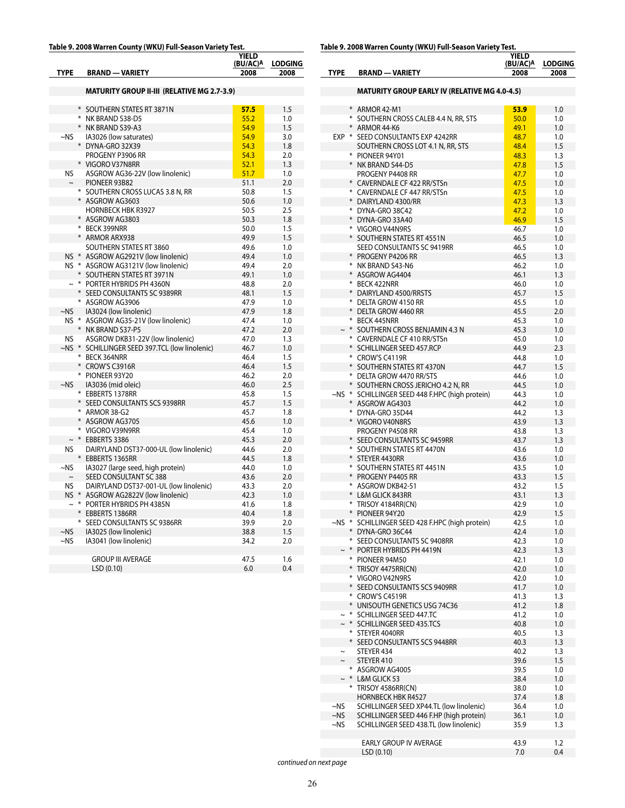#### **Table 9. 2008 Warren County (WKU) Full-Season Variety Test.**

|             |     |                                                           | YIELD            | <b>LODGING</b> |
|-------------|-----|-----------------------------------------------------------|------------------|----------------|
| <b>TYPE</b> |     | <b>BRAND - VARIETY</b>                                    | (BU/AC)A<br>2008 | 2008           |
|             |     |                                                           |                  |                |
|             |     | <b>MATURITY GROUP II-III (RELATIVE MG 2.7-3.9)</b>        |                  |                |
|             |     |                                                           |                  |                |
|             |     | * SOUTHERN STATES RT 3871N                                | 57.5             | 1.5            |
|             |     | * NK BRAND S38-D5                                         | 55.2             | 1.0            |
|             |     | * NK BRAND S39-A3                                         | 54.9             | 1.5            |
| $\sim$ NS   |     | IA3026 (low saturates)                                    | 54.9             | 3.0            |
|             |     | * DYNA-GRO 32X39                                          | 54.3             | 1.8            |
|             |     | PROGENY P3906 RR                                          | 54.3             | 2.0            |
|             |     | * VIGORO V37N8RR                                          | 52.1             | 1.3            |
| NS          |     | ASGROW AG36-22V (low linolenic)                           | 51.7             | 1.0            |
| $\thicksim$ |     | PIONEER 93B82                                             | 51.1             | 2.0            |
|             |     | * SOUTHERN CROSS LUCAS 3.8 N, RR                          | 50.8             | 1.5            |
|             |     | * ASGROW AG3603                                           | 50.6             | 1.0            |
|             |     | <b>HORNBECK HBK R3927</b>                                 | 50.5             | 2.5            |
|             |     | * ASGROW AG3803                                           | 50.3             | 1.8            |
|             |     | * BECK 399NRR                                             | 50.0             | 1.5            |
|             |     | * ARMOR ARX938                                            | 49.9             | 1.5            |
|             |     | SOUTHERN STATES RT 3860                                   | 49.6             | 1.0            |
|             |     | NS * ASGROW AG2921V (low linolenic)                       | 49.4             | 1.0            |
|             |     | NS * ASGROW AG3121V (low linolenic)                       | 49.4             | 2.0            |
|             |     | * SOUTHERN STATES RT 3971N                                | 49.1             | 1.0            |
|             |     | * PORTER HYBRIDS PH 4360N                                 | 48.8             | 2.0            |
|             |     | * SEED CONSULTANTS SC 9389RR                              | 48.1             | 1.5            |
|             |     | * ASGROW AG3906                                           | 47.9             | 1.0            |
| $\sim$ NS   |     | IA3024 (low linolenic)                                    | 47.9             | 1.8            |
|             |     | NS * ASGROW AG35-21V (low linolenic)                      | 47.4             | 1.0            |
|             |     | * NK BRAND S37-P5                                         | 47.2             | 2.0            |
| <b>NS</b>   |     | ASGROW DKB31-22V (low linolenic)                          | 47.0             | 1.3            |
| ~NS *       |     | SCHILLINGER SEED 397.TCL (low linolenic)<br>* BECK 364NRR | 46.7<br>46.4     | 1.0<br>1.5     |
|             |     | * CROW'S C3916R                                           | 46.4             | 1.5            |
|             |     | * PIONEER 93Y20                                           | 46.2             | 2.0            |
| $~\sim$ NS  |     | IA3036 (mid oleic)                                        | 46.0             | 2.5            |
|             |     | * EBBERTS 1378RR                                          | 45.8             | 1.5            |
|             |     | * SEED CONSULTANTS SCS 9398RR                             | 45.7             | 1.5            |
|             |     | * ARMOR 38-G2                                             | 45.7             | 1.8            |
|             |     | * ASGROW AG3705                                           | 45.6             | 1.0            |
|             |     | * VIGORO V39N9RR                                          | 45.4             | 1.0            |
| $\sim$      | $*$ | EBBERTS 3386                                              | 45.3             | 2.0            |
| <b>NS</b>   |     | DAIRYLAND DST37-000-UL (low linolenic)                    | 44.6             | 2.0            |
|             |     | * EBBERTS 1365RR                                          | 44.5             | 1.8            |
| $-NS$       |     | IA3027 (large seed, high protein)                         | 44.0             | 1.0            |
| $\sim$      |     | SEED CONSULTANT SC 388                                    | 43.6             | 2.0            |
| NS          |     | DAIRYLAND DST37-001-UL (low linolenic)                    | 43.3             | 2.0            |
| $NS$ $*$    |     | ASGROW AG2822V (low linolenic)                            | 42.3             | 1.0            |
| $\sim$      |     | * PORTER HYBRIDS PH 4385N                                 | 41.6             | 1.8            |
|             |     | * EBBERTS 1386RR                                          | 40.4             | 1.8            |
|             |     | * SEED CONSULTANTS SC 9386RR                              | 39.9             | 2.0            |
| $-NS$       |     | IA3025 (low linolenic)                                    | 38.8             | 1.5            |
| $\sim$ NS   |     | IA3041 (low linolenic)                                    | 34.2             | 2.0            |
|             |     |                                                           |                  |                |
|             |     | <b>GROUP III AVERAGE</b>                                  | 47.5             | 1.6            |
|             |     | LSD (0.10)                                                | 6.0              | 0.4            |

# **Table 9. 2008 Warren County (WKU) Full-Season Variety Test.**

|             |                                                                                     | YIELD<br>(BU/AC)A | <b>LODGING</b> |
|-------------|-------------------------------------------------------------------------------------|-------------------|----------------|
| <b>TYPE</b> | <b>BRAND - VARIETY</b>                                                              | 2008              | 2008           |
|             |                                                                                     |                   |                |
|             | <b>MATURITY GROUP EARLY IV (RELATIVE MG 4.0-4.5)</b>                                |                   |                |
|             | * ARMOR 42-M1                                                                       | 53.9              | 1.0            |
|             | * SOUTHERN CROSS CALEB 4.4 N, RR, STS<br>* ARMOR 44-K6                              | 50.0              | 1.0            |
|             | EXP * SEED CONSULTANTS EXP 4242RR                                                   | 49.1<br>48.7      | 1.0<br>1.0     |
|             | SOUTHERN CROSS LOT 4.1 N, RR, STS                                                   | 48.4              | 1.5            |
|             | * PIONEER 94Y01                                                                     | 48.3              | 1.3            |
|             | * NK BRAND S44-D5                                                                   | 47.8              | 1.5            |
|             | PROGENY P4408 RR<br>* CAVERNDALE CF 422 RR/STSn                                     | 47.7<br>47.5      | 1.0            |
|             | * CAVERNDALE CF 447 RR/STSn                                                         | 47.5              | 1.0<br>1.0     |
|             | * DAIRYLAND 4300/RR                                                                 | 47.3              | 1.3            |
|             | * DYNA-GRO 38C42                                                                    | 47.2              | 1.0            |
|             | * DYNA-GRO 33A40                                                                    | 46.9              | 1.5            |
|             | * VIGORO V44N9RS                                                                    | 46.7              | 1.0            |
|             | * SOUTHERN STATES RT 4551N<br>SEED CONSULTANTS SC 9419RR                            | 46.5<br>46.5      | 1.0<br>1.0     |
|             | * PROGENY P4206 RR                                                                  | 46.5              | 1.3            |
|             | * NK BRAND S43-N6                                                                   | 46.2              | 1.0            |
|             | * ASGROW AG4404                                                                     | 46.1              | 1.3            |
|             | * BECK 422NRR                                                                       | 46.0              | 1.0            |
|             | * DAIRYLAND 4500/RRSTS<br>* DELTA GROW 4150 RR                                      | 45.7<br>45.5      | 1.5<br>1.0     |
|             | * DELTA GROW 4460 RR                                                                | 45.5              | 2.0            |
|             | * BECK 445NRR                                                                       | 45.3              | 1.0            |
|             | $\sim$ * SOUTHERN CROSS BENJAMIN 4.3 N                                              | 45.3              | 1.0            |
|             | * CAVERNDALE CF 410 RR/STSn                                                         | 45.0              | 1.0            |
|             | * SCHILLINGER SEED 457.RCP                                                          | 44.9              | 2.3            |
|             | * CROW'S C4119R<br>* SOUTHERN STATES RT 4370N                                       | 44.8<br>44.7      | 1.0<br>1.5     |
|             | * DELTA GROW 4470 RR/STS                                                            | 44.6              | 1.0            |
|             | * SOUTHERN CROSS JERICHO 4.2 N, RR                                                  | 44.5              | 1.0            |
|             | ~NS * SCHILLINGER SEED 448 F.HPC (high protein)                                     | 44.3              | 1.0            |
|             | * ASGROW AG4303                                                                     | 44.2              | 1.0            |
|             | * DYNA-GRO 35D44                                                                    | 44.2              | 1.3            |
|             | * VIGORO V40N8RS<br>PROGENY P4508 RR                                                | 43.9<br>43.8      | 1.3<br>1.3     |
|             | * SEED CONSULTANTS SC 9459RR                                                        | 43.7              | 1.3            |
|             | * SOUTHERN STATES RT 4470N                                                          | 43.6              | 1.0            |
|             | * STEYER 4430RR                                                                     | 43.6              | 1.0            |
|             | * SOUTHERN STATES RT 4451N                                                          | 43.5              | 1.0            |
|             | * PROGENY P4405 RR<br>* ASGROW DKB42-51                                             | 43.3<br>43.2      | 1.5<br>1.5     |
|             | * L&M GLICK 843RR                                                                   | 43.1              | 1.3            |
|             | * TRISOY 4184RR(CN)                                                                 | 42.9              | 1.0            |
|             | * PIONEER 94Y20                                                                     | 42.9              | 1.5            |
|             | ~NS * SCHILLINGER SEED 428 F.HPC (high protein)                                     | 42.5              | 1.0            |
|             | * DYNA-GRO 36C44<br>* SEED CONSULTANTS SC 9408RR                                    | 42.4              | 1.0            |
|             | $\sim$ * PORTER HYBRIDS PH 4419N                                                    | 42.3<br>42.3      | 1.0<br>1.3     |
|             | * PIONEER 94M50                                                                     | 42.1              | 1.0            |
| $*$         | TRISOY 4475RR(CN)                                                                   | 42.0              | 1.0            |
|             | * VIGORO V42N9RS                                                                    | 42.0              | 1.0            |
| $*$         | SEED CONSULTANTS SCS 9409RR                                                         | 41.7              | 1.0            |
|             | * CROW'S C4519R<br>* UNISOUTH GENETICS USG 74C36                                    | 41.3<br>41.2      | 1.3<br>1.8     |
|             | * SCHILLINGER SEED 447.TC                                                           | 41.2              | 1.0            |
| $\sim$ $*$  | SCHILLINGER SEED 435.TCS                                                            | 40.8              | 1.0            |
|             | * STEYER 4040RR                                                                     | 40.5              | 1.3            |
|             | * SEED CONSULTANTS SCS 9448RR                                                       | 40.3              | 1.3            |
| $\thicksim$ | STEYER 434<br>STEYER 410                                                            | 40.2<br>39.6      | 1.3<br>1.5     |
|             | * ASGROW AG4005                                                                     | 39.5              | 1.0            |
|             | $\sim$ * L&M GLICK 53                                                               | 38.4              | 1.0            |
|             | * TRISOY 4586RR(CN)                                                                 | 38.0              | 1.0            |
|             | <b>HORNBECK HBK R4527</b>                                                           | 37.4              | 1.8            |
| ~NS         | SCHILLINGER SEED XP44.TL (low linolenic)                                            | 36.4              | 1.0            |
| ~NS<br>~NS  | SCHILLINGER SEED 446 F.HP (high protein)<br>SCHILLINGER SEED 438.TL (low linolenic) | 36.1<br>35.9      | 1.0<br>1.3     |
|             |                                                                                     |                   |                |
|             | <b>EARLY GROUP IV AVERAGE</b>                                                       | 43.9              | 1.2            |
|             | LSD (0.10)                                                                          | 7.0               | 0.4            |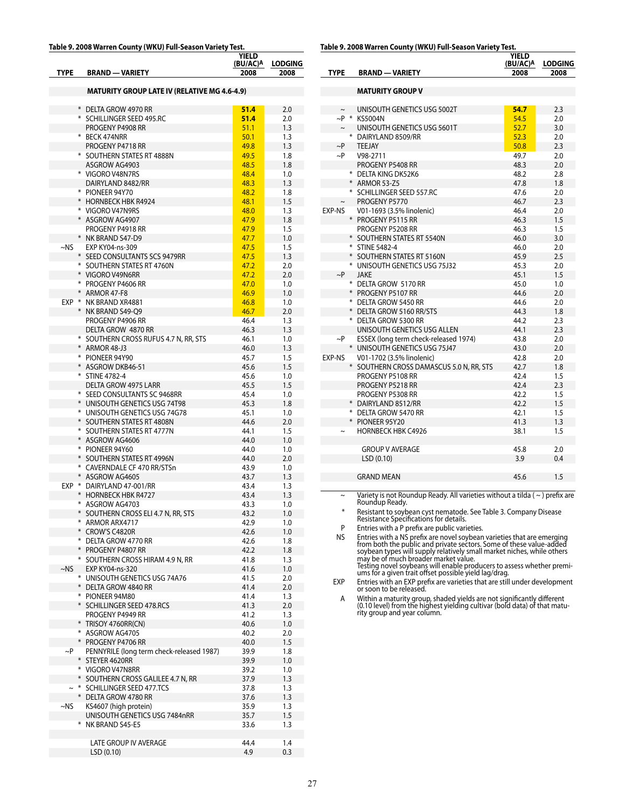#### **Table 9. 2008 Warren County (WKU) Full-Season Variety Test.**

| <b>TYPE</b> | <b>BRAND - VARIETY</b>                                 | YIELD<br>(BU/AC)A<br>2008 | <b>LODGING</b><br>2008 |
|-------------|--------------------------------------------------------|---------------------------|------------------------|
|             | <b>MATURITY GROUP LATE IV (RELATIVE MG 4.6-4.9)</b>    |                           |                        |
|             |                                                        |                           |                        |
|             | * DELTA GROW 4970 RR                                   | 51.4                      | 2.0                    |
|             | * SCHILLINGER SEED 495.RC<br>PROGENY P4908 RR          | 51.4<br>51.1              | 2.0<br>1.3             |
|             | * BECK 474NRR                                          | 50.1                      | 1.3                    |
|             | PROGENY P4718 RR                                       | 49.8                      | 1.3                    |
|             | * SOUTHERN STATES RT 4888N                             | 49.5                      | 1.8                    |
|             | ASGROW AG4903                                          | 48.5                      | 1.8                    |
|             | * VIGORO V48N7RS                                       | 48.4                      | 1.0                    |
|             | DAIRYLAND 8482/RR<br>* PIONEER 94Y70                   | 48.3<br>48.2              | 1.3<br>1.8             |
|             | * HORNBECK HBK R4924                                   | 48.1                      | 1.5                    |
|             | * VIGORO V47N9RS                                       | 48.0                      | 1.3                    |
|             | * ASGROW AG4907                                        | 47.9                      | 1.8                    |
|             | PROGENY P4918 RR                                       | 47.9                      | 1.5                    |
|             | * NK BRAND S47-D9                                      | 47.7                      | 1.0                    |
| ~NS         | EXP KY04-ns-309<br>* SEED CONSULTANTS SCS 9479RR       | 47.5<br>47.5              | 1.5<br>1.3             |
|             | * SOUTHERN STATES RT 4760N                             | 47.2                      | 2.0                    |
|             | * VIGORO V49N6RR                                       | 47.2                      | 2.0                    |
|             | * PROGENY P4606 RR                                     | 47.0                      | 1.0                    |
|             | * ARMOR 47-F8                                          | 46.9                      | 1.0                    |
|             | EXP * NK BRAND XR4881                                  | 46.8                      | 1.0                    |
|             | * NK BRAND S49-Q9<br>PROGENY P4906 RR                  | 46.7                      | 2.0<br>1.3             |
|             | DELTA GROW 4870 RR                                     | 46.4<br>46.3              | 1.3                    |
|             | * SOUTHERN CROSS RUFUS 4.7 N, RR, STS                  | 46.1                      | 1.0                    |
|             | * ARMOR 48-J3                                          | 46.0                      | 1.3                    |
|             | * PIONEER 94Y90                                        | 45.7                      | 1.5                    |
|             | * ASGROW DKB46-51                                      | 45.6                      | 1.5                    |
|             | * STINE 4782-4                                         | 45.6                      | 1.0                    |
|             | DELTA GROW 4975 LARR<br>* SEED CONSULTANTS SC 9468RR   | 45.5<br>45.4              | 1.5<br>1.0             |
|             | * UNISOUTH GENETICS USG 74T98                          | 45.3                      | 1.8                    |
|             | * UNISOUTH GENETICS USG 74G78                          | 45.1                      | 1.0                    |
|             | * SOUTHERN STATES RT 4808N                             | 44.6                      | 2.0                    |
|             | * SOUTHERN STATES RT 4777N                             | 44.1                      | 1.5                    |
|             | * ASGROW AG4606                                        | 44.0                      | 1.0                    |
|             | * PIONEER 94Y60<br>* SOUTHERN STATES RT 4996N          | 44.0<br>44.0              | 1.0<br>2.0             |
|             | * CAVERNDALE CF 470 RR/STSn                            | 43.9                      | 1.0                    |
|             | * ASGROW AG4605                                        | 43.7                      | 1.3                    |
|             | EXP * DAIRYLAND 47-001/RR                              | 43.4                      | 1.3                    |
|             | * HORNBECK HBK R4727                                   | 43.4                      | 1.3                    |
|             | * ASGROW AG4703                                        | 43.3                      | 1.0                    |
|             | * SOUTHERN CROSS ELI 4.7 N, RR, STS<br>* ARMOR ARX4717 | 43.2<br>42.9              | 1.0<br>1.0             |
|             | * CROW'S C4820R                                        | 42.6                      | 1.0                    |
|             | * DELTA GROW 4770 RR                                   | 42.6                      | 1.8                    |
|             | * PROGENY P4807 RR                                     | 42.2                      | 1.8                    |
|             | * SOUTHERN CROSS HIRAM 4.9 N, RR                       | 41.8                      | 1.3                    |
| $~\sim$ NS  | EXP KY04-ns-320<br>* UNISOUTH GENETICS USG 74A76       | 41.6                      | 1.0                    |
|             | * DELTA GROW 4840 RR                                   | 41.5<br>41.4              | 2.0<br>2.0             |
|             | * PIONEER 94M80                                        | 41.4                      | 1.3                    |
|             | * SCHILLINGER SEED 478.RCS                             | 41.3                      | 2.0                    |
|             | PROGENY P4949 RR                                       | 41.2                      | 1.3                    |
|             | * TRISOY 4760RR(CN)                                    | 40.6                      | 1.0                    |
|             | * ASGROW AG4705<br>* PROGENY P4706 RR                  | 40.2                      | 2.0                    |
| $\sim$ P    | PENNYRILE (long term check-released 1987)              | 40.0<br>39.9              | 1.5<br>1.8             |
|             | * STEYER 4620RR                                        | 39.9                      | 1.0                    |
|             | * VIGORO V47N8RR                                       | 39.2                      | 1.0                    |
|             | * SOUTHERN CROSS GALILEE 4.7 N, RR                     | 37.9                      | 1.3                    |
|             | ~ * SCHILLINGER SEED 477.TCS                           | 37.8                      | 1.3                    |
|             | * DELTA GROW 4780 RR                                   | 37.6                      | 1.3                    |
| ~NS         | KS4607 (high protein)<br>UNISOUTH GENETICS USG 7484nRR | 35.9<br>35.7              | 1.3<br>1.5             |
|             | * NK BRAND S45-E5                                      | 33.6                      | 1.3                    |
|             |                                                        |                           |                        |
|             | LATE GROUP IV AVERAGE                                  | 44.4                      | 1.4                    |
|             | LSD(0.10)                                              | 4.9                       | 0.3                    |

**Table 9. 2008 Warren County (WKU) Full-Season Variety Test.**

|             |                                        | <b>YIELD</b><br>(BU/AC)A | <b>LODGING</b> |
|-------------|----------------------------------------|--------------------------|----------------|
| <b>TYPE</b> | <b>BRAND - VARIETY</b>                 | 2008                     | 2008           |
|             |                                        |                          |                |
|             | <b>MATURITY GROUP V</b>                |                          |                |
|             |                                        |                          |                |
| $\sim$      | UNISOUTH GENETICS USG 5002T            | 54.7                     | 2.3            |
| $\sim P$ *  | KS5004N                                | 54.5                     | 2.0            |
| $\thicksim$ | UNISOUTH GENETICS USG 5601T            | 52.7                     | 3.0            |
|             | * DAIRYLAND 8509/RR                    | 52.3                     | 2.0            |
| $\sim P$    | <b>TEEJAY</b>                          | 50.8                     | 2.3            |
| $\sim P$    | V98-2711                               | 49.7                     | 2.0            |
|             | PROGENY P5408 RR                       | 48.3                     | 2.0            |
|             | * DELTA KING DK52K6                    | 48.2                     | 2.8            |
|             | * ARMOR 53-Z5                          | 47.8                     | 1.8            |
|             | * SCHILLINGER SEED 557.RC              | 47.6                     | 2.0            |
| $\tilde{}$  | PROGENY P5770                          | 46.7                     | 2.3            |
| EXP-NS      | V01-1693 (3.5% linolenic)              | 46.4                     | 2.0            |
|             | * PROGENY P5115 RR                     | 46.3                     | 1.5            |
|             | PROGENY P5208 RR                       | 46.3                     | 1.5            |
|             | * SOUTHERN STATES RT 5540N             | 46.0                     | 3.0            |
|             | * STINE 5482-4                         | 46.0                     | 2.0            |
|             | * SOUTHERN STATES RT 5160N             | 45.9                     | 2.5            |
|             | * UNISOUTH GENETICS USG 75J32          | 45.3                     | 2.0            |
| $\sim P$    | <b>JAKE</b>                            | 45.1                     | 1.5            |
|             | * DELTA GROW 5170 RR                   | 45.0                     | 1.0            |
|             | * PROGENY P5107 RR                     | 44.6                     | 2.0            |
|             | * DELTA GROW 5450 RR                   | 44.6                     | 2.0            |
|             | * DELTA GROW 5160 RR/STS               | 44.3                     | 1.8            |
|             | * DELTA GROW 5300 RR                   | 44.2                     | 2.3            |
|             | UNISOUTH GENETICS USG ALLEN            | 44.1                     | 2.3            |
| $\sim P$    | ESSEX (long term check-released 1974)  | 43.8                     | 2.0            |
|             | * UNISOUTH GENETICS USG 75J47          | 43.0                     | 2.0            |
| EXP-NS      | V01-1702 (3.5% linolenic)              | 42.8                     | 2.0            |
|             | SOUTHERN CROSS DAMASCUS 5.0 N, RR, STS | 42.7                     | 1.8            |
|             | PROGENY P5108 RR                       | 42.4                     | 1.5            |
|             | PROGENY P5218 RR                       | 42.4                     | 2.3            |
|             | PROGENY P5308 RR                       | 42.2                     | 1.5            |
|             | * DAIRYLAND 8512/RR                    | 42.2                     | 1.5            |
|             | * DELTA GROW 5470 RR                   | 42.1                     | 1.5            |
|             | * PIONEER 95Y20                        | 41.3                     | 1.3            |
|             | <b>HORNBECK HBK C4926</b>              | 38.1                     | 1.5            |
|             |                                        |                          |                |
|             | <b>GROUP V AVERAGE</b>                 | 45.8                     | 2.0            |
|             | LSD(0.10)                              | 3.9                      | 0.4            |
|             |                                        |                          |                |
|             | <b>GRAND MEAN</b>                      | 45.6                     | 1.5            |

~ Variety is not Roundup Ready. All varieties without a tilda ( ~ ) prefix are Roundup Ready.

\* Resistant to soybean cyst nematode. See Table 3. Company Disease Resistance Specifications for details.

P Entries with a P prefix are public varieties.

NS<br>first mess with a NS prefix are novel soybean varieties that are emerging<br>from both the public and private sectors. Some of these value-added<br>soybean types will supply relatively small market niches, while others<br>may be

EXP Entries with an EXP prefix are varieties that are still under development or soon to be released.

A Within a maturity group, shaded yields are not significantly different (0.10 level) from the highest yielding cultivar (bold data) of that matu-rity group and year column.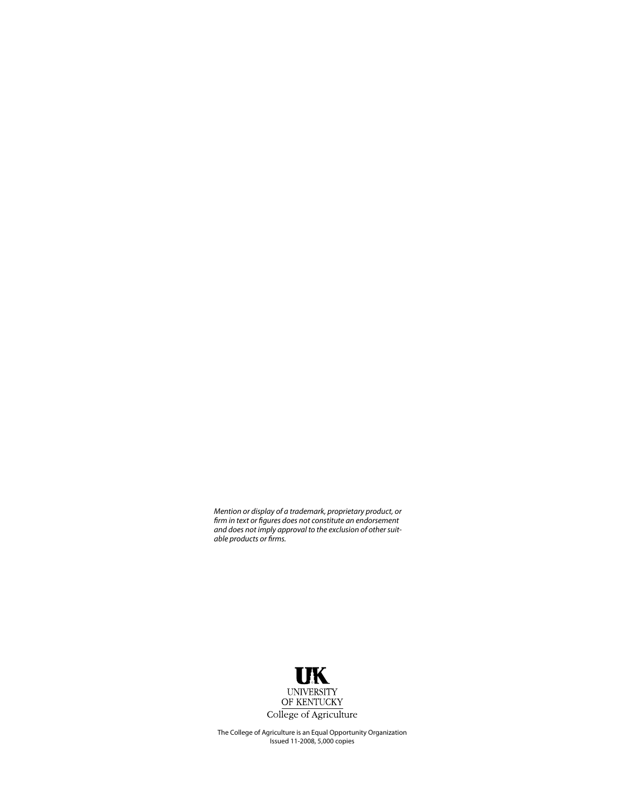*Mention or display of a trademark, proprietary product, or firm in text or figures does not constitute an endorsement and does not imply approval to the exclusion of other suitable products or firms.*



The College of Agriculture is an Equal Opportunity Organization Issued 11-2008, 5,000 copies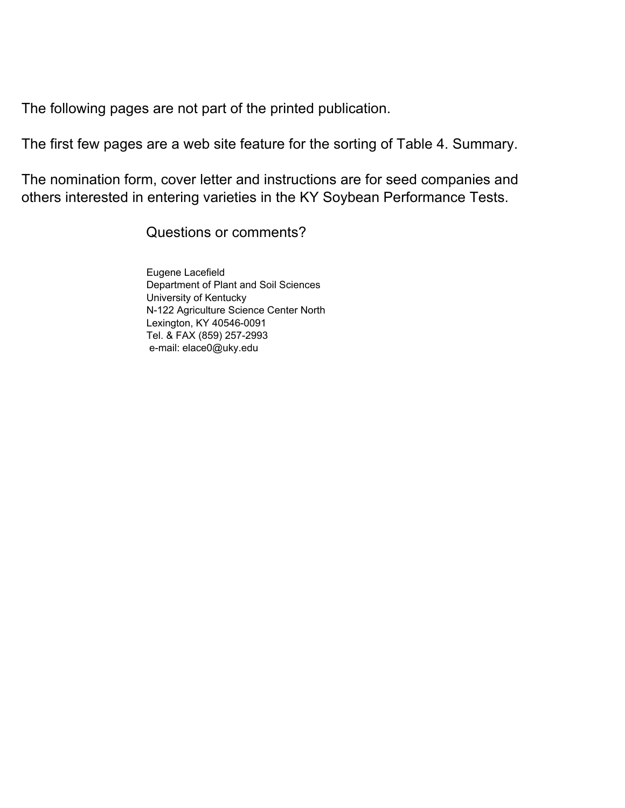<span id="page-28-0"></span>The following pages are not part of the printed publication.

The first few pages are a web site feature for the sorting of Table 4. Summary.

The nomination form, cover letter and instructions are for seed companies and others interested in entering varieties in the KY Soybean Performance Tests.

Questions or comments?

Eugene Lacefield Department of Plant and Soil Sciences University of Kentucky N-122 Agriculture Science Center North Lexington, KY 40546-0091 Tel. & FAX (859) 257-2993 e-mail: elace0@uky.edu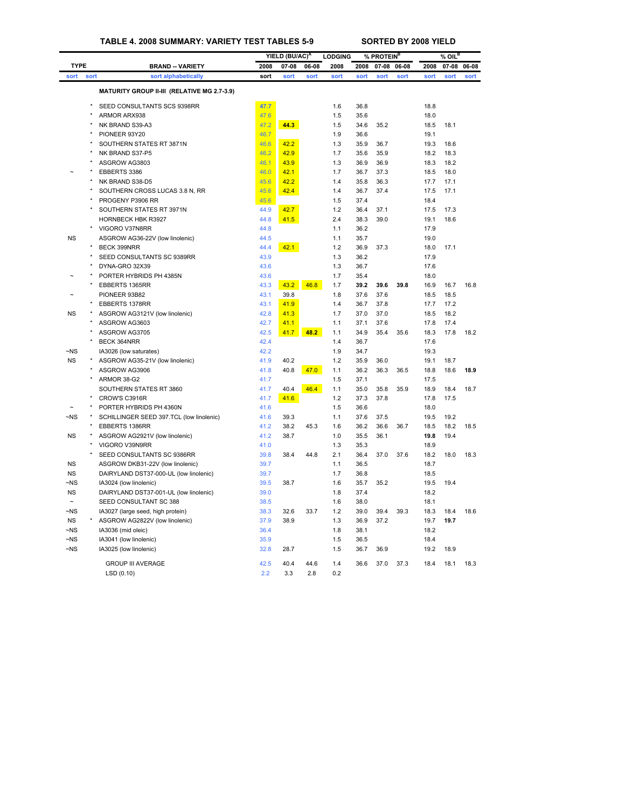<span id="page-29-0"></span>

|                        |         |                                                                  |              | YIELD (BU/AC) <sup>A</sup> |       | <b>LODGING</b> |              | % PROTEIN <sup>B</sup> |       |              | $%$ OIL <sup>B</sup> |       |
|------------------------|---------|------------------------------------------------------------------|--------------|----------------------------|-------|----------------|--------------|------------------------|-------|--------------|----------------------|-------|
| <b>TYPE</b>            |         | <b>BRAND -- VARIETY</b>                                          | 2008         | $07 - 08$                  | 06-08 | 2008           | 2008         | $07 - 08$              | 06-08 | 2008         | 07-08                | 06-08 |
| sort                   | sort    | sort alphabetically                                              | sort         | sort                       | sort  | sort           | sort         | sort                   | sort  | sort         | sort                 | sort  |
|                        |         | MATURITY GROUP II-III (RELATIVE MG 2.7-3.9)                      |              |                            |       |                |              |                        |       |              |                      |       |
|                        | $\star$ | SEED CONSULTANTS SCS 9398RR                                      | 47.7         |                            |       | 1.6            | 36.8         |                        |       | 18.8         |                      |       |
|                        | $\star$ | ARMOR ARX938                                                     | 47.6         |                            |       | 1.5            | 35.6         |                        |       | 18.0         |                      |       |
|                        |         | NK BRAND S39-A3                                                  | 47.2         | 44.3                       |       | 1.5            | 34.6         | 35.2                   |       | 18.5         | 18.1                 |       |
|                        |         | PIONEER 93Y20                                                    | 46.7         |                            |       | 1.9            | 36.6         |                        |       | 19.1         |                      |       |
|                        |         | SOUTHERN STATES RT 3871N                                         | 46.6         | 42.2                       |       | 1.3            | 35.9         | 36.7                   |       | 19.3         | 18.6                 |       |
|                        |         | NK BRAND S37-P5                                                  | 46.2         | 42.9                       |       | 1.7            | 35.6         | 35.9                   |       | 18.2         | 18.3                 |       |
|                        |         | ASGROW AG3803                                                    | 46.1         | 43.9                       |       | 1.3            | 36.9         | 36.9                   |       | 18.3         | 18.2                 |       |
|                        |         | EBBERTS 3386                                                     | 46.0         | 42.1                       |       | 1.7            | 36.7         | 37.3                   |       | 18.5         | 18.0                 |       |
|                        |         | NK BRAND S38-D5                                                  | 45.6         | 42.2                       |       | 1.4            | 35.8         | 36.3                   |       | 17.7         | 17.1                 |       |
|                        |         | SOUTHERN CROSS LUCAS 3.8 N, RR                                   | 45.6         | 42.4                       |       | 1.4            | 36.7         | 37.4                   |       | 17.5         | 17.1                 |       |
|                        |         | PROGENY P3906 RR                                                 | 45.6         |                            |       | 1.5            | 37.4         |                        |       | 18.4         |                      |       |
|                        |         | SOUTHERN STATES RT 3971N                                         | 44.9         | 42.7                       |       | 1.2            | 36.4         | 37.1                   |       | 17.5         | 17.3                 |       |
|                        |         | HORNBECK HBK R3927                                               | 44.8         | 41.5                       |       | 2.4            | 38.3         | 39.0                   |       | 19.1         | 18.6                 |       |
|                        | $\star$ | VIGORO V37N8RR                                                   | 44.8         |                            |       | 1.1            | 36.2         |                        |       | 17.9         |                      |       |
| <b>NS</b>              |         | ASGROW AG36-22V (low linolenic)                                  | 44.5         |                            |       | 1.1            | 35.7         |                        |       | 19.0         |                      |       |
|                        |         | <b>BECK 399NRR</b>                                               | 44.4         | 42.1                       |       | 1.2            | 36.9         | 37.3                   |       | 18.0         | 17.1                 |       |
|                        | $\star$ | SEED CONSULTANTS SC 9389RR                                       | 43.9         |                            |       | 1.3            | 36.2         |                        |       | 17.9         |                      |       |
|                        |         | DYNA-GRO 32X39                                                   | 43.6         |                            |       | 1.3            | 36.7         |                        |       | 17.6         |                      |       |
|                        |         | PORTER HYBRIDS PH 4385N                                          | 43.6         |                            |       | 1.7            | 35.4         |                        |       | 18.0         |                      |       |
|                        | $\star$ | EBBERTS 1365RR                                                   | 43.3         | 43.2                       | 46.8  | 1.7            | 39.2         | 39.6                   | 39.8  | 16.9         | 16.7                 | 16.8  |
|                        |         | PIONEER 93B82                                                    | 43.1         | 39.8                       |       | 1.8            | 37.6         | 37.6                   |       | 18.5         | 18.5                 |       |
|                        |         | EBBERTS 1378RR                                                   | 43.1         | 41.9                       |       | 1.4            | 36.7         | 37.8                   |       | 17.7         | 17.2                 |       |
| NS                     |         | ASGROW AG3121V (low linolenic)                                   | 42.8         | 41.3                       |       | 1.7            | 37.0         | 37.0                   |       | 18.5         | 18.2                 |       |
|                        |         | ASGROW AG3603                                                    | 42.7         | 41.1                       |       | 1.1            | 37.1         | 37.6                   |       | 17.8         | 17.4                 |       |
|                        |         | ASGROW AG3705                                                    | 42.5         | 41.7                       | 48.2  | 1.1            | 34.9         | 35.4                   | 35.6  | 18.3         | 17.8                 | 18.2  |
|                        | $\star$ | BECK 364NRR                                                      | 42.4         |                            |       | 1.4            | 36.7         |                        |       | 17.6         |                      |       |
|                        |         |                                                                  | 42.2         |                            |       | 1.9            |              |                        |       |              |                      |       |
| $\neg$ NS<br><b>NS</b> |         | IA3026 (low saturates)<br>ASGROW AG35-21V (low linolenic)        | 41.9         | 40.2                       |       | 1.2            | 34.7<br>35.9 | 36.0                   |       | 19.3<br>19.1 | 18.7                 |       |
|                        | $\star$ | ASGROW AG3906                                                    |              | 40.8                       | 47.0  | 1.1            | 36.2         | 36.3                   | 36.5  | 18.8         | 18.6                 | 18.9  |
|                        |         |                                                                  | 41.8         |                            |       |                |              |                        |       |              |                      |       |
|                        |         | ARMOR 38-G2<br>SOUTHERN STATES RT 3860                           | 41.7<br>41.7 | 40.4                       | 46.4  | 1.5<br>1.1     | 37.1<br>35.0 | 35.8                   | 35.9  | 17.5<br>18.9 | 18.4                 | 18.7  |
|                        | $\star$ | CROW'S C3916R                                                    | 41.7         |                            |       | 1.2            | 37.3         | 37.8                   |       | 17.8         | 17.5                 |       |
|                        |         | PORTER HYBRIDS PH 4360N                                          | 41.6         | 41.6                       |       | 1.5            | 36.6         |                        |       | 18.0         |                      |       |
| ~NS                    |         | SCHILLINGER SEED 397.TCL (low linolenic)                         | 41.6         | 39.3                       |       | 1.1            | 37.6         | 37.5                   |       | 19.5         | 19.2                 |       |
|                        |         |                                                                  |              | 38.2                       | 45.3  | 1.6            | 36.2         | 36.6                   | 36.7  | 18.5         | 18.2                 | 18.5  |
| NS                     |         | EBBERTS 1386RR<br>ASGROW AG2921V (low linolenic)                 | 41.2<br>41.2 | 38.7                       |       | 1.0            | 35.5         | 36.1                   |       | 19.8         | 19.4                 |       |
|                        |         | VIGORO V39N9RR                                                   | 41.0         |                            |       | 1.3            | 35.3         |                        |       | 18.9         |                      |       |
|                        |         | SEED CONSULTANTS SC 9386RR                                       | 39.8         | 38.4                       | 44.8  | 2.1            | 36.4         | 37.0                   | 37.6  | 18.2         | 18.0                 | 18.3  |
| NS                     |         | ASGROW DKB31-22V (low linolenic)                                 | 39.7         |                            |       | 1.1            | 36.5         |                        |       | 18.7         |                      |       |
| <b>NS</b>              |         | DAIRYLAND DST37-000-UL (low linolenic)                           | 39.7         |                            |       | 1.7            | 36.8         |                        |       | 18.5         |                      |       |
| $-NS$                  |         |                                                                  | 39.5         | 38.7                       |       | 1.6            | 35.7         | 35.2                   |       | 19.5         | 19.4                 |       |
| <b>NS</b>              |         | IA3024 (low linolenic)                                           |              |                            |       | 1.8            | 37.4         |                        |       | 18.2         |                      |       |
|                        |         | DAIRYLAND DST37-001-UL (low linolenic)<br>SEED CONSULTANT SC 388 | 39.0<br>38.5 |                            |       | 1.6            | 38.0         |                        |       | 18.1         |                      |       |
| $\neg$ NS              |         | IA3027 (large seed, high protein)                                | 38.3         | 32.6                       | 33.7  | 1.2            | 39.0         | 39.4                   | 39.3  | 18.3         | 18.4                 | 18.6  |
|                        |         |                                                                  |              |                            |       |                |              |                        |       |              |                      |       |
| <b>NS</b><br>$-NS$     |         | ASGROW AG2822V (low linolenic)<br>IA3036 (mid oleic)             | 37.9<br>36.4 | 38.9                       |       | 1.3<br>1.8     | 36.9<br>38.1 | 37.2                   |       | 19.7<br>18.2 | 19.7                 |       |
| $-NS$                  |         | IA3041 (low linolenic)                                           | 35.9         |                            |       | 1.5            | 36.5         |                        |       | 18.4         |                      |       |
| $-NS$                  |         |                                                                  |              |                            |       |                | 36.7         |                        |       | 19.2         |                      |       |
|                        |         | IA3025 (low linolenic)                                           | 32.8         | 28.7                       |       | 1.5            |              | 36.9                   |       |              | 18.9                 |       |
|                        |         | <b>GROUP III AVERAGE</b>                                         | 42.5         | 40.4                       | 44.6  | 1.4            | 36.6         | 37.0                   | 37.3  | 18.4         | 18.1                 | 18.3  |
|                        |         | LSD (0.10)                                                       | 2.2          | 3.3                        | 2.8   | 0.2            |              |                        |       |              |                      |       |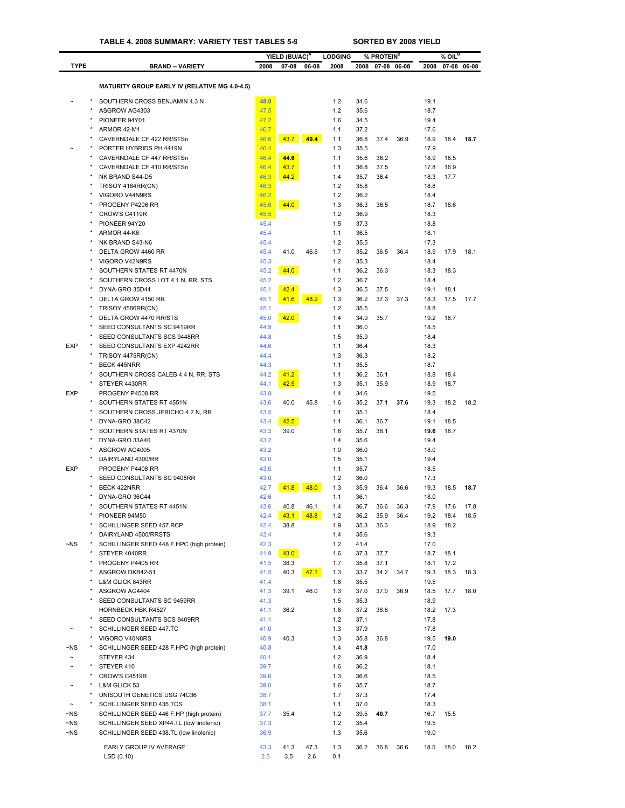|                        |                                                          |              | YIELD (BU/AC) <sup>A</sup> |              | <b>LODGING</b> |              | % PROTEIN <sup>B</sup> |              |              | $%$ OIL $^{\mathsf{B}}$ |              |
|------------------------|----------------------------------------------------------|--------------|----------------------------|--------------|----------------|--------------|------------------------|--------------|--------------|-------------------------|--------------|
| <b>TYPE</b>            | <b>BRAND -- VARIETY</b>                                  | 2008         | $07 - 08$                  | 06-08        | 2008           | 2008         | $07 - 08$              | 06-08        | 2008         |                         | 07-08 06-08  |
|                        |                                                          |              |                            |              |                |              |                        |              |              |                         |              |
|                        | <b>MATURITY GROUP EARLY IV (RELATIVE MG 4.0-4.5)</b>     |              |                            |              |                |              |                        |              |              |                         |              |
|                        | SOUTHERN CROSS BENJAMIN 4.3 N                            | 48.0         |                            |              | 1.2            | 34.6         |                        |              | 19.1         |                         |              |
|                        | ASGROW AG4303                                            | 47.5         |                            |              | 1.2            | 35.6         |                        |              | 18.7         |                         |              |
|                        | PIONEER 94Y01                                            | 47.2         |                            |              | 1.6            | 34.5         |                        |              | 19.4         |                         |              |
|                        | ARMOR 42-M1<br>CAVERNDALE CF 422 RR/STSn                 | 46.7<br>46.6 | 43.7                       | 49.4         | 1.1<br>1.1     | 37.2<br>36.8 | 37.4                   | 36.9         | 17.6<br>18.9 | 18.4                    | 18.7         |
|                        | PORTER HYBRIDS PH 4419N                                  | 46.4         |                            |              | 1.3            | 35.5         |                        |              | 17.9         |                         |              |
|                        | CAVERNDALE CF 447 RR/STSn                                | 46.4         | 44.6                       |              | 1.1            | 35.6         | 36.2                   |              | 18.9         | 18.5                    |              |
|                        | CAVERNDALE CF 410 RR/STSn                                | 46.4         | 43.7                       |              | 1.1            | 36.8         | 37.5                   |              | 17.8         | 16.9                    |              |
|                        | NK BRAND S44-D5                                          | 46.3         | 44.2                       |              | 1.4            | 35.7         | 36.4                   |              | 18.3         | 17.7                    |              |
|                        | TRISOY 4184RR(CN)                                        | 46.3         |                            |              | 1.2            | 35.8         |                        |              | 18.8         |                         |              |
| ۸                      | VIGORO V44N9RS                                           | 46.2         |                            |              | 1.2            | 36.2         |                        |              | 18.4         |                         |              |
|                        | PROGENY P4206 RR                                         | 45.6         | 44.0                       |              | 1.3            | 36.3         | 36.5                   |              | 18.7         | 18.6                    |              |
|                        | CROW'S C4119R<br>PIONEER 94Y20                           | 45.5<br>45.4 |                            |              | 1.2<br>1.5     | 36.9<br>37.3 |                        |              | 18.3<br>18.8 |                         |              |
|                        | ARMOR 44-K6                                              | 45.4         |                            |              | 1.1            | 36.5         |                        |              | 18.1         |                         |              |
|                        | NK BRAND S43-N6                                          | 45.4         |                            |              | 1.2            | 35.5         |                        |              | 17.3         |                         |              |
|                        | DELTA GROW 4460 RR                                       | 45.4         | 41.0                       | 46.6         | 1.7            | 35.2         | 36.5                   | 36.4         | 18.9         | 17.9                    | 18.1         |
|                        | VIGORO V42N9RS                                           | 45.3         |                            |              | 1.2            | 35.3         |                        |              | 18.4         |                         |              |
|                        | SOUTHERN STATES RT 4470N                                 | 45.2         | 44.0                       |              | 1.1            | 36.2         | 36.3                   |              | 18.3         | 18.3                    |              |
|                        | SOUTHERN CROSS LOT 4.1 N, RR, STS                        | 45.2         |                            |              | 1.2            | 36.7         |                        |              | 18.4         |                         |              |
|                        | DYNA-GRO 35D44                                           | 45.1         | 42.4                       |              | 1.3            | 36.5         | 37.5                   |              | 19.1         | 18.1                    |              |
|                        | DELTA GROW 4150 RR                                       | 45.1         | 41.6                       | 48.2         | 1.3            | 36.2         | 37.3                   | 37.3         | 18.3         | 17.5                    | 17.7         |
|                        | TRISOY 4586RR(CN)<br>DELTA GROW 4470 RR/STS              | 45.1<br>45.0 | 42.0                       |              | 1.2<br>1.4     | 35.5<br>34.9 | 35.7                   |              | 18.8<br>19.2 | 18.7                    |              |
|                        | SEED CONSULTANTS SC 9419RR                               | 44.9         |                            |              | 1.1            | 36.0         |                        |              | 18.5         |                         |              |
|                        | SEED CONSULTANTS SCS 9448RR                              | 44.8         |                            |              | 1.5            | 35.9         |                        |              | 18.4         |                         |              |
| <b>EXP</b>             | SEED CONSULTANTS EXP 4242RR                              | 44.6         |                            |              | 1.1            | 36.4         |                        |              | 18.3         |                         |              |
|                        | TRISOY 4475RR(CN)                                        | 44.4         |                            |              | 1.3            | 36.3         |                        |              | 18.2         |                         |              |
|                        | <b>BECK 445NRR</b>                                       | 44.3         |                            |              | 1.1            | 35.5         |                        |              | 18.7         |                         |              |
|                        | SOUTHERN CROSS CALEB 4.4 N, RR, STS                      | 44.2         | 41.2                       |              | 1.1            | 36.2         | 36.1                   |              | 18.8         | 18.4                    |              |
|                        | STEYER 4430RR                                            | 44.1         | 42.9                       |              | 1.3            | 35.1         | 35.9                   |              | 18.9         | 18.7                    |              |
| EXP                    | PROGENY P4508 RR                                         | 43.8         |                            |              | 1.4            | 34.6         |                        |              | 19.5         |                         |              |
| $\star$                | SOUTHERN STATES RT 4551N                                 | 43.6         | 40.0                       | 45.8         | 1.6            | 35.2         | 37.1                   | 37.6         | 19.3         | 18.2                    | 18.2         |
|                        | SOUTHERN CROSS JERICHO 4.2 N, RR                         | 43.5         |                            |              | 1.1            | 35.1<br>36.1 | 36.7                   |              | 18.4<br>19.1 |                         |              |
|                        | DYNA-GRO 38C42<br>SOUTHERN STATES RT 4370N               | 43.4<br>43.3 | 42.5<br>39.0               |              | 1.1<br>1.8     | 35.7         | 36.1                   |              | 19.6         | 18.5<br>18.7            |              |
|                        | DYNA-GRO 33A40                                           | 43.2         |                            |              | 1.4            | 35.6         |                        |              | 19.4         |                         |              |
|                        | ASGROW AG4005                                            | 43.2         |                            |              | 1.0            | 36.0         |                        |              | 18.0         |                         |              |
|                        | DAIRYLAND 4300/RR                                        | 43.0         |                            |              | 1.5            | 35.1         |                        |              | 19.4         |                         |              |
| <b>EXP</b>             | PROGENY P4408 RR                                         | 43.0         |                            |              | 1.1            | 35.7         |                        |              | 18.5         |                         |              |
|                        | SEED CONSULTANTS SC 9408RR                               | 43.0         |                            |              | 1.2            | 36.0         |                        |              | 17.3         |                         |              |
|                        | <b>BECK 422NRR</b>                                       | 42.7         | 41.8                       | 48.0         | 1.3            | 35.9         | 36.4                   | 36.6         | 19.3         | 18.5                    | 18.7         |
|                        | DYNA-GRO 36C44                                           | 42.6         |                            |              | 1.1            | 36.1         |                        |              | 18.0         |                         |              |
|                        | SOUTHERN STATES RT 4451N                                 | 42.6<br>42.4 | 40.8<br>43.1               | 46.1<br>48.8 | 1.4<br>1.2     | 36.7<br>36.2 | 36.6<br>35.9           | 36.3<br>36.4 | 17.9<br>19.2 | 17.6<br>18.4            | 17.8<br>18.5 |
|                        | PIONEER 94M50<br>SCHILLINGER SEED 457.RCP                | 42.4         | 38.8                       |              | 1.9            | 35.3         | 36.3                   |              | 18.9         | 18.2                    |              |
|                        | DAIRYLAND 4500/RRSTS                                     | 42.4         |                            |              | 1.4            | 35.6         |                        |              | 19.3         |                         |              |
| $\neg$ NS              | SCHILLINGER SEED 448 F.HPC (high protein)                | 42.3         |                            |              | 1.2            | 41.4         |                        |              | 17.0         |                         |              |
|                        | STEYER 4040RR                                            | 41.9         | 43.0                       |              | 1.6            | 37.3         | 37.7                   |              | 18.7         | 18.1                    |              |
|                        | PROGENY P4405 RR                                         | 41.5         | 38.3                       |              | 1.7            | 35.8         | 37.1                   |              | 18.1         | 17.2                    |              |
|                        | ASGROW DKB42-51                                          | 41.5         | 40.3                       | 47.1         | 1.3            | 33.7         | 34.2                   | 34.7         | 19.3         | 18.3                    | 18.3         |
|                        | <b>L&amp;M GLICK 843RR</b>                               | 41.4         |                            |              | 1.6            | 35.5         |                        |              | 19.5         |                         |              |
|                        | ASGROW AG4404                                            | 41.3         | 39.1                       | 46.0         | 1.3            | 37.0         | 37.0                   | 36.9         | 18.5         | 17.7                    | 18.0         |
|                        | SEED CONSULTANTS SC 9459RR                               | 41.3         |                            |              | 1.5            | 35.3         |                        |              | 18.9         |                         |              |
|                        | <b>HORNBECK HBK R4527</b><br>SEED CONSULTANTS SCS 9409RR | 41.1<br>41.1 | 36.2                       |              | 1.8<br>1.2     | 37.2<br>37.1 | 38.6                   |              | 18.2<br>17.8 | 17.3                    |              |
|                        | SCHILLINGER SEED 447.TC                                  | 41.0         |                            |              | 1.3            | 37.9         |                        |              | 17.8         |                         |              |
|                        | VIGORO V40N8RS                                           | 40.9         | 40.3                       |              | 1.3            | 35.8         | 36.8                   |              | 19.5         | 19.0                    |              |
| $\neg$ NS              | SCHILLINGER SEED 428 F.HPC (high protein)                | 40.8         |                            |              | 1.4            | 41.8         |                        |              | 17.0         |                         |              |
| $\tilde{}$             | STEYER 434                                               | 40.1         |                            |              | 1.2            | 36.9         |                        |              | 18.4         |                         |              |
| $\star$                | STEYER 410                                               | 39.7         |                            |              | 1.6            | 36.2         |                        |              | 18.1         |                         |              |
|                        | CROW'S C4519R                                            | 39.6         |                            |              | 1.3            | 36.6         |                        |              | 18.5         |                         |              |
|                        | L&M GLICK 53                                             | 39.0         |                            |              | 1.6            | 35.7         |                        |              | 18.7         |                         |              |
|                        | UNISOUTH GENETICS USG 74C36                              | 38.7         |                            |              | 1.7            | 37.3         |                        |              | 17.4         |                         |              |
|                        | SCHILLINGER SEED 435.TCS                                 | 38.1         |                            |              | 1.1            | 37.0         |                        |              | 18.3         |                         |              |
| $\neg$ NS              | SCHILLINGER SEED 446 F.HP (high protein)                 | 37.7         | 35.4                       |              | 1.2            | 39.5         | 40.7                   |              | 16.7         | 15.5                    |              |
| $\neg$ NS<br>$\neg$ NS | SCHILLINGER SEED XP44.TL (low linolenic)                 | 37.3<br>36.9 |                            |              | 1.2<br>1.3     | 35.4<br>35.6 |                        |              | 19.5<br>19.0 |                         |              |
|                        | SCHILLINGER SEED 438.TL (low linolenic)                  |              |                            |              |                |              |                        |              |              |                         |              |
|                        | EARLY GROUP IV AVERAGE                                   | 43.3         | 41.3                       | 47.3         | 1.3            | 36.2         | 36.8                   | 36.6         | 18.5         | 18.0                    | 18.2         |
|                        | LSD (0.10)                                               | 2.5          | 3.5                        | 2.6          | 0.1            |              |                        |              |              |                         |              |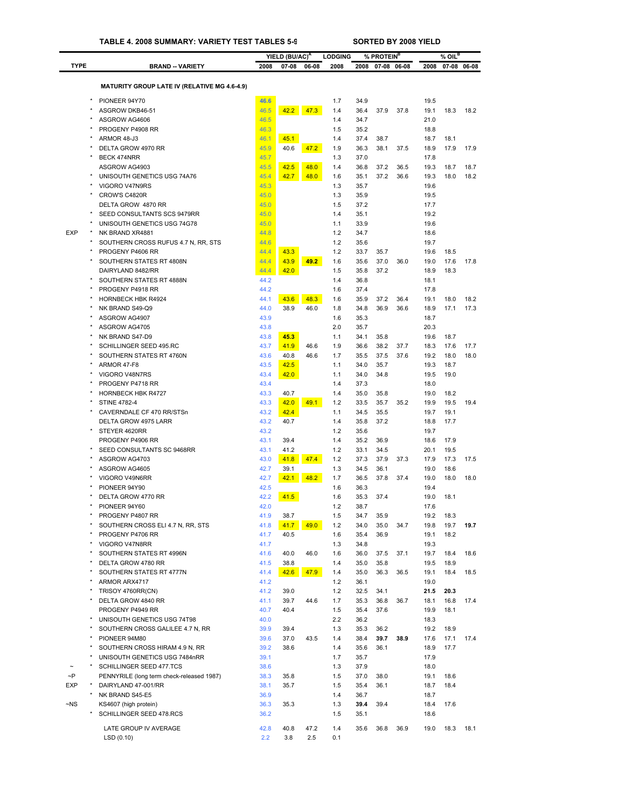|             |                                                     |              |                                         |       |                        |              |                                     |       |              | $%$ OIL <sup>B</sup> |       |
|-------------|-----------------------------------------------------|--------------|-----------------------------------------|-------|------------------------|--------------|-------------------------------------|-------|--------------|----------------------|-------|
| <b>TYPE</b> | <b>BRAND -- VARIETY</b>                             | 2008         | YIELD (BU/AC) <sup>A</sup><br>$07 - 08$ | 06-08 | <b>LODGING</b><br>2008 | 2008         | % PROTEIN <sup>B</sup><br>$07 - 08$ | 06-08 | 2008         | $07 - 08$            | 06-08 |
|             |                                                     |              |                                         |       |                        |              |                                     |       |              |                      |       |
|             | <b>MATURITY GROUP LATE IV (RELATIVE MG 4.6-4.9)</b> |              |                                         |       |                        |              |                                     |       |              |                      |       |
|             | $\star$<br>PIONEER 94Y70                            | 46.6         |                                         |       | 1.7                    | 34.9         |                                     |       | 19.5         |                      |       |
|             | ASGROW DKB46-51                                     | 46.5         | 42.2                                    | 47.3  | 1.4                    | 36.4         | 37.9                                | 37.8  | 19.1         | 18.3                 | 18.2  |
|             | ASGROW AG4606                                       | 46.5         |                                         |       | 1.4                    | 34.7         |                                     |       | 21.0         |                      |       |
|             | PROGENY P4908 RR                                    | 46.3         |                                         |       | 1.5                    | 35.2         |                                     |       | 18.8         |                      |       |
|             | ARMOR 48-J3                                         | 46.1         | 45.1                                    |       | 1.4                    | 37.4         | 38.7                                |       | 18.7         | 18.1                 |       |
|             | DELTA GROW 4970 RR                                  | 45.9         | 40.6                                    | 47.2  | 1.9                    | 36.3         | 38.1                                | 37.5  | 18.9         | 17.9                 | 17.9  |
|             | <b>BECK 474NRR</b>                                  | 45.7         |                                         |       | 1.3                    | 37.0         |                                     |       | 17.8         |                      |       |
|             | ASGROW AG4903                                       | 45.5<br>45.4 | 42.5                                    | 48.0  | 1.4                    | 36.8         | 37.2<br>37.2                        | 36.5  | 19.3         | 18.7<br>18.0         | 18.7  |
|             | UNISOUTH GENETICS USG 74A76<br>VIGORO V47N9RS       | 45.3         | 42.7                                    | 48.0  | 1.6<br>1.3             | 35.1<br>35.7 |                                     | 36.6  | 19.3<br>19.6 |                      | 18.2  |
|             | CROW'S C4820R                                       | 45.0         |                                         |       | 1.3                    | 35.9         |                                     |       | 19.5         |                      |       |
|             | DELTA GROW 4870 RR                                  | 45.0         |                                         |       | 1.5                    | 37.2         |                                     |       | 17.7         |                      |       |
|             | SEED CONSULTANTS SCS 9479RR                         | 45.0         |                                         |       | 1.4                    | 35.1         |                                     |       | 19.2         |                      |       |
|             | UNISOUTH GENETICS USG 74G78                         | 45.0         |                                         |       | 1.1                    | 33.9         |                                     |       | 19.6         |                      |       |
| <b>EXP</b>  | NK BRAND XR4881                                     | 44.8         |                                         |       | 1.2                    | 34.7         |                                     |       | 18.6         |                      |       |
|             | SOUTHERN CROSS RUFUS 4.7 N, RR, STS                 | 44.6         |                                         |       | 1.2                    | 35.6         |                                     |       | 19.7         |                      |       |
|             | PROGENY P4606 RR                                    | 44.4         | 43.3                                    |       | 1.2                    | 33.7         | 35.7                                |       | 19.6         | 18.5                 |       |
|             | SOUTHERN STATES RT 4808N                            | 44.4         | 43.9                                    | 49.2  | 1.6                    | 35.6         | 37.0                                | 36.0  | 19.0         | 17.6                 | 17.8  |
|             | DAIRYLAND 8482/RR                                   | 44.4         | 42.0                                    |       | 1.5                    | 35.8         | 37.2                                |       | 18.9         | 18.3                 |       |
|             | $\star$<br>SOUTHERN STATES RT 4888N                 | 44.2         |                                         |       | 1.4                    | 36.8         |                                     |       | 18.1         |                      |       |
|             | PROGENY P4918 RR                                    | 44.2         |                                         |       | 1.6                    | 37.4         |                                     |       | 17.8         |                      |       |
|             | <b>HORNBECK HBK R4924</b>                           | 44.1         | 43.6                                    | 48.3  | 1.6                    | 35.9         | 37.2                                | 36.4  | 19.1         | 18.0                 | 18.2  |
|             | NK BRAND S49-Q9                                     | 44.0         | 38.9                                    | 46.0  | 1.8                    | 34.8         | 36.9                                | 36.6  | 18.9         | 17.1                 | 17.3  |
|             | ASGROW AG4907                                       | 43.9         |                                         |       | 1.6                    | 35.3         |                                     |       | 18.7         |                      |       |
|             | ASGROW AG4705                                       | 43.8         |                                         |       | 2.0                    | 35.7         |                                     |       | 20.3         |                      |       |
|             | NK BRAND S47-D9                                     | 43.8         | 45.3                                    |       | 1.1                    | 34.1         | 35.8                                |       | 19.6         | 18.7                 |       |
|             | SCHILLINGER SEED 495.RC                             | 43.7         | 41.9                                    | 46.6  | 1.9                    | 36.6         | 38.2                                | 37.7  | 18.3         | 17.6                 | 17.7  |
|             | SOUTHERN STATES RT 4760N                            | 43.6         | 40.8                                    | 46.6  | 1.7                    | 35.5         | 37.5                                | 37.6  | 19.2         | 18.0                 | 18.0  |
|             | ARMOR 47-F8                                         | 43.5         | 42.5                                    |       | 1.1                    | 34.0         | 35.7                                |       | 19.3         | 18.7                 |       |
|             | VIGORO V48N7RS                                      | 43.4         | 42.0                                    |       | 1.1<br>1.4             | 34.0<br>37.3 | 34.8                                |       | 19.5         | 19.0                 |       |
|             | PROGENY P4718 RR<br><b>HORNBECK HBK R4727</b>       | 43.4<br>43.3 | 40.7                                    |       | 1.4                    | 35.0         | 35.8                                |       | 18.0<br>19.0 | 18.2                 |       |
|             | <b>STINE 4782-4</b>                                 | 43.3         | 42.0                                    | 49.1  | 1.2                    | 33.5         | 35.7                                | 35.2  | 19.9         | 19.5                 | 19.4  |
|             | CAVERNDALE CF 470 RR/STSn                           | 43.2         | 42.4                                    |       | 1.1                    | 34.5         | 35.5                                |       | 19.7         | 19.1                 |       |
|             | DELTA GROW 4975 LARR                                | 43.2         | 40.7                                    |       | 1.4                    | 35.8         | 37.2                                |       | 18.8         | 17.7                 |       |
|             | STEYER 4620RR                                       | 43.2         |                                         |       | 1.2                    | 35.6         |                                     |       | 19.7         |                      |       |
|             | PROGENY P4906 RR                                    | 43.1         | 39.4                                    |       | 1.4                    | 35.2         | 36.9                                |       | 18.6         | 17.9                 |       |
|             | $\star$<br>SEED CONSULTANTS SC 9468RR               | 43.1         | 41.2                                    |       | 1.2                    | 33.1         | 34.5                                |       | 20.1         | 19.5                 |       |
|             | ASGROW AG4703                                       | 43.0         | 41.8                                    | 47.4  | 1.2                    | 37.3         | 37.9                                | 37.3  | 17.9         | 17.3                 | 17.5  |
|             | ASGROW AG4605                                       | 42.7         | 39.1                                    |       | 1.3                    | 34.5         | 36.1                                |       | 19.0         | 18.6                 |       |
|             | VIGORO V49N6RR                                      | 42.7         | 42.1                                    | 48.2  | 1.7                    | 36.5         | 37.8                                | 37.4  | 19.0         | 18.0                 | 18.0  |
|             | PIONEER 94Y90                                       | 42.5         |                                         |       | 1.6                    | 36.3         |                                     |       | 19.4         |                      |       |
|             | DELTA GROW 4770 RR                                  | 42.2         | 41.5                                    |       | 1.6                    | 35.3         | 37.4                                |       | 19.0         | 18.1                 |       |
|             | PIONEER 94Y60                                       | 42.0         |                                         |       | 1.2                    | 38.7         |                                     |       | 17.6         |                      |       |
|             | PROGENY P4807 RR                                    | 41.9         | 38.7                                    |       | 1.5                    | 34.7         | 35.9                                |       | 19.2         | 18.3                 |       |
|             | SOUTHERN CROSS ELI 4.7 N, RR, STS                   | 41.8         | 41.7                                    | 49.0  | 1.2                    | 34.0         | 35.0                                | 34.7  | 19.8         | 19.7                 | 19.7  |
|             | PROGENY P4706 RR                                    | 41.7         | 40.5                                    |       | 1.6                    | 35.4         | 36.9                                |       | 19.1         | 18.2                 |       |
|             | $\star$<br>VIGORO V47N8RR                           | 41.7         |                                         |       | 1.3                    | 34.8         |                                     |       | 19.3         |                      |       |
|             | SOUTHERN STATES RT 4996N                            | 41.6         | 40.0                                    | 46.0  | 1.6                    | 36.0         | 37.5                                | 37.1  | 19.7         | 18.4                 | 18.6  |
|             | DELTA GROW 4780 RR<br>$\star$                       | 41.5         | 38.8                                    |       | 1.4                    | 35.0         | 35.8                                |       | 19.5         | 18.9                 |       |
|             | SOUTHERN STATES RT 4777N                            | 41.4         | 42.6                                    | 47.9  | 1.4                    | 35.0         | 36.3                                | 36.5  | 19.1         | 18.4                 | 18.5  |
|             | ARMOR ARX4717<br>×                                  | 41.2         |                                         |       | 1.2                    | 36.1         |                                     |       | 19.0         |                      |       |
|             | TRISOY 4760RR(CN)<br>DELTA GROW 4840 RR             | 41.2<br>41.1 | 39.0<br>39.7                            |       | 1.2                    | 32.5<br>35.3 | 34.1                                |       | 21.5         | 20.3                 |       |
|             | PROGENY P4949 RR                                    | 40.7         | 40.4                                    | 44.6  | 1.7<br>1.5             | 35.4         | 36.8<br>37.6                        | 36.7  | 18.1<br>19.9 | 16.8<br>18.1         | 17.4  |
|             | ×<br>UNISOUTH GENETICS USG 74T98                    | 40.0         |                                         |       | 2.2                    | 36.2         |                                     |       | 18.3         |                      |       |
|             | $\star$<br>SOUTHERN CROSS GALILEE 4.7 N, RR         | 39.9         | 39.4                                    |       | 1.3                    | 35.3         | 36.2                                |       | 19.2         | 18.9                 |       |
|             | PIONEER 94M80                                       | 39.6         | 37.0                                    | 43.5  | 1.4                    | 38.4         | 39.7                                | 38.9  | 17.6         | 17.1                 | 17.4  |
|             | ×<br>SOUTHERN CROSS HIRAM 4.9 N, RR                 | 39.2         | 38.6                                    |       | 1.4                    | 35.6         | 36.1                                |       | 18.9         | 17.7                 |       |
|             | ×<br>UNISOUTH GENETICS USG 7484nRR                  | 39.1         |                                         |       | 1.7                    | 35.7         |                                     |       | 17.9         |                      |       |
|             | ×<br>SCHILLINGER SEED 477.TCS                       | 38.6         |                                         |       | 1.3                    | 37.9         |                                     |       | 18.0         |                      |       |
| $\sim P$    | PENNYRILE (long term check-released 1987)           | 38.3         | 35.8                                    |       | 1.5                    | 37.0         | 38.0                                |       | 19.1         | 18.6                 |       |
| <b>EXP</b>  | DAIRYLAND 47-001/RR                                 | 38.1         | 35.7                                    |       | 1.5                    | 35.4         | 36.1                                |       | 18.7         | 18.4                 |       |
|             | NK BRAND S45-E5                                     | 36.9         |                                         |       | 1.4                    | 36.7         |                                     |       | 18.7         |                      |       |
| $\neg$ NS   | KS4607 (high protein)                               | 36.3         | 35.3                                    |       | 1.3                    | 39.4         | 39.4                                |       | 18.4         | 17.6                 |       |
|             | * SCHILLINGER SEED 478.RCS                          | 36.2         |                                         |       | 1.5                    | 35.1         |                                     |       | 18.6         |                      |       |
|             | LATE GROUP IV AVERAGE                               | 42.8         | 40.8                                    | 47.2  | 1.4                    | 35.6         | 36.8                                | 36.9  | 19.0         | 18.3                 | 18.1  |
|             |                                                     |              |                                         |       |                        |              |                                     |       |              |                      |       |

LSD (0.10) 2.2 3.8 2.5 0.1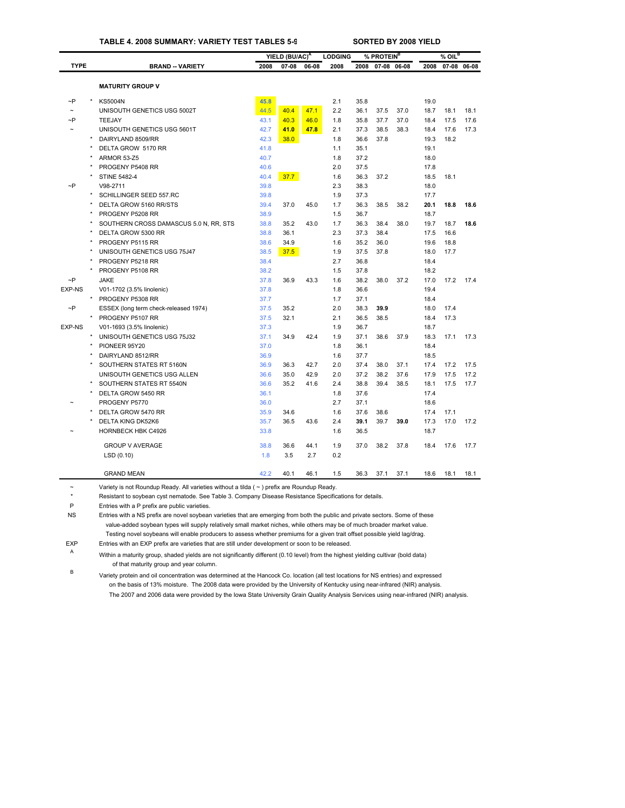### **TABLE 4. 2008 SUMMARY: VARIETY TEST TABLES 5-9 SORTED BY 2008 YIELD**

|                       |                                        |      | YIELD (BU/AC) <sup>A</sup> |       | <b>LODGING</b> | % PROTEIN <sup>B</sup> |      |             | $%$ OIL <sup>B</sup> |      |             |
|-----------------------|----------------------------------------|------|----------------------------|-------|----------------|------------------------|------|-------------|----------------------|------|-------------|
| <b>TYPE</b>           | <b>BRAND - VARIETY</b>                 | 2008 | 07-08                      | 06-08 | 2008           | 2008                   |      | 07-08 06-08 | 2008                 |      | 07-08 06-08 |
|                       |                                        |      |                            |       |                |                        |      |             |                      |      |             |
|                       | <b>MATURITY GROUP V</b>                |      |                            |       |                |                        |      |             |                      |      |             |
| $\neg P$              | <b>KS5004N</b>                         | 45.8 |                            |       | 2.1            | 35.8                   |      |             | 19.0                 |      |             |
| $\tilde{\phantom{a}}$ | UNISOUTH GENETICS USG 5002T            | 44.5 | 40.4                       | 47.1  | 2.2            | 36.1                   | 37.5 | 37.0        | 18.7                 | 18.1 | 18.1        |
| ~P                    | TEEJAY                                 | 43.1 | 40.3                       | 46.0  | 1.8            | 35.8                   | 37.7 | 37.0        | 18.4                 | 17.5 | 17.6        |
| $\sim$                | UNISOUTH GENETICS USG 5601T            | 42.7 | 41.0                       | 47.8  | 2.1            | 37.3                   | 38.5 | 38.3        | 18.4                 | 17.6 | 17.3        |
|                       | DAIRYLAND 8509/RR                      | 42.3 | 38.0                       |       | 1.8            | 36.6                   | 37.8 |             | 19.3                 | 18.2 |             |
|                       | DELTA GROW 5170 RR                     | 41.8 |                            |       | 1.1            | 35.1                   |      |             | 19.1                 |      |             |
|                       | ARMOR 53-Z5                            | 40.7 |                            |       | 1.8            | 37.2                   |      |             | 18.0                 |      |             |
|                       | PROGENY P5408 RR                       | 40.6 |                            |       | 2.0            | 37.5                   |      |             | 17.8                 |      |             |
|                       | <b>STINE 5482-4</b>                    | 40.4 | 37.7                       |       | 1.6            | 36.3                   | 37.2 |             | 18.5                 | 18.1 |             |
| $\neg P$              | V98-2711                               | 39.8 |                            |       | 2.3            | 38.3                   |      |             | 18.0                 |      |             |
|                       | SCHILLINGER SEED 557.RC                | 39.8 |                            |       | 1.9            | 37.3                   |      |             | 17.7                 |      |             |
|                       | DELTA GROW 5160 RR/STS                 | 39.4 | 37.0                       | 45.0  | 1.7            | 36.3                   | 38.5 | 38.2        | 20.1                 | 18.8 | 18.6        |
|                       | PROGENY P5208 RR                       | 38.9 |                            |       | 1.5            | 36.7                   |      |             | 18.7                 |      |             |
|                       | SOUTHERN CROSS DAMASCUS 5.0 N, RR, STS | 38.8 | 35.2                       | 43.0  | 1.7            | 36.3                   | 38.4 | 38.0        | 19.7                 | 18.7 | 18.6        |
|                       | DELTA GROW 5300 RR                     | 38.8 | 36.1                       |       | 2.3            | 37.3                   | 38.4 |             | 17.5                 | 16.6 |             |
|                       | PROGENY P5115 RR                       | 38.6 | 34.9                       |       | 1.6            | 35.2                   | 36.0 |             | 19.6                 | 18.8 |             |
|                       | UNISOUTH GENETICS USG 75J47            | 38.5 | 37.5                       |       | 1.9            | 37.5                   | 37.8 |             | 18.0                 | 17.7 |             |
|                       | PROGENY P5218 RR                       | 38.4 |                            |       | 2.7            | 36.8                   |      |             | 18.4                 |      |             |
|                       | PROGENY P5108 RR                       | 38.2 |                            |       | 1.5            | 37.8                   |      |             | 18.2                 |      |             |
| $\sim P$              | <b>JAKE</b>                            | 37.8 | 36.9                       | 43.3  | 1.6            | 38.2                   | 38.0 | 37.2        | 17.0                 | 17.2 | 17.4        |
| <b>EXP-NS</b>         | V01-1702 (3.5% linolenic)              | 37.8 |                            |       | 1.8            | 36.6                   |      |             | 19.4                 |      |             |
|                       | PROGENY P5308 RR                       | 37.7 |                            |       | 1.7            | 37.1                   |      |             | 18.4                 |      |             |
| $\sim P$              | ESSEX (long term check-released 1974)  | 37.5 | 35.2                       |       | 2.0            | 38.3                   | 39.9 |             | 18.0                 | 17.4 |             |
|                       | PROGENY P5107 RR                       | 37.5 | 32.1                       |       | 2.1            | 36.5                   | 38.5 |             | 18.4                 | 17.3 |             |
| EXP-NS                | V01-1693 (3.5% linolenic)              | 37.3 |                            |       | 1.9            | 36.7                   |      |             | 18.7                 |      |             |
|                       | UNISOUTH GENETICS USG 75J32            | 37.1 | 34.9                       | 42.4  | 1.9            | 37.1                   | 38.6 | 37.9        | 18.3                 | 17.1 | 17.3        |
|                       | PIONEER 95Y20                          | 37.0 |                            |       | 1.8            | 36.1                   |      |             | 18.4                 |      |             |
|                       | DAIRYLAND 8512/RR                      | 36.9 |                            |       | 1.6            | 37.7                   |      |             | 18.5                 |      |             |
|                       | SOUTHERN STATES RT 5160N               | 36.9 | 36.3                       | 42.7  | 2.0            | 37.4                   | 38.0 | 37.1        | 17.4                 | 17.2 | 17.5        |
|                       | UNISOUTH GENETICS USG ALLEN            | 36.6 | 35.0                       | 42.9  | 2.0            | 37.2                   | 38.2 | 37.6        | 17.9                 | 17.5 | 17.2        |
|                       | SOUTHERN STATES RT 5540N               | 36.6 | 35.2                       | 41.6  | 2.4            | 38.8                   | 39.4 | 38.5        | 18.1                 | 17.5 | 17.7        |
|                       | DELTA GROW 5450 RR                     | 36.1 |                            |       | 1.8            | 37.6                   |      |             | 17.4                 |      |             |
|                       | PROGENY P5770                          | 36.0 |                            |       | 2.7            | 37.1                   |      |             | 18.6                 |      |             |
|                       | DELTA GROW 5470 RR                     | 35.9 | 34.6                       |       | 1.6            | 37.6                   | 38.6 |             | 17.4                 | 17.1 |             |
|                       | DELTA KING DK52K6                      | 35.7 | 36.5                       | 43.6  | 2.4            | 39.1                   | 39.7 | 39.0        | 17.3                 | 17.0 | 17.2        |
|                       | <b>HORNBECK HBK C4926</b>              | 33.8 |                            |       | 1.6            | 36.5                   |      |             | 18.7                 |      |             |
|                       | <b>GROUP V AVERAGE</b>                 | 38.8 | 36.6                       | 44.1  | 1.9            | 37.0                   | 38.2 | 37.8        | 18.4                 | 17.6 | 17.7        |
|                       | LSD(0.10)                              | 1.8  | 3.5                        | 2.7   | 0.2            |                        |      |             |                      |      |             |
|                       | <b>GRAND MEAN</b>                      | 42.2 | 40.1                       | 46.1  | 1.5            | 36.3                   | 37.1 | 37.1        | 18.6                 | 18.1 | 18.1        |
|                       |                                        |      |                            |       |                |                        |      |             |                      |      |             |

~ Variety is not Roundup Ready. All varieties without a tilda ( [~ \) prefi](#page-29-0)x are Roundup Ready.

\* Resistant to soybean cyst nematode. See Table 3. Company Disease Resistance Specifications for details.

P Entries with a P prefix are public varieties.

NS Entries with a NS prefix are novel soybean varieties that are emerging from both the public and private sectors. Some of these value-added soybean types will supply relatively small market niches, while others may be of much broader market value. Testing novel soybeans will enable producers to assess whether premiums for a given trait offset possible yield lag/drag.

EXP Entries with an EXP prefix are varieties that are still under development or soon to be released.

<sup>A</sup> Within a maturity group, shaded yields are not significantly different (0.10 level) from the highest yielding cultivar (bold data) of that maturity group and year column.

<sup>B</sup> Variety protein and oil concentration was determined at the Hancock Co. location (all test locations for NS entries) and expressed on the basis of 13% moisture. The 2008 data were provided by the University of Kentucky using near-infrared (NIR) analysis. The 2007 and 2006 data were provided by the Iowa State University Grain Quality Analysis Services using near-infrared (NIR) analysis.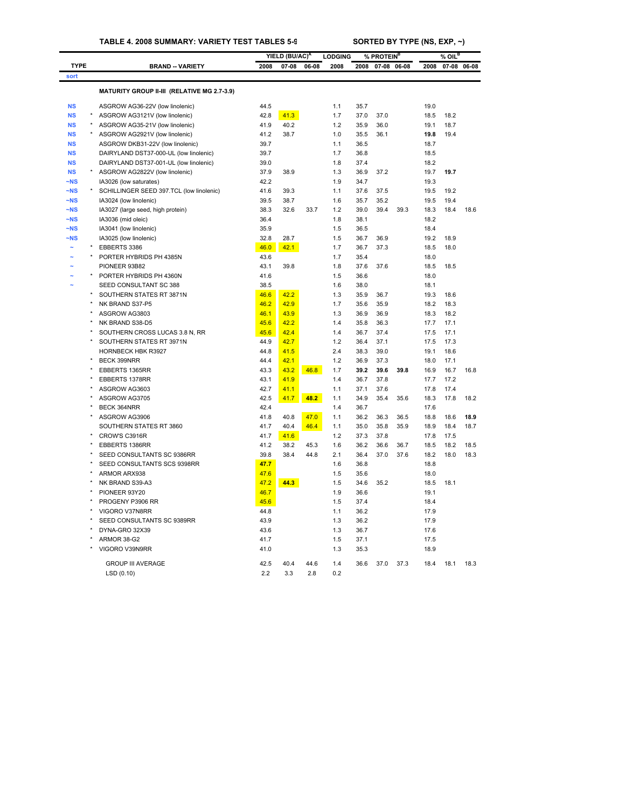<span id="page-33-0"></span>

|             |         |                                                            | YIELD (BU/AC) <sup>A</sup> |              | <b>LODGING</b><br>% PROTEIN <sup>B</sup> |            |              |              | % OIL <sup>B</sup> |              |              |             |  |
|-------------|---------|------------------------------------------------------------|----------------------------|--------------|------------------------------------------|------------|--------------|--------------|--------------------|--------------|--------------|-------------|--|
| <b>TYPE</b> |         | <b>BRAND -- VARIETY</b>                                    | 2008                       | 07-08        | 06-08                                    | 2008       | 2008         | 07-08        | 06-08              | 2008         |              | 07-08 06-08 |  |
| sort        |         |                                                            |                            |              |                                          |            |              |              |                    |              |              |             |  |
|             |         | MATURITY GROUP II-III (RELATIVE MG 2.7-3.9)                |                            |              |                                          |            |              |              |                    |              |              |             |  |
|             |         |                                                            |                            |              |                                          |            |              |              |                    |              |              |             |  |
| <b>NS</b>   |         | ASGROW AG36-22V (low linolenic)                            | 44.5                       |              |                                          | 1.1        | 35.7         |              |                    | 19.0         |              |             |  |
| <b>NS</b>   |         | ASGROW AG3121V (low linolenic)                             | 42.8                       | 41.3         |                                          | 1.7        | 37.0         | 37.0         |                    | 18.5         | 18.2         |             |  |
| <b>NS</b>   | $\star$ | ASGROW AG35-21V (low linolenic)                            | 41.9                       | 40.2         |                                          | 1.2        | 35.9         | 36.0         |                    | 19.1         | 18.7         |             |  |
| <b>NS</b>   |         | ASGROW AG2921V (low linolenic)                             | 41.2                       | 38.7         |                                          | 1.0        | 35.5         | 36.1         |                    | 19.8         | 19.4         |             |  |
| <b>NS</b>   |         | ASGROW DKB31-22V (low linolenic)                           | 39.7                       |              |                                          | 1.1        | 36.5         |              |                    | 18.7         |              |             |  |
| <b>NS</b>   |         | DAIRYLAND DST37-000-UL (low linolenic)                     | 39.7                       |              |                                          | 1.7        | 36.8         |              |                    | 18.5         |              |             |  |
| <b>NS</b>   |         | DAIRYLAND DST37-001-UL (low linolenic)                     | 39.0                       |              |                                          | 1.8        | 37.4         |              |                    | 18.2         |              |             |  |
| <b>NS</b>   |         | ASGROW AG2822V (low linolenic)                             | 37.9                       | 38.9         |                                          | 1.3        | 36.9         | 37.2         |                    | 19.7         | 19.7         |             |  |
| $-NS$       |         | IA3026 (low saturates)                                     | 42.2                       |              |                                          | 1.9        | 34.7         |              |                    | 19.3         |              |             |  |
| $-NS$       |         | SCHILLINGER SEED 397.TCL (low linolenic)                   | 41.6                       | 39.3         |                                          | 1.1        | 37.6         | 37.5         |                    | 19.5         | 19.2         |             |  |
| $-NS$       |         | IA3024 (low linolenic)                                     | 39.5                       | 38.7         |                                          | 1.6        | 35.7         | 35.2         |                    | 19.5         | 19.4         |             |  |
| $-NS$       |         | IA3027 (large seed, high protein)                          | 38.3                       | 32.6         | 33.7                                     | 1.2        | 39.0         | 39.4         | 39.3               | 18.3         | 18.4         | 18.6        |  |
| $-NS$       |         | IA3036 (mid oleic)                                         | 36.4                       |              |                                          | 1.8        | 38.1         |              |                    | 18.2         |              |             |  |
| $-NS$       |         | IA3041 (low linolenic)                                     | 35.9                       |              |                                          | 1.5        | 36.5         |              |                    | 18.4         |              |             |  |
| $-NS$       |         | IA3025 (low linolenic)                                     | 32.8                       | 28.7         |                                          | 1.5        | 36.7         | 36.9         |                    | 19.2         | 18.9         |             |  |
|             |         | EBBERTS 3386                                               | 46.0                       | 42.1         |                                          | 1.7        | 36.7         | 37.3         |                    | 18.5         | 18.0         |             |  |
|             |         | PORTER HYBRIDS PH 4385N                                    | 43.6                       |              |                                          | 1.7        | 35.4         |              |                    | 18.0         |              |             |  |
|             |         | PIONEER 93B82                                              | 43.1                       | 39.8         |                                          | 1.8        | 37.6         | 37.6         |                    | 18.5         | 18.5         |             |  |
|             |         | PORTER HYBRIDS PH 4360N                                    | 41.6                       |              |                                          | 1.5        | 36.6         |              |                    | 18.0         |              |             |  |
|             |         | SEED CONSULTANT SC 388                                     | 38.5                       |              |                                          | 1.6        | 38.0         |              |                    | 18.1         |              |             |  |
|             |         | SOUTHERN STATES RT 3871N                                   | 46.6                       | 42.2         |                                          | 1.3        | 35.9         | 36.7         |                    | 19.3         | 18.6         |             |  |
|             |         | NK BRAND S37-P5                                            | 46.2                       | 42.9         |                                          | 1.7        | 35.6         | 35.9         |                    | 18.2         | 18.3         |             |  |
|             |         | ASGROW AG3803                                              | 46.1                       | 43.9         |                                          | 1.3        | 36.9         | 36.9         |                    | 18.3         | 18.2         |             |  |
|             |         | NK BRAND S38-D5                                            | 45.6                       | 42.2         |                                          | 1.4        | 35.8<br>36.7 | 36.3<br>37.4 |                    | 17.7<br>17.5 | 17.1<br>17.1 |             |  |
|             |         | SOUTHERN CROSS LUCAS 3.8 N, RR<br>SOUTHERN STATES RT 3971N | 45.6<br>44.9               | 42.4<br>42.7 |                                          | 1.4<br>1.2 | 36.4         | 37.1         |                    | 17.5         | 17.3         |             |  |
|             |         | <b>HORNBECK HBK R3927</b>                                  | 44.8                       |              |                                          | 2.4        | 38.3         | 39.0         |                    | 19.1         | 18.6         |             |  |
|             |         | <b>BECK 399NRR</b>                                         | 44.4                       | 41.5<br>42.1 |                                          | 1.2        | 36.9         | 37.3         |                    | 18.0         | 17.1         |             |  |
|             |         | EBBERTS 1365RR                                             | 43.3                       | 43.2         | 46.8                                     | 1.7        | 39.2         | 39.6         | 39.8               | 16.9         | 16.7         | 16.8        |  |
|             |         | EBBERTS 1378RR                                             | 43.1                       | 41.9         |                                          | 1.4        | 36.7         | 37.8         |                    | 17.7         | 17.2         |             |  |
|             |         | ASGROW AG3603                                              | 42.7                       | 41.1         |                                          | 1.1        | 37.1         | 37.6         |                    | 17.8         | 17.4         |             |  |
|             |         | ASGROW AG3705                                              | 42.5                       | 41.7         | 48.2                                     | 1.1        | 34.9         | 35.4         | 35.6               | 18.3         | 17.8         | 18.2        |  |
|             |         | BECK 364NRR                                                | 42.4                       |              |                                          | 1.4        | 36.7         |              |                    | 17.6         |              |             |  |
|             |         | ASGROW AG3906                                              | 41.8                       | 40.8         | 47.0                                     | 1.1        | 36.2         | 36.3         | 36.5               | 18.8         | 18.6         | 18.9        |  |
|             |         | SOUTHERN STATES RT 3860                                    | 41.7                       | 40.4         | 46.4                                     | 1.1        | 35.0         | 35.8         | 35.9               | 18.9         | 18.4         | 18.7        |  |
|             |         | CROW'S C3916R                                              | 41.7                       | 41.6         |                                          | 1.2        | 37.3         | 37.8         |                    | 17.8         | 17.5         |             |  |
|             |         | EBBERTS 1386RR                                             | 41.2                       | 38.2         | 45.3                                     | 1.6        | 36.2         | 36.6         | 36.7               | 18.5         | 18.2         | 18.5        |  |
|             |         | SEED CONSULTANTS SC 9386RR                                 | 39.8                       | 38.4         | 44.8                                     | 2.1        | 36.4         | 37.0         | 37.6               | 18.2         | 18.0         | 18.3        |  |
|             |         | SEED CONSULTANTS SCS 9398RR                                | 47.7                       |              |                                          | 1.6        | 36.8         |              |                    | 18.8         |              |             |  |
|             |         | ARMOR ARX938                                               | 47.6                       |              |                                          | 1.5        | 35.6         |              |                    | 18.0         |              |             |  |
|             |         | NK BRAND S39-A3                                            | 47.2                       | 44.3         |                                          | 1.5        | 34.6         | 35.2         |                    | 18.5         | 18.1         |             |  |
|             | $\star$ | PIONEER 93Y20                                              | 46.7                       |              |                                          | 1.9        | 36.6         |              |                    | 19.1         |              |             |  |
|             |         | PROGENY P3906 RR                                           | 45.6                       |              |                                          | 1.5        | 37.4         |              |                    | 18.4         |              |             |  |
|             |         | VIGORO V37N8RR                                             | 44.8                       |              |                                          | 1.1        | 36.2         |              |                    | 17.9         |              |             |  |
|             |         | SEED CONSULTANTS SC 9389RR                                 | 43.9                       |              |                                          | 1.3        | 36.2         |              |                    | 17.9         |              |             |  |
|             |         | DYNA-GRO 32X39                                             | 43.6                       |              |                                          | 1.3        | 36.7         |              |                    | 17.6         |              |             |  |
|             |         | ARMOR 38-G2                                                | 41.7                       |              |                                          | 1.5        | 37.1         |              |                    | 17.5         |              |             |  |
|             |         | VIGORO V39N9RR                                             | 41.0                       |              |                                          | 1.3        | 35.3         |              |                    | 18.9         |              |             |  |
|             |         |                                                            |                            |              |                                          |            |              |              |                    |              |              |             |  |
|             |         | <b>GROUP III AVERAGE</b>                                   | 42.5                       | 40.4         | 44.6                                     | 1.4        | 36.6         | 37.0         | 37.3               | 18.4         | 18.1         | 18.3        |  |
|             |         | LSD(0.10)                                                  | 2.2                        | 3.3          | 2.8                                      | 0.2        |              |              |                    |              |              |             |  |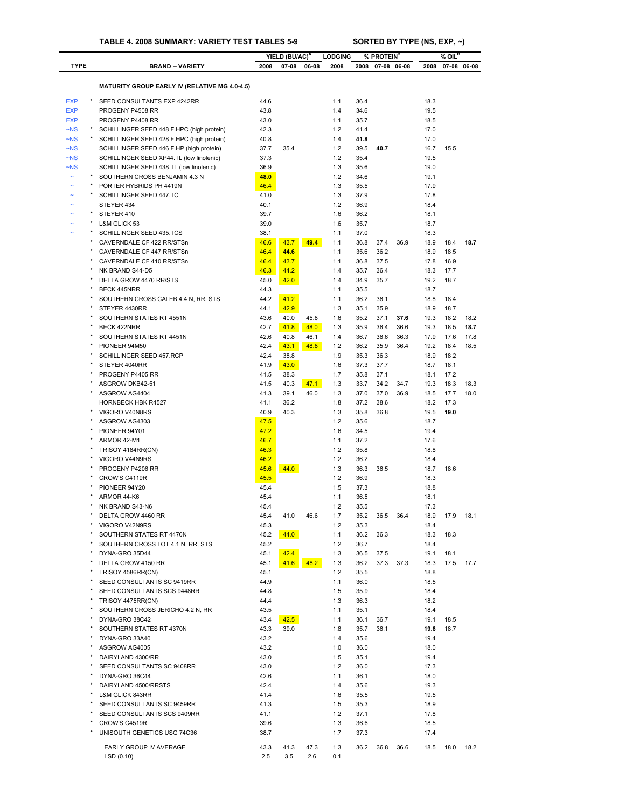# **TABLE 4. 2008 SUMMARY: VARIETY TEST TABLES 5-9 SORTED BY TYPE (NS, EXP, ~)**

|                    |                                                                                        |              | YIELD (BU/AC) <sup>A</sup> |       | <b>LODGING</b> | % PROTEIN <sup>B</sup> |              | $%$ OIL $^B$ |              |              |             |
|--------------------|----------------------------------------------------------------------------------------|--------------|----------------------------|-------|----------------|------------------------|--------------|--------------|--------------|--------------|-------------|
| <b>TYPE</b>        | <b>BRAND -- VARIETY</b>                                                                | 2008         | $07 - 08$                  | 06-08 | 2008           | 2008                   |              | 07-08 06-08  | 2008         |              | 07-08 06-08 |
|                    |                                                                                        |              |                            |       |                |                        |              |              |              |              |             |
|                    | <b>MATURITY GROUP EARLY IV (RELATIVE MG 4.0-4.5)</b>                                   |              |                            |       |                |                        |              |              |              |              |             |
| <b>EXP</b>         | SEED CONSULTANTS EXP 4242RR                                                            | 44.6         |                            |       | 1.1            | 36.4                   |              |              | 18.3         |              |             |
| <b>EXP</b>         | PROGENY P4508 RR                                                                       | 43.8         |                            |       | 1.4            | 34.6                   |              |              | 19.5         |              |             |
| <b>EXP</b>         | PROGENY P4408 RR                                                                       | 43.0         |                            |       | 1.1            | 35.7                   |              |              | 18.5         |              |             |
| $-NS$<br>$\neg$ NS | SCHILLINGER SEED 448 F.HPC (high protein)<br>SCHILLINGER SEED 428 F.HPC (high protein) | 42.3<br>40.8 |                            |       | 1.2<br>1.4     | 41.4<br>41.8           |              |              | 17.0<br>17.0 |              |             |
| $\neg$ NS          | SCHILLINGER SEED 446 F.HP (high protein)                                               | 37.7         | 35.4                       |       | 1.2            | 39.5                   | 40.7         |              | 16.7         | 15.5         |             |
| $\neg$ NS          | SCHILLINGER SEED XP44.TL (low linolenic)                                               | 37.3         |                            |       | 1.2            | 35.4                   |              |              | 19.5         |              |             |
| $\neg$ NS          | SCHILLINGER SEED 438.TL (low linolenic)                                                | 36.9         |                            |       | 1.3            | 35.6                   |              |              | 19.0         |              |             |
|                    | SOUTHERN CROSS BENJAMIN 4.3 N                                                          | 48.0         |                            |       | 1.2            | 34.6                   |              |              | 19.1         |              |             |
|                    | PORTER HYBRIDS PH 4419N                                                                | 46.4         |                            |       | 1.3            | 35.5                   |              |              | 17.9         |              |             |
|                    | SCHILLINGER SEED 447.TC                                                                | 41.0         |                            |       | 1.3            | 37.9                   |              |              | 17.8         |              |             |
|                    | STEYER 434                                                                             | 40.1         |                            |       | 1.2            | 36.9                   |              |              | 18.4         |              |             |
|                    | STEYER 410                                                                             | 39.7         |                            |       | 1.6            | 36.2                   |              |              | 18.1         |              |             |
|                    | L&M GLICK 53                                                                           | 39.0         |                            |       | 1.6            | 35.7                   |              |              | 18.7         |              |             |
|                    | SCHILLINGER SEED 435.TCS                                                               | 38.1<br>46.6 | 43.7                       | 49.4  | 1.1<br>1.1     | 37.0<br>36.8           | 37.4         |              | 18.3         | 18.4         | 18.7        |
|                    | CAVERNDALE CF 422 RR/STSn<br>CAVERNDALE CF 447 RR/STSn                                 | 46.4         | 44.6                       |       | 1.1            | 35.6                   | 36.2         | 36.9         | 18.9<br>18.9 | 18.5         |             |
|                    | CAVERNDALE CF 410 RR/STSn                                                              | 46.4         | 43.7                       |       | 1.1            | 36.8                   | 37.5         |              | 17.8         | 16.9         |             |
|                    | NK BRAND S44-D5                                                                        | 46.3         | 44.2                       |       | 1.4            | 35.7                   | 36.4         |              | 18.3         | 17.7         |             |
|                    | DELTA GROW 4470 RR/STS                                                                 | 45.0         | 42.0                       |       | 1.4            | 34.9                   | 35.7         |              | 19.2         | 18.7         |             |
|                    | BECK 445NRR                                                                            | 44.3         |                            |       | 1.1            | 35.5                   |              |              | 18.7         |              |             |
|                    | SOUTHERN CROSS CALEB 4.4 N, RR, STS                                                    | 44.2         | 41.2                       |       | 1.1            | 36.2                   | 36.1         |              | 18.8         | 18.4         |             |
|                    | STEYER 4430RR                                                                          | 44.1         | 42.9                       |       | 1.3            | 35.1                   | 35.9         |              | 18.9         | 18.7         |             |
|                    | SOUTHERN STATES RT 4551N                                                               | 43.6         | 40.0                       | 45.8  | 1.6            | 35.2                   | 37.1         | 37.6         | 19.3         | 18.2         | 18.2        |
|                    | BECK 422NRR                                                                            | 42.7         | 41.8                       | 48.0  | 1.3            | 35.9                   | 36.4         | 36.6         | 19.3         | 18.5         | 18.7        |
|                    | SOUTHERN STATES RT 4451N                                                               | 42.6         | 40.8                       | 46.1  | 1.4            | 36.7                   | 36.6         | 36.3         | 17.9         | 17.6         | 17.8        |
|                    | PIONEER 94M50                                                                          | 42.4         | 43.1                       | 48.8  | 1.2            | 36.2                   | 35.9         | 36.4         | 19.2         | 18.4         | 18.5        |
|                    | SCHILLINGER SEED 457.RCP                                                               | 42.4         | 38.8                       |       | 1.9            | 35.3                   | 36.3         |              | 18.9         | 18.2         |             |
|                    | STEYER 4040RR                                                                          | 41.9         | 43.0                       |       | 1.6<br>1.7     | 37.3                   | 37.7<br>37.1 |              | 18.7         | 18.1         |             |
|                    | PROGENY P4405 RR<br>ASGROW DKB42-51                                                    | 41.5<br>41.5 | 38.3<br>40.3               | 47.1  | 1.3            | 35.8<br>33.7           | 34.2         | 34.7         | 18.1<br>19.3 | 17.2<br>18.3 | 18.3        |
|                    | ASGROW AG4404                                                                          | 41.3         | 39.1                       | 46.0  | 1.3            | 37.0                   | 37.0         | 36.9         | 18.5         | 17.7         | 18.0        |
|                    | <b>HORNBECK HBK R4527</b>                                                              | 41.1         | 36.2                       |       | 1.8            | 37.2                   | 38.6         |              | 18.2         | 17.3         |             |
|                    | VIGORO V40N8RS                                                                         | 40.9         | 40.3                       |       | 1.3            | 35.8                   | 36.8         |              | 19.5         | 19.0         |             |
|                    | ASGROW AG4303                                                                          | 47.5         |                            |       | 1.2            | 35.6                   |              |              | 18.7         |              |             |
|                    | PIONEER 94Y01                                                                          | 47.2         |                            |       | 1.6            | 34.5                   |              |              | 19.4         |              |             |
|                    | ARMOR 42-M1                                                                            | 46.7         |                            |       | 1.1            | 37.2                   |              |              | 17.6         |              |             |
|                    | TRISOY 4184RR(CN)                                                                      | 46.3         |                            |       | 1.2            | 35.8                   |              |              | 18.8         |              |             |
|                    | VIGORO V44N9RS                                                                         | 46.2         |                            |       | 1.2            | 36.2                   |              |              | 18.4         |              |             |
|                    | PROGENY P4206 RR                                                                       | 45.6         | 44.0                       |       | 1.3            | 36.3                   | 36.5         |              | 18.7         | 18.6         |             |
|                    | CROW'S C4119R                                                                          | 45.5         |                            |       | 1.2            | 36.9                   |              |              | 18.3         |              |             |
|                    | PIONEER 94Y20<br>ARMOR 44-K6                                                           | 45.4<br>45.4 |                            |       | 1.5<br>1.1     | 37.3<br>36.5           |              |              | 18.8<br>18.1 |              |             |
|                    | NK BRAND S43-N6                                                                        |              |                            |       |                |                        |              |              | 17.3         |              |             |
|                    | DELTA GROW 4460 RR                                                                     | 45.4<br>45.4 | 41.0                       | 46.6  | 1.2<br>1.7     | 35.5<br>35.2           | 36.5         | 36.4         | 18.9         | 17.9         | 18.1        |
|                    | VIGORO V42N9RS                                                                         | 45.3         |                            |       | 1.2            | 35.3                   |              |              | 18.4         |              |             |
|                    | SOUTHERN STATES RT 4470N                                                               | 45.2         | 44.0                       |       | 1.1            | 36.2                   | 36.3         |              | 18.3         | 18.3         |             |
|                    | SOUTHERN CROSS LOT 4.1 N, RR, STS                                                      | 45.2         |                            |       | 1.2            | 36.7                   |              |              | 18.4         |              |             |
|                    | DYNA-GRO 35D44                                                                         | 45.1         | 42.4                       |       | 1.3            | 36.5                   | 37.5         |              | 19.1         | 18.1         |             |
|                    | DELTA GROW 4150 RR                                                                     | 45.1         | 41.6                       | 48.2  | 1.3            | 36.2                   | 37.3         | 37.3         | 18.3         | 17.5         | 17.7        |
|                    | TRISOY 4586RR(CN)                                                                      | 45.1         |                            |       | 1.2            | 35.5                   |              |              | 18.8         |              |             |
|                    | SEED CONSULTANTS SC 9419RR                                                             | 44.9         |                            |       | 1.1            | 36.0                   |              |              | 18.5         |              |             |
|                    | SEED CONSULTANTS SCS 9448RR                                                            | 44.8         |                            |       | 1.5            | 35.9                   |              |              | 18.4         |              |             |
|                    | TRISOY 4475RR(CN)                                                                      | 44.4         |                            |       | 1.3            | 36.3                   |              |              | 18.2         |              |             |
|                    | SOUTHERN CROSS JERICHO 4.2 N, RR<br>DYNA-GRO 38C42                                     | 43.5<br>43.4 | 42.5                       |       | 1.1<br>1.1     | 35.1<br>36.1           | 36.7         |              | 18.4<br>19.1 | 18.5         |             |
|                    | SOUTHERN STATES RT 4370N                                                               | 43.3         | 39.0                       |       | 1.8            | 35.7                   | 36.1         |              | 19.6         | 18.7         |             |
|                    | DYNA-GRO 33A40                                                                         | 43.2         |                            |       | 1.4            | 35.6                   |              |              | 19.4         |              |             |
|                    | ASGROW AG4005                                                                          | 43.2         |                            |       | 1.0            | 36.0                   |              |              | 18.0         |              |             |
|                    | DAIRYLAND 4300/RR                                                                      | 43.0         |                            |       | 1.5            | 35.1                   |              |              | 19.4         |              |             |
|                    | SEED CONSULTANTS SC 9408RR                                                             | 43.0         |                            |       | $1.2$          | 36.0                   |              |              | 17.3         |              |             |
|                    | DYNA-GRO 36C44                                                                         | 42.6         |                            |       | 1.1            | 36.1                   |              |              | 18.0         |              |             |
|                    | DAIRYLAND 4500/RRSTS                                                                   | 42.4         |                            |       | 1.4            | 35.6                   |              |              | 19.3         |              |             |
|                    | L&M GLICK 843RR                                                                        | 41.4         |                            |       | 1.6            | 35.5                   |              |              | 19.5         |              |             |
|                    | SEED CONSULTANTS SC 9459RR                                                             | 41.3         |                            |       | 1.5            | 35.3                   |              |              | 18.9         |              |             |
|                    | SEED CONSULTANTS SCS 9409RR                                                            | 41.1         |                            |       | 1.2            | 37.1                   |              |              | 17.8         |              |             |
|                    | CROW'S C4519R                                                                          | 39.6         |                            |       | 1.3            | 36.6                   |              |              | 18.5         |              |             |
|                    | UNISOUTH GENETICS USG 74C36                                                            | 38.7         |                            |       | 1.7            | 37.3                   |              |              | 17.4         |              |             |
|                    | EARLY GROUP IV AVERAGE                                                                 | 43.3         | 41.3                       | 47.3  | 1.3            | 36.2                   | 36.8         | 36.6         | 18.5         | 18.0         | 18.2        |
|                    | LSD (0.10)                                                                             | 2.5          | 3.5                        | 2.6   | 0.1            |                        |              |              |              |              |             |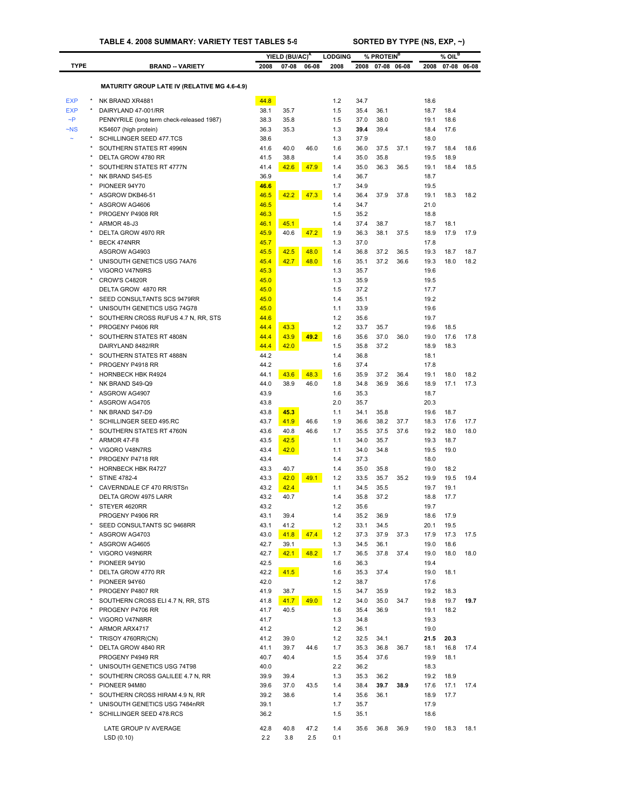|              |                                                                 | YIELD (BU/AC) <sup>A</sup> |              |       |                        |              | % PROTEIN <sup>B</sup> |       |              | $%$ OIL <sup>B</sup> |             |  |
|--------------|-----------------------------------------------------------------|----------------------------|--------------|-------|------------------------|--------------|------------------------|-------|--------------|----------------------|-------------|--|
| <b>TYPE</b>  | <b>BRAND -- VARIETY</b>                                         | 2008                       | 07-08        | 06-08 | <b>LODGING</b><br>2008 | 2008         | $07 - 08$              | 06-08 | 2008         |                      | 07-08 06-08 |  |
|              |                                                                 |                            |              |       |                        |              |                        |       |              |                      |             |  |
|              | <b>MATURITY GROUP LATE IV (RELATIVE MG 4.6-4.9)</b>             |                            |              |       |                        |              |                        |       |              |                      |             |  |
| <b>EXP</b>   | NK BRAND XR4881                                                 | 44.8                       |              |       | 1.2                    | 34.7         |                        |       | 18.6         |                      |             |  |
| <b>EXP</b>   | DAIRYLAND 47-001/RR                                             | 38.1                       | 35.7         |       | 1.5                    | 35.4         | 36.1                   |       | 18.7         | 18.4                 |             |  |
| $\neg P$     | PENNYRILE (long term check-released 1987)                       | 38.3                       | 35.8         |       | 1.5                    | 37.0         | 38.0                   |       | 19.1         | 18.6                 |             |  |
| $-NS$        | KS4607 (high protein)                                           | 36.3                       | 35.3         |       | 1.3                    | 39.4         | 39.4                   |       | 18.4         | 17.6                 |             |  |
|              | SCHILLINGER SEED 477.TCS                                        | 38.6                       |              |       | 1.3                    | 37.9         |                        |       | 18.0         |                      |             |  |
|              | SOUTHERN STATES RT 4996N<br>DELTA GROW 4780 RR                  | 41.6                       | 40.0         | 46.0  | 1.6                    | 36.0         | 37.5                   | 37.1  | 19.7         | 18.4                 | 18.6        |  |
|              | SOUTHERN STATES RT 4777N                                        | 41.5<br>41.4               | 38.8<br>42.6 | 47.9  | 1.4<br>1.4             | 35.0<br>35.0 | 35.8<br>36.3           | 36.5  | 19.5<br>19.1 | 18.9<br>18.4         | 18.5        |  |
|              | NK BRAND S45-E5                                                 | 36.9                       |              |       | 1.4                    | 36.7         |                        |       | 18.7         |                      |             |  |
|              | PIONEER 94Y70                                                   | 46.6                       |              |       | 1.7                    | 34.9         |                        |       | 19.5         |                      |             |  |
|              | ASGROW DKB46-51                                                 | 46.5                       | 42.2         | 47.3  | 1.4                    | 36.4         | 37.9                   | 37.8  | 19.1         | 18.3                 | 18.2        |  |
|              | ASGROW AG4606                                                   | 46.5                       |              |       | 1.4                    | 34.7         |                        |       | 21.0         |                      |             |  |
|              | PROGENY P4908 RR                                                | 46.3                       |              |       | 1.5                    | 35.2         |                        |       | 18.8         |                      |             |  |
|              | ARMOR 48-J3                                                     | 46.1                       | 45.1         |       | 1.4                    | 37.4         | 38.7                   |       | 18.7         | 18.1                 |             |  |
|              | DELTA GROW 4970 RR                                              | 45.9                       | 40.6         | 47.2  | 1.9                    | 36.3         | 38.1                   | 37.5  | 18.9         | 17.9                 | 17.9        |  |
|              | <b>BECK 474NRR</b>                                              | 45.7                       |              |       | 1.3                    | 37.0         |                        |       | 17.8         |                      |             |  |
|              | ASGROW AG4903                                                   | 45.5                       | 42.5         | 48.0  | 1.4                    | 36.8         | 37.2                   | 36.5  | 19.3         | 18.7                 | 18.7        |  |
|              | UNISOUTH GENETICS USG 74A76                                     | 45.4                       | 42.7         | 48.0  | 1.6                    | 35.1         | 37.2                   | 36.6  | 19.3         | 18.0                 | 18.2        |  |
| $\star$      | VIGORO V47N9RS                                                  | 45.3                       |              |       | 1.3                    | 35.7         |                        |       | 19.6         |                      |             |  |
|              | CROW'S C4820R                                                   | 45.0                       |              |       | 1.3                    | 35.9         |                        |       | 19.5         |                      |             |  |
|              | DELTA GROW 4870 RR<br>SEED CONSULTANTS SCS 9479RR               | 45.0<br>45.0               |              |       | 1.5<br>1.4             | 37.2<br>35.1 |                        |       | 17.7<br>19.2 |                      |             |  |
|              | UNISOUTH GENETICS USG 74G78                                     | 45.0                       |              |       | 1.1                    | 33.9         |                        |       | 19.6         |                      |             |  |
|              | SOUTHERN CROSS RUFUS 4.7 N. RR. STS                             | 44.6                       |              |       | 1.2                    | 35.6         |                        |       | 19.7         |                      |             |  |
|              | PROGENY P4606 RR                                                | 44.4                       | 43.3         |       | 1.2                    | 33.7         | 35.7                   |       | 19.6         | 18.5                 |             |  |
|              | SOUTHERN STATES RT 4808N                                        | 44.4                       | 43.9         | 49.2  | 1.6                    | 35.6         | 37.0                   | 36.0  | 19.0         | 17.6                 | 17.8        |  |
|              | DAIRYLAND 8482/RR                                               | 44.4                       | 42.0         |       | 1.5                    | 35.8         | 37.2                   |       | 18.9         | 18.3                 |             |  |
|              | SOUTHERN STATES RT 4888N                                        | 44.2                       |              |       | 1.4                    | 36.8         |                        |       | 18.1         |                      |             |  |
|              | PROGENY P4918 RR                                                | 44.2                       |              |       | 1.6                    | 37.4         |                        |       | 17.8         |                      |             |  |
|              | <b>HORNBECK HBK R4924</b>                                       | 44.1                       | 43.6         | 48.3  | 1.6                    | 35.9         | 37.2                   | 36.4  | 19.1         | 18.0                 | 18.2        |  |
|              | NK BRAND S49-Q9                                                 | 44.0                       | 38.9         | 46.0  | 1.8                    | 34.8         | 36.9                   | 36.6  | 18.9         | 17.1                 | 17.3        |  |
|              | ASGROW AG4907                                                   | 43.9                       |              |       | 1.6                    | 35.3         |                        |       | 18.7         |                      |             |  |
|              | ASGROW AG4705                                                   | 43.8                       |              |       | 2.0                    | 35.7         |                        |       | 20.3         |                      |             |  |
|              | NK BRAND S47-D9                                                 | 43.8                       | 45.3         |       | 1.1                    | 34.1         | 35.8                   |       | 19.6         | 18.7                 |             |  |
|              | SCHILLINGER SEED 495.RC                                         | 43.7                       | 41.9         | 46.6  | 1.9                    | 36.6         | 38.2                   | 37.7  | 18.3         | 17.6                 | 17.7        |  |
|              | SOUTHERN STATES RT 4760N                                        | 43.6                       | 40.8         | 46.6  | 1.7                    | 35.5         | 37.5                   | 37.6  | 19.2         | 18.0                 | 18.0        |  |
|              | ARMOR 47-F8                                                     | 43.5                       | 42.5         |       | 1.1                    | 34.0         | 35.7                   |       | 19.3         | 18.7                 |             |  |
|              | VIGORO V48N7RS                                                  | 43.4                       | 42.0         |       | 1.1                    | 34.0         | 34.8                   |       | 19.5         | 19.0                 |             |  |
|              | PROGENY P4718 RR                                                | 43.4                       |              |       | 1.4                    | 37.3         |                        |       | 18.0         |                      |             |  |
|              | <b>HORNBECK HBK R4727</b>                                       | 43.3                       | 40.7         |       | 1.4                    | 35.0         | 35.8                   |       | 19.0         | 18.2                 |             |  |
|              | <b>STINE 4782-4</b><br>CAVERNDALE CF 470 RR/STSn                | 43.3<br>43.2               | 42.0         | 49.1  | 1.2<br>1.1             | 33.5<br>34.5 | 35.7<br>35.5           | 35.2  | 19.9<br>19.7 | 19.5<br>19.1         | 19.4        |  |
|              | DELTA GROW 4975 LARR                                            | 43.2                       | 42.4<br>40.7 |       | 1.4                    | 35.8         | 37.2                   |       | 18.8         | 17.7                 |             |  |
|              | STEYER 4620RR                                                   | 43.2                       |              |       | 1.2                    | 35.6         |                        |       | 19.7         |                      |             |  |
|              | PROGENY P4906 RR                                                | 43.1                       | 39.4         |       | 1.4                    | 35.2         | 36.9                   |       | 18.6         | 17.9                 |             |  |
| $\star$      | SEED CONSULTANTS SC 9468RR                                      | 43.1                       | 41.2         |       | 1.2                    | 33.1         | 34.5                   |       | 20.1         | 19.5                 |             |  |
|              | ASGROW AG4703                                                   | 43.0                       | 41.8         | 47.4  | 1.2                    | 37.3         | 37.9                   | 37.3  | 17.9         | 17.3                 | 17.5        |  |
| $\star$      | ASGROW AG4605                                                   | 42.7                       | 39.1         |       | 1.3                    | 34.5         | 36.1                   |       | 19.0         | 18.6                 |             |  |
|              | VIGORO V49N6RR                                                  | 42.7                       | 42.1         | 48.2  | 1.7                    | 36.5         | 37.8                   | 37.4  | 19.0         | 18.0                 | 18.0        |  |
|              | PIONEER 94Y90                                                   | 42.5                       |              |       | 1.6                    | 36.3         |                        |       | 19.4         |                      |             |  |
|              | DELTA GROW 4770 RR                                              | 42.2                       | 41.5         |       | 1.6                    | 35.3         | 37.4                   |       | 19.0         | 18.1                 |             |  |
|              | PIONEER 94Y60                                                   | 42.0                       |              |       | 1.2                    | 38.7         |                        |       | 17.6         |                      |             |  |
|              | PROGENY P4807 RR                                                | 41.9                       | 38.7         |       | 1.5                    | 34.7         | 35.9                   |       | 19.2         | 18.3                 |             |  |
|              | SOUTHERN CROSS ELI 4.7 N, RR, STS                               | 41.8                       | 41.7         | 49.0  | 1.2                    | 34.0         | 35.0                   | 34.7  | 19.8         | 19.7                 | 19.7        |  |
| $\pmb{\ast}$ | PROGENY P4706 RR                                                | 41.7                       | 40.5         |       | 1.6                    | 35.4         | 36.9                   |       | 19.1         | 18.2                 |             |  |
|              | VIGORO V47N8RR                                                  | 41.7                       |              |       | 1.3                    | 34.8         |                        |       | 19.3         |                      |             |  |
| $\star$      | ARMOR ARX4717                                                   | 41.2                       |              |       | 1.2                    | 36.1         |                        |       | 19.0         |                      |             |  |
|              | TRISOY 4760RR(CN)                                               | 41.2                       | 39.0         |       | 1.2                    | 32.5         | 34.1                   |       | 21.5         | 20.3                 |             |  |
| $\pmb{\ast}$ | DELTA GROW 4840 RR                                              | 41.1                       | 39.7         | 44.6  | 1.7                    | 35.3         | 36.8                   | 36.7  | 18.1         | 16.8                 | 17.4        |  |
|              | PROGENY P4949 RR                                                | 40.7                       | 40.4         |       | 1.5                    | 35.4         | 37.6                   |       | 19.9         | 18.1                 |             |  |
| $\pmb{\ast}$ | UNISOUTH GENETICS USG 74T98                                     | 40.0                       |              |       | 2.2                    | 36.2         |                        |       | 18.3         |                      |             |  |
|              | SOUTHERN CROSS GALILEE 4.7 N, RR                                | 39.9                       | 39.4         |       | 1.3                    | 35.3         | 36.2                   |       | 19.2         | 18.9                 |             |  |
|              | PIONEER 94M80                                                   | 39.6<br>39.2               | 37.0<br>38.6 | 43.5  | 1.4<br>1.4             | 38.4<br>35.6 | 39.7<br>36.1           | 38.9  | 17.6<br>18.9 | 17.1<br>17.7         | 17.4        |  |
|              | SOUTHERN CROSS HIRAM 4.9 N, RR<br>UNISOUTH GENETICS USG 7484nRR | 39.1                       |              |       | 1.7                    | 35.7         |                        |       | 17.9         |                      |             |  |
|              | SCHILLINGER SEED 478.RCS                                        | 36.2                       |              |       | 1.5                    | 35.1         |                        |       | 18.6         |                      |             |  |
|              |                                                                 |                            |              |       |                        |              |                        |       |              |                      |             |  |
|              | LATE GROUP IV AVERAGE                                           | 42.8                       | 40.8         | 47.2  | 1.4                    | 35.6         | 36.8                   | 36.9  | 19.0         | 18.3                 | 18.1        |  |
|              | LSD(0.10)                                                       | 2.2                        | 3.8          | 2.5   | 0.1                    |              |                        |       |              |                      |             |  |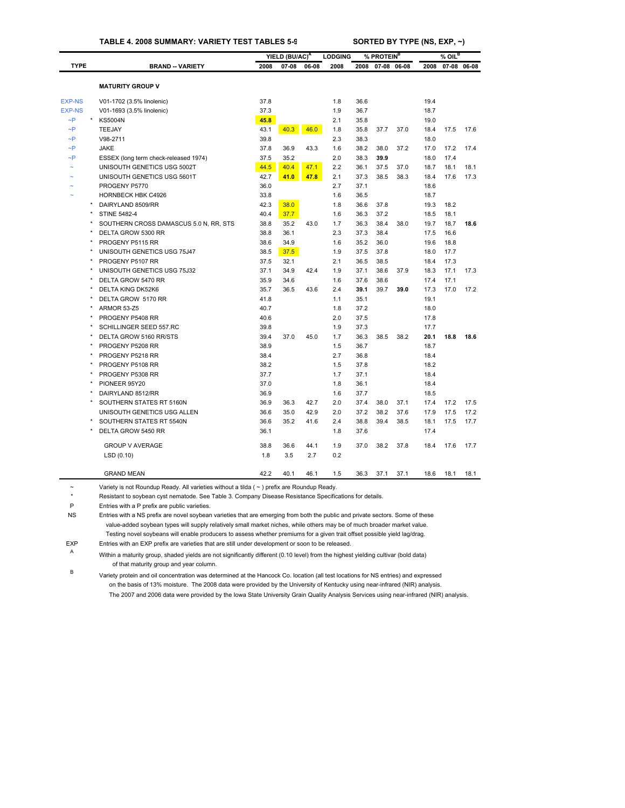### **TABLE 4. 2008 SUMMARY: VARIETY TEST TABLES 5-9 SORTED BY TYPE (NS, EXP, ~)**

| <b>TYPE</b><br><b>EXP-NS</b><br><b>EXP-NS</b> | <b>BRAND -- VARIETY</b><br><b>MATURITY GROUP V</b><br>V01-1702 (3.5% linolenic) | 2008 | $07 - 08$ | 06-08 | 2008 | 2008 | % PROTEIN <sup>B</sup><br>07-08 06-08 |      | 2008 | $%$ OIL <sup>B</sup><br>07-08 06-08 |      |
|-----------------------------------------------|---------------------------------------------------------------------------------|------|-----------|-------|------|------|---------------------------------------|------|------|-------------------------------------|------|
|                                               |                                                                                 |      |           |       |      |      |                                       |      |      |                                     |      |
|                                               |                                                                                 |      |           |       |      |      |                                       |      |      |                                     |      |
|                                               |                                                                                 |      |           |       |      |      |                                       |      |      |                                     |      |
|                                               |                                                                                 | 37.8 |           |       | 1.8  | 36.6 |                                       |      | 19.4 |                                     |      |
|                                               | V01-1693 (3.5% linolenic)                                                       | 37.3 |           |       | 1.9  | 36.7 |                                       |      | 18.7 |                                     |      |
| $\sim P$                                      | <b>KS5004N</b>                                                                  | 45.8 |           |       | 2.1  | 35.8 |                                       |      | 19.0 |                                     |      |
| $\sim P$                                      | TEEJAY                                                                          | 43.1 | 40.3      | 46.0  | 1.8  | 35.8 | 37.7                                  | 37.0 | 18.4 | 17.5                                | 17.6 |
| $\neg P$                                      | V98-2711                                                                        | 39.8 |           |       | 2.3  | 38.3 |                                       |      | 18.0 |                                     |      |
| $\sim P$                                      | <b>JAKE</b>                                                                     | 37.8 | 36.9      | 43.3  | 1.6  | 38.2 | 38.0                                  | 37.2 | 17.0 | 17.2                                | 17.4 |
| $\neg P$                                      | ESSEX (long term check-released 1974)                                           | 37.5 | 35.2      |       | 2.0  | 38.3 | 39.9                                  |      | 18.0 | 17.4                                |      |
|                                               | UNISOUTH GENETICS USG 5002T                                                     | 44.5 | 40.4      | 47.1  | 2.2  | 36.1 | 37.5                                  | 37.0 | 18.7 | 18.1                                | 18.1 |
|                                               | UNISOUTH GENETICS USG 5601T                                                     | 42.7 | 41.0      | 47.8  | 2.1  | 37.3 | 38.5                                  | 38.3 | 18.4 | 17.6                                | 17.3 |
|                                               | PROGENY P5770                                                                   | 36.0 |           |       | 2.7  | 37.1 |                                       |      | 18.6 |                                     |      |
|                                               | <b>HORNBECK HBK C4926</b>                                                       | 33.8 |           |       | 1.6  | 36.5 |                                       |      | 18.7 |                                     |      |
|                                               | DAIRYLAND 8509/RR                                                               | 42.3 | 38.0      |       | 1.8  | 36.6 | 37.8                                  |      | 19.3 | 18.2                                |      |
|                                               | <b>STINE 5482-4</b>                                                             | 40.4 | 37.7      |       | 1.6  | 36.3 | 37.2                                  |      | 18.5 | 18.1                                |      |
|                                               | SOUTHERN CROSS DAMASCUS 5.0 N, RR, STS                                          | 38.8 | 35.2      | 43.0  | 1.7  | 36.3 | 38.4                                  | 38.0 | 19.7 | 18.7                                | 18.6 |
|                                               | DELTA GROW 5300 RR                                                              | 38.8 | 36.1      |       | 2.3  | 37.3 | 38.4                                  |      | 17.5 | 16.6                                |      |
|                                               | PROGENY P5115 RR                                                                | 38.6 | 34.9      |       | 1.6  | 35.2 | 36.0                                  |      | 19.6 | 18.8                                |      |
|                                               | UNISOUTH GENETICS USG 75J47                                                     | 38.5 | 37.5      |       | 1.9  | 37.5 | 37.8                                  |      | 18.0 | 17.7                                |      |
| $\star$                                       | PROGENY P5107 RR                                                                | 37.5 | 32.1      |       | 2.1  | 36.5 | 38.5                                  |      | 18.4 | 17.3                                |      |
|                                               | UNISOUTH GENETICS USG 75J32                                                     | 37.1 | 34.9      | 42.4  | 1.9  | 37.1 | 38.6                                  | 37.9 | 18.3 | 17.1                                | 17.3 |
|                                               | DELTA GROW 5470 RR                                                              | 35.9 | 34.6      |       | 1.6  | 37.6 | 38.6                                  |      | 17.4 | 17.1                                |      |
|                                               | <b>DELTA KING DK52K6</b>                                                        | 35.7 | 36.5      | 43.6  | 2.4  | 39.1 | 39.7                                  | 39.0 | 17.3 | 17.0                                | 17.2 |
|                                               | DELTA GROW 5170 RR                                                              | 41.8 |           |       | 1.1  | 35.1 |                                       |      | 19.1 |                                     |      |
|                                               | ARMOR 53-Z5                                                                     | 40.7 |           |       | 1.8  | 37.2 |                                       |      | 18.0 |                                     |      |
|                                               | PROGENY P5408 RR                                                                | 40.6 |           |       | 2.0  | 37.5 |                                       |      | 17.8 |                                     |      |
|                                               | SCHILLINGER SEED 557.RC                                                         | 39.8 |           |       | 1.9  | 37.3 |                                       |      | 17.7 |                                     |      |
|                                               | DELTA GROW 5160 RR/STS                                                          | 39.4 | 37.0      | 45.0  | 1.7  | 36.3 | 38.5                                  | 38.2 | 20.1 | 18.8                                | 18.6 |
|                                               | PROGENY P5208 RR                                                                | 38.9 |           |       | 1.5  | 36.7 |                                       |      | 18.7 |                                     |      |
|                                               | PROGENY P5218 RR                                                                | 38.4 |           |       | 2.7  | 36.8 |                                       |      | 18.4 |                                     |      |
|                                               | PROGENY P5108 RR                                                                | 38.2 |           |       | 1.5  | 37.8 |                                       |      | 18.2 |                                     |      |
|                                               | PROGENY P5308 RR                                                                | 37.7 |           |       | 1.7  | 37.1 |                                       |      | 18.4 |                                     |      |
|                                               | PIONEER 95Y20                                                                   | 37.0 |           |       | 1.8  | 36.1 |                                       |      | 18.4 |                                     |      |
|                                               | DAIRYLAND 8512/RR                                                               | 36.9 |           |       | 1.6  | 37.7 |                                       |      | 18.5 |                                     |      |
|                                               | SOUTHERN STATES RT 5160N                                                        | 36.9 | 36.3      | 42.7  | 2.0  | 37.4 | 38.0                                  | 37.1 | 17.4 | 17.2                                | 17.5 |
|                                               | UNISOUTH GENETICS USG ALLEN                                                     | 36.6 | 35.0      | 42.9  | 2.0  | 37.2 | 38.2                                  | 37.6 | 17.9 | 17.5                                | 17.2 |
|                                               | SOUTHERN STATES RT 5540N                                                        | 36.6 | 35.2      | 41.6  | 2.4  | 38.8 | 39.4                                  | 38.5 | 18.1 | 17.5                                | 17.7 |
|                                               | DELTA GROW 5450 RR                                                              | 36.1 |           |       | 1.8  | 37.6 |                                       |      | 17.4 |                                     |      |
|                                               | <b>GROUP V AVERAGE</b>                                                          | 38.8 | 36.6      | 44.1  | 1.9  | 37.0 | 38.2                                  | 37.8 | 18.4 | 17.6                                | 17.7 |
|                                               | LSD(0.10)                                                                       | 1.8  | 3.5       | 2.7   | 0.2  |      |                                       |      |      |                                     |      |
|                                               | <b>GRAND MEAN</b>                                                               | 42.2 | 40.1      | 46.1  | 1.5  | 36.3 | 37.1                                  | 37.1 | 18.6 | 18.1                                | 18.1 |

~ Variety is not Roundup Ready. All varieties without a tilda ( ~ ) prefix are Roundup Ready.

\* Resistant to soybean cyst nematode. See Table 3. Company Disease Resistance Specifications for details.

P Entries with a P prefix are public varieties.

NS Entries with a NS prefix are novel soybean varieties that are emerging from both the public and private sectors. Some of these value-added soybean types will supply relatively small market niches, while others may be of much broader market value. Testing novel soybeans will enable producers to assess whether premiums for a given trait offset possible yield lag/drag.

EXP Entries with an EXP prefix are varieties that are still under development or soon to be released.

<sup>A</sup> Within a maturity group, shaded yields are not significantly different (0.10 level) from the highest yielding cultivar (bold data) of that maturity group and year column.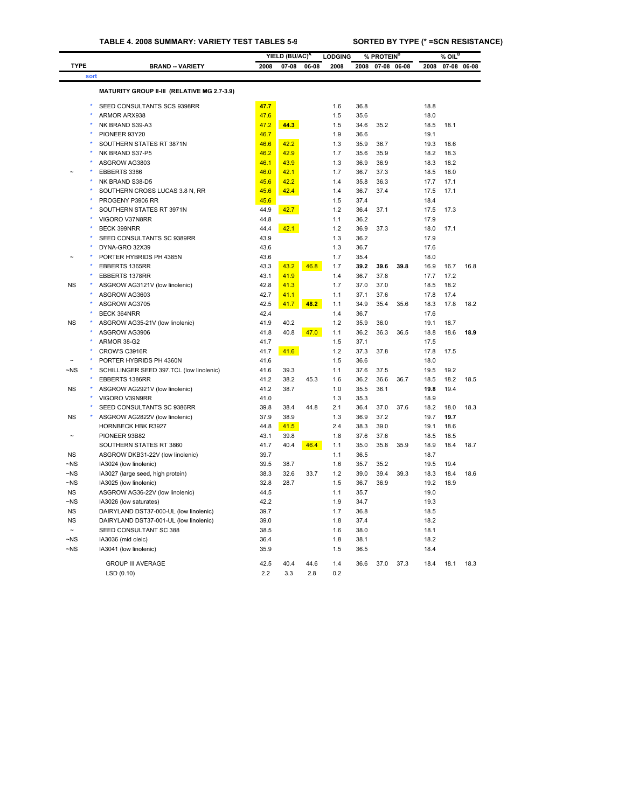| <b>TYPE</b><br><b>BRAND -- VARIETY</b><br>2008<br>$07 - 08$<br>06-08<br>2008<br>2008<br>$07 - 08$<br>06-08<br>2008<br>07-08 06-08<br>sort<br>MATURITY GROUP II-III (RELATIVE MG 2.7-3.9)<br>47.7<br>1.6<br>SEED CONSULTANTS SCS 9398RR<br>36.8<br>18.8<br>ARMOR ARX938<br>47.6<br>1.5<br>35.6<br>18.0<br>47.2<br>NK BRAND S39-A3<br>44.3<br>1.5<br>34.6<br>35.2<br>18.5<br>18.1<br>46.7<br>1.9<br>19.1<br>PIONEER 93Y20<br>36.6<br>SOUTHERN STATES RT 3871N<br>46.6<br>42.2<br>1.3<br>35.9<br>36.7<br>19.3<br>18.6<br>NK BRAND S37-P5<br>46.2<br>42.9<br>1.7<br>35.6<br>35.9<br>18.2<br>18.3<br>46.1<br>43.9<br>1.3<br>18.2<br>ASGROW AG3803<br>36.9<br>36.9<br>18.3<br>EBBERTS 3386<br>46.0<br>42.1<br>1.7<br>36.7<br>37.3<br>18.5<br>18.0<br>NK BRAND S38-D5<br>45.6<br>42.2<br>1.4<br>35.8<br>36.3<br>17.7<br>17.1<br>45.6<br>1.4<br>37.4<br>17.5<br>17.1<br>SOUTHERN CROSS LUCAS 3.8 N, RR<br>42.4<br>36.7<br>PROGENY P3906 RR<br>45.6<br>1.5<br>37.4<br>18.4<br>SOUTHERN STATES RT 3971N<br>44.9<br>42.7<br>1.2<br>36.4<br>37.1<br>17.5<br>17.3<br>44.8<br>1.1<br>36.2<br>17.9<br>VIGORO V37N8RR<br>42.1<br>1.2<br><b>BECK 399NRR</b><br>44.4<br>36.9<br>37.3<br>18.0<br>17.1<br>SEED CONSULTANTS SC 9389RR<br>43.9<br>1.3<br>36.2<br>17.9<br>43.6<br>1.3<br>17.6<br>DYNA-GRO 32X39<br>36.7<br>PORTER HYBRIDS PH 4385N<br>43.6<br>1.7<br>35.4<br>18.0<br>EBBERTS 1365RR<br>43.3<br>43.2<br>46.8<br>1.7<br>39.2<br>39.6<br>39.8<br>16.9<br>16.7<br>16.8<br>43.1<br>41.9<br>1.4<br>36.7<br>37.8<br>17.7<br>17.2<br>EBBERTS 1378RR<br><b>NS</b><br>41.3<br>1.7<br>18.2<br>ASGROW AG3121V (low linolenic)<br>42.8<br>37.0<br>37.0<br>18.5<br>ASGROW AG3603<br>42.7<br>41.1<br>1.1<br>37.1<br>37.6<br>17.8<br>17.4<br>ASGROW AG3705<br>42.5<br>41.7<br>48.2<br>1.1<br>34.9<br>35.4<br>35.6<br>18.3<br>17.8<br>18.2<br>42.4<br>1.4<br>BECK 364NRR<br>36.7<br>17.6<br><b>NS</b><br>ASGROW AG35-21V (low linolenic)<br>41.9<br>40.2<br>1.2<br>35.9<br>36.0<br>19.1<br>18.7<br>ASGROW AG3906<br>41.8<br>40.8<br>47.0<br>1.1<br>36.2<br>36.3<br>36.5<br>18.8<br>18.6<br>18.9<br>41.7<br>1.5<br>ARMOR 38-G2<br>37.1<br>17.5<br>CROW'S C3916R<br>1.2<br>41.7<br>41.6<br>37.3<br>37.8<br>17.8<br>17.5<br>PORTER HYBRIDS PH 4360N<br>41.6<br>1.5<br>36.6<br>18.0<br>$-NS$<br>SCHILLINGER SEED 397.TCL (low linolenic)<br>1.1<br>41.6<br>39.3<br>37.6<br>37.5<br>19.5<br>19.2<br>36.6<br>18.2<br>EBBERTS 1386RR<br>41.2<br>38.2<br>45.3<br>1.6<br>36.2<br>36.7<br>18.5<br>18.5<br><b>NS</b><br>ASGROW AG2921V (low linolenic)<br>41.2<br>38.7<br>1.0<br>35.5<br>36.1<br>19.8<br>19.4<br>VIGORO V39N9RR<br>41.0<br>1.3<br>35.3<br>18.9<br>SEED CONSULTANTS SC 9386RR<br>39.8<br>38.4<br>44.8<br>2.1<br>36.4<br>37.0<br>37.6<br>18.2<br>18.0<br>18.3<br><b>NS</b><br>ASGROW AG2822V (low linolenic)<br>37.9<br>38.9<br>1.3<br>36.9<br>37.2<br>19.7<br>19.7<br>HORNBECK HBK R3927<br>41.5<br>2.4<br>39.0<br>18.6<br>44.8<br>38.3<br>19.1<br>PIONEER 93B82<br>43.1<br>39.8<br>1.8<br>37.6<br>37.6<br>18.5<br>18.5<br>SOUTHERN STATES RT 3860<br>41.7<br>40.4<br>46.4<br>1.1<br>35.0<br>35.8<br>35.9<br>18.9<br>18.4<br>18.7<br><b>NS</b><br>ASGROW DKB31-22V (low linolenic)<br>1.1<br>39.7<br>36.5<br>18.7<br>$\neg$ NS<br>IA3024 (low linolenic)<br>39.5<br>38.7<br>1.6<br>35.7<br>35.2<br>19.5<br>19.4<br>$\neg$ NS<br>38.3<br>32.6<br>33.7<br>1.2<br>39.0<br>39.4<br>39.3<br>18.3<br>18.4<br>18.6<br>IA3027 (large seed, high protein)<br>$\neg$ NS<br>32.8<br>28.7<br>1.5<br>36.9<br>19.2<br>18.9<br>IA3025 (low linolenic)<br>36.7<br><b>NS</b><br>ASGROW AG36-22V (low linolenic)<br>44.5<br>1.1<br>35.7<br>19.0<br>$-NS$<br>IA3026 (low saturates)<br>42.2<br>1.9<br>34.7<br>19.3<br><b>NS</b><br>DAIRYLAND DST37-000-UL (low linolenic)<br>39.7<br>1.7<br>36.8<br>18.5<br><b>NS</b><br>DAIRYLAND DST37-001-UL (low linolenic)<br>39.0<br>1.8<br>37.4<br>18.2<br>SEED CONSULTANT SC 388<br>38.5<br>1.6<br>38.0<br>18.1<br>$\sim$<br>$\neg$ NS<br>36.4<br>1.8<br>18.2<br>IA3036 (mid oleic)<br>38.1<br>$\neg$ NS<br>IA3041 (low linolenic)<br>35.9<br>1.5<br>36.5<br>18.4<br><b>GROUP III AVERAGE</b><br>42.5<br>37.0<br>37.3<br>40.4<br>44.6<br>1.4<br>36.6<br>18.4<br>18.1<br>18.3 |  |            |     | YIELD (BU/AC) <sup>A</sup> |     | <b>LODGING</b> | % PROTEIN <sup>B</sup> |  | % OIL <sup>B</sup> |  |
|-------------------------------------------------------------------------------------------------------------------------------------------------------------------------------------------------------------------------------------------------------------------------------------------------------------------------------------------------------------------------------------------------------------------------------------------------------------------------------------------------------------------------------------------------------------------------------------------------------------------------------------------------------------------------------------------------------------------------------------------------------------------------------------------------------------------------------------------------------------------------------------------------------------------------------------------------------------------------------------------------------------------------------------------------------------------------------------------------------------------------------------------------------------------------------------------------------------------------------------------------------------------------------------------------------------------------------------------------------------------------------------------------------------------------------------------------------------------------------------------------------------------------------------------------------------------------------------------------------------------------------------------------------------------------------------------------------------------------------------------------------------------------------------------------------------------------------------------------------------------------------------------------------------------------------------------------------------------------------------------------------------------------------------------------------------------------------------------------------------------------------------------------------------------------------------------------------------------------------------------------------------------------------------------------------------------------------------------------------------------------------------------------------------------------------------------------------------------------------------------------------------------------------------------------------------------------------------------------------------------------------------------------------------------------------------------------------------------------------------------------------------------------------------------------------------------------------------------------------------------------------------------------------------------------------------------------------------------------------------------------------------------------------------------------------------------------------------------------------------------------------------------------------------------------------------------------------------------------------------------------------------------------------------------------------------------------------------------------------------------------------------------------------------------------------------------------------------------------------------------------------------------------------------------------------------------------------------------------------------------------------------------------------------------------------------------------------------------------------------------------------------------------------------------------------------------------------------------------------------------------------------------------------------------------------------------------------------------------------------------------------------------------------------------------------------------------------------------------------------------------------------------------------------------------------|--|------------|-----|----------------------------|-----|----------------|------------------------|--|--------------------|--|
|                                                                                                                                                                                                                                                                                                                                                                                                                                                                                                                                                                                                                                                                                                                                                                                                                                                                                                                                                                                                                                                                                                                                                                                                                                                                                                                                                                                                                                                                                                                                                                                                                                                                                                                                                                                                                                                                                                                                                                                                                                                                                                                                                                                                                                                                                                                                                                                                                                                                                                                                                                                                                                                                                                                                                                                                                                                                                                                                                                                                                                                                                                                                                                                                                                                                                                                                                                                                                                                                                                                                                                                                                                                                                                                                                                                                                                                                                                                                                                                                                                                                                                                                                                               |  |            |     |                            |     |                |                        |  |                    |  |
|                                                                                                                                                                                                                                                                                                                                                                                                                                                                                                                                                                                                                                                                                                                                                                                                                                                                                                                                                                                                                                                                                                                                                                                                                                                                                                                                                                                                                                                                                                                                                                                                                                                                                                                                                                                                                                                                                                                                                                                                                                                                                                                                                                                                                                                                                                                                                                                                                                                                                                                                                                                                                                                                                                                                                                                                                                                                                                                                                                                                                                                                                                                                                                                                                                                                                                                                                                                                                                                                                                                                                                                                                                                                                                                                                                                                                                                                                                                                                                                                                                                                                                                                                                               |  |            |     |                            |     |                |                        |  |                    |  |
|                                                                                                                                                                                                                                                                                                                                                                                                                                                                                                                                                                                                                                                                                                                                                                                                                                                                                                                                                                                                                                                                                                                                                                                                                                                                                                                                                                                                                                                                                                                                                                                                                                                                                                                                                                                                                                                                                                                                                                                                                                                                                                                                                                                                                                                                                                                                                                                                                                                                                                                                                                                                                                                                                                                                                                                                                                                                                                                                                                                                                                                                                                                                                                                                                                                                                                                                                                                                                                                                                                                                                                                                                                                                                                                                                                                                                                                                                                                                                                                                                                                                                                                                                                               |  |            |     |                            |     |                |                        |  |                    |  |
|                                                                                                                                                                                                                                                                                                                                                                                                                                                                                                                                                                                                                                                                                                                                                                                                                                                                                                                                                                                                                                                                                                                                                                                                                                                                                                                                                                                                                                                                                                                                                                                                                                                                                                                                                                                                                                                                                                                                                                                                                                                                                                                                                                                                                                                                                                                                                                                                                                                                                                                                                                                                                                                                                                                                                                                                                                                                                                                                                                                                                                                                                                                                                                                                                                                                                                                                                                                                                                                                                                                                                                                                                                                                                                                                                                                                                                                                                                                                                                                                                                                                                                                                                                               |  |            |     |                            |     |                |                        |  |                    |  |
|                                                                                                                                                                                                                                                                                                                                                                                                                                                                                                                                                                                                                                                                                                                                                                                                                                                                                                                                                                                                                                                                                                                                                                                                                                                                                                                                                                                                                                                                                                                                                                                                                                                                                                                                                                                                                                                                                                                                                                                                                                                                                                                                                                                                                                                                                                                                                                                                                                                                                                                                                                                                                                                                                                                                                                                                                                                                                                                                                                                                                                                                                                                                                                                                                                                                                                                                                                                                                                                                                                                                                                                                                                                                                                                                                                                                                                                                                                                                                                                                                                                                                                                                                                               |  |            |     |                            |     |                |                        |  |                    |  |
|                                                                                                                                                                                                                                                                                                                                                                                                                                                                                                                                                                                                                                                                                                                                                                                                                                                                                                                                                                                                                                                                                                                                                                                                                                                                                                                                                                                                                                                                                                                                                                                                                                                                                                                                                                                                                                                                                                                                                                                                                                                                                                                                                                                                                                                                                                                                                                                                                                                                                                                                                                                                                                                                                                                                                                                                                                                                                                                                                                                                                                                                                                                                                                                                                                                                                                                                                                                                                                                                                                                                                                                                                                                                                                                                                                                                                                                                                                                                                                                                                                                                                                                                                                               |  |            |     |                            |     |                |                        |  |                    |  |
|                                                                                                                                                                                                                                                                                                                                                                                                                                                                                                                                                                                                                                                                                                                                                                                                                                                                                                                                                                                                                                                                                                                                                                                                                                                                                                                                                                                                                                                                                                                                                                                                                                                                                                                                                                                                                                                                                                                                                                                                                                                                                                                                                                                                                                                                                                                                                                                                                                                                                                                                                                                                                                                                                                                                                                                                                                                                                                                                                                                                                                                                                                                                                                                                                                                                                                                                                                                                                                                                                                                                                                                                                                                                                                                                                                                                                                                                                                                                                                                                                                                                                                                                                                               |  |            |     |                            |     |                |                        |  |                    |  |
|                                                                                                                                                                                                                                                                                                                                                                                                                                                                                                                                                                                                                                                                                                                                                                                                                                                                                                                                                                                                                                                                                                                                                                                                                                                                                                                                                                                                                                                                                                                                                                                                                                                                                                                                                                                                                                                                                                                                                                                                                                                                                                                                                                                                                                                                                                                                                                                                                                                                                                                                                                                                                                                                                                                                                                                                                                                                                                                                                                                                                                                                                                                                                                                                                                                                                                                                                                                                                                                                                                                                                                                                                                                                                                                                                                                                                                                                                                                                                                                                                                                                                                                                                                               |  |            |     |                            |     |                |                        |  |                    |  |
|                                                                                                                                                                                                                                                                                                                                                                                                                                                                                                                                                                                                                                                                                                                                                                                                                                                                                                                                                                                                                                                                                                                                                                                                                                                                                                                                                                                                                                                                                                                                                                                                                                                                                                                                                                                                                                                                                                                                                                                                                                                                                                                                                                                                                                                                                                                                                                                                                                                                                                                                                                                                                                                                                                                                                                                                                                                                                                                                                                                                                                                                                                                                                                                                                                                                                                                                                                                                                                                                                                                                                                                                                                                                                                                                                                                                                                                                                                                                                                                                                                                                                                                                                                               |  |            |     |                            |     |                |                        |  |                    |  |
|                                                                                                                                                                                                                                                                                                                                                                                                                                                                                                                                                                                                                                                                                                                                                                                                                                                                                                                                                                                                                                                                                                                                                                                                                                                                                                                                                                                                                                                                                                                                                                                                                                                                                                                                                                                                                                                                                                                                                                                                                                                                                                                                                                                                                                                                                                                                                                                                                                                                                                                                                                                                                                                                                                                                                                                                                                                                                                                                                                                                                                                                                                                                                                                                                                                                                                                                                                                                                                                                                                                                                                                                                                                                                                                                                                                                                                                                                                                                                                                                                                                                                                                                                                               |  |            |     |                            |     |                |                        |  |                    |  |
|                                                                                                                                                                                                                                                                                                                                                                                                                                                                                                                                                                                                                                                                                                                                                                                                                                                                                                                                                                                                                                                                                                                                                                                                                                                                                                                                                                                                                                                                                                                                                                                                                                                                                                                                                                                                                                                                                                                                                                                                                                                                                                                                                                                                                                                                                                                                                                                                                                                                                                                                                                                                                                                                                                                                                                                                                                                                                                                                                                                                                                                                                                                                                                                                                                                                                                                                                                                                                                                                                                                                                                                                                                                                                                                                                                                                                                                                                                                                                                                                                                                                                                                                                                               |  |            |     |                            |     |                |                        |  |                    |  |
|                                                                                                                                                                                                                                                                                                                                                                                                                                                                                                                                                                                                                                                                                                                                                                                                                                                                                                                                                                                                                                                                                                                                                                                                                                                                                                                                                                                                                                                                                                                                                                                                                                                                                                                                                                                                                                                                                                                                                                                                                                                                                                                                                                                                                                                                                                                                                                                                                                                                                                                                                                                                                                                                                                                                                                                                                                                                                                                                                                                                                                                                                                                                                                                                                                                                                                                                                                                                                                                                                                                                                                                                                                                                                                                                                                                                                                                                                                                                                                                                                                                                                                                                                                               |  |            |     |                            |     |                |                        |  |                    |  |
|                                                                                                                                                                                                                                                                                                                                                                                                                                                                                                                                                                                                                                                                                                                                                                                                                                                                                                                                                                                                                                                                                                                                                                                                                                                                                                                                                                                                                                                                                                                                                                                                                                                                                                                                                                                                                                                                                                                                                                                                                                                                                                                                                                                                                                                                                                                                                                                                                                                                                                                                                                                                                                                                                                                                                                                                                                                                                                                                                                                                                                                                                                                                                                                                                                                                                                                                                                                                                                                                                                                                                                                                                                                                                                                                                                                                                                                                                                                                                                                                                                                                                                                                                                               |  |            |     |                            |     |                |                        |  |                    |  |
|                                                                                                                                                                                                                                                                                                                                                                                                                                                                                                                                                                                                                                                                                                                                                                                                                                                                                                                                                                                                                                                                                                                                                                                                                                                                                                                                                                                                                                                                                                                                                                                                                                                                                                                                                                                                                                                                                                                                                                                                                                                                                                                                                                                                                                                                                                                                                                                                                                                                                                                                                                                                                                                                                                                                                                                                                                                                                                                                                                                                                                                                                                                                                                                                                                                                                                                                                                                                                                                                                                                                                                                                                                                                                                                                                                                                                                                                                                                                                                                                                                                                                                                                                                               |  |            |     |                            |     |                |                        |  |                    |  |
|                                                                                                                                                                                                                                                                                                                                                                                                                                                                                                                                                                                                                                                                                                                                                                                                                                                                                                                                                                                                                                                                                                                                                                                                                                                                                                                                                                                                                                                                                                                                                                                                                                                                                                                                                                                                                                                                                                                                                                                                                                                                                                                                                                                                                                                                                                                                                                                                                                                                                                                                                                                                                                                                                                                                                                                                                                                                                                                                                                                                                                                                                                                                                                                                                                                                                                                                                                                                                                                                                                                                                                                                                                                                                                                                                                                                                                                                                                                                                                                                                                                                                                                                                                               |  |            |     |                            |     |                |                        |  |                    |  |
|                                                                                                                                                                                                                                                                                                                                                                                                                                                                                                                                                                                                                                                                                                                                                                                                                                                                                                                                                                                                                                                                                                                                                                                                                                                                                                                                                                                                                                                                                                                                                                                                                                                                                                                                                                                                                                                                                                                                                                                                                                                                                                                                                                                                                                                                                                                                                                                                                                                                                                                                                                                                                                                                                                                                                                                                                                                                                                                                                                                                                                                                                                                                                                                                                                                                                                                                                                                                                                                                                                                                                                                                                                                                                                                                                                                                                                                                                                                                                                                                                                                                                                                                                                               |  |            |     |                            |     |                |                        |  |                    |  |
|                                                                                                                                                                                                                                                                                                                                                                                                                                                                                                                                                                                                                                                                                                                                                                                                                                                                                                                                                                                                                                                                                                                                                                                                                                                                                                                                                                                                                                                                                                                                                                                                                                                                                                                                                                                                                                                                                                                                                                                                                                                                                                                                                                                                                                                                                                                                                                                                                                                                                                                                                                                                                                                                                                                                                                                                                                                                                                                                                                                                                                                                                                                                                                                                                                                                                                                                                                                                                                                                                                                                                                                                                                                                                                                                                                                                                                                                                                                                                                                                                                                                                                                                                                               |  |            |     |                            |     |                |                        |  |                    |  |
|                                                                                                                                                                                                                                                                                                                                                                                                                                                                                                                                                                                                                                                                                                                                                                                                                                                                                                                                                                                                                                                                                                                                                                                                                                                                                                                                                                                                                                                                                                                                                                                                                                                                                                                                                                                                                                                                                                                                                                                                                                                                                                                                                                                                                                                                                                                                                                                                                                                                                                                                                                                                                                                                                                                                                                                                                                                                                                                                                                                                                                                                                                                                                                                                                                                                                                                                                                                                                                                                                                                                                                                                                                                                                                                                                                                                                                                                                                                                                                                                                                                                                                                                                                               |  |            |     |                            |     |                |                        |  |                    |  |
|                                                                                                                                                                                                                                                                                                                                                                                                                                                                                                                                                                                                                                                                                                                                                                                                                                                                                                                                                                                                                                                                                                                                                                                                                                                                                                                                                                                                                                                                                                                                                                                                                                                                                                                                                                                                                                                                                                                                                                                                                                                                                                                                                                                                                                                                                                                                                                                                                                                                                                                                                                                                                                                                                                                                                                                                                                                                                                                                                                                                                                                                                                                                                                                                                                                                                                                                                                                                                                                                                                                                                                                                                                                                                                                                                                                                                                                                                                                                                                                                                                                                                                                                                                               |  |            |     |                            |     |                |                        |  |                    |  |
|                                                                                                                                                                                                                                                                                                                                                                                                                                                                                                                                                                                                                                                                                                                                                                                                                                                                                                                                                                                                                                                                                                                                                                                                                                                                                                                                                                                                                                                                                                                                                                                                                                                                                                                                                                                                                                                                                                                                                                                                                                                                                                                                                                                                                                                                                                                                                                                                                                                                                                                                                                                                                                                                                                                                                                                                                                                                                                                                                                                                                                                                                                                                                                                                                                                                                                                                                                                                                                                                                                                                                                                                                                                                                                                                                                                                                                                                                                                                                                                                                                                                                                                                                                               |  |            |     |                            |     |                |                        |  |                    |  |
|                                                                                                                                                                                                                                                                                                                                                                                                                                                                                                                                                                                                                                                                                                                                                                                                                                                                                                                                                                                                                                                                                                                                                                                                                                                                                                                                                                                                                                                                                                                                                                                                                                                                                                                                                                                                                                                                                                                                                                                                                                                                                                                                                                                                                                                                                                                                                                                                                                                                                                                                                                                                                                                                                                                                                                                                                                                                                                                                                                                                                                                                                                                                                                                                                                                                                                                                                                                                                                                                                                                                                                                                                                                                                                                                                                                                                                                                                                                                                                                                                                                                                                                                                                               |  |            |     |                            |     |                |                        |  |                    |  |
|                                                                                                                                                                                                                                                                                                                                                                                                                                                                                                                                                                                                                                                                                                                                                                                                                                                                                                                                                                                                                                                                                                                                                                                                                                                                                                                                                                                                                                                                                                                                                                                                                                                                                                                                                                                                                                                                                                                                                                                                                                                                                                                                                                                                                                                                                                                                                                                                                                                                                                                                                                                                                                                                                                                                                                                                                                                                                                                                                                                                                                                                                                                                                                                                                                                                                                                                                                                                                                                                                                                                                                                                                                                                                                                                                                                                                                                                                                                                                                                                                                                                                                                                                                               |  |            |     |                            |     |                |                        |  |                    |  |
|                                                                                                                                                                                                                                                                                                                                                                                                                                                                                                                                                                                                                                                                                                                                                                                                                                                                                                                                                                                                                                                                                                                                                                                                                                                                                                                                                                                                                                                                                                                                                                                                                                                                                                                                                                                                                                                                                                                                                                                                                                                                                                                                                                                                                                                                                                                                                                                                                                                                                                                                                                                                                                                                                                                                                                                                                                                                                                                                                                                                                                                                                                                                                                                                                                                                                                                                                                                                                                                                                                                                                                                                                                                                                                                                                                                                                                                                                                                                                                                                                                                                                                                                                                               |  |            |     |                            |     |                |                        |  |                    |  |
|                                                                                                                                                                                                                                                                                                                                                                                                                                                                                                                                                                                                                                                                                                                                                                                                                                                                                                                                                                                                                                                                                                                                                                                                                                                                                                                                                                                                                                                                                                                                                                                                                                                                                                                                                                                                                                                                                                                                                                                                                                                                                                                                                                                                                                                                                                                                                                                                                                                                                                                                                                                                                                                                                                                                                                                                                                                                                                                                                                                                                                                                                                                                                                                                                                                                                                                                                                                                                                                                                                                                                                                                                                                                                                                                                                                                                                                                                                                                                                                                                                                                                                                                                                               |  |            |     |                            |     |                |                        |  |                    |  |
|                                                                                                                                                                                                                                                                                                                                                                                                                                                                                                                                                                                                                                                                                                                                                                                                                                                                                                                                                                                                                                                                                                                                                                                                                                                                                                                                                                                                                                                                                                                                                                                                                                                                                                                                                                                                                                                                                                                                                                                                                                                                                                                                                                                                                                                                                                                                                                                                                                                                                                                                                                                                                                                                                                                                                                                                                                                                                                                                                                                                                                                                                                                                                                                                                                                                                                                                                                                                                                                                                                                                                                                                                                                                                                                                                                                                                                                                                                                                                                                                                                                                                                                                                                               |  |            |     |                            |     |                |                        |  |                    |  |
|                                                                                                                                                                                                                                                                                                                                                                                                                                                                                                                                                                                                                                                                                                                                                                                                                                                                                                                                                                                                                                                                                                                                                                                                                                                                                                                                                                                                                                                                                                                                                                                                                                                                                                                                                                                                                                                                                                                                                                                                                                                                                                                                                                                                                                                                                                                                                                                                                                                                                                                                                                                                                                                                                                                                                                                                                                                                                                                                                                                                                                                                                                                                                                                                                                                                                                                                                                                                                                                                                                                                                                                                                                                                                                                                                                                                                                                                                                                                                                                                                                                                                                                                                                               |  |            |     |                            |     |                |                        |  |                    |  |
|                                                                                                                                                                                                                                                                                                                                                                                                                                                                                                                                                                                                                                                                                                                                                                                                                                                                                                                                                                                                                                                                                                                                                                                                                                                                                                                                                                                                                                                                                                                                                                                                                                                                                                                                                                                                                                                                                                                                                                                                                                                                                                                                                                                                                                                                                                                                                                                                                                                                                                                                                                                                                                                                                                                                                                                                                                                                                                                                                                                                                                                                                                                                                                                                                                                                                                                                                                                                                                                                                                                                                                                                                                                                                                                                                                                                                                                                                                                                                                                                                                                                                                                                                                               |  |            |     |                            |     |                |                        |  |                    |  |
|                                                                                                                                                                                                                                                                                                                                                                                                                                                                                                                                                                                                                                                                                                                                                                                                                                                                                                                                                                                                                                                                                                                                                                                                                                                                                                                                                                                                                                                                                                                                                                                                                                                                                                                                                                                                                                                                                                                                                                                                                                                                                                                                                                                                                                                                                                                                                                                                                                                                                                                                                                                                                                                                                                                                                                                                                                                                                                                                                                                                                                                                                                                                                                                                                                                                                                                                                                                                                                                                                                                                                                                                                                                                                                                                                                                                                                                                                                                                                                                                                                                                                                                                                                               |  |            |     |                            |     |                |                        |  |                    |  |
|                                                                                                                                                                                                                                                                                                                                                                                                                                                                                                                                                                                                                                                                                                                                                                                                                                                                                                                                                                                                                                                                                                                                                                                                                                                                                                                                                                                                                                                                                                                                                                                                                                                                                                                                                                                                                                                                                                                                                                                                                                                                                                                                                                                                                                                                                                                                                                                                                                                                                                                                                                                                                                                                                                                                                                                                                                                                                                                                                                                                                                                                                                                                                                                                                                                                                                                                                                                                                                                                                                                                                                                                                                                                                                                                                                                                                                                                                                                                                                                                                                                                                                                                                                               |  |            |     |                            |     |                |                        |  |                    |  |
|                                                                                                                                                                                                                                                                                                                                                                                                                                                                                                                                                                                                                                                                                                                                                                                                                                                                                                                                                                                                                                                                                                                                                                                                                                                                                                                                                                                                                                                                                                                                                                                                                                                                                                                                                                                                                                                                                                                                                                                                                                                                                                                                                                                                                                                                                                                                                                                                                                                                                                                                                                                                                                                                                                                                                                                                                                                                                                                                                                                                                                                                                                                                                                                                                                                                                                                                                                                                                                                                                                                                                                                                                                                                                                                                                                                                                                                                                                                                                                                                                                                                                                                                                                               |  |            |     |                            |     |                |                        |  |                    |  |
|                                                                                                                                                                                                                                                                                                                                                                                                                                                                                                                                                                                                                                                                                                                                                                                                                                                                                                                                                                                                                                                                                                                                                                                                                                                                                                                                                                                                                                                                                                                                                                                                                                                                                                                                                                                                                                                                                                                                                                                                                                                                                                                                                                                                                                                                                                                                                                                                                                                                                                                                                                                                                                                                                                                                                                                                                                                                                                                                                                                                                                                                                                                                                                                                                                                                                                                                                                                                                                                                                                                                                                                                                                                                                                                                                                                                                                                                                                                                                                                                                                                                                                                                                                               |  |            |     |                            |     |                |                        |  |                    |  |
|                                                                                                                                                                                                                                                                                                                                                                                                                                                                                                                                                                                                                                                                                                                                                                                                                                                                                                                                                                                                                                                                                                                                                                                                                                                                                                                                                                                                                                                                                                                                                                                                                                                                                                                                                                                                                                                                                                                                                                                                                                                                                                                                                                                                                                                                                                                                                                                                                                                                                                                                                                                                                                                                                                                                                                                                                                                                                                                                                                                                                                                                                                                                                                                                                                                                                                                                                                                                                                                                                                                                                                                                                                                                                                                                                                                                                                                                                                                                                                                                                                                                                                                                                                               |  |            |     |                            |     |                |                        |  |                    |  |
|                                                                                                                                                                                                                                                                                                                                                                                                                                                                                                                                                                                                                                                                                                                                                                                                                                                                                                                                                                                                                                                                                                                                                                                                                                                                                                                                                                                                                                                                                                                                                                                                                                                                                                                                                                                                                                                                                                                                                                                                                                                                                                                                                                                                                                                                                                                                                                                                                                                                                                                                                                                                                                                                                                                                                                                                                                                                                                                                                                                                                                                                                                                                                                                                                                                                                                                                                                                                                                                                                                                                                                                                                                                                                                                                                                                                                                                                                                                                                                                                                                                                                                                                                                               |  |            |     |                            |     |                |                        |  |                    |  |
|                                                                                                                                                                                                                                                                                                                                                                                                                                                                                                                                                                                                                                                                                                                                                                                                                                                                                                                                                                                                                                                                                                                                                                                                                                                                                                                                                                                                                                                                                                                                                                                                                                                                                                                                                                                                                                                                                                                                                                                                                                                                                                                                                                                                                                                                                                                                                                                                                                                                                                                                                                                                                                                                                                                                                                                                                                                                                                                                                                                                                                                                                                                                                                                                                                                                                                                                                                                                                                                                                                                                                                                                                                                                                                                                                                                                                                                                                                                                                                                                                                                                                                                                                                               |  |            |     |                            |     |                |                        |  |                    |  |
|                                                                                                                                                                                                                                                                                                                                                                                                                                                                                                                                                                                                                                                                                                                                                                                                                                                                                                                                                                                                                                                                                                                                                                                                                                                                                                                                                                                                                                                                                                                                                                                                                                                                                                                                                                                                                                                                                                                                                                                                                                                                                                                                                                                                                                                                                                                                                                                                                                                                                                                                                                                                                                                                                                                                                                                                                                                                                                                                                                                                                                                                                                                                                                                                                                                                                                                                                                                                                                                                                                                                                                                                                                                                                                                                                                                                                                                                                                                                                                                                                                                                                                                                                                               |  |            |     |                            |     |                |                        |  |                    |  |
|                                                                                                                                                                                                                                                                                                                                                                                                                                                                                                                                                                                                                                                                                                                                                                                                                                                                                                                                                                                                                                                                                                                                                                                                                                                                                                                                                                                                                                                                                                                                                                                                                                                                                                                                                                                                                                                                                                                                                                                                                                                                                                                                                                                                                                                                                                                                                                                                                                                                                                                                                                                                                                                                                                                                                                                                                                                                                                                                                                                                                                                                                                                                                                                                                                                                                                                                                                                                                                                                                                                                                                                                                                                                                                                                                                                                                                                                                                                                                                                                                                                                                                                                                                               |  |            |     |                            |     |                |                        |  |                    |  |
|                                                                                                                                                                                                                                                                                                                                                                                                                                                                                                                                                                                                                                                                                                                                                                                                                                                                                                                                                                                                                                                                                                                                                                                                                                                                                                                                                                                                                                                                                                                                                                                                                                                                                                                                                                                                                                                                                                                                                                                                                                                                                                                                                                                                                                                                                                                                                                                                                                                                                                                                                                                                                                                                                                                                                                                                                                                                                                                                                                                                                                                                                                                                                                                                                                                                                                                                                                                                                                                                                                                                                                                                                                                                                                                                                                                                                                                                                                                                                                                                                                                                                                                                                                               |  |            |     |                            |     |                |                        |  |                    |  |
|                                                                                                                                                                                                                                                                                                                                                                                                                                                                                                                                                                                                                                                                                                                                                                                                                                                                                                                                                                                                                                                                                                                                                                                                                                                                                                                                                                                                                                                                                                                                                                                                                                                                                                                                                                                                                                                                                                                                                                                                                                                                                                                                                                                                                                                                                                                                                                                                                                                                                                                                                                                                                                                                                                                                                                                                                                                                                                                                                                                                                                                                                                                                                                                                                                                                                                                                                                                                                                                                                                                                                                                                                                                                                                                                                                                                                                                                                                                                                                                                                                                                                                                                                                               |  |            |     |                            |     |                |                        |  |                    |  |
|                                                                                                                                                                                                                                                                                                                                                                                                                                                                                                                                                                                                                                                                                                                                                                                                                                                                                                                                                                                                                                                                                                                                                                                                                                                                                                                                                                                                                                                                                                                                                                                                                                                                                                                                                                                                                                                                                                                                                                                                                                                                                                                                                                                                                                                                                                                                                                                                                                                                                                                                                                                                                                                                                                                                                                                                                                                                                                                                                                                                                                                                                                                                                                                                                                                                                                                                                                                                                                                                                                                                                                                                                                                                                                                                                                                                                                                                                                                                                                                                                                                                                                                                                                               |  |            |     |                            |     |                |                        |  |                    |  |
|                                                                                                                                                                                                                                                                                                                                                                                                                                                                                                                                                                                                                                                                                                                                                                                                                                                                                                                                                                                                                                                                                                                                                                                                                                                                                                                                                                                                                                                                                                                                                                                                                                                                                                                                                                                                                                                                                                                                                                                                                                                                                                                                                                                                                                                                                                                                                                                                                                                                                                                                                                                                                                                                                                                                                                                                                                                                                                                                                                                                                                                                                                                                                                                                                                                                                                                                                                                                                                                                                                                                                                                                                                                                                                                                                                                                                                                                                                                                                                                                                                                                                                                                                                               |  |            |     |                            |     |                |                        |  |                    |  |
|                                                                                                                                                                                                                                                                                                                                                                                                                                                                                                                                                                                                                                                                                                                                                                                                                                                                                                                                                                                                                                                                                                                                                                                                                                                                                                                                                                                                                                                                                                                                                                                                                                                                                                                                                                                                                                                                                                                                                                                                                                                                                                                                                                                                                                                                                                                                                                                                                                                                                                                                                                                                                                                                                                                                                                                                                                                                                                                                                                                                                                                                                                                                                                                                                                                                                                                                                                                                                                                                                                                                                                                                                                                                                                                                                                                                                                                                                                                                                                                                                                                                                                                                                                               |  |            |     |                            |     |                |                        |  |                    |  |
|                                                                                                                                                                                                                                                                                                                                                                                                                                                                                                                                                                                                                                                                                                                                                                                                                                                                                                                                                                                                                                                                                                                                                                                                                                                                                                                                                                                                                                                                                                                                                                                                                                                                                                                                                                                                                                                                                                                                                                                                                                                                                                                                                                                                                                                                                                                                                                                                                                                                                                                                                                                                                                                                                                                                                                                                                                                                                                                                                                                                                                                                                                                                                                                                                                                                                                                                                                                                                                                                                                                                                                                                                                                                                                                                                                                                                                                                                                                                                                                                                                                                                                                                                                               |  |            |     |                            |     |                |                        |  |                    |  |
|                                                                                                                                                                                                                                                                                                                                                                                                                                                                                                                                                                                                                                                                                                                                                                                                                                                                                                                                                                                                                                                                                                                                                                                                                                                                                                                                                                                                                                                                                                                                                                                                                                                                                                                                                                                                                                                                                                                                                                                                                                                                                                                                                                                                                                                                                                                                                                                                                                                                                                                                                                                                                                                                                                                                                                                                                                                                                                                                                                                                                                                                                                                                                                                                                                                                                                                                                                                                                                                                                                                                                                                                                                                                                                                                                                                                                                                                                                                                                                                                                                                                                                                                                                               |  |            |     |                            |     |                |                        |  |                    |  |
|                                                                                                                                                                                                                                                                                                                                                                                                                                                                                                                                                                                                                                                                                                                                                                                                                                                                                                                                                                                                                                                                                                                                                                                                                                                                                                                                                                                                                                                                                                                                                                                                                                                                                                                                                                                                                                                                                                                                                                                                                                                                                                                                                                                                                                                                                                                                                                                                                                                                                                                                                                                                                                                                                                                                                                                                                                                                                                                                                                                                                                                                                                                                                                                                                                                                                                                                                                                                                                                                                                                                                                                                                                                                                                                                                                                                                                                                                                                                                                                                                                                                                                                                                                               |  |            |     |                            |     |                |                        |  |                    |  |
|                                                                                                                                                                                                                                                                                                                                                                                                                                                                                                                                                                                                                                                                                                                                                                                                                                                                                                                                                                                                                                                                                                                                                                                                                                                                                                                                                                                                                                                                                                                                                                                                                                                                                                                                                                                                                                                                                                                                                                                                                                                                                                                                                                                                                                                                                                                                                                                                                                                                                                                                                                                                                                                                                                                                                                                                                                                                                                                                                                                                                                                                                                                                                                                                                                                                                                                                                                                                                                                                                                                                                                                                                                                                                                                                                                                                                                                                                                                                                                                                                                                                                                                                                                               |  |            |     |                            |     |                |                        |  |                    |  |
|                                                                                                                                                                                                                                                                                                                                                                                                                                                                                                                                                                                                                                                                                                                                                                                                                                                                                                                                                                                                                                                                                                                                                                                                                                                                                                                                                                                                                                                                                                                                                                                                                                                                                                                                                                                                                                                                                                                                                                                                                                                                                                                                                                                                                                                                                                                                                                                                                                                                                                                                                                                                                                                                                                                                                                                                                                                                                                                                                                                                                                                                                                                                                                                                                                                                                                                                                                                                                                                                                                                                                                                                                                                                                                                                                                                                                                                                                                                                                                                                                                                                                                                                                                               |  |            |     |                            |     |                |                        |  |                    |  |
|                                                                                                                                                                                                                                                                                                                                                                                                                                                                                                                                                                                                                                                                                                                                                                                                                                                                                                                                                                                                                                                                                                                                                                                                                                                                                                                                                                                                                                                                                                                                                                                                                                                                                                                                                                                                                                                                                                                                                                                                                                                                                                                                                                                                                                                                                                                                                                                                                                                                                                                                                                                                                                                                                                                                                                                                                                                                                                                                                                                                                                                                                                                                                                                                                                                                                                                                                                                                                                                                                                                                                                                                                                                                                                                                                                                                                                                                                                                                                                                                                                                                                                                                                                               |  |            |     |                            |     |                |                        |  |                    |  |
|                                                                                                                                                                                                                                                                                                                                                                                                                                                                                                                                                                                                                                                                                                                                                                                                                                                                                                                                                                                                                                                                                                                                                                                                                                                                                                                                                                                                                                                                                                                                                                                                                                                                                                                                                                                                                                                                                                                                                                                                                                                                                                                                                                                                                                                                                                                                                                                                                                                                                                                                                                                                                                                                                                                                                                                                                                                                                                                                                                                                                                                                                                                                                                                                                                                                                                                                                                                                                                                                                                                                                                                                                                                                                                                                                                                                                                                                                                                                                                                                                                                                                                                                                                               |  |            |     |                            |     |                |                        |  |                    |  |
|                                                                                                                                                                                                                                                                                                                                                                                                                                                                                                                                                                                                                                                                                                                                                                                                                                                                                                                                                                                                                                                                                                                                                                                                                                                                                                                                                                                                                                                                                                                                                                                                                                                                                                                                                                                                                                                                                                                                                                                                                                                                                                                                                                                                                                                                                                                                                                                                                                                                                                                                                                                                                                                                                                                                                                                                                                                                                                                                                                                                                                                                                                                                                                                                                                                                                                                                                                                                                                                                                                                                                                                                                                                                                                                                                                                                                                                                                                                                                                                                                                                                                                                                                                               |  |            |     |                            |     |                |                        |  |                    |  |
|                                                                                                                                                                                                                                                                                                                                                                                                                                                                                                                                                                                                                                                                                                                                                                                                                                                                                                                                                                                                                                                                                                                                                                                                                                                                                                                                                                                                                                                                                                                                                                                                                                                                                                                                                                                                                                                                                                                                                                                                                                                                                                                                                                                                                                                                                                                                                                                                                                                                                                                                                                                                                                                                                                                                                                                                                                                                                                                                                                                                                                                                                                                                                                                                                                                                                                                                                                                                                                                                                                                                                                                                                                                                                                                                                                                                                                                                                                                                                                                                                                                                                                                                                                               |  |            |     |                            |     |                |                        |  |                    |  |
|                                                                                                                                                                                                                                                                                                                                                                                                                                                                                                                                                                                                                                                                                                                                                                                                                                                                                                                                                                                                                                                                                                                                                                                                                                                                                                                                                                                                                                                                                                                                                                                                                                                                                                                                                                                                                                                                                                                                                                                                                                                                                                                                                                                                                                                                                                                                                                                                                                                                                                                                                                                                                                                                                                                                                                                                                                                                                                                                                                                                                                                                                                                                                                                                                                                                                                                                                                                                                                                                                                                                                                                                                                                                                                                                                                                                                                                                                                                                                                                                                                                                                                                                                                               |  |            |     |                            |     |                |                        |  |                    |  |
|                                                                                                                                                                                                                                                                                                                                                                                                                                                                                                                                                                                                                                                                                                                                                                                                                                                                                                                                                                                                                                                                                                                                                                                                                                                                                                                                                                                                                                                                                                                                                                                                                                                                                                                                                                                                                                                                                                                                                                                                                                                                                                                                                                                                                                                                                                                                                                                                                                                                                                                                                                                                                                                                                                                                                                                                                                                                                                                                                                                                                                                                                                                                                                                                                                                                                                                                                                                                                                                                                                                                                                                                                                                                                                                                                                                                                                                                                                                                                                                                                                                                                                                                                                               |  |            |     |                            |     |                |                        |  |                    |  |
|                                                                                                                                                                                                                                                                                                                                                                                                                                                                                                                                                                                                                                                                                                                                                                                                                                                                                                                                                                                                                                                                                                                                                                                                                                                                                                                                                                                                                                                                                                                                                                                                                                                                                                                                                                                                                                                                                                                                                                                                                                                                                                                                                                                                                                                                                                                                                                                                                                                                                                                                                                                                                                                                                                                                                                                                                                                                                                                                                                                                                                                                                                                                                                                                                                                                                                                                                                                                                                                                                                                                                                                                                                                                                                                                                                                                                                                                                                                                                                                                                                                                                                                                                                               |  | LSD (0.10) | 2.2 | 3.3                        | 2.8 | 0.2            |                        |  |                    |  |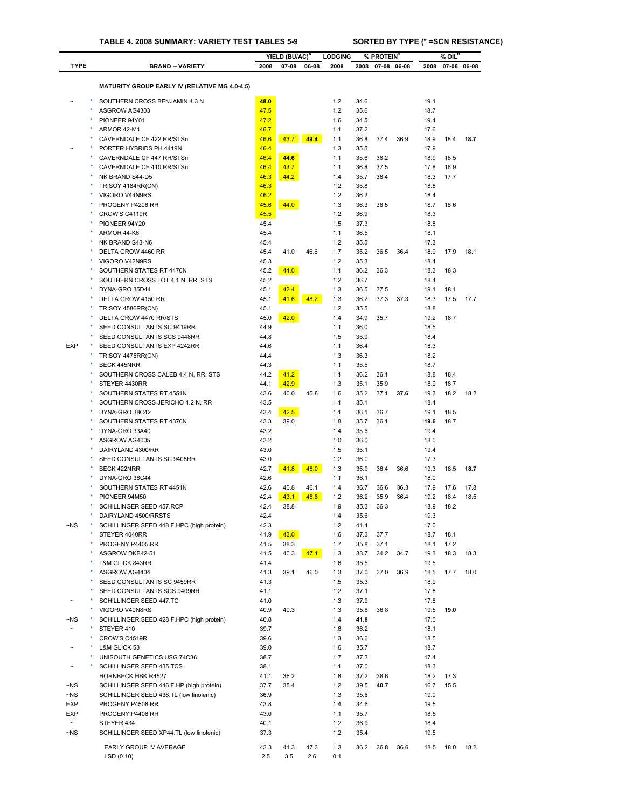|                       |                                                                |              | YIELD (BU/AC) <sup>A</sup> |       | <b>LODGING</b> |              | % PROTEIN <sup>B</sup> |           |              | $%$ OIL <sup>B</sup> |           |
|-----------------------|----------------------------------------------------------------|--------------|----------------------------|-------|----------------|--------------|------------------------|-----------|--------------|----------------------|-----------|
| <b>TYPE</b>           | <b>BRAND -- VARIETY</b>                                        | 2008         | $07 - 08$                  | 06-08 | 2008           | 2008         | 07-08 06-08            |           | 2008         | 07-08 06-08          |           |
|                       |                                                                |              |                            |       |                |              |                        |           |              |                      |           |
|                       | <b>MATURITY GROUP EARLY IV (RELATIVE MG 4.0-4.5)</b>           |              |                            |       |                |              |                        |           |              |                      |           |
|                       | SOUTHERN CROSS BENJAMIN 4.3 N                                  | 48.0         |                            |       | 1.2            | 34.6         |                        |           | 19.1         |                      |           |
|                       | ASGROW AG4303                                                  | 47.5         |                            |       | 1.2            | 35.6         |                        |           | 18.7         |                      |           |
|                       | PIONEER 94Y01<br>ARMOR 42-M1                                   | 47.2<br>46.7 |                            |       | 1.6<br>1.1     | 34.5<br>37.2 |                        |           | 19.4<br>17.6 |                      |           |
|                       | CAVERNDALE CF 422 RR/STSn                                      | 46.6         | 43.7                       | 49.4  | 1.1            | 36.8         | 37.4                   | 36.9      | 18.9         | 18.4                 | 18.7      |
|                       | PORTER HYBRIDS PH 4419N                                        | 46.4         |                            |       | 1.3            | 35.5         |                        |           | 17.9         |                      |           |
|                       | CAVERNDALE CF 447 RR/STSn                                      | 46.4         | 44.6                       |       | 1.1            | 35.6         | 36.2                   |           | 18.9         | 18.5                 |           |
|                       | CAVERNDALE CF 410 RR/STSn                                      | 46.4         | 43.7                       |       | 1.1            | 36.8         | 37.5                   |           | 17.8         | 16.9                 |           |
|                       | NK BRAND S44-D5                                                | 46.3         | 44.2                       |       | 1.4            | 35.7         | 36.4                   |           | 18.3         | 17.7                 |           |
|                       | TRISOY 4184RR(CN)                                              | 46.3         |                            |       | 1.2            | 35.8         |                        |           | 18.8         |                      |           |
|                       | VIGORO V44N9RS                                                 | 46.2         |                            |       | 1.2            | 36.2         |                        |           | 18.4         |                      |           |
|                       | PROGENY P4206 RR                                               | 45.6         | 44.0                       |       | 1.3            | 36.3         | 36.5                   |           | 18.7         | 18.6                 |           |
|                       | CROW'S C4119R                                                  | 45.5         |                            |       | 1.2            | 36.9         |                        |           | 18.3         |                      |           |
|                       | PIONEER 94Y20                                                  | 45.4         |                            |       | 1.5            | 37.3         |                        |           | 18.8         |                      |           |
|                       | ARMOR 44-K6<br>NK BRAND S43-N6                                 | 45.4         |                            |       | 1.1<br>1.2     | 36.5<br>35.5 |                        |           | 18.1<br>17.3 |                      |           |
|                       | DELTA GROW 4460 RR                                             | 45.4<br>45.4 | 41.0                       | 46.6  | 1.7            | 35.2         | 36.5                   | 36.4      | 18.9         | 17.9                 | 18.1      |
|                       | VIGORO V42N9RS                                                 | 45.3         |                            |       | 1.2            | 35.3         |                        |           | 18.4         |                      |           |
| ٠                     | SOUTHERN STATES RT 4470N                                       | 45.2         | 44.0                       |       | 1.1            | 36.2         | 36.3                   |           | 18.3         | 18.3                 |           |
|                       | SOUTHERN CROSS LOT 4.1 N, RR, STS                              | 45.2         |                            |       | 1.2            | 36.7         |                        |           | 18.4         |                      |           |
|                       | DYNA-GRO 35D44                                                 | 45.1         | 42.4                       |       | 1.3            | 36.5         | 37.5                   |           | 19.1         | 18.1                 |           |
|                       | DELTA GROW 4150 RR                                             | 45.1         | 41.6                       | 48.2  | 1.3            | 36.2         | 37.3                   | 37.3      | 18.3         | 17.5                 | 17.7      |
|                       | TRISOY 4586RR(CN)                                              | 45.1         |                            |       | 1.2            | 35.5         |                        |           | 18.8         |                      |           |
|                       | DELTA GROW 4470 RR/STS                                         | 45.0         | 42.0                       |       | 1.4            | 34.9         | 35.7                   |           | 19.2         | 18.7                 |           |
|                       | SEED CONSULTANTS SC 9419RR                                     | 44.9         |                            |       | 1.1            | 36.0         |                        |           | 18.5         |                      |           |
|                       | SEED CONSULTANTS SCS 9448RR                                    | 44.8         |                            |       | 1.5            | 35.9         |                        |           | 18.4         |                      |           |
| <b>EXP</b>            | SEED CONSULTANTS EXP 4242RR                                    | 44.6         |                            |       | 1.1            | 36.4         |                        |           | 18.3         |                      |           |
|                       | TRISOY 4475RR(CN)                                              | 44.4         |                            |       | 1.3            | 36.3         |                        |           | 18.2         |                      |           |
|                       | <b>BECK 445NRR</b>                                             | 44.3         |                            |       | 1.1            | 35.5         |                        |           | 18.7         |                      |           |
|                       | SOUTHERN CROSS CALEB 4.4 N, RR, STS                            | 44.2         | 41.2                       |       | 1.1            | 36.2         | 36.1                   |           | 18.8         | 18.4                 |           |
| ٠                     | STEYER 4430RR                                                  | 44.1         | 42.9                       |       | 1.3<br>1.6     | 35.1         | 35.9                   |           | 18.9         | 18.7                 |           |
|                       | SOUTHERN STATES RT 4551N<br>SOUTHERN CROSS JERICHO 4.2 N, RR   | 43.6<br>43.5 | 40.0                       | 45.8  | 1.1            | 35.2<br>35.1 | 37.1                   | 37.6      | 19.3<br>18.4 | 18.2                 | 18.2      |
|                       | DYNA-GRO 38C42                                                 | 43.4         | 42.5                       |       | 1.1            | 36.1         | 36.7                   |           | 19.1         | 18.5                 |           |
|                       | SOUTHERN STATES RT 4370N                                       | 43.3         | 39.0                       |       | 1.8            | 35.7         | 36.1                   |           | 19.6         | 18.7                 |           |
|                       | DYNA-GRO 33A40                                                 | 43.2         |                            |       | 1.4            | 35.6         |                        |           | 19.4         |                      |           |
|                       | ASGROW AG4005                                                  | 43.2         |                            |       | 1.0            | 36.0         |                        |           | 18.0         |                      |           |
|                       | DAIRYLAND 4300/RR                                              | 43.0         |                            |       | 1.5            | 35.1         |                        |           | 19.4         |                      |           |
|                       | SEED CONSULTANTS SC 9408RR                                     | 43.0         |                            |       | 1.2            | 36.0         |                        |           | 17.3         |                      |           |
|                       | <b>BECK 422NRR</b>                                             | 42.7         | 41.8                       | 48.0  | 1.3            | 35.9         | 36.4                   | 36.6      | 19.3         | 18.5                 | 18.7      |
|                       | DYNA-GRO 36C44                                                 | 42.6         |                            |       | 1.1            | 36.1         |                        |           | 18.0         |                      |           |
|                       | SOUTHERN STATES RT 4451N                                       | 42.6         | 40.8                       | 46.1  | 1.4            | 36.7         | 36.6                   | 36.3      | 17.9         | 17.6                 | 17.8      |
|                       | PIONEER 94M50                                                  | 42.4         | 43.1                       | 48.8  | 1.2            | 36.2         | 35.9                   | 36.4      | 19.2         | 18.4                 | 18.5      |
| ۰                     | SCHILLINGER SEED 457.RCP                                       | 42.4         | 38.8                       |       | 1.9            | 35.3         | 36.3                   |           | 18.9         | 18.2                 |           |
|                       | DAIRYLAND 4500/RRSTS                                           | 42.4<br>42.3 |                            |       | 1.4            | 35.6         |                        |           | 19.3         |                      |           |
| $\neg$ NS             | SCHILLINGER SEED 448 F.HPC (high protein)<br>STEYER 4040RR     | 41.9         | 43.0                       |       | 1.2<br>1.6     | 41.4<br>37.3 | 37.7                   |           | 17.0<br>18.7 | 18.1                 |           |
|                       | PROGENY P4405 RR                                               | 41.5         | 38.3                       |       | 1.7            | 35.8         | 37.1                   |           | 18.1         | 17.2                 |           |
|                       | ASGROW DKB42-51                                                | 41.5         | 40.3                       | 47.1  | 1.3            | 33.7         | 34.2                   | 34.7      | 19.3         | 18.3                 | 18.3      |
|                       | L&M GLICK 843RR                                                | 41.4         |                            |       | 1.6            | 35.5         |                        |           | 19.5         |                      |           |
|                       | ASGROW AG4404                                                  | 41.3         | 39.1                       | 46.0  | 1.3            | 37.0         | 37.0                   | 36.9      | 18.5         | 17.7                 | 18.0      |
|                       | SEED CONSULTANTS SC 9459RR                                     | 41.3         |                            |       | 1.5            | 35.3         |                        |           | 18.9         |                      |           |
|                       | SEED CONSULTANTS SCS 9409RR                                    | 41.1         |                            |       | 1.2            | 37.1         |                        |           | 17.8         |                      |           |
|                       | SCHILLINGER SEED 447.TC                                        | 41.0         |                            |       | 1.3            | 37.9         |                        |           | 17.8         |                      |           |
|                       | VIGORO V40N8RS                                                 | 40.9         | 40.3                       |       | 1.3            | 35.8         | 36.8                   |           | 19.5         | 19.0                 |           |
| ~NS                   | SCHILLINGER SEED 428 F.HPC (high protein)                      | 40.8         |                            |       | 1.4            | 41.8         |                        |           | 17.0         |                      |           |
| $\sim$                | STEYER 410                                                     | 39.7         |                            |       | 1.6            | 36.2         |                        |           | 18.1         |                      |           |
| ٠                     | CROW'S C4519R                                                  | 39.6         |                            |       | 1.3            | 36.6         |                        |           | 18.5         |                      |           |
|                       | L&M GLICK 53                                                   | 39.0         |                            |       | 1.6            | 35.7         |                        |           | 18.7         |                      |           |
|                       | UNISOUTH GENETICS USG 74C36                                    | 38.7         |                            |       | 1.7            | 37.3         |                        |           | 17.4         |                      |           |
|                       | SCHILLINGER SEED 435.TCS                                       | 38.1         |                            |       | 1.1            | 37.0         |                        |           | 18.3         |                      |           |
| $\neg$ NS             | HORNBECK HBK R4527<br>SCHILLINGER SEED 446 F.HP (high protein) | 41.1<br>37.7 | 36.2<br>35.4               |       | 1.8<br>1.2     | 37.2<br>39.5 | 38.6<br>40.7           |           | 18.2<br>16.7 | 17.3<br>15.5         |           |
| $\neg$ NS             | SCHILLINGER SEED 438.TL (low linolenic)                        | 36.9         |                            |       | 1.3            | 35.6         |                        |           | 19.0         |                      |           |
| EXP                   | PROGENY P4508 RR                                               | 43.8         |                            |       | 1.4            | 34.6         |                        |           | 19.5         |                      |           |
| EXP                   | PROGENY P4408 RR                                               | 43.0         |                            |       | 1.1            | 35.7         |                        |           | 18.5         |                      |           |
| $\tilde{\phantom{a}}$ | STEYER 434                                                     | 40.1         |                            |       | $1.2$          | 36.9         |                        |           | 18.4         |                      |           |
| $\neg$ NS             | SCHILLINGER SEED XP44.TL (low linolenic)                       | 37.3         |                            |       | 1.2            | 35.4         |                        |           | 19.5         |                      |           |
|                       | EARLY GROUP IV AVERAGE                                         | 43.3         | 41.3                       | 47.3  | 1.3            | 36.2         |                        | 36.8 36.6 | 18.5         |                      | 18.0 18.2 |

LSD (0.10) 2.5 3.5 2.6 0.1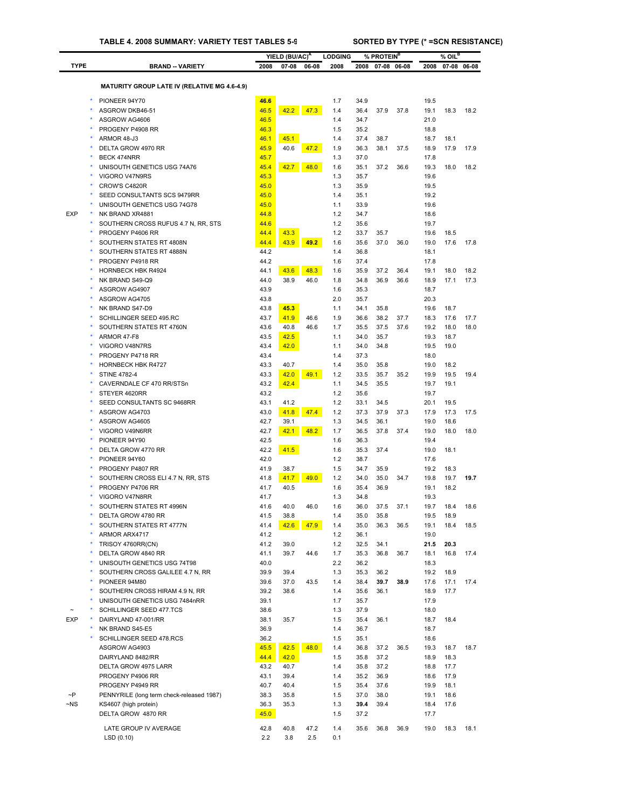|             |                                                                 |              | YIELD (BU/AC) <sup>A</sup> |       | <b>LODGING</b> |              | % PROTEIN <sup>B</sup> |       |              | $%$ OIL $^B$ |             |
|-------------|-----------------------------------------------------------------|--------------|----------------------------|-------|----------------|--------------|------------------------|-------|--------------|--------------|-------------|
| <b>TYPE</b> | <b>BRAND - VARIETY</b>                                          | 2008         | 07-08                      | 06-08 | 2008           | 2008         | 07-08                  | 06-08 | 2008         |              | 07-08 06-08 |
|             |                                                                 |              |                            |       |                |              |                        |       |              |              |             |
|             | <b>MATURITY GROUP LATE IV (RELATIVE MG 4.6-4.9)</b>             |              |                            |       |                |              |                        |       |              |              |             |
|             | PIONEER 94Y70                                                   | 46.6         |                            |       | 1.7            | 34.9         |                        |       | 19.5         |              |             |
|             | ASGROW DKB46-51                                                 | 46.5         | 42.2                       | 47.3  | 1.4            | 36.4         | 37.9                   | 37.8  | 19.1         | 18.3         | 18.2        |
|             | ASGROW AG4606                                                   | 46.5         |                            |       | 1.4            | 34.7         |                        |       | 21.0         |              |             |
|             | PROGENY P4908 RR                                                | 46.3         |                            |       | 1.5            | 35.2         |                        |       | 18.8         |              |             |
|             | ARMOR 48-J3                                                     | 46.1         | 45.1                       |       | 1.4            | 37.4         | 38.7                   |       | 18.7         | 18.1         |             |
|             | DELTA GROW 4970 RR<br><b>BECK 474NRR</b>                        | 45.9<br>45.7 | 40.6                       | 47.2  | 1.9<br>1.3     | 36.3<br>37.0 | 38.1                   | 37.5  | 18.9<br>17.8 | 17.9         | 17.9        |
|             | UNISOUTH GENETICS USG 74A76                                     | 45.4         | 42.7                       | 48.0  | 1.6            | 35.1         | 37.2                   | 36.6  | 19.3         | 18.0         | 18.2        |
|             | VIGORO V47N9RS                                                  | 45.3         |                            |       | 1.3            | 35.7         |                        |       | 19.6         |              |             |
|             | CROW'S C4820R                                                   | 45.0         |                            |       | 1.3            | 35.9         |                        |       | 19.5         |              |             |
|             | SEED CONSULTANTS SCS 9479RR                                     | 45.0         |                            |       | 1.4            | 35.1         |                        |       | 19.2         |              |             |
|             | UNISOUTH GENETICS USG 74G78                                     | 45.0         |                            |       | 1.1            | 33.9         |                        |       | 19.6         |              |             |
| <b>EXP</b>  | NK BRAND XR4881                                                 | 44.8         |                            |       | 1.2            | 34.7         |                        |       | 18.6         |              |             |
|             | SOUTHERN CROSS RUFUS 4.7 N, RR, STS                             | 44.6         |                            |       | 1.2            | 35.6         |                        |       | 19.7         |              |             |
|             | PROGENY P4606 RR                                                | 44.4         | 43.3                       |       | 1.2            | 33.7         | 35.7                   |       | 19.6         | 18.5         |             |
|             | SOUTHERN STATES RT 4808N                                        | 44.4         | 43.9                       | 49.2  | 1.6            | 35.6         | 37.0                   | 36.0  | 19.0         | 17.6         | 17.8        |
|             | SOUTHERN STATES RT 4888N                                        | 44.2         |                            |       | 1.4            | 36.8         |                        |       | 18.1         |              |             |
|             | PROGENY P4918 RR<br>HORNBECK HBK R4924                          | 44.2<br>44.1 | 43.6                       | 48.3  | 1.6<br>1.6     | 37.4<br>35.9 | 37.2                   | 36.4  | 17.8<br>19.1 | 18.0         | 18.2        |
|             | NK BRAND S49-Q9                                                 | 44.0         | 38.9                       | 46.0  | 1.8            | 34.8         | 36.9                   | 36.6  | 18.9         | 17.1         | 17.3        |
|             | ASGROW AG4907                                                   | 43.9         |                            |       | 1.6            | 35.3         |                        |       | 18.7         |              |             |
|             | ASGROW AG4705                                                   | 43.8         |                            |       | 2.0            | 35.7         |                        |       | 20.3         |              |             |
|             | NK BRAND S47-D9                                                 | 43.8         | 45.3                       |       | 1.1            | 34.1         | 35.8                   |       | 19.6         | 18.7         |             |
|             | SCHILLINGER SEED 495.RC                                         | 43.7         | 41.9                       | 46.6  | 1.9            | 36.6         | 38.2                   | 37.7  | 18.3         | 17.6         | 17.7        |
|             | SOUTHERN STATES RT 4760N                                        | 43.6         | 40.8                       | 46.6  | 1.7            | 35.5         | 37.5                   | 37.6  | 19.2         | 18.0         | 18.0        |
|             | ARMOR 47-F8                                                     | 43.5         | 42.5                       |       | 1.1            | 34.0         | 35.7                   |       | 19.3         | 18.7         |             |
|             | VIGORO V48N7RS                                                  | 43.4         | 42.0                       |       | 1.1            | 34.0         | 34.8                   |       | 19.5         | 19.0         |             |
|             | PROGENY P4718 RR                                                | 43.4         |                            |       | 1.4            | 37.3         |                        |       | 18.0         |              |             |
|             | <b>HORNBECK HBK R4727</b>                                       | 43.3         | 40.7                       |       | 1.4            | 35.0         | 35.8                   |       | 19.0         | 18.2         |             |
|             | <b>STINE 4782-4</b>                                             | 43.3         | 42.0                       | 49.1  | 1.2<br>1.1     | 33.5         | 35.7                   | 35.2  | 19.9<br>19.7 | 19.5<br>19.1 | 19.4        |
|             | CAVERNDALE CF 470 RR/STSn<br>STEYER 4620RR                      | 43.2<br>43.2 | 42.4                       |       | 1.2            | 34.5<br>35.6 | 35.5                   |       | 19.7         |              |             |
|             | SEED CONSULTANTS SC 9468RR                                      | 43.1         | 41.2                       |       | 1.2            | 33.1         | 34.5                   |       | 20.1         | 19.5         |             |
|             | ASGROW AG4703                                                   | 43.0         | 41.8                       | 47.4  | 1.2            | 37.3         | 37.9                   | 37.3  | 17.9         | 17.3         | 17.5        |
|             | ASGROW AG4605                                                   | 42.7         | 39.1                       |       | 1.3            | 34.5         | 36.1                   |       | 19.0         | 18.6         |             |
|             | VIGORO V49N6RR                                                  | 42.7         | 42.1                       | 48.2  | 1.7            | 36.5         | 37.8                   | 37.4  | 19.0         | 18.0         | 18.0        |
|             | PIONEER 94Y90                                                   | 42.5         |                            |       | 1.6            | 36.3         |                        |       | 19.4         |              |             |
|             | DELTA GROW 4770 RR                                              | 42.2         | 41.5                       |       | 1.6            | 35.3         | 37.4                   |       | 19.0         | 18.1         |             |
|             | PIONEER 94Y60                                                   | 42.0         |                            |       | 1.2            | 38.7         |                        |       | 17.6         |              |             |
|             | PROGENY P4807 RR                                                | 41.9         | 38.7                       |       | 1.5            | 34.7         | 35.9                   |       | 19.2         | 18.3         |             |
|             | SOUTHERN CROSS ELI 4.7 N, RR, STS<br>PROGENY P4706 RR           | 41.8<br>41.7 | 41.7<br>40.5               | 49.0  | 1.2<br>1.6     | 34.0<br>35.4 | 35.0<br>36.9           | 34.7  | 19.8<br>19.1 | 19.7<br>18.2 | 19.7        |
|             | VIGORO V47N8RR                                                  | 41.7         |                            |       | 1.3            | 34.8         |                        |       | 19.3         |              |             |
|             | SOUTHERN STATES RT 4996N                                        | 41.6         | 40.0                       | 46.0  | 1.6            | 36.0         | 37.5                   | 37.1  | 19.7         | 18.4         | 18.6        |
|             | DELTA GROW 4780 RR                                              | 41.5         | 38.8                       |       | 1.4            | 35.0         | 35.8                   |       | 19.5         | 18.9         |             |
|             | SOUTHERN STATES RT 4777N                                        | 41.4         | 42.6                       | 47.9  | 1.4            | 35.0         | 36.3                   | 36.5  | 19.1         | 18.4         | 18.5        |
|             | ARMOR ARX4717                                                   | 41.2         |                            |       | 1.2            | 36.1         |                        |       | 19.0         |              |             |
|             | TRISOY 4760RR(CN)                                               | 41.2         | 39.0                       |       | 1.2            | 32.5         | 34.1                   |       | 21.5         | 20.3         |             |
|             | DELTA GROW 4840 RR                                              | 41.1         | 39.7                       | 44.6  | 1.7            | 35.3         | 36.8                   | 36.7  | 18.1         | 16.8         | 17.4        |
|             | UNISOUTH GENETICS USG 74T98                                     | 40.0         |                            |       | 2.2            | 36.2         |                        |       | 18.3         |              |             |
|             | SOUTHERN CROSS GALILEE 4.7 N, RR                                | 39.9         | 39.4                       |       | 1.3            | 35.3         | 36.2                   |       | 19.2         | 18.9         |             |
|             | PIONEER 94M80                                                   | 39.6         | 37.0                       | 43.5  | 1.4            | 38.4         | 39.7                   | 38.9  | 17.6         | 17.1         | 17.4        |
|             | SOUTHERN CROSS HIRAM 4.9 N, RR<br>UNISOUTH GENETICS USG 7484nRR | 39.2<br>39.1 | 38.6                       |       | 1.4<br>1.7     | 35.6<br>35.7 | 36.1                   |       | 18.9<br>17.9 | 17.7         |             |
|             | SCHILLINGER SEED 477.TCS                                        | 38.6         |                            |       | 1.3            | 37.9         |                        |       | 18.0         |              |             |
| <b>EXP</b>  | DAIRYLAND 47-001/RR                                             | 38.1         | 35.7                       |       | 1.5            | 35.4         | 36.1                   |       | 18.7         | 18.4         |             |
|             | ٠<br>NK BRAND S45-E5                                            | 36.9         |                            |       | 1.4            | 36.7         |                        |       | 18.7         |              |             |
|             | SCHILLINGER SEED 478.RCS                                        | 36.2         |                            |       | 1.5            | 35.1         |                        |       | 18.6         |              |             |
|             | ASGROW AG4903                                                   | 45.5         | 42.5                       | 48.0  | 1.4            | 36.8         | 37.2                   | 36.5  | 19.3         | 18.7         | 18.7        |
|             | DAIRYLAND 8482/RR                                               | 44.4         | 42.0                       |       | 1.5            | 35.8         | 37.2                   |       | 18.9         | 18.3         |             |
|             | DELTA GROW 4975 LARR                                            | 43.2         | 40.7                       |       | 1.4            | 35.8         | 37.2                   |       | 18.8         | 17.7         |             |
|             | PROGENY P4906 RR                                                | 43.1         | 39.4                       |       | 1.4            | 35.2         | 36.9                   |       | 18.6         | 17.9         |             |
|             | PROGENY P4949 RR                                                | 40.7         | 40.4                       |       | 1.5            | 35.4         | 37.6                   |       | 19.9         | 18.1         |             |
| $\neg P$    | PENNYRILE (long term check-released 1987)                       | 38.3         | 35.8                       |       | 1.5            | 37.0         | 38.0                   |       | 19.1         | 18.6         |             |
| ~NS         | KS4607 (high protein)                                           | 36.3         | 35.3                       |       | 1.3            | 39.4         | 39.4                   |       | 18.4         | 17.6         |             |
|             | DELTA GROW 4870 RR                                              | 45.0         |                            |       | 1.5            | 37.2         |                        |       | 17.7         |              |             |

LATE GROUP IV AVERAGE 42.8 40.8 47.2 1.4 35.6 36.8 36.9 19.0 18.3 18.1 LSD (0.10) 2.2 3.8 2.5 0.1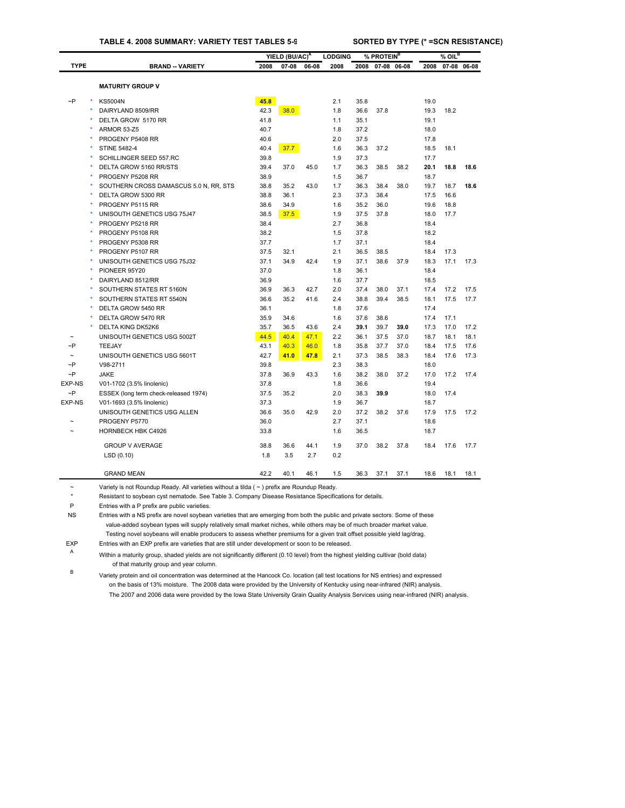|                       |                                        |      | YIELD (BU/AC) <sup>A</sup> |       | <b>LODGING</b> |      | % PROTEIN <sup>B</sup> |             |      | $%$ OIL <sup>B</sup> |             |
|-----------------------|----------------------------------------|------|----------------------------|-------|----------------|------|------------------------|-------------|------|----------------------|-------------|
| <b>TYPE</b>           | <b>BRAND -- VARIETY</b>                | 2008 | $07 - 08$                  | 06-08 | 2008           | 2008 |                        | 07-08 06-08 | 2008 |                      | 07-08 06-08 |
|                       |                                        |      |                            |       |                |      |                        |             |      |                      |             |
|                       | <b>MATURITY GROUP V</b>                |      |                            |       |                |      |                        |             |      |                      |             |
| $\sim P$              | <b>KS5004N</b>                         | 45.8 |                            |       | 2.1            | 35.8 |                        |             | 19.0 |                      |             |
|                       | DAIRYLAND 8509/RR                      | 42.3 | 38.0                       |       | 1.8            | 36.6 | 37.8                   |             | 19.3 | 18.2                 |             |
|                       | DELTA GROW 5170 RR                     | 41.8 |                            |       | 1.1            | 35.1 |                        |             | 19.1 |                      |             |
|                       | <b>ARMOR 53-Z5</b>                     | 40.7 |                            |       | 1.8            | 37.2 |                        |             | 18.0 |                      |             |
|                       | PROGENY P5408 RR                       | 40.6 |                            |       | 2.0            | 37.5 |                        |             | 17.8 |                      |             |
|                       | <b>STINE 5482-4</b>                    | 40.4 | 37.7                       |       | 1.6            | 36.3 | 37.2                   |             | 18.5 | 18.1                 |             |
|                       | SCHILLINGER SEED 557.RC                | 39.8 |                            |       | 1.9            | 37.3 |                        |             | 17.7 |                      |             |
|                       | DELTA GROW 5160 RR/STS                 | 39.4 | 37.0                       | 45.0  | 1.7            | 36.3 | 38.5                   | 38.2        | 20.1 | 18.8                 | 18.6        |
|                       | PROGENY P5208 RR                       | 38.9 |                            |       | 1.5            | 36.7 |                        |             | 18.7 |                      |             |
|                       | SOUTHERN CROSS DAMASCUS 5.0 N, RR, STS | 38.8 | 35.2                       | 43.0  | 1.7            | 36.3 | 38.4                   | 38.0        | 19.7 | 18.7                 | 18.6        |
|                       | DELTA GROW 5300 RR                     | 38.8 | 36.1                       |       | 2.3            | 37.3 | 38.4                   |             | 17.5 | 16.6                 |             |
|                       | PROGENY P5115 RR                       | 38.6 | 34.9                       |       | 1.6            | 35.2 | 36.0                   |             | 19.6 | 18.8                 |             |
|                       | UNISOUTH GENETICS USG 75J47            | 38.5 | 37.5                       |       | 1.9            | 37.5 | 37.8                   |             | 18.0 | 17.7                 |             |
|                       | PROGENY P5218 RR                       | 38.4 |                            |       | 2.7            | 36.8 |                        |             | 18.4 |                      |             |
|                       | PROGENY P5108 RR                       | 38.2 |                            |       | 1.5            | 37.8 |                        |             | 18.2 |                      |             |
|                       | PROGENY P5308 RR                       | 37.7 |                            |       | 1.7            | 37.1 |                        |             | 18.4 |                      |             |
|                       | PROGENY P5107 RR                       | 37.5 | 32.1                       |       | 2.1            | 36.5 | 38.5                   |             | 18.4 | 17.3                 |             |
|                       | UNISOUTH GENETICS USG 75J32            | 37.1 | 34.9                       | 42.4  | 1.9            | 37.1 | 38.6                   | 37.9        | 18.3 | 17.1                 | 17.3        |
|                       | PIONEER 95Y20                          | 37.0 |                            |       | 1.8            | 36.1 |                        |             | 18.4 |                      |             |
|                       | DAIRYLAND 8512/RR                      | 36.9 |                            |       | 1.6            | 37.7 |                        |             | 18.5 |                      |             |
|                       | SOUTHERN STATES RT 5160N               | 36.9 | 36.3                       | 42.7  | 2.0            | 37.4 | 38.0                   | 37.1        | 17.4 | 17.2                 | 17.5        |
|                       | SOUTHERN STATES RT 5540N               | 36.6 | 35.2                       | 41.6  | 2.4            | 38.8 | 39.4                   | 38.5        | 18.1 | 17.5                 | 17.7        |
|                       | DELTA GROW 5450 RR                     | 36.1 |                            |       | 1.8            | 37.6 |                        |             | 17.4 |                      |             |
|                       | DELTA GROW 5470 RR                     | 35.9 | 34.6                       |       | 1.6            | 37.6 | 38.6                   |             | 17.4 | 17.1                 |             |
|                       | <b>DELTA KING DK52K6</b>               | 35.7 | 36.5                       | 43.6  | 2.4            | 39.1 | 39.7                   | 39.0        | 17.3 | 17.0                 | 17.2        |
|                       | UNISOUTH GENETICS USG 5002T            | 44.5 | 40.4                       | 47.1  | 2.2            | 36.1 | 37.5                   | 37.0        | 18.7 | 18.1                 | 18.1        |
| $\sim P$              | <b>TEEJAY</b>                          | 43.1 | 40.3                       | 46.0  | 1.8            | 35.8 | 37.7                   | 37.0        | 18.4 | 17.5                 | 17.6        |
| $\tilde{\phantom{a}}$ | UNISOUTH GENETICS USG 5601T            | 42.7 | 41.0                       | 47.8  | 2.1            | 37.3 | 38.5                   | 38.3        | 18.4 | 17.6                 | 17.3        |
| $\sim P$              | V98-2711                               | 39.8 |                            |       | 2.3            | 38.3 |                        |             | 18.0 |                      |             |
| $\neg P$              | <b>JAKE</b>                            | 37.8 | 36.9                       | 43.3  | 1.6            | 38.2 | 38.0                   | 37.2        | 17.0 | 17.2                 | 17.4        |
| <b>EXP-NS</b>         | V01-1702 (3.5% linolenic)              | 37.8 |                            |       | 1.8            | 36.6 |                        |             | 19.4 |                      |             |
| $\sim P$              | ESSEX (long term check-released 1974)  | 37.5 | 35.2                       |       | 2.0            | 38.3 | 39.9                   |             | 18.0 | 17.4                 |             |
| <b>EXP-NS</b>         | V01-1693 (3.5% linolenic)              | 37.3 |                            |       | 1.9            | 36.7 |                        |             | 18.7 |                      |             |
|                       | UNISOUTH GENETICS USG ALLEN            | 36.6 | 35.0                       | 42.9  | 2.0            | 37.2 | 38.2                   | 37.6        | 17.9 | 17.5                 | 17.2        |
|                       | PROGENY P5770                          | 36.0 |                            |       | 2.7            | 37.1 |                        |             | 18.6 |                      |             |
|                       | <b>HORNBECK HBK C4926</b>              | 33.8 |                            |       | 1.6            | 36.5 |                        |             | 18.7 |                      |             |
|                       | <b>GROUP V AVERAGE</b>                 | 38.8 | 36.6                       | 44.1  | 1.9            | 37.0 | 38.2                   | 37.8        | 18.4 | 17.6                 | 17.7        |
|                       | LSD(0.10)                              | 1.8  | 3.5                        | 2.7   | 0.2            |      |                        |             |      |                      |             |
|                       |                                        |      |                            |       |                |      |                        |             |      |                      |             |
|                       | <b>GRAND MEAN</b>                      | 42.2 | 40.1                       | 46.1  | 1.5            | 36.3 | 37.1                   | 37.1        | 18.6 | 18.1                 | 18.1        |

~ Variety is not Roundup Ready. All varieties without a tilda ( ~ ) prefix are Roundup Ready.

\* Resistant to soybean cyst nematode. See Table 3. Company Disease Resistance Specifications for details.

P Entries with a P prefix are public varieties.

NS Entries with a NS prefix are novel soybean varieties that are emerging from both the public and private sectors. Some of these value-added soybean types will supply relatively small market niches, while others may be of much broader market value. Testing novel soybeans will enable producers to assess whether premiums for a given trait offset possible yield lag/drag.

EXP Entries with an EXP prefix are varieties that are still under development or soon to be released.

<sup>A</sup> Within a maturity group, shaded yields are not significantly different (0.10 level) from the highest yielding cultivar (bold data) of that maturity group and year column.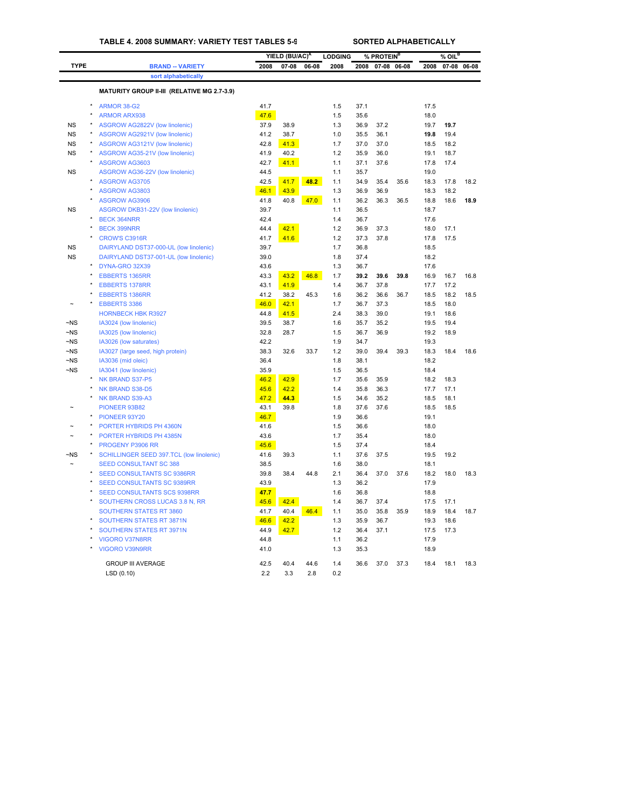|                      |                                                  |              | YIELD (BU/AC) <sup>A</sup> |       | <b>LODGING</b> |              | % PROTEIN <sup>B</sup> |       |              | $%$ OIL <sup>B</sup> |      |
|----------------------|--------------------------------------------------|--------------|----------------------------|-------|----------------|--------------|------------------------|-------|--------------|----------------------|------|
| <b>TYPE</b>          | <b>BRAND -- VARIETY</b>                          | 2008         | $07 - 08$                  | 06-08 | 2008           | 2008         | $07 - 08$              | 06-08 | 2008         | 07-08 06-08          |      |
|                      | sort alphabetically                              |              |                            |       |                |              |                        |       |              |                      |      |
|                      | MATURITY GROUP II-III (RELATIVE MG 2.7-3.9)      |              |                            |       |                |              |                        |       |              |                      |      |
|                      | ARMOR 38-G2                                      | 41.7         |                            |       | 1.5            | 37.1         |                        |       | 17.5         |                      |      |
|                      | $\star$<br><b>ARMOR ARX938</b>                   | 47.6         |                            |       | 1.5            | 35.6         |                        |       | 18.0         |                      |      |
| <b>NS</b>            | ASGROW AG2822V (low linolenic)                   | 37.9         | 38.9                       |       | 1.3            | 36.9         | 37.2                   |       | 19.7         | 19.7                 |      |
| <b>NS</b>            | ASGROW AG2921V (low linolenic)                   | 41.2         | 38.7                       |       | 1.0            | 35.5         | 36.1                   |       | 19.8         | 19.4                 |      |
| <b>NS</b>            | ASGROW AG3121V (low linolenic)                   | 42.8         | 41.3                       |       | 1.7            | 37.0         | 37.0                   |       | 18.5         | 18.2                 |      |
| <b>NS</b>            | ASGROW AG35-21V (low linolenic)                  | 41.9         | 40.2                       |       | 1.2            | 35.9         | 36.0                   |       | 19.1         | 18.7                 |      |
|                      | ASGROW AG3603                                    | 42.7         | 41.1                       |       | 1.1            | 37.1         | 37.6                   |       | 17.8         | 17.4                 |      |
| <b>NS</b>            | ASGROW AG36-22V (low linolenic)                  | 44.5         |                            |       | 1.1            | 35.7         |                        |       | 19.0         |                      |      |
|                      | $\star$<br><b>ASGROW AG3705</b>                  | 42.5         | 41.7                       | 48.2  | 1.1            | 34.9         | 35.4                   | 35.6  | 18.3         | 17.8                 | 18.2 |
|                      | ASGROW AG3803                                    | 46.1         | 43.9                       |       | 1.3            | 36.9         | 36.9                   |       | 18.3         | 18.2                 |      |
|                      | $\star$<br>ASGROW AG3906                         | 41.8         | 40.8                       | 47.0  | 1.1            | 36.2         | 36.3                   | 36.5  | 18.8         | 18.6                 | 18.9 |
| <b>NS</b>            | ASGROW DKB31-22V (low linolenic)                 | 39.7         |                            |       | 1.1            | 36.5         |                        |       | 18.7         |                      |      |
|                      | <b>BECK 364NRR</b>                               | 42.4         |                            |       | 1.4            | 36.7         |                        |       | 17.6         |                      |      |
|                      | <b>BECK 399NRR</b>                               | 44.4         | 42.1                       |       | 1.2            | 36.9         | 37.3                   |       | 18.0         | 17.1                 |      |
|                      | <b>CROW'S C3916R</b>                             | 41.7         | 41.6                       |       | 1.2            | 37.3         | 37.8                   |       | 17.8         | 17.5                 |      |
| <b>NS</b>            | DAIRYLAND DST37-000-UL (low linolenic)           | 39.7         |                            |       | 1.7            | 36.8         |                        |       | 18.5         |                      |      |
| <b>NS</b>            | DAIRYLAND DST37-001-UL (low linolenic)           | 39.0         |                            |       | 1.8            | 37.4         |                        |       | 18.2         |                      |      |
|                      | DYNA-GRO 32X39                                   | 43.6         |                            |       | 1.3            | 36.7         |                        |       | 17.6         |                      |      |
|                      | <b>EBBERTS 1365RR</b>                            | 43.3         | 43.2                       | 46.8  | 1.7            | 39.2         | 39.6                   | 39.8  | 16.9         | 16.7                 | 16.8 |
|                      | <b>EBBERTS 1378RR</b>                            | 43.1         | 41.9                       |       | 1.4            | 36.7         | 37.8                   |       | 17.7         | 17.2                 |      |
|                      | <b>EBBERTS 1386RR</b>                            | 41.2         | 38.2                       | 45.3  | 1.6            | 36.2         | 36.6                   | 36.7  | 18.5         | 18.2                 | 18.5 |
|                      | <b>EBBERTS 3386</b><br><b>HORNBECK HBK R3927</b> | 46.0<br>44.8 | 42.1<br>41.5               |       | 1.7<br>2.4     | 36.7<br>38.3 | 37.3<br>39.0           |       | 18.5<br>19.1 | 18.0<br>18.6         |      |
| $-NS$                | IA3024 (low linolenic)                           | 39.5         | 38.7                       |       | 1.6            | 35.7         | 35.2                   |       | 19.5         | 19.4                 |      |
| $-NS$                | IA3025 (low linolenic)                           | 32.8         | 28.7                       |       | 1.5            | 36.7         | 36.9                   |       | 19.2         | 18.9                 |      |
| $\neg$ NS            | IA3026 (low saturates)                           | 42.2         |                            |       | 1.9            | 34.7         |                        |       | 19.3         |                      |      |
| $\neg$ NS            | IA3027 (large seed, high protein)                | 38.3         | 32.6                       | 33.7  | 1.2            | 39.0         | 39.4                   | 39.3  | 18.3         | 18.4                 | 18.6 |
| $-NS$                | IA3036 (mid oleic)                               | 36.4         |                            |       | 1.8            | 38.1         |                        |       | 18.2         |                      |      |
| $\neg$ <sub>NS</sub> | IA3041 (low linolenic)                           | 35.9         |                            |       | 1.5            | 36.5         |                        |       | 18.4         |                      |      |
|                      | NK BRAND S37-P5                                  | 46.2         | 42.9                       |       | 1.7            | 35.6         | 35.9                   |       | 18.2         | 18.3                 |      |
|                      | NK BRAND S38-D5                                  | 45.6         | 42.2                       |       | 1.4            | 35.8         | 36.3                   |       | 17.7         | 17.1                 |      |
|                      | <b>NK BRAND S39-A3</b>                           | 47.2         | 44.3                       |       | 1.5            | 34.6         | 35.2                   |       | 18.5         | 18.1                 |      |
|                      | PIONEER 93B82                                    | 43.1         | 39.8                       |       | 1.8            | 37.6         | 37.6                   |       | 18.5         | 18.5                 |      |
|                      | PIONEER 93Y20                                    | 46.7         |                            |       | 1.9            | 36.6         |                        |       | 19.1         |                      |      |
|                      | PORTER HYBRIDS PH 4360N                          | 41.6         |                            |       | 1.5            | 36.6         |                        |       | 18.0         |                      |      |
|                      | PORTER HYBRIDS PH 4385N                          | 43.6         |                            |       | 1.7            | 35.4         |                        |       | 18.0         |                      |      |
|                      | PROGENY P3906 RR                                 | 45.6         |                            |       | 1.5            | 37.4         |                        |       | 18.4         |                      |      |
| $-NS$                | SCHILLINGER SEED 397.TCL (low linolenic)         | 41.6         | 39.3                       |       | 1.1            | 37.6         | 37.5                   |       | 19.5         | 19.2                 |      |
|                      | <b>SEED CONSULTANT SC 388</b>                    | 38.5         |                            |       | 1.6            | 38.0         |                        |       | 18.1         |                      |      |
|                      | SEED CONSULTANTS SC 9386RR                       | 39.8         | 38.4                       | 44.8  | 2.1            | 36.4         | 37.0                   | 37.6  | 18.2         | 18.0                 | 18.3 |
|                      | <b>SEED CONSULTANTS SC 9389RR</b>                | 43.9         |                            |       | 1.3            | 36.2         |                        |       | 17.9         |                      |      |
|                      | <b>SEED CONSULTANTS SCS 9398RR</b>               | 47.7         |                            |       | 1.6            | 36.8         |                        |       | 18.8         |                      |      |
|                      | SOUTHERN CROSS LUCAS 3.8 N, RR                   | 45.6         | 42.4                       |       | 1.4            | 36.7         | 37.4                   |       | 17.5         | 17.1                 |      |
|                      | <b>SOUTHERN STATES RT 3860</b>                   | 41.7         | 40.4                       | 46.4  | 1.1            | 35.0         | 35.8                   | 35.9  | 18.9         | 18.4                 | 18.7 |
|                      | SOUTHERN STATES RT 3871N                         | 46.6         | 42.2                       |       | 1.3            | 35.9         | 36.7                   |       | 19.3         | 18.6                 |      |
|                      | SOUTHERN STATES RT 3971N                         | 44.9         | 42.7                       |       | 1.2            | 36.4         | 37.1                   |       | 17.5         | 17.3                 |      |
|                      | <b>VIGORO V37N8RR</b><br><b>VIGORO V39N9RR</b>   | 44.8<br>41.0 |                            |       | 1.1<br>1.3     | 36.2<br>35.3 |                        |       | 17.9<br>18.9 |                      |      |
|                      |                                                  |              |                            |       |                |              |                        |       |              |                      |      |
|                      | <b>GROUP III AVERAGE</b>                         | 42.5         | 40.4                       | 44.6  | 1.4            | 36.6         | 37.0                   | 37.3  | 18.4         | 18.1                 | 18.3 |
|                      | LSD(0.10)                                        | 2.2          | 3.3                        | 2.8   | 0.2            |              |                        |       |              |                      |      |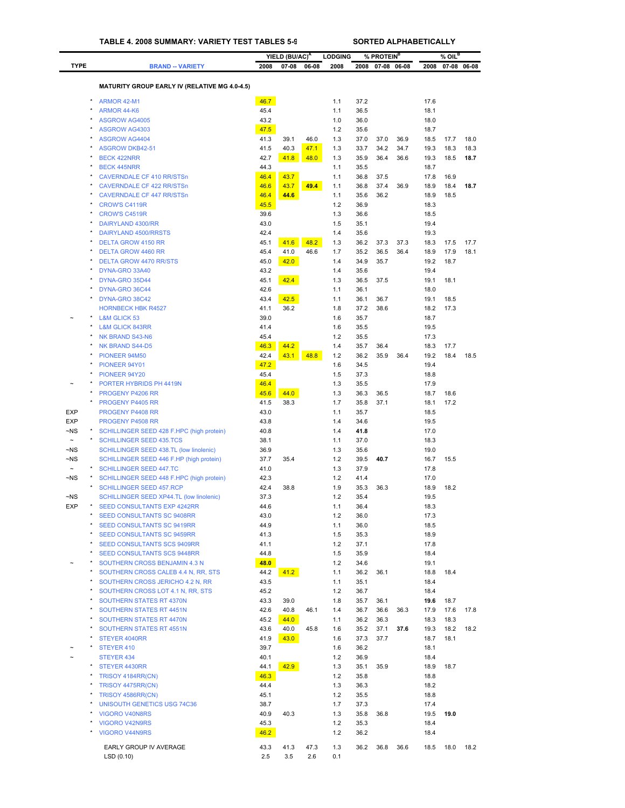|                       |                                                           |              | YIELD (BU/AC) <sup>A</sup> |       | <b>LODGING</b> |              | % PROTEIN <sup>B</sup> |       |              | $%$ OIL $^B$ |             |
|-----------------------|-----------------------------------------------------------|--------------|----------------------------|-------|----------------|--------------|------------------------|-------|--------------|--------------|-------------|
| <b>TYPE</b>           | <b>BRAND -- VARIETY</b>                                   | 2008         | 07-08                      | 06-08 | 2008           | 2008         | $07 - 08$              | 06-08 | 2008         |              | 07-08 06-08 |
|                       |                                                           |              |                            |       |                |              |                        |       |              |              |             |
|                       | <b>MATURITY GROUP EARLY IV (RELATIVE MG 4.0-4.5)</b>      |              |                            |       |                |              |                        |       |              |              |             |
|                       | ARMOR 42-M1                                               | 46.7         |                            |       | 1.1            | 37.2         |                        |       | 17.6         |              |             |
|                       | ARMOR 44-K6                                               | 45.4         |                            |       | 1.1            | 36.5         |                        |       | 18.1         |              |             |
|                       | <b>ASGROW AG4005</b>                                      | 43.2         |                            |       | 1.0            | 36.0         |                        |       | 18.0         |              |             |
|                       | <b>ASGROW AG4303</b>                                      | 47.5         |                            |       | 1.2            | 35.6         |                        |       | 18.7         |              |             |
| $\star$               | <b>ASGROW AG4404</b>                                      | 41.3         | 39.1                       | 46.0  | 1.3            | 37.0         | 37.0                   | 36.9  | 18.5         | 17.7         | 18.0        |
|                       | <b>ASGROW DKB42-51</b>                                    | 41.5         | 40.3                       | 47.1  | 1.3            | 33.7         | 34.2                   | 34.7  | 19.3         | 18.3         | 18.3        |
|                       | <b>BECK 422NRR</b>                                        | 42.7         | 41.8                       | 48.0  | 1.3            | 35.9         | 36.4                   | 36.6  | 19.3         | 18.5         | 18.7        |
| $\star$               | <b>BECK 445NRR</b><br><b>CAVERNDALE CF 410 RR/STSn</b>    | 44.3<br>46.4 | 43.7                       |       | 1.1<br>1.1     | 35.5<br>36.8 | 37.5                   |       | 18.7<br>17.8 | 16.9         |             |
|                       | <b>CAVERNDALE CF 422 RR/STSn</b>                          | 46.6         | 43.7                       | 49.4  | 1.1            | 36.8         | 37.4                   | 36.9  | 18.9         | 18.4         | 18.7        |
| $\star$               | <b>CAVERNDALE CF 447 RR/STSn</b>                          | 46.4         | 44.6                       |       | 1.1            | 35.6         | 36.2                   |       | 18.9         | 18.5         |             |
|                       | <b>CROW'S C4119R</b>                                      | 45.5         |                            |       | 1.2            | 36.9         |                        |       | 18.3         |              |             |
|                       | <b>CROW'S C4519R</b>                                      | 39.6         |                            |       | 1.3            | 36.6         |                        |       | 18.5         |              |             |
|                       | DAIRYLAND 4300/RR                                         | 43.0         |                            |       | 1.5            | 35.1         |                        |       | 19.4         |              |             |
|                       | DAIRYLAND 4500/RRSTS                                      | 42.4         |                            |       | 1.4            | 35.6         |                        |       | 19.3         |              |             |
|                       | <b>DELTA GROW 4150 RR</b>                                 | 45.1         | 41.6                       | 48.2  | 1.3            | 36.2         | 37.3                   | 37.3  | 18.3         | 17.5         | 17.7        |
| $\star$               | <b>DELTA GROW 4460 RR</b>                                 | 45.4         | 41.0                       | 46.6  | 1.7            | 35.2         | 36.5                   | 36.4  | 18.9         | 17.9         | 18.1        |
|                       | <b>DELTA GROW 4470 RR/STS</b>                             | 45.0<br>43.2 | 42.0                       |       | 1.4            | 34.9         | 35.7                   |       | 19.2<br>19.4 | 18.7         |             |
|                       | DYNA-GRO 33A40<br>DYNA-GRO 35D44                          | 45.1         | 42.4                       |       | 1.4<br>1.3     | 35.6<br>36.5 | 37.5                   |       | 19.1         | 18.1         |             |
|                       | DYNA-GRO 36C44                                            | 42.6         |                            |       | 1.1            | 36.1         |                        |       | 18.0         |              |             |
| $\pmb{\ast}$          | DYNA-GRO 38C42                                            | 43.4         | 42.5                       |       | 1.1            | 36.1         | 36.7                   |       | 19.1         | 18.5         |             |
|                       | <b>HORNBECK HBK R4527</b>                                 | 41.1         | 36.2                       |       | 1.8            | 37.2         | 38.6                   |       | 18.2         | 17.3         |             |
| $\pmb{\ast}$          | <b>L&amp;M GLICK 53</b>                                   | 39.0         |                            |       | 1.6            | 35.7         |                        |       | 18.7         |              |             |
|                       | <b>L&amp;M GLICK 843RR</b>                                | 41.4         |                            |       | 1.6            | 35.5         |                        |       | 19.5         |              |             |
|                       | <b>NK BRAND S43-N6</b>                                    | 45.4         |                            |       | 1.2            | 35.5         |                        |       | 17.3         |              |             |
|                       | NK BRAND S44-D5                                           | 46.3         | 44.2                       |       | 1.4            | 35.7         | 36.4                   |       | 18.3         | 17.7         |             |
|                       | PIONEER 94M50                                             | 42.4         | 43.1                       | 48.8  | 1.2            | 36.2         | 35.9                   | 36.4  | 19.2         | 18.4         | 18.5        |
|                       | PIONEER 94Y01                                             | 47.2         |                            |       | 1.6            | 34.5         |                        |       | 19.4         |              |             |
|                       | PIONEER 94Y20                                             | 45.4         |                            |       | 1.5            | 37.3         |                        |       | 18.8         |              |             |
|                       | PORTER HYBRIDS PH 4419N<br>PROGENY P4206 RR               | 46.4<br>45.6 | 44.0                       |       | 1.3<br>1.3     | 35.5<br>36.3 | 36.5                   |       | 17.9<br>18.7 | 18.6         |             |
|                       | PROGENY P4405 RR                                          | 41.5         | 38.3                       |       | 1.7            | 35.8         | 37.1                   |       | 18.1         | 17.2         |             |
| <b>EXP</b>            | PROGENY P4408 RR                                          | 43.0         |                            |       | 1.1            | 35.7         |                        |       | 18.5         |              |             |
| <b>EXP</b>            | PROGENY P4508 RR                                          | 43.8         |                            |       | 1.4            | 34.6         |                        |       | 19.5         |              |             |
| $-NS$                 | SCHILLINGER SEED 428 F.HPC (high protein)                 | 40.8         |                            |       | 1.4            | 41.8         |                        |       | 17.0         |              |             |
| $\tilde{}$            | <b>SCHILLINGER SEED 435.TCS</b>                           | 38.1         |                            |       | 1.1            | 37.0         |                        |       | 18.3         |              |             |
| $\neg$ NS             | SCHILLINGER SEED 438.TL (low linolenic)                   | 36.9         |                            |       | 1.3            | 35.6         |                        |       | 19.0         |              |             |
| $\neg$ NS             | SCHILLINGER SEED 446 F.HP (high protein)                  | 37.7         | 35.4                       |       | 1.2            | 39.5         | 40.7                   |       | 16.7         | 15.5         |             |
| $\tilde{\phantom{a}}$ | <b>SCHILLINGER SEED 447.TC</b>                            | 41.0         |                            |       | 1.3            | 37.9         |                        |       | 17.8         |              |             |
| $\neg$ NS             | SCHILLINGER SEED 448 F.HPC (high protein)                 | 42.3         |                            |       | 1.2            | 41.4         |                        |       | 17.0         |              |             |
|                       | <b>SCHILLINGER SEED 457.RCP</b>                           | 42.4         | 38.8                       |       | 1.9            | 35.3         | 36.3                   |       | 18.9         | 18.2         |             |
| $-NS$                 | SCHILLINGER SEED XP44.TL (low linolenic)                  | 37.3         |                            |       | 1.2            | 35.4         |                        |       | 19.5         |              |             |
| <b>EXP</b>            | SEED CONSULTANTS EXP 4242RR<br>SEED CONSULTANTS SC 9408RR | 44.6<br>43.0 |                            |       | 1.1<br>1.2     | 36.4<br>36.0 |                        |       | 18.3<br>17.3 |              |             |
| $\star$               | SEED CONSULTANTS SC 9419RR                                | 44.9         |                            |       | 1.1            | 36.0         |                        |       | 18.5         |              |             |
|                       | <b>SEED CONSULTANTS SC 9459RR</b>                         | 41.3         |                            |       | 1.5            | 35.3         |                        |       | 18.9         |              |             |
| $\star$               | <b>SEED CONSULTANTS SCS 9409RR</b>                        | 41.1         |                            |       | 1.2            | 37.1         |                        |       | 17.8         |              |             |
|                       | <b>SEED CONSULTANTS SCS 9448RR</b>                        | 44.8         |                            |       | 1.5            | 35.9         |                        |       | 18.4         |              |             |
|                       | SOUTHERN CROSS BENJAMIN 4.3 N                             | 48.0         |                            |       | 1.2            | 34.6         |                        |       | 19.1         |              |             |
|                       | SOUTHERN CROSS CALEB 4.4 N, RR, STS                       | 44.2         | 41.2                       |       | 1.1            | 36.2         | 36.1                   |       | 18.8         | 18.4         |             |
|                       | SOUTHERN CROSS JERICHO 4.2 N, RR                          | 43.5         |                            |       | 1.1            | 35.1         |                        |       | 18.4         |              |             |
|                       | SOUTHERN CROSS LOT 4.1 N, RR, STS                         | 45.2         |                            |       | 1.2            | 36.7         |                        |       | 18.4         |              |             |
|                       | <b>SOUTHERN STATES RT 4370N</b>                           | 43.3         | 39.0                       |       | 1.8            | 35.7         | 36.1                   |       | 19.6         | 18.7         |             |
|                       | SOUTHERN STATES RT 4451N                                  | 42.6         | 40.8                       | 46.1  | 1.4            | 36.7         | 36.6                   | 36.3  | 17.9         | 17.6         | 17.8        |
|                       | SOUTHERN STATES RT 4470N<br>SOUTHERN STATES RT 4551N      | 45.2<br>43.6 | 44.0<br>40.0               | 45.8  | 1.1<br>1.6     | 36.2<br>35.2 | 36.3<br>37.1           | 37.6  | 18.3<br>19.3 | 18.3<br>18.2 | 18.2        |
|                       | STEYER 4040RR                                             | 41.9         | 43.0                       |       | 1.6            | 37.3         | 37.7                   |       | 18.7         | 18.1         |             |
|                       | STEYER 410                                                | 39.7         |                            |       | 1.6            | 36.2         |                        |       | 18.1         |              |             |
|                       | STEYER 434                                                | 40.1         |                            |       | 1.2            | 36.9         |                        |       | 18.4         |              |             |
| $\pmb{\ast}$          | STEYER 4430RR                                             | 44.1         | 42.9                       |       | 1.3            | 35.1         | 35.9                   |       | 18.9         | 18.7         |             |
|                       | TRISOY 4184RR(CN)                                         | 46.3         |                            |       | 1.2            | 35.8         |                        |       | 18.8         |              |             |
|                       | TRISOY 4475RR(CN)                                         | 44.4         |                            |       | 1.3            | 36.3         |                        |       | 18.2         |              |             |
|                       | TRISOY 4586RR(CN)                                         | 45.1         |                            |       | 1.2            | 35.5         |                        |       | 18.8         |              |             |
|                       | <b>UNISOUTH GENETICS USG 74C36</b>                        | 38.7         |                            |       | 1.7            | 37.3         |                        |       | 17.4         |              |             |
|                       | VIGORO V40N8RS                                            | 40.9         | 40.3                       |       | 1.3            | 35.8         | 36.8                   |       | 19.5         | 19.0         |             |
|                       | VIGORO V42N9RS                                            | 45.3         |                            |       | 1.2            | 35.3         |                        |       | 18.4         |              |             |
|                       | <b>VIGORO V44N9RS</b>                                     | 46.2         |                            |       | 1.2            | 36.2         |                        |       | 18.4         |              |             |
|                       | EARLY GROUP IV AVERAGE                                    | 43.3         | 41.3                       | 47.3  | 1.3            | 36.2         | 36.8                   | 36.6  | 18.5         | 18.0         | 18.2        |
|                       | LSD (0.10)                                                | 2.5          | 3.5                        | 2.6   | 0.1            |              |                        |       |              |              |             |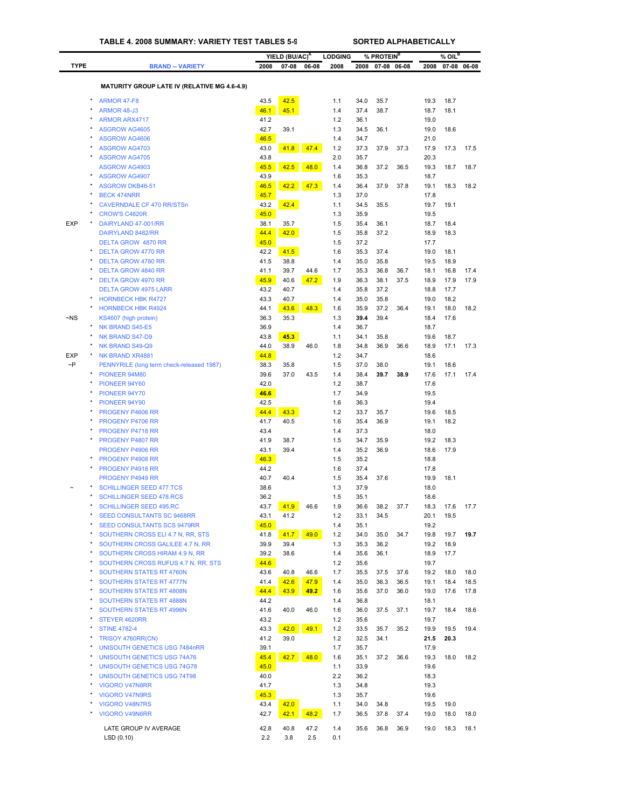|             |         |                                                                     |              | YIELD (BU/AC) <sup>A</sup> |       | <b>LODGING</b> |              | % PROTEIN <sup>B</sup> |       |              | % OIL <sup>B</sup> |             |
|-------------|---------|---------------------------------------------------------------------|--------------|----------------------------|-------|----------------|--------------|------------------------|-------|--------------|--------------------|-------------|
| <b>TYPE</b> |         | <b>BRAND -- VARIETY</b>                                             | 2008         | 07-08                      | 06-08 | 2008           | 2008         | $07 - 08$              | 06-08 | 2008         |                    | 07-08 06-08 |
|             |         |                                                                     |              |                            |       |                |              |                        |       |              |                    |             |
|             |         | <b>MATURITY GROUP LATE IV (RELATIVE MG 4.6-4.9)</b>                 |              |                            |       |                |              |                        |       |              |                    |             |
|             |         | ARMOR 47-F8                                                         | 43.5         | 42.5                       |       | 1.1            | 34.0         | 35.7                   |       | 19.3         | 18.7               |             |
|             |         | ARMOR 48-J3                                                         | 46.1         | 45.1                       |       | 1.4            | 37.4         | 38.7                   |       | 18.7         | 18.1               |             |
|             |         | <b>ARMOR ARX4717</b>                                                | 41.2         |                            |       | 1.2            | 36.1         |                        |       | 19.0         |                    |             |
|             |         | <b>ASGROW AG4605</b>                                                | 42.7         | 39.1                       |       | 1.3            | 34.5         | 36.1                   |       | 19.0         | 18.6               |             |
|             |         | ASGROW AG4606                                                       | 46.5         |                            |       | 1.4            | 34.7         |                        |       | 21.0         |                    |             |
|             |         | <b>ASGROW AG4703</b><br><b>ASGROW AG4705</b>                        | 43.0<br>43.8 | 41.8                       | 47.4  | 1.2<br>2.0     | 37.3<br>35.7 | 37.9                   | 37.3  | 17.9<br>20.3 | 17.3               | 17.5        |
|             |         | ASGROW AG4903                                                       | 45.5         | 42.5                       | 48.0  | 1.4            | 36.8         | 37.2                   | 36.5  | 19.3         | 18.7               | 18.7        |
|             |         | <b>ASGROW AG4907</b>                                                | 43.9         |                            |       | 1.6            | 35.3         |                        |       | 18.7         |                    |             |
|             |         | <b>ASGROW DKB46-51</b>                                              | 46.5         | 42.2                       | 47.3  | 1.4            | 36.4         | 37.9                   | 37.8  | 19.1         | 18.3               | 18.2        |
|             |         | <b>BECK 474NRR</b>                                                  | 45.7         |                            |       | 1.3            | 37.0         |                        |       | 17.8         |                    |             |
|             |         | <b>CAVERNDALE CF 470 RR/STSn</b>                                    | 43.2         | 42.4                       |       | 1.1            | 34.5         | 35.5                   |       | 19.7         | 19.1               |             |
|             |         | <b>CROW'S C4820R</b>                                                | 45.0         |                            |       | 1.3            | 35.9         |                        |       | 19.5         |                    |             |
| <b>EXP</b>  |         | DAIRYLAND 47-001/RR                                                 | 38.1         | 35.7                       |       | 1.5            | 35.4         | 36.1                   |       | 18.7         | 18.4               |             |
|             |         | DAIRYLAND 8482/RR                                                   | 44.4         | 42.0                       |       | 1.5            | 35.8         | 37.2                   |       | 18.9         | 18.3               |             |
|             |         | <b>DELTA GROW 4870 RR</b>                                           | 45.0         |                            |       | 1.5            | 37.2         |                        |       | 17.7         |                    |             |
|             |         | <b>DELTA GROW 4770 RR</b>                                           | 42.2         | 41.5                       |       | 1.6            | 35.3         | 37.4                   |       | 19.0         | 18.1               |             |
|             |         | <b>DELTA GROW 4780 RR</b>                                           | 41.5         | 38.8                       |       | 1.4            | 35.0         | 35.8                   |       | 19.5         | 18.9               |             |
|             |         | <b>DELTA GROW 4840 RR</b>                                           | 41.1         | 39.7                       | 44.6  | 1.7            | 35.3         | 36.8                   | 36.7  | 18.1         | 16.8               | 17.4        |
|             |         | <b>DELTA GROW 4970 RR</b>                                           | 45.9         | 40.6                       | 47.2  | 1.9            | 36.3         | 38.1                   | 37.5  | 18.9         | 17.9               | 17.9        |
|             |         | <b>DELTA GROW 4975 LARR</b>                                         | 43.2         | 40.7                       |       | 1.4<br>1.4     | 35.8         | 37.2<br>35.8           |       | 18.8         | 17.7<br>18.2       |             |
|             |         | <b>HORNBECK HBK R4727</b><br><b>HORNBECK HBK R4924</b>              | 43.3<br>44.1 | 40.7<br>43.6               | 48.3  | 1.6            | 35.0<br>35.9 | 37.2                   | 36.4  | 19.0<br>19.1 | 18.0               | 18.2        |
| $-NS$       |         | KS4607 (high protein)                                               | 36.3         | 35.3                       |       | 1.3            | 39.4         | 39.4                   |       | 18.4         | 17.6               |             |
|             |         | NK BRAND S45-E5                                                     | 36.9         |                            |       | 1.4            | 36.7         |                        |       | 18.7         |                    |             |
|             |         | <b>NK BRAND S47-D9</b>                                              | 43.8         | 45.3                       |       | 1.1            | 34.1         | 35.8                   |       | 19.6         | 18.7               |             |
|             |         | NK BRAND S49-Q9                                                     | 44.0         | 38.9                       | 46.0  | 1.8            | 34.8         | 36.9                   | 36.6  | 18.9         | 17.1               | 17.3        |
| <b>EXP</b>  |         | NK BRAND XR4881                                                     | 44.8         |                            |       | 1.2            | 34.7         |                        |       | 18.6         |                    |             |
| $\sim P$    |         | PENNYRILE (long term check-released 1987)                           | 38.3         | 35.8                       |       | 1.5            | 37.0         | 38.0                   |       | 19.1         | 18.6               |             |
|             |         | PIONEER 94M80                                                       | 39.6         | 37.0                       | 43.5  | 1.4            | 38.4         | 39.7                   | 38.9  | 17.6         | 17.1               | 17.4        |
|             |         | PIONEER 94Y60                                                       | 42.0         |                            |       | 1.2            | 38.7         |                        |       | 17.6         |                    |             |
|             |         | PIONEER 94Y70                                                       | 46.6         |                            |       | 1.7            | 34.9         |                        |       | 19.5         |                    |             |
|             |         | PIONEER 94Y90                                                       | 42.5         |                            |       | 1.6            | 36.3         |                        |       | 19.4         |                    |             |
|             |         | PROGENY P4606 RR                                                    | 44.4         | 43.3                       |       | 1.2            | 33.7         | 35.7                   |       | 19.6         | 18.5               |             |
|             |         | <b>PROGENY P4706 RR</b>                                             | 41.7         | 40.5                       |       | 1.6            | 35.4         | 36.9                   |       | 19.1         | 18.2               |             |
|             |         | PROGENY P4718 RR                                                    | 43.4         |                            |       | 1.4            | 37.3         |                        |       | 18.0         |                    |             |
|             |         | PROGENY P4807 RR                                                    | 41.9         | 38.7                       |       | 1.5            | 34.7         | 35.9                   |       | 19.2         | 18.3               |             |
|             |         | <b>PROGENY P4906 RR</b>                                             | 43.1         | 39.4                       |       | 1.4            | 35.2         | 36.9                   |       | 18.6         | 17.9               |             |
|             |         | PROGENY P4908 RR                                                    | 46.3         |                            |       | 1.5            | 35.2         |                        |       | 18.8         |                    |             |
|             |         | PROGENY P4918 RR                                                    | 44.2         |                            |       | 1.6            | 37.4         |                        |       | 17.8         |                    |             |
|             |         | <b>PROGENY P4949 RR</b>                                             | 40.7         | 40.4                       |       | 1.5            | 35.4         | 37.6                   |       | 19.9         | 18.1               |             |
|             | ×       | <b>SCHILLINGER SEED 477.TCS</b>                                     | 38.6<br>36.2 |                            |       | 1.3            | 37.9         |                        |       | 18.0         |                    |             |
|             |         | <b>SCHILLINGER SEED 478.RCS</b>                                     | 43.7         |                            | 46.6  | 1.5<br>1.9     | 35.1         |                        |       | 18.6         |                    | 17.7        |
|             |         | <b>SCHILLINGER SEED 495.RC</b><br><b>SEED CONSULTANTS SC 9468RR</b> | 43.1         | 41.9<br>41.2               |       | 1.2            | 36.6<br>33.1 | 38.2<br>34.5           | 37.7  | 18.3<br>20.1 | 17.6<br>19.5       |             |
|             |         | <b>SEED CONSULTANTS SCS 9479RR</b>                                  | 45.0         |                            |       | 1.4            | 35.1         |                        |       | 19.2         |                    |             |
|             |         | SOUTHERN CROSS ELI 4.7 N, RR, STS                                   | 41.8         | 41.7                       | 49.0  | 1.2            | 34.0         | 35.0                   | 34.7  | 19.8         | 19.7               | 19.7        |
|             | ×       | SOUTHERN CROSS GALILEE 4.7 N, RR                                    | 39.9         | 39.4                       |       | 1.3            | 35.3         | 36.2                   |       | 19.2         | 18.9               |             |
|             |         | SOUTHERN CROSS HIRAM 4.9 N, RR                                      | 39.2         | 38.6                       |       | 1.4            | 35.6         | 36.1                   |       | 18.9         | 17.7               |             |
|             | ×       | SOUTHERN CROSS RUFUS 4.7 N, RR, STS                                 | 44.6         |                            |       | 1.2            | 35.6         |                        |       | 19.7         |                    |             |
|             |         | <b>SOUTHERN STATES RT 4760N</b>                                     | 43.6         | 40.8                       | 46.6  | 1.7            | 35.5         | 37.5                   | 37.6  | 19.2         | 18.0               | 18.0        |
|             | $\star$ | SOUTHERN STATES RT 4777N                                            | 41.4         | 42.6                       | 47.9  | 1.4            | 35.0         | 36.3                   | 36.5  | 19.1         | 18.4               | 18.5        |
|             |         | SOUTHERN STATES RT 4808N                                            | 44.4         | 43.9                       | 49.2  | 1.6            | 35.6         | 37.0                   | 36.0  | 19.0         | 17.6               | 17.8        |
|             |         | SOUTHERN STATES RT 4888N                                            | 44.2         |                            |       | 1.4            | 36.8         |                        |       | 18.1         |                    |             |
|             |         | <b>SOUTHERN STATES RT 4996N</b>                                     | 41.6         | 40.0                       | 46.0  | 1.6            | 36.0         | 37.5                   | 37.1  | 19.7         | 18.4               | 18.6        |
|             |         | STEYER 4620RR                                                       | 43.2         |                            |       | 1.2            | 35.6         |                        |       | 19.7         |                    |             |
|             | ×       | <b>STINE 4782-4</b>                                                 | 43.3         | 42.0                       | 49.1  | 1.2            | 33.5         | 35.7                   | 35.2  | 19.9         | 19.5               | 19.4        |
|             |         | TRISOY 4760RR(CN)                                                   | 41.2         | 39.0                       |       | 1.2            | 32.5         | 34.1                   |       | 21.5         | 20.3               |             |
|             | $\star$ | <b>UNISOUTH GENETICS USG 7484nRR</b>                                | 39.1         |                            |       | 1.7            | 35.7         |                        |       | 17.9         |                    |             |
|             |         | <b>UNISOUTH GENETICS USG 74A76</b>                                  | 45.4         | 42.7                       | 48.0  | 1.6            | 35.1         | 37.2                   | 36.6  | 19.3         | 18.0               | 18.2        |
|             | ×       | <b>UNISOUTH GENETICS USG 74G78</b>                                  | 45.0         |                            |       | 1.1            | 33.9         |                        |       | 19.6         |                    |             |
|             |         | <b>UNISOUTH GENETICS USG 74T98</b>                                  | 40.0         |                            |       | 2.2            | 36.2         |                        |       | 18.3         |                    |             |
|             | ×       | <b>VIGORO V47N8RR</b>                                               | 41.7         |                            |       | 1.3            | 34.8         |                        |       | 19.3         |                    |             |
|             |         | <b>VIGORO V47N9RS</b>                                               | 45.3         |                            |       | 1.3            | 35.7         |                        |       | 19.6         |                    |             |
|             |         | <b>VIGORO V48N7RS</b>                                               | 43.4         | 42.0                       |       | 1.1            | 34.0         | 34.8                   |       | 19.5         | 19.0               |             |
|             |         | VIGORO V49N6RR                                                      | 42.7         | 42.1                       | 48.2  | 1.7            | 36.5         | 37.8                   | 37.4  | 19.0         | 18.0               | 18.0        |
|             |         | LATE GROUP IV AVERAGE                                               | 42.8         | 40.8                       | 47.2  | 1.4            | 35.6         | 36.8                   | 36.9  | 19.0         | 18.3               | 18.1        |
|             |         | LSD(0.10)                                                           | 2.2          | 3.8                        | 2.5   | 0.1            |              |                        |       |              |                    |             |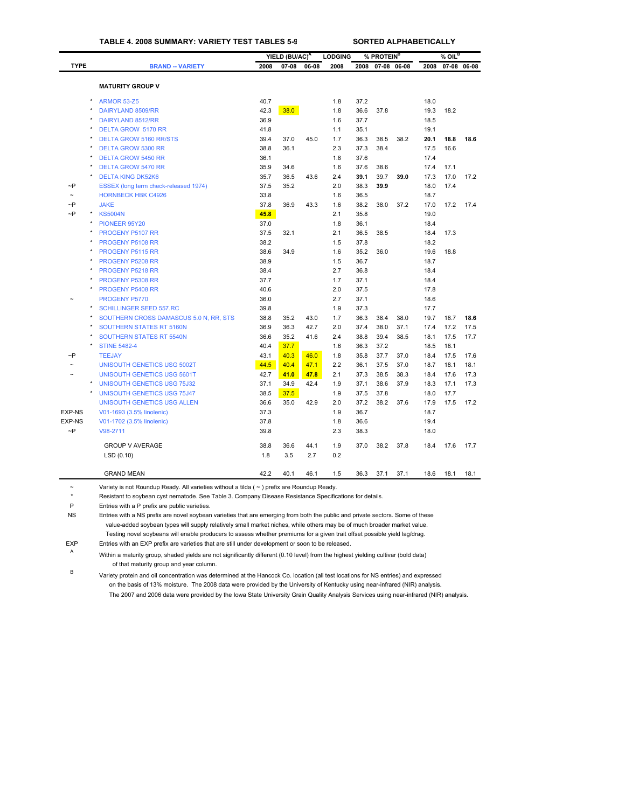## **TABLE 4. 2008 SUMMARY: VARIETY TEST TABLES 5-9 SORTED ALPHABETICALLY**

| <b>TYPE</b><br><b>BRAND -- VARIETY</b><br>2008<br>07-08<br>06-08<br>2008<br>2008<br>07-08 06-08<br>2008<br>07-08 06-08<br><b>MATURITY GROUP V</b><br>40.7<br>37.2<br><b>ARMOR 53-Z5</b><br>1.8<br>18.0<br>DAIRYLAND 8509/RR<br>42.3<br>38.0<br>1.8<br>36.6<br>37.8<br>19.3<br>18.2<br>DAIRYLAND 8512/RR<br>36.9<br>1.6<br>37.7<br>18.5<br><b>DELTA GROW 5170 RR</b><br>41.8<br>1.1<br>35.1<br>19.1<br>1.7<br>18.8<br><b>DELTA GROW 5160 RR/STS</b><br>39.4<br>37.0<br>45.0<br>36.3<br>38.5<br>38.2<br>20.1<br>17.5<br><b>DELTA GROW 5300 RR</b><br>38.8<br>36.1<br>2.3<br>37.3<br>38.4<br>16.6<br>1.8<br>37.6<br>17.4<br><b>DELTA GROW 5450 RR</b><br>36.1<br>35.9<br>1.6<br>37.6<br>38.6<br>17.1<br><b>DELTA GROW 5470 RR</b><br>34.6<br>17.4<br>35.7<br>2.4<br>39.7<br>17.0<br><b>DELTA KING DK52K6</b><br>36.5<br>43.6<br>39.1<br>39.0<br>17.3<br>$\sim P$<br>37.5<br>35.2<br>2.0<br>38.3<br>39.9<br>18.0<br>17.4<br>ESSEX (long term check-released 1974)<br><b>HORNBECK HBK C4926</b><br>33.8<br>1.6<br>36.5<br>18.7<br>$\sim P$<br><b>JAKE</b><br>37.8<br>36.9<br>43.3<br>1.6<br>38.2<br>38.0<br>37.2<br>17.0<br>17.2<br>$\neg P$<br>45.8<br>2.1<br><b>KS5004N</b><br>35.8<br>19.0<br>1.8<br>PIONEER 95Y20<br>37.0<br>36.1<br>18.4<br>32.1<br>2.1<br>38.5<br>17.3<br><b>PROGENY P5107 RR</b><br>37.5<br>36.5<br>18.4<br>38.2<br>1.5<br>37.8<br>18.2<br>PROGENY P5108 RR<br>PROGENY P5115 RR<br>38.6<br>34.9<br>1.6<br>35.2<br>36.0<br>19.6<br>18.8<br><b>PROGENY P5208 RR</b><br>38.9<br>1.5<br>36.7<br>18.7<br>PROGENY P5218 RR<br>38.4<br>2.7<br>36.8<br>18.4<br>PROGENY P5308 RR<br>37.7<br>1.7<br>37.1<br>18.4<br>2.0<br>37.5<br><b>PROGENY P5408 RR</b><br>40.6<br>17.8<br>PROGENY P5770<br>36.0<br>2.7<br>37.1<br>18.6<br>$\star$<br>1.9<br>37.3<br>17.7<br><b>SCHILLINGER SEED 557.RC</b><br>39.8<br>38.8<br>43.0<br>1.7<br>36.3<br>38.4<br>38.0<br>19.7<br>18.7<br>SOUTHERN CROSS DAMASCUS 5.0 N, RR, STS<br>35.2<br><b>SOUTHERN STATES RT 5160N</b><br>36.9<br>36.3<br>42.7<br>2.0<br>37.4<br>38.0<br>37.1<br>17.4<br>17.2<br><b>SOUTHERN STATES RT 5540N</b><br>36.6<br>35.2<br>41.6<br>2.4<br>38.8<br>39.4<br>38.5<br>18.1<br>17.5<br>37.7<br><b>STINE 5482-4</b><br>40.4<br>1.6<br>36.3<br>37.2<br>18.5<br>18.1<br>$\sim P$<br><b>TEEJAY</b><br>43.1<br>40.3<br>46.0<br>1.8<br>35.8<br>37.7<br>37.0<br>18.4<br>17.5<br>44.5<br>40.4<br>47.1<br>2.2<br>36.1<br>37.5<br>37.0<br>18.1<br><b>UNISOUTH GENETICS USG 5002T</b><br>18.7<br>2.1<br>38.5<br><b>UNISOUTH GENETICS USG 5601T</b><br>42.7<br>41.0<br>47.8<br>37.3<br>38.3<br>18.4<br>17.6<br>42.4<br>1.9<br>37.1<br>38.6<br>37.9<br>17.1<br><b>UNISOUTH GENETICS USG 75J32</b><br>37.1<br>34.9<br>18.3<br><b>UNISOUTH GENETICS USG 75J47</b><br>38.5<br>37.5<br>1.9<br>37.5<br>37.8<br>18.0<br>17.7<br>UNISOUTH GENETICS USG ALLEN<br>36.6<br>35.0<br>42.9<br>2.0<br>37.2<br>38.2<br>37.6<br>17.9<br>17.5<br>EXP-NS<br>37.3<br>1.9<br>36.7<br>18.7<br>V01-1693 (3.5% linolenic)<br><b>EXP-NS</b><br>V01-1702 (3.5% linolenic)<br>37.8<br>1.8<br>36.6<br>19.4<br>$\sim P$<br>39.8<br>2.3<br>V98-2711<br>38.3<br>18.0<br><b>GROUP V AVERAGE</b><br>38.8<br>36.6<br>44.1<br>1.9<br>37.0<br>38.2<br>37.8<br>17.6<br>18.4<br>2.7<br>0.2<br>LSD(0.10)<br>1.8<br>3.5 |  | YIELD (BU/AC) <sup>A</sup> | <b>LODGING</b> | % PROTEIN <sup>B</sup> |  | $%$ OIL <sup>B</sup> |      |
|-------------------------------------------------------------------------------------------------------------------------------------------------------------------------------------------------------------------------------------------------------------------------------------------------------------------------------------------------------------------------------------------------------------------------------------------------------------------------------------------------------------------------------------------------------------------------------------------------------------------------------------------------------------------------------------------------------------------------------------------------------------------------------------------------------------------------------------------------------------------------------------------------------------------------------------------------------------------------------------------------------------------------------------------------------------------------------------------------------------------------------------------------------------------------------------------------------------------------------------------------------------------------------------------------------------------------------------------------------------------------------------------------------------------------------------------------------------------------------------------------------------------------------------------------------------------------------------------------------------------------------------------------------------------------------------------------------------------------------------------------------------------------------------------------------------------------------------------------------------------------------------------------------------------------------------------------------------------------------------------------------------------------------------------------------------------------------------------------------------------------------------------------------------------------------------------------------------------------------------------------------------------------------------------------------------------------------------------------------------------------------------------------------------------------------------------------------------------------------------------------------------------------------------------------------------------------------------------------------------------------------------------------------------------------------------------------------------------------------------------------------------------------------------------------------------------------------------------------------------------------------------------------------------------------------------------------------------------------------------------------------------------------------------------------------------------------------------------------------------------------------------------------------------------------------------------------------------------------------------|--|----------------------------|----------------|------------------------|--|----------------------|------|
|                                                                                                                                                                                                                                                                                                                                                                                                                                                                                                                                                                                                                                                                                                                                                                                                                                                                                                                                                                                                                                                                                                                                                                                                                                                                                                                                                                                                                                                                                                                                                                                                                                                                                                                                                                                                                                                                                                                                                                                                                                                                                                                                                                                                                                                                                                                                                                                                                                                                                                                                                                                                                                                                                                                                                                                                                                                                                                                                                                                                                                                                                                                                                                                                                                     |  |                            |                |                        |  |                      |      |
|                                                                                                                                                                                                                                                                                                                                                                                                                                                                                                                                                                                                                                                                                                                                                                                                                                                                                                                                                                                                                                                                                                                                                                                                                                                                                                                                                                                                                                                                                                                                                                                                                                                                                                                                                                                                                                                                                                                                                                                                                                                                                                                                                                                                                                                                                                                                                                                                                                                                                                                                                                                                                                                                                                                                                                                                                                                                                                                                                                                                                                                                                                                                                                                                                                     |  |                            |                |                        |  |                      |      |
|                                                                                                                                                                                                                                                                                                                                                                                                                                                                                                                                                                                                                                                                                                                                                                                                                                                                                                                                                                                                                                                                                                                                                                                                                                                                                                                                                                                                                                                                                                                                                                                                                                                                                                                                                                                                                                                                                                                                                                                                                                                                                                                                                                                                                                                                                                                                                                                                                                                                                                                                                                                                                                                                                                                                                                                                                                                                                                                                                                                                                                                                                                                                                                                                                                     |  |                            |                |                        |  |                      |      |
|                                                                                                                                                                                                                                                                                                                                                                                                                                                                                                                                                                                                                                                                                                                                                                                                                                                                                                                                                                                                                                                                                                                                                                                                                                                                                                                                                                                                                                                                                                                                                                                                                                                                                                                                                                                                                                                                                                                                                                                                                                                                                                                                                                                                                                                                                                                                                                                                                                                                                                                                                                                                                                                                                                                                                                                                                                                                                                                                                                                                                                                                                                                                                                                                                                     |  |                            |                |                        |  |                      |      |
|                                                                                                                                                                                                                                                                                                                                                                                                                                                                                                                                                                                                                                                                                                                                                                                                                                                                                                                                                                                                                                                                                                                                                                                                                                                                                                                                                                                                                                                                                                                                                                                                                                                                                                                                                                                                                                                                                                                                                                                                                                                                                                                                                                                                                                                                                                                                                                                                                                                                                                                                                                                                                                                                                                                                                                                                                                                                                                                                                                                                                                                                                                                                                                                                                                     |  |                            |                |                        |  |                      |      |
|                                                                                                                                                                                                                                                                                                                                                                                                                                                                                                                                                                                                                                                                                                                                                                                                                                                                                                                                                                                                                                                                                                                                                                                                                                                                                                                                                                                                                                                                                                                                                                                                                                                                                                                                                                                                                                                                                                                                                                                                                                                                                                                                                                                                                                                                                                                                                                                                                                                                                                                                                                                                                                                                                                                                                                                                                                                                                                                                                                                                                                                                                                                                                                                                                                     |  |                            |                |                        |  |                      |      |
|                                                                                                                                                                                                                                                                                                                                                                                                                                                                                                                                                                                                                                                                                                                                                                                                                                                                                                                                                                                                                                                                                                                                                                                                                                                                                                                                                                                                                                                                                                                                                                                                                                                                                                                                                                                                                                                                                                                                                                                                                                                                                                                                                                                                                                                                                                                                                                                                                                                                                                                                                                                                                                                                                                                                                                                                                                                                                                                                                                                                                                                                                                                                                                                                                                     |  |                            |                |                        |  |                      |      |
|                                                                                                                                                                                                                                                                                                                                                                                                                                                                                                                                                                                                                                                                                                                                                                                                                                                                                                                                                                                                                                                                                                                                                                                                                                                                                                                                                                                                                                                                                                                                                                                                                                                                                                                                                                                                                                                                                                                                                                                                                                                                                                                                                                                                                                                                                                                                                                                                                                                                                                                                                                                                                                                                                                                                                                                                                                                                                                                                                                                                                                                                                                                                                                                                                                     |  |                            |                |                        |  |                      | 18.6 |
|                                                                                                                                                                                                                                                                                                                                                                                                                                                                                                                                                                                                                                                                                                                                                                                                                                                                                                                                                                                                                                                                                                                                                                                                                                                                                                                                                                                                                                                                                                                                                                                                                                                                                                                                                                                                                                                                                                                                                                                                                                                                                                                                                                                                                                                                                                                                                                                                                                                                                                                                                                                                                                                                                                                                                                                                                                                                                                                                                                                                                                                                                                                                                                                                                                     |  |                            |                |                        |  |                      |      |
|                                                                                                                                                                                                                                                                                                                                                                                                                                                                                                                                                                                                                                                                                                                                                                                                                                                                                                                                                                                                                                                                                                                                                                                                                                                                                                                                                                                                                                                                                                                                                                                                                                                                                                                                                                                                                                                                                                                                                                                                                                                                                                                                                                                                                                                                                                                                                                                                                                                                                                                                                                                                                                                                                                                                                                                                                                                                                                                                                                                                                                                                                                                                                                                                                                     |  |                            |                |                        |  |                      |      |
|                                                                                                                                                                                                                                                                                                                                                                                                                                                                                                                                                                                                                                                                                                                                                                                                                                                                                                                                                                                                                                                                                                                                                                                                                                                                                                                                                                                                                                                                                                                                                                                                                                                                                                                                                                                                                                                                                                                                                                                                                                                                                                                                                                                                                                                                                                                                                                                                                                                                                                                                                                                                                                                                                                                                                                                                                                                                                                                                                                                                                                                                                                                                                                                                                                     |  |                            |                |                        |  |                      |      |
|                                                                                                                                                                                                                                                                                                                                                                                                                                                                                                                                                                                                                                                                                                                                                                                                                                                                                                                                                                                                                                                                                                                                                                                                                                                                                                                                                                                                                                                                                                                                                                                                                                                                                                                                                                                                                                                                                                                                                                                                                                                                                                                                                                                                                                                                                                                                                                                                                                                                                                                                                                                                                                                                                                                                                                                                                                                                                                                                                                                                                                                                                                                                                                                                                                     |  |                            |                |                        |  |                      | 17.2 |
|                                                                                                                                                                                                                                                                                                                                                                                                                                                                                                                                                                                                                                                                                                                                                                                                                                                                                                                                                                                                                                                                                                                                                                                                                                                                                                                                                                                                                                                                                                                                                                                                                                                                                                                                                                                                                                                                                                                                                                                                                                                                                                                                                                                                                                                                                                                                                                                                                                                                                                                                                                                                                                                                                                                                                                                                                                                                                                                                                                                                                                                                                                                                                                                                                                     |  |                            |                |                        |  |                      |      |
|                                                                                                                                                                                                                                                                                                                                                                                                                                                                                                                                                                                                                                                                                                                                                                                                                                                                                                                                                                                                                                                                                                                                                                                                                                                                                                                                                                                                                                                                                                                                                                                                                                                                                                                                                                                                                                                                                                                                                                                                                                                                                                                                                                                                                                                                                                                                                                                                                                                                                                                                                                                                                                                                                                                                                                                                                                                                                                                                                                                                                                                                                                                                                                                                                                     |  |                            |                |                        |  |                      |      |
|                                                                                                                                                                                                                                                                                                                                                                                                                                                                                                                                                                                                                                                                                                                                                                                                                                                                                                                                                                                                                                                                                                                                                                                                                                                                                                                                                                                                                                                                                                                                                                                                                                                                                                                                                                                                                                                                                                                                                                                                                                                                                                                                                                                                                                                                                                                                                                                                                                                                                                                                                                                                                                                                                                                                                                                                                                                                                                                                                                                                                                                                                                                                                                                                                                     |  |                            |                |                        |  |                      | 17.4 |
|                                                                                                                                                                                                                                                                                                                                                                                                                                                                                                                                                                                                                                                                                                                                                                                                                                                                                                                                                                                                                                                                                                                                                                                                                                                                                                                                                                                                                                                                                                                                                                                                                                                                                                                                                                                                                                                                                                                                                                                                                                                                                                                                                                                                                                                                                                                                                                                                                                                                                                                                                                                                                                                                                                                                                                                                                                                                                                                                                                                                                                                                                                                                                                                                                                     |  |                            |                |                        |  |                      |      |
|                                                                                                                                                                                                                                                                                                                                                                                                                                                                                                                                                                                                                                                                                                                                                                                                                                                                                                                                                                                                                                                                                                                                                                                                                                                                                                                                                                                                                                                                                                                                                                                                                                                                                                                                                                                                                                                                                                                                                                                                                                                                                                                                                                                                                                                                                                                                                                                                                                                                                                                                                                                                                                                                                                                                                                                                                                                                                                                                                                                                                                                                                                                                                                                                                                     |  |                            |                |                        |  |                      |      |
|                                                                                                                                                                                                                                                                                                                                                                                                                                                                                                                                                                                                                                                                                                                                                                                                                                                                                                                                                                                                                                                                                                                                                                                                                                                                                                                                                                                                                                                                                                                                                                                                                                                                                                                                                                                                                                                                                                                                                                                                                                                                                                                                                                                                                                                                                                                                                                                                                                                                                                                                                                                                                                                                                                                                                                                                                                                                                                                                                                                                                                                                                                                                                                                                                                     |  |                            |                |                        |  |                      |      |
|                                                                                                                                                                                                                                                                                                                                                                                                                                                                                                                                                                                                                                                                                                                                                                                                                                                                                                                                                                                                                                                                                                                                                                                                                                                                                                                                                                                                                                                                                                                                                                                                                                                                                                                                                                                                                                                                                                                                                                                                                                                                                                                                                                                                                                                                                                                                                                                                                                                                                                                                                                                                                                                                                                                                                                                                                                                                                                                                                                                                                                                                                                                                                                                                                                     |  |                            |                |                        |  |                      |      |
|                                                                                                                                                                                                                                                                                                                                                                                                                                                                                                                                                                                                                                                                                                                                                                                                                                                                                                                                                                                                                                                                                                                                                                                                                                                                                                                                                                                                                                                                                                                                                                                                                                                                                                                                                                                                                                                                                                                                                                                                                                                                                                                                                                                                                                                                                                                                                                                                                                                                                                                                                                                                                                                                                                                                                                                                                                                                                                                                                                                                                                                                                                                                                                                                                                     |  |                            |                |                        |  |                      |      |
|                                                                                                                                                                                                                                                                                                                                                                                                                                                                                                                                                                                                                                                                                                                                                                                                                                                                                                                                                                                                                                                                                                                                                                                                                                                                                                                                                                                                                                                                                                                                                                                                                                                                                                                                                                                                                                                                                                                                                                                                                                                                                                                                                                                                                                                                                                                                                                                                                                                                                                                                                                                                                                                                                                                                                                                                                                                                                                                                                                                                                                                                                                                                                                                                                                     |  |                            |                |                        |  |                      |      |
|                                                                                                                                                                                                                                                                                                                                                                                                                                                                                                                                                                                                                                                                                                                                                                                                                                                                                                                                                                                                                                                                                                                                                                                                                                                                                                                                                                                                                                                                                                                                                                                                                                                                                                                                                                                                                                                                                                                                                                                                                                                                                                                                                                                                                                                                                                                                                                                                                                                                                                                                                                                                                                                                                                                                                                                                                                                                                                                                                                                                                                                                                                                                                                                                                                     |  |                            |                |                        |  |                      |      |
|                                                                                                                                                                                                                                                                                                                                                                                                                                                                                                                                                                                                                                                                                                                                                                                                                                                                                                                                                                                                                                                                                                                                                                                                                                                                                                                                                                                                                                                                                                                                                                                                                                                                                                                                                                                                                                                                                                                                                                                                                                                                                                                                                                                                                                                                                                                                                                                                                                                                                                                                                                                                                                                                                                                                                                                                                                                                                                                                                                                                                                                                                                                                                                                                                                     |  |                            |                |                        |  |                      |      |
|                                                                                                                                                                                                                                                                                                                                                                                                                                                                                                                                                                                                                                                                                                                                                                                                                                                                                                                                                                                                                                                                                                                                                                                                                                                                                                                                                                                                                                                                                                                                                                                                                                                                                                                                                                                                                                                                                                                                                                                                                                                                                                                                                                                                                                                                                                                                                                                                                                                                                                                                                                                                                                                                                                                                                                                                                                                                                                                                                                                                                                                                                                                                                                                                                                     |  |                            |                |                        |  |                      |      |
|                                                                                                                                                                                                                                                                                                                                                                                                                                                                                                                                                                                                                                                                                                                                                                                                                                                                                                                                                                                                                                                                                                                                                                                                                                                                                                                                                                                                                                                                                                                                                                                                                                                                                                                                                                                                                                                                                                                                                                                                                                                                                                                                                                                                                                                                                                                                                                                                                                                                                                                                                                                                                                                                                                                                                                                                                                                                                                                                                                                                                                                                                                                                                                                                                                     |  |                            |                |                        |  |                      |      |
|                                                                                                                                                                                                                                                                                                                                                                                                                                                                                                                                                                                                                                                                                                                                                                                                                                                                                                                                                                                                                                                                                                                                                                                                                                                                                                                                                                                                                                                                                                                                                                                                                                                                                                                                                                                                                                                                                                                                                                                                                                                                                                                                                                                                                                                                                                                                                                                                                                                                                                                                                                                                                                                                                                                                                                                                                                                                                                                                                                                                                                                                                                                                                                                                                                     |  |                            |                |                        |  |                      |      |
|                                                                                                                                                                                                                                                                                                                                                                                                                                                                                                                                                                                                                                                                                                                                                                                                                                                                                                                                                                                                                                                                                                                                                                                                                                                                                                                                                                                                                                                                                                                                                                                                                                                                                                                                                                                                                                                                                                                                                                                                                                                                                                                                                                                                                                                                                                                                                                                                                                                                                                                                                                                                                                                                                                                                                                                                                                                                                                                                                                                                                                                                                                                                                                                                                                     |  |                            |                |                        |  |                      | 18.6 |
|                                                                                                                                                                                                                                                                                                                                                                                                                                                                                                                                                                                                                                                                                                                                                                                                                                                                                                                                                                                                                                                                                                                                                                                                                                                                                                                                                                                                                                                                                                                                                                                                                                                                                                                                                                                                                                                                                                                                                                                                                                                                                                                                                                                                                                                                                                                                                                                                                                                                                                                                                                                                                                                                                                                                                                                                                                                                                                                                                                                                                                                                                                                                                                                                                                     |  |                            |                |                        |  |                      | 17.5 |
|                                                                                                                                                                                                                                                                                                                                                                                                                                                                                                                                                                                                                                                                                                                                                                                                                                                                                                                                                                                                                                                                                                                                                                                                                                                                                                                                                                                                                                                                                                                                                                                                                                                                                                                                                                                                                                                                                                                                                                                                                                                                                                                                                                                                                                                                                                                                                                                                                                                                                                                                                                                                                                                                                                                                                                                                                                                                                                                                                                                                                                                                                                                                                                                                                                     |  |                            |                |                        |  |                      | 17.7 |
|                                                                                                                                                                                                                                                                                                                                                                                                                                                                                                                                                                                                                                                                                                                                                                                                                                                                                                                                                                                                                                                                                                                                                                                                                                                                                                                                                                                                                                                                                                                                                                                                                                                                                                                                                                                                                                                                                                                                                                                                                                                                                                                                                                                                                                                                                                                                                                                                                                                                                                                                                                                                                                                                                                                                                                                                                                                                                                                                                                                                                                                                                                                                                                                                                                     |  |                            |                |                        |  |                      |      |
|                                                                                                                                                                                                                                                                                                                                                                                                                                                                                                                                                                                                                                                                                                                                                                                                                                                                                                                                                                                                                                                                                                                                                                                                                                                                                                                                                                                                                                                                                                                                                                                                                                                                                                                                                                                                                                                                                                                                                                                                                                                                                                                                                                                                                                                                                                                                                                                                                                                                                                                                                                                                                                                                                                                                                                                                                                                                                                                                                                                                                                                                                                                                                                                                                                     |  |                            |                |                        |  |                      | 17.6 |
|                                                                                                                                                                                                                                                                                                                                                                                                                                                                                                                                                                                                                                                                                                                                                                                                                                                                                                                                                                                                                                                                                                                                                                                                                                                                                                                                                                                                                                                                                                                                                                                                                                                                                                                                                                                                                                                                                                                                                                                                                                                                                                                                                                                                                                                                                                                                                                                                                                                                                                                                                                                                                                                                                                                                                                                                                                                                                                                                                                                                                                                                                                                                                                                                                                     |  |                            |                |                        |  |                      | 18.1 |
|                                                                                                                                                                                                                                                                                                                                                                                                                                                                                                                                                                                                                                                                                                                                                                                                                                                                                                                                                                                                                                                                                                                                                                                                                                                                                                                                                                                                                                                                                                                                                                                                                                                                                                                                                                                                                                                                                                                                                                                                                                                                                                                                                                                                                                                                                                                                                                                                                                                                                                                                                                                                                                                                                                                                                                                                                                                                                                                                                                                                                                                                                                                                                                                                                                     |  |                            |                |                        |  |                      | 17.3 |
|                                                                                                                                                                                                                                                                                                                                                                                                                                                                                                                                                                                                                                                                                                                                                                                                                                                                                                                                                                                                                                                                                                                                                                                                                                                                                                                                                                                                                                                                                                                                                                                                                                                                                                                                                                                                                                                                                                                                                                                                                                                                                                                                                                                                                                                                                                                                                                                                                                                                                                                                                                                                                                                                                                                                                                                                                                                                                                                                                                                                                                                                                                                                                                                                                                     |  |                            |                |                        |  |                      | 17.3 |
|                                                                                                                                                                                                                                                                                                                                                                                                                                                                                                                                                                                                                                                                                                                                                                                                                                                                                                                                                                                                                                                                                                                                                                                                                                                                                                                                                                                                                                                                                                                                                                                                                                                                                                                                                                                                                                                                                                                                                                                                                                                                                                                                                                                                                                                                                                                                                                                                                                                                                                                                                                                                                                                                                                                                                                                                                                                                                                                                                                                                                                                                                                                                                                                                                                     |  |                            |                |                        |  |                      |      |
|                                                                                                                                                                                                                                                                                                                                                                                                                                                                                                                                                                                                                                                                                                                                                                                                                                                                                                                                                                                                                                                                                                                                                                                                                                                                                                                                                                                                                                                                                                                                                                                                                                                                                                                                                                                                                                                                                                                                                                                                                                                                                                                                                                                                                                                                                                                                                                                                                                                                                                                                                                                                                                                                                                                                                                                                                                                                                                                                                                                                                                                                                                                                                                                                                                     |  |                            |                |                        |  |                      | 17.2 |
|                                                                                                                                                                                                                                                                                                                                                                                                                                                                                                                                                                                                                                                                                                                                                                                                                                                                                                                                                                                                                                                                                                                                                                                                                                                                                                                                                                                                                                                                                                                                                                                                                                                                                                                                                                                                                                                                                                                                                                                                                                                                                                                                                                                                                                                                                                                                                                                                                                                                                                                                                                                                                                                                                                                                                                                                                                                                                                                                                                                                                                                                                                                                                                                                                                     |  |                            |                |                        |  |                      |      |
|                                                                                                                                                                                                                                                                                                                                                                                                                                                                                                                                                                                                                                                                                                                                                                                                                                                                                                                                                                                                                                                                                                                                                                                                                                                                                                                                                                                                                                                                                                                                                                                                                                                                                                                                                                                                                                                                                                                                                                                                                                                                                                                                                                                                                                                                                                                                                                                                                                                                                                                                                                                                                                                                                                                                                                                                                                                                                                                                                                                                                                                                                                                                                                                                                                     |  |                            |                |                        |  |                      |      |
|                                                                                                                                                                                                                                                                                                                                                                                                                                                                                                                                                                                                                                                                                                                                                                                                                                                                                                                                                                                                                                                                                                                                                                                                                                                                                                                                                                                                                                                                                                                                                                                                                                                                                                                                                                                                                                                                                                                                                                                                                                                                                                                                                                                                                                                                                                                                                                                                                                                                                                                                                                                                                                                                                                                                                                                                                                                                                                                                                                                                                                                                                                                                                                                                                                     |  |                            |                |                        |  |                      |      |
|                                                                                                                                                                                                                                                                                                                                                                                                                                                                                                                                                                                                                                                                                                                                                                                                                                                                                                                                                                                                                                                                                                                                                                                                                                                                                                                                                                                                                                                                                                                                                                                                                                                                                                                                                                                                                                                                                                                                                                                                                                                                                                                                                                                                                                                                                                                                                                                                                                                                                                                                                                                                                                                                                                                                                                                                                                                                                                                                                                                                                                                                                                                                                                                                                                     |  |                            |                |                        |  |                      | 17.7 |
|                                                                                                                                                                                                                                                                                                                                                                                                                                                                                                                                                                                                                                                                                                                                                                                                                                                                                                                                                                                                                                                                                                                                                                                                                                                                                                                                                                                                                                                                                                                                                                                                                                                                                                                                                                                                                                                                                                                                                                                                                                                                                                                                                                                                                                                                                                                                                                                                                                                                                                                                                                                                                                                                                                                                                                                                                                                                                                                                                                                                                                                                                                                                                                                                                                     |  |                            |                |                        |  |                      |      |
|                                                                                                                                                                                                                                                                                                                                                                                                                                                                                                                                                                                                                                                                                                                                                                                                                                                                                                                                                                                                                                                                                                                                                                                                                                                                                                                                                                                                                                                                                                                                                                                                                                                                                                                                                                                                                                                                                                                                                                                                                                                                                                                                                                                                                                                                                                                                                                                                                                                                                                                                                                                                                                                                                                                                                                                                                                                                                                                                                                                                                                                                                                                                                                                                                                     |  |                            |                |                        |  |                      |      |
| 42.2<br><b>GRAND MEAN</b><br>40.1<br>46.1<br>1.5<br>36.3<br>37.1<br>37.1<br>18.6<br>18.1                                                                                                                                                                                                                                                                                                                                                                                                                                                                                                                                                                                                                                                                                                                                                                                                                                                                                                                                                                                                                                                                                                                                                                                                                                                                                                                                                                                                                                                                                                                                                                                                                                                                                                                                                                                                                                                                                                                                                                                                                                                                                                                                                                                                                                                                                                                                                                                                                                                                                                                                                                                                                                                                                                                                                                                                                                                                                                                                                                                                                                                                                                                                            |  |                            |                |                        |  |                      | 18.1 |

~ [Variety is not Roundup Ready. All variet](#page-29-0)ies without a tilda ( ~ ) prefix are Roundup Ready.

\* Resistant to soybean cyst nematode. See Table 3. Company Disease Resistance Specifications for details.

P Entries with a P prefix are public varieties.

NS Entries with a NS prefix are novel soybean varieties that are emerging from both the public and private sectors. Some of these value-added soybean types will supply relatively small market niches, while others may be of much broader market value. Testing novel soybeans will enable producers to assess whether premiums for a given trait offset possible yield lag/drag.

EXP Entries with an EXP prefix are varieties that are still under development or soon to be released.

<sup>A</sup> Within a maturity group, shaded yields are not significantly different (0.10 level) from the highest yielding cultivar (bold data) of that maturity group and year column.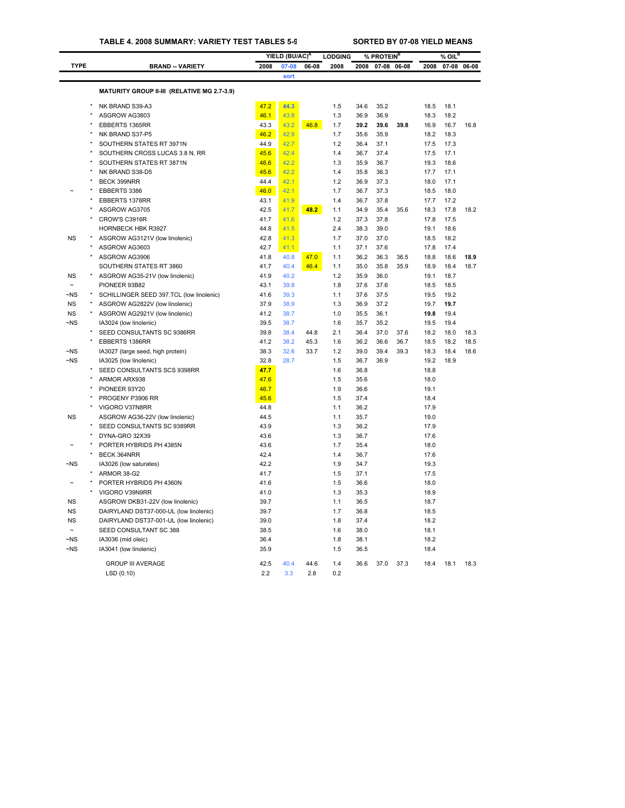|             |                                             |      | YIELD (BU/AC) <sup>A</sup> |       | <b>LODGING</b> |      | % PROTEIN <sup>B</sup> |       |      | % OIL <sup>B</sup> |       |
|-------------|---------------------------------------------|------|----------------------------|-------|----------------|------|------------------------|-------|------|--------------------|-------|
| <b>TYPE</b> | <b>BRAND -- VARIETY</b>                     | 2008 | 07-08                      | 06-08 | 2008           | 2008 | $07 - 08$              | 06-08 | 2008 | $07 - 08$          | 06-08 |
|             |                                             |      | sort                       |       |                |      |                        |       |      |                    |       |
|             | MATURITY GROUP II-III (RELATIVE MG 2.7-3.9) |      |                            |       |                |      |                        |       |      |                    |       |
|             |                                             |      |                            |       |                |      |                        |       |      |                    |       |
|             | NK BRAND S39-A3                             | 47.2 | 44.3                       |       | 1.5            | 34.6 | 35.2                   |       | 18.5 | 18.1               |       |
|             | ASGROW AG3803                               | 46.1 | 43.9                       |       | 1.3            | 36.9 | 36.9                   |       | 18.3 | 18.2               |       |
|             | EBBERTS 1365RR                              | 43.3 | 43.2                       | 46.8  | 1.7            | 39.2 | 39.6                   | 39.8  | 16.9 | 16.7               | 16.8  |
|             | NK BRAND S37-P5                             | 46.2 | 42.9                       |       | 1.7            | 35.6 | 35.9                   |       | 18.2 | 18.3               |       |
|             | SOUTHERN STATES RT 3971N                    | 44.9 | 42.7                       |       | 1.2            | 36.4 | 37.1                   |       | 17.5 | 17.3               |       |
|             | SOUTHERN CROSS LUCAS 3.8 N, RR              | 45.6 | 42.4                       |       | 1.4            | 36.7 | 37.4                   |       | 17.5 | 17.1               |       |
|             | SOUTHERN STATES RT 3871N                    | 46.6 | 42.2                       |       | 1.3            | 35.9 | 36.7                   |       | 19.3 | 18.6               |       |
|             | NK BRAND S38-D5                             | 45.6 | 42.2                       |       | 1.4            | 35.8 | 36.3                   |       | 17.7 | 17.1               |       |
|             | <b>BECK 399NRR</b>                          | 44.4 | 42.1                       |       | 1.2            | 36.9 | 37.3                   |       | 18.0 | 17.1               |       |
|             | EBBERTS 3386                                | 46.0 | 42.1                       |       | 1.7            | 36.7 | 37.3                   |       | 18.5 | 18.0               |       |
|             | EBBERTS 1378RR                              | 43.1 | 41.9                       |       | 1.4            | 36.7 | 37.8                   |       | 17.7 | 17.2               |       |
|             | ASGROW AG3705                               | 42.5 | 41.7                       | 48.2  | 1.1            | 34.9 | 35.4                   | 35.6  | 18.3 | 17.8               | 18.2  |
|             | CROW'S C3916R                               | 41.7 | 41.6                       |       | 1.2            | 37.3 | 37.8                   |       | 17.8 | 17.5               |       |
|             | HORNBECK HBK R3927                          | 44.8 | 41.5                       |       | 2.4            | 38.3 | 39.0                   |       | 19.1 | 18.6               |       |
| <b>NS</b>   | ASGROW AG3121V (low linolenic)              | 42.8 | 41.3                       |       | 1.7            | 37.0 | 37.0                   |       | 18.5 | 18.2               |       |
|             | ASGROW AG3603                               | 42.7 | 41.1                       |       | 1.1            | 37.1 | 37.6                   |       | 17.8 | 17.4               |       |
|             | ASGROW AG3906                               | 41.8 | 40.8                       | 47.0  | 1.1            | 36.2 | 36.3                   | 36.5  | 18.8 | 18.6               | 18.9  |
|             | SOUTHERN STATES RT 3860                     | 41.7 | 40.4                       | 46.4  | 1.1            | 35.0 | 35.8                   | 35.9  | 18.9 | 18.4               | 18.7  |
| <b>NS</b>   | ASGROW AG35-21V (low linolenic)             | 41.9 | 40.2                       |       | 1.2            | 35.9 | 36.0                   |       | 19.1 | 18.7               |       |
| $\tilde{}$  | PIONEER 93B82                               | 43.1 | 39.8                       |       | 1.8            | 37.6 | 37.6                   |       | 18.5 | 18.5               |       |
| $\neg$ NS   | SCHILLINGER SEED 397.TCL (low linolenic)    | 41.6 | 39.3                       |       | 1.1            | 37.6 | 37.5                   |       | 19.5 | 19.2               |       |
| <b>NS</b>   | ASGROW AG2822V (low linolenic)              | 37.9 | 38.9                       |       | 1.3            | 36.9 | 37.2                   |       | 19.7 | 19.7               |       |
| <b>NS</b>   | ASGROW AG2921V (low linolenic)              | 41.2 | 38.7                       |       | 1.0            | 35.5 | 36.1                   |       | 19.8 | 19.4               |       |
| $\neg$ NS   | IA3024 (low linolenic)                      | 39.5 | 38.7                       |       | 1.6            | 35.7 | 35.2                   |       | 19.5 | 19.4               |       |
|             | SEED CONSULTANTS SC 9386RR                  | 39.8 | 38.4                       | 44.8  | 2.1            | 36.4 | 37.0                   | 37.6  | 18.2 | 18.0               | 18.3  |
|             | EBBERTS 1386RR                              | 41.2 | 38.2                       | 45.3  | 1.6            | 36.2 | 36.6                   | 36.7  | 18.5 | 18.2               | 18.5  |
| $\neg$ NS   | IA3027 (large seed, high protein)           | 38.3 | 32.6                       | 33.7  | 1.2            | 39.0 | 39.4                   | 39.3  | 18.3 | 18.4               | 18.6  |
| $\neg$ NS   | IA3025 (low linolenic)                      | 32.8 | 28.7                       |       | 1.5            | 36.7 | 36.9                   |       | 19.2 | 18.9               |       |
|             | SEED CONSULTANTS SCS 9398RR                 | 47.7 |                            |       | 1.6            | 36.8 |                        |       | 18.8 |                    |       |
|             | ARMOR ARX938                                | 47.6 |                            |       | 1.5            | 35.6 |                        |       | 18.0 |                    |       |
|             | PIONEER 93Y20                               | 46.7 |                            |       | 1.9            | 36.6 |                        |       | 19.1 |                    |       |
|             | PROGENY P3906 RR                            | 45.6 |                            |       | 1.5            | 37.4 |                        |       | 18.4 |                    |       |
|             | VIGORO V37N8RR                              | 44.8 |                            |       | 1.1            | 36.2 |                        |       | 17.9 |                    |       |
| <b>NS</b>   | ASGROW AG36-22V (low linolenic)             | 44.5 |                            |       | 1.1            | 35.7 |                        |       | 19.0 |                    |       |
|             | SEED CONSULTANTS SC 9389RR                  | 43.9 |                            |       | 1.3            | 36.2 |                        |       | 17.9 |                    |       |
|             | DYNA-GRO 32X39                              | 43.6 |                            |       | 1.3            | 36.7 |                        |       | 17.6 |                    |       |
|             | PORTER HYBRIDS PH 4385N                     | 43.6 |                            |       | 1.7            | 35.4 |                        |       | 18.0 |                    |       |
|             | BECK 364NRR                                 | 42.4 |                            |       | 1.4            | 36.7 |                        |       | 17.6 |                    |       |
| $\neg$ NS   | IA3026 (low saturates)                      | 42.2 |                            |       | 1.9            | 34.7 |                        |       | 19.3 |                    |       |
|             | ARMOR 38-G2                                 | 41.7 |                            |       | 1.5            | 37.1 |                        |       | 17.5 |                    |       |
|             | PORTER HYBRIDS PH 4360N                     | 41.6 |                            |       | 1.5            | 36.6 |                        |       | 18.0 |                    |       |
|             | VIGORO V39N9RR                              | 41.0 |                            |       | 1.3            | 35.3 |                        |       | 18.9 |                    |       |
| <b>NS</b>   | ASGROW DKB31-22V (low linolenic)            | 39.7 |                            |       | 1.1            | 36.5 |                        |       | 18.7 |                    |       |
| <b>NS</b>   | DAIRYLAND DST37-000-UL (low linolenic)      | 39.7 |                            |       | 1.7            | 36.8 |                        |       | 18.5 |                    |       |
| <b>NS</b>   | DAIRYLAND DST37-001-UL (low linolenic)      | 39.0 |                            |       | 1.8            | 37.4 |                        |       | 18.2 |                    |       |
|             | SEED CONSULTANT SC 388                      | 38.5 |                            |       | 1.6            | 38.0 |                        |       | 18.1 |                    |       |
| $-NS$       | IA3036 (mid oleic)                          | 36.4 |                            |       | 1.8            | 38.1 |                        |       | 18.2 |                    |       |
| $-NS$       | IA3041 (low linolenic)                      | 35.9 |                            |       | 1.5            | 36.5 |                        |       | 18.4 |                    |       |
|             | <b>GROUP III AVERAGE</b>                    | 42.5 | 40.4                       | 44.6  | 1.4            | 36.6 | 37.0                   | 37.3  | 18.4 | 18.1               | 18.3  |
|             | LSD(0.10)                                   | 2.2  | 3.3                        | 2.8   | 0.2            |      |                        |       |      |                    |       |
|             |                                             |      |                            |       |                |      |                        |       |      |                    |       |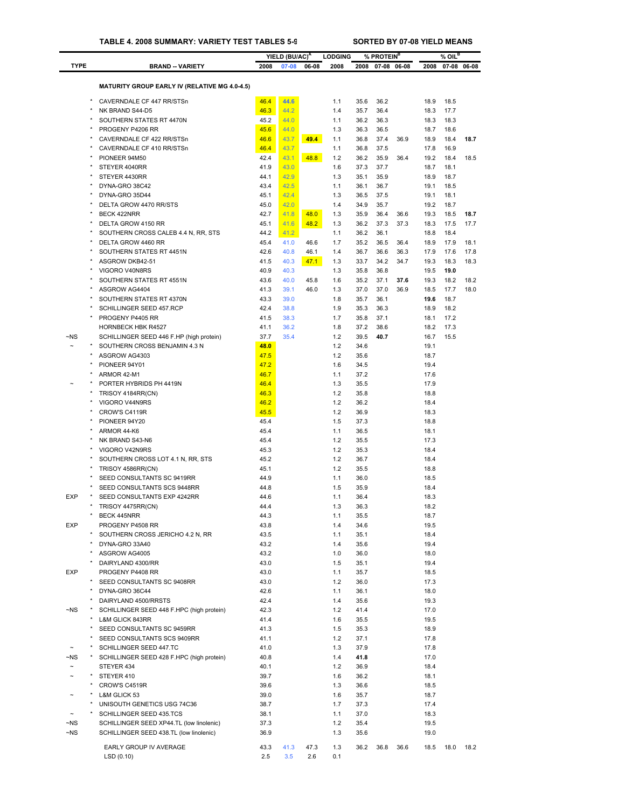|                       |                                                      |      | YIELD (BU/AC) <sup>A</sup> |       | <b>LODGING</b> |      | % PROTEIN <sup>B</sup> |             |      | $%$ OIL <sup>B</sup> |             |
|-----------------------|------------------------------------------------------|------|----------------------------|-------|----------------|------|------------------------|-------------|------|----------------------|-------------|
| <b>TYPE</b>           | <b>BRAND - VARIETY</b>                               | 2008 | 07-08                      | 06-08 | 2008           | 2008 |                        | 07-08 06-08 | 2008 |                      | 07-08 06-08 |
|                       |                                                      |      |                            |       |                |      |                        |             |      |                      |             |
|                       | <b>MATURITY GROUP EARLY IV (RELATIVE MG 4.0-4.5)</b> |      |                            |       |                |      |                        |             |      |                      |             |
|                       | CAVERNDALE CF 447 RR/STSn                            | 46.4 | 44.6                       |       | 1.1            | 35.6 | 36.2                   |             | 18.9 | 18.5                 |             |
|                       | NK BRAND S44-D5                                      | 46.3 | 44.2                       |       | 1.4            | 35.7 | 36.4                   |             | 18.3 | 17.7                 |             |
|                       | SOUTHERN STATES RT 4470N                             | 45.2 | 44.0                       |       | 1.1            | 36.2 | 36.3                   |             | 18.3 | 18.3                 |             |
|                       | PROGENY P4206 RR                                     | 45.6 | 44.0                       |       | 1.3            | 36.3 | 36.5                   |             | 18.7 | 18.6                 |             |
|                       | CAVERNDALE CF 422 RR/STSn                            | 46.6 | 43.7                       | 49.4  | 1.1            | 36.8 | 37.4                   | 36.9        | 18.9 | 18.4                 | 18.7        |
|                       | CAVERNDALE CF 410 RR/STSn                            | 46.4 | 43.7                       |       | 1.1            | 36.8 | 37.5                   |             | 17.8 | 16.9                 |             |
|                       | PIONEER 94M50                                        | 42.4 | 43.1                       | 48.8  | 1.2            | 36.2 | 35.9                   | 36.4        | 19.2 | 18.4                 | 18.5        |
|                       | STEYER 4040RR                                        | 41.9 | 43.0                       |       | 1.6            | 37.3 | 37.7                   |             | 18.7 | 18.1                 |             |
|                       | STEYER 4430RR                                        | 44.1 | 42.9                       |       | 1.3            | 35.1 | 35.9                   |             | 18.9 | 18.7                 |             |
|                       | DYNA-GRO 38C42                                       | 43.4 | 42.5                       |       | 1.1            | 36.1 | 36.7                   |             | 19.1 | 18.5                 |             |
|                       | DYNA-GRO 35D44                                       | 45.1 | 42.4                       |       | 1.3            | 36.5 | 37.5                   |             | 19.1 | 18.1                 |             |
|                       | DELTA GROW 4470 RR/STS                               | 45.0 | 42.0                       |       | 1.4            | 34.9 | 35.7                   |             | 19.2 | 18.7                 |             |
|                       | BECK 422NRR                                          | 42.7 | 41.8                       | 48.0  | 1.3            | 35.9 | 36.4                   | 36.6        | 19.3 | 18.5                 | 18.7        |
|                       | DELTA GROW 4150 RR                                   | 45.1 | 41.6                       | 48.2  | 1.3            | 36.2 | 37.3                   | 37.3        | 18.3 | 17.5                 | 17.7        |
|                       | SOUTHERN CROSS CALEB 4.4 N, RR, STS                  | 44.2 | 41.2                       |       | 1.1            | 36.2 | 36.1                   |             | 18.8 | 18.4                 |             |
|                       | DELTA GROW 4460 RR                                   | 45.4 | 41.0                       | 46.6  | 1.7            | 35.2 | 36.5                   | 36.4        | 18.9 | 17.9                 | 18.1        |
|                       | SOUTHERN STATES RT 4451N                             | 42.6 | 40.8                       | 46.1  | 1.4            | 36.7 | 36.6                   | 36.3        | 17.9 | 17.6                 | 17.8        |
|                       | ASGROW DKB42-51                                      | 41.5 | 40.3                       | 47.1  | 1.3            | 33.7 | 34.2                   | 34.7        | 19.3 | 18.3                 | 18.3        |
|                       | VIGORO V40N8RS                                       | 40.9 | 40.3                       |       | 1.3            | 35.8 | 36.8                   |             | 19.5 | 19.0                 |             |
|                       | SOUTHERN STATES RT 4551N                             | 43.6 | 40.0                       | 45.8  | 1.6            | 35.2 | 37.1                   | 37.6        | 19.3 | 18.2                 | 18.2        |
|                       | ASGROW AG4404                                        | 41.3 | 39.1                       | 46.0  | 1.3            | 37.0 | 37.0                   | 36.9        | 18.5 | 17.7                 | 18.0        |
|                       | SOUTHERN STATES RT 4370N                             | 43.3 | 39.0                       |       | 1.8            | 35.7 | 36.1                   |             | 19.6 | 18.7                 |             |
|                       | SCHILLINGER SEED 457.RCP                             | 42.4 | 38.8                       |       | 1.9            | 35.3 | 36.3                   |             | 18.9 | 18.2                 |             |
|                       | PROGENY P4405 RR                                     | 41.5 | 38.3                       |       | 1.7            | 35.8 | 37.1                   |             | 18.1 | 17.2                 |             |
|                       | <b>HORNBECK HBK R4527</b>                            | 41.1 | 36.2                       |       | 1.8            | 37.2 | 38.6                   |             | 18.2 | 17.3                 |             |
| ~NS                   | SCHILLINGER SEED 446 F.HP (high protein)             | 37.7 | 35.4                       |       | 1.2            | 39.5 | 40.7                   |             | 16.7 | 15.5                 |             |
| $\tilde{\phantom{a}}$ | SOUTHERN CROSS BENJAMIN 4.3 N                        | 48.0 |                            |       | 1.2            | 34.6 |                        |             | 19.1 |                      |             |
|                       | ASGROW AG4303                                        | 47.5 |                            |       | 1.2            | 35.6 |                        |             | 18.7 |                      |             |
|                       | PIONEER 94Y01                                        | 47.2 |                            |       | 1.6            | 34.5 |                        |             | 19.4 |                      |             |
|                       | ARMOR 42-M1                                          | 46.7 |                            |       | 1.1            | 37.2 |                        |             | 17.6 |                      |             |
|                       | PORTER HYBRIDS PH 4419N                              | 46.4 |                            |       | 1.3            | 35.5 |                        |             | 17.9 |                      |             |
|                       | TRISOY 4184RR(CN)                                    | 46.3 |                            |       | 1.2            | 35.8 |                        |             | 18.8 |                      |             |
|                       | VIGORO V44N9RS                                       | 46.2 |                            |       | 1.2            | 36.2 |                        |             | 18.4 |                      |             |
|                       | CROW'S C4119R                                        | 45.5 |                            |       | 1.2            | 36.9 |                        |             | 18.3 |                      |             |
|                       | PIONEER 94Y20                                        | 45.4 |                            |       | 1.5            | 37.3 |                        |             | 18.8 |                      |             |
|                       | ARMOR 44-K6                                          | 45.4 |                            |       | 1.1            | 36.5 |                        |             | 18.1 |                      |             |
|                       | NK BRAND S43-N6                                      | 45.4 |                            |       | 1.2            | 35.5 |                        |             | 17.3 |                      |             |
|                       | VIGORO V42N9RS                                       | 45.3 |                            |       | 1.2            | 35.3 |                        |             | 18.4 |                      |             |
|                       | SOUTHERN CROSS LOT 4.1 N, RR, STS                    | 45.2 |                            |       | 1.2            | 36.7 |                        |             | 18.4 |                      |             |
|                       | TRISOY 4586RR(CN)                                    | 45.1 |                            |       | 1.2            | 35.5 |                        |             | 18.8 |                      |             |
|                       | SEED CONSULTANTS SC 9419RR                           | 44.9 |                            |       | 1.1            | 36.0 |                        |             | 18.5 |                      |             |
|                       | SEED CONSULTANTS SCS 9448RR                          | 44.8 |                            |       | 1.5            | 35.9 |                        |             | 18.4 |                      |             |
| <b>EXP</b>            | SEED CONSULTANTS EXP 4242RR                          | 44.6 |                            |       | 1.1            | 36.4 |                        |             | 18.3 |                      |             |
|                       | TRISOY 4475RR(CN)                                    | 44.4 |                            |       | 1.3            | 36.3 |                        |             | 18.2 |                      |             |
|                       | BECK 445NRR                                          | 44.3 |                            |       | 1.1            | 35.5 |                        |             | 18.7 |                      |             |
| EXP                   | PROGENY P4508 RR                                     | 43.8 |                            |       | 1.4            | 34.6 |                        |             | 19.5 |                      |             |
|                       | SOUTHERN CROSS JERICHO 4.2 N, RR                     | 43.5 |                            |       | 1.1            | 35.1 |                        |             | 18.4 |                      |             |
|                       | DYNA-GRO 33A40                                       | 43.2 |                            |       | 1.4            | 35.6 |                        |             | 19.4 |                      |             |
|                       | ASGROW AG4005                                        | 43.2 |                            |       | 1.0            | 36.0 |                        |             | 18.0 |                      |             |
|                       | DAIRYLAND 4300/RR                                    | 43.0 |                            |       | 1.5            | 35.1 |                        |             | 19.4 |                      |             |
| EXP                   | PROGENY P4408 RR                                     | 43.0 |                            |       | 1.1            | 35.7 |                        |             | 18.5 |                      |             |
|                       | SEED CONSULTANTS SC 9408RR                           | 43.0 |                            |       | 1.2            | 36.0 |                        |             | 17.3 |                      |             |
|                       | DYNA-GRO 36C44                                       | 42.6 |                            |       | 1.1            | 36.1 |                        |             | 18.0 |                      |             |
|                       | DAIRYLAND 4500/RRSTS                                 | 42.4 |                            |       | 1.4            | 35.6 |                        |             | 19.3 |                      |             |
| ~NS                   | SCHILLINGER SEED 448 F.HPC (high protein)            | 42.3 |                            |       | 1.2            | 41.4 |                        |             | 17.0 |                      |             |
|                       | L&M GLICK 843RR                                      | 41.4 |                            |       | 1.6            | 35.5 |                        |             | 19.5 |                      |             |
|                       | SEED CONSULTANTS SC 9459RR                           | 41.3 |                            |       | 1.5            | 35.3 |                        |             | 18.9 |                      |             |
|                       | SEED CONSULTANTS SCS 9409RR                          | 41.1 |                            |       | 1.2            | 37.1 |                        |             | 17.8 |                      |             |
|                       | SCHILLINGER SEED 447.TC                              | 41.0 |                            |       | 1.3            | 37.9 |                        |             | 17.8 |                      |             |
| ~NS                   | SCHILLINGER SEED 428 F.HPC (high protein)            | 40.8 |                            |       | 1.4            | 41.8 |                        |             | 17.0 |                      |             |
| $\tilde{}$            | STEYER 434                                           | 40.1 |                            |       | 1.2            | 36.9 |                        |             | 18.4 |                      |             |
|                       | STEYER 410                                           | 39.7 |                            |       | 1.6            | 36.2 |                        |             | 18.1 |                      |             |
|                       | CROW'S C4519R                                        | 39.6 |                            |       | 1.3            | 36.6 |                        |             | 18.5 |                      |             |
|                       | L&M GLICK 53                                         | 39.0 |                            |       | 1.6            | 35.7 |                        |             | 18.7 |                      |             |
|                       | UNISOUTH GENETICS USG 74C36                          | 38.7 |                            |       | 1.7            | 37.3 |                        |             | 17.4 |                      |             |
|                       | SCHILLINGER SEED 435.TCS                             | 38.1 |                            |       | 1.1            | 37.0 |                        |             | 18.3 |                      |             |
| ~NS                   | SCHILLINGER SEED XP44.TL (low linolenic)             | 37.3 |                            |       | $1.2$          | 35.4 |                        |             | 19.5 |                      |             |
| ~NS                   | SCHILLINGER SEED 438.TL (low linolenic)              | 36.9 |                            |       | 1.3            | 35.6 |                        |             | 19.0 |                      |             |
|                       | EARLY GROUP IV AVERAGE                               | 43.3 | 41.3                       | 47.3  | 1.3            | 36.2 | 36.8                   | 36.6        | 18.5 | 18.0                 | 18.2        |
|                       | LSD(0.10)                                            | 2.5  | 3.5                        | 2.6   | 0.1            |      |                        |             |      |                      |             |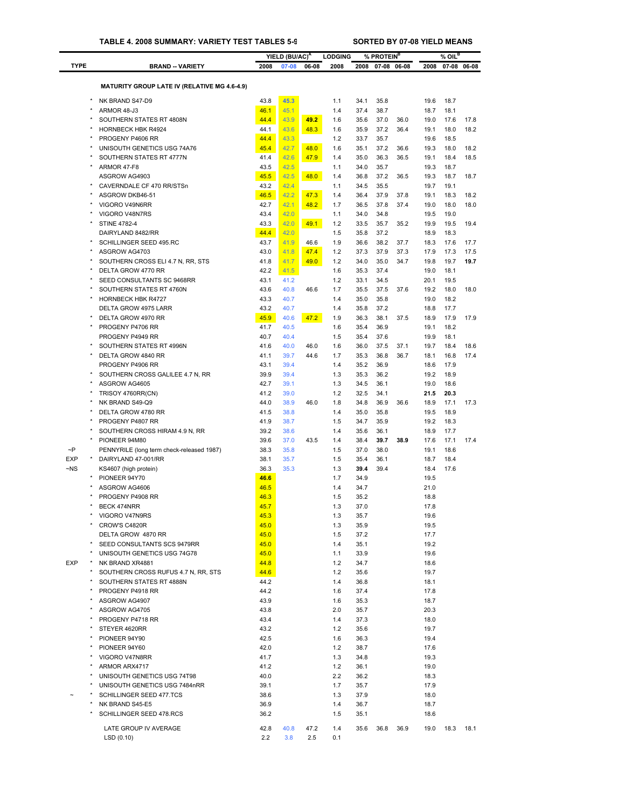|             |                                                       |              | YIELD (BU/AC) <sup>A</sup> |       | <b>LODGING</b> |              | % PROTEIN <sup>B</sup> |             |              | $%$ OIL <sup>B</sup> |             |
|-------------|-------------------------------------------------------|--------------|----------------------------|-------|----------------|--------------|------------------------|-------------|--------------|----------------------|-------------|
| <b>TYPE</b> | <b>BRAND -- VARIETY</b>                               | 2008         | 07-08                      | 06-08 | 2008           | 2008         |                        | 07-08 06-08 | 2008         |                      | 07-08 06-08 |
|             |                                                       |              |                            |       |                |              |                        |             |              |                      |             |
|             | <b>MATURITY GROUP LATE IV (RELATIVE MG 4.6-4.9)</b>   |              |                            |       |                |              |                        |             |              |                      |             |
|             | NK BRAND S47-D9                                       | 43.8         | 45.3                       |       | 1.1            | 34.1         | 35.8                   |             | 19.6         | 18.7                 |             |
|             | $\star$<br>ARMOR 48-J3                                | 46.1         | 45.1                       |       | 1.4            | 37.4         | 38.7                   |             | 18.7         | 18.1                 |             |
|             | SOUTHERN STATES RT 4808N                              | 44.4         | 43.9                       | 49.2  | 1.6            | 35.6         | 37.0                   | 36.0        | 19.0         | 17.6                 | 17.8        |
|             | $\star$<br><b>HORNBECK HBK R4924</b>                  | 44.1         | 43.6                       | 48.3  | 1.6            | 35.9         | 37.2                   | 36.4        | 19.1         | 18.0                 | 18.2        |
|             | PROGENY P4606 RR                                      | 44.4         | 43.3                       |       | 1.2            | 33.7         | 35.7                   |             | 19.6         | 18.5                 |             |
|             | UNISOUTH GENETICS USG 74A76                           | 45.4         | 42.7                       | 48.0  | 1.6            | 35.1         | 37.2                   | 36.6        | 19.3         | 18.0                 | 18.2        |
|             | SOUTHERN STATES RT 4777N                              | 41.4         | 42.6                       | 47.9  | 1.4            | 35.0         | 36.3                   | 36.5        | 19.1         | 18.4                 | 18.5        |
|             | ARMOR 47-F8<br>ASGROW AG4903                          | 43.5<br>45.5 | 42.5<br>42.5               |       | 1.1<br>1.4     | 34.0<br>36.8 | 35.7<br>37.2           | 36.5        | 19.3<br>19.3 | 18.7<br>18.7         | 18.7        |
|             | CAVERNDALE CF 470 RR/STSn                             | 43.2         | 42.4                       | 48.0  | 1.1            | 34.5         | 35.5                   |             | 19.7         | 19.1                 |             |
|             | ASGROW DKB46-51                                       | 46.5         | 42.2                       | 47.3  | 1.4            | 36.4         | 37.9                   | 37.8        | 19.1         | 18.3                 | 18.2        |
|             | VIGORO V49N6RR                                        | 42.7         | 42.1                       | 48.2  | 1.7            | 36.5         | 37.8                   | 37.4        | 19.0         | 18.0                 | 18.0        |
|             | $\star$<br>VIGORO V48N7RS                             | 43.4         | 42.0                       |       | 1.1            | 34.0         | 34.8                   |             | 19.5         | 19.0                 |             |
|             | <b>STINE 4782-4</b>                                   | 43.3         | 42.0                       | 49.1  | 1.2            | 33.5         | 35.7                   | 35.2        | 19.9         | 19.5                 | 19.4        |
|             | DAIRYLAND 8482/RR                                     | 44.4         | 42.0                       |       | 1.5            | 35.8         | 37.2                   |             | 18.9         | 18.3                 |             |
|             | SCHILLINGER SEED 495.RC                               | 43.7         | 41.9                       | 46.6  | 1.9            | 36.6         | 38.2                   | 37.7        | 18.3         | 17.6                 | 17.7        |
|             | ASGROW AG4703                                         | 43.0         | 41.8                       | 47.4  | 1.2            | 37.3         | 37.9                   | 37.3        | 17.9         | 17.3                 | 17.5        |
|             | SOUTHERN CROSS ELI 4.7 N, RR, STS                     | 41.8         | 41.7                       | 49.0  | 1.2            | 34.0         | 35.0                   | 34.7        | 19.8         | 19.7                 | 19.7        |
|             | DELTA GROW 4770 RR                                    | 42.2         | 41.5                       |       | 1.6            | 35.3         | 37.4                   |             | 19.0         | 18.1                 |             |
|             | SEED CONSULTANTS SC 9468RR                            | 43.1         | 41.2                       |       | 1.2            | 33.1         | 34.5                   |             | 20.1         | 19.5                 |             |
|             | SOUTHERN STATES RT 4760N<br><b>HORNBECK HBK R4727</b> | 43.6<br>43.3 | 40.8<br>40.7               | 46.6  | 1.7<br>1.4     | 35.5<br>35.0 | 37.5<br>35.8           | 37.6        | 19.2<br>19.0 | 18.0<br>18.2         | 18.0        |
|             | DELTA GROW 4975 LARR                                  | 43.2         | 40.7                       |       | 1.4            | 35.8         | 37.2                   |             | 18.8         | 17.7                 |             |
|             | DELTA GROW 4970 RR                                    | 45.9         | 40.6                       | 47.2  | 1.9            | 36.3         | 38.1                   | 37.5        | 18.9         | 17.9                 | 17.9        |
|             | PROGENY P4706 RR                                      | 41.7         | 40.5                       |       | 1.6            | 35.4         | 36.9                   |             | 19.1         | 18.2                 |             |
|             | PROGENY P4949 RR                                      | 40.7         | 40.4                       |       | 1.5            | 35.4         | 37.6                   |             | 19.9         | 18.1                 |             |
|             | $\star$<br>SOUTHERN STATES RT 4996N                   | 41.6         | 40.0                       | 46.0  | 1.6            | 36.0         | 37.5                   | 37.1        | 19.7         | 18.4                 | 18.6        |
|             | $\star$<br>DELTA GROW 4840 RR                         | 41.1         | 39.7                       | 44.6  | 1.7            | 35.3         | 36.8                   | 36.7        | 18.1         | 16.8                 | 17.4        |
|             | PROGENY P4906 RR                                      | 43.1         | 39.4                       |       | 1.4            | 35.2         | 36.9                   |             | 18.6         | 17.9                 |             |
|             | SOUTHERN CROSS GALILEE 4.7 N, RR                      | 39.9         | 39.4                       |       | 1.3            | 35.3         | 36.2                   |             | 19.2         | 18.9                 |             |
|             | ASGROW AG4605                                         | 42.7         | 39.1                       |       | 1.3            | 34.5         | 36.1                   |             | 19.0         | 18.6                 |             |
|             | TRISOY 4760RR(CN)                                     | 41.2         | 39.0                       |       | 1.2            | 32.5         | 34.1                   |             | 21.5         | 20.3                 |             |
|             | NK BRAND S49-Q9<br>DELTA GROW 4780 RR                 | 44.0<br>41.5 | 38.9<br>38.8               | 46.0  | 1.8<br>1.4     | 34.8<br>35.0 | 36.9<br>35.8           | 36.6        | 18.9<br>19.5 | 17.1<br>18.9         | 17.3        |
|             | $\star$<br>PROGENY P4807 RR                           | 41.9         | 38.7                       |       | 1.5            | 34.7         | 35.9                   |             | 19.2         | 18.3                 |             |
|             | SOUTHERN CROSS HIRAM 4.9 N, RR                        | 39.2         | 38.6                       |       | 1.4            | 35.6         | 36.1                   |             | 18.9         | 17.7                 |             |
|             | PIONEER 94M80                                         | 39.6         | 37.0                       | 43.5  | 1.4            | 38.4         | 39.7                   | 38.9        | 17.6         | 17.1                 | 17.4        |
| $\sim P$    | PENNYRILE (long term check-released 1987)             | 38.3         | 35.8                       |       | 1.5            | 37.0         | 38.0                   |             | 19.1         | 18.6                 |             |
| <b>EXP</b>  | DAIRYLAND 47-001/RR                                   | 38.1         | 35.7                       |       | 1.5            | 35.4         | 36.1                   |             | 18.7         | 18.4                 |             |
| $\neg$ NS   | KS4607 (high protein)                                 | 36.3         | 35.3                       |       | 1.3            | 39.4         | 39.4                   |             | 18.4         | 17.6                 |             |
|             | PIONEER 94Y70                                         | 46.6         |                            |       | 1.7            | 34.9         |                        |             | 19.5         |                      |             |
|             | ASGROW AG4606                                         | 46.5         |                            |       | 1.4            | 34.7         |                        |             | 21.0         |                      |             |
|             | PROGENY P4908 RR                                      | 46.3         |                            |       | 1.5            | 35.2         |                        |             | 18.8         |                      |             |
|             | BECK 474NRR                                           | 45.7         |                            |       | 1.3            | 37.0         |                        |             | 17.8         |                      |             |
|             | VIGORO V47N9RS                                        | 45.3         |                            |       | 1.3            | 35.7         |                        |             | 19.6         |                      |             |
|             | CROW'S C4820R<br>DELTA GROW 4870 RR                   | 45.0<br>45.0 |                            |       | 1.3<br>1.5     | 35.9<br>37.2 |                        |             | 19.5<br>17.7 |                      |             |
|             | SEED CONSULTANTS SCS 9479RR                           | 45.0         |                            |       | 1.4            | 35.1         |                        |             | 19.2         |                      |             |
|             | UNISOUTH GENETICS USG 74G78                           | 45.0         |                            |       | 1.1            | 33.9         |                        |             | 19.6         |                      |             |
| <b>EXP</b>  | NK BRAND XR4881                                       | 44.8         |                            |       | 1.2            | 34.7         |                        |             | 18.6         |                      |             |
|             | SOUTHERN CROSS RUFUS 4.7 N, RR, STS                   | 44.6         |                            |       | 1.2            | 35.6         |                        |             | 19.7         |                      |             |
|             | $\star$<br>SOUTHERN STATES RT 4888N                   | 44.2         |                            |       | 1.4            | 36.8         |                        |             | 18.1         |                      |             |
|             | PROGENY P4918 RR                                      | 44.2         |                            |       | 1.6            | 37.4         |                        |             | 17.8         |                      |             |
|             | ASGROW AG4907                                         | 43.9         |                            |       | 1.6            | 35.3         |                        |             | 18.7         |                      |             |
|             | ASGROW AG4705                                         | 43.8         |                            |       | 2.0            | 35.7         |                        |             | 20.3         |                      |             |
|             | PROGENY P4718 RR                                      | 43.4         |                            |       | 1.4            | 37.3         |                        |             | 18.0         |                      |             |
|             | STEYER 4620RR                                         | 43.2         |                            |       | 1.2            | 35.6         |                        |             | 19.7         |                      |             |
|             | PIONEER 94Y90                                         | 42.5         |                            |       | 1.6            | 36.3         |                        |             | 19.4         |                      |             |
|             | PIONEER 94Y60<br>VIGORO V47N8RR                       | 42.0<br>41.7 |                            |       | 1.2<br>1.3     | 38.7<br>34.8 |                        |             | 17.6<br>19.3 |                      |             |
|             | ARMOR ARX4717                                         | 41.2         |                            |       | 1.2            | 36.1         |                        |             | 19.0         |                      |             |
|             | UNISOUTH GENETICS USG 74T98                           | 40.0         |                            |       | 2.2            | 36.2         |                        |             | 18.3         |                      |             |
|             | UNISOUTH GENETICS USG 7484nRR                         | 39.1         |                            |       | 1.7            | 35.7         |                        |             | 17.9         |                      |             |
|             | SCHILLINGER SEED 477.TCS                              | 38.6         |                            |       | 1.3            | 37.9         |                        |             | 18.0         |                      |             |
|             | $\ast$<br>NK BRAND S45-E5                             | 36.9         |                            |       | 1.4            | 36.7         |                        |             | 18.7         |                      |             |
|             | SCHILLINGER SEED 478.RCS                              | 36.2         |                            |       | 1.5            | 35.1         |                        |             | 18.6         |                      |             |
|             | LATE GROUP IV AVERAGE                                 | 42.8         | 40.8                       | 47.2  | 1.4            | 35.6         | 36.8                   | 36.9        | 19.0         | 18.3                 | 18.1        |
|             | LSD (0.10)                                            | 2.2          | 3.8                        | 2.5   | 0.1            |              |                        |             |              |                      |             |
|             |                                                       |              |                            |       |                |              |                        |             |              |                      |             |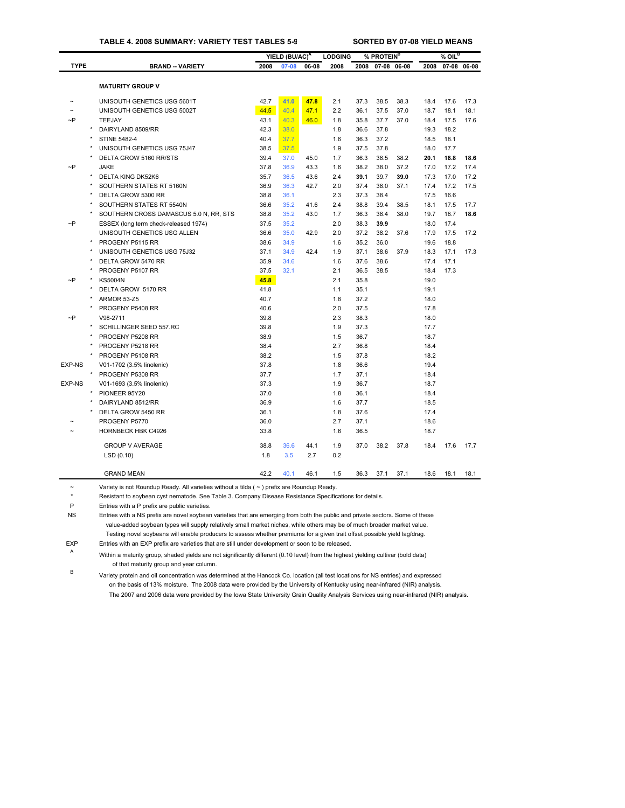### **TABLE 4. 2008 SUMMARY: VARIETY TEST TABLES 5-9 SORTED BY 07-08 YIELD MEANS**

|             |         |                                        |      | YIELD (BU/AC) <sup>A</sup> |       | <b>LODGING</b> |      | % PROTEIN <sup>B</sup> |      |      | $%$ OIL <sup>B</sup> |      |
|-------------|---------|----------------------------------------|------|----------------------------|-------|----------------|------|------------------------|------|------|----------------------|------|
| <b>TYPE</b> |         | <b>BRAND - VARIETY</b>                 | 2008 | 07-08                      | 06-08 | 2008           | 2008 | 07-08 06-08            |      | 2008 | 07-08 06-08          |      |
|             |         |                                        |      |                            |       |                |      |                        |      |      |                      |      |
|             |         | <b>MATURITY GROUP V</b>                |      |                            |       |                |      |                        |      |      |                      |      |
|             |         | UNISOUTH GENETICS USG 5601T            | 42.7 | 41.0                       | 47.8  | 2.1            | 37.3 | 38.5                   | 38.3 | 18.4 | 17.6                 | 17.3 |
| $\tilde{ }$ |         | UNISOUTH GENETICS USG 5002T            | 44.5 | 40.4                       | 47.1  | 2.2            | 36.1 | 37.5                   | 37.0 | 18.7 | 18.1                 | 18.1 |
| $\sim P$    |         | <b>TEEJAY</b>                          | 43.1 | 40.3                       | 46.0  | 1.8            | 35.8 | 37.7                   | 37.0 | 18.4 | 17.5                 | 17.6 |
|             |         | DAIRYLAND 8509/RR                      | 42.3 | 38.0                       |       | 1.8            | 36.6 | 37.8                   |      | 19.3 | 18.2                 |      |
|             |         | <b>STINE 5482-4</b>                    | 40.4 | 37.7                       |       | 1.6            | 36.3 | 37.2                   |      | 18.5 | 18.1                 |      |
|             |         | UNISOUTH GENETICS USG 75J47            | 38.5 | 37.5                       |       | 1.9            | 37.5 | 37.8                   |      | 18.0 | 17.7                 |      |
|             |         | DELTA GROW 5160 RR/STS                 | 39.4 | 37.0                       | 45.0  | 1.7            | 36.3 | 38.5                   | 38.2 | 20.1 | 18.8                 | 18.6 |
| $\neg P$    |         | <b>JAKE</b>                            | 37.8 | 36.9                       | 43.3  | 1.6            | 38.2 | 38.0                   | 37.2 | 17.0 | 17.2                 | 17.4 |
|             |         | DELTA KING DK52K6                      | 35.7 | 36.5                       | 43.6  | 2.4            | 39.1 | 39.7                   | 39.0 | 17.3 | 17.0                 | 17.2 |
|             |         | SOUTHERN STATES RT 5160N               | 36.9 | 36.3                       | 42.7  | 2.0            | 37.4 | 38.0                   | 37.1 | 17.4 | 17.2                 | 17.5 |
|             |         | DELTA GROW 5300 RR                     | 38.8 | 36.1                       |       | 2.3            | 37.3 | 38.4                   |      | 17.5 | 16.6                 |      |
|             |         | SOUTHERN STATES RT 5540N               | 36.6 | 35.2                       | 41.6  | 2.4            | 38.8 | 39.4                   | 38.5 | 18.1 | 17.5                 | 17.7 |
|             |         | SOUTHERN CROSS DAMASCUS 5.0 N, RR, STS | 38.8 | 35.2                       | 43.0  | 1.7            | 36.3 | 38.4                   | 38.0 | 19.7 | 18.7                 | 18.6 |
| $\neg P$    |         | ESSEX (long term check-released 1974)  | 37.5 | 35.2                       |       | 2.0            | 38.3 | 39.9                   |      | 18.0 | 17.4                 |      |
|             |         | UNISOUTH GENETICS USG ALLEN            | 36.6 | 35.0                       | 42.9  | 2.0            | 37.2 | 38.2                   | 37.6 | 17.9 | 17.5                 | 17.2 |
|             |         | PROGENY P5115 RR                       | 38.6 | 34.9                       |       | 1.6            | 35.2 | 36.0                   |      | 19.6 | 18.8                 |      |
|             |         | UNISOUTH GENETICS USG 75J32            | 37.1 | 34.9                       | 42.4  | 1.9            | 37.1 | 38.6                   | 37.9 | 18.3 | 17.1                 | 17.3 |
|             |         | DELTA GROW 5470 RR                     | 35.9 | 34.6                       |       | 1.6            | 37.6 | 38.6                   |      | 17.4 | 17.1                 |      |
|             |         | PROGENY P5107 RR                       | 37.5 | 32.1                       |       | 2.1            | 36.5 | 38.5                   |      | 18.4 | 17.3                 |      |
| ~P          |         | <b>KS5004N</b>                         | 45.8 |                            |       | 2.1            | 35.8 |                        |      | 19.0 |                      |      |
|             |         | DELTA GROW 5170 RR                     | 41.8 |                            |       | 1.1            | 35.1 |                        |      | 19.1 |                      |      |
|             |         | ARMOR 53-Z5                            | 40.7 |                            |       | 1.8            | 37.2 |                        |      | 18.0 |                      |      |
|             |         | PROGENY P5408 RR                       | 40.6 |                            |       | 2.0            | 37.5 |                        |      | 17.8 |                      |      |
| ~P          |         | V98-2711                               | 39.8 |                            |       | 2.3            | 38.3 |                        |      | 18.0 |                      |      |
|             |         | SCHILLINGER SEED 557.RC                | 39.8 |                            |       | 1.9            | 37.3 |                        |      | 17.7 |                      |      |
|             |         | PROGENY P5208 RR                       | 38.9 |                            |       | 1.5            | 36.7 |                        |      | 18.7 |                      |      |
|             |         | PROGENY P5218 RR                       | 38.4 |                            |       | 2.7            | 36.8 |                        |      | 18.4 |                      |      |
|             |         | PROGENY P5108 RR                       | 38.2 |                            |       | 1.5            | 37.8 |                        |      | 18.2 |                      |      |
| EXP-NS      |         | V01-1702 (3.5% linolenic)              | 37.8 |                            |       | 1.8            | 36.6 |                        |      | 19.4 |                      |      |
|             | $\star$ | PROGENY P5308 RR                       | 37.7 |                            |       | 1.7            | 37.1 |                        |      | 18.4 |                      |      |
| EXP-NS      |         | V01-1693 (3.5% linolenic)              | 37.3 |                            |       | 1.9            | 36.7 |                        |      | 18.7 |                      |      |
|             |         | PIONEER 95Y20                          | 37.0 |                            |       | 1.8            | 36.1 |                        |      | 18.4 |                      |      |
|             |         | DAIRYLAND 8512/RR                      | 36.9 |                            |       | 1.6            | 37.7 |                        |      | 18.5 |                      |      |
|             |         | DELTA GROW 5450 RR                     | 36.1 |                            |       | 1.8            | 37.6 |                        |      | 17.4 |                      |      |
|             |         | PROGENY P5770                          | 36.0 |                            |       | 2.7            | 37.1 |                        |      | 18.6 |                      |      |
|             |         | <b>HORNBECK HBK C4926</b>              | 33.8 |                            |       | 1.6            | 36.5 |                        |      | 18.7 |                      |      |
|             |         | <b>GROUP V AVERAGE</b>                 | 38.8 | 36.6                       | 44.1  | 1.9            | 37.0 | 38.2                   | 37.8 | 18.4 | 17.6                 | 17.7 |
|             |         | LSD (0.10)                             | 1.8  | 3.5                        | 2.7   | 0.2            |      |                        |      |      |                      |      |
|             |         |                                        |      |                            |       |                |      |                        |      |      |                      |      |
|             |         | <b>GRAND MEAN</b>                      | 42.2 | 40.1                       | 46.1  | 1.5            | 36.3 | 37.1                   | 37.1 | 18.6 | 18.1                 | 18.1 |

~ Variety is not Roundup Ready. All varieties without a tilda ( ~ ) prefix are Roundup Ready.

\* Resistant to soybean cyst nematode. See Table 3. Company Disease Resistance Specifications for details.

P Entries with a P prefix are public varieties.

NS Entries with a NS prefix are novel soybean varieties that are emerging from both the public and private sectors. Some of these value-added soybean types will supply relatively small market niches, while others may be of much broader market value. Testing novel soybeans will enable producers to assess whether premiums for a given trait offset possible yield lag/drag.

EXP Entries with an EXP prefix are varieties that are still under development or soon to be released.

<sup>A</sup> Within a maturity group, shaded yields are not significantly different (0.10 level) from the highest yielding cultivar (bold data) of that maturity group and year column.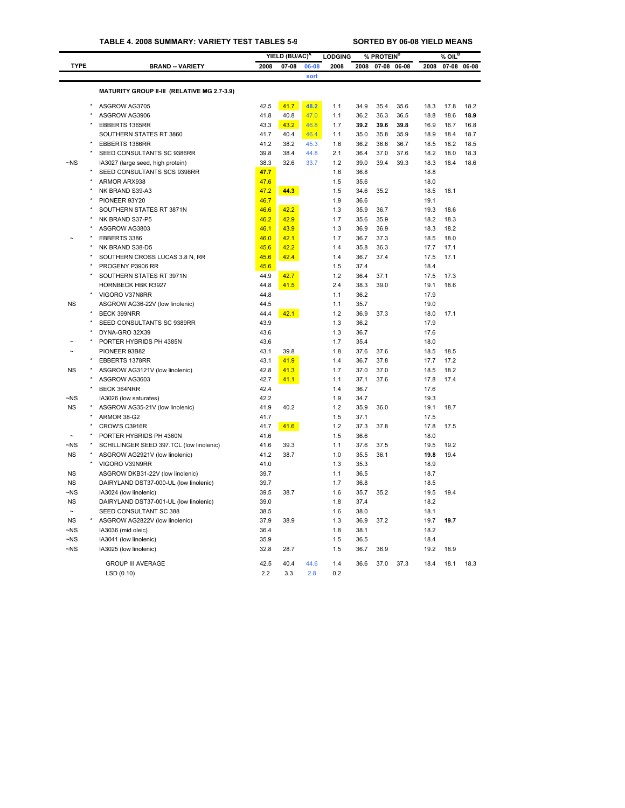## **TABLE 4. 2008 SUMMARY: VARIETY TEST TABLES 5-9 SORTED BY 06-08 YIELD MEANS**

|                      |                                              |              | YIELD (BU/AC) <sup>A</sup> |       | <b>LODGING</b> |              | % PROTEIN <sup>B</sup> |             |              | $%$ OIL <sup>B</sup> |             |
|----------------------|----------------------------------------------|--------------|----------------------------|-------|----------------|--------------|------------------------|-------------|--------------|----------------------|-------------|
| <b>TYPE</b>          | <b>BRAND -- VARIETY</b>                      | 2008         | $07 - 08$                  | 06-08 | 2008           | 2008         |                        | 07-08 06-08 | 2008         |                      | 07-08 06-08 |
|                      |                                              |              |                            | sort  |                |              |                        |             |              |                      |             |
|                      |                                              |              |                            |       |                |              |                        |             |              |                      |             |
|                      | MATURITY GROUP II-III (RELATIVE MG 2.7-3.9)  |              |                            |       |                |              |                        |             |              |                      |             |
|                      | ASGROW AG3705                                | 42.5         | 41.7                       | 48.2  | 1.1            | 34.9         | 35.4                   | 35.6        | 18.3         | 17.8                 | 18.2        |
|                      | ASGROW AG3906                                | 41.8         | 40.8                       | 47.0  | 1.1            | 36.2         | 36.3                   | 36.5        | 18.8         | 18.6                 | 18.9        |
|                      | EBBERTS 1365RR                               | 43.3         | 43.2                       | 46.8  | 1.7            | 39.2         | 39.6                   | 39.8        | 16.9         | 16.7                 | 16.8        |
|                      | SOUTHERN STATES RT 3860                      | 41.7         | 40.4                       | 46.4  | 1.1            | 35.0         | 35.8                   | 35.9        | 18.9         | 18.4                 | 18.7        |
|                      | EBBERTS 1386RR                               | 41.2         | 38.2                       | 45.3  | 1.6            | 36.2         | 36.6                   | 36.7        | 18.5         | 18.2                 | 18.5        |
|                      | SEED CONSULTANTS SC 9386RR                   | 39.8         | 38.4                       | 44.8  | 2.1            | 36.4         | 37.0                   | 37.6        | 18.2         | 18.0                 | 18.3        |
| $-NS$                | IA3027 (large seed, high protein)            | 38.3         | 32.6                       | 33.7  | 1.2            | 39.0         | 39.4                   | 39.3        | 18.3         | 18.4                 | 18.6        |
|                      | SEED CONSULTANTS SCS 9398RR                  | 47.7         |                            |       | 1.6            | 36.8         |                        |             | 18.8         |                      |             |
| $\star$              | ARMOR ARX938                                 | 47.6         |                            |       | 1.5            | 35.6         |                        |             | 18.0         |                      |             |
|                      | NK BRAND S39-A3                              | 47.2         | 44.3                       |       | 1.5            | 34.6         | 35.2                   |             | 18.5         | 18.1                 |             |
|                      | PIONEER 93Y20                                | 46.7         |                            |       | 1.9            | 36.6         |                        |             | 19.1         |                      |             |
|                      | SOUTHERN STATES RT 3871N                     | 46.6         | 42.2                       |       | 1.3            | 35.9         | 36.7                   |             | 19.3         | 18.6                 |             |
|                      | NK BRAND S37-P5                              | 46.2         | 42.9                       |       | 1.7            | 35.6         | 35.9                   |             | 18.2         | 18.3                 |             |
|                      | ASGROW AG3803                                | 46.1         | 43.9                       |       | 1.3            | 36.9         | 36.9                   |             | 18.3         | 18.2                 |             |
|                      | EBBERTS 3386                                 | 46.0         | 42.1                       |       | 1.7            | 36.7         | 37.3                   |             | 18.5         | 18.0                 |             |
|                      | NK BRAND S38-D5                              | 45.6         | 42.2                       |       | 1.4            | 35.8         | 36.3                   |             | 17.7         | 17.1                 |             |
|                      | SOUTHERN CROSS LUCAS 3.8 N, RR               | 45.6         | 42.4                       |       | 1.4            | 36.7         | 37.4                   |             | 17.5         | 17.1                 |             |
|                      | PROGENY P3906 RR                             | 45.6         |                            |       | 1.5            | 37.4         |                        |             | 18.4         |                      |             |
|                      | SOUTHERN STATES RT 3971N                     | 44.9         | 42.7                       |       | 1.2            | 36.4         | 37.1                   |             | 17.5         | 17.3                 |             |
|                      | HORNBECK HBK R3927                           | 44.8         | 41.5                       |       | 2.4            | 38.3         | 39.0                   |             | 19.1         | 18.6                 |             |
|                      | VIGORO V37N8RR                               | 44.8         |                            |       | 1.1            | 36.2         |                        |             | 17.9         |                      |             |
| <b>NS</b>            | ASGROW AG36-22V (low linolenic)              | 44.5         |                            |       | 1.1            | 35.7         |                        |             | 19.0         |                      |             |
|                      | <b>BECK 399NRR</b>                           | 44.4         | 42.1                       |       | 1.2            | 36.9         | 37.3                   |             | 18.0         | 17.1                 |             |
|                      | SEED CONSULTANTS SC 9389RR<br>DYNA-GRO 32X39 | 43.9         |                            |       | 1.3<br>1.3     | 36.2<br>36.7 |                        |             | 17.9<br>17.6 |                      |             |
|                      | PORTER HYBRIDS PH 4385N                      | 43.6<br>43.6 |                            |       | 1.7            | 35.4         |                        |             | 18.0         |                      |             |
|                      | PIONEER 93B82                                | 43.1         | 39.8                       |       | 1.8            | 37.6         | 37.6                   |             |              | 18.5                 |             |
|                      | EBBERTS 1378RR                               | 43.1         | 41.9                       |       | 1.4            | 36.7         | 37.8                   |             | 18.5<br>17.7 | 17.2                 |             |
| <b>NS</b>            | ASGROW AG3121V (low linolenic)               | 42.8         | 41.3                       |       | 1.7            | 37.0         | 37.0                   |             | 18.5         | 18.2                 |             |
|                      | ASGROW AG3603                                | 42.7         | 41.1                       |       | 1.1            | 37.1         | 37.6                   |             | 17.8         | 17.4                 |             |
|                      | BECK 364NRR                                  | 42.4         |                            |       | 1.4            | 36.7         |                        |             | 17.6         |                      |             |
| $\neg$ NS            | IA3026 (low saturates)                       | 42.2         |                            |       | 1.9            | 34.7         |                        |             | 19.3         |                      |             |
| <b>NS</b>            | ASGROW AG35-21V (low linolenic)              | 41.9         | 40.2                       |       | 1.2            | 35.9         | 36.0                   |             | 19.1         | 18.7                 |             |
|                      | ARMOR 38-G2                                  | 41.7         |                            |       | 1.5            | 37.1         |                        |             | 17.5         |                      |             |
|                      | CROW'S C3916R                                | 41.7         | 41.6                       |       | 1.2            | 37.3         | 37.8                   |             | 17.8         | 17.5                 |             |
|                      | PORTER HYBRIDS PH 4360N                      | 41.6         |                            |       | 1.5            | 36.6         |                        |             | 18.0         |                      |             |
| ~NS                  | SCHILLINGER SEED 397.TCL (low linolenic)     | 41.6         | 39.3                       |       | 1.1            | 37.6         | 37.5                   |             | 19.5         | 19.2                 |             |
| <b>NS</b>            | ASGROW AG2921V (low linolenic)               | 41.2         | 38.7                       |       | 1.0            | 35.5         | 36.1                   |             | 19.8         | 19.4                 |             |
|                      | VIGORO V39N9RR                               | 41.0         |                            |       | 1.3            | 35.3         |                        |             | 18.9         |                      |             |
| <b>NS</b>            | ASGROW DKB31-22V (low linolenic)             | 39.7         |                            |       | 1.1            | 36.5         |                        |             | 18.7         |                      |             |
| <b>NS</b>            | DAIRYLAND DST37-000-UL (low linolenic)       | 39.7         |                            |       | 1.7            | 36.8         |                        |             | 18.5         |                      |             |
| ~NS                  | IA3024 (low linolenic)                       | 39.5         | 38.7                       |       | 1.6            | 35.7         | 35.2                   |             | 19.5         | 19.4                 |             |
| <b>NS</b>            | DAIRYLAND DST37-001-UL (low linolenic)       | 39.0         |                            |       | 1.8            | 37.4         |                        |             | 18.2         |                      |             |
| $\tilde{}$           | SEED CONSULTANT SC 388                       | 38.5         |                            |       | 1.6            | 38.0         |                        |             | 18.1         |                      |             |
| <b>NS</b>            | ASGROW AG2822V (low linolenic)               | 37.9         | 38.9                       |       | 1.3            | 36.9         | 37.2                   |             | 19.7         | 19.7                 |             |
| $\neg$ NS            | IA3036 (mid oleic)                           | 36.4         |                            |       | 1.8            | 38.1         |                        |             | 18.2         |                      |             |
| $\neg$ <sub>NS</sub> | IA3041 (low linolenic)                       | 35.9         |                            |       | 1.5            | 36.5         |                        |             | 18.4         |                      |             |
| ~NS                  | IA3025 (low linolenic)                       | 32.8         | 28.7                       |       | 1.5            | 36.7         | 36.9                   |             | 19.2         | 18.9                 |             |
|                      | <b>GROUP III AVERAGE</b>                     | 42.5         | 40.4                       | 44.6  | 1.4            | 36.6         | 37.0                   | 37.3        | 18.4         | 18.1                 | 18.3        |
|                      | LSD(0.10)                                    | 2.2          | 3.3                        | 2.8   | 0.2            |              |                        |             |              |                      |             |
|                      |                                              |              |                            |       |                |              |                        |             |              |                      |             |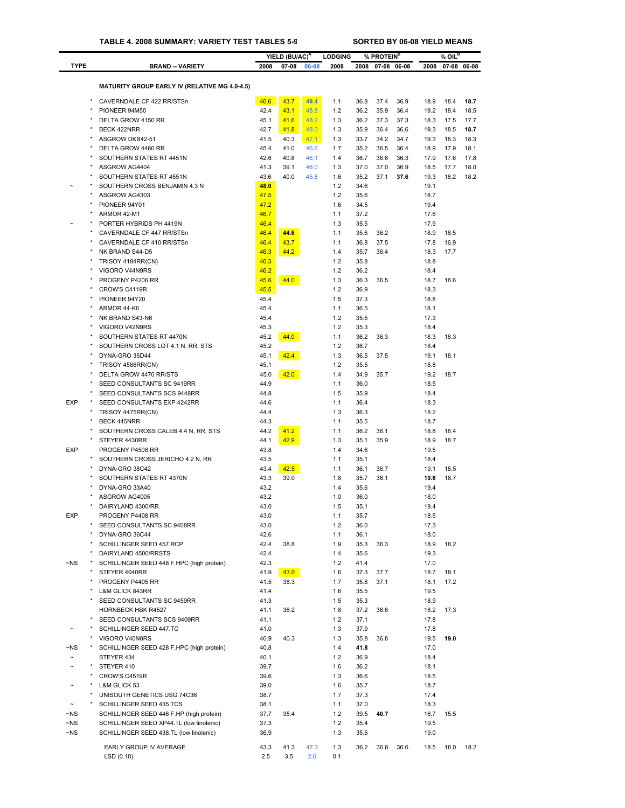|             |                                                      |              | YIELD (BU/AC) <sup>A</sup> |       | <b>LODGING</b> |              | % PROTEIN <sup>B</sup> |             |              | $%$ OIL $^{\mathtt{B}}$ |             |
|-------------|------------------------------------------------------|--------------|----------------------------|-------|----------------|--------------|------------------------|-------------|--------------|-------------------------|-------------|
| <b>TYPE</b> | <b>BRAND -- VARIETY</b>                              | 2008         | $07 - 08$                  | 06-08 | 2008           | 2008         |                        | 07-08 06-08 | 2008         |                         | 07-08 06-08 |
|             |                                                      |              |                            |       |                |              |                        |             |              |                         |             |
|             | <b>MATURITY GROUP EARLY IV (RELATIVE MG 4.0-4.5)</b> |              |                            |       |                |              |                        |             |              |                         |             |
|             | CAVERNDALE CF 422 RR/STSn                            | 46.6         | 43.7                       | 49.4  | 1.1            | 36.8         | 37.4                   | 36.9        | 18.9         | 18.4                    | 18.7        |
|             | PIONEER 94M50                                        | 42.4         | 43.1                       | 48.8  | 1.2            | 36.2         | 35.9                   | 36.4        | 19.2         | 18.4                    | 18.5        |
|             | DELTA GROW 4150 RR                                   | 45.1         | 41.6                       | 48.2  | 1.3            | 36.2         | 37.3                   | 37.3        | 18.3         | 17.5                    | 17.7        |
|             | BECK 422NRR                                          | 42.7         | 41.8                       | 48.0  | 1.3            | 35.9         | 36.4                   | 36.6        | 19.3         | 18.5                    | 18.7        |
|             | ASGROW DKB42-51                                      | 41.5         | 40.3                       | 47.1  | 1.3            | 33.7         | 34.2                   | 34.7        | 19.3         | 18.3                    | 18.3        |
|             | DELTA GROW 4460 RR                                   | 45.4         | 41.0                       | 46.6  | 1.7            | 35.2         | 36.5                   | 36.4        | 18.9         | 17.9                    | 18.1        |
|             | SOUTHERN STATES RT 4451N                             | 42.6         | 40.8                       | 46.1  | 1.4            | 36.7         | 36.6                   | 36.3        | 17.9         | 17.6                    | 17.8        |
|             | ASGROW AG4404                                        | 41.3         | 39.1                       | 46.0  | 1.3            | 37.0         | 37.0                   | 36.9        | 18.5         | 17.7                    | 18.0        |
|             | SOUTHERN STATES RT 4551N                             | 43.6         | 40.0                       | 45.8  | 1.6            | 35.2         | 37.1                   | 37.6        | 19.3         | 18.2                    | 18.2        |
|             | SOUTHERN CROSS BENJAMIN 4.3 N                        | 48.0         |                            |       | 1.2            | 34.6         |                        |             | 19.1         |                         |             |
|             | ASGROW AG4303                                        | 47.5         |                            |       | 1.2            | 35.6         |                        |             | 18.7         |                         |             |
|             | PIONEER 94Y01                                        | 47.2         |                            |       | 1.6            | 34.5         |                        |             | 19.4         |                         |             |
|             | ARMOR 42-M1                                          | 46.7         |                            |       | 1.1            | 37.2         |                        |             | 17.6         |                         |             |
|             | PORTER HYBRIDS PH 4419N                              | 46.4         |                            |       | 1.3            | 35.5         |                        |             | 17.9         |                         |             |
|             | CAVERNDALE CF 447 RR/STSn                            | 46.4         | 44.6                       |       | 1.1            | 35.6         | 36.2                   |             | 18.9         | 18.5                    |             |
|             | CAVERNDALE CF 410 RR/STSn                            | 46.4         | 43.7                       |       | 1.1            | 36.8         | 37.5                   |             | 17.8         | 16.9                    |             |
|             | NK BRAND S44-D5                                      | 46.3         | 44.2                       |       | 1.4            | 35.7         | 36.4                   |             | 18.3         | 17.7                    |             |
|             | TRISOY 4184RR(CN)                                    | 46.3         |                            |       | 1.2            | 35.8         |                        |             | 18.8         |                         |             |
|             | VIGORO V44N9RS                                       | 46.2         |                            |       | 1.2            | 36.2         |                        |             | 18.4         |                         |             |
|             | PROGENY P4206 RR                                     | 45.6         | 44.0                       |       | 1.3            | 36.3         | 36.5                   |             | 18.7         | 18.6                    |             |
|             | CROW'S C4119R                                        | 45.5         |                            |       | 1.2            | 36.9         |                        |             | 18.3         |                         |             |
|             | PIONEER 94Y20                                        | 45.4         |                            |       | 1.5            | 37.3         |                        |             | 18.8         |                         |             |
|             | ARMOR 44-K6                                          | 45.4         |                            |       | 1.1            | 36.5         |                        |             | 18.1         |                         |             |
|             | NK BRAND S43-N6                                      | 45.4         |                            |       | 1.2            | 35.5         |                        |             | 17.3         |                         |             |
|             | VIGORO V42N9RS                                       | 45.3         |                            |       | 1.2            | 35.3         |                        |             | 18.4         |                         |             |
|             | SOUTHERN STATES RT 4470N                             | 45.2         | 44.0                       |       | 1.1            | 36.2         | 36.3                   |             | 18.3         | 18.3                    |             |
|             | SOUTHERN CROSS LOT 4.1 N, RR, STS                    | 45.2         |                            |       | 1.2            | 36.7         |                        |             | 18.4         |                         |             |
|             | DYNA-GRO 35D44                                       | 45.1         | 42.4                       |       | 1.3            | 36.5         | 37.5                   |             | 19.1         | 18.1                    |             |
|             | TRISOY 4586RR(CN)                                    | 45.1         |                            |       | 1.2            | 35.5         |                        |             | 18.8         |                         |             |
|             | DELTA GROW 4470 RR/STS                               | 45.0         | 42.0                       |       | 1.4            | 34.9         | 35.7                   |             | 19.2         | 18.7                    |             |
|             | SEED CONSULTANTS SC 9419RR                           | 44.9<br>44.8 |                            |       | 1.1<br>1.5     | 36.0         |                        |             | 18.5         |                         |             |
| <b>EXP</b>  | SEED CONSULTANTS SCS 9448RR                          |              |                            |       |                | 35.9         |                        |             | 18.4         |                         |             |
|             | SEED CONSULTANTS EXP 4242RR<br>TRISOY 4475RR(CN)     | 44.6<br>44.4 |                            |       | 1.1<br>1.3     | 36.4<br>36.3 |                        |             | 18.3<br>18.2 |                         |             |
|             | BECK 445NRR                                          | 44.3         |                            |       | 1.1            | 35.5         |                        |             | 18.7         |                         |             |
|             | SOUTHERN CROSS CALEB 4.4 N, RR, STS                  | 44.2         | 41.2                       |       | 1.1            | 36.2         | 36.1                   |             | 18.8         | 18.4                    |             |
|             | STEYER 4430RR                                        | 44.1         | 42.9                       |       | 1.3            | 35.1         | 35.9                   |             | 18.9         | 18.7                    |             |
| <b>EXP</b>  | PROGENY P4508 RR                                     | 43.8         |                            |       | 1.4            | 34.6         |                        |             | 19.5         |                         |             |
|             | SOUTHERN CROSS JERICHO 4.2 N, RR                     | 43.5         |                            |       | 1.1            | 35.1         |                        |             | 18.4         |                         |             |
|             | DYNA-GRO 38C42                                       | 43.4         | 42.5                       |       | 1.1            | 36.1         | 36.7                   |             | 19.1         | 18.5                    |             |
|             | SOUTHERN STATES RT 4370N                             | 43.3         | 39.0                       |       | 1.8            | 35.7         | 36.1                   |             | 19.6         | 18.7                    |             |
|             | DYNA-GRO 33A40                                       | 43.2         |                            |       | 1.4            | 35.6         |                        |             | 19.4         |                         |             |
|             | ASGROW AG4005                                        | 43.2         |                            |       | 1.0            | 36.0         |                        |             | 18.0         |                         |             |
|             | DAIRYLAND 4300/RR                                    | 43.0         |                            |       | 1.5            | 35.1         |                        |             | 19.4         |                         |             |
| <b>EXP</b>  | PROGENY P4408 RR                                     | 43.0         |                            |       | 1.1            | 35.7         |                        |             | 18.5         |                         |             |
|             | SEED CONSULTANTS SC 9408RR                           | 43.0         |                            |       | 1.2            | 36.0         |                        |             | 17.3         |                         |             |
|             | DYNA-GRO 36C44                                       | 42.6         |                            |       | 1.1            | 36.1         |                        |             | 18.0         |                         |             |
|             | SCHILLINGER SEED 457.RCP                             | 42.4         | 38.8                       |       | 1.9            | 35.3         | 36.3                   |             | 18.9         | 18.2                    |             |
|             | DAIRYLAND 4500/RRSTS                                 | 42.4         |                            |       | 1.4            | 35.6         |                        |             | 19.3         |                         |             |
| $\neg$ NS   | SCHILLINGER SEED 448 F.HPC (high protein)            | 42.3         |                            |       | 1.2            | 41.4         |                        |             | 17.0         |                         |             |
|             | STEYER 4040RR                                        | 41.9         | 43.0                       |       | 1.6            | 37.3         | 37.7                   |             | 18.7         | 18.1                    |             |
|             | PROGENY P4405 RR                                     | 41.5         | 38.3                       |       | 1.7            | 35.8         | 37.1                   |             | 18.1         | 17.2                    |             |
|             | L&M GLICK 843RR                                      | 41.4         |                            |       | 1.6            | 35.5         |                        |             | 19.5         |                         |             |
|             | SEED CONSULTANTS SC 9459RR                           | 41.3         |                            |       | 1.5            | 35.3         |                        |             | 18.9         |                         |             |
|             | <b>HORNBECK HBK R4527</b>                            | 41.1         | 36.2                       |       | 1.8            | 37.2         | 38.6                   |             | 18.2         | 17.3                    |             |
|             | SEED CONSULTANTS SCS 9409RR                          | 41.1         |                            |       | 1.2            | 37.1         |                        |             | 17.8         |                         |             |
|             | SCHILLINGER SEED 447.TC                              | 41.0         |                            |       | 1.3            | 37.9         |                        |             | 17.8         |                         |             |
|             | VIGORO V40N8RS                                       | 40.9         | 40.3                       |       | 1.3            | 35.8         | 36.8                   |             | 19.5         | 19.0                    |             |
| ~NS         | SCHILLINGER SEED 428 F.HPC (high protein)            | 40.8         |                            |       | 1.4            | 41.8         |                        |             | 17.0         |                         |             |
| $\sim$      | STEYER 434                                           | 40.1         |                            |       | 1.2            | 36.9         |                        |             | 18.4         |                         |             |
|             | STEYER 410                                           | 39.7         |                            |       | 1.6            | 36.2         |                        |             | 18.1         |                         |             |
|             | CROW'S C4519R                                        | 39.6         |                            |       | 1.3            | 36.6         |                        |             | 18.5         |                         |             |
|             | L&M GLICK 53                                         | 39.0         |                            |       | 1.6            | 35.7         |                        |             | 18.7         |                         |             |
|             | UNISOUTH GENETICS USG 74C36                          | 38.7         |                            |       | 1.7            | 37.3         |                        |             | 17.4         |                         |             |
|             | SCHILLINGER SEED 435.TCS                             | 38.1         |                            |       | 1.1            | 37.0         |                        |             | 18.3         |                         |             |
| $\neg$ NS   | SCHILLINGER SEED 446 F.HP (high protein)             | 37.7         | 35.4                       |       | 1.2            | 39.5         | 40.7                   |             | 16.7         | 15.5                    |             |
| ~NS         | SCHILLINGER SEED XP44.TL (low linolenic)             | 37.3         |                            |       | 1.2            | 35.4         |                        |             | 19.5         |                         |             |
| $\neg$ NS   | SCHILLINGER SEED 438.TL (low linolenic)              | 36.9         |                            |       | 1.3            | 35.6         |                        |             | 19.0         |                         |             |
|             |                                                      |              |                            |       |                |              |                        |             |              |                         |             |
|             | EARLY GROUP IV AVERAGE                               | 43.3         | 41.3                       | 47.3  | 1.3            | 36.2         | 36.8                   | 36.6        | 18.5         | 18.0                    | 18.2        |
|             | LSD (0.10)                                           | 2.5          | 3.5                        | 2.6   | 0.1            |              |                        |             |              |                         |             |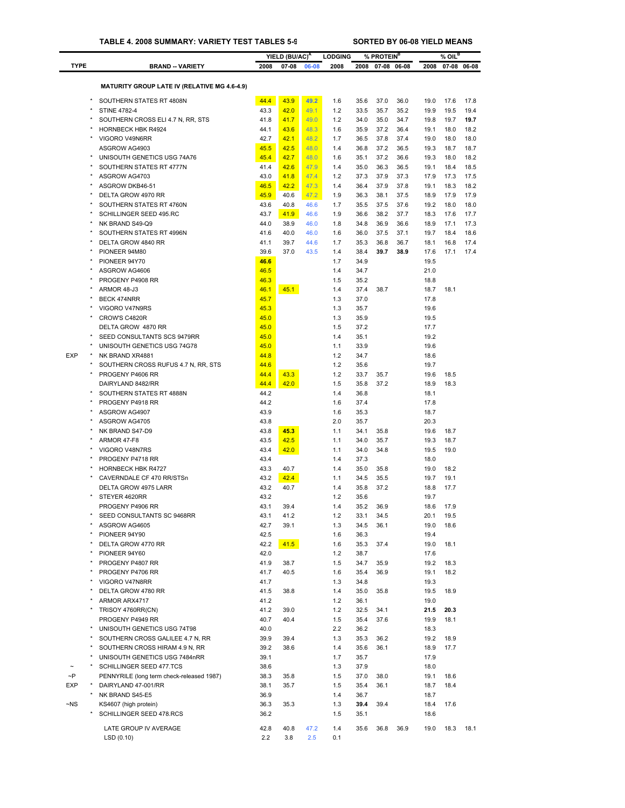|             |                                                           |              | YIELD (BU/AC) <sup>A</sup> |       | <b>LODGING</b> |              | % PROTEIN <sup>B</sup> |      |              | $%$ OIL $^B$ |      |
|-------------|-----------------------------------------------------------|--------------|----------------------------|-------|----------------|--------------|------------------------|------|--------------|--------------|------|
| <b>TYPE</b> | <b>BRAND -- VARIETY</b>                                   | 2008         | $07 - 08$                  | 06-08 | 2008           | 2008         | 07-08 06-08            |      | 2008         | 07-08 06-08  |      |
|             |                                                           |              |                            |       |                |              |                        |      |              |              |      |
|             | <b>MATURITY GROUP LATE IV (RELATIVE MG 4.6-4.9)</b>       |              |                            |       |                |              |                        |      |              |              |      |
| $\star$     | SOUTHERN STATES RT 4808N                                  | 44.4         | 43.9                       | 49.2  | 1.6            | 35.6         | 37.0                   | 36.0 | 19.0         | 17.6         | 17.8 |
|             | <b>STINE 4782-4</b>                                       | 43.3         | 42.0                       | 49.1  | 1.2            | 33.5         | 35.7                   | 35.2 | 19.9         | 19.5         | 19.4 |
|             | SOUTHERN CROSS ELI 4.7 N, RR, STS                         | 41.8         | 41.7                       | 49.0  | 1.2            | 34.0         | 35.0                   | 34.7 | 19.8         | 19.7         | 19.7 |
|             | <b>HORNBECK HBK R4924</b>                                 | 44.1         | 43.6                       | 48.3  | 1.6            | 35.9         | 37.2                   | 36.4 | 19.1         | 18.0         | 18.2 |
|             | VIGORO V49N6RR                                            | 42.7         | 42.1                       | 48.2  | 1.7            | 36.5         | 37.8                   | 37.4 | 19.0         | 18.0         | 18.0 |
|             | ASGROW AG4903                                             | 45.5         | 42.5                       | 48.0  | 1.4            | 36.8         | 37.2                   | 36.5 | 19.3         | 18.7         | 18.7 |
|             | UNISOUTH GENETICS USG 74A76                               | 45.4         | 42.7                       | 48.0  | 1.6            | 35.1         | 37.2                   | 36.6 | 19.3         | 18.0         | 18.2 |
|             | SOUTHERN STATES RT 4777N                                  | 41.4         | 42.6                       | 47.9  | 1.4            | 35.0         | 36.3                   | 36.5 | 19.1         | 18.4         | 18.5 |
|             | ASGROW AG4703                                             | 43.0         | 41.8                       | 47.4  | 1.2            | 37.3         | 37.9                   | 37.3 | 17.9         | 17.3         | 17.5 |
|             | ASGROW DKB46-51                                           | 46.5         | 42.2                       | 47.3  | 1.4            | 36.4         | 37.9                   | 37.8 | 19.1         | 18.3         | 18.2 |
|             | DELTA GROW 4970 RR                                        | 45.9         | 40.6                       | 47.2  | 1.9            | 36.3         | 38.1                   | 37.5 | 18.9         | 17.9         | 17.9 |
| ×           | SOUTHERN STATES RT 4760N                                  | 43.6         | 40.8                       | 46.6  | 1.7            | 35.5         | 37.5                   | 37.6 | 19.2         | 18.0         | 18.0 |
|             | SCHILLINGER SEED 495.RC                                   | 43.7         | 41.9                       | 46.6  | 1.9            | 36.6         | 38.2                   | 37.7 | 18.3         | 17.6         | 17.7 |
| $\star$     | NK BRAND S49-Q9                                           | 44.0         | 38.9                       | 46.0  | 1.8            | 34.8         | 36.9                   | 36.6 | 18.9         | 17.1         | 17.3 |
|             | SOUTHERN STATES RT 4996N                                  | 41.6         | 40.0                       | 46.0  | 1.6            | 36.0         | 37.5                   | 37.1 | 19.7         | 18.4         | 18.6 |
|             | DELTA GROW 4840 RR                                        | 41.1         | 39.7                       | 44.6  | 1.7            | 35.3         | 36.8                   | 36.7 | 18.1         | 16.8         | 17.4 |
|             | PIONEER 94M80                                             | 39.6         | 37.0                       | 43.5  | 1.4            | 38.4         | 39.7                   | 38.9 | 17.6         | 17.1         | 17.4 |
|             | PIONEER 94Y70<br>ASGROW AG4606                            | 46.6<br>46.5 |                            |       | 1.7<br>1.4     | 34.9<br>34.7 |                        |      | 19.5<br>21.0 |              |      |
|             | PROGENY P4908 RR                                          | 46.3         |                            |       | 1.5            | 35.2         |                        |      | 18.8         |              |      |
|             | ARMOR 48-J3                                               | 46.1         | 45.1                       |       | 1.4            | 37.4         | 38.7                   |      | 18.7         | 18.1         |      |
|             | <b>BECK 474NRR</b>                                        | 45.7         |                            |       | 1.3            | 37.0         |                        |      | 17.8         |              |      |
|             | VIGORO V47N9RS                                            | 45.3         |                            |       | 1.3            | 35.7         |                        |      | 19.6         |              |      |
|             | CROW'S C4820R                                             | 45.0         |                            |       | 1.3            | 35.9         |                        |      | 19.5         |              |      |
|             | DELTA GROW 4870 RR                                        | 45.0         |                            |       | 1.5            | 37.2         |                        |      | 17.7         |              |      |
| $\star$     | SEED CONSULTANTS SCS 9479RR                               | 45.0         |                            |       | 1.4            | 35.1         |                        |      | 19.2         |              |      |
|             | UNISOUTH GENETICS USG 74G78                               | 45.0         |                            |       | 1.1            | 33.9         |                        |      | 19.6         |              |      |
| <b>EXP</b>  | NK BRAND XR4881                                           | 44.8         |                            |       | 1.2            | 34.7         |                        |      | 18.6         |              |      |
|             | SOUTHERN CROSS RUFUS 4.7 N, RR, STS                       | 44.6         |                            |       | 1.2            | 35.6         |                        |      | 19.7         |              |      |
|             | PROGENY P4606 RR                                          | 44.4         | 43.3                       |       | 1.2            | 33.7         | 35.7                   |      | 19.6         | 18.5         |      |
|             | DAIRYLAND 8482/RR                                         | 44.4         | 42.0                       |       | 1.5            | 35.8         | 37.2                   |      | 18.9         | 18.3         |      |
|             | SOUTHERN STATES RT 4888N                                  | 44.2         |                            |       | 1.4            | 36.8         |                        |      | 18.1         |              |      |
|             | PROGENY P4918 RR                                          | 44.2         |                            |       | 1.6            | 37.4         |                        |      | 17.8         |              |      |
|             | ASGROW AG4907                                             | 43.9         |                            |       | 1.6            | 35.3         |                        |      | 18.7         |              |      |
|             | ASGROW AG4705                                             | 43.8         |                            |       | 2.0            | 35.7         |                        |      | 20.3         |              |      |
|             | NK BRAND S47-D9                                           | 43.8         | 45.3                       |       | 1.1            | 34.1         | 35.8                   |      | 19.6         | 18.7         |      |
|             | ARMOR 47-F8                                               | 43.5         | 42.5                       |       | 1.1            | 34.0         | 35.7                   |      | 19.3         | 18.7         |      |
| $\star$     | VIGORO V48N7RS                                            | 43.4         | 42.0                       |       | 1.1            | 34.0         | 34.8                   |      | 19.5         | 19.0         |      |
|             | PROGENY P4718 RR<br><b>HORNBECK HBK R4727</b>             | 43.4         |                            |       | 1.4            | 37.3         |                        |      | 18.0         |              |      |
|             | CAVERNDALE CF 470 RR/STSn                                 | 43.3<br>43.2 | 40.7<br>42.4               |       | 1.4<br>1.1     | 35.0<br>34.5 | 35.8<br>35.5           |      | 19.0<br>19.7 | 18.2<br>19.1 |      |
|             | DELTA GROW 4975 LARR                                      | 43.2         | 40.7                       |       | 1.4            | 35.8         | 37.2                   |      | 18.8         | 17.7         |      |
|             | STEYER 4620RR                                             | 43.2         |                            |       | 1.2            | 35.6         |                        |      | 19.7         |              |      |
|             | PROGENY P4906 RR                                          | 43.1         | 39.4                       |       | 1.4            | 35.2         | 36.9                   |      | 18.6         | 17.9         |      |
|             | SEED CONSULTANTS SC 9468RR                                | 43.1         | 41.2                       |       | $1.2$          | 33.1         | 34.5                   |      | 20.1         | 19.5         |      |
|             | ASGROW AG4605                                             | 42.7         | 39.1                       |       | 1.3            | 34.5         | 36.1                   |      | 19.0         | 18.6         |      |
|             | PIONEER 94Y90                                             | 42.5         |                            |       | 1.6            | 36.3         |                        |      | 19.4         |              |      |
|             | DELTA GROW 4770 RR                                        | 42.2         | 41.5                       |       | 1.6            | 35.3         | 37.4                   |      | 19.0         | 18.1         |      |
|             | PIONEER 94Y60                                             | 42.0         |                            |       | $1.2$          | 38.7         |                        |      | 17.6         |              |      |
|             | PROGENY P4807 RR                                          | 41.9         | 38.7                       |       | 1.5            | 34.7         | 35.9                   |      | 19.2         | 18.3         |      |
| $\star$     | PROGENY P4706 RR                                          | 41.7         | 40.5                       |       | 1.6            | 35.4         | 36.9                   |      | 19.1         | 18.2         |      |
|             | VIGORO V47N8RR                                            | 41.7         |                            |       | 1.3            | 34.8         |                        |      | 19.3         |              |      |
|             | DELTA GROW 4780 RR                                        | 41.5         | 38.8                       |       | 1.4            | 35.0         | 35.8                   |      | 19.5         | 18.9         |      |
|             | ARMOR ARX4717                                             | 41.2         |                            |       | 1.2            | 36.1         |                        |      | 19.0         |              |      |
|             | TRISOY 4760RR(CN)                                         | 41.2         | 39.0                       |       | 1.2            | 32.5         | 34.1                   |      | 21.5         | 20.3         |      |
|             | PROGENY P4949 RR                                          | 40.7         | 40.4                       |       | 1.5            | 35.4         | 37.6                   |      | 19.9         | 18.1         |      |
|             | UNISOUTH GENETICS USG 74T98                               | 40.0         |                            |       | 2.2            | 36.2         |                        |      | 18.3         |              |      |
|             | SOUTHERN CROSS GALILEE 4.7 N, RR                          | 39.9         | 39.4                       |       | 1.3            | 35.3         | 36.2                   |      | 19.2         | 18.9         |      |
| $\star$     | SOUTHERN CROSS HIRAM 4.9 N, RR                            | 39.2         | 38.6                       |       | 1.4            | 35.6         | 36.1                   |      | 18.9         | 17.7         |      |
|             | UNISOUTH GENETICS USG 7484nRR<br>SCHILLINGER SEED 477.TCS | 39.1<br>38.6 |                            |       | 1.7<br>1.3     | 35.7<br>37.9 |                        |      | 17.9<br>18.0 |              |      |
| $\sim P$    | PENNYRILE (long term check-released 1987)                 | 38.3         | 35.8                       |       | 1.5            | 37.0         | 38.0                   |      | 19.1         | 18.6         |      |
| <b>EXP</b>  | DAIRYLAND 47-001/RR                                       | 38.1         | 35.7                       |       | 1.5            | 35.4         | 36.1                   |      | 18.7         | 18.4         |      |
|             | NK BRAND S45-E5                                           | 36.9         |                            |       | 1.4            | 36.7         |                        |      | 18.7         |              |      |
| $~\sim$ NS  | KS4607 (high protein)                                     | 36.3         | 35.3                       |       | 1.3            | 39.4         | 39.4                   |      | 18.4         | 17.6         |      |
|             | SCHILLINGER SEED 478.RCS                                  | 36.2         |                            |       | 1.5            | 35.1         |                        |      | 18.6         |              |      |
|             |                                                           |              |                            |       |                |              |                        |      |              |              |      |
|             | LATE GROUP IV AVERAGE                                     | 42.8         | 40.8                       | 47.2  | 1.4            | 35.6         | 36.8                   | 36.9 | 19.0         | 18.3         | 18.1 |
|             | LSD (0.10)                                                | 2.2          | 3.8                        | 2.5   | 0.1            |              |                        |      |              |              |      |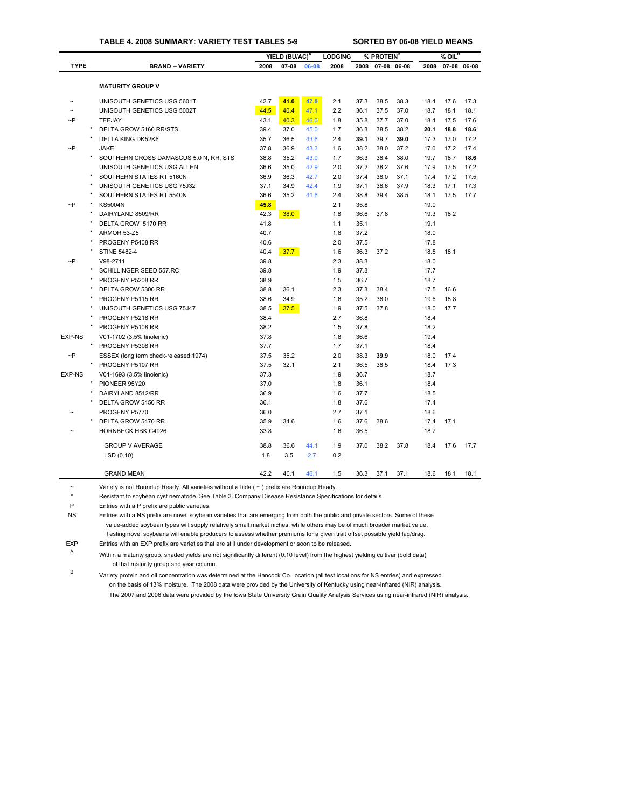### **TABLE 4. 2008 SUMMARY: VARIETY TEST TABLES 5-9 SORTED BY 06-08 YIELD MEANS**

|               |                                        |      | YIELD (BU/AC) <sup>A</sup> |       | <b>LODGING</b> |      | % PROTEIN <sup>B</sup> |      |      | $%$ OIL <sup>B</sup> |       |
|---------------|----------------------------------------|------|----------------------------|-------|----------------|------|------------------------|------|------|----------------------|-------|
| <b>TYPE</b>   | <b>BRAND -- VARIETY</b>                | 2008 | $07 - 08$                  | 06-08 | 2008           | 2008 | 07-08 06-08            |      | 2008 | $07 - 08$            | 06-08 |
|               |                                        |      |                            |       |                |      |                        |      |      |                      |       |
|               | <b>MATURITY GROUP V</b>                |      |                            |       |                |      |                        |      |      |                      |       |
|               | UNISOUTH GENETICS USG 5601T            | 42.7 | 41.0                       | 47.8  | 2.1            | 37.3 | 38.5                   | 38.3 | 18.4 | 17.6                 | 17.3  |
|               | UNISOUTH GENETICS USG 5002T            | 44.5 | 40.4                       | 47.1  | 2.2            | 36.1 | 37.5                   | 37.0 | 18.7 | 18.1                 | 18.1  |
| ~P            | <b>TEEJAY</b>                          | 43.1 | 40.3                       | 46.0  | 1.8            | 35.8 | 37.7                   | 37.0 | 18.4 | 17.5                 | 17.6  |
|               | DELTA GROW 5160 RR/STS                 | 39.4 | 37.0                       | 45.0  | 1.7            | 36.3 | 38.5                   | 38.2 | 20.1 | 18.8                 | 18.6  |
|               | DELTA KING DK52K6                      | 35.7 | 36.5                       | 43.6  | 2.4            | 39.1 | 39.7                   | 39.0 | 17.3 | 17.0                 | 17.2  |
| $\sim P$      | <b>JAKE</b>                            | 37.8 | 36.9                       | 43.3  | 1.6            | 38.2 | 38.0                   | 37.2 | 17.0 | 17.2                 | 17.4  |
|               | SOUTHERN CROSS DAMASCUS 5.0 N, RR, STS | 38.8 | 35.2                       | 43.0  | 1.7            | 36.3 | 38.4                   | 38.0 | 19.7 | 18.7                 | 18.6  |
|               | UNISOUTH GENETICS USG ALLEN            | 36.6 | 35.0                       | 42.9  | 2.0            | 37.2 | 38.2                   | 37.6 | 17.9 | 17.5                 | 17.2  |
|               | SOUTHERN STATES RT 5160N               | 36.9 | 36.3                       | 42.7  | 2.0            | 37.4 | 38.0                   | 37.1 | 17.4 | 17.2                 | 17.5  |
|               | UNISOUTH GENETICS USG 75J32            | 37.1 | 34.9                       | 42.4  | 1.9            | 37.1 | 38.6                   | 37.9 | 18.3 | 17.1                 | 17.3  |
|               | SOUTHERN STATES RT 5540N               | 36.6 | 35.2                       | 41.6  | 2.4            | 38.8 | 39.4                   | 38.5 | 18.1 | 17.5                 | 17.7  |
| $\neg P$      | <b>KS5004N</b>                         | 45.8 |                            |       | 2.1            | 35.8 |                        |      | 19.0 |                      |       |
|               | DAIRYLAND 8509/RR                      | 42.3 | 38.0                       |       | 1.8            | 36.6 | 37.8                   |      | 19.3 | 18.2                 |       |
|               | DELTA GROW 5170 RR                     | 41.8 |                            |       | 1.1            | 35.1 |                        |      | 19.1 |                      |       |
|               | ARMOR 53-Z5                            | 40.7 |                            |       | 1.8            | 37.2 |                        |      | 18.0 |                      |       |
|               | PROGENY P5408 RR                       | 40.6 |                            |       | 2.0            | 37.5 |                        |      | 17.8 |                      |       |
|               | <b>STINE 5482-4</b>                    | 40.4 | 37.7                       |       | 1.6            | 36.3 | 37.2                   |      | 18.5 | 18.1                 |       |
| $\neg P$      | V98-2711                               | 39.8 |                            |       | 2.3            | 38.3 |                        |      | 18.0 |                      |       |
|               | SCHILLINGER SEED 557.RC                | 39.8 |                            |       | 1.9            | 37.3 |                        |      | 17.7 |                      |       |
|               | PROGENY P5208 RR                       | 38.9 |                            |       | 1.5            | 36.7 |                        |      | 18.7 |                      |       |
|               | DELTA GROW 5300 RR                     | 38.8 | 36.1                       |       | 2.3            | 37.3 | 38.4                   |      | 17.5 | 16.6                 |       |
|               | PROGENY P5115 RR                       | 38.6 | 34.9                       |       | 1.6            | 35.2 | 36.0                   |      | 19.6 | 18.8                 |       |
|               | UNISOUTH GENETICS USG 75J47            | 38.5 | 37.5                       |       | 1.9            | 37.5 | 37.8                   |      | 18.0 | 17.7                 |       |
|               | PROGENY P5218 RR                       | 38.4 |                            |       | 2.7            | 36.8 |                        |      | 18.4 |                      |       |
|               | PROGENY P5108 RR                       | 38.2 |                            |       | 1.5            | 37.8 |                        |      | 18.2 |                      |       |
| <b>EXP-NS</b> | V01-1702 (3.5% linolenic)              | 37.8 |                            |       | 1.8            | 36.6 |                        |      | 19.4 |                      |       |
|               | PROGENY P5308 RR                       | 37.7 |                            |       | 1.7            | 37.1 |                        |      | 18.4 |                      |       |
| $\neg P$      | ESSEX (long term check-released 1974)  | 37.5 | 35.2                       |       | 2.0            | 38.3 | 39.9                   |      | 18.0 | 17.4                 |       |
|               | PROGENY P5107 RR                       | 37.5 | 32.1                       |       | 2.1            | 36.5 | 38.5                   |      | 18.4 | 17.3                 |       |
| <b>EXP-NS</b> | V01-1693 (3.5% linolenic)              | 37.3 |                            |       | 1.9            | 36.7 |                        |      | 18.7 |                      |       |
|               | PIONEER 95Y20                          | 37.0 |                            |       | 1.8            | 36.1 |                        |      | 18.4 |                      |       |
|               | DAIRYLAND 8512/RR                      | 36.9 |                            |       | 1.6            | 37.7 |                        |      | 18.5 |                      |       |
|               | DELTA GROW 5450 RR                     | 36.1 |                            |       | 1.8            | 37.6 |                        |      | 17.4 |                      |       |
|               | PROGENY P5770                          | 36.0 |                            |       | 2.7            | 37.1 |                        |      | 18.6 |                      |       |
|               | DELTA GROW 5470 RR                     | 35.9 | 34.6                       |       | 1.6            | 37.6 | 38.6                   |      | 17.4 | 17.1                 |       |
|               | <b>HORNBECK HBK C4926</b>              | 33.8 |                            |       | 1.6            | 36.5 |                        |      | 18.7 |                      |       |
|               | <b>GROUP V AVERAGE</b>                 | 38.8 | 36.6                       | 44.1  | 1.9            | 37.0 | 38.2                   | 37.8 | 18.4 | 17.6                 | 17.7  |
|               | LSD(0.10)                              | 1.8  | 3.5                        | 2.7   | 0.2            |      |                        |      |      |                      |       |
|               | <b>GRAND MEAN</b>                      | 42.2 | 40.1                       | 46.1  | 1.5            | 36.3 | 37.1                   | 37.1 | 18.6 | 18.1                 | 18.1  |

~ Variety is not Roundup Ready. All varieties without a tilda ( ~ ) prefix are Ro[undup Rea](#page-29-0)dy.

\* Resistant to soybean cyst nematode. See Table 3. Company Disease Resistance Specifications for details.

P Entries with a P prefix are public varieties.

NS Entries with a NS prefix are novel soybean varieties that are emerging from both the public and private sectors. Some of these value-added soybean types will supply relatively small market niches, while others may be of much broader market value. Testing novel soybeans will enable producers to assess whether premiums for a given trait offset possible yield lag/drag.

EXP Entries with an EXP prefix are varieties that are still under development or soon to be released.

<sup>A</sup> Within a maturity group, shaded yields are not significantly different (0.10 level) from the highest yielding cultivar (bold data) of that maturity group and year column.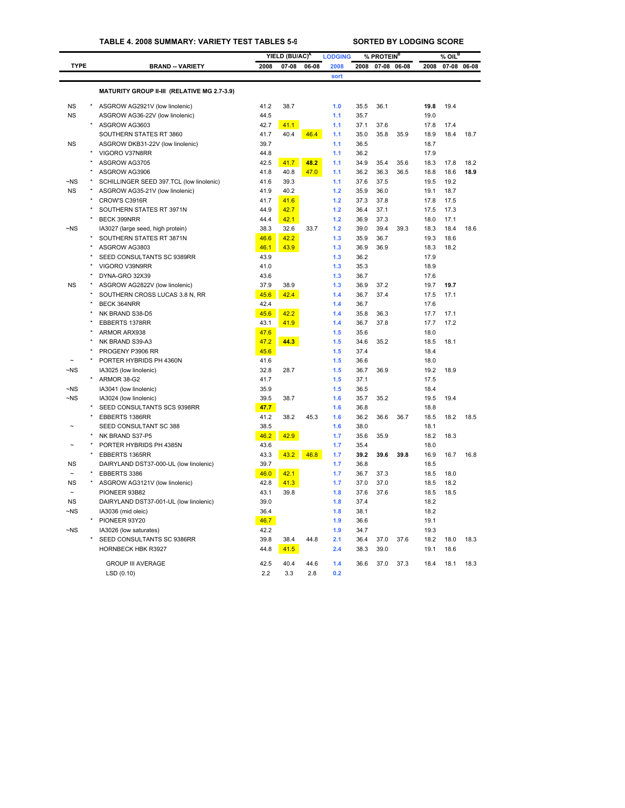## **TABLE 4. 2008 SUMMARY: VARIETY TEST TABLES 5-9 SORTED BY LODGING SCORE**

|             |         |                                             |      | YIELD (BU/AC) <sup>A</sup> |       | <b>LODGING</b> |      | % PROTEIN <sup>B</sup> |       |      | % OIL <sup>B</sup> |             |
|-------------|---------|---------------------------------------------|------|----------------------------|-------|----------------|------|------------------------|-------|------|--------------------|-------------|
| <b>TYPE</b> |         | <b>BRAND -- VARIETY</b>                     | 2008 | $07 - 08$                  | 06-08 | 2008           | 2008 | $07 - 08$              | 06-08 | 2008 |                    | 07-08 06-08 |
|             |         |                                             |      |                            |       | sort           |      |                        |       |      |                    |             |
|             |         | MATURITY GROUP II-III (RELATIVE MG 2.7-3.9) |      |                            |       |                |      |                        |       |      |                    |             |
| <b>NS</b>   |         | ASGROW AG2921V (low linolenic)              | 41.2 | 38.7                       |       | 1.0            | 35.5 | 36.1                   |       | 19.8 | 19.4               |             |
| <b>NS</b>   |         | ASGROW AG36-22V (low linolenic)             | 44.5 |                            |       | 1.1            | 35.7 |                        |       | 19.0 |                    |             |
|             |         | ASGROW AG3603                               | 42.7 | 41.1                       |       | 1.1            | 37.1 | 37.6                   |       | 17.8 | 17.4               |             |
|             |         | SOUTHERN STATES RT 3860                     | 41.7 | 40.4                       | 46.4  | 1.1            | 35.0 | 35.8                   | 35.9  | 18.9 | 18.4               | 18.7        |
| <b>NS</b>   |         | ASGROW DKB31-22V (low linolenic)            | 39.7 |                            |       | 1.1            | 36.5 |                        |       | 18.7 |                    |             |
|             |         | VIGORO V37N8RR                              | 44.8 |                            |       | 1.1            | 36.2 |                        |       | 17.9 |                    |             |
|             |         | ASGROW AG3705                               | 42.5 | 41.7                       | 48.2  | 1.1            | 34.9 | 35.4                   | 35.6  | 18.3 | 17.8               | 18.2        |
|             |         | ASGROW AG3906                               | 41.8 | 40.8                       | 47.0  | 1.1            | 36.2 | 36.3                   | 36.5  | 18.8 | 18.6               | 18.9        |
| $\neg$ NS   |         | SCHILLINGER SEED 397.TCL (low linolenic)    | 41.6 | 39.3                       |       | 1.1            | 37.6 | 37.5                   |       | 19.5 | 19.2               |             |
| <b>NS</b>   |         | ASGROW AG35-21V (low linolenic)             | 41.9 | 40.2                       |       | 1.2            | 35.9 | 36.0                   |       | 19.1 | 18.7               |             |
|             |         | CROW'S C3916R                               | 41.7 | 41.6                       |       | 1.2            | 37.3 | 37.8                   |       | 17.8 | 17.5               |             |
|             |         | SOUTHERN STATES RT 3971N                    | 44.9 | 42.7                       |       | 1.2            | 36.4 | 37.1                   |       | 17.5 | 17.3               |             |
|             |         | <b>BECK 399NRR</b>                          | 44.4 | 42.1                       |       | $1.2$          | 36.9 | 37.3                   |       | 18.0 | 17.1               |             |
| $-NS$       |         | IA3027 (large seed, high protein)           | 38.3 | 32.6                       | 33.7  | 1.2            | 39.0 | 39.4                   | 39.3  | 18.3 | 18.4               | 18.6        |
|             |         | SOUTHERN STATES RT 3871N                    | 46.6 | 42.2                       |       | 1.3            | 35.9 | 36.7                   |       | 19.3 | 18.6               |             |
|             |         | ASGROW AG3803                               | 46.1 | 43.9                       |       | 1.3            | 36.9 | 36.9                   |       | 18.3 | 18.2               |             |
|             |         | SEED CONSULTANTS SC 9389RR                  | 43.9 |                            |       | 1.3            | 36.2 |                        |       | 17.9 |                    |             |
|             |         | VIGORO V39N9RR                              | 41.0 |                            |       | 1.3            | 35.3 |                        |       | 18.9 |                    |             |
|             |         | DYNA-GRO 32X39                              | 43.6 |                            |       | 1.3            | 36.7 |                        |       | 17.6 |                    |             |
| <b>NS</b>   |         | ASGROW AG2822V (low linolenic)              | 37.9 | 38.9                       |       | 1.3            | 36.9 | 37.2                   |       | 19.7 | 19.7               |             |
|             |         | SOUTHERN CROSS LUCAS 3.8 N, RR              | 45.6 | 42.4                       |       | 1.4            | 36.7 | 37.4                   |       | 17.5 | 17.1               |             |
|             |         | <b>BECK 364NRR</b>                          | 42.4 |                            |       | 1.4            | 36.7 |                        |       | 17.6 |                    |             |
|             |         | NK BRAND S38-D5                             | 45.6 | 42.2                       |       | 1.4            | 35.8 | 36.3                   |       | 17.7 | 17.1               |             |
|             |         | EBBERTS 1378RR                              | 43.1 | 41.9                       |       | 1.4            | 36.7 | 37.8                   |       | 17.7 | 17.2               |             |
|             |         | ARMOR ARX938                                | 47.6 |                            |       | 1.5            | 35.6 |                        |       | 18.0 |                    |             |
|             |         | NK BRAND S39-A3                             | 47.2 | 44.3                       |       | 1.5            | 34.6 | 35.2                   |       | 18.5 | 18.1               |             |
|             |         | PROGENY P3906 RR                            | 45.6 |                            |       | 1.5            | 37.4 |                        |       | 18.4 |                    |             |
|             |         | PORTER HYBRIDS PH 4360N                     | 41.6 |                            |       | 1.5            | 36.6 |                        |       | 18.0 |                    |             |
| $-NS$       |         | IA3025 (low linolenic)                      | 32.8 | 28.7                       |       | 1.5            | 36.7 | 36.9                   |       | 19.2 | 18.9               |             |
|             |         | ARMOR 38-G2                                 | 41.7 |                            |       | 1.5            | 37.1 |                        |       | 17.5 |                    |             |
| ~NS         |         | IA3041 (low linolenic)                      | 35.9 |                            |       | 1.5            | 36.5 |                        |       | 18.4 |                    |             |
| $-NS$       |         | IA3024 (low linolenic)                      | 39.5 | 38.7                       |       | 1.6            | 35.7 | 35.2                   |       | 19.5 | 19.4               |             |
|             |         | SEED CONSULTANTS SCS 9398RR                 | 47.7 |                            |       | 1.6            | 36.8 |                        |       | 18.8 |                    |             |
|             |         | EBBERTS 1386RR                              | 41.2 | 38.2                       | 45.3  | 1.6            | 36.2 | 36.6                   | 36.7  | 18.5 | 18.2               | 18.5        |
|             |         | SEED CONSULTANT SC 388                      | 38.5 |                            |       | 1.6            | 38.0 |                        |       | 18.1 |                    |             |
|             |         | NK BRAND S37-P5                             | 46.2 | 42.9                       |       | 1.7            | 35.6 | 35.9                   |       | 18.2 | 18.3               |             |
|             |         | PORTER HYBRIDS PH 4385N                     | 43.6 |                            |       | 1.7            | 35.4 |                        |       | 18.0 |                    |             |
|             |         | EBBERTS 1365RR                              | 43.3 | 43.2                       | 46.8  | 1.7            | 39.2 | 39.6                   | 39.8  | 16.9 | 16.7               | 16.8        |
| <b>NS</b>   |         | DAIRYLAND DST37-000-UL (low linolenic)      | 39.7 |                            |       | 1.7            | 36.8 |                        |       | 18.5 |                    |             |
|             |         | EBBERTS 3386                                | 46.0 | 42.1                       |       | 1.7            | 36.7 | 37.3                   |       | 18.5 | 18.0               |             |
| <b>NS</b>   | $\star$ | ASGROW AG3121V (low linolenic)              | 42.8 | 41.3                       |       | 1.7            | 37.0 | 37.0                   |       | 18.5 | 18.2               |             |
|             |         | PIONEER 93B82                               | 43.1 | 39.8                       |       | 1.8            | 37.6 | 37.6                   |       | 18.5 | 18.5               |             |
| <b>NS</b>   |         | DAIRYLAND DST37-001-UL (low linolenic)      | 39.0 |                            |       | 1.8            | 37.4 |                        |       | 18.2 |                    |             |
| ~NS         |         | IA3036 (mid oleic)                          | 36.4 |                            |       | 1.8            | 38.1 |                        |       | 18.2 |                    |             |
|             |         | PIONEER 93Y20                               | 46.7 |                            |       | 1.9            | 36.6 |                        |       | 19.1 |                    |             |
| ~NS         |         | IA3026 (low saturates)                      | 42.2 |                            |       | 1.9            | 34.7 |                        |       | 19.3 |                    |             |
|             |         | SEED CONSULTANTS SC 9386RR                  | 39.8 | 38.4                       | 44.8  | 2.1            | 36.4 | 37.0                   | 37.6  | 18.2 | 18.0               | 18.3        |
|             |         | HORNBECK HBK R3927                          | 44.8 | 41.5                       |       | 2.4            | 38.3 | 39.0                   |       | 191  | 18.6               |             |
|             |         |                                             |      |                            |       |                |      |                        |       |      |                    |             |
|             |         | <b>GROUP III AVERAGE</b>                    | 42.5 | 40.4                       | 44.6  | 1.4            | 36.6 | 37.0                   | 37.3  | 18.4 | 18.1               | 18.3        |
|             |         | LSD (0.10)                                  | 2.2  | 3.3                        | 2.8   | 0.2            |      |                        |       |      |                    |             |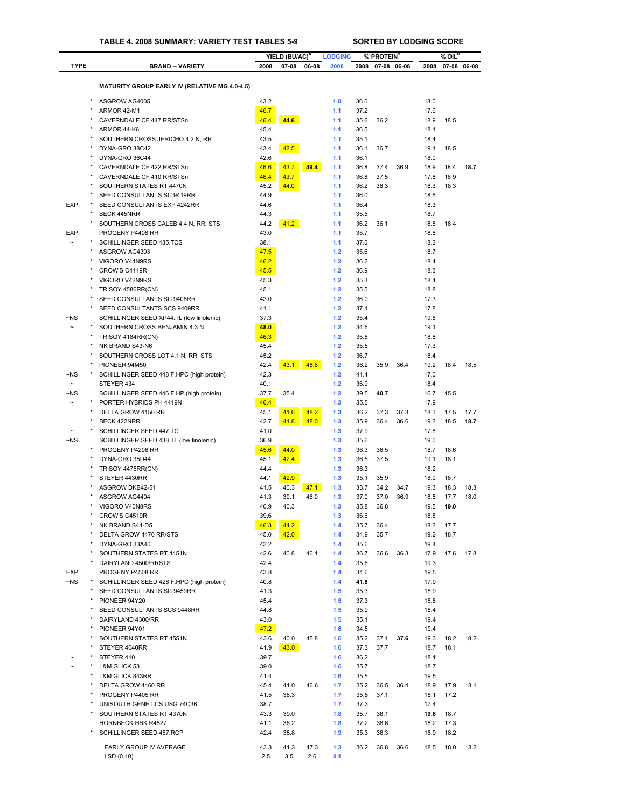|                                    |                                                                     |              | YIELD (BU/AC) <sup>A</sup> |       | <b>LODGING</b> |              | % PROTEIN <sup>B</sup> |      |              | $%$ OIL <sup>B</sup> |      |
|------------------------------------|---------------------------------------------------------------------|--------------|----------------------------|-------|----------------|--------------|------------------------|------|--------------|----------------------|------|
| <b>TYPE</b>                        | <b>BRAND - VARIETY</b>                                              | 2008         | 07-08                      | 06-08 | 2008           | 2008         | 07-08 06-08            |      | 2008         | 07-08 06-08          |      |
|                                    |                                                                     |              |                            |       |                |              |                        |      |              |                      |      |
|                                    | <b>MATURITY GROUP EARLY IV (RELATIVE MG 4.0-4.5)</b>                |              |                            |       |                |              |                        |      |              |                      |      |
|                                    | ASGROW AG4005                                                       | 43.2         |                            |       | 1.0            | 36.0         |                        |      | 18.0         |                      |      |
|                                    | ARMOR 42-M1                                                         | 46.7         |                            |       | 1.1            | 37.2         |                        |      | 17.6         |                      |      |
|                                    | CAVERNDALE CF 447 RR/STSn                                           | 46.4         | 44.6                       |       | 1.1            | 35.6         | 36.2                   |      | 18.9         | 18.5                 |      |
|                                    | ARMOR 44-K6                                                         | 45.4         |                            |       | 1.1            | 36.5         |                        |      | 18.1         |                      |      |
|                                    | SOUTHERN CROSS JERICHO 4.2 N, RR                                    | 43.5         |                            |       | 1.1            | 35.1         |                        |      | 18.4         |                      |      |
|                                    | DYNA-GRO 38C42<br>DYNA-GRO 36C44                                    | 43.4<br>42.6 | 42.5                       |       | 1.1<br>1.1     | 36.1<br>36.1 | 36.7                   |      | 19.1<br>18.0 | 18.5                 |      |
|                                    | CAVERNDALE CF 422 RR/STSn                                           | 46.6         | 43.7                       | 49.4  | 1.1            | 36.8         | 37.4                   | 36.9 | 18.9         | 18.4                 | 18.7 |
|                                    | CAVERNDALE CF 410 RR/STSn                                           | 46.4         | 43.7                       |       | 1.1            | 36.8         | 37.5                   |      | 17.8         | 16.9                 |      |
|                                    | SOUTHERN STATES RT 4470N                                            | 45.2         | 44.0                       |       | 1.1            | 36.2         | 36.3                   |      | 18.3         | 18.3                 |      |
|                                    | SEED CONSULTANTS SC 9419RR                                          | 44.9         |                            |       | 1.1            | 36.0         |                        |      | 18.5         |                      |      |
| <b>EXP</b>                         | SEED CONSULTANTS EXP 4242RR                                         | 44.6         |                            |       | 1.1            | 36.4         |                        |      | 18.3         |                      |      |
|                                    | <b>BECK 445NRR</b>                                                  | 44.3         |                            |       | 1.1            | 35.5         |                        |      | 18.7         |                      |      |
|                                    | SOUTHERN CROSS CALEB 4.4 N, RR, STS                                 | 44.2         | 41.2                       |       | 1.1            | 36.2         | 36.1                   |      | 18.8         | 18.4                 |      |
| <b>EXP</b>                         | PROGENY P4408 RR                                                    | 43.0         |                            |       | 1.1            | 35.7         |                        |      | 18.5         |                      |      |
|                                    | SCHILLINGER SEED 435.TCS                                            | 38.1         |                            |       | 1.1            | 37.0         |                        |      | 18.3         |                      |      |
|                                    | ASGROW AG4303                                                       | 47.5         |                            |       | 1.2            | 35.6         |                        |      | 18.7         |                      |      |
|                                    | VIGORO V44N9RS<br>CROW'S C4119R                                     | 46.2         |                            |       | $1.2$<br>$1.2$ | 36.2<br>36.9 |                        |      | 18.4         |                      |      |
|                                    | VIGORO V42N9RS                                                      | 45.5<br>45.3 |                            |       | $1.2$          | 35.3         |                        |      | 18.3<br>18.4 |                      |      |
|                                    | TRISOY 4586RR(CN)                                                   | 45.1         |                            |       | $1.2$          | 35.5         |                        |      | 18.8         |                      |      |
|                                    | SEED CONSULTANTS SC 9408RR                                          | 43.0         |                            |       | $1.2$          | 36.0         |                        |      | 17.3         |                      |      |
|                                    | SEED CONSULTANTS SCS 9409RR                                         | 41.1         |                            |       | $1.2$          | 37.1         |                        |      | 17.8         |                      |      |
| $\neg$ NS                          | SCHILLINGER SEED XP44.TL (low linolenic)                            | 37.3         |                            |       | 1.2            | 35.4         |                        |      | 19.5         |                      |      |
| $\sim$                             | SOUTHERN CROSS BENJAMIN 4.3 N                                       | 48.0         |                            |       | $1.2$          | 34.6         |                        |      | 19.1         |                      |      |
|                                    | TRISOY 4184RR(CN)                                                   | 46.3         |                            |       | $1.2$          | 35.8         |                        |      | 18.8         |                      |      |
|                                    | NK BRAND S43-N6                                                     | 45.4         |                            |       | $1.2$          | 35.5         |                        |      | 17.3         |                      |      |
|                                    | SOUTHERN CROSS LOT 4.1 N, RR, STS                                   | 45.2         |                            |       | $1.2$          | 36.7         |                        |      | 18.4         |                      |      |
|                                    | PIONEER 94M50                                                       | 42.4         | 43.1                       | 48.8  | 1.2            | 36.2         | 35.9                   | 36.4 | 19.2         | 18.4                 | 18.5 |
| $\neg$ NS                          | SCHILLINGER SEED 448 F.HPC (high protein)                           | 42.3         |                            |       | 1.2            | 41.4         |                        |      | 17.0         |                      |      |
| $\tilde{}$                         | STEYER 434                                                          | 40.1         |                            |       | 1.2            | 36.9         |                        |      | 18.4         |                      |      |
| $\neg$ NS<br>$\tilde{\phantom{a}}$ | SCHILLINGER SEED 446 F.HP (high protein)<br>PORTER HYBRIDS PH 4419N | 37.7<br>46.4 | 35.4                       |       | $1.2$<br>1.3   | 39.5<br>35.5 | 40.7                   |      | 16.7<br>17.9 | 15.5                 |      |
|                                    | DELTA GROW 4150 RR                                                  | 45.1         | 41.6                       | 48.2  | 1.3            | 36.2         | 37.3                   | 37.3 | 18.3         | 17.5                 | 17.7 |
|                                    | BECK 422NRR                                                         | 42.7         | 41.8                       | 48.0  | 1.3            | 35.9         | 36.4                   | 36.6 | 19.3         | 18.5                 | 18.7 |
|                                    | SCHILLINGER SEED 447.TC                                             | 41.0         |                            |       | 1.3            | 37.9         |                        |      | 17.8         |                      |      |
| $\neg$ NS                          | SCHILLINGER SEED 438.TL (low linolenic)                             | 36.9         |                            |       | 1.3            | 35.6         |                        |      | 19.0         |                      |      |
|                                    | PROGENY P4206 RR                                                    | 45.6         | 44.0                       |       | 1.3            | 36.3         | 36.5                   |      | 18.7         | 18.6                 |      |
|                                    | DYNA-GRO 35D44                                                      | 45.1         | 42.4                       |       | 1.3            | 36.5         | 37.5                   |      | 19.1         | 18.1                 |      |
|                                    | TRISOY 4475RR(CN)                                                   | 44.4         |                            |       | 1.3            | 36.3         |                        |      | 18.2         |                      |      |
|                                    | STEYER 4430RR                                                       | 44.1         | 42.9                       |       | 1.3            | 35.1         | 35.9                   |      | 18.9         | 18.7                 |      |
|                                    | ASGROW DKB42-51                                                     | 41.5         | 40.3                       | 47.1  | 1.3            | 33.7         | 34.2                   | 34.7 | 19.3         | 18.3                 | 18.3 |
|                                    | ASGROW AG4404                                                       | 41.3         | 39.1                       | 46.0  | 1.3            | 37.0         | 37.0                   | 36.9 | 18.5         | 17.7                 | 18.0 |
|                                    | VIGORO V40N8RS<br>CROW'S C4519R                                     | 40.9<br>39.6 | 40.3                       |       | 1.3<br>1.3     | 35.8<br>36.6 | 36.8                   |      | 19.5<br>18.5 | 19.0                 |      |
|                                    | NK BRAND S44-D5                                                     | 46.3         | 44.2                       |       | 1.4            | 35.7         | 36.4                   |      | 18.3         | 17.7                 |      |
|                                    | DELTA GROW 4470 RR/STS                                              | 45.0         | 42.0                       |       | 1.4            | 34.9         | 35.7                   |      | 19.2         | 18.7                 |      |
|                                    | DYNA-GRO 33A40                                                      | 43.2         |                            |       | 1.4            | 35.6         |                        |      | 19.4         |                      |      |
| $\star$                            | SOUTHERN STATES RT 4451N                                            | 42.6         | 40.8                       | 46.1  | 1.4            | 36.7         | 36.6                   | 36.3 | 17.9         | 17.6                 | 17.8 |
|                                    | DAIRYLAND 4500/RRSTS                                                | 42.4         |                            |       | 1.4            | 35.6         |                        |      | 19.3         |                      |      |
| <b>EXP</b>                         | PROGENY P4508 RR                                                    | 43.8         |                            |       | 1.4            | 34.6         |                        |      | 19.5         |                      |      |
| $\neg$ NS                          | SCHILLINGER SEED 428 F.HPC (high protein)                           | 40.8         |                            |       | 1.4            | 41.8         |                        |      | 17.0         |                      |      |
|                                    | SEED CONSULTANTS SC 9459RR                                          | 41.3         |                            |       | 1.5            | 35.3         |                        |      | 18.9         |                      |      |
|                                    | PIONEER 94Y20                                                       | 45.4         |                            |       | 1.5            | 37.3         |                        |      | 18.8         |                      |      |
|                                    | SEED CONSULTANTS SCS 9448RR                                         | 44.8         |                            |       | 1.5            | 35.9         |                        |      | 18.4         |                      |      |
|                                    | DAIRYLAND 4300/RR                                                   | 43.0         |                            |       | 1.5            | 35.1         |                        |      | 19.4         |                      |      |
|                                    | PIONEER 94Y01<br>SOUTHERN STATES RT 4551N                           | 47.2<br>43.6 | 40.0                       | 45.8  | 1.6<br>1.6     | 34.5<br>35.2 | 37.1                   | 37.6 | 19.4<br>19.3 | 18.2                 | 18.2 |
|                                    | STEYER 4040RR                                                       | 41.9         | 43.0                       |       | 1.6            | 37.3         | 37.7                   |      | 18.7         | 18.1                 |      |
|                                    | STEYER 410                                                          | 39.7         |                            |       | 1.6            | 36.2         |                        |      | 18.1         |                      |      |
|                                    | L&M GLICK 53                                                        | 39.0         |                            |       | 1.6            | 35.7         |                        |      | 18.7         |                      |      |
|                                    | <b>L&amp;M GLICK 843RR</b>                                          | 41.4         |                            |       | 1.6            | 35.5         |                        |      | 19.5         |                      |      |
|                                    | DELTA GROW 4460 RR                                                  | 45.4         | 41.0                       | 46.6  | 1.7            | 35.2         | 36.5                   | 36.4 | 18.9         | 17.9                 | 18.1 |
|                                    | PROGENY P4405 RR                                                    | 41.5         | 38.3                       |       | 1.7            | 35.8         | 37.1                   |      | 18.1         | 17.2                 |      |
|                                    | UNISOUTH GENETICS USG 74C36                                         | 38.7         |                            |       | 1.7            | 37.3         |                        |      | 17.4         |                      |      |
|                                    | SOUTHERN STATES RT 4370N                                            | 43.3         | 39.0                       |       | 1.8            | 35.7         | 36.1                   |      | 19.6         | 18.7                 |      |
|                                    | <b>HORNBECK HBK R4527</b>                                           | 41.1         | 36.2                       |       | 1.8            | 37.2         | 38.6                   |      | 18.2         | 17.3                 |      |
|                                    | SCHILLINGER SEED 457.RCP                                            | 42.4         | 38.8                       |       | 1.9            | 35.3         | 36.3                   |      | 18.9         | 18.2                 |      |
|                                    | EARLY GROUP IV AVERAGE                                              | 43.3         | 41.3                       | 47.3  | 1.3            | 36.2         | 36.8                   | 36.6 | 18.5         | 18.0                 | 18.2 |
|                                    | LSD(0.10)                                                           | 2.5          | 3.5                        | 2.6   | 0.1            |              |                        |      |              |                      |      |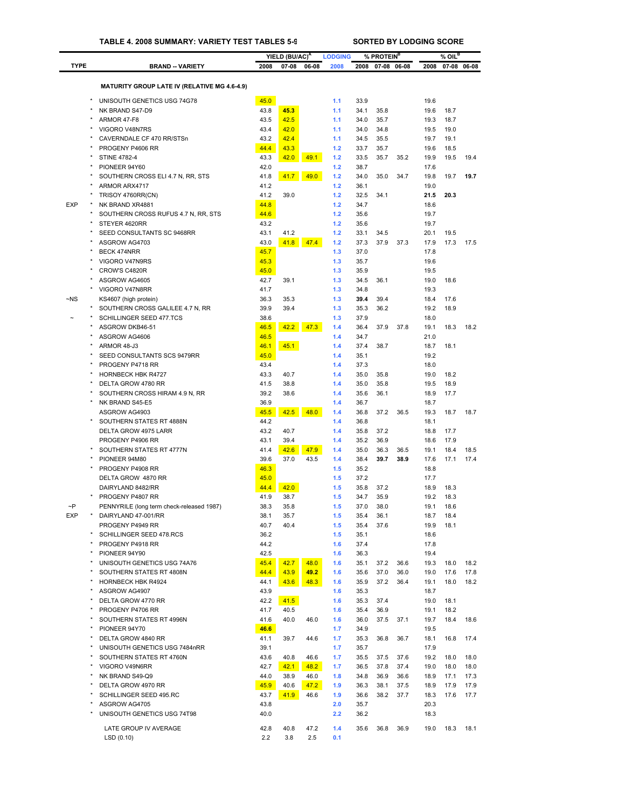|              |                                                                  |              | YIELD (BU/AC) <sup>A</sup> |       | <b>LODGING</b> |              | % PROTEIN <sup>B</sup> |             |              | $%$ OIL <sup>B</sup> |             |
|--------------|------------------------------------------------------------------|--------------|----------------------------|-------|----------------|--------------|------------------------|-------------|--------------|----------------------|-------------|
| <b>TYPE</b>  | <b>BRAND -- VARIETY</b>                                          | 2008         | 07-08                      | 06-08 | 2008           | 2008         |                        | 07-08 06-08 | 2008         |                      | 07-08 06-08 |
|              |                                                                  |              |                            |       |                |              |                        |             |              |                      |             |
|              | <b>MATURITY GROUP LATE IV (RELATIVE MG 4.6-4.9)</b>              |              |                            |       |                |              |                        |             |              |                      |             |
|              | UNISOUTH GENETICS USG 74G78                                      | 45.0         |                            |       | 1.1            | 33.9         |                        |             | 19.6         |                      |             |
|              | NK BRAND S47-D9                                                  | 43.8         | 45.3                       |       | 1.1            | 34.1         | 35.8                   |             | 19.6         | 18.7                 |             |
|              | ARMOR 47-F8                                                      | 43.5         | 42.5                       |       | 1.1            | 34.0         | 35.7                   |             | 19.3         | 18.7                 |             |
|              | VIGORO V48N7RS                                                   | 43.4         | 42.0                       |       | 1.1            | 34.0         | 34.8                   |             | 19.5         | 19.0                 |             |
|              | CAVERNDALE CF 470 RR/STSn                                        | 43.2         | 42.4                       |       | 1.1            | 34.5         | 35.5                   |             | 19.7         | 19.1                 |             |
|              | PROGENY P4606 RR                                                 | 44.4         | 43.3                       |       | $1.2$          | 33.7         | 35.7                   |             | 19.6         | 18.5                 |             |
|              | <b>STINE 4782-4</b><br>PIONEER 94Y60                             | 43.3         | 42.0                       | 49.1  | 1.2<br>1.2     | 33.5         | 35.7                   | 35.2        | 19.9         | 19.5                 | 19.4        |
|              | SOUTHERN CROSS ELI 4.7 N, RR, STS                                | 42.0<br>41.8 | 41.7                       | 49.0  | 1.2            | 38.7<br>34.0 | 35.0                   | 34.7        | 17.6<br>19.8 | 19.7                 | 19.7        |
|              | ARMOR ARX4717                                                    | 41.2         |                            |       | 1.2            | 36.1         |                        |             | 19.0         |                      |             |
|              | TRISOY 4760RR(CN)                                                | 41.2         | 39.0                       |       | 1.2            | 32.5         | 34.1                   |             | 21.5         | 20.3                 |             |
| <b>EXP</b>   | NK BRAND XR4881                                                  | 44.8         |                            |       | $1.2$          | 34.7         |                        |             | 18.6         |                      |             |
|              | SOUTHERN CROSS RUFUS 4.7 N, RR, STS                              | 44.6         |                            |       | 1.2            | 35.6         |                        |             | 19.7         |                      |             |
|              | STEYER 4620RR                                                    | 43.2         |                            |       | $1.2$          | 35.6         |                        |             | 19.7         |                      |             |
|              | SEED CONSULTANTS SC 9468RR                                       | 43.1         | 41.2                       |       | 1.2            | 33.1         | 34.5                   |             | 20.1         | 19.5                 |             |
|              | ASGROW AG4703                                                    | 43.0         | 41.8                       | 47.4  | 1.2            | 37.3         | 37.9                   | 37.3        | 17.9         | 17.3                 | 17.5        |
|              | <b>BECK 474NRR</b>                                               | 45.7         |                            |       | 1.3            | 37.0         |                        |             | 17.8         |                      |             |
|              | VIGORO V47N9RS                                                   | 45.3         |                            |       | 1.3            | 35.7         |                        |             | 19.6         |                      |             |
|              | CROW'S C4820R                                                    | 45.0         |                            |       | 1.3            | 35.9         |                        |             | 19.5         |                      |             |
|              | ASGROW AG4605<br>VIGORO V47N8RR                                  | 42.7<br>41.7 | 39.1                       |       | 1.3<br>1.3     | 34.5<br>34.8 | 36.1                   |             | 19.0<br>19.3 | 18.6                 |             |
| $\neg$ NS    | KS4607 (high protein)                                            | 36.3         | 35.3                       |       | 1.3            | 39.4         | 39.4                   |             | 18.4         | 17.6                 |             |
|              | SOUTHERN CROSS GALILEE 4.7 N, RR                                 | 39.9         | 39.4                       |       | 1.3            | 35.3         | 36.2                   |             | 19.2         | 18.9                 |             |
|              | SCHILLINGER SEED 477.TCS                                         | 38.6         |                            |       | 1.3            | 37.9         |                        |             | 18.0         |                      |             |
|              | ASGROW DKB46-51                                                  | 46.5         | 42.2                       | 47.3  | 1.4            | 36.4         | 37.9                   | 37.8        | 19.1         | 18.3                 | 18.2        |
|              | ASGROW AG4606                                                    | 46.5         |                            |       | 1.4            | 34.7         |                        |             | 21.0         |                      |             |
|              | ARMOR 48-J3                                                      | 46.1         | 45.1                       |       | 1.4            | 37.4         | 38.7                   |             | 18.7         | 18.1                 |             |
|              | SEED CONSULTANTS SCS 9479RR                                      | 45.0         |                            |       | 1.4            | 35.1         |                        |             | 19.2         |                      |             |
|              | PROGENY P4718 RR                                                 | 43.4         |                            |       | 1.4            | 37.3         |                        |             | 18.0         |                      |             |
|              | <b>HORNBECK HBK R4727</b>                                        | 43.3         | 40.7                       |       | 1.4            | 35.0         | 35.8                   |             | 19.0         | 18.2                 |             |
|              | DELTA GROW 4780 RR                                               | 41.5         | 38.8                       |       | 1.4            | 35.0         | 35.8                   |             | 19.5         | 18.9                 |             |
|              | SOUTHERN CROSS HIRAM 4.9 N, RR<br>NK BRAND S45-E5                | 39.2<br>36.9 | 38.6                       |       | 1.4<br>1.4     | 35.6<br>36.7 | 36.1                   |             | 18.9<br>18.7 | 17.7                 |             |
|              | ASGROW AG4903                                                    | 45.5         | 42.5                       | 48.0  | 1.4            | 36.8         | 37.2                   | 36.5        | 19.3         | 18.7                 | 18.7        |
|              | SOUTHERN STATES RT 4888N                                         | 44.2         |                            |       | 1.4            | 36.8         |                        |             | 18.1         |                      |             |
|              | DELTA GROW 4975 LARR                                             | 43.2         | 40.7                       |       | 1.4            | 35.8         | 37.2                   |             | 18.8         | 17.7                 |             |
|              | PROGENY P4906 RR                                                 | 43.1         | 39.4                       |       | 1.4            | 35.2         | 36.9                   |             | 18.6         | 17.9                 |             |
|              | SOUTHERN STATES RT 4777N                                         | 41.4         | 42.6                       | 47.9  | 1.4            | 35.0         | 36.3                   | 36.5        | 19.1         | 18.4                 | 18.5        |
|              | PIONEER 94M80                                                    | 39.6         | 37.0                       | 43.5  | 1.4            | 38.4         | 39.7                   | 38.9        | 17.6         | 17.1                 | 17.4        |
|              | PROGENY P4908 RR                                                 | 46.3         |                            |       | 1.5            | 35.2         |                        |             | 18.8         |                      |             |
|              | DELTA GROW 4870 RR                                               | 45.0         |                            |       | 1.5            | 37.2         |                        |             | 17.7         |                      |             |
|              | DAIRYLAND 8482/RR                                                | 44.4         | 42.0                       |       | 1.5            | 35.8         | 37.2                   |             | 18.9         | 18.3                 |             |
|              | PROGENY P4807 RR                                                 | 41.9         | 38.7                       |       | 1.5            | 34.7         | 35.9                   |             | 19.2         | 18.3                 |             |
| $\sim P$     | PENNYRILE (long term check-released 1987)<br>DAIRYLAND 47-001/RR | 38.3         | 35.8                       |       | 1.5            | 37.0         | 38.0                   |             | 19.1         | 18.6                 |             |
| <b>EXP</b>   | PROGENY P4949 RR                                                 | 38.1<br>40.7 | 35.7<br>40.4               |       | 1.5<br>1.5     | 35.4<br>35.4 | 36.1<br>37.6           |             | 18.7<br>19.9 | 18.4<br>18.1         |             |
|              | SCHILLINGER SEED 478.RCS                                         | 36.2         |                            |       | 1.5            | 35.1         |                        |             | 18.6         |                      |             |
| $\star$      | PROGENY P4918 RR                                                 | 44.2         |                            |       | 1.6            | 37.4         |                        |             | 17.8         |                      |             |
|              | PIONEER 94Y90                                                    | 42.5         |                            |       | 1.6            | 36.3         |                        |             | 19.4         |                      |             |
| ×            | UNISOUTH GENETICS USG 74A76                                      | 45.4         | 42.7                       | 48.0  | 1.6            | 35.1         | 37.2                   | 36.6        | 19.3         | 18.0                 | 18.2        |
|              | SOUTHERN STATES RT 4808N                                         | 44.4         | 43.9                       | 49.2  | 1.6            | 35.6         | 37.0                   | 36.0        | 19.0         | 17.6                 | 17.8        |
| $\pmb{\ast}$ | <b>HORNBECK HBK R4924</b>                                        | 44.1         | 43.6                       | 48.3  | 1.6            | 35.9         | 37.2                   | 36.4        | 19.1         | 18.0                 | 18.2        |
| ×            | ASGROW AG4907                                                    | 43.9         |                            |       | 1.6            | 35.3         |                        |             | 18.7         |                      |             |
| ×            | DELTA GROW 4770 RR                                               | 42.2         | 41.5                       |       | 1.6            | 35.3         | 37.4                   |             | 19.0         | 18.1                 |             |
|              | PROGENY P4706 RR                                                 | 41.7         | 40.5                       |       | 1.6            | 35.4         | 36.9                   |             | 19.1         | 18.2                 |             |
| ×            | SOUTHERN STATES RT 4996N                                         | 41.6         | 40.0                       | 46.0  | 1.6            | 36.0         | 37.5                   | 37.1        | 19.7         | 18.4                 | 18.6        |
|              | PIONEER 94Y70                                                    | 46.6         |                            |       | 1.7            | 34.9         |                        |             | 19.5         |                      |             |
| $\pmb{\ast}$ | DELTA GROW 4840 RR<br>UNISOUTH GENETICS USG 7484nRR              | 41.1<br>39.1 | 39.7                       | 44.6  | 1.7<br>1.7     | 35.3<br>35.7 | 36.8                   | 36.7        | 18.1<br>17.9 | 16.8                 | 17.4        |
|              | SOUTHERN STATES RT 4760N                                         | 43.6         | 40.8                       | 46.6  | 1.7            | 35.5         | 37.5                   | 37.6        | 19.2         | 18.0                 | 18.0        |
| $\pmb{\ast}$ | VIGORO V49N6RR                                                   | 42.7         | 42.1                       | 48.2  | 1.7            | 36.5         | 37.8                   | 37.4        | 19.0         | 18.0                 | 18.0        |
|              | NK BRAND S49-Q9                                                  | 44.0         | 38.9                       | 46.0  | 1.8            | 34.8         | 36.9                   | 36.6        | 18.9         | 17.1                 | 17.3        |
| ×            | DELTA GROW 4970 RR                                               | 45.9         | 40.6                       | 47.2  | 1.9            | 36.3         | 38.1                   | 37.5        | 18.9         | 17.9                 | 17.9        |
|              | SCHILLINGER SEED 495.RC                                          | 43.7         | 41.9                       | 46.6  | 1.9            | 36.6         | 38.2                   | 37.7        | 18.3         | 17.6                 | 17.7        |
| ×            | ASGROW AG4705                                                    | 43.8         |                            |       | 2.0            | 35.7         |                        |             | 20.3         |                      |             |
|              | UNISOUTH GENETICS USG 74T98                                      | 40.0         |                            |       | 2.2            | 36.2         |                        |             | 18.3         |                      |             |
|              | LATE GROUP IV AVERAGE                                            | 42.8         | 40.8                       | 47.2  | 1.4            | 35.6         | 36.8                   | 36.9        | 19.0         | 18.3                 | 18.1        |
|              | LSD(0.10)                                                        | 2.2          | 3.8                        | 2.5   | 0.1            |              |                        |             |              |                      |             |
|              |                                                                  |              |                            |       |                |              |                        |             |              |                      |             |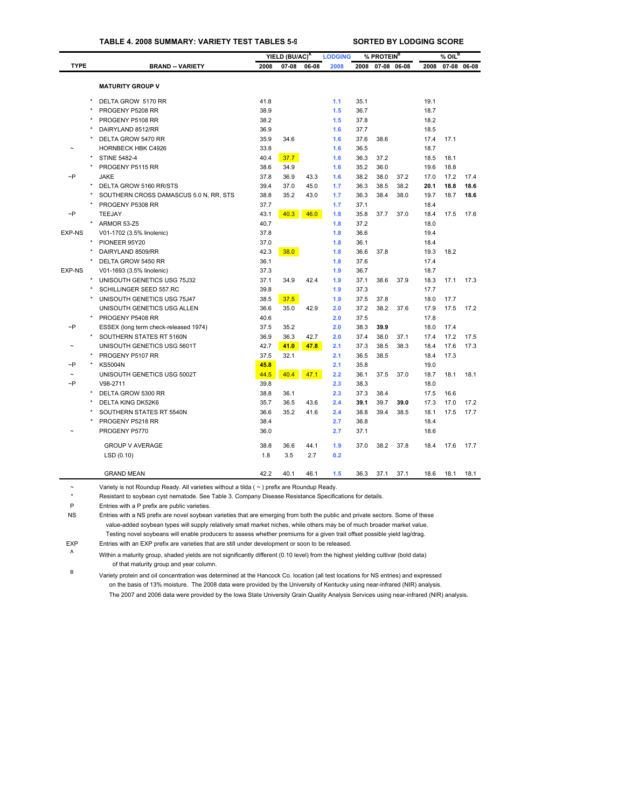# **TABLE 4. 2008 SUMMARY: VARIETY TEST TABLES 5-9 SORTED BY LODGING SCORE**

|               |                                        |      | YIELD (BU/AC) <sup>A</sup> |       | <b>LODGING</b> |      | % PROTEIN <sup>B</sup> |             |      | $%$ OIL $^B$ |             |
|---------------|----------------------------------------|------|----------------------------|-------|----------------|------|------------------------|-------------|------|--------------|-------------|
| <b>TYPE</b>   | <b>BRAND -- VARIETY</b>                | 2008 | 07-08                      | 06-08 | 2008           | 2008 |                        | 07-08 06-08 | 2008 |              | 07-08 06-08 |
|               |                                        |      |                            |       |                |      |                        |             |      |              |             |
|               | <b>MATURITY GROUP V</b>                |      |                            |       |                |      |                        |             |      |              |             |
|               | DELTA GROW 5170 RR                     | 41.8 |                            |       | 1.1            | 35.1 |                        |             | 19.1 |              |             |
|               | PROGENY P5208 RR                       | 38.9 |                            |       | 1.5            | 36.7 |                        |             | 18.7 |              |             |
|               | PROGENY P5108 RR                       | 38.2 |                            |       | 1.5            | 37.8 |                        |             | 18.2 |              |             |
|               | DAIRYLAND 8512/RR                      | 36.9 |                            |       | 1.6            | 37.7 |                        |             | 18.5 |              |             |
|               | DELTA GROW 5470 RR                     | 35.9 | 34.6                       |       | 1.6            | 37.6 | 38.6                   |             | 17.4 | 17.1         |             |
|               | HORNBECK HBK C4926                     | 33.8 |                            |       | 1.6            | 36.5 |                        |             | 18.7 |              |             |
| $\star$       | <b>STINE 5482-4</b>                    | 40.4 | 37.7                       |       | 1.6            | 36.3 | 37.2                   |             | 18.5 | 18.1         |             |
|               | PROGENY P5115 RR                       | 38.6 | 34.9                       |       | 1.6            | 35.2 | 36.0                   |             | 19.6 | 18.8         |             |
| $\sim P$      | <b>JAKE</b>                            | 37.8 | 36.9                       | 43.3  | 1.6            | 38.2 | 38.0                   | 37.2        | 17.0 | 17.2         | 17.4        |
|               | DELTA GROW 5160 RR/STS                 | 39.4 | 37.0                       | 45.0  | 1.7            | 36.3 | 38.5                   | 38.2        | 20.1 | 18.8         | 18.6        |
|               | SOUTHERN CROSS DAMASCUS 5.0 N, RR, STS | 38.8 | 35.2                       | 43.0  | 1.7            | 36.3 | 38.4                   | 38.0        | 19.7 | 18.7         | 18.6        |
|               | PROGENY P5308 RR                       | 37.7 |                            |       | 1.7            | 37.1 |                        |             | 18.4 |              |             |
| $\neg P$      | <b>TEEJAY</b>                          | 43.1 | 40.3                       | 46.0  | 1.8            | 35.8 | 37.7                   | 37.0        | 18.4 | 17.5         | 17.6        |
|               | ARMOR 53-Z5                            | 40.7 |                            |       | 1.8            | 37.2 |                        |             | 18.0 |              |             |
| <b>EXP-NS</b> | V01-1702 (3.5% linolenic)              | 37.8 |                            |       | 1.8            | 36.6 |                        |             | 19.4 |              |             |
|               | PIONEER 95Y20                          | 37.0 |                            |       | 1.8            | 36.1 |                        |             | 18.4 |              |             |
|               | DAIRYLAND 8509/RR                      | 42.3 | 38.0                       |       | 1.8            | 36.6 | 37.8                   |             | 19.3 | 18.2         |             |
|               | DELTA GROW 5450 RR                     | 36.1 |                            |       | 1.8            | 37.6 |                        |             | 17.4 |              |             |
| <b>EXP-NS</b> | V01-1693 (3.5% linolenic)              | 37.3 |                            |       | 1.9            | 36.7 |                        |             | 18.7 |              |             |
|               | UNISOUTH GENETICS USG 75J32            | 37.1 | 34.9                       | 42.4  | 1.9            | 37.1 | 38.6                   | 37.9        | 18.3 | 17.1         | 17.3        |
|               | SCHILLINGER SEED 557.RC                | 39.8 |                            |       | 1.9            | 37.3 |                        |             | 17.7 |              |             |
|               | UNISOUTH GENETICS USG 75J47            | 38.5 | 37.5                       |       | 1.9            | 37.5 | 37.8                   |             | 18.0 | 17.7         |             |
|               | UNISOUTH GENETICS USG ALLEN            | 36.6 | 35.0                       | 42.9  | 2.0            | 37.2 | 38.2                   | 37.6        | 17.9 | 17.5         | 17.2        |
|               | PROGENY P5408 RR                       | 40.6 |                            |       | 2.0            | 37.5 |                        |             | 17.8 |              |             |
| $\sim P$      | ESSEX (long term check-released 1974)  | 37.5 | 35.2                       |       | 2.0            | 38.3 | 39.9                   |             | 18.0 | 17.4         |             |
|               | SOUTHERN STATES RT 5160N               | 36.9 | 36.3                       | 42.7  | 2.0            | 37.4 | 38.0                   | 37.1        | 17.4 | 17.2         | 17.5        |
|               | UNISOUTH GENETICS USG 5601T            | 42.7 | 41.0                       | 47.8  | 2.1            | 37.3 | 38.5                   | 38.3        | 18.4 | 17.6         | 17.3        |
|               | PROGENY P5107 RR                       | 37.5 | 32.1                       |       | 2.1            | 36.5 | 38.5                   |             | 18.4 | 17.3         |             |
| $\neg P$      | <b>KS5004N</b>                         | 45.8 |                            |       | 2.1            | 35.8 |                        |             | 19.0 |              |             |
| $\sim$        | UNISOUTH GENETICS USG 5002T            | 44.5 | 40.4                       | 47.1  | 2.2            | 36.1 | 37.5                   | 37.0        | 18.7 | 18.1         | 18.1        |
| $\sim P$      | V98-2711                               | 39.8 |                            |       | 2.3            | 38.3 |                        |             | 18.0 |              |             |
|               | DELTA GROW 5300 RR                     | 38.8 | 36.1                       |       | 2.3            | 37.3 | 38.4                   |             | 17.5 | 16.6         |             |
|               | <b>DELTA KING DK52K6</b>               | 35.7 | 36.5                       | 43.6  | 2.4            | 39.1 | 39.7                   | 39.0        | 17.3 | 17.0         | 17.2        |
|               | SOUTHERN STATES RT 5540N               | 36.6 | 35.2                       | 41.6  | 2.4            | 38.8 | 39.4                   | 38.5        | 18.1 | 17.5         | 17.7        |
|               | PROGENY P5218 RR                       | 38.4 |                            |       | 2.7            | 36.8 |                        |             | 18.4 |              |             |
|               | PROGENY P5770                          | 36.0 |                            |       | 2.7            | 37.1 |                        |             | 18.6 |              |             |
|               | <b>GROUP V AVERAGE</b>                 | 38.8 | 36.6                       | 44.1  | 1.9            | 37.0 | 38.2                   | 37.8        | 18.4 | 17.6         | 17.7        |
|               | LSD(0.10)                              | 1.8  | 3.5                        | 2.7   | 0.2            |      |                        |             |      |              |             |
|               | <b>GRAND MEAN</b>                      | 42.2 | 40.1                       | 46.1  | 1.5            | 36.3 | 37.1                   | 37.1        | 18.6 | 18.1         | 18.1        |

~ Variety is not Roundup Ready. All varieties without a tilda ( ~ ) prefix are Roundup Ready.

\* Resistant to soybean cyst nematode. See Table 3. Company Disease Resistance [Specifications](#page-29-0) for details.

P Entries with a P prefix are public varieties.

NS Entries with a NS prefix are novel soybean varieties that are emerging from both the public and private sectors. Some of these value-added soybean types will supply relatively small market niches, while others may be of much broader market value. Testing novel soybeans will enable producers to assess whether premiums for a given trait offset possible yield lag/drag.

EXP Entries with an EXP prefix are varieties that are still under development or soon to be released.

<sup>A</sup> Within a maturity group, shaded yields are not significantly different (0.10 level) from the highest yielding cultivar (bold data) of that maturity group and year column.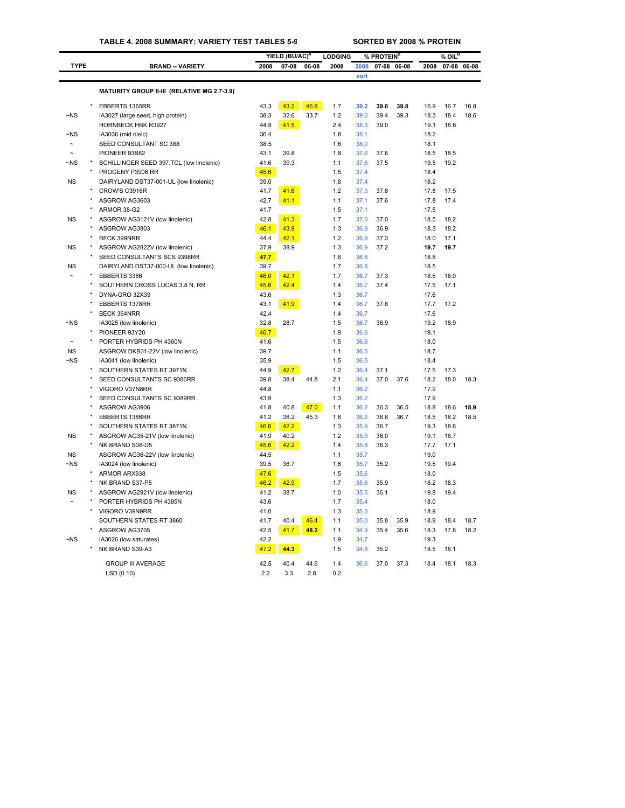## **TABLE 4. 2008 SUMMARY: VARIETY TEST TABLES 5-9 SORTED BY 2008 % PROTEIN**

|                      |         |                                             |              | YIELD (BU/AC) <sup>A</sup> |       | <b>LODGING</b> |              | % PROTEIN <sup>B</sup> |      |              | $%$ OIL $^{\text{\tiny{\textsf{B}}}}$ |       |
|----------------------|---------|---------------------------------------------|--------------|----------------------------|-------|----------------|--------------|------------------------|------|--------------|---------------------------------------|-------|
| <b>TYPE</b>          |         | <b>BRAND -- VARIETY</b>                     | 2008         | 07-08                      | 06-08 | 2008           | 2008         | 07-08 06-08            |      | 2008         | 07-08                                 | 06-08 |
|                      |         |                                             |              |                            |       |                | sort         |                        |      |              |                                       |       |
|                      |         | MATURITY GROUP II-III (RELATIVE MG 2.7-3.9) |              |                            |       |                |              |                        |      |              |                                       |       |
|                      |         |                                             |              |                            |       |                |              |                        |      |              |                                       |       |
|                      |         | EBBERTS 1365RR                              | 43.3         | 43.2                       | 46.8  | 1.7            | 39.2         | 39.6                   | 39.8 | 16.9         | 16.7                                  | 16.8  |
| $-NS$                |         | IA3027 (large seed, high protein)           | 38.3         | 32.6                       | 33.7  | 1.2            | 39.0         | 39.4                   | 39.3 | 18.3         | 18.4                                  | 18.6  |
|                      |         | HORNBECK HBK R3927                          | 44.8         | 41.5                       |       | 2.4            | 38.3         | 39.0                   |      | 19.1         | 18.6                                  |       |
| ~NS                  |         | IA3036 (mid oleic)                          | 36.4         |                            |       | 1.8            | 38.1         |                        |      | 18.2         |                                       |       |
| $\tilde{ }$          |         | SEED CONSULTANT SC 388                      | 38.5         |                            |       | 1.6            | 38.0         |                        |      | 18.1         |                                       |       |
|                      |         | PIONEER 93B82                               | 43.1         | 39.8                       |       | 1.8            | 37.6         | 37.6                   |      | 18.5         | 18.5                                  |       |
| ~NS                  |         | SCHILLINGER SEED 397.TCL (low linolenic)    | 41.6         | 39.3                       |       | 1.1            | 37.6         | 37.5                   |      | 19.5         | 19.2                                  |       |
|                      |         | PROGENY P3906 RR                            | 45.6         |                            |       | 1.5            | 37.4         |                        |      | 18.4         |                                       |       |
| <b>NS</b>            |         | DAIRYLAND DST37-001-UL (low linolenic)      | 39.0         |                            |       | 1.8            | 37.4         |                        |      | 18.2         |                                       |       |
|                      |         | CROW'S C3916R                               | 41.7         | 41.6                       |       | 1.2            | 37.3         | 37.8                   |      | 17.8         | 17.5                                  |       |
|                      |         | ASGROW AG3603                               | 42.7         | 41.1                       |       | 1.1            | 37.1         | 37.6                   |      | 17.8         | 17.4                                  |       |
|                      |         | ARMOR 38-G2                                 | 41.7         |                            |       | 1.5            | 37.1         |                        |      | 17.5         |                                       |       |
| <b>NS</b>            |         | ASGROW AG3121V (low linolenic)              | 42.8         | 41.3                       |       | 1.7            | 37.0         | 37.0                   |      | 18.5         | 18.2                                  |       |
|                      |         | ASGROW AG3803                               | 46.1         | 43.9                       |       | 1.3            | 36.9         | 36.9                   |      | 18.3         | 18.2                                  |       |
|                      |         | BECK 399NRR                                 | 44.4         | 42.1                       |       | 1.2            | 36.9         | 37.3                   |      | 18.0         | 17.1                                  |       |
| <b>NS</b>            |         | ASGROW AG2822V (low linolenic)              | 37.9         | 38.9                       |       | 1.3            | 36.9         | 37.2                   |      | 19.7         | 19.7                                  |       |
|                      |         | SEED CONSULTANTS SCS 9398RR                 | 47.7         |                            |       | 1.6            | 36.8         |                        |      | 18.8         |                                       |       |
| <b>NS</b>            |         | DAIRYLAND DST37-000-UL (low linolenic)      | 39.7         |                            |       | 1.7            | 36.8         |                        |      | 18.5         |                                       |       |
|                      |         | EBBERTS 3386                                | 46.0         | 42.1                       |       | 1.7            | 36.7         | 37.3                   |      | 18.5         | 18.0                                  |       |
|                      |         | SOUTHERN CROSS LUCAS 3.8 N, RR              | 45.6         | 42.4                       |       | 1.4            | 36.7         | 37.4                   |      | 17.5         | 17.1                                  |       |
|                      | ×       | DYNA-GRO 32X39                              | 43.6         |                            |       | 1.3            | 36.7         |                        |      | 17.6         |                                       |       |
|                      |         | <b>EBBERTS 1378RR</b><br>BECK 364NRR        | 43.1<br>42.4 | 41.9                       |       | 1.4<br>1.4     | 36.7<br>36.7 | 37.8                   |      | 17.7<br>17.6 | 17.2                                  |       |
| ~NS                  |         |                                             | 32.8         | 28.7                       |       | 1.5            | 36.7         | 36.9                   |      | 19.2         | 18.9                                  |       |
|                      | $\star$ | IA3025 (low linolenic)<br>PIONEER 93Y20     | 46.7         |                            |       | 1.9            | 36.6         |                        |      | 19.1         |                                       |       |
|                      |         | PORTER HYBRIDS PH 4360N                     | 41.6         |                            |       | 1.5            | 36.6         |                        |      | 18.0         |                                       |       |
| <b>NS</b>            |         | ASGROW DKB31-22V (low linolenic)            | 39.7         |                            |       | 1.1            | 36.5         |                        |      | 18.7         |                                       |       |
| $-NS$                |         | IA3041 (low linolenic)                      | 35.9         |                            |       | 1.5            | 36.5         |                        |      | 18.4         |                                       |       |
|                      |         | SOUTHERN STATES RT 3971N                    | 44.9         | 42.7                       |       | 1.2            | 36.4         | 37.1                   |      | 17.5         | 17.3                                  |       |
|                      |         | SEED CONSULTANTS SC 9386RR                  | 39.8         | 38.4                       | 44.8  | 2.1            | 36.4         | 37.0                   | 37.6 | 18.2         | 18.0                                  | 18.3  |
|                      |         | VIGORO V37N8RR                              | 44.8         |                            |       | 1.1            | 36.2         |                        |      | 17.9         |                                       |       |
|                      |         | SEED CONSULTANTS SC 9389RR                  | 43.9         |                            |       | 1.3            | 36.2         |                        |      | 17.9         |                                       |       |
|                      |         | ASGROW AG3906                               | 41.8         | 40.8                       | 47.0  | 1.1            | 36.2         | 36.3                   | 36.5 | 18.8         | 18.6                                  | 18.9  |
|                      | $\star$ | EBBERTS 1386RR                              | 41.2         | 38.2                       | 45.3  | 1.6            | 36.2         | 36.6                   | 36.7 | 18.5         | 18.2                                  | 18.5  |
|                      |         | SOUTHERN STATES RT 3871N                    | 46.6         | 42.2                       |       | 1.3            | 35.9         | 36.7                   |      | 19.3         | 18.6                                  |       |
| <b>NS</b>            |         | ASGROW AG35-21V (low linolenic)             | 41.9         | 40.2                       |       | 1.2            | 35.9         | 36.0                   |      | 19.1         | 18.7                                  |       |
|                      |         | NK BRAND S38-D5                             | 45.6         | 42.2                       |       | 1.4            | 35.8         | 36.3                   |      | 17.7         | 17.1                                  |       |
| <b>NS</b>            |         | ASGROW AG36-22V (low linolenic)             | 44.5         |                            |       | 1.1            | 35.7         |                        |      | 19.0         |                                       |       |
| $-NS$                |         | IA3024 (low linolenic)                      | 39.5         | 38.7                       |       | 1.6            | 35.7         | 35.2                   |      | 19.5         | 19.4                                  |       |
|                      | $\star$ | ARMOR ARX938                                | 47.6         |                            |       | 1.5            | 35.6         |                        |      | 18.0         |                                       |       |
|                      |         | NK BRAND S37-P5                             | 46.2         | 42.9                       |       | 1.7            | 35.6         | 35.9                   |      | 18.2         | 18.3                                  |       |
| ΝS                   |         | ASGROW AG2921V (low linolenic)              | 41.2         | 38.7                       |       | 1.0            | 35.5         | 36.1                   |      | 19.8         | 19.4                                  |       |
|                      |         | PORTER HYBRIDS PH 4385N                     | 43.6         |                            |       | 1.7            | 35.4         |                        |      | 18.0         |                                       |       |
|                      |         | VIGORO V39N9RR                              | 41.0         |                            |       | 1.3            | 35.3         |                        |      | 18.9         |                                       |       |
|                      |         | SOUTHERN STATES RT 3860                     | 41.7         | 40.4                       | 46.4  | 1.1            | 35.0         | 35.8                   | 35.9 | 18.9         | 18.4                                  | 18.7  |
|                      |         | ASGROW AG3705                               | 42.5         | 41.7                       | 48.2  | 1.1            | 34.9         | 35.4                   | 35.6 | 18.3         | 17.8                                  | 18.2  |
| $\neg$ <sub>NS</sub> |         | IA3026 (low saturates)                      | 42.2         |                            |       | 1.9            | 34.7         |                        |      | 19.3         |                                       |       |
|                      |         | NK BRAND S39-A3                             | 47.2         | 44.3                       |       | 1.5            | 34.6         | 35.2                   |      | 18.5         | 18.1                                  |       |
|                      |         | <b>GROUP III AVERAGE</b>                    | 42.5         | 40.4                       | 44.6  | 1.4            | 36.6         | 37.0                   | 37.3 | 18.4         | 18.1                                  | 18.3  |
|                      |         | LSD (0.10)                                  | 2.2          | 3.3                        | 2.8   | 0.2            |              |                        |      |              |                                       |       |
|                      |         |                                             |              |                            |       |                |              |                        |      |              |                                       |       |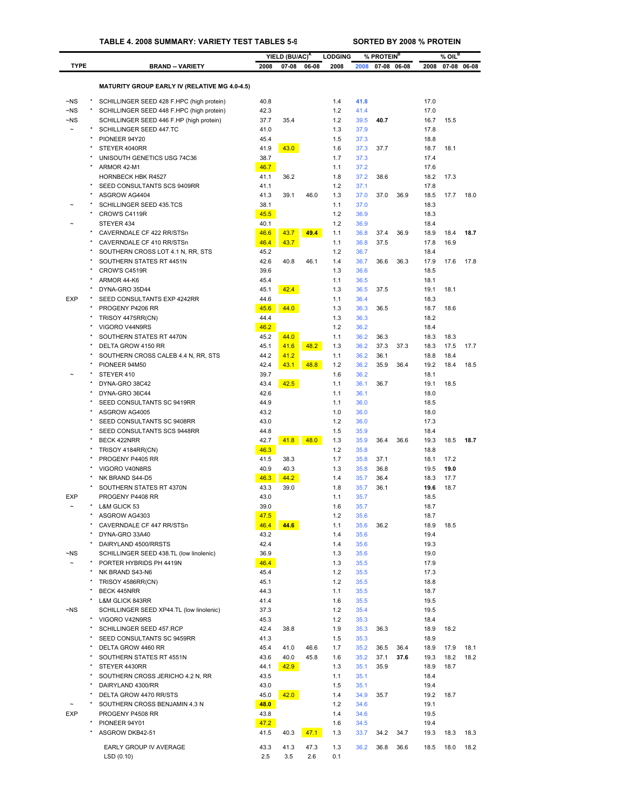## **TABLE 4. 2008 SUMMARY: VARIETY TEST TABLES 5-9 SORTED BY 2008 % PROTEIN**

|                    |                                                                                       |              | YIELD (BU/AC) <sup>A</sup> |       | <b>LODGING</b> |              | % PROTEIN <sup>B</sup> |             |              | $%$ OIL $^B$ |             |
|--------------------|---------------------------------------------------------------------------------------|--------------|----------------------------|-------|----------------|--------------|------------------------|-------------|--------------|--------------|-------------|
| <b>TYPE</b>        | <b>BRAND - VARIETY</b>                                                                | 2008         | $07 - 08$                  | 06-08 | 2008           | 2008         |                        | 07-08 06-08 | 2008         |              | 07-08 06-08 |
|                    |                                                                                       |              |                            |       |                |              |                        |             |              |              |             |
|                    | <b>MATURITY GROUP EARLY IV (RELATIVE MG 4.0-4.5)</b>                                  |              |                            |       |                |              |                        |             |              |              |             |
| $-NS$              | SCHILLINGER SEED 428 F.HPC (high protein)                                             | 40.8         |                            |       | 1.4            | 41.8         |                        |             | 17.0         |              |             |
| $-NS$<br>$\neg$ NS | SCHILLINGER SEED 448 F.HPC (high protein)<br>SCHILLINGER SEED 446 F.HP (high protein) | 42.3<br>37.7 | 35.4                       |       | 1.2<br>1.2     | 41.4<br>39.5 | 40.7                   |             | 17.0<br>16.7 | 15.5         |             |
|                    | SCHILLINGER SEED 447.TC                                                               | 41.0         |                            |       | 1.3            | 37.9         |                        |             | 17.8         |              |             |
|                    | PIONEER 94Y20                                                                         | 45.4         |                            |       | 1.5            | 37.3         |                        |             | 18.8         |              |             |
|                    | STEYER 4040RR                                                                         | 41.9         | 43.0                       |       | 1.6            | 37.3         | 37.7                   |             | 18.7         | 18.1         |             |
|                    | UNISOUTH GENETICS USG 74C36                                                           | 38.7         |                            |       | 1.7            | 37.3         |                        |             | 17.4         |              |             |
|                    | ARMOR 42-M1                                                                           | 46.7         |                            |       | 1.1            | 37.2         |                        |             | 17.6         |              |             |
| $\star$            | <b>HORNBECK HBK R4527</b>                                                             | 41.1         | 36.2                       |       | 1.8            | 37.2         | 38.6                   |             | 18.2         | 17.3         |             |
|                    | SEED CONSULTANTS SCS 9409RR<br>ASGROW AG4404                                          | 41.1<br>41.3 | 39.1                       | 46.0  | 1.2<br>1.3     | 37.1<br>37.0 | 37.0                   | 36.9        | 17.8<br>18.5 | 17.7         | 18.0        |
|                    | SCHILLINGER SEED 435.TCS                                                              | 38.1         |                            |       | 1.1            | 37.0         |                        |             | 18.3         |              |             |
|                    | CROW'S C4119R                                                                         | 45.5         |                            |       | 1.2            | 36.9         |                        |             | 18.3         |              |             |
|                    | STEYER 434                                                                            | 40.1         |                            |       | 1.2            | 36.9         |                        |             | 18.4         |              |             |
|                    | CAVERNDALE CF 422 RR/STSn                                                             | 46.6         | 43.7                       | 49.4  | 1.1            | 36.8         | 37.4                   | 36.9        | 18.9         | 18.4         | 18.7        |
|                    | CAVERNDALE CF 410 RR/STSn                                                             | 46.4         | 43.7                       |       | 1.1            | 36.8         | 37.5                   |             | 17.8         | 16.9         |             |
|                    | SOUTHERN CROSS LOT 4.1 N, RR, STS<br>SOUTHERN STATES RT 4451N                         | 45.2<br>42.6 | 40.8                       | 46.1  | 1.2<br>1.4     | 36.7<br>36.7 | 36.6                   | 36.3        | 18.4<br>17.9 | 17.6         | 17.8        |
|                    | CROW'S C4519R                                                                         | 39.6         |                            |       | 1.3            | 36.6         |                        |             | 18.5         |              |             |
|                    | ARMOR 44-K6                                                                           | 45.4         |                            |       | 1.1            | 36.5         |                        |             | 18.1         |              |             |
|                    | DYNA-GRO 35D44                                                                        | 45.1         | 42.4                       |       | 1.3            | 36.5         | 37.5                   |             | 19.1         | 18.1         |             |
| <b>EXP</b>         | SEED CONSULTANTS EXP 4242RR                                                           | 44.6         |                            |       | 1.1            | 36.4         |                        |             | 18.3         |              |             |
|                    | PROGENY P4206 RR                                                                      | 45.6         | 44.0                       |       | 1.3            | 36.3         | 36.5                   |             | 18.7         | 18.6         |             |
|                    | TRISOY 4475RR(CN)                                                                     | 44.4         |                            |       | 1.3            | 36.3         |                        |             | 18.2         |              |             |
|                    | VIGORO V44N9RS<br>SOUTHERN STATES RT 4470N                                            | 46.2<br>45.2 | 44.0                       |       | 1.2<br>1.1     | 36.2<br>36.2 | 36.3                   |             | 18.4<br>18.3 | 18.3         |             |
|                    | DELTA GROW 4150 RR                                                                    | 45.1         | 41.6                       | 48.2  | 1.3            | 36.2         | 37.3                   | 37.3        | 18.3         | 17.5         | 17.7        |
|                    | SOUTHERN CROSS CALEB 4.4 N, RR, STS                                                   | 44.2         | 41.2                       |       | 1.1            | 36.2         | 36.1                   |             | 18.8         | 18.4         |             |
|                    | PIONEER 94M50                                                                         | 42.4         | 43.1                       | 48.8  | 1.2            | 36.2         | 35.9                   | 36.4        | 19.2         | 18.4         | 18.5        |
|                    | STEYER 410                                                                            | 39.7         |                            |       | 1.6            | 36.2         |                        |             | 18.1         |              |             |
|                    | DYNA-GRO 38C42                                                                        | 43.4         | 42.5                       |       | 1.1            | 36.1         | 36.7                   |             | 19.1         | 18.5         |             |
|                    | DYNA-GRO 36C44                                                                        | 42.6         |                            |       | 1.1            | 36.1         |                        |             | 18.0         |              |             |
|                    | SEED CONSULTANTS SC 9419RR<br>ASGROW AG4005                                           | 44.9<br>43.2 |                            |       | 1.1<br>1.0     | 36.0<br>36.0 |                        |             | 18.5<br>18.0 |              |             |
|                    | SEED CONSULTANTS SC 9408RR                                                            | 43.0         |                            |       | 1.2            | 36.0         |                        |             | 17.3         |              |             |
|                    | SEED CONSULTANTS SCS 9448RR                                                           | 44.8         |                            |       | 1.5            | 35.9         |                        |             | 18.4         |              |             |
|                    | BECK 422NRR                                                                           | 42.7         | 41.8                       | 48.0  | 1.3            | 35.9         | 36.4                   | 36.6        | 19.3         | 18.5         | 18.7        |
|                    | TRISOY 4184RR(CN)                                                                     | 46.3         |                            |       | 1.2            | 35.8         |                        |             | 18.8         |              |             |
|                    | PROGENY P4405 RR                                                                      | 41.5         | 38.3                       |       | 1.7            | 35.8         | 37.1                   |             | 18.1         | 17.2         |             |
|                    | VIGORO V40N8RS                                                                        | 40.9<br>46.3 | 40.3                       |       | 1.3<br>1.4     | 35.8<br>35.7 | 36.8<br>36.4           |             | 19.5<br>18.3 | 19.0<br>17.7 |             |
|                    | NK BRAND S44-D5<br>SOUTHERN STATES RT 4370N                                           | 43.3         | 44.2<br>39.0               |       | 1.8            | 35.7         | 36.1                   |             | 19.6         | 18.7         |             |
| <b>EXP</b>         | PROGENY P4408 RR                                                                      | 43.0         |                            |       | 1.1            | 35.7         |                        |             | 18.5         |              |             |
|                    | L&M GLICK 53                                                                          | 39.0         |                            |       | 1.6            | 35.7         |                        |             | 18.7         |              |             |
|                    | ASGROW AG4303                                                                         | 47.5         |                            |       | 1.2            | 35.6         |                        |             | 18.7         |              |             |
|                    | CAVERNDALE CF 447 RR/STSn                                                             | 46.4         | 44.6                       |       | 1.1            | 35.6         | 36.2                   |             | 18.9         | 18.5         |             |
|                    | DYNA-GRO 33A40                                                                        | 43.2         |                            |       | 1.4            | 35.6         |                        |             | 19.4         |              |             |
| ~NS                | DAIRYLAND 4500/RRSTS<br>SCHILLINGER SEED 438.TL (low linolenic)                       | 42.4<br>36.9 |                            |       | 1.4<br>1.3     | 35.6<br>35.6 |                        |             | 19.3<br>19.0 |              |             |
|                    | PORTER HYBRIDS PH 4419N                                                               | 46.4         |                            |       | 1.3            | 35.5         |                        |             | 17.9         |              |             |
|                    | NK BRAND S43-N6                                                                       | 45.4         |                            |       | 1.2            | 35.5         |                        |             | 17.3         |              |             |
|                    | TRISOY 4586RR(CN)                                                                     | 45.1         |                            |       | 1.2            | 35.5         |                        |             | 18.8         |              |             |
|                    | <b>BECK 445NRR</b>                                                                    | 44.3         |                            |       | 1.1            | 35.5         |                        |             | 18.7         |              |             |
|                    | L&M GLICK 843RR                                                                       | 41.4         |                            |       | 1.6            | 35.5         |                        |             | 19.5         |              |             |
| $\neg$ NS          | SCHILLINGER SEED XP44.TL (low linolenic)                                              | 37.3         |                            |       | 1.2            | 35.4         |                        |             | 19.5         |              |             |
|                    | VIGORO V42N9RS<br>SCHILLINGER SEED 457.RCP                                            | 45.3<br>42.4 | 38.8                       |       | 1.2<br>1.9     | 35.3<br>35.3 | 36.3                   |             | 18.4<br>18.9 | 18.2         |             |
|                    | SEED CONSULTANTS SC 9459RR                                                            | 41.3         |                            |       | 1.5            | 35.3         |                        |             | 18.9         |              |             |
|                    | DELTA GROW 4460 RR                                                                    | 45.4         | 41.0                       | 46.6  | 1.7            | 35.2         | 36.5                   | 36.4        | 18.9         | 17.9         | 18.1        |
|                    | SOUTHERN STATES RT 4551N                                                              | 43.6         | 40.0                       | 45.8  | 1.6            | 35.2         | 37.1                   | 37.6        | 19.3         | 18.2         | 18.2        |
|                    | STEYER 4430RR                                                                         | 44.1         | 42.9                       |       | 1.3            | 35.1         | 35.9                   |             | 18.9         | 18.7         |             |
|                    | SOUTHERN CROSS JERICHO 4.2 N, RR                                                      | 43.5         |                            |       | 1.1            | 35.1         |                        |             | 18.4         |              |             |
|                    | DAIRYLAND 4300/RR                                                                     | 43.0         |                            |       | 1.5            | 35.1         |                        |             | 19.4         |              |             |
|                    | DELTA GROW 4470 RR/STS<br>SOUTHERN CROSS BENJAMIN 4.3 N                               | 45.0<br>48.0 | 42.0                       |       | 1.4<br>1.2     | 34.9<br>34.6 | 35.7                   |             | 19.2<br>19.1 | 18.7         |             |
| <b>EXP</b>         | PROGENY P4508 RR                                                                      | 43.8         |                            |       | 1.4            | 34.6         |                        |             | 19.5         |              |             |
|                    | PIONEER 94Y01                                                                         | 47.2         |                            |       | 1.6            | 34.5         |                        |             | 19.4         |              |             |
|                    | ASGROW DKB42-51                                                                       | 41.5         | 40.3                       | 47.1  | 1.3            | 33.7         | 34.2                   | 34.7        | 19.3         | 18.3         | 18.3        |
|                    | EARLY GROUP IV AVERAGE                                                                | 43.3         | 41.3                       | 47.3  | 1.3            | 36.2         | 36.8                   | 36.6        | 18.5         | 18.0         | 18.2        |
|                    | LSD(0.10)                                                                             | 2.5          | 3.5                        | 2.6   | 0.1            |              |                        |             |              |              |             |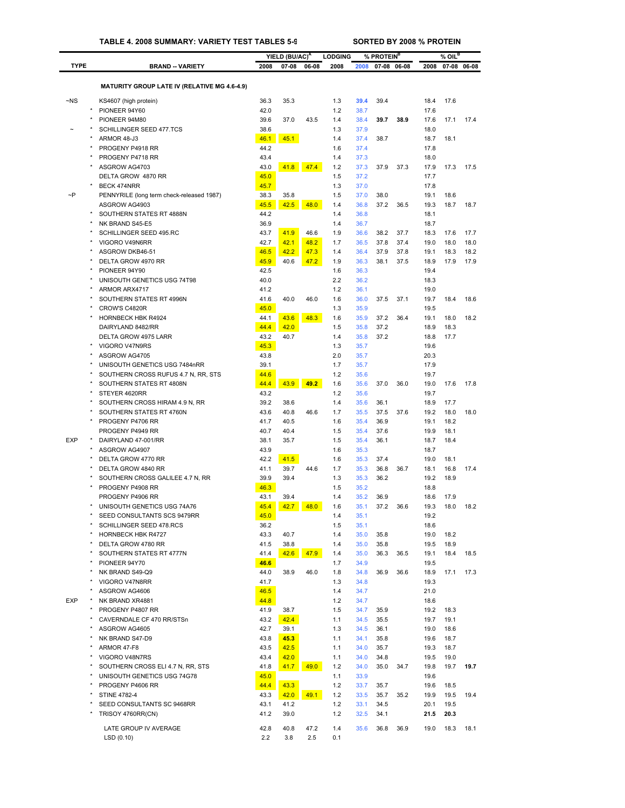|                       |                                                                 |              | YIELD (BU/AC) <sup>A</sup> |              | <b>LODGING</b> |              | % PROTEIN <sup>B</sup> |              |              | % OIL <sup>B</sup> |              |
|-----------------------|-----------------------------------------------------------------|--------------|----------------------------|--------------|----------------|--------------|------------------------|--------------|--------------|--------------------|--------------|
| <b>TYPE</b>           | <b>BRAND -- VARIETY</b>                                         | 2008         | $07 - 08$                  | 06-08        | 2008           | 2008         | 07-08 06-08            |              | 2008         |                    | 07-08 06-08  |
|                       |                                                                 |              |                            |              |                |              |                        |              |              |                    |              |
|                       | <b>MATURITY GROUP LATE IV (RELATIVE MG 4.6-4.9)</b>             |              |                            |              |                |              |                        |              |              |                    |              |
| $-NS$                 | KS4607 (high protein)                                           | 36.3         | 35.3                       |              | 1.3            | 39.4         | 39.4                   |              | 18.4         | 17.6               |              |
|                       | PIONEER 94Y60<br>PIONEER 94M80                                  | 42.0<br>39.6 | 37.0                       | 43.5         | 1.2<br>1.4     | 38.7<br>38.4 | 39.7                   | 38.9         | 17.6<br>17.6 | 17.1               | 17.4         |
|                       | SCHILLINGER SEED 477.TCS                                        | 38.6         |                            |              | 1.3            | 37.9         |                        |              | 18.0         |                    |              |
|                       | ARMOR 48-J3                                                     | 46.1         | 45.1                       |              | 1.4            | 37.4         | 38.7                   |              | 18.7         | 18.1               |              |
|                       | PROGENY P4918 RR                                                | 44.2         |                            |              | 1.6            | 37.4         |                        |              | 17.8         |                    |              |
|                       | PROGENY P4718 RR                                                | 43.4         |                            |              | 1.4            | 37.3         |                        |              | 18.0         |                    |              |
|                       | ASGROW AG4703<br>DELTA GROW 4870 RR                             | 43.0<br>45.0 | 41.8                       | 47.4         | 1.2            | 37.3         | 37.9                   | 37.3         | 17.9         | 17.3               | 17.5         |
|                       | BECK 474NRR                                                     | 45.7         |                            |              | 1.5<br>1.3     | 37.2<br>37.0 |                        |              | 17.7<br>17.8 |                    |              |
| $\sim P$              | PENNYRILE (long term check-released 1987)                       | 38.3         | 35.8                       |              | 1.5            | 37.0         | 38.0                   |              | 19.1         | 18.6               |              |
|                       | ASGROW AG4903                                                   | 45.5         | 42.5                       | 48.0         | 1.4            | 36.8         | 37.2                   | 36.5         | 19.3         | 18.7               | 18.7         |
|                       | SOUTHERN STATES RT 4888N                                        | 44.2         |                            |              | 1.4            | 36.8         |                        |              | 18.1         |                    |              |
|                       | NK BRAND S45-E5                                                 | 36.9         |                            |              | 1.4            | 36.7         |                        |              | 18.7         |                    |              |
|                       | SCHILLINGER SEED 495.RC<br>VIGORO V49N6RR                       | 43.7<br>42.7 | 41.9<br>42.1               | 46.6<br>48.2 | 1.9<br>1.7     | 36.6<br>36.5 | 38.2<br>37.8           | 37.7<br>37.4 | 18.3<br>19.0 | 17.6<br>18.0       | 17.7<br>18.0 |
|                       | ASGROW DKB46-51                                                 | 46.5         | 42.2                       | 47.3         | 1.4            | 36.4         | 37.9                   | 37.8         | 19.1         | 18.3               | 18.2         |
|                       | DELTA GROW 4970 RR                                              | 45.9         | 40.6                       | 47.2         | 1.9            | 36.3         | 38.1                   | 37.5         | 18.9         | 17.9               | 17.9         |
|                       | PIONEER 94Y90                                                   | 42.5         |                            |              | 1.6            | 36.3         |                        |              | 19.4         |                    |              |
|                       | UNISOUTH GENETICS USG 74T98                                     | 40.0         |                            |              | 2.2            | 36.2         |                        |              | 18.3         |                    |              |
|                       | ARMOR ARX4717                                                   | 41.2         |                            |              | 1.2            | 36.1         |                        |              | 19.0         |                    |              |
|                       | SOUTHERN STATES RT 4996N<br>CROW'S C4820R                       | 41.6<br>45.0 | 40.0                       | 46.0         | 1.6<br>1.3     | 36.0<br>35.9 | 37.5                   | 37.1         | 19.7<br>19.5 | 18.4               | 18.6         |
|                       | <b>HORNBECK HBK R4924</b>                                       | 44.1         | 43.6                       | 48.3         | 1.6            | 35.9         | 37.2                   | 36.4         | 19.1         | 18.0               | 18.2         |
|                       | DAIRYLAND 8482/RR                                               | 44.4         | 42.0                       |              | 1.5            | 35.8         | 37.2                   |              | 18.9         | 18.3               |              |
|                       | DELTA GROW 4975 LARR                                            | 43.2         | 40.7                       |              | 1.4            | 35.8         | 37.2                   |              | 18.8         | 17.7               |              |
|                       | VIGORO V47N9RS                                                  | 45.3         |                            |              | 1.3            | 35.7         |                        |              | 19.6         |                    |              |
|                       | ASGROW AG4705                                                   | 43.8         |                            |              | 2.0            | 35.7         |                        |              | 20.3         |                    |              |
|                       | UNISOUTH GENETICS USG 7484nRR                                   | 39.1         |                            |              | 1.7            | 35.7         |                        |              | 17.9         |                    |              |
|                       | SOUTHERN CROSS RUFUS 4.7 N, RR, STS<br>SOUTHERN STATES RT 4808N | 44.6<br>44.4 | 43.9                       | 49.2         | 1.2<br>1.6     | 35.6<br>35.6 | 37.0                   | 36.0         | 19.7<br>19.0 | 17.6               | 17.8         |
|                       | STEYER 4620RR                                                   | 43.2         |                            |              | 1.2            | 35.6         |                        |              | 19.7         |                    |              |
|                       | SOUTHERN CROSS HIRAM 4.9 N, RR                                  | 39.2         | 38.6                       |              | 1.4            | 35.6         | 36.1                   |              | 18.9         | 17.7               |              |
|                       | SOUTHERN STATES RT 4760N                                        | 43.6         | 40.8                       | 46.6         | 1.7            | 35.5         | 37.5                   | 37.6         | 19.2         | 18.0               | 18.0         |
|                       | PROGENY P4706 RR                                                | 41.7         | 40.5                       |              | 1.6            | 35.4         | 36.9                   |              | 19.1         | 18.2               |              |
|                       | PROGENY P4949 RR                                                | 40.7         | 40.4                       |              | 1.5            | 35.4         | 37.6                   |              | 19.9         | 18.1               |              |
| <b>EXP</b><br>$\star$ | DAIRYLAND 47-001/RR<br>ASGROW AG4907                            | 38.1<br>43.9 | 35.7                       |              | 1.5<br>1.6     | 35.4<br>35.3 | 36.1                   |              | 18.7<br>18.7 | 18.4               |              |
|                       | DELTA GROW 4770 RR                                              | 42.2         | 41.5                       |              | 1.6            | 35.3         | 37.4                   |              | 19.0         | 18.1               |              |
|                       | DELTA GROW 4840 RR                                              | 41.1         | 39.7                       | 44.6         | 1.7            | 35.3         | 36.8                   | 36.7         | 18.1         | 16.8               | 17.4         |
|                       | SOUTHERN CROSS GALILEE 4.7 N, RR                                | 39.9         | 39.4                       |              | 1.3            | 35.3         | 36.2                   |              | 19.2         | 18.9               |              |
|                       | PROGENY P4908 RR                                                | 46.3         |                            |              | 1.5            | 35.2         |                        |              | 18.8         |                    |              |
|                       | PROGENY P4906 RR                                                | 43.1         | 39.4                       |              | 1.4            | 35.2         | 36.9                   |              | 18.6         | 17.9               |              |
|                       | UNISOUTH GENETICS USG 74A76<br>SEED CONSULTANTS SCS 9479RR      | 45.4<br>45.0 | 42.7                       | 48.0         | 1.6<br>1.4     | 35.1<br>35.1 | 37.2                   | 36.6         | 19.3<br>19.2 | 18.0               | 18.2         |
|                       | SCHILLINGER SEED 478.RCS                                        | 36.2         |                            |              | 1.5            | 35.1         |                        |              | 18.6         |                    |              |
|                       | HORNBECK HBK R4727                                              | 43.3         | 40.7                       |              | 1.4            | 35.0         | 35.8                   |              | 19.0         | 18.2               |              |
|                       | DELTA GROW 4780 RR                                              | 41.5         | 38.8                       |              | 1.4            | 35.0         | 35.8                   |              | 19.5         | 18.9               |              |
|                       | SOUTHERN STATES RT 4777N                                        | 41.4         | 42.6                       | 47.9         | 1.4            | 35.0         | 36.3                   | 36.5         | 19.1         | 18.4               | 18.5         |
|                       | PIONEER 94Y70                                                   | 46.6         |                            |              | 1.7            | 34.9         |                        |              | 19.5         |                    |              |
|                       | NK BRAND S49-Q9<br>VIGORO V47N8RR                               | 44.0<br>41.7 | 38.9                       | 46.0         | 1.8<br>1.3     | 34.8<br>34.8 | 36.9                   | 36.6         | 18.9<br>19.3 | 17.1               | 17.3         |
|                       | ASGROW AG4606                                                   | 46.5         |                            |              | 1.4            | 34.7         |                        |              | 21.0         |                    |              |
| <b>EXP</b>            | NK BRAND XR4881                                                 | 44.8         |                            |              | 1.2            | 34.7         |                        |              | 18.6         |                    |              |
|                       | PROGENY P4807 RR                                                | 41.9         | 38.7                       |              | 1.5            | 34.7         | 35.9                   |              | 19.2         | 18.3               |              |
|                       | CAVERNDALE CF 470 RR/STSn                                       | 43.2         | 42.4                       |              | 1.1            | 34.5         | 35.5                   |              | 19.7         | 19.1               |              |
|                       | ASGROW AG4605                                                   | 42.7         | 39.1                       |              | 1.3            | 34.5         | 36.1                   |              | 19.0         | 18.6               |              |
|                       | NK BRAND S47-D9<br>ARMOR 47-F8                                  | 43.8<br>43.5 | 45.3<br>42.5               |              | 1.1<br>1.1     | 34.1<br>34.0 | 35.8<br>35.7           |              | 19.6<br>19.3 | 18.7<br>18.7       |              |
|                       | VIGORO V48N7RS                                                  | 43.4         | 42.0                       |              | 1.1            | 34.0         | 34.8                   |              | 19.5         | 19.0               |              |
|                       | SOUTHERN CROSS ELI 4.7 N, RR, STS                               | 41.8         | 41.7                       | 49.0         | 1.2            | 34.0         | 35.0                   | 34.7         | 19.8         | 19.7               | 19.7         |
|                       | UNISOUTH GENETICS USG 74G78                                     | 45.0         |                            |              | 1.1            | 33.9         |                        |              | 19.6         |                    |              |
|                       | PROGENY P4606 RR                                                | 44.4         | 43.3                       |              | 1.2            | 33.7         | 35.7                   |              | 19.6         | 18.5               |              |
| ×                     | <b>STINE 4782-4</b>                                             | 43.3         | 42.0                       | 49.1         | 1.2            | 33.5         | 35.7                   | 35.2         | 19.9         | 19.5               | 19.4         |
|                       | SEED CONSULTANTS SC 9468RR                                      | 43.1<br>41.2 | 41.2                       |              | 1.2<br>1.2     | 33.1         | 34.5<br>34.1           |              | 20.1         | 19.5<br>20.3       |              |
|                       | TRISOY 4760RR(CN)                                               |              | 39.0                       |              |                | 32.5         |                        |              | 21.5         |                    |              |
|                       | LATE GROUP IV AVERAGE                                           | 42.8         | 40.8                       | 47.2         | 1.4            | 35.6         | 36.8                   | 36.9         | 19.0         | 18.3               | 18.1         |
|                       | LSD(0.10)                                                       | 2.2          | 3.8                        | 2.5          | 0.1            |              |                        |              |              |                    |              |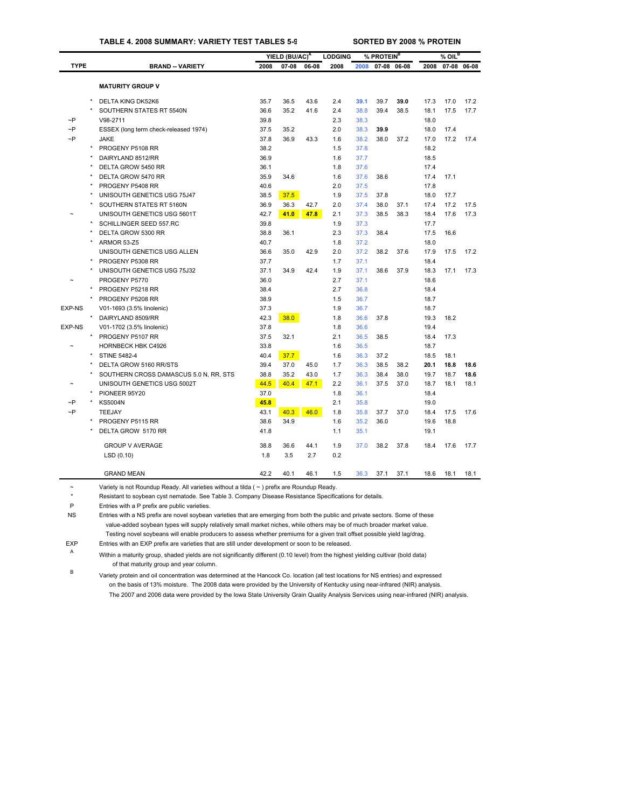# **TABLE 4. 2008 SUMMARY: VARIETY TEST TABLES 5-9 SORTED BY 2008 % PROTEIN**

|               |         |                                        |      | YIELD (BU/AC) <sup>A</sup> |       | <b>LODGING</b> |      | % PROTEIN <sup>B</sup> |             |      | $%$ OIL <sup>B</sup> |       |
|---------------|---------|----------------------------------------|------|----------------------------|-------|----------------|------|------------------------|-------------|------|----------------------|-------|
| <b>TYPE</b>   |         | <b>BRAND - VARIETY</b>                 | 2008 | $07 - 08$                  | 06-08 | 2008           | 2008 |                        | 07-08 06-08 | 2008 | $07 - 08$            | 06-08 |
|               |         |                                        |      |                            |       |                |      |                        |             |      |                      |       |
|               |         | <b>MATURITY GROUP V</b>                |      |                            |       |                |      |                        |             |      |                      |       |
|               |         | DELTA KING DK52K6                      | 35.7 | 36.5                       | 43.6  | 2.4            | 39.1 | 39.7                   | 39.0        | 17.3 | 17.0                 | 17.2  |
|               |         | SOUTHERN STATES RT 5540N               | 36.6 | 35.2                       | 41.6  | 2.4            | 38.8 | 39.4                   | 38.5        | 18.1 | 17.5                 | 17.7  |
| $\sim P$      |         | V98-2711                               | 39.8 |                            |       | 2.3            | 38.3 |                        |             | 18.0 |                      |       |
| $\sim P$      |         | ESSEX (long term check-released 1974)  | 37.5 | 35.2                       |       | 2.0            | 38.3 | 39.9                   |             | 18.0 | 17.4                 |       |
| $\sim P$      |         | <b>JAKE</b>                            | 37.8 | 36.9                       | 43.3  | 1.6            | 38.2 | 38.0                   | 37.2        | 17.0 | 17.2                 | 17.4  |
|               | $\star$ | PROGENY P5108 RR                       | 38.2 |                            |       | 1.5            | 37.8 |                        |             | 18.2 |                      |       |
|               |         | DAIRYLAND 8512/RR                      | 36.9 |                            |       | 1.6            | 37.7 |                        |             | 18.5 |                      |       |
|               |         | DELTA GROW 5450 RR                     | 36.1 |                            |       | 1.8            | 37.6 |                        |             | 17.4 |                      |       |
|               |         | DELTA GROW 5470 RR                     | 35.9 | 34.6                       |       | 1.6            | 37.6 | 38.6                   |             | 17.4 | 17.1                 |       |
|               |         | PROGENY P5408 RR                       | 40.6 |                            |       | 2.0            | 37.5 |                        |             | 17.8 |                      |       |
|               |         | UNISOUTH GENETICS USG 75J47            | 38.5 | 37.5                       |       | 1.9            | 37.5 | 37.8                   |             | 18.0 | 17.7                 |       |
|               |         | SOUTHERN STATES RT 5160N               | 36.9 | 36.3                       | 42.7  | 2.0            | 37.4 | 38.0                   | 37.1        | 17.4 | 17.2                 | 17.5  |
|               |         | UNISOUTH GENETICS USG 5601T            | 42.7 | 41.0                       | 47.8  | 2.1            | 37.3 | 38.5                   | 38.3        | 18.4 | 17.6                 | 17.3  |
|               |         | SCHILLINGER SEED 557.RC                | 39.8 |                            |       | 1.9            | 37.3 |                        |             | 17.7 |                      |       |
|               |         | DELTA GROW 5300 RR                     | 38.8 | 36.1                       |       | 2.3            | 37.3 | 38.4                   |             | 17.5 | 16.6                 |       |
|               |         | <b>ARMOR 53-Z5</b>                     | 40.7 |                            |       | 1.8            | 37.2 |                        |             | 18.0 |                      |       |
|               |         | UNISOUTH GENETICS USG ALLEN            | 36.6 | 35.0                       | 42.9  | 2.0            | 37.2 | 38.2                   | 37.6        | 17.9 | 17.5                 | 17.2  |
|               | $\star$ | PROGENY P5308 RR                       | 37.7 |                            |       | 1.7            | 37.1 |                        |             | 18.4 |                      |       |
|               |         | UNISOUTH GENETICS USG 75J32            | 37.1 | 34.9                       | 42.4  | 1.9            | 37.1 | 38.6                   | 37.9        | 18.3 | 17.1                 | 17.3  |
|               |         | PROGENY P5770                          | 36.0 |                            |       | 2.7            | 37.1 |                        |             | 18.6 |                      |       |
|               | $\star$ | PROGENY P5218 RR                       | 38.4 |                            |       | 2.7            | 36.8 |                        |             | 18.4 |                      |       |
|               |         | PROGENY P5208 RR                       | 38.9 |                            |       | 1.5            | 36.7 |                        |             | 18.7 |                      |       |
| <b>EXP-NS</b> |         | V01-1693 (3.5% linolenic)              | 37.3 |                            |       | 1.9            | 36.7 |                        |             | 18.7 |                      |       |
|               | $\star$ | DAIRYLAND 8509/RR                      | 42.3 | 38.0                       |       | 1.8            | 36.6 | 37.8                   |             | 19.3 | 18.2                 |       |
| <b>EXP-NS</b> |         | V01-1702 (3.5% linolenic)              | 37.8 |                            |       | 1.8            | 36.6 |                        |             | 19.4 |                      |       |
|               |         | PROGENY P5107 RR                       | 37.5 | 32.1                       |       | 2.1            | 36.5 | 38.5                   |             | 18.4 | 17.3                 |       |
|               |         | HORNBECK HBK C4926                     | 33.8 |                            |       | 1.6            | 36.5 |                        |             | 18.7 |                      |       |
|               |         | <b>STINE 5482-4</b>                    | 40.4 | 37.7                       |       | 1.6            | 36.3 | 37.2                   |             | 18.5 | 18.1                 |       |
|               |         | DELTA GROW 5160 RR/STS                 | 39.4 | 37.0                       | 45.0  | 1.7            | 36.3 | 38.5                   | 38.2        | 20.1 | 18.8                 | 18.6  |
|               |         | SOUTHERN CROSS DAMASCUS 5.0 N, RR, STS | 38.8 | 35.2                       | 43.0  | 1.7            | 36.3 | 38.4                   | 38.0        | 19.7 | 18.7                 | 18.6  |
|               |         | UNISOUTH GENETICS USG 5002T            | 44.5 | 40.4                       | 47.1  | 2.2            | 36.1 | 37.5                   | 37.0        | 18.7 | 18.1                 | 18.1  |
|               | $\star$ | PIONEER 95Y20                          | 37.0 |                            |       | 1.8            | 36.1 |                        |             | 18.4 |                      |       |
| $\sim P$      |         | <b>KS5004N</b>                         | 45.8 |                            |       | 2.1            | 35.8 |                        |             | 19.0 |                      |       |
| $\sim P$      |         | TEEJAY                                 | 43.1 | 40.3                       | 46.0  | 1.8            | 35.8 | 37.7                   | 37.0        | 18.4 | 17.5                 | 17.6  |
|               |         | PROGENY P5115 RR                       | 38.6 | 34.9                       |       | 1.6            | 35.2 | 36.0                   |             | 19.6 | 18.8                 |       |
|               |         | DELTA GROW 5170 RR                     | 41.8 |                            |       | 1.1            | 35.1 |                        |             | 19.1 |                      |       |
|               |         |                                        |      |                            |       |                |      |                        |             |      |                      |       |
|               |         | <b>GROUP V AVERAGE</b>                 | 38.8 | 36.6                       | 44.1  | 1.9            | 37.0 | 38.2                   | 37.8        | 18.4 | 17.6                 | 17.7  |
|               |         | LSD(0.10)                              | 1.8  | 3.5                        | 2.7   | 0.2            |      |                        |             |      |                      |       |
|               |         | <b>GRAND MEAN</b>                      | 42.2 | 40.1                       | 46.1  | 1.5            | 36.3 | 37.1                   | 37.1        | 18.6 | 18.1                 | 18.1  |

~ Variety is not Roundup Ready. All varieties without a tilda ( ~ ) prefix are Roundup Ready.

\* Resistant to soybean cyst nematode. See Table 3. Company Disease Resistance Specificatio[ns for detai](#page-29-0)ls.

P Entries with a P prefix are public varieties.

NS Entries with a NS prefix are novel soybean varieties that are emerging from both the public and private sectors. Some of these value-added soybean types will supply relatively small market niches, while others may be of much broader market value. Testing novel soybeans will enable producers to assess whether premiums for a given trait offset possible yield lag/drag.

EXP Entries with an EXP prefix are varieties that are still under development or soon to be released.

<sup>A</sup> Within a maturity group, shaded yields are not significantly different (0.10 level) from the highest yielding cultivar (bold data) of that maturity group and year column.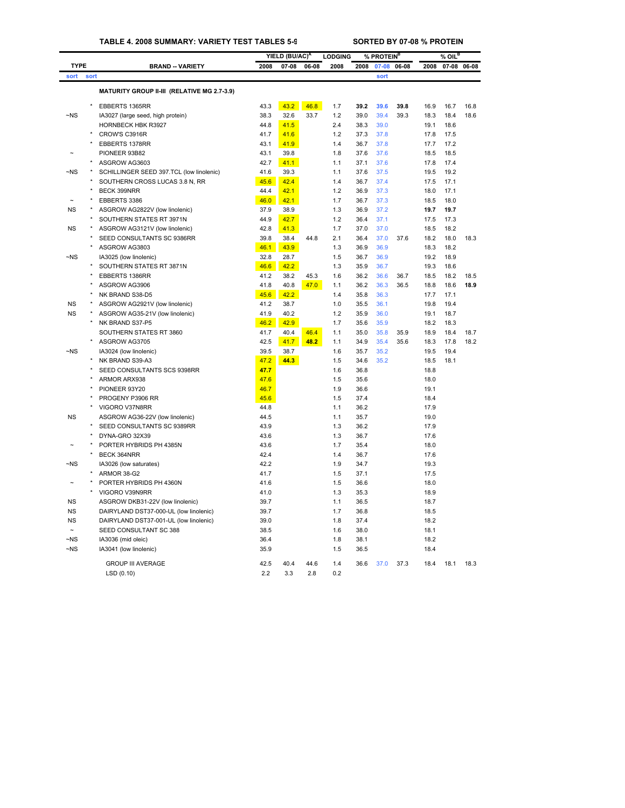## **TABLE 4. 2008 SUMMARY: VARIETY TEST TABLES 5-9 SORTED BY 07-08 % PROTEIN**

| <b>TYPE</b><br><b>BRAND -- VARIETY</b><br>2008<br>2008<br>2008<br>2008<br>07-08<br>06-08<br>07-08<br>06-08<br>sort<br>sort<br>sort<br>MATURITY GROUP II-III (RELATIVE MG 2.7-3.9)<br>EBBERTS 1365RR<br>43.3<br>43.2<br>46.8<br>1.7<br>39.2<br>39.6<br>39.8<br>16.9<br>$-NS$<br>38.3<br>32.6<br>1.2<br>39.0<br>39.4<br>IA3027 (large seed, high protein)<br>33.7<br>39.3<br>18.3<br>HORNBECK HBK R3927<br>44.8<br>41.5<br>2.4<br>38.3<br>39.0<br>19.1<br>CROW'S C3916R<br>41.7<br>41.6<br>1.2<br>37.8<br>17.8<br>37.3<br>43.1<br>EBBERTS 1378RR<br>41.9<br>1.4<br>36.7<br>37.8<br>17.7 | 07-08 06-08<br>16.7<br>16.8 |
|---------------------------------------------------------------------------------------------------------------------------------------------------------------------------------------------------------------------------------------------------------------------------------------------------------------------------------------------------------------------------------------------------------------------------------------------------------------------------------------------------------------------------------------------------------------------------------------|-----------------------------|
|                                                                                                                                                                                                                                                                                                                                                                                                                                                                                                                                                                                       |                             |
|                                                                                                                                                                                                                                                                                                                                                                                                                                                                                                                                                                                       |                             |
|                                                                                                                                                                                                                                                                                                                                                                                                                                                                                                                                                                                       |                             |
|                                                                                                                                                                                                                                                                                                                                                                                                                                                                                                                                                                                       |                             |
|                                                                                                                                                                                                                                                                                                                                                                                                                                                                                                                                                                                       | 18.4<br>18.6                |
|                                                                                                                                                                                                                                                                                                                                                                                                                                                                                                                                                                                       | 18.6                        |
|                                                                                                                                                                                                                                                                                                                                                                                                                                                                                                                                                                                       | 17.5                        |
|                                                                                                                                                                                                                                                                                                                                                                                                                                                                                                                                                                                       | 17.2                        |
| PIONEER 93B82<br>43.1<br>39.8<br>1.8<br>37.6<br>37.6<br>18.5                                                                                                                                                                                                                                                                                                                                                                                                                                                                                                                          | 18.5                        |
| 42.7<br>ASGROW AG3603<br>41.1<br>37.1<br>37.6<br>17.8<br>1.1                                                                                                                                                                                                                                                                                                                                                                                                                                                                                                                          | 17.4                        |
| ~NS<br>SCHILLINGER SEED 397.TCL (low linolenic)<br>41.6<br>39.3<br>1.1<br>37.6<br>37.5<br>19.5                                                                                                                                                                                                                                                                                                                                                                                                                                                                                        | 19.2                        |
| SOUTHERN CROSS LUCAS 3.8 N, RR<br>42.4<br>37.4<br>45.6<br>1.4<br>36.7<br>17.5                                                                                                                                                                                                                                                                                                                                                                                                                                                                                                         | 17.1                        |
| BECK 399NRR<br>44.4<br>42.1<br>1.2<br>36.9<br>37.3<br>18.0                                                                                                                                                                                                                                                                                                                                                                                                                                                                                                                            | 17.1                        |
| 46.0<br>EBBERTS 3386<br>42.1<br>1.7<br>36.7<br>37.3<br>18.5                                                                                                                                                                                                                                                                                                                                                                                                                                                                                                                           | 18.0                        |
| NS<br>ASGROW AG2822V (low linolenic)<br>37.9<br>38.9<br>1.3<br>36.9<br>37.2<br>19.7                                                                                                                                                                                                                                                                                                                                                                                                                                                                                                   | 19.7                        |
| SOUTHERN STATES RT 3971N<br>44.9<br>42.7<br>1.2<br>37.1<br>36.4<br>17.5                                                                                                                                                                                                                                                                                                                                                                                                                                                                                                               | 17.3                        |
| 42.8<br>41.3<br>1.7<br>ΝS<br>ASGROW AG3121V (low linolenic)<br>37.0<br>37.0<br>18.5                                                                                                                                                                                                                                                                                                                                                                                                                                                                                                   | 18.2                        |
| SEED CONSULTANTS SC 9386RR<br>39.8<br>38.4<br>44.8<br>2.1<br>36.4<br>37.0<br>37.6<br>18.2                                                                                                                                                                                                                                                                                                                                                                                                                                                                                             | 18.0<br>18.3                |
| ASGROW AG3803<br>46.1<br>36.9<br>43.9<br>1.3<br>36.9<br>18.3                                                                                                                                                                                                                                                                                                                                                                                                                                                                                                                          | 18.2                        |
| 32.8<br>28.7<br>~NS<br>IA3025 (low linolenic)<br>1.5<br>36.7<br>36.9<br>19.2                                                                                                                                                                                                                                                                                                                                                                                                                                                                                                          | 18.9                        |
| SOUTHERN STATES RT 3871N<br>46.6<br>42.2<br>1.3<br>35.9<br>36.7<br>19.3                                                                                                                                                                                                                                                                                                                                                                                                                                                                                                               | 18.6                        |
| EBBERTS 1386RR<br>41.2<br>38.2<br>45.3<br>1.6<br>36.2<br>36.6<br>18.5<br>36.7                                                                                                                                                                                                                                                                                                                                                                                                                                                                                                         | 18.2<br>18.5                |
| ASGROW AG3906<br>41.8<br>40.8<br>47.0<br>1.1<br>36.2<br>36.3<br>36.5<br>18.8                                                                                                                                                                                                                                                                                                                                                                                                                                                                                                          | 18.6<br>18.9                |
| NK BRAND S38-D5<br>45.6<br>42.2<br>1.4<br>35.8<br>36.3<br>17.7                                                                                                                                                                                                                                                                                                                                                                                                                                                                                                                        | 17.1                        |
| <b>NS</b><br>ASGROW AG2921V (low linolenic)<br>41.2<br>38.7<br>36.1<br>1.0<br>35.5<br>19.8                                                                                                                                                                                                                                                                                                                                                                                                                                                                                            | 19.4                        |
| <b>NS</b><br>ASGROW AG35-21V (low linolenic)<br>41.9<br>40.2<br>1.2<br>35.9<br>36.0<br>19.1                                                                                                                                                                                                                                                                                                                                                                                                                                                                                           | 18.7                        |
| NK BRAND S37-P5<br>46.2<br>42.9<br>1.7<br>35.6<br>35.9<br>18.2                                                                                                                                                                                                                                                                                                                                                                                                                                                                                                                        | 18.3                        |
| SOUTHERN STATES RT 3860<br>41.7<br>40.4<br>46.4<br>35.0<br>35.8<br>18.9<br>35.9<br>1.1                                                                                                                                                                                                                                                                                                                                                                                                                                                                                                | 18.4<br>18.7                |
| ASGROW AG3705<br>42.5<br>41.7<br>48.2<br>1.1<br>34.9<br>35.4<br>35.6<br>18.3                                                                                                                                                                                                                                                                                                                                                                                                                                                                                                          | 17.8<br>18.2                |
| $\neg$ NS<br>39.5<br>38.7<br>35.7<br>35.2<br>IA3024 (low linolenic)<br>1.6<br>19.5                                                                                                                                                                                                                                                                                                                                                                                                                                                                                                    | 19.4                        |
| NK BRAND S39-A3<br>47.2<br>1.5<br>35.2<br>44.3<br>34.6<br>18.5                                                                                                                                                                                                                                                                                                                                                                                                                                                                                                                        | 18.1                        |
| SEED CONSULTANTS SCS 9398RR<br>47.7<br>1.6<br>36.8<br>18.8                                                                                                                                                                                                                                                                                                                                                                                                                                                                                                                            |                             |
| ARMOR ARX938<br>47.6<br>1.5<br>35.6<br>18.0                                                                                                                                                                                                                                                                                                                                                                                                                                                                                                                                           |                             |
| PIONEER 93Y20<br>46.7<br>1.9<br>36.6<br>19.1                                                                                                                                                                                                                                                                                                                                                                                                                                                                                                                                          |                             |
| PROGENY P3906 RR<br>1.5<br>37.4<br>45.6<br>18.4                                                                                                                                                                                                                                                                                                                                                                                                                                                                                                                                       |                             |
| VIGORO V37N8RR<br>44.8<br>36.2<br>17.9<br>1.1                                                                                                                                                                                                                                                                                                                                                                                                                                                                                                                                         |                             |
| <b>NS</b><br>ASGROW AG36-22V (low linolenic)<br>35.7<br>44.5<br>1.1<br>19.0                                                                                                                                                                                                                                                                                                                                                                                                                                                                                                           |                             |
| SEED CONSULTANTS SC 9389RR<br>43.9<br>1.3<br>36.2<br>17.9                                                                                                                                                                                                                                                                                                                                                                                                                                                                                                                             |                             |
| DYNA-GRO 32X39<br>43.6<br>1.3<br>36.7<br>17.6                                                                                                                                                                                                                                                                                                                                                                                                                                                                                                                                         |                             |
| PORTER HYBRIDS PH 4385N<br>43.6<br>1.7<br>35.4<br>18.0                                                                                                                                                                                                                                                                                                                                                                                                                                                                                                                                |                             |
| <b>BECK 364NRR</b><br>42.4<br>1.4<br>36.7<br>17.6                                                                                                                                                                                                                                                                                                                                                                                                                                                                                                                                     |                             |
| $\neg$ <sub>NS</sub><br>42.2<br>IA3026 (low saturates)<br>1.9<br>34.7<br>19.3                                                                                                                                                                                                                                                                                                                                                                                                                                                                                                         |                             |
| ARMOR 38-G2<br>41.7<br>1.5<br>37.1<br>17.5                                                                                                                                                                                                                                                                                                                                                                                                                                                                                                                                            |                             |
| PORTER HYBRIDS PH 4360N<br>41.6<br>1.5<br>36.6<br>18.0                                                                                                                                                                                                                                                                                                                                                                                                                                                                                                                                |                             |
| VIGORO V39N9RR<br>41.0<br>1.3<br>35.3<br>18.9                                                                                                                                                                                                                                                                                                                                                                                                                                                                                                                                         |                             |
| <b>NS</b><br>ASGROW DKB31-22V (low linolenic)<br>39.7<br>1.1<br>36.5<br>18.7                                                                                                                                                                                                                                                                                                                                                                                                                                                                                                          |                             |
| <b>NS</b><br>DAIRYLAND DST37-000-UL (low linolenic)<br>39.7<br>1.7<br>36.8<br>18.5                                                                                                                                                                                                                                                                                                                                                                                                                                                                                                    |                             |
| <b>NS</b><br>DAIRYLAND DST37-001-UL (low linolenic)<br>1.8<br>37.4<br>18.2<br>39.0                                                                                                                                                                                                                                                                                                                                                                                                                                                                                                    |                             |
| SEED CONSULTANT SC 388<br>38.5<br>1.6<br>38.0<br>18.1                                                                                                                                                                                                                                                                                                                                                                                                                                                                                                                                 |                             |
| $\neg$ <sub>NS</sub><br>IA3036 (mid oleic)<br>36.4<br>1.8<br>38.1<br>18.2                                                                                                                                                                                                                                                                                                                                                                                                                                                                                                             |                             |
| $-NS$<br>35.9<br>1.5<br>IA3041 (low linolenic)<br>36.5<br>18.4                                                                                                                                                                                                                                                                                                                                                                                                                                                                                                                        |                             |
| <b>GROUP III AVERAGE</b><br>42.5<br>40.4<br>44.6<br>1.4<br>36.6<br>37.0<br>37.3<br>18.4                                                                                                                                                                                                                                                                                                                                                                                                                                                                                               | 18.1<br>18.3                |
| 2.2<br>LSD(0.10)<br>3.3<br>2.8<br>0.2                                                                                                                                                                                                                                                                                                                                                                                                                                                                                                                                                 |                             |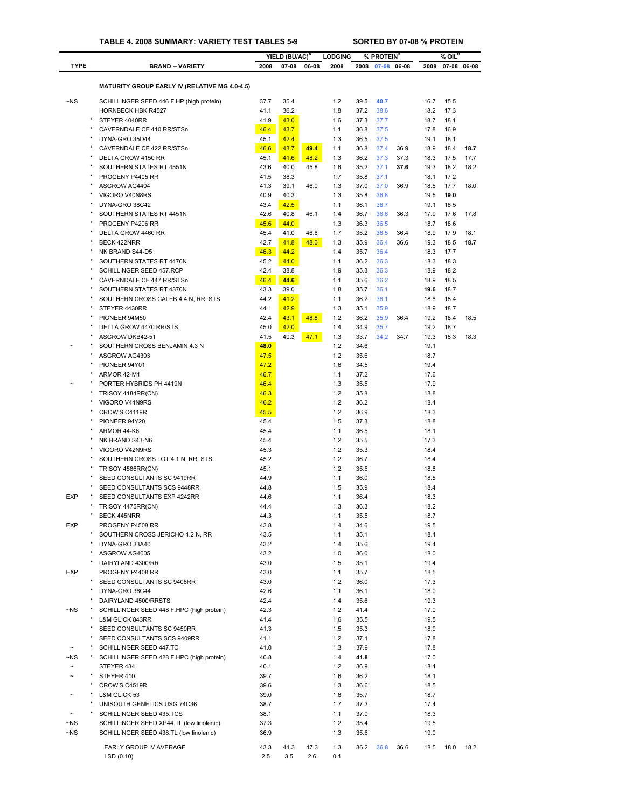|                      |                                                                      |              | YIELD (BU/AC) <sup>A</sup> |              | <b>LODGING</b> |              | % PROTEIN <sup>B</sup> |             |              | $%$ OIL <sup>B</sup> |              |
|----------------------|----------------------------------------------------------------------|--------------|----------------------------|--------------|----------------|--------------|------------------------|-------------|--------------|----------------------|--------------|
| <b>TYPE</b>          | <b>BRAND -- VARIETY</b>                                              | 2008         | $07 - 08$                  | 06-08        | 2008           | 2008         |                        | 07-08 06-08 | 2008         |                      | 07-08 06-08  |
|                      |                                                                      |              |                            |              |                |              |                        |             |              |                      |              |
|                      | <b>MATURITY GROUP EARLY IV (RELATIVE MG 4.0-4.5)</b>                 |              |                            |              |                |              |                        |             |              |                      |              |
| $\neg$ NS            | SCHILLINGER SEED 446 F.HP (high protein)                             | 37.7         | 35.4                       |              | 1.2            | 39.5         | 40.7                   |             | 16.7         | 15.5                 |              |
|                      | <b>HORNBECK HBK R4527</b>                                            | 41.1         | 36.2                       |              | 1.8            | 37.2         | 38.6                   |             | 18.2         | 17.3                 |              |
|                      | STEYER 4040RR                                                        | 41.9         | 43.0                       |              | 1.6            | 37.3         | 37.7                   |             | 18.7         | 18.1                 |              |
|                      | CAVERNDALE CF 410 RR/STSn                                            | 46.4         | 43.7                       |              | 1.1            | 36.8         | 37.5                   |             | 17.8         | 16.9                 |              |
|                      | DYNA-GRO 35D44<br>CAVERNDALE CF 422 RR/STSn                          | 45.1<br>46.6 | 42.4<br>43.7               | 49.4         | 1.3<br>1.1     | 36.5<br>36.8 | 37.5<br>37.4           | 36.9        | 19.1<br>18.9 | 18.1<br>18.4         | 18.7         |
|                      | DELTA GROW 4150 RR                                                   | 45.1         | 41.6                       | 48.2         | 1.3            | 36.2         | 37.3                   | 37.3        | 18.3         | 17.5                 | 17.7         |
|                      | SOUTHERN STATES RT 4551N                                             | 43.6         | 40.0                       | 45.8         | 1.6            | 35.2         | 37.1                   | 37.6        | 19.3         | 18.2                 | 18.2         |
|                      | PROGENY P4405 RR                                                     | 41.5         | 38.3                       |              | 1.7            | 35.8         | 37.1                   |             | 18.1         | 17.2                 |              |
|                      | ASGROW AG4404                                                        | 41.3         | 39.1                       | 46.0         | 1.3            | 37.0         | 37.0                   | 36.9        | 18.5         | 17.7                 | 18.0         |
|                      | VIGORO V40N8RS                                                       | 40.9         | 40.3                       |              | 1.3            | 35.8         | 36.8                   |             | 19.5         | 19.0                 |              |
|                      | DYNA-GRO 38C42                                                       | 43.4         | 42.5                       |              | 1.1            | 36.1         | 36.7                   |             | 19.1         | 18.5                 |              |
|                      | SOUTHERN STATES RT 4451N                                             | 42.6         | 40.8                       | 46.1         | 1.4            | 36.7         | 36.6                   | 36.3        | 17.9         | 17.6                 | 17.8         |
|                      | PROGENY P4206 RR                                                     | 45.6         | 44.0                       |              | 1.3            | 36.3         | 36.5                   |             | 18.7         | 18.6                 |              |
|                      | DELTA GROW 4460 RR                                                   | 45.4<br>42.7 | 41.0<br>41.8               | 46.6<br>48.0 | 1.7            | 35.2<br>35.9 | 36.5<br>36.4           | 36.4        | 18.9<br>19.3 | 17.9                 | 18.1<br>18.7 |
|                      | BECK 422NRR<br>NK BRAND S44-D5                                       | 46.3         | 44.2                       |              | 1.3<br>1.4     | 35.7         | 36.4                   | 36.6        | 18.3         | 18.5<br>17.7         |              |
|                      | SOUTHERN STATES RT 4470N                                             | 45.2         | 44.0                       |              | 1.1            | 36.2         | 36.3                   |             | 18.3         | 18.3                 |              |
|                      | SCHILLINGER SEED 457.RCP                                             | 42.4         | 38.8                       |              | 1.9            | 35.3         | 36.3                   |             | 18.9         | 18.2                 |              |
|                      | CAVERNDALE CF 447 RR/STSn                                            | 46.4         | 44.6                       |              | 1.1            | 35.6         | 36.2                   |             | 18.9         | 18.5                 |              |
|                      | SOUTHERN STATES RT 4370N                                             | 43.3         | 39.0                       |              | 1.8            | 35.7         | 36.1                   |             | 19.6         | 18.7                 |              |
|                      | SOUTHERN CROSS CALEB 4.4 N, RR, STS                                  | 44.2         | 41.2                       |              | 1.1            | 36.2         | 36.1                   |             | 18.8         | 18.4                 |              |
|                      | STEYER 4430RR                                                        | 44.1         | 42.9                       |              | 1.3            | 35.1         | 35.9                   |             | 18.9         | 18.7                 |              |
|                      | PIONEER 94M50                                                        | 42.4         | 43.1                       | 48.8         | 1.2            | 36.2         | 35.9                   | 36.4        | 19.2         | 18.4                 | 18.5         |
|                      | DELTA GROW 4470 RR/STS                                               | 45.0         | 42.0                       |              | 1.4            | 34.9         | 35.7                   |             | 19.2         | 18.7                 |              |
|                      | ASGROW DKB42-51                                                      | 41.5         | 40.3                       | 47.1         | 1.3            | 33.7         | 34.2                   | 34.7        | 19.3         | 18.3                 | 18.3         |
|                      | SOUTHERN CROSS BENJAMIN 4.3 N                                        | 48.0         |                            |              | 1.2            | 34.6         |                        |             | 19.1         |                      |              |
|                      | ASGROW AG4303                                                        | 47.5         |                            |              | 1.2            | 35.6         |                        |             | 18.7         |                      |              |
|                      | PIONEER 94Y01                                                        | 47.2         |                            |              | 1.6            | 34.5         |                        |             | 19.4         |                      |              |
|                      | ARMOR 42-M1<br>PORTER HYBRIDS PH 4419N                               | 46.7<br>46.4 |                            |              | 1.1<br>1.3     | 37.2<br>35.5 |                        |             | 17.6<br>17.9 |                      |              |
|                      | TRISOY 4184RR(CN)                                                    | 46.3         |                            |              | 1.2            | 35.8         |                        |             | 18.8         |                      |              |
|                      | VIGORO V44N9RS                                                       | 46.2         |                            |              | 1.2            | 36.2         |                        |             | 18.4         |                      |              |
|                      | CROW'S C4119R                                                        | 45.5         |                            |              | 1.2            | 36.9         |                        |             | 18.3         |                      |              |
|                      | PIONEER 94Y20                                                        | 45.4         |                            |              | 1.5            | 37.3         |                        |             | 18.8         |                      |              |
|                      | ARMOR 44-K6                                                          | 45.4         |                            |              | 1.1            | 36.5         |                        |             | 18.1         |                      |              |
|                      | NK BRAND S43-N6                                                      | 45.4         |                            |              | 1.2            | 35.5         |                        |             | 17.3         |                      |              |
|                      | VIGORO V42N9RS                                                       | 45.3         |                            |              | 1.2            | 35.3         |                        |             | 18.4         |                      |              |
|                      | SOUTHERN CROSS LOT 4.1 N, RR, STS                                    | 45.2         |                            |              | 1.2            | 36.7         |                        |             | 18.4         |                      |              |
|                      | TRISOY 4586RR(CN)                                                    | 45.1         |                            |              | 1.2            | 35.5         |                        |             | 18.8         |                      |              |
|                      | SEED CONSULTANTS SC 9419RR                                           | 44.9         |                            |              | 1.1            | 36.0         |                        |             | 18.5         |                      |              |
|                      | SEED CONSULTANTS SCS 9448RR                                          | 44.8         |                            |              | 1.5            | 35.9         |                        |             | 18.4         |                      |              |
| <b>EXP</b>           | SEED CONSULTANTS EXP 4242RR                                          | 44.6         |                            |              | 1.1            | 36.4         |                        |             | 18.3         |                      |              |
|                      | TRISOY 4475RR(CN)<br>BECK 445NRR                                     | 44.4<br>44.3 |                            |              | 1.3<br>1.1     | 36.3<br>35.5 |                        |             | 18.2<br>18.7 |                      |              |
| <b>EXP</b>           | PROGENY P4508 RR                                                     | 43.8         |                            |              | 1.4            | 34.6         |                        |             | 19.5         |                      |              |
|                      | SOUTHERN CROSS JERICHO 4.2 N, RR                                     | 43.5         |                            |              | 1.1            | 35.1         |                        |             | 18.4         |                      |              |
|                      | DYNA-GRO 33A40                                                       | 43.2         |                            |              | 1.4            | 35.6         |                        |             | 19.4         |                      |              |
|                      | ASGROW AG4005                                                        | 43.2         |                            |              | 1.0            | 36.0         |                        |             | 18.0         |                      |              |
|                      | DAIRYLAND 4300/RR                                                    | 43.0         |                            |              | 1.5            | 35.1         |                        |             | 19.4         |                      |              |
| EXP                  | PROGENY P4408 RR                                                     | 43.0         |                            |              | 1.1            | 35.7         |                        |             | 18.5         |                      |              |
|                      | SEED CONSULTANTS SC 9408RR                                           | 43.0         |                            |              | $1.2$          | 36.0         |                        |             | 17.3         |                      |              |
|                      | DYNA-GRO 36C44                                                       | 42.6         |                            |              | 1.1            | 36.1         |                        |             | 18.0         |                      |              |
|                      | DAIRYLAND 4500/RRSTS                                                 | 42.4         |                            |              | 1.4            | 35.6         |                        |             | 19.3         |                      |              |
| $\neg$ NS            | SCHILLINGER SEED 448 F.HPC (high protein)                            | 42.3         |                            |              | 1.2            | 41.4         |                        |             | 17.0         |                      |              |
|                      | L&M GLICK 843RR                                                      | 41.4         |                            |              | 1.6            | 35.5         |                        |             | 19.5         |                      |              |
|                      | SEED CONSULTANTS SC 9459RR                                           | 41.3         |                            |              | 1.5            | 35.3         |                        |             | 18.9         |                      |              |
|                      | SEED CONSULTANTS SCS 9409RR                                          | 41.1         |                            |              | $1.2$          | 37.1         |                        |             | 17.8         |                      |              |
| $\neg$ NS            | SCHILLINGER SEED 447.TC<br>SCHILLINGER SEED 428 F.HPC (high protein) | 41.0<br>40.8 |                            |              | 1.3<br>1.4     | 37.9<br>41.8 |                        |             | 17.8<br>17.0 |                      |              |
| $\tilde{}$           | STEYER 434                                                           | 40.1         |                            |              | $1.2$          | 36.9         |                        |             | 18.4         |                      |              |
| $\ddot{\phantom{1}}$ | STEYER 410                                                           | 39.7         |                            |              | 1.6            | 36.2         |                        |             | 18.1         |                      |              |
|                      | CROW'S C4519R                                                        | 39.6         |                            |              | 1.3            | 36.6         |                        |             | 18.5         |                      |              |
|                      | L&M GLICK 53                                                         | 39.0         |                            |              | 1.6            | 35.7         |                        |             | 18.7         |                      |              |
|                      | UNISOUTH GENETICS USG 74C36                                          | 38.7         |                            |              | 1.7            | 37.3         |                        |             | 17.4         |                      |              |
|                      | SCHILLINGER SEED 435.TCS                                             | 38.1         |                            |              | 1.1            | 37.0         |                        |             | 18.3         |                      |              |
| $\neg$ NS            | SCHILLINGER SEED XP44.TL (low linolenic)                             | 37.3         |                            |              | $1.2$          | 35.4         |                        |             | 19.5         |                      |              |
| $\neg$ NS            | SCHILLINGER SEED 438.TL (low linolenic)                              | 36.9         |                            |              | 1.3            | 35.6         |                        |             | 19.0         |                      |              |
|                      | EARLY GROUP IV AVERAGE                                               | 43.3         | 41.3                       | 47.3         | 1.3            | 36.2         | 36.8                   | 36.6        | 18.5         | 18.0                 | 18.2         |
|                      | LSD (0.10)                                                           | 2.5          | 3.5                        | 2.6          | 0.1            |              |                        |             |              |                      |              |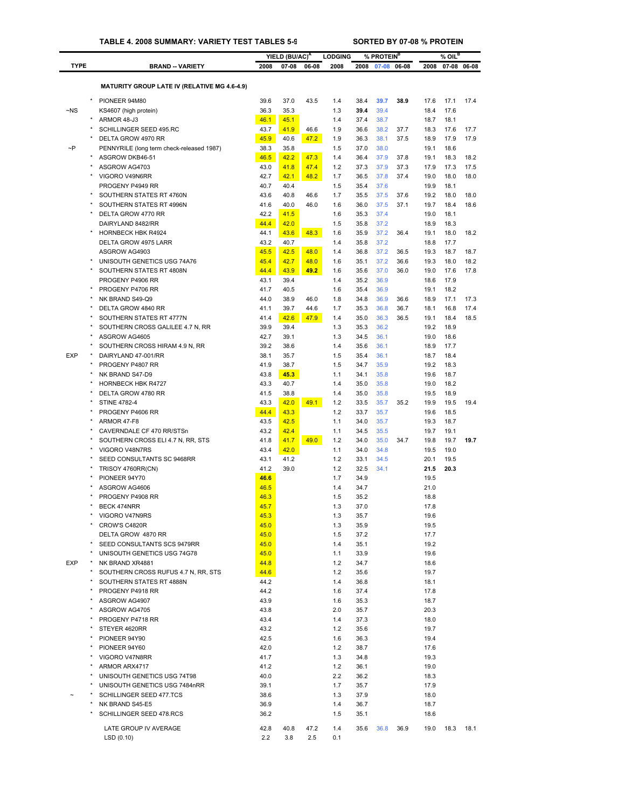|             |                                                       |              | YIELD (BU/AC) <sup>A</sup> |       | <b>LODGING</b> |              | % PROTEIN <sup>B</sup> |       |              | $%$ OIL <sup>B</sup> |             |
|-------------|-------------------------------------------------------|--------------|----------------------------|-------|----------------|--------------|------------------------|-------|--------------|----------------------|-------------|
| <b>TYPE</b> | <b>BRAND - VARIETY</b>                                | 2008         | 07-08                      | 06-08 | 2008           | 2008         | 07-08                  | 06-08 | 2008         |                      | 07-08 06-08 |
|             |                                                       |              |                            |       |                |              |                        |       |              |                      |             |
|             | <b>MATURITY GROUP LATE IV (RELATIVE MG 4.6-4.9)</b>   |              |                            |       |                |              |                        |       |              |                      |             |
|             | PIONEER 94M80                                         | 39.6         | 37.0                       | 43.5  | 1.4            | 38.4         | 39.7                   | 38.9  | 17.6         | 17.1                 | 17.4        |
| $-NS$       | KS4607 (high protein)                                 | 36.3         | 35.3                       |       | 1.3            | 39.4         | 39.4                   |       | 18.4         | 17.6                 |             |
|             | ARMOR 48-J3                                           | 46.1         | 45.1                       |       | 1.4            | 37.4         | 38.7                   |       | 18.7         | 18.1                 |             |
|             | SCHILLINGER SEED 495.RC                               | 43.7         | 41.9                       | 46.6  | 1.9            | 36.6         | 38.2                   | 37.7  | 18.3         | 17.6                 | 17.7        |
|             | DELTA GROW 4970 RR                                    | 45.9         | 40.6                       | 47.2  | 1.9            | 36.3         | 38.1                   | 37.5  | 18.9         | 17.9                 | 17.9        |
| $\sim P$    | PENNYRILE (long term check-released 1987)             | 38.3         | 35.8                       |       | 1.5            | 37.0         | 38.0                   |       | 19.1         | 18.6                 |             |
|             | ASGROW DKB46-51                                       | 46.5         | 42.2                       | 47.3  | 1.4            | 36.4         | 37.9                   | 37.8  | 19.1         | 18.3                 | 18.2        |
|             | ASGROW AG4703                                         | 43.0         | 41.8                       | 47.4  | 1.2            | 37.3         | 37.9                   | 37.3  | 17.9         | 17.3                 | 17.5        |
|             | VIGORO V49N6RR<br>PROGENY P4949 RR                    | 42.7         | 42.1                       | 48.2  | 1.7            | 36.5         | 37.8                   | 37.4  | 19.0<br>19.9 | 18.0<br>18.1         | 18.0        |
|             | SOUTHERN STATES RT 4760N                              | 40.7<br>43.6 | 40.4<br>40.8               | 46.6  | 1.5<br>1.7     | 35.4<br>35.5 | 37.6<br>37.5           | 37.6  | 19.2         | 18.0                 | 18.0        |
|             | SOUTHERN STATES RT 4996N                              | 41.6         | 40.0                       | 46.0  | 1.6            | 36.0         | 37.5                   | 37.1  | 19.7         | 18.4                 | 18.6        |
|             | DELTA GROW 4770 RR                                    | 42.2         | 41.5                       |       | 1.6            | 35.3         | 37.4                   |       | 19.0         | 18.1                 |             |
|             | DAIRYLAND 8482/RR                                     | 44.4         | 42.0                       |       | 1.5            | 35.8         | 37.2                   |       | 18.9         | 18.3                 |             |
|             | <b>HORNBECK HBK R4924</b>                             | 44.1         | 43.6                       | 48.3  | 1.6            | 35.9         | 37.2                   | 36.4  | 19.1         | 18.0                 | 18.2        |
|             | DELTA GROW 4975 LARR                                  | 43.2         | 40.7                       |       | 1.4            | 35.8         | 37.2                   |       | 18.8         | 17.7                 |             |
|             | ASGROW AG4903                                         | 45.5         | 42.5                       | 48.0  | 1.4            | 36.8         | 37.2                   | 36.5  | 19.3         | 18.7                 | 18.7        |
|             | UNISOUTH GENETICS USG 74A76                           | 45.4         | 42.7                       | 48.0  | 1.6            | 35.1         | 37.2                   | 36.6  | 19.3         | 18.0                 | 18.2        |
|             | SOUTHERN STATES RT 4808N                              | 44.4         | 43.9                       | 49.2  | 1.6            | 35.6         | 37.0                   | 36.0  | 19.0         | 17.6                 | 17.8        |
|             | PROGENY P4906 RR                                      | 43.1         | 39.4                       |       | 1.4            | 35.2         | 36.9                   |       | 18.6         | 17.9                 |             |
|             | PROGENY P4706 RR                                      | 41.7         | 40.5                       |       | 1.6            | 35.4         | 36.9                   |       | 19.1         | 18.2                 |             |
|             | NK BRAND S49-Q9                                       | 44.0         | 38.9                       | 46.0  | 1.8            | 34.8         | 36.9                   | 36.6  | 18.9         | 17.1                 | 17.3        |
|             | DELTA GROW 4840 RR                                    | 41.1         | 39.7                       | 44.6  | 1.7            | 35.3         | 36.8                   | 36.7  | 18.1         | 16.8                 | 17.4        |
|             | SOUTHERN STATES RT 4777N                              | 41.4         | 42.6                       | 47.9  | 1.4            | 35.0         | 36.3                   | 36.5  | 19.1         | 18.4                 | 18.5        |
|             | SOUTHERN CROSS GALILEE 4.7 N, RR                      | 39.9         | 39.4                       |       | 1.3            | 35.3         | 36.2                   |       | 19.2         | 18.9                 |             |
|             | ASGROW AG4605                                         | 42.7         | 39.1                       |       | 1.3            | 34.5         | 36.1                   |       | 19.0         | 18.6                 |             |
| <b>EXP</b>  | SOUTHERN CROSS HIRAM 4.9 N, RR<br>DAIRYLAND 47-001/RR | 39.2<br>38.1 | 38.6<br>35.7               |       | 1.4<br>1.5     | 35.6<br>35.4 | 36.1<br>36.1           |       | 18.9<br>18.7 | 17.7<br>18.4         |             |
|             | PROGENY P4807 RR                                      | 41.9         | 38.7                       |       | 1.5            | 34.7         | 35.9                   |       | 19.2         | 18.3                 |             |
|             | NK BRAND S47-D9                                       | 43.8         | 45.3                       |       | 1.1            | 34.1         | 35.8                   |       | 19.6         | 18.7                 |             |
|             | <b>HORNBECK HBK R4727</b>                             | 43.3         | 40.7                       |       | 1.4            | 35.0         | 35.8                   |       | 19.0         | 18.2                 |             |
|             | DELTA GROW 4780 RR                                    | 41.5         | 38.8                       |       | 1.4            | 35.0         | 35.8                   |       | 19.5         | 18.9                 |             |
|             | <b>STINE 4782-4</b>                                   | 43.3         | 42.0                       | 49.1  | 1.2            | 33.5         | 35.7                   | 35.2  | 19.9         | 19.5                 | 19.4        |
|             | PROGENY P4606 RR                                      | 44.4         | 43.3                       |       | 1.2            | 33.7         | 35.7                   |       | 19.6         | 18.5                 |             |
|             | ARMOR 47-F8                                           | 43.5         | 42.5                       |       | 1.1            | 34.0         | 35.7                   |       | 19.3         | 18.7                 |             |
|             | CAVERNDALE CF 470 RR/STSn                             | 43.2         | 42.4                       |       | 1.1            | 34.5         | 35.5                   |       | 19.7         | 19.1                 |             |
|             | SOUTHERN CROSS ELI 4.7 N, RR, STS                     | 41.8         | 41.7                       | 49.0  | 1.2            | 34.0         | 35.0                   | 34.7  | 19.8         | 19.7                 | 19.7        |
|             | VIGORO V48N7RS                                        | 43.4         | 42.0                       |       | 1.1            | 34.0         | 34.8                   |       | 19.5         | 19.0                 |             |
|             | SEED CONSULTANTS SC 9468RR                            | 43.1         | 41.2                       |       | 1.2            | 33.1         | 34.5                   |       | 20.1         | 19.5                 |             |
|             | TRISOY 4760RR(CN)                                     | 41.2         | 39.0                       |       | 1.2            | 32.5         | 34.1                   |       | 21.5         | 20.3                 |             |
|             | PIONEER 94Y70                                         | 46.6         |                            |       | 1.7            | 34.9         |                        |       | 19.5         |                      |             |
|             | ASGROW AG4606                                         | 46.5         |                            |       | 1.4            | 34.7         |                        |       | 21.0         |                      |             |
|             | PROGENY P4908 RR                                      | 46.3         |                            |       | 1.5            | 35.2         |                        |       | 18.8         |                      |             |
|             | BECK 474NRR                                           | <u>45.7</u>  |                            |       | 1.3            | 37.0         |                        |       | 17.8         |                      |             |
|             | VIGORO V47N9RS                                        | 45.3         |                            |       | 1.3            | 35.7         |                        |       | 19.6         |                      |             |
|             | CROW'S C4820R<br>DELTA GROW 4870 RR                   | 45.0<br>45.0 |                            |       | 1.3            | 35.9         |                        |       | 19.5         |                      |             |
|             | SEED CONSULTANTS SCS 9479RR                           |              |                            |       | 1.5<br>1.4     | 37.2         |                        |       | 17.7<br>19.2 |                      |             |
|             | UNISOUTH GENETICS USG 74G78                           | 45.0<br>45.0 |                            |       | 1.1            | 35.1<br>33.9 |                        |       | 19.6         |                      |             |
| <b>EXP</b>  | NK BRAND XR4881                                       | 44.8         |                            |       | 1.2            | 34.7         |                        |       | 18.6         |                      |             |
|             | SOUTHERN CROSS RUFUS 4.7 N, RR, STS                   | 44.6         |                            |       | 1.2            | 35.6         |                        |       | 19.7         |                      |             |
|             | SOUTHERN STATES RT 4888N                              | 44.2         |                            |       | 1.4            | 36.8         |                        |       | 18.1         |                      |             |
|             | PROGENY P4918 RR                                      | 44.2         |                            |       | 1.6            | 37.4         |                        |       | 17.8         |                      |             |
|             | ASGROW AG4907                                         | 43.9         |                            |       | 1.6            | 35.3         |                        |       | 18.7         |                      |             |
|             | ASGROW AG4705                                         | 43.8         |                            |       | 2.0            | 35.7         |                        |       | 20.3         |                      |             |
|             | PROGENY P4718 RR                                      | 43.4         |                            |       | 1.4            | 37.3         |                        |       | 18.0         |                      |             |
|             | STEYER 4620RR                                         | 43.2         |                            |       | 1.2            | 35.6         |                        |       | 19.7         |                      |             |
|             | PIONEER 94Y90                                         | 42.5         |                            |       | 1.6            | 36.3         |                        |       | 19.4         |                      |             |
|             | PIONEER 94Y60                                         | 42.0         |                            |       | 1.2            | 38.7         |                        |       | 17.6         |                      |             |
|             | VIGORO V47N8RR                                        | 41.7         |                            |       | 1.3            | 34.8         |                        |       | 19.3         |                      |             |
|             | ARMOR ARX4717                                         | 41.2         |                            |       | 1.2            | 36.1         |                        |       | 19.0         |                      |             |
|             | UNISOUTH GENETICS USG 74T98                           | 40.0         |                            |       | 2.2            | 36.2         |                        |       | 18.3         |                      |             |
|             | UNISOUTH GENETICS USG 7484nRR                         | 39.1         |                            |       | 1.7            | 35.7         |                        |       | 17.9         |                      |             |
|             | SCHILLINGER SEED 477.TCS                              | 38.6         |                            |       | 1.3            | 37.9         |                        |       | 18.0         |                      |             |
|             | NK BRAND S45-E5                                       | 36.9         |                            |       | 1.4            | 36.7         |                        |       | 18.7         |                      |             |
|             | SCHILLINGER SEED 478.RCS                              | 36.2         |                            |       | 1.5            | 35.1         |                        |       | 18.6         |                      |             |
|             | LATE GROUP IV AVERAGE                                 | 42.8         | 40.8                       | 47.2  | 1.4            | 35.6         | 36.8                   | 36.9  | 19.0         | 18.3                 | 18.1        |
|             | LSD(0.10)                                             | 2.2          | 3.8                        | 2.5   | 0.1            |              |                        |       |              |                      |             |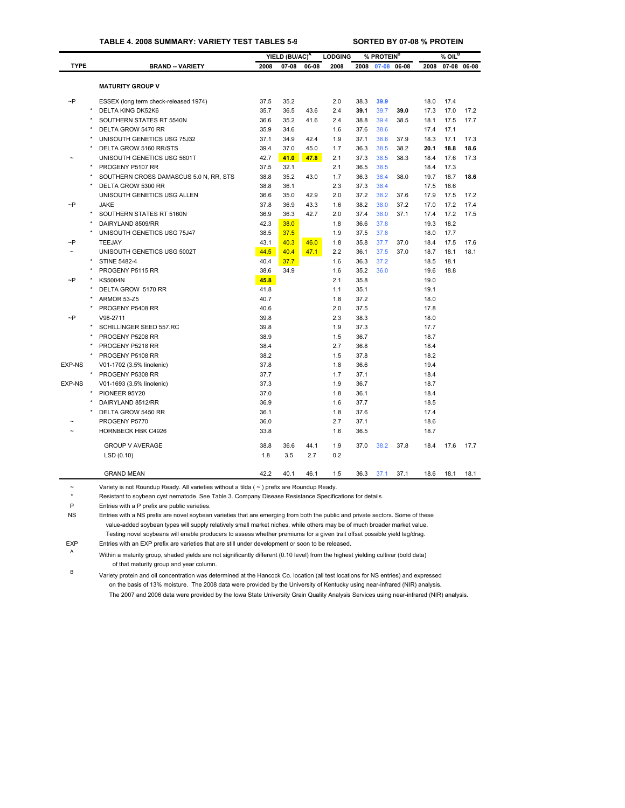### **TABLE 4. 2008 SUMMARY: VARIETY TEST TABLES 5-9 SORTED BY 07-08 % PROTEIN**

|               |         |                                        |      | YIELD (BU/AC) <sup>A</sup> |       | <b>LODGING</b> |      | % PROTEIN <sup>B</sup> |       |      | $%$ OIL <sup>B</sup> |             |
|---------------|---------|----------------------------------------|------|----------------------------|-------|----------------|------|------------------------|-------|------|----------------------|-------------|
| <b>TYPE</b>   |         | <b>BRAND -- VARIETY</b>                | 2008 | $07 - 08$                  | 06-08 | 2008           | 2008 | 07-08                  | 06-08 | 2008 |                      | 07-08 06-08 |
|               |         |                                        |      |                            |       |                |      |                        |       |      |                      |             |
|               |         | <b>MATURITY GROUP V</b>                |      |                            |       |                |      |                        |       |      |                      |             |
| $\sim P$      |         | ESSEX (long term check-released 1974)  | 37.5 | 35.2                       |       | 2.0            | 38.3 | 39.9                   |       | 18.0 | 17.4                 |             |
|               |         | <b>DELTA KING DK52K6</b>               | 35.7 | 36.5                       | 43.6  | 2.4            | 39.1 | 39.7                   | 39.0  | 17.3 | 17.0                 | 17.2        |
|               |         | SOUTHERN STATES RT 5540N               | 36.6 | 35.2                       | 41.6  | 2.4            | 38.8 | 39.4                   | 38.5  | 18.1 | 17.5                 | 17.7        |
|               |         | DELTA GROW 5470 RR                     | 35.9 | 34.6                       |       | 1.6            | 37.6 | 38.6                   |       | 17.4 | 17.1                 |             |
|               |         | UNISOUTH GENETICS USG 75J32            | 37.1 | 34.9                       | 42.4  | 1.9            | 37.1 | 38.6                   | 37.9  | 18.3 | 17.1                 | 17.3        |
|               |         | DELTA GROW 5160 RR/STS                 | 39.4 | 37.0                       | 45.0  | 1.7            | 36.3 | 38.5                   | 38.2  | 20.1 | 18.8                 | 18.6        |
|               |         | UNISOUTH GENETICS USG 5601T            | 42.7 | 41.0                       | 47.8  | 2.1            | 37.3 | 38.5                   | 38.3  | 18.4 | 17.6                 | 17.3        |
|               |         | PROGENY P5107 RR                       | 37.5 | 32.1                       |       | 2.1            | 36.5 | 38.5                   |       | 18.4 | 17.3                 |             |
|               |         | SOUTHERN CROSS DAMASCUS 5.0 N, RR, STS | 38.8 | 35.2                       | 43.0  | 1.7            | 36.3 | 38.4                   | 38.0  | 19.7 | 18.7                 | 18.6        |
|               |         | DELTA GROW 5300 RR                     | 38.8 | 36.1                       |       | 2.3            | 37.3 | 38.4                   |       | 17.5 | 16.6                 |             |
|               |         | UNISOUTH GENETICS USG ALLEN            | 36.6 | 35.0                       | 42.9  | 2.0            | 37.2 | 38.2                   | 37.6  | 17.9 | 17.5                 | 17.2        |
| $\sim P$      |         | <b>JAKE</b>                            | 37.8 | 36.9                       | 43.3  | 1.6            | 38.2 | 38.0                   | 37.2  | 17.0 | 17.2                 | 17.4        |
|               |         | SOUTHERN STATES RT 5160N               | 36.9 | 36.3                       | 42.7  | 2.0            | 37.4 | 38.0                   | 37.1  | 17.4 | 17.2                 | 17.5        |
|               |         | DAIRYLAND 8509/RR                      | 42.3 | 38.0                       |       | 1.8            | 36.6 | 37.8                   |       | 19.3 | 18.2                 |             |
|               |         | UNISOUTH GENETICS USG 75J47            | 38.5 | 37.5                       |       | 1.9            | 37.5 | 37.8                   |       | 18.0 | 17.7                 |             |
| $\sim P$      |         | TEEJAY                                 | 43.1 | 40.3                       | 46.0  | 1.8            | 35.8 | 37.7                   | 37.0  | 18.4 | 17.5                 | 17.6        |
|               |         | UNISOUTH GENETICS USG 5002T            | 44.5 | 40.4                       | 47.1  | 2.2            | 36.1 | 37.5                   | 37.0  | 18.7 | 18.1                 | 18.1        |
|               |         | <b>STINE 5482-4</b>                    | 40.4 | 37.7                       |       | 1.6            | 36.3 | 37.2                   |       | 18.5 | 18.1                 |             |
|               |         | PROGENY P5115 RR                       | 38.6 | 34.9                       |       | 1.6            | 35.2 | 36.0                   |       | 19.6 | 18.8                 |             |
| $\sim P$      |         | <b>KS5004N</b>                         | 45.8 |                            |       | 2.1            | 35.8 |                        |       | 19.0 |                      |             |
|               |         | DELTA GROW 5170 RR                     | 41.8 |                            |       | 1.1            | 35.1 |                        |       | 19.1 |                      |             |
|               |         | ARMOR 53-Z5                            | 40.7 |                            |       | 1.8            | 37.2 |                        |       | 18.0 |                      |             |
|               |         | PROGENY P5408 RR                       | 40.6 |                            |       | 2.0            | 37.5 |                        |       | 17.8 |                      |             |
| $\neg P$      |         | V98-2711                               | 39.8 |                            |       | 2.3            | 38.3 |                        |       | 18.0 |                      |             |
|               |         | SCHILLINGER SEED 557.RC                | 39.8 |                            |       | 1.9            | 37.3 |                        |       | 17.7 |                      |             |
|               |         | PROGENY P5208 RR                       | 38.9 |                            |       | 1.5            | 36.7 |                        |       | 18.7 |                      |             |
|               |         | PROGENY P5218 RR                       | 38.4 |                            |       | 2.7            | 36.8 |                        |       | 18.4 |                      |             |
|               |         | PROGENY P5108 RR                       | 38.2 |                            |       | 1.5            | 37.8 |                        |       | 18.2 |                      |             |
| <b>EXP-NS</b> |         | V01-1702 (3.5% linolenic)              | 37.8 |                            |       | 1.8            | 36.6 |                        |       | 19.4 |                      |             |
|               | $\star$ | PROGENY P5308 RR                       | 37.7 |                            |       | 1.7            | 37.1 |                        |       | 18.4 |                      |             |
| <b>EXP-NS</b> |         | V01-1693 (3.5% linolenic)              | 37.3 |                            |       | 1.9            | 36.7 |                        |       | 18.7 |                      |             |
|               |         | PIONEER 95Y20                          | 37.0 |                            |       | 1.8            | 36.1 |                        |       | 18.4 |                      |             |
|               |         | DAIRYLAND 8512/RR                      | 36.9 |                            |       | 1.6            | 37.7 |                        |       | 18.5 |                      |             |
|               |         | DELTA GROW 5450 RR                     | 36.1 |                            |       | 1.8            | 37.6 |                        |       | 17.4 |                      |             |
|               |         | PROGENY P5770                          | 36.0 |                            |       | 2.7            | 37.1 |                        |       | 18.6 |                      |             |
|               |         | <b>HORNBECK HBK C4926</b>              | 33.8 |                            |       | 1.6            | 36.5 |                        |       | 18.7 |                      |             |
|               |         | <b>GROUP V AVERAGE</b>                 | 38.8 | 36.6                       | 44.1  | 1.9            | 37.0 | 38.2                   | 37.8  | 18.4 | 17.6                 | 17.7        |
|               |         | LSD(0.10)                              | 1.8  | 3.5                        | 2.7   | 0.2            |      |                        |       |      |                      |             |
|               |         | <b>GRAND MEAN</b>                      | 42.2 | 40.1                       | 46.1  | 1.5            | 36.3 | 37.1                   | 37.1  | 18.6 | 18.1                 | 18.1        |

 $\sim$  Variety is not Roundup Ready. All varieties without a tilda ( $\sim$ ) prefix are Roundup Ready.

\* Resistant to soybean cyst nematode. See Table 3. Company Disease Resistance Specifications for details.

P Entries with a P prefix are public varieties.

NS Entries with a NS prefix are novel soybean varieties that are emerging from both the public and privat[e sectors. S](#page-29-0)ome of these value-added soybean types will supply relatively small market niches, while others may be of much broader market value. Testing novel soybeans will enable producers to assess whether premiums for a given trait offset possible yield lag/drag.

EXP Entries with an EXP prefix are varieties that are still under development or soon to be released.

<sup>A</sup> Within a maturity group, shaded yields are not significantly different (0.10 level) from the highest yielding cultivar (bold data) of that maturity group and year column.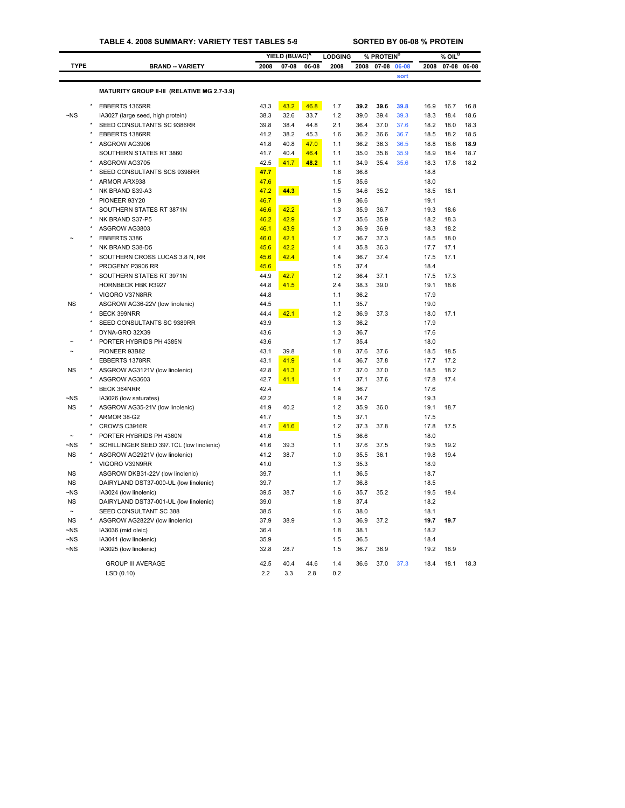## **TABLE 4. 2008 SUMMARY: VARIETY TEST TABLES 5-9 SORTED BY 06-08 % PROTEIN**

|             |                                             |      | YIELD (BU/AC) <sup>A</sup> |       | <b>LODGING</b> |      | % PROTEIN <sup>B</sup> |       |      | % OIL <sup>B</sup> |             |
|-------------|---------------------------------------------|------|----------------------------|-------|----------------|------|------------------------|-------|------|--------------------|-------------|
| <b>TYPE</b> | <b>BRAND -- VARIETY</b>                     | 2008 | $07 - 08$                  | 06-08 | 2008           | 2008 | $07 - 08$              | 06-08 | 2008 |                    | 07-08 06-08 |
|             |                                             |      |                            |       |                |      |                        | sort  |      |                    |             |
|             |                                             |      |                            |       |                |      |                        |       |      |                    |             |
|             | MATURITY GROUP II-III (RELATIVE MG 2.7-3.9) |      |                            |       |                |      |                        |       |      |                    |             |
|             | EBBERTS 1365RR                              | 43.3 | 43.2                       | 46.8  | 1.7            | 39.2 | 39.6                   | 39.8  | 16.9 | 16.7               | 16.8        |
| $-NS$       | IA3027 (large seed, high protein)           | 38.3 | 32.6                       | 33.7  | 1.2            | 39.0 | 39.4                   | 39.3  | 18.3 | 18.4               | 18.6        |
|             | SEED CONSULTANTS SC 9386RR                  | 39.8 | 38.4                       | 44.8  | 2.1            | 36.4 | 37.0                   | 37.6  | 18.2 | 18.0               | 18.3        |
|             | EBBERTS 1386RR                              | 41.2 | 38.2                       | 45.3  | 1.6            | 36.2 | 36.6                   | 36.7  | 18.5 | 18.2               | 18.5        |
|             | ASGROW AG3906                               | 41.8 | 40.8                       | 47.0  | 1.1            | 36.2 | 36.3                   | 36.5  | 18.8 | 18.6               | 18.9        |
|             | SOUTHERN STATES RT 3860                     | 41.7 | 40.4                       | 46.4  | 1.1            | 35.0 | 35.8                   | 35.9  | 18.9 | 18.4               | 18.7        |
|             | ASGROW AG3705                               | 42.5 | 41.7                       | 48.2  | 1.1            | 34.9 | 35.4                   | 35.6  | 18.3 | 17.8               | 18.2        |
|             | SEED CONSULTANTS SCS 9398RR                 | 47.7 |                            |       | 1.6            | 36.8 |                        |       | 18.8 |                    |             |
|             | ARMOR ARX938                                | 47.6 |                            |       | 1.5            | 35.6 |                        |       | 18.0 |                    |             |
|             | NK BRAND S39-A3                             | 47.2 | 44.3                       |       | 1.5            | 34.6 | 35.2                   |       | 18.5 | 18.1               |             |
|             | PIONEER 93Y20                               | 46.7 |                            |       | 1.9            | 36.6 |                        |       | 19.1 |                    |             |
|             | SOUTHERN STATES RT 3871N                    | 46.6 | 42.2                       |       | 1.3            | 35.9 | 36.7                   |       | 19.3 | 18.6               |             |
|             | NK BRAND S37-P5                             | 46.2 | 42.9                       |       | 1.7            | 35.6 | 35.9                   |       | 18.2 | 18.3               |             |
|             | ASGROW AG3803                               | 46.1 | 43.9                       |       | 1.3            | 36.9 | 36.9                   |       | 18.3 | 18.2               |             |
|             | EBBERTS 3386                                | 46.0 | 42.1                       |       | 1.7            | 36.7 | 37.3                   |       | 18.5 | 18.0               |             |
|             | NK BRAND S38-D5                             | 45.6 | 42.2                       |       | 1.4            | 35.8 | 36.3                   |       | 17.7 | 17.1               |             |
|             | SOUTHERN CROSS LUCAS 3.8 N, RR              | 45.6 | 42.4                       |       | 1.4            | 36.7 | 37.4                   |       | 17.5 | 17.1               |             |
|             | PROGENY P3906 RR                            | 45.6 |                            |       | 1.5            | 37.4 |                        |       | 18.4 |                    |             |
|             | SOUTHERN STATES RT 3971N                    | 44.9 | 42.7                       |       | 1.2            | 36.4 | 37.1                   |       | 17.5 | 17.3               |             |
|             | HORNBECK HBK R3927                          | 44.8 | 41.5                       |       | 2.4            | 38.3 | 39.0                   |       | 19.1 | 18.6               |             |
|             | VIGORO V37N8RR                              | 44.8 |                            |       | 1.1            | 36.2 |                        |       | 17.9 |                    |             |
| <b>NS</b>   | ASGROW AG36-22V (low linolenic)             | 44.5 |                            |       | 1.1            | 35.7 |                        |       | 19.0 |                    |             |
|             | BECK 399NRR                                 | 44.4 | 42.1                       |       | 1.2            | 36.9 | 37.3                   |       | 18.0 | 17.1               |             |
|             | SEED CONSULTANTS SC 9389RR                  | 43.9 |                            |       | 1.3            | 36.2 |                        |       | 17.9 |                    |             |
|             | DYNA-GRO 32X39                              | 43.6 |                            |       | 1.3            | 36.7 |                        |       | 17.6 |                    |             |
|             | PORTER HYBRIDS PH 4385N                     | 43.6 |                            |       | 1.7            | 35.4 |                        |       | 18.0 |                    |             |
|             | PIONEER 93B82                               | 43.1 | 39.8                       |       | 1.8            | 37.6 | 37.6                   |       | 18.5 | 18.5               |             |
|             | EBBERTS 1378RR                              | 43.1 | 41.9                       |       | 1.4            | 36.7 | 37.8                   |       | 17.7 | 17.2               |             |
| NS          | ASGROW AG3121V (low linolenic)              | 42.8 | 41.3                       |       | 1.7            | 37.0 | 37.0                   |       | 18.5 | 18.2               |             |
|             | ASGROW AG3603                               | 42.7 | 41.1                       |       | 1.1            | 37.1 | 37.6                   |       | 17.8 | 17.4               |             |
|             | BECK 364NRR                                 | 42.4 |                            |       | 1.4            | 36.7 |                        |       | 17.6 |                    |             |
| $-NS$       | IA3026 (low saturates)                      | 42.2 |                            |       | 1.9            | 34.7 |                        |       | 19.3 |                    |             |
| <b>NS</b>   | ASGROW AG35-21V (low linolenic)             | 41.9 | 40.2                       |       | 1.2            | 35.9 | 36.0                   |       | 19.1 | 18.7               |             |
|             | ARMOR 38-G2                                 | 41.7 |                            |       | 1.5            | 37.1 |                        |       | 17.5 |                    |             |
|             | CROW'S C3916R                               | 41.7 | 41.6                       |       | 1.2            | 37.3 | 37.8                   |       | 17.8 | 17.5               |             |
|             | PORTER HYBRIDS PH 4360N                     | 41.6 |                            |       | 1.5            | 36.6 |                        |       | 18.0 |                    |             |
| ~NS         | SCHILLINGER SEED 397.TCL (low linolenic)    | 41.6 | 39.3                       |       | 1.1            | 37.6 | 37.5                   |       | 19.5 | 19.2               |             |
| <b>NS</b>   | ASGROW AG2921V (low linolenic)              | 41.2 | 38.7                       |       | 1.0            | 35.5 | 36.1                   |       | 19.8 | 19.4               |             |
|             | VIGORO V39N9RR                              | 41.0 |                            |       | 1.3            | 35.3 |                        |       | 18.9 |                    |             |
| <b>NS</b>   | ASGROW DKB31-22V (low linolenic)            | 39.7 |                            |       | 1.1            | 36.5 |                        |       | 18.7 |                    |             |
| <b>NS</b>   | DAIRYLAND DST37-000-UL (low linolenic)      | 39.7 |                            |       | 1.7            | 36.8 |                        |       | 18.5 |                    |             |
| $-NS$       | IA3024 (low linolenic)                      | 39.5 | 38.7                       |       | 1.6            | 35.7 | 35.2                   |       | 19.5 | 19.4               |             |
| <b>NS</b>   | DAIRYLAND DST37-001-UL (low linolenic)      | 39.0 |                            |       | 1.8            | 37.4 |                        |       | 18.2 |                    |             |
|             | SEED CONSULTANT SC 388                      | 38.5 |                            |       | 1.6            | 38.0 |                        |       | 18.1 |                    |             |
| <b>NS</b>   | ASGROW AG2822V (low linolenic)              | 37.9 | 38.9                       |       | 1.3            | 36.9 | 37.2                   |       | 19.7 | 19.7               |             |
| ~NS         | IA3036 (mid oleic)                          | 36.4 |                            |       | 1.8            | 38.1 |                        |       | 18.2 |                    |             |
| $\neg$ NS   | IA3041 (low linolenic)                      | 35.9 |                            |       | 1.5            | 36.5 |                        |       | 18.4 |                    |             |
| $-NS$       | IA3025 (low linolenic)                      | 32.8 | 28.7                       |       | 1.5            | 36.7 | 36.9                   |       | 19.2 | 18.9               |             |
|             |                                             |      |                            |       |                |      |                        |       |      |                    |             |
|             | <b>GROUP III AVERAGE</b>                    | 42.5 | 40.4                       | 44.6  | 1.4            | 36.6 | 37.0                   | 37.3  | 18.4 | 18.1               | 18.3        |
|             | LSD (0.10)                                  | 2.2  | 3.3                        | 2.8   | 0.2            |      |                        |       |      |                    |             |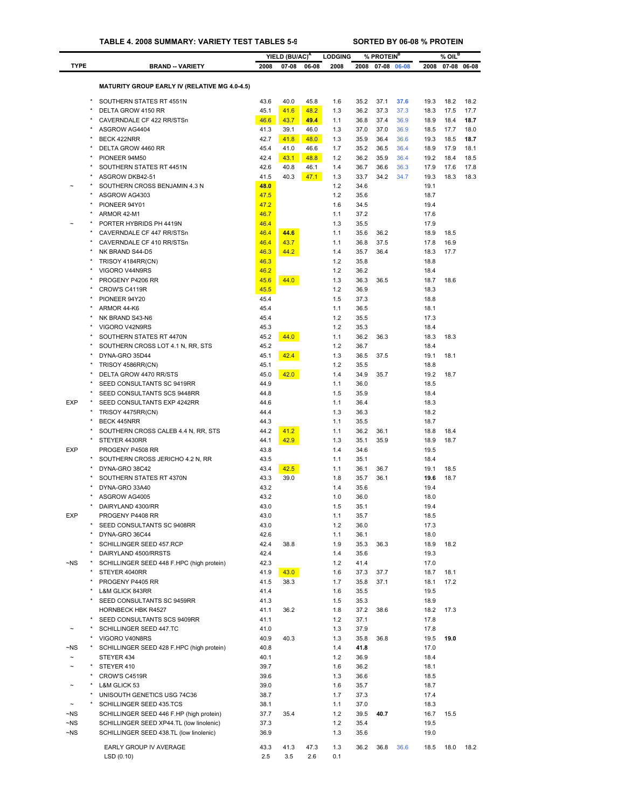|                       |                                                           |              | YIELD (BU/AC) <sup>A</sup> |       | <b>LODGING</b> |              | % PROTEIN <sup>B</sup> |             |              | $%$ OIL <sup>B</sup> |             |
|-----------------------|-----------------------------------------------------------|--------------|----------------------------|-------|----------------|--------------|------------------------|-------------|--------------|----------------------|-------------|
| <b>TYPE</b>           | <b>BRAND -- VARIETY</b>                                   | 2008         | $07 - 08$                  | 06-08 | 2008           | 2008         |                        | 07-08 06-08 | 2008         |                      | 07-08 06-08 |
|                       | <b>MATURITY GROUP EARLY IV (RELATIVE MG 4.0-4.5)</b>      |              |                            |       |                |              |                        |             |              |                      |             |
|                       | SOUTHERN STATES RT 4551N                                  |              | 40.0                       | 45.8  | 1.6            | 35.2         | 37.1                   | 37.6        | 19.3         | 18.2                 | 18.2        |
|                       | DELTA GROW 4150 RR                                        | 43.6<br>45.1 | 41.6                       | 48.2  | 1.3            | 36.2         | 37.3                   | 37.3        | 18.3         | 17.5                 | 17.7        |
|                       | CAVERNDALE CF 422 RR/STSn                                 | 46.6         | 43.7                       | 49.4  | 1.1            | 36.8         | 37.4                   | 36.9        | 18.9         | 18.4                 | 18.7        |
|                       | ASGROW AG4404                                             | 41.3         | 39.1                       | 46.0  | 1.3            | 37.0         | 37.0                   | 36.9        | 18.5         | 17.7                 | 18.0        |
|                       | BECK 422NRR                                               | 42.7         | 41.8                       | 48.0  | 1.3            | 35.9         | 36.4                   | 36.6        | 19.3         | 18.5                 | 18.7        |
|                       | DELTA GROW 4460 RR                                        | 45.4         | 41.0                       | 46.6  | 1.7            | 35.2         | 36.5                   | 36.4        | 18.9         | 17.9                 | 18.1        |
|                       | PIONEER 94M50                                             | 42.4         | 43.1                       | 48.8  | 1.2            | 36.2         | 35.9                   | 36.4        | 19.2         | 18.4                 | 18.5        |
|                       | SOUTHERN STATES RT 4451N                                  | 42.6         | 40.8                       | 46.1  | 1.4            | 36.7         | 36.6                   | 36.3        | 17.9         | 17.6                 | 17.8        |
|                       | ASGROW DKB42-51<br>SOUTHERN CROSS BENJAMIN 4.3 N          | 41.5<br>48.0 | 40.3                       | 47.1  | 1.3            | 33.7         | 34.2                   | 34.7        | 19.3<br>19.1 | 18.3                 | 18.3        |
|                       | ASGROW AG4303                                             | 47.5         |                            |       | 1.2<br>1.2     | 34.6<br>35.6 |                        |             | 18.7         |                      |             |
|                       | PIONEER 94Y01                                             | 47.2         |                            |       | 1.6            | 34.5         |                        |             | 19.4         |                      |             |
|                       | ARMOR 42-M1                                               | 46.7         |                            |       | 1.1            | 37.2         |                        |             | 17.6         |                      |             |
|                       | PORTER HYBRIDS PH 4419N                                   | 46.4         |                            |       | 1.3            | 35.5         |                        |             | 17.9         |                      |             |
|                       | CAVERNDALE CF 447 RR/STSn                                 | 46.4         | 44.6                       |       | 1.1            | 35.6         | 36.2                   |             | 18.9         | 18.5                 |             |
|                       | CAVERNDALE CF 410 RR/STSn                                 | 46.4         | 43.7                       |       | 1.1            | 36.8         | 37.5                   |             | 17.8         | 16.9                 |             |
|                       | NK BRAND S44-D5                                           | 46.3         | 44.2                       |       | 1.4            | 35.7         | 36.4                   |             | 18.3         | 17.7                 |             |
|                       | TRISOY 4184RR(CN)                                         | 46.3         |                            |       | 1.2            | 35.8         |                        |             | 18.8         |                      |             |
|                       | VIGORO V44N9RS                                            | 46.2         |                            |       | 1.2            | 36.2         |                        |             | 18.4         |                      |             |
|                       | PROGENY P4206 RR<br>CROW'S C4119R                         | 45.6         | 44.0                       |       | 1.3<br>1.2     | 36.3<br>36.9 | 36.5                   |             | 18.7<br>18.3 | 18.6                 |             |
|                       | PIONEER 94Y20                                             | 45.5<br>45.4 |                            |       | 1.5            | 37.3         |                        |             | 18.8         |                      |             |
|                       | ARMOR 44-K6                                               | 45.4         |                            |       | 1.1            | 36.5         |                        |             | 18.1         |                      |             |
|                       | NK BRAND S43-N6                                           | 45.4         |                            |       | 1.2            | 35.5         |                        |             | 17.3         |                      |             |
|                       | VIGORO V42N9RS                                            | 45.3         |                            |       | 1.2            | 35.3         |                        |             | 18.4         |                      |             |
|                       | SOUTHERN STATES RT 4470N                                  | 45.2         | 44.0                       |       | 1.1            | 36.2         | 36.3                   |             | 18.3         | 18.3                 |             |
|                       | SOUTHERN CROSS LOT 4.1 N, RR, STS                         | 45.2         |                            |       | 1.2            | 36.7         |                        |             | 18.4         |                      |             |
|                       | DYNA-GRO 35D44                                            | 45.1         | 42.4                       |       | 1.3            | 36.5         | 37.5                   |             | 19.1         | 18.1                 |             |
|                       | TRISOY 4586RR(CN)                                         | 45.1         |                            |       | 1.2            | 35.5         |                        |             | 18.8         |                      |             |
|                       | DELTA GROW 4470 RR/STS                                    | 45.0         | 42.0                       |       | 1.4            | 34.9         | 35.7                   |             | 19.2         | 18.7                 |             |
|                       | SEED CONSULTANTS SC 9419RR                                | 44.9         |                            |       | 1.1            | 36.0         |                        |             | 18.5         |                      |             |
|                       | SEED CONSULTANTS SCS 9448RR                               | 44.8         |                            |       | 1.5            | 35.9         |                        |             | 18.4         |                      |             |
| <b>EXP</b>            | SEED CONSULTANTS EXP 4242RR                               | 44.6         |                            |       | 1.1            | 36.4         |                        |             | 18.3         |                      |             |
|                       | TRISOY 4475RR(CN)                                         | 44.4<br>44.3 |                            |       | 1.3<br>1.1     | 36.3<br>35.5 |                        |             | 18.2<br>18.7 |                      |             |
|                       | <b>BECK 445NRR</b><br>SOUTHERN CROSS CALEB 4.4 N, RR, STS | 44.2         | 41.2                       |       | 1.1            | 36.2         | 36.1                   |             | 18.8         | 18.4                 |             |
|                       | STEYER 4430RR                                             | 44.1         | 42.9                       |       | 1.3            | 35.1         | 35.9                   |             | 18.9         | 18.7                 |             |
| <b>EXP</b>            | PROGENY P4508 RR                                          | 43.8         |                            |       | 1.4            | 34.6         |                        |             | 19.5         |                      |             |
|                       | SOUTHERN CROSS JERICHO 4.2 N, RR                          | 43.5         |                            |       | 1.1            | 35.1         |                        |             | 18.4         |                      |             |
|                       | DYNA-GRO 38C42                                            | 43.4         | 42.5                       |       | 1.1            | 36.1         | 36.7                   |             | 19.1         | 18.5                 |             |
|                       | SOUTHERN STATES RT 4370N                                  | 43.3         | 39.0                       |       | 1.8            | 35.7         | 36.1                   |             | 19.6         | 18.7                 |             |
|                       | DYNA-GRO 33A40                                            | 43.2         |                            |       | 1.4            | 35.6         |                        |             | 19.4         |                      |             |
|                       | ASGROW AG4005                                             | 43.2         |                            |       | 1.0            | 36.0         |                        |             | 18.0         |                      |             |
|                       | DAIRYLAND 4300/RR                                         | 43.0         |                            |       | 1.5            | 35.1         |                        |             | 19.4         |                      |             |
| <b>EXP</b>            | PROGENY P4408 RR                                          | 43.0         |                            |       | 1.1            | 35.7         |                        |             | 18.5         |                      |             |
|                       | SEED CONSULTANTS SC 9408RR                                | 43.0         |                            |       | 1.2            | 36.0         |                        |             | 17.3         |                      |             |
|                       | DYNA-GRO 36C44                                            | 42.6         |                            |       | 1.1            | 36.1         |                        |             | 18.0         |                      |             |
|                       | SCHILLINGER SEED 457.RCP<br>DAIRYLAND 4500/RRSTS          | 42.4<br>42.4 | 38.8                       |       | 1.9<br>1.4     | 35.3<br>35.6 | 36.3                   |             | 18.9<br>19.3 | 18.2                 |             |
| ~NS                   | SCHILLINGER SEED 448 F.HPC (high protein)                 | 42.3         |                            |       | 1.2            | 41.4         |                        |             | 17.0         |                      |             |
|                       | STEYER 4040RR                                             | 41.9         | 43.0                       |       | 1.6            | 37.3         | 37.7                   |             | 18.7         | 18.1                 |             |
|                       | PROGENY P4405 RR                                          | 41.5         | 38.3                       |       | 1.7            | 35.8         | 37.1                   |             | 18.1         | 17.2                 |             |
|                       | L&M GLICK 843RR                                           | 41.4         |                            |       | 1.6            | 35.5         |                        |             | 19.5         |                      |             |
|                       | SEED CONSULTANTS SC 9459RR                                | 41.3         |                            |       | 1.5            | 35.3         |                        |             | 18.9         |                      |             |
|                       | <b>HORNBECK HBK R4527</b>                                 | 41.1         | 36.2                       |       | 1.8            | 37.2         | 38.6                   |             | 18.2         | 17.3                 |             |
| $\star$               | SEED CONSULTANTS SCS 9409RR                               | 41.1         |                            |       | 1.2            | 37.1         |                        |             | 17.8         |                      |             |
|                       | SCHILLINGER SEED 447.TC                                   | 41.0         |                            |       | 1.3            | 37.9         |                        |             | 17.8         |                      |             |
|                       | VIGORO V40N8RS                                            | 40.9         | 40.3                       |       | 1.3            | 35.8         | 36.8                   |             | 19.5         | 19.0                 |             |
| $\neg$ NS             | SCHILLINGER SEED 428 F.HPC (high protein)                 | 40.8         |                            |       | 1.4            | 41.8         |                        |             | 17.0         |                      |             |
| $\sim$                | STEYER 434                                                | 40.1         |                            |       | 1.2            | 36.9         |                        |             | 18.4         |                      |             |
|                       | STEYER 410<br>CROW'S C4519R                               | 39.7<br>39.6 |                            |       | 1.6<br>1.3     | 36.2<br>36.6 |                        |             | 18.1<br>18.5 |                      |             |
|                       | L&M GLICK 53                                              | 39.0         |                            |       | 1.6            | 35.7         |                        |             | 18.7         |                      |             |
|                       | UNISOUTH GENETICS USG 74C36                               | 38.7         |                            |       | 1.7            | 37.3         |                        |             | 17.4         |                      |             |
| $\tilde{\phantom{a}}$ | SCHILLINGER SEED 435.TCS                                  | 38.1         |                            |       | 1.1            | 37.0         |                        |             | 18.3         |                      |             |
| $\neg$ NS             | SCHILLINGER SEED 446 F.HP (high protein)                  | 37.7         | 35.4                       |       | 1.2            | 39.5         | 40.7                   |             | 16.7         | 15.5                 |             |
| $\neg$ NS             | SCHILLINGER SEED XP44.TL (low linolenic)                  | 37.3         |                            |       | 1.2            | 35.4         |                        |             | 19.5         |                      |             |
| ~NS                   | SCHILLINGER SEED 438.TL (low linolenic)                   | 36.9         |                            |       | 1.3            | 35.6         |                        |             | 19.0         |                      |             |
|                       | EARLY GROUP IV AVERAGE                                    | 43.3         | 41.3                       | 47.3  | 1.3            | 36.2         | 36.8                   | 36.6        | 18.5         | 18.0                 | 18.2        |
|                       | LSD(0.10)                                                 | 2.5          | 3.5                        | 2.6   | 0.1            |              |                        |             |              |                      |             |
|                       |                                                           |              |                            |       |                |              |                        |             |              |                      |             |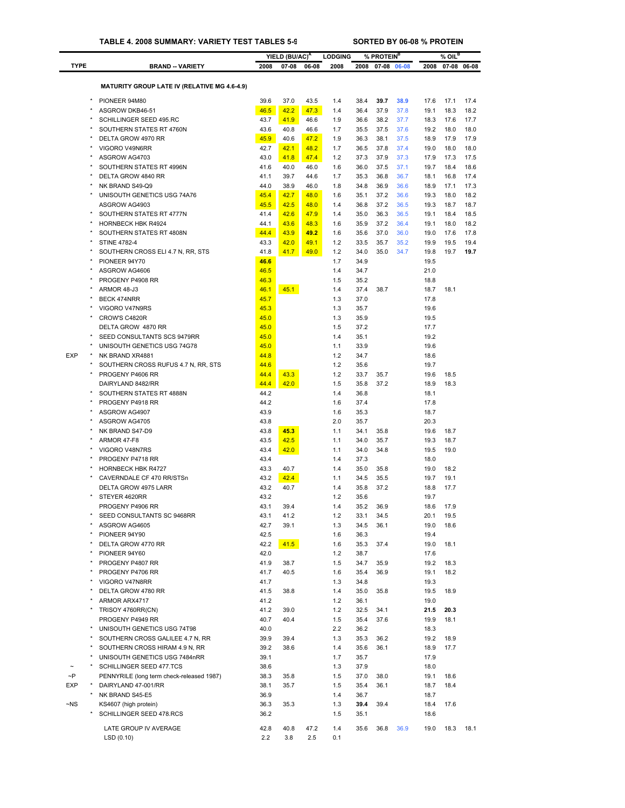|                        |                                                                  |              | YIELD (BU/AC) <sup>A</sup> |              | <b>LODGING</b> |              | % PROTEIN <sup>B</sup> |              |              | $%$ OIL <sup>B</sup> |              |
|------------------------|------------------------------------------------------------------|--------------|----------------------------|--------------|----------------|--------------|------------------------|--------------|--------------|----------------------|--------------|
| <b>TYPE</b>            | <b>BRAND -- VARIETY</b>                                          | 2008         | $07 - 08$                  | 06-08        | 2008           | 2008         |                        | 07-08 06-08  | 2008         |                      | 07-08 06-08  |
|                        |                                                                  |              |                            |              |                |              |                        |              |              |                      |              |
|                        | <b>MATURITY GROUP LATE IV (RELATIVE MG 4.6-4.9)</b>              |              |                            |              |                |              |                        |              |              |                      |              |
|                        | PIONEER 94M80                                                    | 39.6         | 37.0                       | 43.5         | 1.4            | 38.4         | 39.7                   | 38.9         | 17.6         | 17.1                 | 17.4         |
|                        | ASGROW DKB46-51                                                  | 46.5         | 42.2                       | 47.3         | 1.4            | 36.4         | 37.9                   | 37.8         | 19.1         | 18.3                 | 18.2         |
|                        | SCHILLINGER SEED 495.RC<br>SOUTHERN STATES RT 4760N              | 43.7<br>43.6 | 41.9<br>40.8               | 46.6<br>46.6 | 1.9<br>1.7     | 36.6<br>35.5 | 38.2<br>37.5           | 37.7<br>37.6 | 18.3<br>19.2 | 17.6<br>18.0         | 17.7<br>18.0 |
|                        | DELTA GROW 4970 RR                                               | 45.9         | 40.6                       | 47.2         | 1.9            | 36.3         | 38.1                   | 37.5         | 18.9         | 17.9                 | 17.9         |
|                        | VIGORO V49N6RR                                                   | 42.7         | 42.1                       | 48.2         | 1.7            | 36.5         | 37.8                   | 37.4         | 19.0         | 18.0                 | 18.0         |
|                        | ASGROW AG4703                                                    | 43.0         | 41.8                       | 47.4         | 1.2            | 37.3         | 37.9                   | 37.3         | 17.9         | 17.3                 | 17.5         |
|                        | $\star$<br>SOUTHERN STATES RT 4996N                              | 41.6         | 40.0                       | 46.0         | 1.6            | 36.0         | 37.5                   | 37.1         | 19.7         | 18.4                 | 18.6         |
|                        | DELTA GROW 4840 RR                                               | 41.1         | 39.7                       | 44.6         | 1.7            | 35.3         | 36.8                   | 36.7         | 18.1         | 16.8                 | 17.4         |
|                        | NK BRAND S49-Q9                                                  | 44.0         | 38.9                       | 46.0         | 1.8            | 34.8         | 36.9                   | 36.6         | 18.9         | 17.1                 | 17.3         |
|                        | UNISOUTH GENETICS USG 74A76                                      | 45.4         | 42.7                       | 48.0         | 1.6            | 35.1         | 37.2                   | 36.6         | 19.3         | 18.0                 | 18.2         |
|                        | ASGROW AG4903                                                    | 45.5         | 42.5                       | 48.0         | 1.4            | 36.8         | 37.2                   | 36.5         | 19.3         | 18.7                 | 18.7         |
|                        | SOUTHERN STATES RT 4777N<br><b>HORNBECK HBK R4924</b>            | 41.4<br>44.1 | 42.6<br>43.6               | 47.9<br>48.3 | 1.4<br>1.6     | 35.0<br>35.9 | 36.3<br>37.2           | 36.5<br>36.4 | 19.1<br>19.1 | 18.4<br>18.0         | 18.5<br>18.2 |
|                        | SOUTHERN STATES RT 4808N                                         | 44.4         | 43.9                       | 49.2         | 1.6            | 35.6         | 37.0                   | 36.0         | 19.0         | 17.6                 | 17.8         |
|                        | <b>STINE 4782-4</b>                                              | 43.3         | 42.0                       | 49.1         | 1.2            | 33.5         | 35.7                   | 35.2         | 19.9         | 19.5                 | 19.4         |
|                        | SOUTHERN CROSS ELI 4.7 N, RR, STS                                | 41.8         | 41.7                       | 49.0         | 1.2            | 34.0         | 35.0                   | 34.7         | 19.8         | 19.7                 | 19.7         |
|                        | PIONEER 94Y70                                                    | 46.6         |                            |              | 1.7            | 34.9         |                        |              | 19.5         |                      |              |
|                        | ASGROW AG4606                                                    | 46.5         |                            |              | 1.4            | 34.7         |                        |              | 21.0         |                      |              |
|                        | PROGENY P4908 RR                                                 | 46.3         |                            |              | 1.5            | 35.2         |                        |              | 18.8         |                      |              |
|                        | <b>ARMOR 48-J3</b>                                               | 46.1         | 45.1                       |              | 1.4            | 37.4         | 38.7                   |              | 18.7         | 18.1                 |              |
|                        | BECK 474NRR                                                      | 45.7         |                            |              | 1.3            | 37.0         |                        |              | 17.8         |                      |              |
|                        | VIGORO V47N9RS<br>CROW'S C4820R                                  | 45.3<br>45.0 |                            |              | 1.3<br>1.3     | 35.7<br>35.9 |                        |              | 19.6<br>19.5 |                      |              |
|                        | DELTA GROW 4870 RR                                               | 45.0         |                            |              | 1.5            | 37.2         |                        |              | 17.7         |                      |              |
|                        | SEED CONSULTANTS SCS 9479RR                                      | 45.0         |                            |              | 1.4            | 35.1         |                        |              | 19.2         |                      |              |
|                        | UNISOUTH GENETICS USG 74G78                                      | 45.0         |                            |              | 1.1            | 33.9         |                        |              | 19.6         |                      |              |
| <b>EXP</b>             | NK BRAND XR4881                                                  | 44.8         |                            |              | 1.2            | 34.7         |                        |              | 18.6         |                      |              |
|                        | SOUTHERN CROSS RUFUS 4.7 N, RR, STS                              | 44.6         |                            |              | 1.2            | 35.6         |                        |              | 19.7         |                      |              |
|                        | PROGENY P4606 RR                                                 | 44.4         | 43.3                       |              | 1.2            | 33.7         | 35.7                   |              | 19.6         | 18.5                 |              |
|                        | DAIRYLAND 8482/RR                                                | 44.4         | 42.0                       |              | 1.5            | 35.8         | 37.2                   |              | 18.9         | 18.3                 |              |
|                        | SOUTHERN STATES RT 4888N                                         | 44.2         |                            |              | 1.4            | 36.8         |                        |              | 18.1         |                      |              |
|                        | PROGENY P4918 RR<br>ASGROW AG4907                                | 44.2<br>43.9 |                            |              | 1.6<br>1.6     | 37.4<br>35.3 |                        |              | 17.8<br>18.7 |                      |              |
|                        | ASGROW AG4705                                                    | 43.8         |                            |              | 2.0            | 35.7         |                        |              | 20.3         |                      |              |
|                        | NK BRAND S47-D9                                                  | 43.8         | 45.3                       |              | 1.1            | 34.1         | 35.8                   |              | 19.6         | 18.7                 |              |
|                        | ARMOR 47-F8                                                      | 43.5         | 42.5                       |              | 1.1            | 34.0         | 35.7                   |              | 19.3         | 18.7                 |              |
|                        | VIGORO V48N7RS                                                   | 43.4         | 42.0                       |              | 1.1            | 34.0         | 34.8                   |              | 19.5         | 19.0                 |              |
|                        | PROGENY P4718 RR                                                 | 43.4         |                            |              | 1.4            | 37.3         |                        |              | 18.0         |                      |              |
|                        | <b>HORNBECK HBK R4727</b>                                        | 43.3         | 40.7                       |              | 1.4            | 35.0         | 35.8                   |              | 19.0         | 18.2                 |              |
|                        | CAVERNDALE CF 470 RR/STSn                                        | 43.2         | 42.4                       |              | 1.1            | 34.5         | 35.5                   |              | 19.7         | 19.1                 |              |
|                        | DELTA GROW 4975 LARR                                             | 43.2         | 40.7                       |              | 1.4            | 35.8         | 37.2                   |              | 18.8         | 17.7                 |              |
|                        | STEYER 4620RR<br>PROGENY P4906 RR                                | 43.2<br>43.1 | 39.4                       |              | 1.2<br>1.4     | 35.6<br>35.2 | 36.9                   |              | 19.7<br>18.6 | 17.9                 |              |
|                        | $\star$<br>SEED CONSULTANTS SC 9468RR                            | 43.1         | 41.2                       |              | 1.2            | 33.1         | 34.5                   |              | 20.1         | 19.5                 |              |
|                        | ASGROW AG4605                                                    | 42.7         | 39.1                       |              | 1.3            | 34.5         | 36.1                   |              | 19.0         | 18.6                 |              |
|                        | $\star$<br>PIONEER 94Y90                                         | 42.5         |                            |              | 1.6            | 36.3         |                        |              | 19.4         |                      |              |
|                        | DELTA GROW 4770 RR                                               | 42.2         | 41.5                       |              | 1.6            | 35.3         | 37.4                   |              | 19.0         | 18.1                 |              |
|                        | PIONEER 94Y60                                                    | 42.0         |                            |              | 1.2            | 38.7         |                        |              | 17.6         |                      |              |
|                        | PROGENY P4807 RR                                                 | 41.9         | 38.7                       |              | 1.5            | 34.7         | 35.9                   |              | 19.2         | 18.3                 |              |
|                        | PROGENY P4706 RR                                                 | 41.7         | 40.5                       |              | 1.6            | 35.4         | 36.9                   |              | 19.1         | 18.2                 |              |
|                        | VIGORO V47N8RR<br>DELTA GROW 4780 RR                             | 41.7<br>41.5 |                            |              | 1.3<br>1.4     | 34.8         | 35.8                   |              | 19.3         | 18.9                 |              |
|                        | ARMOR ARX4717                                                    | 41.2         | 38.8                       |              | 1.2            | 35.0<br>36.1 |                        |              | 19.5<br>19.0 |                      |              |
|                        | TRISOY 4760RR(CN)                                                | 41.2         | 39.0                       |              | 1.2            | 32.5         | 34.1                   |              | 21.5         | 20.3                 |              |
|                        | PROGENY P4949 RR                                                 | 40.7         | 40.4                       |              | 1.5            | 35.4         | 37.6                   |              | 19.9         | 18.1                 |              |
|                        | UNISOUTH GENETICS USG 74T98                                      | 40.0         |                            |              | 2.2            | 36.2         |                        |              | 18.3         |                      |              |
|                        | $\star$<br>SOUTHERN CROSS GALILEE 4.7 N, RR                      | 39.9         | 39.4                       |              | 1.3            | 35.3         | 36.2                   |              | 19.2         | 18.9                 |              |
|                        | SOUTHERN CROSS HIRAM 4.9 N, RR                                   | 39.2         | 38.6                       |              | 1.4            | 35.6         | 36.1                   |              | 18.9         | 17.7                 |              |
|                        | $\star$<br>UNISOUTH GENETICS USG 7484nRR                         | 39.1         |                            |              | 1.7            | 35.7         |                        |              | 17.9         |                      |              |
|                        | SCHILLINGER SEED 477.TCS                                         | 38.6         |                            |              | 1.3            | 37.9         |                        |              | 18.0         |                      |              |
| $\sim P$<br><b>EXP</b> | PENNYRILE (long term check-released 1987)<br>DAIRYLAND 47-001/RR | 38.3<br>38.1 | 35.8<br>35.7               |              | 1.5<br>1.5     | 37.0<br>35.4 | 38.0<br>36.1           |              | 19.1<br>18.7 | 18.6<br>18.4         |              |
|                        | NK BRAND S45-E5                                                  | 36.9         |                            |              | 1.4            | 36.7         |                        |              | 18.7         |                      |              |
| $~\sim$ NS             | KS4607 (high protein)                                            | 36.3         | 35.3                       |              | 1.3            | 39.4         | 39.4                   |              | 18.4         | 17.6                 |              |
|                        | SCHILLINGER SEED 478.RCS                                         | 36.2         |                            |              | 1.5            | 35.1         |                        |              | 18.6         |                      |              |
|                        | LATE GROUP IV AVERAGE                                            | 42.8         | 40.8                       | 47.2         | 1.4            | 35.6         | 36.8                   | 36.9         | 19.0         | 18.3                 | 18.1         |
|                        | LSD (0.10)                                                       | 2.2          | 3.8                        | 2.5          | 0.1            |              |                        |              |              |                      |              |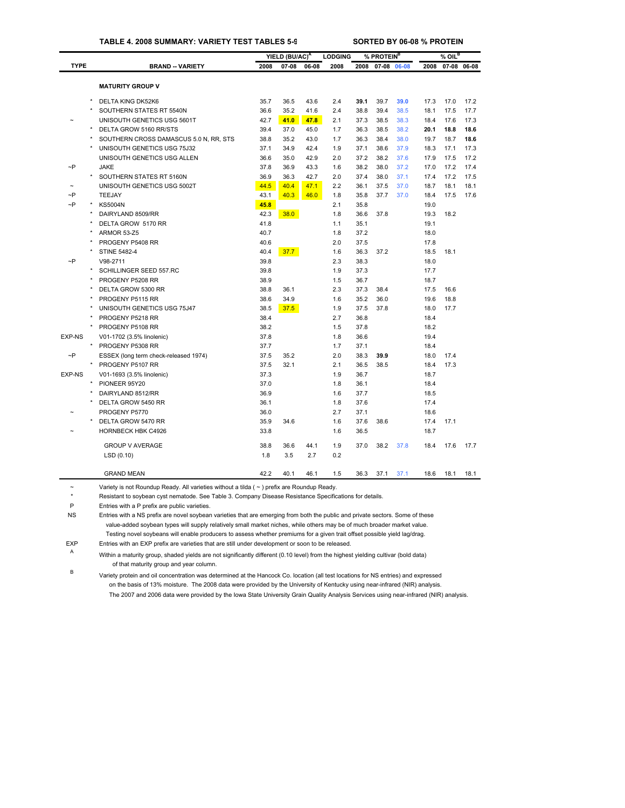# **TABLE 4. 2008 SUMMARY: VARIETY TEST TABLES 5-9 SORTED BY 06-08 % PROTEIN**

|               |         |                                        |      | YIELD (BU/AC) <sup>A</sup> |       | <b>LODGING</b> |      | % PROTEIN <sup>B</sup> |      |      | $%$ OIL <sup>B</sup> |      |
|---------------|---------|----------------------------------------|------|----------------------------|-------|----------------|------|------------------------|------|------|----------------------|------|
| <b>TYPE</b>   |         | <b>BRAND -- VARIETY</b>                | 2008 | 07-08                      | 06-08 | 2008           | 2008 | 07-08 06-08            |      | 2008 | 07-08 06-08          |      |
|               |         |                                        |      |                            |       |                |      |                        |      |      |                      |      |
|               |         | <b>MATURITY GROUP V</b>                |      |                            |       |                |      |                        |      |      |                      |      |
|               |         | DELTA KING DK52K6                      | 35.7 | 36.5                       | 43.6  | 2.4            | 39.1 | 39.7                   | 39.0 | 17.3 | 17.0                 | 17.2 |
|               |         | SOUTHERN STATES RT 5540N               | 36.6 | 35.2                       | 41.6  | 2.4            | 38.8 | 39.4                   | 38.5 | 18.1 | 17.5                 | 17.7 |
|               |         | UNISOUTH GENETICS USG 5601T            | 42.7 | 41.0                       | 47.8  | 2.1            | 37.3 | 38.5                   | 38.3 | 18.4 | 17.6                 | 17.3 |
|               |         | DELTA GROW 5160 RR/STS                 | 39.4 | 37.0                       | 45.0  | 1.7            | 36.3 | 38.5                   | 38.2 | 20.1 | 18.8                 | 18.6 |
|               |         | SOUTHERN CROSS DAMASCUS 5.0 N, RR, STS | 38.8 | 35.2                       | 43.0  | 1.7            | 36.3 | 38.4                   | 38.0 | 19.7 | 18.7                 | 18.6 |
|               |         | UNISOUTH GENETICS USG 75J32            | 37.1 | 34.9                       | 42.4  | 1.9            | 37.1 | 38.6                   | 37.9 | 18.3 | 17.1                 | 17.3 |
|               |         | UNISOUTH GENETICS USG ALLEN            | 36.6 | 35.0                       | 42.9  | 2.0            | 37.2 | 38.2                   | 37.6 | 17.9 | 17.5                 | 17.2 |
| $\neg P$      |         | <b>JAKE</b>                            | 37.8 | 36.9                       | 43.3  | 1.6            | 38.2 | 38.0                   | 37.2 | 17.0 | 17.2                 | 17.4 |
|               | $\star$ | SOUTHERN STATES RT 5160N               | 36.9 | 36.3                       | 42.7  | 2.0            | 37.4 | 38.0                   | 37.1 | 17.4 | 17.2                 | 17.5 |
|               |         | UNISOUTH GENETICS USG 5002T            | 44.5 | 40.4                       | 47.1  | 2.2            | 36.1 | 37.5                   | 37.0 | 18.7 | 18.1                 | 18.1 |
| $\sim P$      |         | TEEJAY                                 | 43.1 | 40.3                       | 46.0  | 1.8            | 35.8 | 37.7                   | 37.0 | 18.4 | 17.5                 | 17.6 |
| $\neg P$      |         | <b>KS5004N</b>                         | 45.8 |                            |       | 2.1            | 35.8 |                        |      | 19.0 |                      |      |
|               |         | DAIRYLAND 8509/RR                      | 42.3 | 38.0                       |       | 1.8            | 36.6 | 37.8                   |      | 19.3 | 18.2                 |      |
|               |         | DELTA GROW 5170 RR                     | 41.8 |                            |       | 1.1            | 35.1 |                        |      | 19.1 |                      |      |
|               |         | ARMOR 53-Z5                            | 40.7 |                            |       | 1.8            | 37.2 |                        |      | 18.0 |                      |      |
|               |         | PROGENY P5408 RR                       | 40.6 |                            |       | 2.0            | 37.5 |                        |      | 17.8 |                      |      |
|               |         | <b>STINE 5482-4</b>                    | 40.4 | 37.7                       |       | 1.6            | 36.3 | 37.2                   |      | 18.5 | 18.1                 |      |
| $\neg P$      |         | V98-2711                               | 39.8 |                            |       | 2.3            | 38.3 |                        |      | 18.0 |                      |      |
|               |         | SCHILLINGER SEED 557.RC                | 39.8 |                            |       | 1.9            | 37.3 |                        |      | 17.7 |                      |      |
|               |         | PROGENY P5208 RR                       | 38.9 |                            |       | 1.5            | 36.7 |                        |      | 18.7 |                      |      |
|               |         | DELTA GROW 5300 RR                     | 38.8 | 36.1                       |       | 2.3            | 37.3 | 38.4                   |      | 17.5 | 16.6                 |      |
|               |         | PROGENY P5115 RR                       | 38.6 | 34.9                       |       | 1.6            | 35.2 | 36.0                   |      | 19.6 | 18.8                 |      |
|               |         | UNISOUTH GENETICS USG 75J47            | 38.5 | 37.5                       |       | 1.9            | 37.5 | 37.8                   |      | 18.0 | 17.7                 |      |
|               |         | PROGENY P5218 RR                       | 38.4 |                            |       | 2.7            | 36.8 |                        |      | 18.4 |                      |      |
|               |         | PROGENY P5108 RR                       | 38.2 |                            |       | 1.5            | 37.8 |                        |      | 18.2 |                      |      |
| <b>EXP-NS</b> |         | V01-1702 (3.5% linolenic)              | 37.8 |                            |       | 1.8            | 36.6 |                        |      | 19.4 |                      |      |
|               |         | PROGENY P5308 RR                       | 37.7 |                            |       | 1.7            | 37.1 |                        |      | 18.4 |                      |      |
| $\neg P$      |         | ESSEX (long term check-released 1974)  | 37.5 | 35.2                       |       | 2.0            | 38.3 | 39.9                   |      | 18.0 | 17.4                 |      |
|               |         | PROGENY P5107 RR                       | 37.5 | 32.1                       |       | 2.1            | 36.5 | 38.5                   |      | 18.4 | 17.3                 |      |
| <b>EXP-NS</b> |         | V01-1693 (3.5% linolenic)              | 37.3 |                            |       | 1.9            | 36.7 |                        |      | 18.7 |                      |      |
|               |         | PIONEER 95Y20                          | 37.0 |                            |       | 1.8            | 36.1 |                        |      | 18.4 |                      |      |
|               |         | DAIRYLAND 8512/RR                      | 36.9 |                            |       | 1.6            | 37.7 |                        |      | 18.5 |                      |      |
|               |         | DELTA GROW 5450 RR                     | 36.1 |                            |       | 1.8            | 37.6 |                        |      | 17.4 |                      |      |
|               |         | PROGENY P5770                          | 36.0 |                            |       | 2.7            | 37.1 |                        |      | 18.6 |                      |      |
|               |         | DELTA GROW 5470 RR                     | 35.9 | 34.6                       |       | 1.6            | 37.6 | 38.6                   |      | 17.4 | 17.1                 |      |
|               |         | HORNBECK HBK C4926                     | 33.8 |                            |       | 1.6            | 36.5 |                        |      | 18.7 |                      |      |
|               |         |                                        |      |                            |       |                |      |                        |      |      |                      |      |
|               |         | <b>GROUP V AVERAGE</b>                 | 38.8 | 36.6                       | 44.1  | 1.9            | 37.0 | 38.2                   | 37.8 | 18.4 | 17.6                 | 17.7 |
|               |         | LSD(0.10)                              | 1.8  | 3.5                        | 2.7   | 0.2            |      |                        |      |      |                      |      |
|               |         | <b>GRAND MEAN</b>                      | 42.2 | 40.1                       | 46.1  | 1.5            | 36.3 | 37.1                   | 37.1 | 18.6 | 18.1                 | 18.1 |
|               |         |                                        |      |                            |       |                |      |                        |      |      |                      |      |

~ Variety is not Roundup Ready. All varieties without a tilda ( ~ ) prefix are Roundup Ready.

\* Resistant to soybean cyst nematode. See Table 3. Company Disease Resistance Specifications for details.

P Entries with a P prefix are public varieties.

NS Entries with a NS prefix are novel soybean varieties that are emerging from both the public and private sector[s. Some of](#page-29-0) these value-added soybean types will supply relatively small market niches, while others may be of much broader market value. Testing novel soybeans will enable producers to assess whether premiums for a given trait offset possible yield lag/drag.

EXP Entries with an EXP prefix are varieties that are still under development or soon to be released.

<sup>A</sup> Within a maturity group, shaded yields are not significantly different (0.10 level) from the highest yielding cultivar (bold data) of that maturity group and year column.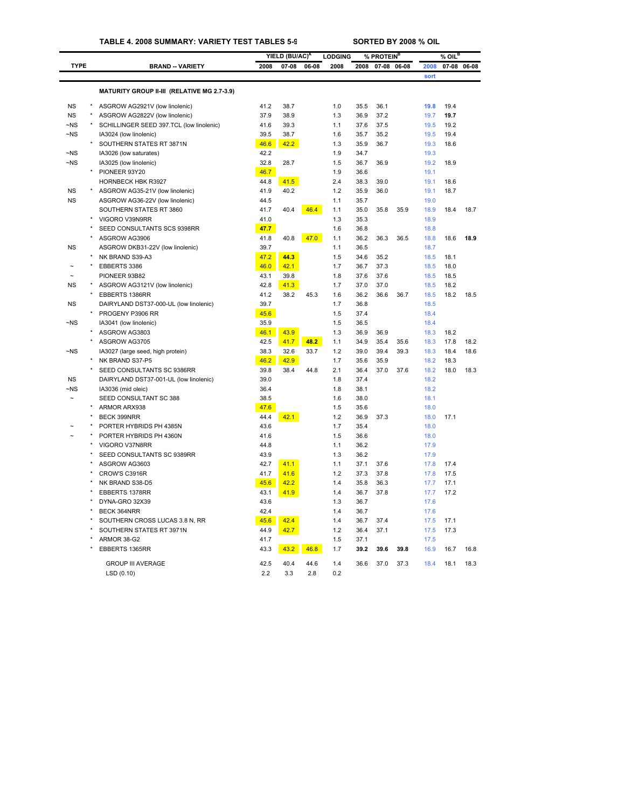|             |         |                                             |      | YIELD (BU/AC) <sup>A</sup> |       | <b>LODGING</b> |      | % PROTEIN <sup>B</sup> |       |      | $%$ OIL <sup>B</sup> |       |
|-------------|---------|---------------------------------------------|------|----------------------------|-------|----------------|------|------------------------|-------|------|----------------------|-------|
| <b>TYPE</b> |         | <b>BRAND -- VARIETY</b>                     | 2008 | $07 - 08$                  | 06-08 | 2008           | 2008 | $07 - 08$              | 06-08 | 2008 | 07-08                | 06-08 |
|             |         |                                             |      |                            |       |                |      |                        |       | sort |                      |       |
|             |         | MATURITY GROUP II-III (RELATIVE MG 2.7-3.9) |      |                            |       |                |      |                        |       |      |                      |       |
| <b>NS</b>   |         | ASGROW AG2921V (low linolenic)              | 41.2 | 38.7                       |       | 1.0            | 35.5 | 36.1                   |       | 19.8 | 19.4                 |       |
| <b>NS</b>   | $\star$ | ASGROW AG2822V (low linolenic)              | 37.9 | 38.9                       |       | 1.3            | 36.9 | 37.2                   |       | 19.7 | 19.7                 |       |
| $-NS$       |         | SCHILLINGER SEED 397.TCL (low linolenic)    | 41.6 | 39.3                       |       | 1.1            | 37.6 | 37.5                   |       | 19.5 | 19.2                 |       |
| $\neg$ NS   |         | IA3024 (low linolenic)                      | 39.5 | 38.7                       |       | 1.6            | 35.7 | 35.2                   |       | 19.5 | 19.4                 |       |
|             |         | SOUTHERN STATES RT 3871N                    | 46.6 | 42.2                       |       | 1.3            | 35.9 | 36.7                   |       | 19.3 | 18.6                 |       |
| $\neg$ NS   |         | IA3026 (low saturates)                      | 42.2 |                            |       | 1.9            | 34.7 |                        |       | 19.3 |                      |       |
| $\neg$ NS   |         | IA3025 (low linolenic)                      | 32.8 | 28.7                       |       | 1.5            | 36.7 | 36.9                   |       | 19.2 | 18.9                 |       |
|             |         | PIONEER 93Y20                               | 46.7 |                            |       | 1.9            | 36.6 |                        |       | 19.1 |                      |       |
|             |         | HORNBECK HBK R3927                          | 44.8 | 41.5                       |       | 2.4            | 38.3 | 39.0                   |       | 19.1 | 18.6                 |       |
| <b>NS</b>   |         | ASGROW AG35-21V (low linolenic)             | 41.9 | 40.2                       |       | 1.2            | 35.9 | 36.0                   |       | 19.1 | 18.7                 |       |
| <b>NS</b>   |         | ASGROW AG36-22V (low linolenic)             | 44.5 |                            |       | 1.1            | 35.7 |                        |       | 19.0 |                      |       |
|             |         | SOUTHERN STATES RT 3860                     | 41.7 | 40.4                       | 46.4  | 1.1            | 35.0 | 35.8                   | 35.9  | 18.9 | 18.4                 | 18.7  |
|             |         | VIGORO V39N9RR                              | 41.0 |                            |       | 1.3            | 35.3 |                        |       | 18.9 |                      |       |
|             |         | SEED CONSULTANTS SCS 9398RR                 | 47.7 |                            |       | 1.6            | 36.8 |                        |       | 18.8 |                      |       |
|             |         | ASGROW AG3906                               | 41.8 | 40.8                       | 47.0  | 1.1            | 36.2 | 36.3                   | 36.5  | 18.8 | 18.6                 | 18.9  |
| <b>NS</b>   |         | ASGROW DKB31-22V (low linolenic)            | 39.7 |                            |       | 1.1            | 36.5 |                        |       | 18.7 |                      |       |
|             |         | NK BRAND S39-A3                             | 47.2 | 44.3                       |       | 1.5            | 34.6 | 35.2                   |       | 18.5 | 18.1                 |       |
|             |         | EBBERTS 3386                                | 46.0 | 42.1                       |       | 1.7            | 36.7 | 37.3                   |       | 18.5 | 18.0                 |       |
|             |         | PIONEER 93B82                               | 43.1 | 39.8                       |       | 1.8            | 37.6 | 37.6                   |       | 18.5 | 18.5                 |       |
| <b>NS</b>   |         | ASGROW AG3121V (low linolenic)              | 42.8 | 41.3                       |       | 1.7            | 37.0 | 37.0                   |       | 18.5 | 18.2                 |       |
|             |         | EBBERTS 1386RR                              | 41.2 | 38.2                       | 45.3  | 1.6            | 36.2 | 36.6                   | 36.7  | 18.5 | 18.2                 | 18.5  |
| <b>NS</b>   |         | DAIRYLAND DST37-000-UL (low linolenic)      | 39.7 |                            |       | 1.7            | 36.8 |                        |       | 18.5 |                      |       |
|             |         | PROGENY P3906 RR                            | 45.6 |                            |       | 1.5            | 37.4 |                        |       | 18.4 |                      |       |
| $-NS$       |         | IA3041 (low linolenic)                      | 35.9 |                            |       | 1.5            | 36.5 |                        |       | 18.4 |                      |       |
|             |         | ASGROW AG3803                               | 46.1 | 43.9                       |       | 1.3            | 36.9 | 36.9                   |       | 18.3 | 18.2                 |       |
|             |         | ASGROW AG3705                               | 42.5 | 41.7                       | 48.2  | 1.1            | 34.9 | 35.4                   | 35.6  | 18.3 | 17.8                 | 18.2  |
| ~NS         |         | IA3027 (large seed, high protein)           | 38.3 | 32.6                       | 33.7  | 1.2            | 39.0 | 39.4                   | 39.3  | 18.3 | 18.4                 | 18.6  |
|             |         | NK BRAND S37-P5                             | 46.2 | 42.9                       |       | 1.7            | 35.6 | 35.9                   |       | 18.2 | 18.3                 |       |
|             |         | SEED CONSULTANTS SC 9386RR                  | 39.8 | 38.4                       | 44.8  | 2.1            | 36.4 | 37.0                   | 37.6  | 18.2 | 18.0                 | 18.3  |
| <b>NS</b>   |         | DAIRYLAND DST37-001-UL (low linolenic)      | 39.0 |                            |       | 1.8            | 37.4 |                        |       | 18.2 |                      |       |
| $-NS$       |         | IA3036 (mid oleic)                          | 36.4 |                            |       | 1.8            | 38.1 |                        |       | 18.2 |                      |       |
|             |         | SEED CONSULTANT SC 388                      | 38.5 |                            |       | 1.6            | 38.0 |                        |       | 18.1 |                      |       |
|             |         | ARMOR ARX938                                | 47.6 |                            |       | 1.5            | 35.6 |                        |       | 18.0 |                      |       |
|             |         | BECK 399NRR                                 | 44.4 | 42.1                       |       | 1.2            | 36.9 | 37.3                   |       | 18.0 | 17.1                 |       |
|             |         | PORTER HYBRIDS PH 4385N                     | 43.6 |                            |       | 1.7            | 35.4 |                        |       | 18.0 |                      |       |
|             |         | PORTER HYBRIDS PH 4360N                     | 41.6 |                            |       | 1.5            | 36.6 |                        |       | 18.0 |                      |       |
|             |         | VIGORO V37N8RR                              | 44.8 |                            |       | 1.1            | 36.2 |                        |       | 17.9 |                      |       |
|             |         | SEED CONSULTANTS SC 9389RR                  | 43.9 |                            |       | 1.3            | 36.2 |                        |       | 17.9 |                      |       |
|             |         | ASGROW AG3603                               | 42.7 | 41.1                       |       | 1.1            | 37.1 | 37.6                   |       | 17.8 | 17.4                 |       |
|             |         | CROW'S C3916R                               | 41.7 | 41.6                       |       | 1.2            | 37.3 | 37.8                   |       | 17.8 | 17.5                 |       |
|             |         | NK BRAND S38-D5                             | 45.6 | 42.2                       |       | 1.4            | 35.8 | 36.3                   |       | 17.7 | 17.1                 |       |
|             |         | EBBERTS 1378RR                              | 43.1 | 41.9                       |       | 1.4            | 36.7 | 37.8                   |       | 17.7 | 17.2                 |       |
|             |         | DYNA-GRO 32X39                              | 43.6 |                            |       | 1.3            | 36.7 |                        |       | 17.6 |                      |       |
|             |         | BECK 364NRR                                 | 42.4 |                            |       | 1.4            | 36.7 |                        |       | 17.6 |                      |       |
|             |         | SOUTHERN CROSS LUCAS 3.8 N, RR              | 45.6 | 42.4                       |       | 1.4            | 36.7 | 37.4                   |       | 17.5 | 17.1                 |       |
|             |         | SOUTHERN STATES RT 3971N                    | 44.9 | 42.7                       |       | 1.2            | 36.4 | 37.1                   |       | 17.5 | 17.3                 |       |
|             |         | ARMOR 38-G2                                 | 41.7 |                            |       | 1.5            | 37.1 |                        |       | 17.5 |                      |       |
|             |         | EBBERTS 1365RR                              | 43.3 | 43.2                       | 46.8  | 1.7            | 39.2 | 39.6                   | 39.8  | 16.9 | 16.7                 | 16.8  |
|             |         | <b>GROUP III AVERAGE</b>                    | 42.5 | 40.4                       | 44.6  | 1.4            | 36.6 | 37.0                   | 37.3  | 18.4 | 18.1                 | 18.3  |
|             |         | LSD(0.10)                                   | 2.2  | 3.3                        | 2.8   | 0.2            |      |                        |       |      |                      |       |
|             |         |                                             |      |                            |       |                |      |                        |       |      |                      |       |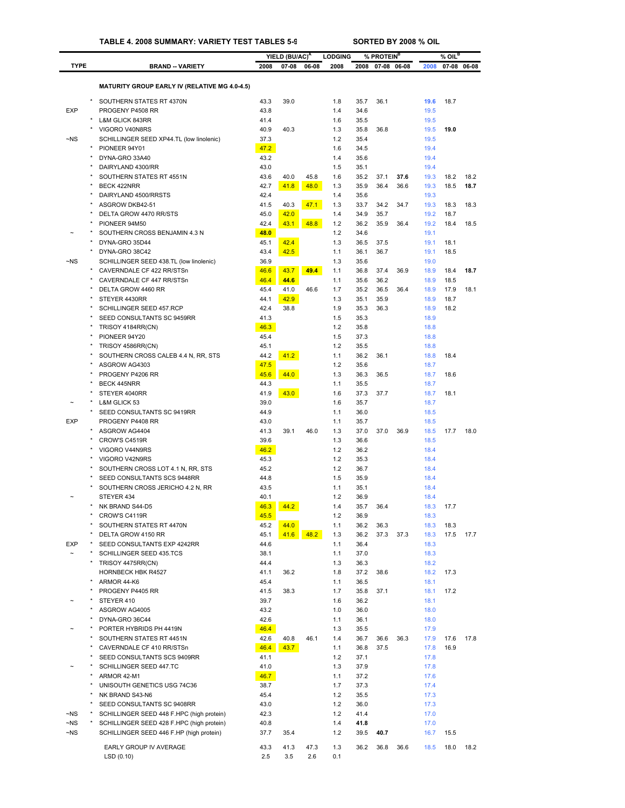## **TABLE 4. 2008 SUMMARY: VARIETY TEST TABLES 5-9 SORTED BY 2008 % OIL**

|                 |                                                                      |              | YIELD (BU/AC) <sup>A</sup> |       | <b>LODGING</b> |              | % PROTEIN <sup>B</sup> |      |              | $%$ OIL $^B$ |             |
|-----------------|----------------------------------------------------------------------|--------------|----------------------------|-------|----------------|--------------|------------------------|------|--------------|--------------|-------------|
| <b>TYPE</b>     | <b>BRAND - VARIETY</b>                                               | 2008         | 07-08                      | 06-08 | 2008           | 2008         | 07-08 06-08            |      | 2008         |              | 07-08 06-08 |
|                 | <b>MATURITY GROUP EARLY IV (RELATIVE MG 4.0-4.5)</b>                 |              |                            |       |                |              |                        |      |              |              |             |
|                 |                                                                      |              |                            |       |                |              |                        |      |              |              |             |
|                 | SOUTHERN STATES RT 4370N<br>PROGENY P4508 RR                         | 43.3         | 39.0                       |       | 1.8<br>1.4     | 35.7         | 36.1                   |      | 19.6         | 18.7         |             |
| <b>EXP</b>      | <b>L&amp;M GLICK 843RR</b>                                           | 43.8<br>41.4 |                            |       | 1.6            | 34.6<br>35.5 |                        |      | 19.5<br>19.5 |              |             |
|                 | VIGORO V40N8RS                                                       | 40.9         | 40.3                       |       | 1.3            | 35.8         | 36.8                   |      | 19.5         | 19.0         |             |
| $-NS$           | SCHILLINGER SEED XP44.TL (low linolenic)                             | 37.3         |                            |       | 1.2            | 35.4         |                        |      | 19.5         |              |             |
|                 | PIONEER 94Y01                                                        | 47.2         |                            |       | 1.6            | 34.5         |                        |      | 19.4         |              |             |
|                 | DYNA-GRO 33A40                                                       | 43.2         |                            |       | 1.4            | 35.6         |                        |      | 19.4         |              |             |
|                 | DAIRYLAND 4300/RR                                                    | 43.0         |                            |       | 1.5            | 35.1         |                        |      | 19.4         |              |             |
|                 | SOUTHERN STATES RT 4551N<br><b>BECK 422NRR</b>                       | 43.6         | 40.0                       | 45.8  | 1.6            | 35.2         | 37.1                   | 37.6 | 19.3         | 18.2         | 18.2        |
|                 | DAIRYLAND 4500/RRSTS                                                 | 42.7<br>42.4 | 41.8                       | 48.0  | 1.3<br>1.4     | 35.9<br>35.6 | 36.4                   | 36.6 | 19.3<br>19.3 | 18.5         | 18.7        |
|                 | ASGROW DKB42-51                                                      | 41.5         | 40.3                       | 47.1  | 1.3            | 33.7         | 34.2                   | 34.7 | 19.3         | 18.3         | 18.3        |
|                 | DELTA GROW 4470 RR/STS                                               | 45.0         | 42.0                       |       | 1.4            | 34.9         | 35.7                   |      | 19.2         | 18.7         |             |
|                 | PIONEER 94M50                                                        | 42.4         | 43.1                       | 48.8  | 1.2            | 36.2         | 35.9                   | 36.4 | 19.2         | 18.4         | 18.5        |
|                 | SOUTHERN CROSS BENJAMIN 4.3 N                                        | 48.0         |                            |       | 1.2            | 34.6         |                        |      | 19.1         |              |             |
|                 | DYNA-GRO 35D44                                                       | 45.1         | 42.4                       |       | 1.3            | 36.5         | 37.5                   |      | 19.1         | 18.1         |             |
|                 | DYNA-GRO 38C42                                                       | 43.4         | 42.5                       |       | 1.1            | 36.1         | 36.7                   |      | 19.1         | 18.5         |             |
| ~NS             | SCHILLINGER SEED 438.TL (low linolenic)<br>CAVERNDALE CF 422 RR/STSn | 36.9<br>46.6 | 43.7                       | 49.4  | 1.3<br>1.1     | 35.6<br>36.8 | 37.4                   | 36.9 | 19.0<br>18.9 | 18.4         | 18.7        |
|                 | CAVERNDALE CF 447 RR/STSn                                            | 46.4         | 44.6                       |       | 1.1            | 35.6         | 36.2                   |      | 18.9         | 18.5         |             |
|                 | DELTA GROW 4460 RR                                                   | 45.4         | 41.0                       | 46.6  | 1.7            | 35.2         | 36.5                   | 36.4 | 18.9         | 17.9         | 18.1        |
|                 | STEYER 4430RR                                                        | 44.1         | 42.9                       |       | 1.3            | 35.1         | 35.9                   |      | 18.9         | 18.7         |             |
|                 | SCHILLINGER SEED 457.RCP                                             | 42.4         | 38.8                       |       | 1.9            | 35.3         | 36.3                   |      | 18.9         | 18.2         |             |
|                 | SEED CONSULTANTS SC 9459RR                                           | 41.3         |                            |       | 1.5            | 35.3         |                        |      | 18.9         |              |             |
|                 | TRISOY 4184RR(CN)                                                    | 46.3         |                            |       | 1.2            | 35.8         |                        |      | 18.8         |              |             |
|                 | PIONEER 94Y20                                                        | 45.4         |                            |       | 1.5            | 37.3         |                        |      | 18.8         |              |             |
|                 | TRISOY 4586RR(CN)                                                    | 45.1         |                            |       | 1.2            | 35.5         |                        |      | 18.8         |              |             |
|                 | SOUTHERN CROSS CALEB 4.4 N, RR, STS<br>ASGROW AG4303                 | 44.2<br>47.5 | 41.2                       |       | 1.1<br>1.2     | 36.2<br>35.6 | 36.1                   |      | 18.8<br>18.7 | 18.4         |             |
|                 | PROGENY P4206 RR                                                     | 45.6         | 44.0                       |       | 1.3            | 36.3         | 36.5                   |      | 18.7         | 18.6         |             |
|                 | <b>BECK 445NRR</b>                                                   | 44.3         |                            |       | 1.1            | 35.5         |                        |      | 18.7         |              |             |
|                 | STEYER 4040RR                                                        | 41.9         | 43.0                       |       | 1.6            | 37.3         | 37.7                   |      | 18.7         | 18.1         |             |
|                 | L&M GLICK 53                                                         | 39.0         |                            |       | 1.6            | 35.7         |                        |      | 18.7         |              |             |
|                 | SEED CONSULTANTS SC 9419RR                                           | 44.9         |                            |       | 1.1            | 36.0         |                        |      | 18.5         |              |             |
| <b>EXP</b><br>× | PROGENY P4408 RR                                                     | 43.0         |                            |       | 1.1            | 35.7         |                        |      | 18.5         |              |             |
|                 | ASGROW AG4404<br>CROW'S C4519R                                       | 41.3<br>39.6 | 39.1                       | 46.0  | 1.3<br>1.3     | 37.0<br>36.6 | 37.0                   | 36.9 | 18.5<br>18.5 | 17.7         | 18.0        |
|                 | VIGORO V44N9RS                                                       | 46.2         |                            |       | 1.2            | 36.2         |                        |      | 18.4         |              |             |
|                 | VIGORO V42N9RS                                                       | 45.3         |                            |       | 1.2            | 35.3         |                        |      | 18.4         |              |             |
|                 | SOUTHERN CROSS LOT 4.1 N, RR, STS                                    | 45.2         |                            |       | 1.2            | 36.7         |                        |      | 18.4         |              |             |
|                 | SEED CONSULTANTS SCS 9448RR                                          | 44.8         |                            |       | 1.5            | 35.9         |                        |      | 18.4         |              |             |
|                 | SOUTHERN CROSS JERICHO 4.2 N. RR                                     | 43.5         |                            |       | 1.1            | 35.1         |                        |      | 18.4         |              |             |
|                 | STEYER 434                                                           | 40.1         |                            |       | 1.2            | 36.9         |                        |      | 18.4         |              |             |
|                 | NK BRAND S44-D5                                                      | 46.3         | <u>44.2</u>                |       | 1.4            | 35.7         | 36.4                   |      | 18.3         | 17.7         |             |
|                 | CROW'S C4119R<br>SOUTHERN STATES RT 4470N                            | 45.5<br>45.2 | 44.0                       |       | 1.2<br>1.1     | 36.9<br>36.2 | 36.3                   |      | 18.3<br>18.3 | 18.3         |             |
|                 | DELTA GROW 4150 RR                                                   | 45.1         | 41.6                       | 48.2  | 1.3            | 36.2         | 37.3                   | 37.3 | 18.3         | 17.5         | 17.7        |
| <b>EXP</b>      | SEED CONSULTANTS EXP 4242RR                                          | 44.6         |                            |       | 1.1            | 36.4         |                        |      | 18.3         |              |             |
|                 | SCHILLINGER SEED 435.TCS                                             | 38.1         |                            |       | 1.1            | 37.0         |                        |      | 18.3         |              |             |
|                 | TRISOY 4475RR(CN)                                                    | 44.4         |                            |       | 1.3            | 36.3         |                        |      | 18.2         |              |             |
|                 | HORNBECK HBK R4527                                                   | 41.1         | 36.2                       |       | 1.8            | 37.2         | 38.6                   |      | 18.2         | 17.3         |             |
|                 | ARMOR 44-K6                                                          | 45.4         |                            |       | 1.1            | 36.5         |                        |      | 18.1         |              |             |
|                 | PROGENY P4405 RR<br>STEYER 410                                       | 41.5<br>39.7 | 38.3                       |       | 1.7<br>1.6     | 35.8<br>36.2 | 37.1                   |      | 18.1<br>18.1 | 17.2         |             |
|                 | ASGROW AG4005                                                        | 43.2         |                            |       | 1.0            | 36.0         |                        |      | 18.0         |              |             |
|                 | DYNA-GRO 36C44                                                       | 42.6         |                            |       | 1.1            | 36.1         |                        |      | 18.0         |              |             |
|                 | PORTER HYBRIDS PH 4419N                                              | 46.4         |                            |       | 1.3            | 35.5         |                        |      | 17.9         |              |             |
|                 | SOUTHERN STATES RT 4451N                                             | 42.6         | 40.8                       | 46.1  | 1.4            | 36.7         | 36.6                   | 36.3 | 17.9         | 17.6         | 17.8        |
|                 | CAVERNDALE CF 410 RR/STSn                                            | 46.4         | 43.7                       |       | 1.1            | 36.8         | 37.5                   |      | 17.8         | 16.9         |             |
|                 | SEED CONSULTANTS SCS 9409RR                                          | 41.1         |                            |       | 1.2            | 37.1         |                        |      | 17.8         |              |             |
|                 | SCHILLINGER SEED 447.TC                                              | 41.0         |                            |       | 1.3            | 37.9         |                        |      | 17.8         |              |             |
|                 | ARMOR 42-M1                                                          | 46.7         |                            |       | 1.1            | 37.2         |                        |      | 17.6         |              |             |
|                 | UNISOUTH GENETICS USG 74C36<br>NK BRAND S43-N6                       | 38.7<br>45.4 |                            |       | 1.7<br>1.2     | 37.3<br>35.5 |                        |      | 17.4<br>17.3 |              |             |
|                 | SEED CONSULTANTS SC 9408RR                                           | 43.0         |                            |       | 1.2            | 36.0         |                        |      | 17.3         |              |             |
| $\neg$ NS       | SCHILLINGER SEED 448 F.HPC (high protein)                            | 42.3         |                            |       | 1.2            | 41.4         |                        |      | 17.0         |              |             |
| ~NS             | SCHILLINGER SEED 428 F.HPC (high protein)                            | 40.8         |                            |       | 1.4            | 41.8         |                        |      | 17.0         |              |             |
| $\neg$ NS       | SCHILLINGER SEED 446 F.HP (high protein)                             | 37.7         | 35.4                       |       | 1.2            | 39.5         | 40.7                   |      | 16.7         | 15.5         |             |
|                 | EARLY GROUP IV AVERAGE                                               | 43.3         | 41.3                       | 47.3  | 1.3            | 36.2         | 36.8                   | 36.6 | 18.5         | 18.0         | 18.2        |
|                 | LSD(0.10)                                                            | 2.5          | 3.5                        | 2.6   | 0.1            |              |                        |      |              |              |             |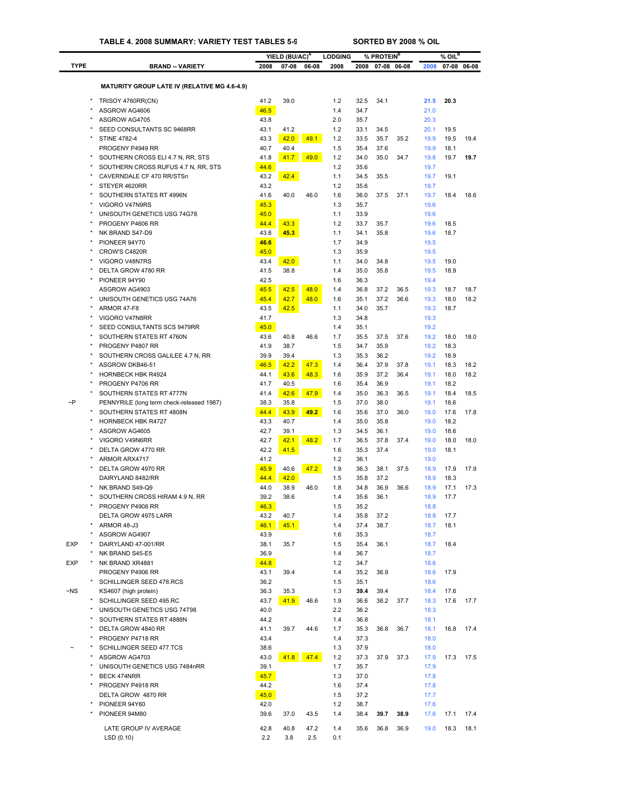|             |                                                       |              | YIELD (BU/AC) <sup>A</sup> |       | <b>LODGING</b> |              | % PROTEIN <sup>B</sup> |       |              | $%$ OIL $^B$ |             |
|-------------|-------------------------------------------------------|--------------|----------------------------|-------|----------------|--------------|------------------------|-------|--------------|--------------|-------------|
| <b>TYPE</b> | <b>BRAND - VARIETY</b>                                | 2008         | 07-08                      | 06-08 | 2008           | 2008         | $07 - 08$              | 06-08 | 2008         |              | 07-08 06-08 |
|             |                                                       |              |                            |       |                |              |                        |       |              |              |             |
|             | <b>MATURITY GROUP LATE IV (RELATIVE MG 4.6-4.9)</b>   |              |                            |       |                |              |                        |       |              |              |             |
|             | TRISOY 4760RR(CN)                                     | 41.2         | 39.0                       |       | 1.2            | 32.5         | 34.1                   |       | 21.5         | 20.3         |             |
|             | ASGROW AG4606<br>ASGROW AG4705                        | 46.5<br>43.8 |                            |       | 1.4<br>2.0     | 34.7<br>35.7 |                        |       | 21.0<br>20.3 |              |             |
|             | SEED CONSULTANTS SC 9468RR                            | 43.1         | 41.2                       |       | 1.2            | 33.1         | 34.5                   |       | 20.1         | 19.5         |             |
|             | <b>STINE 4782-4</b>                                   | 43.3         | 42.0                       | 49.1  | 1.2            | 33.5         | 35.7                   | 35.2  | 19.9         | 19.5         | 19.4        |
|             | PROGENY P4949 RR                                      | 40.7         | 40.4                       |       | 1.5            | 35.4         | 37.6                   |       | 19.9         | 18.1         |             |
|             | SOUTHERN CROSS ELI 4.7 N, RR, STS                     | 41.8         | 41.7                       | 49.0  | 1.2            | 34.0         | 35.0                   | 34.7  | 19.8         | 19.7         | 19.7        |
|             | SOUTHERN CROSS RUFUS 4.7 N, RR, STS                   | 44.6         |                            |       | 1.2            | 35.6         |                        |       | 19.7         |              |             |
|             | CAVERNDALE CF 470 RR/STSn                             | 43.2         | 42.4                       |       | 1.1            | 34.5         | 35.5                   |       | 19.7         | 19.1         |             |
|             | STEYER 4620RR                                         | 43.2         |                            |       | 1.2            | 35.6         |                        |       | 19.7         |              |             |
|             | SOUTHERN STATES RT 4996N                              | 41.6         | 40.0                       | 46.0  | 1.6            | 36.0         | 37.5                   | 37.1  | 19.7         | 18.4         | 18.6        |
|             | VIGORO V47N9RS                                        | 45.3<br>45.0 |                            |       | 1.3            | 35.7<br>33.9 |                        |       | 19.6         |              |             |
|             | UNISOUTH GENETICS USG 74G78<br>PROGENY P4606 RR       | 44.4         | 43.3                       |       | 1.1<br>1.2     | 33.7         | 35.7                   |       | 19.6<br>19.6 | 18.5         |             |
|             | NK BRAND S47-D9                                       | 43.8         | 45.3                       |       | 1.1            | 34.1         | 35.8                   |       | 19.6         | 18.7         |             |
|             | PIONEER 94Y70                                         | 46.6         |                            |       | 1.7            | 34.9         |                        |       | 19.5         |              |             |
|             | CROW'S C4820R                                         | 45.0         |                            |       | 1.3            | 35.9         |                        |       | 19.5         |              |             |
|             | VIGORO V48N7RS                                        | 43.4         | 42.0                       |       | 1.1            | 34.0         | 34.8                   |       | 19.5         | 19.0         |             |
|             | DELTA GROW 4780 RR                                    | 41.5         | 38.8                       |       | 1.4            | 35.0         | 35.8                   |       | 19.5         | 18.9         |             |
|             | PIONEER 94Y90                                         | 42.5         |                            |       | 1.6            | 36.3         |                        |       | 19.4         |              |             |
|             | ASGROW AG4903                                         | 45.5         | 42.5                       | 48.0  | 1.4            | 36.8         | 37.2                   | 36.5  | 19.3         | 18.7         | 18.7        |
|             | UNISOUTH GENETICS USG 74A76                           | 45.4         | 42.7                       | 48.0  | 1.6            | 35.1         | 37.2                   | 36.6  | 19.3         | 18.0         | 18.2        |
| $\star$     | ARMOR 47-F8                                           | 43.5         | 42.5                       |       | 1.1            | 34.0         | 35.7                   |       | 19.3         | 18.7         |             |
|             | VIGORO V47N8RR<br>SEED CONSULTANTS SCS 9479RR         | 41.7<br>45.0 |                            |       | 1.3<br>1.4     | 34.8<br>35.1 |                        |       | 19.3<br>19.2 |              |             |
|             | SOUTHERN STATES RT 4760N                              | 43.6         | 40.8                       | 46.6  | 1.7            | 35.5         | 37.5                   | 37.6  | 19.2         | 18.0         | 18.0        |
|             | PROGENY P4807 RR                                      | 41.9         | 38.7                       |       | 1.5            | 34.7         | 35.9                   |       | 19.2         | 18.3         |             |
|             | SOUTHERN CROSS GALILEE 4.7 N, RR                      | 39.9         | 39.4                       |       | 1.3            | 35.3         | 36.2                   |       | 19.2         | 18.9         |             |
|             | ASGROW DKB46-51                                       | 46.5         | 42.2                       | 47.3  | 1.4            | 36.4         | 37.9                   | 37.8  | 19.1         | 18.3         | 18.2        |
|             | <b>HORNBECK HBK R4924</b>                             | 44.1         | 43.6                       | 48.3  | 1.6            | 35.9         | 37.2                   | 36.4  | 19.1         | 18.0         | 18.2        |
|             | PROGENY P4706 RR                                      | 41.7         | 40.5                       |       | 1.6            | 35.4         | 36.9                   |       | 19.1         | 18.2         |             |
|             | SOUTHERN STATES RT 4777N                              | 41.4         | 42.6                       | 47.9  | 1.4            | 35.0         | 36.3                   | 36.5  | 19.1         | 18.4         | 18.5        |
| $\sim P$    | PENNYRILE (long term check-released 1987)             | 38.3         | 35.8                       |       | 1.5            | 37.0         | 38.0                   |       | 19.1         | 18.6         |             |
|             | SOUTHERN STATES RT 4808N<br><b>HORNBECK HBK R4727</b> | 44.4         | 43.9                       | 49.2  | 1.6<br>1.4     | 35.6<br>35.0 | 37.0<br>35.8           | 36.0  | 19.0<br>19.0 | 17.6<br>18.2 | 17.8        |
|             | ASGROW AG4605                                         | 43.3<br>42.7 | 40.7<br>39.1               |       | 1.3            | 34.5         | 36.1                   |       | 19.0         | 18.6         |             |
|             | VIGORO V49N6RR                                        | 42.7         | 42.1                       | 48.2  | 1.7            | 36.5         | 37.8                   | 37.4  | 19.0         | 18.0         | 18.0        |
|             | DELTA GROW 4770 RR                                    | 42.2         | 41.5                       |       | 1.6            | 35.3         | 37.4                   |       | 19.0         | 18.1         |             |
|             | ARMOR ARX4717                                         | 41.2         |                            |       | 1.2            | 36.1         |                        |       | 19.0         |              |             |
|             | DELTA GROW 4970 RR                                    | 45.9         | 40.6                       | 47.2  | 1.9            | 36.3         | 38.1                   | 37.5  | 18.9         | 17.9         | 17.9        |
|             | DAIRYLAND 8482/RR                                     | 44.4         | 42.0                       |       | 1.5            | 35.8         | 37.2                   |       | 18.9         | 18.3         |             |
|             | NK BRAND S49-Q9                                       | 44.0         | 38.9                       | 46.0  | 1.8            | 34.8         | 36.9                   | 36.6  | 18.9         | 17.1         | 17.3        |
|             | SOUTHERN CROSS HIRAM 4.9 N, RR                        | 39.2         | 38.6                       |       | 1.4            | 35.6         | 36.1                   |       | 18.9         | 17.7         |             |
|             | PROGENY P4908 RR                                      | 46.3         |                            |       | 1.5            | 35.2         |                        |       | 18.8         |              |             |
|             | DELTA GROW 4975 LARR<br>ARMOR 48-J3                   | 43.2<br>46.1 | 40.7<br>45.1               |       | 1.4<br>1.4     | 35.8<br>37.4 | 37.2<br>38.7           |       | 18.8<br>18.7 | 17.7<br>18.1 |             |
|             | ASGROW AG4907                                         | 43.9         |                            |       | 1.6            | 35.3         |                        |       | 18.7         |              |             |
| <b>EXP</b>  | DAIRYLAND 47-001/RR                                   | 38.1         | 35.7                       |       | 1.5            | 35.4         | 36.1                   |       | 18.7         | 18.4         |             |
|             | NK BRAND S45-E5                                       | 36.9         |                            |       | 1.4            | 36.7         |                        |       | 18.7         |              |             |
| <b>EXP</b>  | NK BRAND XR4881                                       | 44.8         |                            |       | 1.2            | 34.7         |                        |       | 18.6         |              |             |
|             | PROGENY P4906 RR                                      | 43.1         | 39.4                       |       | 1.4            | 35.2         | 36.9                   |       | 18.6         | 17.9         |             |
|             | SCHILLINGER SEED 478.RCS                              | 36.2         |                            |       | 1.5            | 35.1         |                        |       | 18.6         |              |             |
| $\neg$ NS   | KS4607 (high protein)                                 | 36.3         | 35.3                       |       | 1.3            | 39.4         | 39.4                   |       | 18.4         | 17.6         |             |
| $\star$     | SCHILLINGER SEED 495.RC                               | 43.7         | 41.9                       | 46.6  | 1.9            | 36.6         | 38.2                   | 37.7  | 18.3         | 17.6         | 17.7        |
|             | UNISOUTH GENETICS USG 74T98                           | 40.0         |                            |       | 2.2            | 36.2         |                        |       | 18.3         |              |             |
|             | SOUTHERN STATES RT 4888N<br>DELTA GROW 4840 RR        | 44.2<br>41.1 | 39.7                       | 44.6  | 1.4<br>1.7     | 36.8<br>35.3 | 36.8                   | 36.7  | 18.1<br>18.1 | 16.8         | 17.4        |
|             | PROGENY P4718 RR                                      | 43.4         |                            |       | 1.4            | 37.3         |                        |       | 18.0         |              |             |
|             | SCHILLINGER SEED 477.TCS                              | 38.6         |                            |       | 1.3            | 37.9         |                        |       | 18.0         |              |             |
|             | ASGROW AG4703                                         | 43.0         | 41.8                       | 47.4  | 1.2            | 37.3         | 37.9                   | 37.3  | 17.9         | 17.3         | 17.5        |
|             | UNISOUTH GENETICS USG 7484nRR                         | 39.1         |                            |       | 1.7            | 35.7         |                        |       | 17.9         |              |             |
|             | BECK 474NRR                                           | 45.7         |                            |       | 1.3            | 37.0         |                        |       | 17.8         |              |             |
|             | PROGENY P4918 RR                                      | 44.2         |                            |       | 1.6            | 37.4         |                        |       | 17.8         |              |             |
|             | DELTA GROW 4870 RR                                    | 45.0         |                            |       | 1.5            | 37.2         |                        |       | 17.7         |              |             |
|             | PIONEER 94Y60                                         | 42.0         |                            |       | 1.2            | 38.7         |                        |       | 17.6         |              |             |
|             | PIONEER 94M80                                         | 39.6         | 37.0                       | 43.5  | 1.4            | 38.4         | 39.7                   | 38.9  | 17.6         | 17.1         | 17.4        |
|             | LATE GROUP IV AVERAGE                                 | 42.8         | 40.8                       | 47.2  | 1.4            | 35.6         | 36.8                   | 36.9  | 19.0         | 18.3         | 18.1        |
|             | LSD(0.10)                                             | 2.2          | 3.8                        | 2.5   | 0.1            |              |                        |       |              |              |             |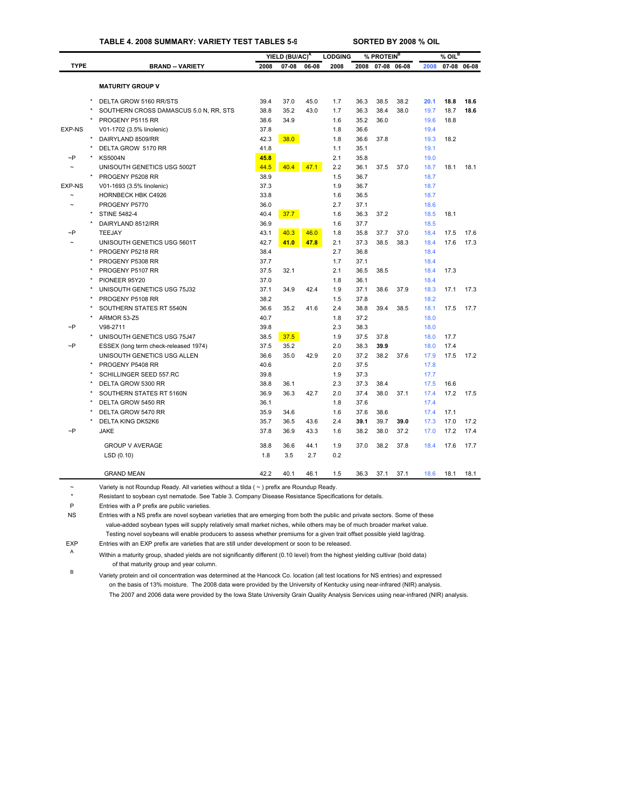### **TABLE 4. 2008 SUMMARY: VARIETY TEST TABLES 5-9 SORTED BY 2008 % OIL**

|               |                                        |      | YIELD (BU/AC) <sup>A</sup> |       | <b>LODGING</b> |      | % PROTEIN <sup>B</sup> |             |      | $%$ OIL <sup>B</sup> |             |
|---------------|----------------------------------------|------|----------------------------|-------|----------------|------|------------------------|-------------|------|----------------------|-------------|
| <b>TYPE</b>   | <b>BRAND -- VARIETY</b>                | 2008 | $07 - 08$                  | 06-08 | 2008           | 2008 |                        | 07-08 06-08 | 2008 |                      | 07-08 06-08 |
|               |                                        |      |                            |       |                |      |                        |             |      |                      |             |
|               | <b>MATURITY GROUP V</b>                |      |                            |       |                |      |                        |             |      |                      |             |
|               | DELTA GROW 5160 RR/STS                 | 39.4 | 37.0                       | 45.0  | 1.7            | 36.3 | 38.5                   | 38.2        | 20.1 | 18.8                 | 18.6        |
|               | SOUTHERN CROSS DAMASCUS 5.0 N, RR, STS | 38.8 | 35.2                       | 43.0  | 1.7            | 36.3 | 38.4                   | 38.0        | 19.7 | 18.7                 | 18.6        |
|               | PROGENY P5115 RR                       | 38.6 | 34.9                       |       | 1.6            | 35.2 | 36.0                   |             | 19.6 | 18.8                 |             |
| <b>EXP-NS</b> | V01-1702 (3.5% linolenic)              | 37.8 |                            |       | 1.8            | 36.6 |                        |             | 19.4 |                      |             |
|               | DAIRYLAND 8509/RR                      | 42.3 | 38.0                       |       | 1.8            | 36.6 | 37.8                   |             | 19.3 | 18.2                 |             |
|               | DELTA GROW 5170 RR                     | 41.8 |                            |       | 1.1            | 35.1 |                        |             | 19.1 |                      |             |
| $\neg P$      | <b>KS5004N</b>                         | 45.8 |                            |       | 2.1            | 35.8 |                        |             | 19.0 |                      |             |
|               | UNISOUTH GENETICS USG 5002T            | 44.5 | 40.4                       | 47.1  | 2.2            | 36.1 | 37.5                   | 37.0        | 18.7 | 18.1                 | 18.1        |
|               | PROGENY P5208 RR                       | 38.9 |                            |       | 1.5            | 36.7 |                        |             | 18.7 |                      |             |
| <b>EXP-NS</b> | V01-1693 (3.5% linolenic)              | 37.3 |                            |       | 1.9            | 36.7 |                        |             | 18.7 |                      |             |
|               | HORNBECK HBK C4926                     | 33.8 |                            |       | 1.6            | 36.5 |                        |             | 18.7 |                      |             |
|               | PROGENY P5770                          | 36.0 |                            |       | 2.7            | 37.1 |                        |             | 18.6 |                      |             |
|               | <b>STINE 5482-4</b>                    | 40.4 | 37.7                       |       | 1.6            | 36.3 | 37.2                   |             | 18.5 | 18.1                 |             |
|               | DAIRYLAND 8512/RR                      | 36.9 |                            |       | 1.6            | 37.7 |                        |             | 18.5 |                      |             |
| ~P            | TEEJAY                                 | 43.1 | 40.3                       | 46.0  | 1.8            | 35.8 | 37.7                   | 37.0        | 18.4 | 17.5                 | 17.6        |
|               | UNISOUTH GENETICS USG 5601T            | 42.7 | 41.0                       | 47.8  | 2.1            | 37.3 | 38.5                   | 38.3        | 18.4 | 17.6                 | 17.3        |
|               | PROGENY P5218 RR                       | 38.4 |                            |       | 2.7            | 36.8 |                        |             | 18.4 |                      |             |
|               | PROGENY P5308 RR                       | 37.7 |                            |       | 1.7            | 37.1 |                        |             | 18.4 |                      |             |
|               | PROGENY P5107 RR                       | 37.5 | 32.1                       |       | 2.1            | 36.5 | 38.5                   |             | 18.4 | 17.3                 |             |
|               | PIONEER 95Y20                          | 37.0 |                            |       | 1.8            | 36.1 |                        |             | 18.4 |                      |             |
|               | UNISOUTH GENETICS USG 75J32            | 37.1 | 34.9                       | 42.4  | 1.9            | 37.1 | 38.6                   | 37.9        | 18.3 | 17.1                 | 17.3        |
|               | PROGENY P5108 RR                       | 38.2 |                            |       | 1.5            | 37.8 |                        |             | 18.2 |                      |             |
|               | SOUTHERN STATES RT 5540N               | 36.6 | 35.2                       | 41.6  | 2.4            | 38.8 | 39.4                   | 38.5        | 18.1 | 17.5                 | 17.7        |
|               | ARMOR 53-Z5                            | 40.7 |                            |       | 1.8            | 37.2 |                        |             | 18.0 |                      |             |
| $\neg P$      | V98-2711                               | 39.8 |                            |       | 2.3            | 38.3 |                        |             | 18.0 |                      |             |
|               | UNISOUTH GENETICS USG 75J47            | 38.5 | 37.5                       |       | 1.9            | 37.5 | 37.8                   |             | 18.0 | 17.7                 |             |
| $\neg P$      | ESSEX (long term check-released 1974)  | 37.5 | 35.2                       |       | 2.0            | 38.3 | 39.9                   |             | 18.0 | 17.4                 |             |
|               | UNISOUTH GENETICS USG ALLEN            | 36.6 | 35.0                       | 42.9  | 2.0            | 37.2 | 38.2                   | 37.6        | 17.9 | 17.5                 | 17.2        |
|               | PROGENY P5408 RR                       | 40.6 |                            |       | 2.0            | 37.5 |                        |             | 17.8 |                      |             |
|               | SCHILLINGER SEED 557.RC                | 39.8 |                            |       | 1.9            | 37.3 |                        |             | 17.7 |                      |             |
|               | DELTA GROW 5300 RR                     | 38.8 | 36.1                       |       | 2.3            | 37.3 | 38.4                   |             | 17.5 | 16.6                 |             |
|               | SOUTHERN STATES RT 5160N               | 36.9 | 36.3                       | 42.7  | 2.0            | 37.4 | 38.0                   | 37.1        | 17.4 | 17.2                 | 17.5        |
|               | DELTA GROW 5450 RR                     | 36.1 |                            |       | 1.8            | 37.6 |                        |             | 17.4 |                      |             |
|               | DELTA GROW 5470 RR                     | 35.9 | 34.6                       |       | 1.6            | 37.6 | 38.6                   |             | 17.4 | 17.1                 |             |
|               | DELTA KING DK52K6                      | 35.7 | 36.5                       | 43.6  | 2.4            | 39.1 | 39.7                   | 39.0        | 17.3 | 17.0                 | 17.2        |
| $\sim P$      | <b>JAKE</b>                            | 37.8 | 36.9                       | 43.3  | 1.6            | 38.2 | 38.0                   | 37.2        | 17.0 | 17.2                 | 17.4        |
|               | <b>GROUP V AVERAGE</b>                 | 38.8 | 36.6                       | 44.1  | 1.9            | 37.0 | 38.2                   | 37.8        | 18.4 | 17.6                 | 17.7        |
|               | LSD(0.10)                              | 1.8  | 3.5                        | 2.7   | 0.2            |      |                        |             |      |                      |             |
|               | <b>GRAND MEAN</b>                      | 42.2 | 40.1                       | 46.1  | 1.5            | 36.3 | 37.1                   | 37.1        | 18.6 | 18.1                 | 18.1        |
|               |                                        |      |                            |       |                |      |                        |             |      |                      |             |

~ Variety is not Roundup Ready. All varieties without a tilda ( ~ ) prefix are Roundup Ready.

\* Resistant to soybean cyst nematode. See Table 3. Company Disease Resistance Specifications for details.

P Entries with a P prefix are public varieties.

NS Entries with a NS prefix are novel soybean varieties that are emerging from both the public and private sectors. Some of these value-added soybean types will supply relatively small market niches, while others may be of much broader market value. Testing novel soybeans will enable producers to assess whether premiums for a given trait offset possible yield lag/drag.

EXP Entries with an EXP prefix are varieties that are still under development or soon to be released.

<sup>A</sup> Within a maturity group, shaded yields are not significantly different (0.10 level) from the highest yielding cultivar (bold data) of that maturity group and year column.

<sup>B</sup> Variety protein and oil concentration was determined at the Hancock Co. location (all test locations for NS entries) and e[xpressed](#page-29-0)  on the basis of 13% moisture. The 2008 data were provided by the University of Kentucky using near-infrared (NIR) analysis. The 2007 and 2006 data were provided by the Iowa State University Grain Quality Analysis Services using near-infrared (NIR) analysis.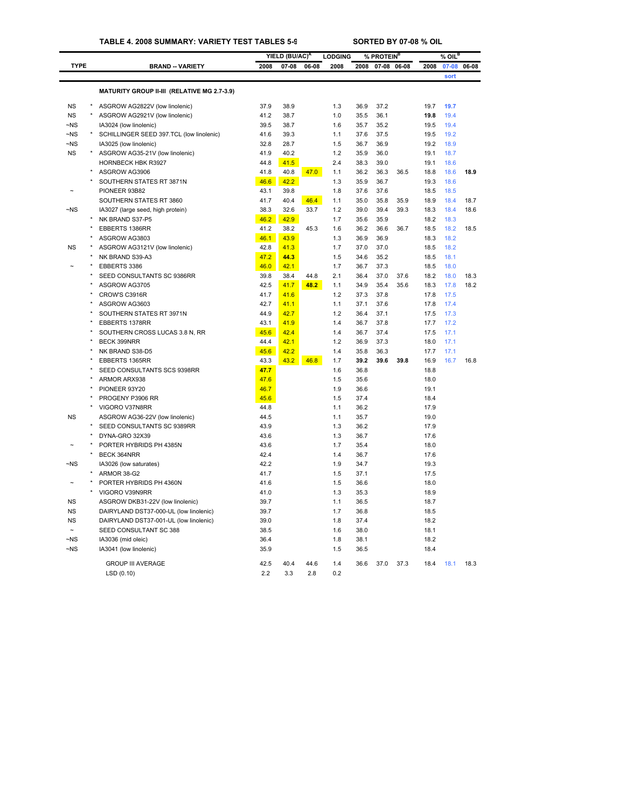### **TABLE 4. 2008 SUMMARY: VARIETY TEST TABLES 5-9 SORTED BY 07-08 % OIL**

|                       |         |                                                              |      | YIELD (BU/AC) <sup>A</sup> |              | <b>LODGING</b> |      | % PROTEIN <sup>B</sup> |       |              | $%$ OIL $^{\overline{B}}$ |       |
|-----------------------|---------|--------------------------------------------------------------|------|----------------------------|--------------|----------------|------|------------------------|-------|--------------|---------------------------|-------|
| <b>TYPE</b>           |         | <b>BRAND -- VARIETY</b>                                      | 2008 | 07-08                      | 06-08        | 2008           | 2008 | $07 - 08$              | 06-08 | 2008         | 07-08                     | 06-08 |
|                       |         |                                                              |      |                            |              |                |      |                        |       |              | sort                      |       |
|                       |         | MATURITY GROUP II-III (RELATIVE MG 2.7-3.9)                  |      |                            |              |                |      |                        |       |              |                           |       |
| <b>NS</b>             |         | ASGROW AG2822V (low linolenic)                               | 37.9 | 38.9                       |              | 1.3            | 36.9 | 37.2                   |       | 19.7         | 19.7                      |       |
| <b>NS</b>             | $\star$ | ASGROW AG2921V (low linolenic)                               | 41.2 | 38.7                       |              | 1.0            | 35.5 | 36.1                   |       | 19.8         | 19.4                      |       |
| ~NS                   |         | IA3024 (low linolenic)                                       | 39.5 | 38.7                       |              | 1.6            | 35.7 | 35.2                   |       | 19.5         | 19.4                      |       |
| $-NS$                 |         | SCHILLINGER SEED 397.TCL (low linolenic)                     | 41.6 | 39.3                       |              | 1.1            | 37.6 | 37.5                   |       | 19.5         | 19.2                      |       |
| $-NS$                 |         | IA3025 (low linolenic)                                       | 32.8 | 28.7                       |              | 1.5            | 36.7 | 36.9                   |       | 19.2         | 18.9                      |       |
| <b>NS</b>             |         | ASGROW AG35-21V (low linolenic)                              | 41.9 | 40.2                       |              | 1.2            | 35.9 | 36.0                   |       | 19.1         | 18.7                      |       |
|                       |         | HORNBECK HBK R3927                                           | 44.8 | 41.5                       |              | 2.4            | 38.3 | 39.0                   |       | 19.1         | 18.6                      |       |
|                       |         | ASGROW AG3906                                                | 41.8 | 40.8                       | 47.0         | 1.1            | 36.2 | 36.3                   | 36.5  | 18.8         | 18.6                      | 18.9  |
|                       |         | SOUTHERN STATES RT 3871N                                     | 46.6 | 42.2                       |              | 1.3            | 35.9 | 36.7                   |       | 19.3         | 18.6                      |       |
|                       |         | PIONEER 93B82                                                | 43.1 | 39.8                       |              | 1.8            | 37.6 | 37.6                   |       | 18.5         | 18.5                      |       |
|                       |         |                                                              | 41.7 | 40.4                       |              | 1.1            | 35.0 | 35.8                   | 35.9  | 18.9         | 18.4                      | 18.7  |
| ~NS                   |         | SOUTHERN STATES RT 3860<br>IA3027 (large seed, high protein) | 38.3 | 32.6                       | 46.4<br>33.7 | 1.2            | 39.0 | 39.4                   | 39.3  | 18.3         | 18.4                      | 18.6  |
|                       |         | NK BRAND S37-P5                                              | 46.2 | 42.9                       |              | 1.7            | 35.6 | 35.9                   |       | 18.2         | 18.3                      |       |
|                       |         |                                                              | 41.2 | 38.2                       |              | 1.6            | 36.2 |                        |       |              |                           |       |
|                       |         | EBBERTS 1386RR<br>ASGROW AG3803                              | 46.1 | 43.9                       | 45.3         | 1.3            | 36.9 | 36.6<br>36.9           | 36.7  | 18.5<br>18.3 | 18.2<br>18.2              | 18.5  |
| <b>NS</b>             |         |                                                              |      |                            |              | 1.7            | 37.0 |                        |       |              | 18.2                      |       |
|                       |         | ASGROW AG3121V (low linolenic)                               | 42.8 | 41.3                       |              |                |      | 37.0                   |       | 18.5         |                           |       |
|                       |         | NK BRAND S39-A3                                              | 47.2 | 44.3                       |              | 1.5            | 34.6 | 35.2                   |       | 18.5         | 18.1                      |       |
|                       |         | EBBERTS 3386                                                 | 46.0 | 42.1                       |              | 1.7            | 36.7 | 37.3                   |       | 18.5         | 18.0                      |       |
|                       |         | SEED CONSULTANTS SC 9386RR                                   | 39.8 | 38.4                       | 44.8         | 2.1            | 36.4 | 37.0                   | 37.6  | 18.2         | 18.0                      | 18.3  |
|                       |         | ASGROW AG3705                                                | 42.5 | 41.7                       | 48.2         | 1.1            | 34.9 | 35.4                   | 35.6  | 18.3         | 17.8                      | 18.2  |
|                       |         | CROW'S C3916R                                                | 41.7 | 41.6                       |              | 1.2            | 37.3 | 37.8                   |       | 17.8         | 17.5                      |       |
|                       |         | ASGROW AG3603                                                | 42.7 | 41.1                       |              | 1.1            | 37.1 | 37.6                   |       | 17.8         | 17.4                      |       |
|                       |         | SOUTHERN STATES RT 3971N                                     | 44.9 | 42.7                       |              | 1.2            | 36.4 | 37.1                   |       | 17.5         | 17.3                      |       |
|                       |         | EBBERTS 1378RR                                               | 43.1 | 41.9                       |              | 1.4            | 36.7 | 37.8                   |       | 17.7         | 17.2                      |       |
|                       |         | SOUTHERN CROSS LUCAS 3.8 N, RR                               | 45.6 | 42.4                       |              | 1.4            | 36.7 | 37.4                   |       | 17.5         | 17.1                      |       |
|                       |         | BECK 399NRR                                                  | 44.4 | 42.1                       |              | 1.2            | 36.9 | 37.3                   |       | 18.0         | 17.1                      |       |
|                       |         | NK BRAND S38-D5                                              | 45.6 | 42.2                       |              | 1.4            | 35.8 | 36.3                   |       | 17.7         | 17.1                      |       |
|                       |         | EBBERTS 1365RR                                               | 43.3 | 43.2                       | 46.8         | 1.7            | 39.2 | 39.6                   | 39.8  | 16.9         | 16.7                      | 16.8  |
|                       |         | SEED CONSULTANTS SCS 9398RR                                  | 47.7 |                            |              | 1.6            | 36.8 |                        |       | 18.8         |                           |       |
|                       |         | ARMOR ARX938                                                 | 47.6 |                            |              | 1.5            | 35.6 |                        |       | 18.0         |                           |       |
|                       |         | PIONEER 93Y20                                                | 46.7 |                            |              | 1.9            | 36.6 |                        |       | 19.1         |                           |       |
|                       |         | PROGENY P3906 RR                                             | 45.6 |                            |              | 1.5            | 37.4 |                        |       | 18.4         |                           |       |
|                       |         | VIGORO V37N8RR                                               | 44.8 |                            |              | 1.1            | 36.2 |                        |       | 17.9         |                           |       |
| <b>NS</b>             |         | ASGROW AG36-22V (low linolenic)                              | 44.5 |                            |              | 1.1            | 35.7 |                        |       | 19.0         |                           |       |
|                       |         | SEED CONSULTANTS SC 9389RR                                   | 43.9 |                            |              | 1.3            | 36.2 |                        |       | 17.9         |                           |       |
|                       |         | DYNA-GRO 32X39                                               | 43.6 |                            |              | 1.3            | 36.7 |                        |       | 17.6         |                           |       |
|                       |         | PORTER HYBRIDS PH 4385N                                      | 43.6 |                            |              | 1.7            | 35.4 |                        |       | 18.0         |                           |       |
|                       |         | BECK 364NRR                                                  | 42.4 |                            |              | 1.4            | 36.7 |                        |       | 17.6         |                           |       |
| $-NS$                 |         | IA3026 (low saturates)                                       | 42.2 |                            |              | 1.9            | 34.7 |                        |       | 19.3         |                           |       |
|                       |         | ARMOR 38-G2                                                  | 41.7 |                            |              | 1.5            | 37.1 |                        |       | 17.5         |                           |       |
|                       |         | PORTER HYBRIDS PH 4360N                                      | 41.6 |                            |              | 1.5            | 36.6 |                        |       | 18.0         |                           |       |
|                       |         | VIGORO V39N9RR                                               | 41.0 |                            |              | 1.3            | 35.3 |                        |       | 18.9         |                           |       |
| <b>NS</b>             |         | ASGROW DKB31-22V (low linolenic)                             | 39.7 |                            |              | 1.1            | 36.5 |                        |       | 18.7         |                           |       |
| <b>NS</b>             |         | DAIRYLAND DST37-000-UL (low linolenic)                       | 39.7 |                            |              | 1.7            | 36.8 |                        |       | 18.5         |                           |       |
| <b>NS</b>             |         | DAIRYLAND DST37-001-UL (low linolenic)                       | 39.0 |                            |              | 1.8            | 37.4 |                        |       | 18.2         |                           |       |
| $\tilde{\phantom{a}}$ |         | SEED CONSULTANT SC 388                                       | 38.5 |                            |              | 1.6            | 38.0 |                        |       | 18.1         |                           |       |
| $-NS$                 |         | IA3036 (mid oleic)                                           | 36.4 |                            |              | 1.8            | 38.1 |                        |       | 18.2         |                           |       |
| $\neg$ <sub>NS</sub>  |         | IA3041 (low linolenic)                                       | 35.9 |                            |              | 1.5            | 36.5 |                        |       | 18.4         |                           |       |
|                       |         | <b>GROUP III AVERAGE</b>                                     | 42.5 | 40.4                       | 44.6         | 1.4            | 36.6 | 37.0                   | 37.3  | 18.4         | 18.1                      | 18.3  |
|                       |         | LSD(0.10)                                                    | 2.2  | 3.3                        | 2.8          | 0.2            |      |                        |       |              |                           |       |
|                       |         |                                                              |      |                            |              |                |      |                        |       |              |                           |       |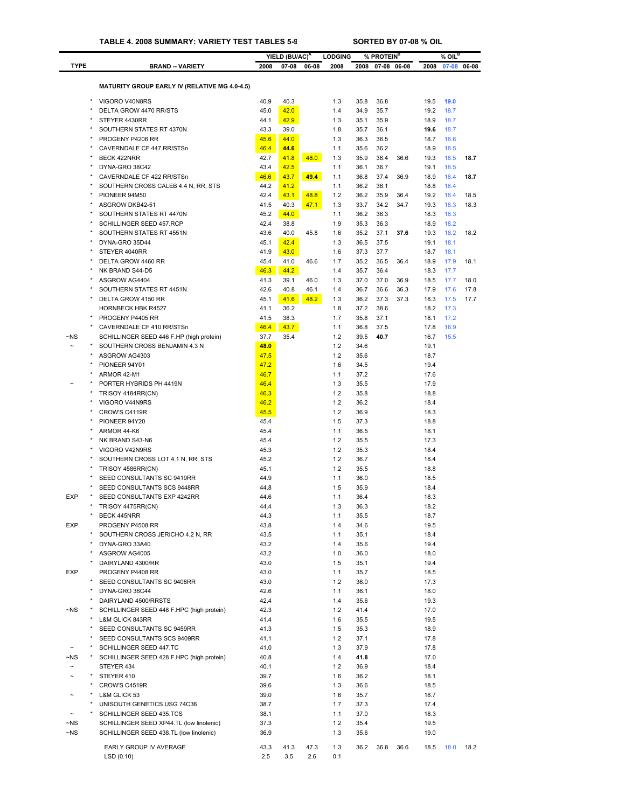|                        |                                                                                     |              | YIELD (BU/AC) <sup>A</sup> |       | <b>LODGING</b> |              | % PROTEIN <sup>B</sup> |             |              | $%$ OIL $^B$ |             |
|------------------------|-------------------------------------------------------------------------------------|--------------|----------------------------|-------|----------------|--------------|------------------------|-------------|--------------|--------------|-------------|
| <b>TYPE</b>            | <b>BRAND - VARIETY</b>                                                              | 2008         | $07 - 08$                  | 06-08 | 2008           | 2008         |                        | 07-08 06-08 | 2008         |              | 07-08 06-08 |
|                        |                                                                                     |              |                            |       |                |              |                        |             |              |              |             |
|                        | <b>MATURITY GROUP EARLY IV (RELATIVE MG 4.0-4.5)</b>                                |              |                            |       |                |              |                        |             |              |              |             |
|                        | VIGORO V40N8RS                                                                      | 40.9         | 40.3                       |       | 1.3            | 35.8         | 36.8                   |             | 19.5         | 19.0         |             |
|                        | DELTA GROW 4470 RR/STS                                                              | 45.0         | 42.0                       |       | 1.4            | 34.9         | 35.7                   |             | 19.2         | 18.7         |             |
|                        | STEYER 4430RR                                                                       | 44.1         | 42.9                       |       | 1.3            | 35.1         | 35.9                   |             | 18.9         | 18.7         |             |
|                        | SOUTHERN STATES RT 4370N                                                            | 43.3         | 39.0                       |       | 1.8            | 35.7         | 36.1                   |             | 19.6         | 18.7         |             |
|                        | PROGENY P4206 RR                                                                    | 45.6         | 44.0                       |       | 1.3            | 36.3         | 36.5                   |             | 18.7         | 18.6         |             |
|                        | CAVERNDALE CF 447 RR/STSn<br><b>BECK 422NRR</b>                                     | 46.4<br>42.7 | 44.6<br>41.8               | 48.0  | 1.1<br>1.3     | 35.6<br>35.9 | 36.2<br>36.4           | 36.6        | 18.9<br>19.3 | 18.5<br>18.5 | 18.7        |
|                        | DYNA-GRO 38C42                                                                      | 43.4         | 42.5                       |       | 1.1            | 36.1         | 36.7                   |             | 19.1         | 18.5         |             |
|                        | CAVERNDALE CF 422 RR/STSn                                                           | 46.6         | 43.7                       | 49.4  | 1.1            | 36.8         | 37.4                   | 36.9        | 18.9         | 18.4         | 18.7        |
|                        | SOUTHERN CROSS CALEB 4.4 N, RR, STS                                                 | 44.2         | 41.2                       |       | 1.1            | 36.2         | 36.1                   |             | 18.8         | 18.4         |             |
|                        | PIONEER 94M50                                                                       | 42.4         | 43.1                       | 48.8  | 1.2            | 36.2         | 35.9                   | 36.4        | 19.2         | 18.4         | 18.5        |
|                        | ASGROW DKB42-51                                                                     | 41.5         | 40.3                       | 47.1  | 1.3            | 33.7         | 34.2                   | 34.7        | 19.3         | 18.3         | 18.3        |
|                        | SOUTHERN STATES RT 4470N                                                            | 45.2         | 44.0                       |       | 1.1            | 36.2         | 36.3                   |             | 18.3         | 18.3         |             |
|                        | SCHILLINGER SEED 457.RCP                                                            | 42.4         | 38.8                       |       | 1.9            | 35.3         | 36.3                   |             | 18.9         | 18.2         |             |
|                        | SOUTHERN STATES RT 4551N<br>DYNA-GRO 35D44                                          | 43.6<br>45.1 | 40.0<br>42.4               | 45.8  | 1.6<br>1.3     | 35.2<br>36.5 | 37.1<br>37.5           | 37.6        | 19.3<br>19.1 | 18.2<br>18.1 | 18.2        |
|                        | STEYER 4040RR                                                                       | 41.9         | 43.0                       |       | 1.6            | 37.3         | 37.7                   |             | 18.7         | 18.1         |             |
|                        | DELTA GROW 4460 RR                                                                  | 45.4         | 41.0                       | 46.6  | 1.7            | 35.2         | 36.5                   | 36.4        | 18.9         | 17.9         | 18.1        |
|                        | NK BRAND S44-D5                                                                     | 46.3         | 44.2                       |       | 1.4            | 35.7         | 36.4                   |             | 18.3         | 17.7         |             |
|                        | ASGROW AG4404                                                                       | 41.3         | 39.1                       | 46.0  | 1.3            | 37.0         | 37.0                   | 36.9        | 18.5         | 17.7         | 18.0        |
|                        | SOUTHERN STATES RT 4451N                                                            | 42.6         | 40.8                       | 46.1  | 1.4            | 36.7         | 36.6                   | 36.3        | 17.9         | 17.6         | 17.8        |
|                        | DELTA GROW 4150 RR                                                                  | 45.1         | 41.6                       | 48.2  | 1.3            | 36.2         | 37.3                   | 37.3        | 18.3         | 17.5         | 17.7        |
|                        | <b>HORNBECK HBK R4527</b>                                                           | 41.1         | 36.2                       |       | 1.8            | 37.2         | 38.6                   |             | 18.2         | 17.3         |             |
|                        | PROGENY P4405 RR                                                                    | 41.5         | 38.3                       |       | 1.7            | 35.8         | 37.1                   |             | 18.1         | 17.2         |             |
| $\neg$ NS              | CAVERNDALE CF 410 RR/STSn<br>SCHILLINGER SEED 446 F.HP (high protein)               | 46.4<br>37.7 | 43.7<br>35.4               |       | 1.1<br>1.2     | 36.8<br>39.5 | 37.5<br>40.7           |             | 17.8<br>16.7 | 16.9<br>15.5 |             |
|                        | SOUTHERN CROSS BENJAMIN 4.3 N                                                       | 48.0         |                            |       | 1.2            | 34.6         |                        |             | 19.1         |              |             |
|                        | ASGROW AG4303                                                                       | 47.5         |                            |       | 1.2            | 35.6         |                        |             | 18.7         |              |             |
|                        | PIONEER 94Y01                                                                       | 47.2         |                            |       | 1.6            | 34.5         |                        |             | 19.4         |              |             |
|                        | ARMOR 42-M1                                                                         | 46.7         |                            |       | 1.1            | 37.2         |                        |             | 17.6         |              |             |
|                        | PORTER HYBRIDS PH 4419N                                                             | 46.4         |                            |       | 1.3            | 35.5         |                        |             | 17.9         |              |             |
|                        | TRISOY 4184RR(CN)                                                                   | 46.3         |                            |       | 1.2            | 35.8         |                        |             | 18.8         |              |             |
|                        | VIGORO V44N9RS                                                                      | 46.2         |                            |       | 1.2            | 36.2         |                        |             | 18.4         |              |             |
|                        | CROW'S C4119R                                                                       | 45.5         |                            |       | 1.2            | 36.9         |                        |             | 18.3         |              |             |
|                        | PIONEER 94Y20<br>ARMOR 44-K6                                                        | 45.4         |                            |       | 1.5<br>1.1     | 37.3<br>36.5 |                        |             | 18.8<br>18.1 |              |             |
|                        | NK BRAND S43-N6                                                                     | 45.4<br>45.4 |                            |       | 1.2            | 35.5         |                        |             | 17.3         |              |             |
|                        | VIGORO V42N9RS                                                                      | 45.3         |                            |       | 1.2            | 35.3         |                        |             | 18.4         |              |             |
|                        | SOUTHERN CROSS LOT 4.1 N, RR, STS                                                   | 45.2         |                            |       | 1.2            | 36.7         |                        |             | 18.4         |              |             |
|                        | TRISOY 4586RR(CN)                                                                   | 45.1         |                            |       | 1.2            | 35.5         |                        |             | 18.8         |              |             |
|                        | SEED CONSULTANTS SC 9419RR                                                          | 44.9         |                            |       | 1.1            | 36.0         |                        |             | 18.5         |              |             |
|                        | SEED CONSULTANTS SCS 9448RR                                                         | 44.8         |                            |       | 1.5            | 35.9         |                        |             | 18.4         |              |             |
| <b>EXP</b>             | SEED CONSULTANTS EXP 4242RR                                                         | 44.6         |                            |       | 1.1            | 36.4         |                        |             | 18.3         |              |             |
|                        | TRISOY 4475RR(CN)                                                                   | 44.4         |                            |       | 1.3            | 36.3         |                        |             | 18.2         |              |             |
| <b>EXP</b>             | BECK 445NRR<br>PROGENY P4508 RR                                                     | 44.3<br>43.8 |                            |       | 1.1<br>1.4     | 35.5<br>34.6 |                        |             | 18.7<br>19.5 |              |             |
|                        | SOUTHERN CROSS JERICHO 4.2 N, RR                                                    | 43.5         |                            |       | 1.1            | 35.1         |                        |             | 18.4         |              |             |
|                        | DYNA-GRO 33A40                                                                      | 43.2         |                            |       | 1.4            | 35.6         |                        |             | 19.4         |              |             |
|                        | ASGROW AG4005                                                                       | 43.2         |                            |       | 1.0            | 36.0         |                        |             | 18.0         |              |             |
|                        | DAIRYLAND 4300/RR                                                                   | 43.0         |                            |       | 1.5            | 35.1         |                        |             | 19.4         |              |             |
| EXP                    | PROGENY P4408 RR                                                                    | 43.0         |                            |       | 1.1            | 35.7         |                        |             | 18.5         |              |             |
|                        | SEED CONSULTANTS SC 9408RR                                                          | 43.0         |                            |       | 1.2            | 36.0         |                        |             | 17.3         |              |             |
|                        | DYNA-GRO 36C44                                                                      | 42.6         |                            |       | 1.1            | 36.1         |                        |             | 18.0         |              |             |
|                        | DAIRYLAND 4500/RRSTS                                                                | 42.4         |                            |       | 1.4            | 35.6         |                        |             | 19.3         |              |             |
| ~NS                    | SCHILLINGER SEED 448 F.HPC (high protein)                                           | 42.3         |                            |       | 1.2            | 41.4         |                        |             | 17.0         |              |             |
|                        | L&M GLICK 843RR                                                                     | 41.4         |                            |       | 1.6            | 35.5         |                        |             | 19.5         |              |             |
|                        | SEED CONSULTANTS SC 9459RR<br>SEED CONSULTANTS SCS 9409RR                           | 41.3<br>41.1 |                            |       | 1.5<br>1.2     | 35.3<br>37.1 |                        |             | 18.9<br>17.8 |              |             |
|                        | SCHILLINGER SEED 447.TC                                                             | 41.0         |                            |       | 1.3            | 37.9         |                        |             | 17.8         |              |             |
| ~NS                    | SCHILLINGER SEED 428 F.HPC (high protein)                                           | 40.8         |                            |       | 1.4            | 41.8         |                        |             | 17.0         |              |             |
| $\tilde{}$             | STEYER 434                                                                          | 40.1         |                            |       | 1.2            | 36.9         |                        |             | 18.4         |              |             |
| $\tilde{\phantom{a}}$  | STEYER 410                                                                          | 39.7         |                            |       | 1.6            | 36.2         |                        |             | 18.1         |              |             |
|                        | CROW'S C4519R                                                                       | 39.6         |                            |       | 1.3            | 36.6         |                        |             | 18.5         |              |             |
|                        | L&M GLICK 53                                                                        | 39.0         |                            |       | 1.6            | 35.7         |                        |             | 18.7         |              |             |
|                        | UNISOUTH GENETICS USG 74C36                                                         | 38.7         |                            |       | 1.7            | 37.3         |                        |             | 17.4         |              |             |
|                        | SCHILLINGER SEED 435.TCS                                                            | 38.1         |                            |       | 1.1            | 37.0         |                        |             | 18.3         |              |             |
| $\neg$ NS<br>$\neg$ NS | SCHILLINGER SEED XP44.TL (low linolenic)<br>SCHILLINGER SEED 438.TL (low linolenic) | 37.3<br>36.9 |                            |       | 1.2<br>1.3     | 35.4<br>35.6 |                        |             | 19.5<br>19.0 |              |             |
|                        |                                                                                     |              |                            |       |                |              |                        |             |              |              |             |
|                        | EARLY GROUP IV AVERAGE                                                              | 43.3         | 41.3                       | 47.3  | 1.3            | 36.2         | 36.8                   | 36.6        | 18.5         | 18.0         | 18.2        |
|                        | LSD(0.10)                                                                           | 2.5          | 3.5                        | 2.6   | 0.1            |              |                        |             |              |              |             |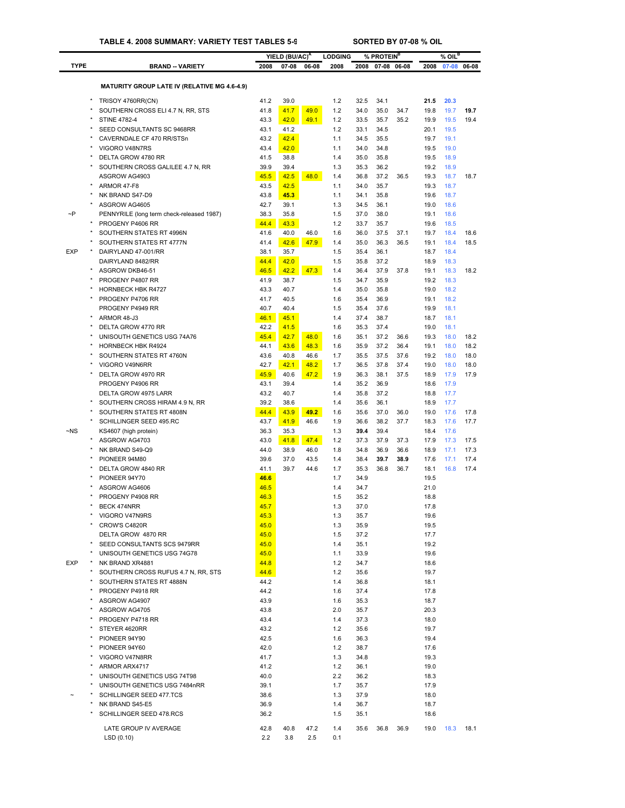|             |                                                              |              | YIELD (BU/AC) <sup>A</sup> |              | <b>LODGING</b> |              | % PROTEIN <sup>B</sup> |              |              | % OIL <sup>B</sup> |              |
|-------------|--------------------------------------------------------------|--------------|----------------------------|--------------|----------------|--------------|------------------------|--------------|--------------|--------------------|--------------|
| <b>TYPE</b> | <b>BRAND -- VARIETY</b>                                      | 2008         | 07-08                      | 06-08        | 2008           | 2008         | 07-08                  | 06-08        | 2008         | 07-08              | 06-08        |
|             |                                                              |              |                            |              |                |              |                        |              |              |                    |              |
|             | <b>MATURITY GROUP LATE IV (RELATIVE MG 4.6-4.9)</b>          |              |                            |              |                |              |                        |              |              |                    |              |
|             | TRISOY 4760RR(CN)                                            | 41.2         | 39.0                       |              | 1.2            | 32.5         | 34.1                   |              | 21.5         | 20.3               |              |
| $\star$     | SOUTHERN CROSS ELI 4.7 N, RR, STS                            | 41.8         | 41.7                       | 49.0         | 1.2            | 34.0         | 35.0                   | 34.7         | 19.8         | 19.7               | 19.7         |
|             | <b>STINE 4782-4</b>                                          | 43.3         | 42.0                       | 49.1         | 1.2            | 33.5         | 35.7                   | 35.2         | 19.9         | 19.5               | 19.4         |
|             | SEED CONSULTANTS SC 9468RR                                   | 43.1         | 41.2                       |              | 1.2            | 33.1         | 34.5                   |              | 20.1         | 19.5               |              |
|             | CAVERNDALE CF 470 RR/STSn<br>VIGORO V48N7RS                  | 43.2         | 42.4                       |              | 1.1            | 34.5         | 35.5                   |              | 19.7         | 19.1               |              |
|             | DELTA GROW 4780 RR                                           | 43.4<br>41.5 | 42.0<br>38.8               |              | 1.1<br>1.4     | 34.0<br>35.0 | 34.8<br>35.8           |              | 19.5<br>19.5 | 19.0<br>18.9       |              |
|             | SOUTHERN CROSS GALILEE 4.7 N, RR                             | 39.9         | 39.4                       |              | 1.3            | 35.3         | 36.2                   |              | 19.2         | 18.9               |              |
|             | ASGROW AG4903                                                | 45.5         | 42.5                       | 48.0         | 1.4            | 36.8         | 37.2                   | 36.5         | 19.3         | 18.7               | 18.7         |
|             | ARMOR 47-F8                                                  | 43.5         | 42.5                       |              | 1.1            | 34.0         | 35.7                   |              | 19.3         | 18.7               |              |
| $\star$     | NK BRAND S47-D9                                              | 43.8         | 45.3                       |              | 1.1            | 34.1         | 35.8                   |              | 19.6         | 18.7               |              |
|             | ASGROW AG4605                                                | 42.7         | 39.1                       |              | 1.3            | 34.5         | 36.1                   |              | 19.0         | 18.6               |              |
| $\neg P$    | PENNYRILE (long term check-released 1987)                    | 38.3         | 35.8                       |              | 1.5            | 37.0         | 38.0                   |              | 19.1         | 18.6               |              |
|             | PROGENY P4606 RR                                             | 44.4         | 43.3                       |              | 1.2            | 33.7         | 35.7                   |              | 19.6         | 18.5               |              |
| $\star$     | SOUTHERN STATES RT 4996N                                     | 41.6         | 40.0                       | 46.0         | 1.6            | 36.0         | 37.5                   | 37.1         | 19.7         | 18.4               | 18.6         |
| <b>EXP</b>  | SOUTHERN STATES RT 4777N<br>DAIRYLAND 47-001/RR              | 41.4<br>38.1 | 42.6<br>35.7               | 47.9         | 1.4<br>1.5     | 35.0<br>35.4 | 36.3<br>36.1           | 36.5         | 19.1<br>18.7 | 18.4<br>18.4       | 18.5         |
|             | DAIRYLAND 8482/RR                                            | 44.4         | 42.0                       |              | 1.5            | 35.8         | 37.2                   |              | 18.9         | 18.3               |              |
|             | ASGROW DKB46-51                                              | 46.5         | 42.2                       | 47.3         | 1.4            | 36.4         | 37.9                   | 37.8         | 19.1         | 18.3               | 18.2         |
|             | PROGENY P4807 RR                                             | 41.9         | 38.7                       |              | 1.5            | 34.7         | 35.9                   |              | 19.2         | 18.3               |              |
|             | <b>HORNBECK HBK R4727</b>                                    | 43.3         | 40.7                       |              | 1.4            | 35.0         | 35.8                   |              | 19.0         | 18.2               |              |
| $\star$     | PROGENY P4706 RR                                             | 41.7         | 40.5                       |              | 1.6            | 35.4         | 36.9                   |              | 19.1         | 18.2               |              |
|             | PROGENY P4949 RR                                             | 40.7         | 40.4                       |              | 1.5            | 35.4         | 37.6                   |              | 19.9         | 18.1               |              |
| $\star$     | ARMOR 48-J3                                                  | 46.1         | 45.1                       |              | 1.4            | 37.4         | 38.7                   |              | 18.7         | 18.1               |              |
|             | DELTA GROW 4770 RR                                           | 42.2         | 41.5                       |              | 1.6            | 35.3         | 37.4                   |              | 19.0         | 18.1               |              |
| $\star$     | UNISOUTH GENETICS USG 74A76                                  | 45.4         | 42.7                       | 48.0         | 1.6            | 35.1         | 37.2                   | 36.6         | 19.3         | 18.0               | 18.2         |
| $\star$     | HORNBECK HBK R4924                                           | 44.1         | 43.6                       | 48.3         | 1.6            | 35.9         | 37.2                   | 36.4         | 19.1         | 18.0               | 18.2         |
|             | SOUTHERN STATES RT 4760N<br>VIGORO V49N6RR                   | 43.6<br>42.7 | 40.8<br>42.1               | 46.6<br>48.2 | 1.7<br>1.7     | 35.5<br>36.5 | 37.5<br>37.8           | 37.6<br>37.4 | 19.2<br>19.0 | 18.0<br>18.0       | 18.0<br>18.0 |
|             | DELTA GROW 4970 RR                                           | 45.9         | 40.6                       | 47.2         | 1.9            | 36.3         | 38.1                   | 37.5         | 18.9         | 17.9               | 17.9         |
|             | PROGENY P4906 RR                                             | 43.1         | 39.4                       |              | 1.4            | 35.2         | 36.9                   |              | 18.6         | 17.9               |              |
|             | DELTA GROW 4975 LARR                                         | 43.2         | 40.7                       |              | 1.4            | 35.8         | 37.2                   |              | 18.8         | 17.7               |              |
|             | SOUTHERN CROSS HIRAM 4.9 N, RR                               | 39.2         | 38.6                       |              | 1.4            | 35.6         | 36.1                   |              | 18.9         | 17.7               |              |
|             | SOUTHERN STATES RT 4808N                                     | 44.4         | 43.9                       | 49.2         | 1.6            | 35.6         | 37.0                   | 36.0         | 19.0         | 17.6               | 17.8         |
|             | SCHILLINGER SEED 495.RC                                      | 43.7         | 41.9                       | 46.6         | 1.9            | 36.6         | 38.2                   | 37.7         | 18.3         | 17.6               | 17.7         |
| $\neg$ NS   | KS4607 (high protein)                                        | 36.3         | 35.3                       |              | 1.3            | 39.4         | 39.4                   |              | 18.4         | 17.6               |              |
|             | ASGROW AG4703                                                | 43.0         | 41.8                       | 47.4         | 1.2            | 37.3         | 37.9                   | 37.3         | 17.9         | 17.3               | 17.5         |
|             | NK BRAND S49-Q9                                              | 44.0         | 38.9                       | 46.0         | 1.8            | 34.8         | 36.9                   | 36.6         | 18.9         | 17.1               | 17.3         |
|             | PIONEER 94M80<br>DELTA GROW 4840 RR                          | 39.6<br>41.1 | 37.0<br>39.7               | 43.5<br>44.6 | 1.4<br>1.7     | 38.4<br>35.3 | 39.7<br>36.8           | 38.9<br>36.7 | 17.6<br>18.1 | 17.1<br>16.8       | 17.4<br>17.4 |
|             | PIONEER 94Y70                                                | 46.6         |                            |              | 1.7            | 34.9         |                        |              | 19.5         |                    |              |
|             | ASGROW AG4606                                                | 46.5         |                            |              | 1.4            | 34.7         |                        |              | 21.0         |                    |              |
|             | PROGENY P4908 RR                                             | 46.3         |                            |              | 1.5            | 35.2         |                        |              | 18.8         |                    |              |
|             | BECK 474NRR                                                  | 45.7         |                            |              | 1.3            | 37.0         |                        |              | 17.8         |                    |              |
|             | VIGORO V47N9RS                                               | 45.3         |                            |              | 1.3            | 35.7         |                        |              | 19.6         |                    |              |
|             | CROW'S C4820R                                                | 45.0         |                            |              | 1.3            | 35.9         |                        |              | 19.5         |                    |              |
|             | DELTA GROW 4870 RR                                           | 45.0         |                            |              | 1.5            | 37.2         |                        |              | 17.7         |                    |              |
|             | SEED CONSULTANTS SCS 9479RR                                  | 45.0         |                            |              | 1.4            | 35.1         |                        |              | 19.2         |                    |              |
| <b>EXP</b>  | UNISOUTH GENETICS USG 74G78<br>NK BRAND XR4881               | 45.0         |                            |              | 1.1            | 33.9         |                        |              | 19.6         |                    |              |
|             | SOUTHERN CROSS RUFUS 4.7 N, RR, STS                          | 44.8<br>44.6 |                            |              | 1.2<br>1.2     | 34.7<br>35.6 |                        |              | 18.6<br>19.7 |                    |              |
|             | SOUTHERN STATES RT 4888N                                     | 44.2         |                            |              | 1.4            | 36.8         |                        |              | 18.1         |                    |              |
|             | PROGENY P4918 RR                                             | 44.2         |                            |              | 1.6            | 37.4         |                        |              | 17.8         |                    |              |
|             | ASGROW AG4907                                                | 43.9         |                            |              | 1.6            | 35.3         |                        |              | 18.7         |                    |              |
|             | ASGROW AG4705                                                | 43.8         |                            |              | 2.0            | 35.7         |                        |              | 20.3         |                    |              |
|             | PROGENY P4718 RR                                             | 43.4         |                            |              | 1.4            | 37.3         |                        |              | 18.0         |                    |              |
|             | STEYER 4620RR                                                | 43.2         |                            |              | 1.2            | 35.6         |                        |              | 19.7         |                    |              |
|             | PIONEER 94Y90                                                | 42.5         |                            |              | 1.6            | 36.3         |                        |              | 19.4         |                    |              |
|             | PIONEER 94Y60                                                | 42.0         |                            |              | 1.2            | 38.7         |                        |              | 17.6         |                    |              |
|             | VIGORO V47N8RR                                               | 41.7         |                            |              | 1.3            | 34.8         |                        |              | 19.3         |                    |              |
|             | ARMOR ARX4717                                                | 41.2         |                            |              | 1.2            | 36.1         |                        |              | 19.0         |                    |              |
|             | UNISOUTH GENETICS USG 74T98<br>UNISOUTH GENETICS USG 7484nRR | 40.0<br>39.1 |                            |              | 2.2<br>1.7     | 36.2<br>35.7 |                        |              | 18.3<br>17.9 |                    |              |
|             | SCHILLINGER SEED 477.TCS                                     | 38.6         |                            |              | 1.3            | 37.9         |                        |              | 18.0         |                    |              |
|             | NK BRAND S45-E5                                              | 36.9         |                            |              | 1.4            | 36.7         |                        |              | 18.7         |                    |              |
|             | SCHILLINGER SEED 478.RCS                                     | 36.2         |                            |              | 1.5            | 35.1         |                        |              | 18.6         |                    |              |
|             |                                                              |              |                            |              |                |              |                        |              |              |                    |              |
|             | LATE GROUP IV AVERAGE                                        | 42.8         | 40.8                       | 47.2         | 1.4            | 35.6         | 36.8                   | 36.9         | 19.0         | 18.3               | 18.1         |
|             | LSD(0.10)                                                    | 2.2          | 3.8                        | 2.5          | 0.1            |              |                        |              |              |                    |              |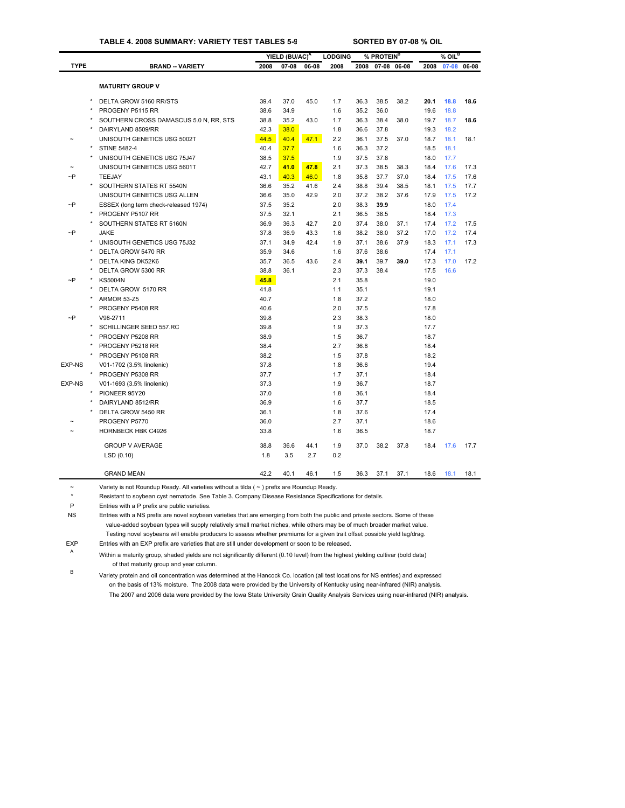#### **TABLE 4. 2008 SUMMARY: VARIETY TEST TABLES 5-9 SORTED BY 07-08 % OIL**

|               |         |                                        |      | YIELD (BU/AC) <sup>A</sup> |       | <b>LODGING</b> |      | % PROTEIN <sup>B</sup> |       |      | $%$ OIL <sup>B</sup> |       |
|---------------|---------|----------------------------------------|------|----------------------------|-------|----------------|------|------------------------|-------|------|----------------------|-------|
| <b>TYPE</b>   |         | <b>BRAND - VARIETY</b>                 | 2008 | $07 - 08$                  | 06-08 | 2008           | 2008 | $07 - 08$              | 06-08 | 2008 | $07 - 08$            | 06-08 |
|               |         |                                        |      |                            |       |                |      |                        |       |      |                      |       |
|               |         | <b>MATURITY GROUP V</b>                |      |                            |       |                |      |                        |       |      |                      |       |
|               |         | DELTA GROW 5160 RR/STS                 | 39.4 | 37.0                       | 45.0  | 1.7            | 36.3 | 38.5                   | 38.2  | 20.1 | 18.8                 | 18.6  |
|               |         | PROGENY P5115 RR                       | 38.6 | 34.9                       |       | 1.6            | 35.2 | 36.0                   |       | 19.6 | 18.8                 |       |
|               |         | SOUTHERN CROSS DAMASCUS 5.0 N, RR, STS | 38.8 | 35.2                       | 43.0  | 1.7            | 36.3 | 38.4                   | 38.0  | 19.7 | 18.7                 | 18.6  |
|               |         | DAIRYLAND 8509/RR                      | 42.3 | 38.0                       |       | 1.8            | 36.6 | 37.8                   |       | 19.3 | 18.2                 |       |
|               |         | UNISOUTH GENETICS USG 5002T            | 44.5 | 40.4                       | 47.1  | 2.2            | 36.1 | 37.5                   | 37.0  | 18.7 | 18.1                 | 18.1  |
|               | $\star$ | <b>STINE 5482-4</b>                    | 40.4 | 37.7                       |       | 1.6            | 36.3 | 37.2                   |       | 18.5 | 18.1                 |       |
|               |         | UNISOUTH GENETICS USG 75J47            | 38.5 | 37.5                       |       | 1.9            | 37.5 | 37.8                   |       | 18.0 | 17.7                 |       |
|               |         | UNISOUTH GENETICS USG 5601T            | 42.7 | 41.0                       | 47.8  | 2.1            | 37.3 | 38.5                   | 38.3  | 18.4 | 17.6                 | 17.3  |
| $\sim P$      |         | <b>TEEJAY</b>                          | 43.1 | 40.3                       | 46.0  | 1.8            | 35.8 | 37.7                   | 37.0  | 18.4 | 17.5                 | 17.6  |
|               |         | SOUTHERN STATES RT 5540N               | 36.6 | 35.2                       | 41.6  | 2.4            | 38.8 | 39.4                   | 38.5  | 18.1 | 17.5                 | 17.7  |
|               |         | UNISOUTH GENETICS USG ALLEN            | 36.6 | 35.0                       | 42.9  | 2.0            | 37.2 | 38.2                   | 37.6  | 17.9 | 17.5                 | 17.2  |
| $\neg P$      |         | ESSEX (long term check-released 1974)  | 37.5 | 35.2                       |       | 2.0            | 38.3 | 39.9                   |       | 18.0 | 17.4                 |       |
|               |         | PROGENY P5107 RR                       | 37.5 | 32.1                       |       | 2.1            | 36.5 | 38.5                   |       | 18.4 | 17.3                 |       |
|               |         | SOUTHERN STATES RT 5160N               | 36.9 | 36.3                       | 42.7  | 2.0            | 37.4 | 38.0                   | 37.1  | 17.4 | 17.2                 | 17.5  |
| $\neg P$      |         | <b>JAKE</b>                            | 37.8 | 36.9                       | 43.3  | 1.6            | 38.2 | 38.0                   | 37.2  | 17.0 | 17.2                 | 17.4  |
|               |         | UNISOUTH GENETICS USG 75J32            | 37.1 | 34.9                       | 42.4  | 1.9            | 37.1 | 38.6                   | 37.9  | 18.3 | 17.1                 | 17.3  |
|               |         | DELTA GROW 5470 RR                     | 35.9 | 34.6                       |       | 1.6            | 37.6 | 38.6                   |       | 17.4 | 17.1                 |       |
|               |         | <b>DELTA KING DK52K6</b>               | 35.7 | 36.5                       | 43.6  | 2.4            | 39.1 | 39.7                   | 39.0  | 17.3 | 17.0                 | 17.2  |
|               |         | DELTA GROW 5300 RR                     | 38.8 | 36.1                       |       | 2.3            | 37.3 | 38.4                   |       | 17.5 | 16.6                 |       |
| ~P            |         | <b>KS5004N</b>                         | 45.8 |                            |       | 2.1            | 35.8 |                        |       | 19.0 |                      |       |
|               |         | DELTA GROW 5170 RR                     | 41.8 |                            |       | 1.1            | 35.1 |                        |       | 19.1 |                      |       |
|               |         | <b>ARMOR 53-Z5</b>                     | 40.7 |                            |       | 1.8            | 37.2 |                        |       | 18.0 |                      |       |
|               |         | PROGENY P5408 RR                       | 40.6 |                            |       | 2.0            | 37.5 |                        |       | 17.8 |                      |       |
| $\neg P$      |         | V98-2711                               | 39.8 |                            |       | 2.3            | 38.3 |                        |       | 18.0 |                      |       |
|               |         | SCHILLINGER SEED 557.RC                | 39.8 |                            |       | 1.9            | 37.3 |                        |       | 17.7 |                      |       |
|               |         | PROGENY P5208 RR                       | 38.9 |                            |       | 1.5            | 36.7 |                        |       | 18.7 |                      |       |
|               |         | PROGENY P5218 RR                       | 38.4 |                            |       | 2.7            | 36.8 |                        |       | 18.4 |                      |       |
|               |         | PROGENY P5108 RR                       | 38.2 |                            |       | 1.5            | 37.8 |                        |       | 18.2 |                      |       |
| <b>EXP-NS</b> |         | V01-1702 (3.5% linolenic)              | 37.8 |                            |       | 1.8            | 36.6 |                        |       | 19.4 |                      |       |
|               |         | PROGENY P5308 RR                       | 37.7 |                            |       | 1.7            | 37.1 |                        |       | 18.4 |                      |       |
| EXP-NS        |         | V01-1693 (3.5% linolenic)              | 37.3 |                            |       | 1.9            | 36.7 |                        |       | 18.7 |                      |       |
|               |         | PIONEER 95Y20                          | 37.0 |                            |       | 1.8            | 36.1 |                        |       | 18.4 |                      |       |
|               |         | DAIRYLAND 8512/RR                      | 36.9 |                            |       | 1.6            | 37.7 |                        |       | 18.5 |                      |       |
|               |         | DELTA GROW 5450 RR                     | 36.1 |                            |       | 1.8            | 37.6 |                        |       | 17.4 |                      |       |
|               |         | PROGENY P5770                          | 36.0 |                            |       | 2.7            | 37.1 |                        |       | 18.6 |                      |       |
|               |         | <b>HORNBECK HBK C4926</b>              | 33.8 |                            |       | 1.6            | 36.5 |                        |       | 18.7 |                      |       |
|               |         | <b>GROUP V AVERAGE</b>                 | 38.8 | 36.6                       | 44.1  | 1.9            | 37.0 | 38.2                   | 37.8  | 18.4 | 17.6                 | 17.7  |
|               |         | LSD (0.10)                             | 1.8  | 3.5                        | 2.7   | 0.2            |      |                        |       |      |                      |       |
|               |         | <b>GRAND MEAN</b>                      | 42.2 | 40.1                       | 46.1  | 1.5            | 36.3 | 37.1                   | 37.1  | 18.6 | 18.1                 | 18.1  |

~ Variety is not Roundup Ready. All varieties without a tilda ( ~ ) prefix are Roundup Ready.

\* Resistant to soybean cyst nematode. See Table 3. Company Disease Resistance Specifications for details.

P Entries with a P prefix are public varieties.

NS Entries with a NS prefix are novel soybean varieties that are emerging from both the public and private sectors. Some of these value-added soybean types will supply relatively small market niches, while others may be of much broader market value. Testing novel soybeans will enable producers to assess whether premiums for a given trait offset possible yield lag/drag.

EXP Entries with an EXP prefix are varieties that are still under development or soon to be released.

<sup>A</sup> Within a maturity group, shaded yields are not significantly different (0.10 level) from the highest yielding cultivar (bold data) of that maturity group and year column.

<sup>B</sup> Variety protein and oil concentration was determined at the Hancock Co. location (all test locations for NS entries) and expressed on the basis of 13% moisture. The 2008 data were provided by the University of Kentucky using near-infrared (NIR) analysis. The 2007 and 2006 data were provided by the Iowa State University Grain Quality Analysis Services using near-infrared (NI[R\) analysis](#page-29-0).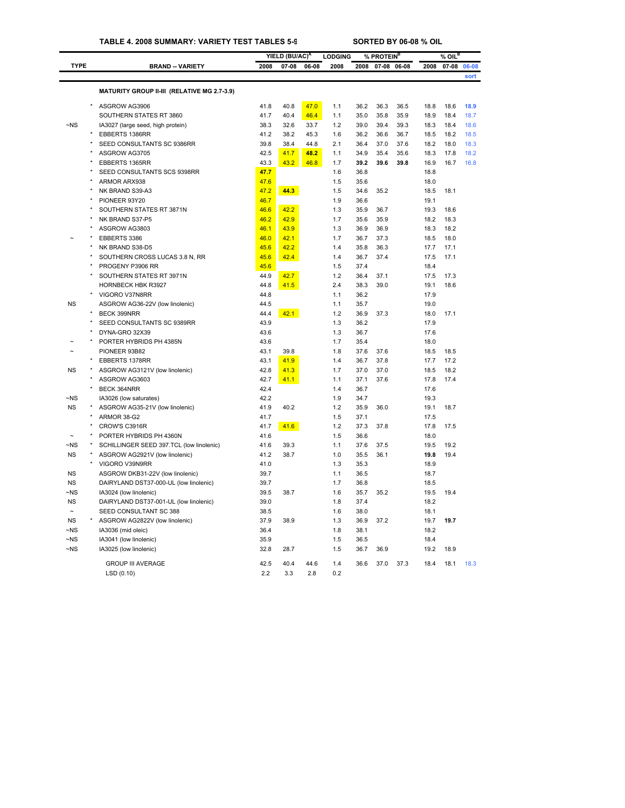### **TABLE 4. 2008 SUMMARY: VARIETY TEST TABLES 5-9 SORTED BY 06-08 % OIL**

|                       |         |                                             |              | YIELD (BU/AC) <sup>A</sup> |       | <b>LODGING</b> |              | % PROTEIN <sup>B</sup> |       |              | $%$ OIL $^B$ |       |
|-----------------------|---------|---------------------------------------------|--------------|----------------------------|-------|----------------|--------------|------------------------|-------|--------------|--------------|-------|
| <b>TYPE</b>           |         | <b>BRAND -- VARIETY</b>                     | 2008         | $07 - 08$                  | 06-08 | 2008           | 2008         | $07 - 08$              | 06-08 | 2008         | $07 - 08$    | 06-08 |
|                       |         |                                             |              |                            |       |                |              |                        |       |              |              | sort  |
|                       |         | MATURITY GROUP II-III (RELATIVE MG 2.7-3.9) |              |                            |       |                |              |                        |       |              |              |       |
|                       |         |                                             |              |                            |       |                |              |                        |       |              |              |       |
|                       |         | ASGROW AG3906                               | 41.8         | 40.8                       | 47.0  | 1.1            | 36.2         | 36.3                   | 36.5  | 18.8         | 18.6         | 18.9  |
|                       |         | SOUTHERN STATES RT 3860                     | 41.7         | 40.4                       | 46.4  | 1.1            | 35.0         | 35.8                   | 35.9  | 18.9         | 18.4         | 18.7  |
| $\neg$ NS             |         | IA3027 (large seed, high protein)           | 38.3         | 32.6                       | 33.7  | 1.2            | 39.0         | 39.4                   | 39.3  | 18.3         | 18.4         | 18.6  |
|                       |         | EBBERTS 1386RR                              | 41.2         | 38.2                       | 45.3  | 1.6            | 36.2         | 36.6                   | 36.7  | 18.5         | 18.2         | 18.5  |
|                       |         | SEED CONSULTANTS SC 9386RR                  | 39.8         | 38.4                       | 44.8  | 2.1            | 36.4         | 37.0                   | 37.6  | 18.2         | 18.0         | 18.3  |
|                       |         | ASGROW AG3705                               | 42.5         | 41.7                       | 48.2  | 1.1            | 34.9         | 35.4                   | 35.6  | 18.3         | 17.8         | 18.2  |
|                       |         | EBBERTS 1365RR                              | 43.3         | 43.2                       | 46.8  | 1.7            | 39.2         | 39.6                   | 39.8  | 16.9         | 16.7         | 16.8  |
|                       |         | SEED CONSULTANTS SCS 9398RR                 | 47.7         |                            |       | 1.6            | 36.8         |                        |       | 18.8         |              |       |
|                       |         | ARMOR ARX938<br>NK BRAND S39-A3             | 47.6         | 44.3                       |       | 1.5<br>1.5     | 35.6<br>34.6 | 35.2                   |       | 18.0<br>18.5 | 18.1         |       |
|                       |         | PIONEER 93Y20                               | 47.2         |                            |       |                | 36.6         |                        |       |              |              |       |
|                       |         | SOUTHERN STATES RT 3871N                    | 46.7<br>46.6 | 42.2                       |       | 1.9<br>1.3     | 35.9         | 36.7                   |       | 19.1<br>19.3 | 18.6         |       |
|                       |         | NK BRAND S37-P5                             | 46.2         | 42.9                       |       | 1.7            | 35.6         | 35.9                   |       | 18.2         | 18.3         |       |
|                       |         | ASGROW AG3803                               | 46.1         | 43.9                       |       | 1.3            | 36.9         | 36.9                   |       | 18.3         | 18.2         |       |
|                       |         | EBBERTS 3386                                | 46.0         | 42.1                       |       | 1.7            | 36.7         | 37.3                   |       | 18.5         | 18.0         |       |
|                       |         | NK BRAND S38-D5                             | 45.6         | 42.2                       |       | 1.4            | 35.8         | 36.3                   |       | 17.7         | 17.1         |       |
|                       |         | SOUTHERN CROSS LUCAS 3.8 N, RR              | 45.6         | 42.4                       |       | 1.4            | 36.7         | 37.4                   |       | 17.5         | 17.1         |       |
|                       |         | PROGENY P3906 RR                            | 45.6         |                            |       | 1.5            | 37.4         |                        |       | 18.4         |              |       |
|                       |         | SOUTHERN STATES RT 3971N                    | 44.9         | 42.7                       |       | 1.2            | 36.4         | 37.1                   |       | 17.5         | 17.3         |       |
|                       |         | HORNBECK HBK R3927                          | 44.8         | 41.5                       |       | 2.4            | 38.3         | 39.0                   |       | 19.1         | 18.6         |       |
|                       |         | VIGORO V37N8RR                              | 44.8         |                            |       | 1.1            | 36.2         |                        |       | 17.9         |              |       |
| <b>NS</b>             |         | ASGROW AG36-22V (low linolenic)             | 44.5         |                            |       | 1.1            | 35.7         |                        |       | 19.0         |              |       |
|                       |         | BECK 399NRR                                 | 44.4         | 42.1                       |       | 1.2            | 36.9         | 37.3                   |       | 18.0         | 17.1         |       |
|                       |         | SEED CONSULTANTS SC 9389RR                  | 43.9         |                            |       | 1.3            | 36.2         |                        |       | 17.9         |              |       |
|                       |         | DYNA-GRO 32X39                              | 43.6         |                            |       | 1.3            | 36.7         |                        |       | 17.6         |              |       |
|                       |         | PORTER HYBRIDS PH 4385N                     | 43.6         |                            |       | 1.7            | 35.4         |                        |       | 18.0         |              |       |
|                       |         | PIONEER 93B82                               | 43.1         | 39.8                       |       | 1.8            | 37.6         | 37.6                   |       | 18.5         | 18.5         |       |
|                       |         | EBBERTS 1378RR                              | 43.1         | 41.9                       |       | 1.4            | 36.7         | 37.8                   |       | 17.7         | 17.2         |       |
| NS                    |         | ASGROW AG3121V (low linolenic)              | 42.8         | 41.3                       |       | 1.7            | 37.0         | 37.0                   |       | 18.5         | 18.2         |       |
|                       |         | ASGROW AG3603                               | 42.7         | 41.1                       |       | 1.1            | 37.1         | 37.6                   |       | 17.8         | 17.4         |       |
|                       |         | BECK 364NRR                                 | 42.4         |                            |       | 1.4            | 36.7         |                        |       | 17.6         |              |       |
| $\neg$ NS             |         | IA3026 (low saturates)                      | 42.2         |                            |       | 1.9            | 34.7         |                        |       | 19.3         |              |       |
| <b>NS</b>             |         | ASGROW AG35-21V (low linolenic)             | 41.9         | 40.2                       |       | 1.2            | 35.9         | 36.0                   |       | 19.1         | 18.7         |       |
|                       | $\star$ | ARMOR 38-G2                                 | 41.7         |                            |       | 1.5            | 37.1         |                        |       | 17.5         |              |       |
|                       |         | CROW'S C3916R                               | 41.7         | 41.6                       |       | 1.2            | 37.3         | 37.8                   |       | 17.8         | 17.5         |       |
|                       |         | PORTER HYBRIDS PH 4360N                     | 41.6         |                            |       | 1.5            | 36.6         |                        |       | 18.0         |              |       |
| ~NS                   |         | SCHILLINGER SEED 397.TCL (low linolenic)    | 41.6         | 39.3                       |       | 1.1            | 37.6         | 37.5                   |       | 19.5         | 19.2         |       |
| <b>NS</b>             |         | ASGROW AG2921V (low linolenic)              | 41.2         | 38.7                       |       | 1.0            | 35.5         | 36.1                   |       | 19.8         | 19.4         |       |
|                       |         | VIGORO V39N9RR                              | 41.0         |                            |       | 1.3            | 35.3         |                        |       | 18.9         |              |       |
| <b>NS</b>             |         | ASGROW DKB31-22V (low linolenic)            | 39.7         |                            |       | 1.1            | 36.5         |                        |       | 18.7         |              |       |
| <b>NS</b>             |         | DAIRYLAND DST37-000-UL (low linolenic)      | 39.7         |                            |       | 1.7            | 36.8         |                        |       | 18.5         |              |       |
| $-NS$                 |         | IA3024 (low linolenic)                      | 39.5         | 38.7                       |       | 1.6            | 35.7         | 35.2                   |       | 19.5         | 19.4         |       |
| <b>NS</b>             |         | DAIRYLAND DST37-001-UL (low linolenic)      | 39.0         |                            |       | 1.8            | 37.4         |                        |       | 18.2         |              |       |
| $\tilde{\phantom{a}}$ |         | SEED CONSULTANT SC 388                      | 38.5         |                            |       | 1.6            | 38.0         |                        |       | 18.1         |              |       |
| <b>NS</b>             |         | ASGROW AG2822V (low linolenic)              | 37.9         | 38.9                       |       | 1.3            | 36.9         | 37.2                   |       | 19.7         | 19.7         |       |
| ~NS                   |         | IA3036 (mid oleic)                          | 36.4         |                            |       | 1.8            | 38.1         |                        |       | 18.2         |              |       |
| $-NS$                 |         | IA3041 (low linolenic)                      | 35.9         |                            |       | 1.5            | 36.5         |                        |       | 18.4         |              |       |
| $\neg$ <sub>NS</sub>  |         | IA3025 (low linolenic)                      | 32.8         | 28.7                       |       | 1.5            | 36.7         | 36.9                   |       | 19.2         | 18.9         |       |
|                       |         | <b>GROUP III AVERAGE</b>                    | 42.5         | 40.4                       | 44.6  | 1.4            | 36.6         | 37.0                   | 37.3  | 18.4         | 18.1         | 18.3  |
|                       |         | LSD(0.10)                                   | 2.2          | 3.3                        | 2.8   | 0.2            |              |                        |       |              |              |       |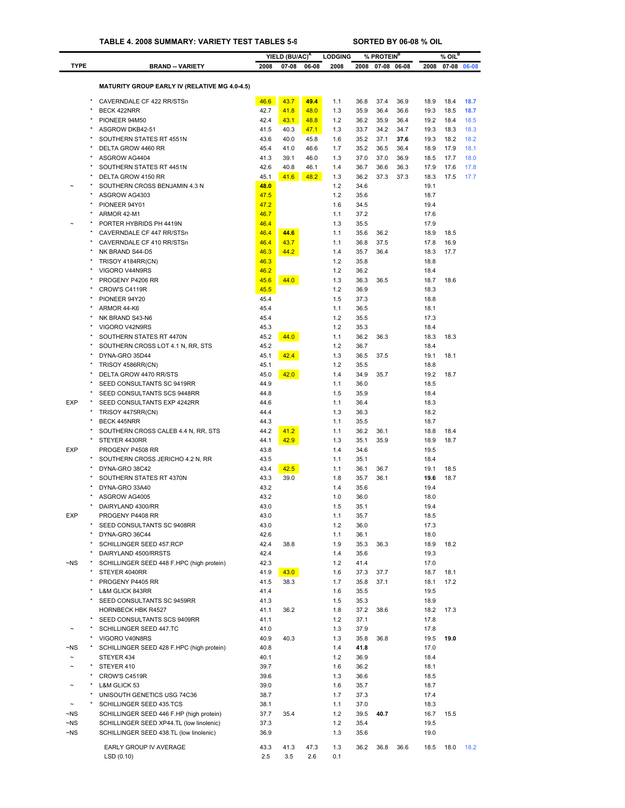### **TABLE 4. 2008 SUMMARY: VARIETY TEST TABLES 5-9 SORTED BY 06-08 % OIL**

|                  |                                                                                     |              | YIELD (BU/AC) <sup>A</sup> |              | <b>LODGING</b> |              | % PROTEIN <sup>B</sup> |              |              | $%$ OIL <sup>B</sup> |              |
|------------------|-------------------------------------------------------------------------------------|--------------|----------------------------|--------------|----------------|--------------|------------------------|--------------|--------------|----------------------|--------------|
| <b>TYPE</b>      | <b>BRAND - VARIETY</b>                                                              | 2008         | $07 - 08$                  | 06-08        | 2008           | 2008         |                        | 07-08 06-08  | 2008         |                      | 07-08 06-08  |
|                  | <b>MATURITY GROUP EARLY IV (RELATIVE MG 4.0-4.5)</b>                                |              |                            |              |                |              |                        |              |              |                      |              |
|                  |                                                                                     |              |                            |              |                |              |                        |              |              |                      |              |
|                  | CAVERNDALE CF 422 RR/STSn<br>BECK 422NRR                                            | 46.6<br>42.7 | 43.7<br>41.8               | 49.4<br>48.0 | 1.1<br>1.3     | 36.8<br>35.9 | 37.4<br>36.4           | 36.9<br>36.6 | 18.9<br>19.3 | 18.4<br>18.5         | 18.7<br>18.7 |
|                  | PIONEER 94M50                                                                       | 42.4         | 43.1                       | 48.8         | 1.2            | 36.2         | 35.9                   | 36.4         | 19.2         | 18.4                 | 18.5         |
|                  | ASGROW DKB42-51                                                                     | 41.5         | 40.3                       | 47.1         | 1.3            | 33.7         | 34.2                   | 34.7         | 19.3         | 18.3                 | 18.3         |
|                  | SOUTHERN STATES RT 4551N                                                            | 43.6         | 40.0                       | 45.8         | 1.6            | 35.2         | 37.1                   | 37.6         | 19.3         | 18.2                 | 18.2         |
|                  | DELTA GROW 4460 RR                                                                  | 45.4         | 41.0                       | 46.6         | 1.7            | 35.2         | 36.5                   | 36.4         | 18.9         | 17.9                 | 18.1         |
|                  | ASGROW AG4404                                                                       | 41.3         | 39.1                       | 46.0         | 1.3            | 37.0         | 37.0                   | 36.9         | 18.5         | 17.7                 | 18.0         |
|                  | SOUTHERN STATES RT 4451N                                                            | 42.6         | 40.8                       | 46.1         | 1.4            | 36.7         | 36.6                   | 36.3         | 17.9         | 17.6                 | 17.8         |
|                  | DELTA GROW 4150 RR                                                                  | 45.1         | 41.6                       | 48.2         | 1.3            | 36.2         | 37.3                   | 37.3         | 18.3         | 17.5                 | 17.7         |
|                  | SOUTHERN CROSS BENJAMIN 4.3 N                                                       | 48.0         |                            |              | 1.2            | 34.6         |                        |              | 19.1         |                      |              |
|                  | ASGROW AG4303<br>PIONEER 94Y01                                                      | 47.5<br>47.2 |                            |              | 1.2<br>1.6     | 35.6<br>34.5 |                        |              | 18.7<br>19.4 |                      |              |
|                  | ARMOR 42-M1                                                                         | 46.7         |                            |              | 1.1            | 37.2         |                        |              | 17.6         |                      |              |
|                  | PORTER HYBRIDS PH 4419N                                                             | 46.4         |                            |              | 1.3            | 35.5         |                        |              | 17.9         |                      |              |
|                  | CAVERNDALE CF 447 RR/STSn                                                           | 46.4         | 44.6                       |              | 1.1            | 35.6         | 36.2                   |              | 18.9         | 18.5                 |              |
|                  | CAVERNDALE CF 410 RR/STSn                                                           | 46.4         | 43.7                       |              | 1.1            | 36.8         | 37.5                   |              | 17.8         | 16.9                 |              |
|                  | NK BRAND S44-D5                                                                     | 46.3         | 44.2                       |              | 1.4            | 35.7         | 36.4                   |              | 18.3         | 17.7                 |              |
|                  | TRISOY 4184RR(CN)                                                                   | 46.3         |                            |              | 1.2            | 35.8         |                        |              | 18.8         |                      |              |
|                  | VIGORO V44N9RS                                                                      | 46.2         |                            |              | 1.2            | 36.2         |                        |              | 18.4         |                      |              |
|                  | PROGENY P4206 RR                                                                    | 45.6         | 44.0                       |              | 1.3            | 36.3         | 36.5                   |              | 18.7         | 18.6                 |              |
|                  | CROW'S C4119R                                                                       | 45.5         |                            |              | 1.2            | 36.9         |                        |              | 18.3         |                      |              |
|                  | PIONEER 94Y20                                                                       | 45.4         |                            |              | 1.5            | 37.3         |                        |              | 18.8         |                      |              |
|                  | ARMOR 44-K6                                                                         | 45.4         |                            |              | 1.1            | 36.5         |                        |              | 18.1         |                      |              |
|                  | NK BRAND S43-N6                                                                     | 45.4         |                            |              | 1.2            | 35.5         |                        |              | 17.3         |                      |              |
|                  | VIGORO V42N9RS<br>SOUTHERN STATES RT 4470N                                          | 45.3<br>45.2 | 44.0                       |              | 1.2<br>1.1     | 35.3<br>36.2 | 36.3                   |              | 18.4<br>18.3 | 18.3                 |              |
|                  | SOUTHERN CROSS LOT 4.1 N, RR, STS                                                   | 45.2         |                            |              | 1.2            | 36.7         |                        |              | 18.4         |                      |              |
|                  | DYNA-GRO 35D44                                                                      | 45.1         | 42.4                       |              | 1.3            | 36.5         | 37.5                   |              | 19.1         | 18.1                 |              |
|                  | <b>TRISOY 4586RR(CN)</b>                                                            | 45.1         |                            |              | 1.2            | 35.5         |                        |              | 18.8         |                      |              |
| ×                | DELTA GROW 4470 RR/STS                                                              | 45.0         | 42.0                       |              | 1.4            | 34.9         | 35.7                   |              | 19.2         | 18.7                 |              |
|                  | SEED CONSULTANTS SC 9419RR                                                          | 44.9         |                            |              | 1.1            | 36.0         |                        |              | 18.5         |                      |              |
|                  | SEED CONSULTANTS SCS 9448RR                                                         | 44.8         |                            |              | 1.5            | 35.9         |                        |              | 18.4         |                      |              |
| <b>EXP</b>       | SEED CONSULTANTS EXP 4242RR                                                         | 44.6         |                            |              | 1.1            | 36.4         |                        |              | 18.3         |                      |              |
|                  | TRISOY 4475RR(CN)                                                                   | 44.4         |                            |              | 1.3            | 36.3         |                        |              | 18.2         |                      |              |
|                  | <b>BECK 445NRR</b>                                                                  | 44.3         |                            |              | 1.1            | 35.5         |                        |              | 18.7         |                      |              |
|                  | SOUTHERN CROSS CALEB 4.4 N, RR, STS                                                 | 44.2         | 41.2                       |              | 1.1            | 36.2         | 36.1                   |              | 18.8         | 18.4                 |              |
|                  | STEYER 4430RR                                                                       | 44.1         | 42.9                       |              | 1.3            | 35.1         | 35.9                   |              | 18.9         | 18.7                 |              |
| <b>EXP</b>       | PROGENY P4508 RR<br>SOUTHERN CROSS JERICHO 4.2 N, RR                                | 43.8         |                            |              | 1.4            | 34.6<br>35.1 |                        |              | 19.5         |                      |              |
|                  | DYNA-GRO 38C42                                                                      | 43.5<br>43.4 | 42.5                       |              | 1.1<br>1.1     | 36.1         | 36.7                   |              | 18.4<br>19.1 | 18.5                 |              |
|                  | SOUTHERN STATES RT 4370N                                                            | 43.3         | 39.0                       |              | 1.8            | 35.7         | 36.1                   |              | 19.6         | 18.7                 |              |
|                  | DYNA-GRO 33A40                                                                      | 43.2         |                            |              | 1.4            | 35.6         |                        |              | 19.4         |                      |              |
|                  | ASGROW AG4005                                                                       | 43.2         |                            |              | 1.0            | 36.0         |                        |              | 18.0         |                      |              |
| $\star$          | DAIRYLAND 4300/RR                                                                   | 43.0         |                            |              | 1.5            | 35.1         |                        |              | 19.4         |                      |              |
| <b>EXP</b>       | PROGENY P4408 RR                                                                    | 43.0         |                            |              | 1.1            | 35.7         |                        |              | 18.5         |                      |              |
|                  | SEED CONSULTANTS SC 9408RR                                                          | 43.0         |                            |              | 1.2            | 36.0         |                        |              | 17.3         |                      |              |
|                  | DYNA-GRO 36C44                                                                      | 42.6         |                            |              | 1.1            | 36.1         |                        |              | 18.0         |                      |              |
|                  | SCHILLINGER SEED 457.RCP                                                            | 42.4         | 38.8                       |              | 1.9            | 35.3         | 36.3                   |              | 18.9         | 18.2                 |              |
|                  | DAIRYLAND 4500/RRSTS                                                                | 42.4         |                            |              | 1.4            | 35.6         |                        |              | 19.3         |                      |              |
| $\neg$ NS        | SCHILLINGER SEED 448 F.HPC (high protein)                                           | 42.3         |                            |              | 1.2            | 41.4         |                        |              | 17.0         |                      |              |
|                  | STEYER 4040RR                                                                       | 41.9         | 43.0                       |              | 1.6            | 37.3         | 37.7                   |              | 18.7         | 18.1                 |              |
|                  | PROGENY P4405 RR<br><b>L&amp;M GLICK 843RR</b>                                      | 41.5<br>41.4 | 38.3                       |              | 1.7<br>1.6     | 35.8<br>35.5 | 37.1                   |              | 18.1<br>19.5 | 17.2                 |              |
|                  | SEED CONSULTANTS SC 9459RR                                                          | 41.3         |                            |              | 1.5            | 35.3         |                        |              | 18.9         |                      |              |
|                  | <b>HORNBECK HBK R4527</b>                                                           | 41.1         | 36.2                       |              | 1.8            | 37.2         | 38.6                   |              | 18.2         | 17.3                 |              |
| $\star$          | SEED CONSULTANTS SCS 9409RR                                                         | 41.1         |                            |              | 1.2            | 37.1         |                        |              | 17.8         |                      |              |
|                  | SCHILLINGER SEED 447.TC                                                             | 41.0         |                            |              | 1.3            | 37.9         |                        |              | 17.8         |                      |              |
|                  | VIGORO V40N8RS                                                                      | 40.9         | 40.3                       |              | 1.3            | 35.8         | 36.8                   |              | 19.5         | 19.0                 |              |
| ~NS              | SCHILLINGER SEED 428 F.HPC (high protein)                                           | 40.8         |                            |              | 1.4            | 41.8         |                        |              | 17.0         |                      |              |
|                  | STEYER 434                                                                          | 40.1         |                            |              | 1.2            | 36.9         |                        |              | 18.4         |                      |              |
|                  | STEYER 410                                                                          | 39.7         |                            |              | 1.6            | 36.2         |                        |              | 18.1         |                      |              |
|                  | CROW'S C4519R                                                                       | 39.6         |                            |              | 1.3            | 36.6         |                        |              | 18.5         |                      |              |
|                  | L&M GLICK 53                                                                        | 39.0         |                            |              | 1.6            | 35.7         |                        |              | 18.7         |                      |              |
|                  | UNISOUTH GENETICS USG 74C36                                                         | 38.7         |                            |              | 1.7            | 37.3         |                        |              | 17.4         |                      |              |
| $\tilde{}$       | SCHILLINGER SEED 435.TCS                                                            | 38.1         |                            |              | 1.1            | 37.0         |                        |              | 18.3         |                      |              |
| ~NS<br>$\neg$ NS | SCHILLINGER SEED 446 F.HP (high protein)                                            | 37.7<br>37.3 | 35.4                       |              | 1.2<br>1.2     | 39.5<br>35.4 | 40.7                   |              | 16.7<br>19.5 | 15.5                 |              |
| $\neg$ NS        | SCHILLINGER SEED XP44.TL (low linolenic)<br>SCHILLINGER SEED 438.TL (low linolenic) | 36.9         |                            |              | 1.3            | 35.6         |                        |              | 19.0         |                      |              |
|                  |                                                                                     |              |                            |              |                |              |                        |              |              |                      |              |
|                  | EARLY GROUP IV AVERAGE                                                              | 43.3         | 41.3                       | 47.3         | 1.3            | 36.2         | 36.8                   | 36.6         | 18.5         | 18.0                 | 18.2         |
|                  | LSD(0.10)                                                                           | 2.5          | 3.5                        | 2.6          | 0.1            |              |                        |              |              |                      |              |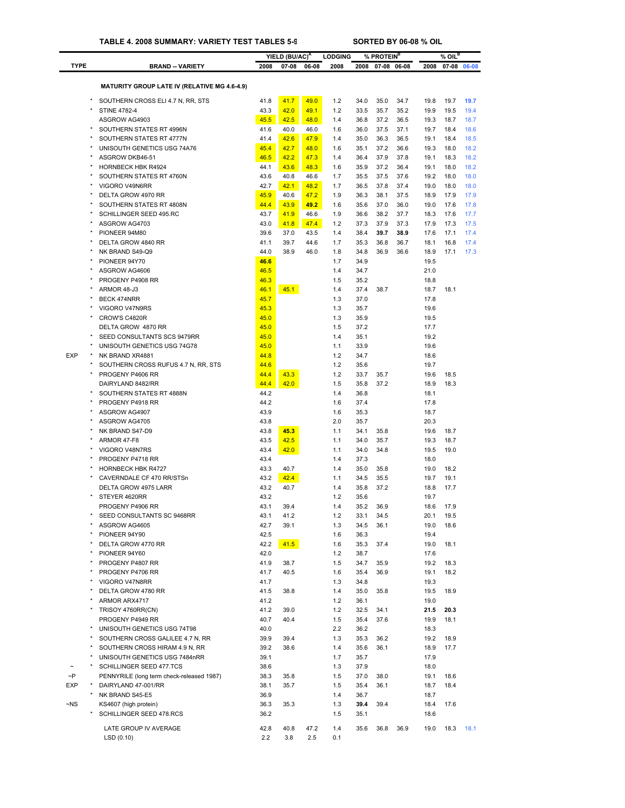|             |                                                                  |              | YIELD (BU/AC) <sup>A</sup> |              | <b>LODGING</b> |              | % PROTEIN <sup>B</sup> |              |              | $%$ OIL <sup>B</sup> |              |
|-------------|------------------------------------------------------------------|--------------|----------------------------|--------------|----------------|--------------|------------------------|--------------|--------------|----------------------|--------------|
| <b>TYPE</b> | <b>BRAND - VARIETY</b>                                           | 2008         | 07-08                      | 06-08        | 2008           | 2008         |                        | 07-08 06-08  | 2008         |                      | 07-08 06-08  |
|             | <b>MATURITY GROUP LATE IV (RELATIVE MG 4.6-4.9)</b>              |              |                            |              |                |              |                        |              |              |                      |              |
|             |                                                                  |              |                            |              |                |              |                        |              |              |                      |              |
|             | SOUTHERN CROSS ELI 4.7 N. RR. STS                                | 41.8<br>43.3 | 41.7<br>42.0               | 49.0         | 1.2<br>1.2     | 34.0<br>33.5 | 35.0                   | 34.7<br>35.2 | 19.8<br>19.9 | 19.7                 | 19.7<br>19.4 |
|             | <b>STINE 4782-4</b><br>ASGROW AG4903                             | 45.5         | 42.5                       | 49.1<br>48.0 | 1.4            | 36.8         | 35.7<br>37.2           | 36.5         | 19.3         | 19.5<br>18.7         | 18.7         |
|             | SOUTHERN STATES RT 4996N                                         | 41.6         | 40.0                       | 46.0         | 1.6            | 36.0         | 37.5                   | 37.1         | 19.7         | 18.4                 | 18.6         |
|             | SOUTHERN STATES RT 4777N                                         | 41.4         | 42.6                       | 47.9         | 1.4            | 35.0         | 36.3                   | 36.5         | 19.1         | 18.4                 | 18.5         |
|             | UNISOUTH GENETICS USG 74A76                                      | 45.4         | 42.7                       | 48.0         | 1.6            | 35.1         | 37.2                   | 36.6         | 19.3         | 18.0                 | 18.2         |
|             | ASGROW DKB46-51                                                  | 46.5         | 42.2                       | 47.3         | 1.4            | 36.4         | 37.9                   | 37.8         | 19.1         | 18.3                 | 18.2         |
|             | <b>HORNBECK HBK R4924</b><br>SOUTHERN STATES RT 4760N            | 44.1<br>43.6 | 43.6<br>40.8               | 48.3<br>46.6 | 1.6<br>1.7     | 35.9<br>35.5 | 37.2<br>37.5           | 36.4<br>37.6 | 19.1<br>19.2 | 18.0<br>18.0         | 18.2<br>18.0 |
|             | VIGORO V49N6RR                                                   | 42.7         | 42.1                       | 48.2         | 1.7            | 36.5         | 37.8                   | 37.4         | 19.0         | 18.0                 | 18.0         |
|             | DELTA GROW 4970 RR                                               | 45.9         | 40.6                       | 47.2         | 1.9            | 36.3         | 38.1                   | 37.5         | 18.9         | 17.9                 | 17.9         |
|             | SOUTHERN STATES RT 4808N                                         | 44.4         | 43.9                       | 49.2         | 1.6            | 35.6         | 37.0                   | 36.0         | 19.0         | 17.6                 | 17.8         |
|             | SCHILLINGER SEED 495.RC                                          | 43.7         | 41.9                       | 46.6         | 1.9            | 36.6         | 38.2                   | 37.7         | 18.3         | 17.6                 | 17.7         |
|             | ASGROW AG4703                                                    | 43.0         | 41.8                       | 47.4         | 1.2            | 37.3         | 37.9                   | 37.3         | 17.9         | 17.3                 | 17.5         |
|             | PIONEER 94M80                                                    | 39.6         | 37.0                       | 43.5         | 1.4            | 38.4         | 39.7                   | 38.9         | 17.6         | 17.1                 | 17.4         |
|             | DELTA GROW 4840 RR<br>NK BRAND S49-Q9                            | 41.1<br>44.0 | 39.7<br>38.9               | 44.6<br>46.0 | 1.7<br>1.8     | 35.3<br>34.8 | 36.8<br>36.9           | 36.7<br>36.6 | 18.1<br>18.9 | 16.8<br>17.1         | 17.4<br>17.3 |
|             | PIONEER 94Y70                                                    | 46.6         |                            |              | 1.7            | 34.9         |                        |              | 19.5         |                      |              |
|             | ASGROW AG4606                                                    | 46.5         |                            |              | 1.4            | 34.7         |                        |              | 21.0         |                      |              |
|             | PROGENY P4908 RR                                                 | 46.3         |                            |              | 1.5            | 35.2         |                        |              | 18.8         |                      |              |
|             | ARMOR 48-J3                                                      | 46.1         | 45.1                       |              | 1.4            | 37.4         | 38.7                   |              | 18.7         | 18.1                 |              |
|             | BECK 474NRR                                                      | 45.7         |                            |              | 1.3            | 37.0         |                        |              | 17.8         |                      |              |
|             | VIGORO V47N9RS                                                   | 45.3         |                            |              | 1.3            | 35.7         |                        |              | 19.6         |                      |              |
|             | CROW'S C4820R<br>DELTA GROW 4870 RR                              | 45.0<br>45.0 |                            |              | 1.3<br>1.5     | 35.9<br>37.2 |                        |              | 19.5<br>17.7 |                      |              |
|             | SEED CONSULTANTS SCS 9479RR                                      | 45.0         |                            |              | 1.4            | 35.1         |                        |              | 19.2         |                      |              |
|             | UNISOUTH GENETICS USG 74G78                                      | 45.0         |                            |              | 1.1            | 33.9         |                        |              | 19.6         |                      |              |
| <b>EXP</b>  | NK BRAND XR4881                                                  | 44.8         |                            |              | 1.2            | 34.7         |                        |              | 18.6         |                      |              |
|             | SOUTHERN CROSS RUFUS 4.7 N, RR, STS                              | 44.6         |                            |              | 1.2            | 35.6         |                        |              | 19.7         |                      |              |
|             | PROGENY P4606 RR                                                 | 44.4         | 43.3                       |              | 1.2            | 33.7         | 35.7                   |              | 19.6         | 18.5                 |              |
|             | DAIRYLAND 8482/RR<br>SOUTHERN STATES RT 4888N                    | 44.4<br>44.2 | 42.0                       |              | 1.5<br>1.4     | 35.8<br>36.8 | 37.2                   |              | 18.9<br>18.1 | 18.3                 |              |
|             | PROGENY P4918 RR                                                 | 44.2         |                            |              | 1.6            | 37.4         |                        |              | 17.8         |                      |              |
|             | ASGROW AG4907                                                    | 43.9         |                            |              | 1.6            | 35.3         |                        |              | 18.7         |                      |              |
|             | ASGROW AG4705                                                    | 43.8         |                            |              | 2.0            | 35.7         |                        |              | 20.3         |                      |              |
|             | NK BRAND S47-D9                                                  | 43.8         | 45.3                       |              | 1.1            | 34.1         | 35.8                   |              | 19.6         | 18.7                 |              |
|             | ARMOR 47-F8                                                      | 43.5         | 42.5                       |              | 1.1            | 34.0         | 35.7                   |              | 19.3         | 18.7                 |              |
|             | VIGORO V48N7RS                                                   | 43.4<br>43.4 | 42.0                       |              | 1.1<br>1.4     | 34.0<br>37.3 | 34.8                   |              | 19.5<br>18.0 | 19.0                 |              |
|             | PROGENY P4718 RR<br><b>HORNBECK HBK R4727</b>                    | 43.3         | 40.7                       |              | 1.4            | 35.0         | 35.8                   |              | 19.0         | 18.2                 |              |
|             | CAVERNDALE CF 470 RR/STSn                                        | 43.2         | 42.4                       |              | 1.1            | 34.5         | 35.5                   |              | 19.7         | 19.1                 |              |
|             | DELTA GROW 4975 LARR                                             | 43.2         | 40.7                       |              | 1.4            | 35.8         | 37.2                   |              | 18.8         | 17.7                 |              |
|             | STEYER 4620RR                                                    | 43.2         |                            |              | 1.2            | 35.6         |                        |              | 19.7         |                      |              |
|             | PROGENY P4906 RR                                                 | 43.1         | 39.4                       |              | 1.4            | 35.2         | 36.9                   |              | 18.6         | 17.9                 |              |
|             | SEED CONSULTANTS SC 9468RR                                       | 43.1         | 41.2                       |              | 1.2            | 33.1         | 34.5                   |              | 20.1         | 19.5                 |              |
|             | ASGROW AG4605<br>PIONEER 94Y90                                   | 42.7<br>42.5 | 39.1                       |              | 1.3<br>1.6     | 34.5<br>36.3 | 36.1                   |              | 19.0<br>19.4 | 18.6                 |              |
|             | DELTA GROW 4770 RR                                               | 42.2         | 41.5                       |              | 1.6            | 35.3         | 37.4                   |              | 19.0         | 18.1                 |              |
|             | PIONEER 94Y60                                                    | 42.0         |                            |              | 1.2            | 38.7         |                        |              | 17.6         |                      |              |
|             | PROGENY P4807 RR                                                 | 41.9         | 38.7                       |              | 1.5            | 34.7         | 35.9                   |              | 19.2         | 18.3                 |              |
|             | PROGENY P4706 RR                                                 | 41.7         | 40.5                       |              | 1.6            | 35.4         | 36.9                   |              | 19.1         | 18.2                 |              |
|             | VIGORO V47N8RR                                                   | 41.7         |                            |              | 1.3            | 34.8         |                        |              | 19.3         |                      |              |
|             | DELTA GROW 4780 RR                                               | 41.5         | 38.8                       |              | 1.4            | 35.0         | 35.8                   |              | 19.5         | 18.9                 |              |
|             | ARMOR ARX4717<br>TRISOY 4760RR(CN)                               | 41.2<br>41.2 | 39.0                       |              | 1.2<br>1.2     | 36.1<br>32.5 | 34.1                   |              | 19.0<br>21.5 | 20.3                 |              |
|             | PROGENY P4949 RR                                                 | 40.7         | 40.4                       |              | 1.5            | 35.4         | 37.6                   |              | 19.9         | 18.1                 |              |
|             | UNISOUTH GENETICS USG 74T98                                      | 40.0         |                            |              | 2.2            | 36.2         |                        |              | 18.3         |                      |              |
|             | SOUTHERN CROSS GALILEE 4.7 N, RR                                 | 39.9         | 39.4                       |              | 1.3            | 35.3         | 36.2                   |              | 19.2         | 18.9                 |              |
|             | SOUTHERN CROSS HIRAM 4.9 N, RR                                   | 39.2         | 38.6                       |              | 1.4            | 35.6         | 36.1                   |              | 18.9         | 17.7                 |              |
|             | UNISOUTH GENETICS USG 7484nRR                                    | 39.1         |                            |              | 1.7            | 35.7         |                        |              | 17.9         |                      |              |
| $\sim P$    | SCHILLINGER SEED 477.TCS                                         | 38.6         |                            |              | 1.3            | 37.9         |                        |              | 18.0         |                      |              |
| <b>EXP</b>  | PENNYRILE (long term check-released 1987)<br>DAIRYLAND 47-001/RR | 38.3<br>38.1 | 35.8<br>35.7               |              | 1.5<br>1.5     | 37.0<br>35.4 | 38.0<br>36.1           |              | 19.1<br>18.7 | 18.6<br>18.4         |              |
|             | NK BRAND S45-E5                                                  | 36.9         |                            |              | 1.4            | 36.7         |                        |              | 18.7         |                      |              |
| $\neg$ NS   | KS4607 (high protein)                                            | 36.3         | 35.3                       |              | 1.3            | 39.4         | 39.4                   |              | 18.4         | 17.6                 |              |
|             | SCHILLINGER SEED 478.RCS                                         | 36.2         |                            |              | 1.5            | 35.1         |                        |              | 18.6         |                      |              |
|             | LATE GROUP IV AVERAGE                                            | 42.8         | 40.8                       | 47.2         | 1.4            | 35.6         | 36.8                   | 36.9         | 19.0         | 18.3                 | 18.1         |
|             | LSD(0.10)                                                        | 2.2          | 3.8                        | 2.5          | 0.1            |              |                        |              |              |                      |              |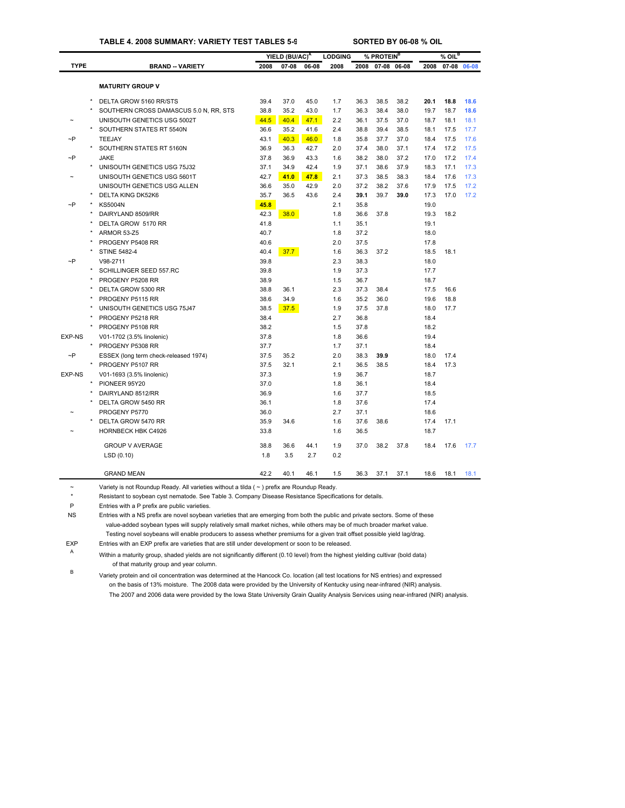#### **TABLE 4. 2008 SUMMARY: VARIETY TEST TABLES 5-9 SORTED BY 06-08 % OIL**

|             |                                        |      | YIELD (BU/AC) <sup>A</sup> |       | <b>LODGING</b> |      | % PROTEIN <sup>B</sup> |             |      | $%$ OIL <sup>B</sup> |       |
|-------------|----------------------------------------|------|----------------------------|-------|----------------|------|------------------------|-------------|------|----------------------|-------|
| <b>TYPE</b> | <b>BRAND -- VARIETY</b>                | 2008 | 07-08                      | 06-08 | 2008           | 2008 |                        | 07-08 06-08 | 2008 | 07-08                | 06-08 |
|             |                                        |      |                            |       |                |      |                        |             |      |                      |       |
|             | <b>MATURITY GROUP V</b>                |      |                            |       |                |      |                        |             |      |                      |       |
|             | DELTA GROW 5160 RR/STS                 | 39.4 | 37.0                       | 45.0  | 1.7            | 36.3 | 38.5                   | 38.2        | 20.1 | 18.8                 | 18.6  |
|             | SOUTHERN CROSS DAMASCUS 5.0 N, RR, STS | 38.8 | 35.2                       | 43.0  | 1.7            | 36.3 | 38.4                   | 38.0        | 19.7 | 18.7                 | 18.6  |
|             | UNISOUTH GENETICS USG 5002T            | 44.5 | 40.4                       | 47.1  | 2.2            | 36.1 | 37.5                   | 37.0        | 18.7 | 18.1                 | 18.1  |
|             | SOUTHERN STATES RT 5540N               | 36.6 | 35.2                       | 41.6  | 2.4            | 38.8 | 39.4                   | 38.5        | 18.1 | 17.5                 | 17.7  |
| $\neg P$    | <b>TEEJAY</b>                          | 43.1 | 40.3                       | 46.0  | 1.8            | 35.8 | 37.7                   | 37.0        | 18.4 | 17.5                 | 17.6  |
|             | SOUTHERN STATES RT 5160N               | 36.9 | 36.3                       | 42.7  | 2.0            | 37.4 | 38.0                   | 37.1        | 17.4 | 17.2                 | 17.5  |
| $\neg P$    | <b>JAKE</b>                            | 37.8 | 36.9                       | 43.3  | 1.6            | 38.2 | 38.0                   | 37.2        | 17.0 | 17.2                 | 17.4  |
|             | UNISOUTH GENETICS USG 75J32            | 37.1 | 34.9                       | 42.4  | 1.9            | 37.1 | 38.6                   | 37.9        | 18.3 | 17.1                 | 17.3  |
|             | UNISOUTH GENETICS USG 5601T            | 42.7 | 41.0                       | 47.8  | 2.1            | 37.3 | 38.5                   | 38.3        | 18.4 | 17.6                 | 17.3  |
|             | UNISOUTH GENETICS USG ALLEN            | 36.6 | 35.0                       | 42.9  | 2.0            | 37.2 | 38.2                   | 37.6        | 17.9 | 17.5                 | 17.2  |
|             | <b>DELTA KING DK52K6</b>               | 35.7 | 36.5                       | 43.6  | 2.4            | 39.1 | 39.7                   | 39.0        | 17.3 | 17.0                 | 17.2  |
| $\neg P$    | <b>KS5004N</b>                         | 45.8 |                            |       | 2.1            | 35.8 |                        |             | 19.0 |                      |       |
|             | DAIRYLAND 8509/RR                      | 42.3 | 38.0                       |       | 1.8            | 36.6 | 37.8                   |             | 19.3 | 18.2                 |       |
|             | DELTA GROW 5170 RR                     | 41.8 |                            |       | 1.1            | 35.1 |                        |             | 19.1 |                      |       |
|             | ARMOR 53-Z5                            | 40.7 |                            |       | 1.8            | 37.2 |                        |             | 18.0 |                      |       |
|             | PROGENY P5408 RR                       | 40.6 |                            |       | 2.0            | 37.5 |                        |             | 17.8 |                      |       |
|             | <b>STINE 5482-4</b>                    | 40.4 | 37.7                       |       | 1.6            | 36.3 | 37.2                   |             | 18.5 | 18.1                 |       |
| $\neg P$    | V98-2711                               | 39.8 |                            |       | 2.3            | 38.3 |                        |             | 18.0 |                      |       |
|             | SCHILLINGER SEED 557.RC                | 39.8 |                            |       | 1.9            | 37.3 |                        |             | 17.7 |                      |       |
|             | PROGENY P5208 RR                       | 38.9 |                            |       | 1.5            | 36.7 |                        |             | 18.7 |                      |       |
|             | DELTA GROW 5300 RR                     | 38.8 | 36.1                       |       | 2.3            | 37.3 | 38.4                   |             | 17.5 | 16.6                 |       |
|             | PROGENY P5115 RR                       | 38.6 | 34.9                       |       | 1.6            | 35.2 | 36.0                   |             | 19.6 | 18.8                 |       |
|             | UNISOUTH GENETICS USG 75J47            | 38.5 | 37.5                       |       | 1.9            | 37.5 | 37.8                   |             | 18.0 | 17.7                 |       |
|             | PROGENY P5218 RR                       | 38.4 |                            |       | 2.7            | 36.8 |                        |             | 18.4 |                      |       |
|             | PROGENY P5108 RR                       | 38.2 |                            |       | 1.5            | 37.8 |                        |             | 18.2 |                      |       |
| EXP-NS      | V01-1702 (3.5% linolenic)              | 37.8 |                            |       | 1.8            | 36.6 |                        |             | 19.4 |                      |       |
|             | PROGENY P5308 RR                       | 37.7 |                            |       | 1.7            | 37.1 |                        |             | 18.4 |                      |       |
| $\sim$ P    | ESSEX (long term check-released 1974)  | 37.5 | 35.2                       |       | 2.0            | 38.3 | 39.9                   |             | 18.0 | 17.4                 |       |
|             | PROGENY P5107 RR                       | 37.5 | 32.1                       |       | 2.1            | 36.5 | 38.5                   |             | 18.4 | 17.3                 |       |
| EXP-NS      | V01-1693 (3.5% linolenic)              | 37.3 |                            |       | 1.9            | 36.7 |                        |             | 18.7 |                      |       |
|             | PIONEER 95Y20                          | 37.0 |                            |       | 1.8            | 36.1 |                        |             | 18.4 |                      |       |
|             | DAIRYLAND 8512/RR                      | 36.9 |                            |       | 1.6            | 37.7 |                        |             | 18.5 |                      |       |
|             | DELTA GROW 5450 RR                     | 36.1 |                            |       | 1.8            | 37.6 |                        |             | 17.4 |                      |       |
|             | PROGENY P5770                          | 36.0 |                            |       | 2.7            | 37.1 |                        |             | 18.6 |                      |       |
|             | DELTA GROW 5470 RR                     | 35.9 | 34.6                       |       | 1.6            | 37.6 | 38.6                   |             | 17.4 | 17.1                 |       |
|             | <b>HORNBECK HBK C4926</b>              | 33.8 |                            |       | 1.6            | 36.5 |                        |             | 18.7 |                      |       |
|             | <b>GROUP V AVERAGE</b>                 | 38.8 | 36.6                       | 44.1  | 1.9            | 37.0 | 38.2                   | 37.8        | 18.4 | 17.6                 | 17.7  |
|             | LSD(0.10)                              | 1.8  | 3.5                        | 2.7   | 0.2            |      |                        |             |      |                      |       |
|             |                                        |      |                            |       |                |      |                        |             |      |                      |       |
|             | <b>GRAND MEAN</b>                      | 42.2 | 40.1                       | 46.1  | 1.5            | 36.3 | 37.1                   | 37.1        | 18.6 | 18.1                 | 18.1  |

~ Variety is not Roundup Ready. All varieties without a tilda ( ~ ) prefix are Roundup Ready.

\* Resistant to soybean cyst nematode. See Table 3. Company Disease Resistance Specifications for details.

P Entries with a P prefix are public varieties.

NS Entries with a NS prefix are novel soybean varieties that are emerging from both the public and private sectors. Some of these value-added soybean types will supply relatively small market niches, while others may be of much broader market value. Testing novel soybeans will enable producers to assess whether premiums for a given trait offset possible yield lag/drag.

EXP Entries with an EXP prefix are varieties that are still under development or soon to be released.

<sup>A</sup> Within a maturity group, shaded yields are not significantly different (0.10 level) from the highest yielding cultivar (bold data) of that maturity group and year column.

<sup>B</sup> Variety protein and oil concentration was determined at the Hancock Co. location (all test locations for NS entries) and expressed on the basis of 13% moisture. The 2008 data were provided by the University of Kentucky using near-infrared (NIR) analysis. The 2007 and 2006 data were provided by the Iowa State University Grain Quality Analysis Services using near-infrared (NIR) analysis.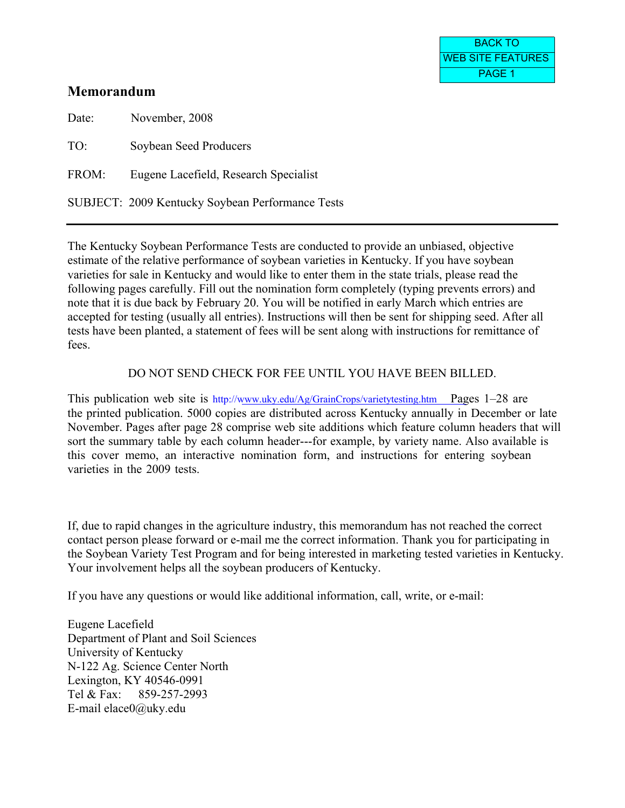# **Memorandum**

Date: November, 2008 TO: Soybean Seed Producers FROM: Eugene Lacefield, Research Specialist SUBJECT: 2009 Kentucky Soybean Performance Tests

The Kentucky Soybean Performance Tests are conducted to provide an unbiased, objective estimate of the relative performance of soybean varieties in Kentucky. If you have soybean varieties for sale in Kentucky and would like to enter them in the state trials, please read the following pages carefully. Fill out the nomination form completely (typing prevents errors) and note that it is due back by February 20. You will be notified in early March which entries are accepted for testing (usually all entries). Instructions will then be sent for shipping seed. After all tests have been planted, a statement of fees will be sent along with instructions for remittance of fees.

# DO NOT SEND CHECK FOR FEE UNTIL YOU HAVE BEEN BILLED.

This publication web site is http://[www.uky.edu/Ag/GrainCrops/varietytesting.htm Pag](http://www.uky.edu/Ag/GrainCrops/varietytesting.htm)es 1–28 are the printed publication. 5000 copies are distributed across Kentucky annually in December or late November. Pages after page 28 comprise web site additions which feature column headers that will sort the summary table by each column header---for example, by variety name. Also available is this cover memo, an interactive nomination form, and instructions for entering soybean varieties in the 2009 tests.

If, due to rapid changes in the agriculture industry, this memorandum has not reached the correct contact person please forward or e-mail me the correct information. Thank you for participating in the Soybean Variety Test Program and for being interested in marketing tested varieties in Kentucky. Your involvement helps all the soybean producers of Kentucky.

If you have any questions or would like additional information, call, write, or e-mail:

Eugene Lacefield Department of Plant and Soil Sciences University of Kentucky N-122 Ag. Science Center North Lexington, KY 40546-0991 Tel & Fax: 859-257-2993 E-mail elace0@uky.edu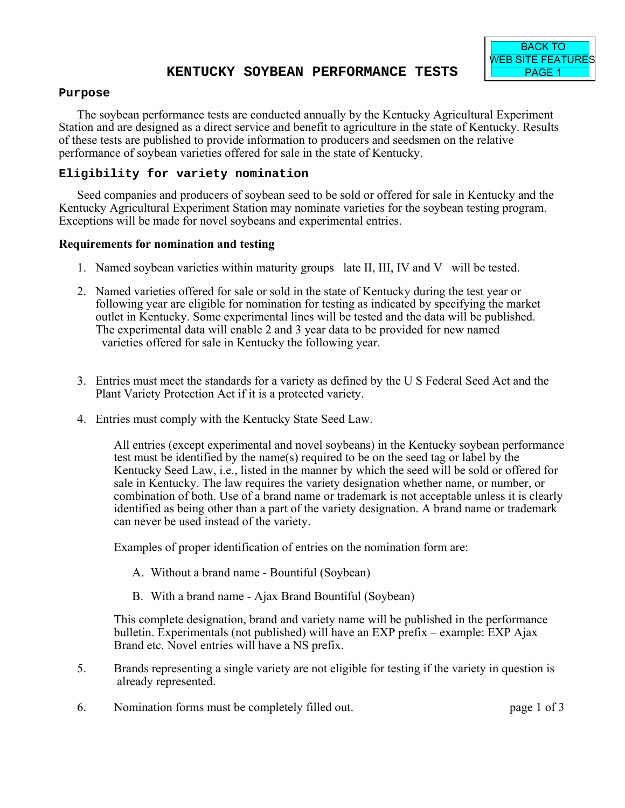## **Purpose**

The soybean performance tests are conducted annually by the Kentucky Agricultural Experiment Station and are designed as a direct service and benefit to agriculture in the state of Kentucky. Results of these tests are published to provide information to producers and seedsmen on the relative performance of soybean varieties offered for sale in the state of Kentucky.

# **Eligibility for variety nomination**

Seed companies and producers of soybean seed to be sold or offered for sale in Kentucky and the Kentucky Agricultural Experiment Station may nominate varieties for the soybean testing program. Exceptions will be made for novel soybeans and experimental entries.

# **Requirements for nomination and testing**

- 1. Named soybean varieties within maturity groups late II, III, IV and V will be tested.
- 2. Named varieties offered for sale or sold in the state of Kentucky during the test year or following year are eligible for nomination for testing as indicated by specifying the market outlet in Kentucky. Some experimental lines will be tested and the data will be published. The experimental data will enable 2 and 3 year data to be provided for new named varieties offered for sale in Kentucky the following year.
- 3. Entries must meet the standards for a variety as defined by the U S Federal Seed Act and the Plant Variety Protection Act if it is a protected variety.
- 4. Entries must comply with the Kentucky State Seed Law.

All entries (except experimental and novel soybeans) in the Kentucky soybean performance test must be identified by the name(s) required to be on the seed tag or label by the Kentucky Seed Law, i.e., listed in the manner by which the seed will be sold or offered for sale in Kentucky. The law requires the variety designation whether name, or number, or combination of both. Use of a brand name or trademark is not acceptable unless it is clearly identified as being other than a part of the variety designation. A brand name or trademark can never be used instead of the variety.

Examples of proper identification of entries on the nomination form are:

- A. Without a brand name Bountiful (Soybean)
- B. With a brand name Ajax Brand Bountiful (Soybean)

This complete designation, brand and variety name will be published in the performance bulletin. Experimentals (not published) will have an EXP prefix – example: EXP Ajax Brand etc. Novel entries will have a NS prefix.

- 5. Brands representing a single variety are not eligible for testing if the variety in question is already represented.
- 6. Nomination forms must be completely filled out. page 1 of 3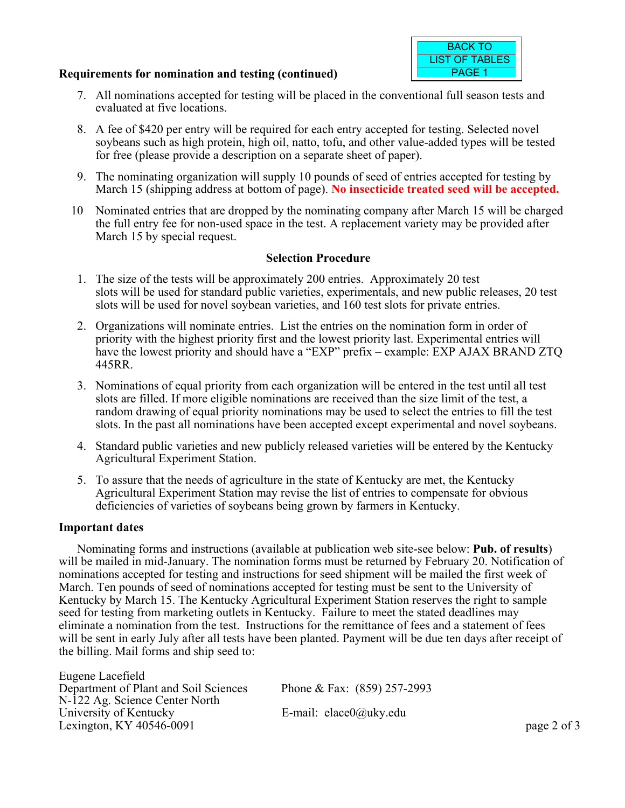## **Requirements for nomination and testing (continued)**



- 7. All nominations accepted for testing will be placed in the conventional full season tests and evaluated at five locations.
- 8. A fee of \$420 per entry will be required for each entry accepted for testing. Selected novel soybeans such as high protein, high oil, natto, tofu, and other value-added types will be tested for free (please provide a description on a separate sheet of paper).
- 9. The nominating organization will supply 10 pounds of seed of entries accepted for testing by March 15 (shipping address at bottom of page). **No insecticide treated seed will be accepted.**
- 10 Nominated entries that are dropped by the nominating company after March 15 will be charged the full entry fee for non-used space in the test. A replacement variety may be provided after March 15 by special request.

# **Selection Procedure**

- 1. The size of the tests will be approximately 200 entries. Approximately 20 test slots will be used for standard public varieties, experimentals, and new public releases, 20 test slots will be used for novel soybean varieties, and 160 test slots for private entries.
- 2. Organizations will nominate entries. List the entries on the nomination form in order of priority with the highest priority first and the lowest priority last. Experimental entries will have the lowest priority and should have a "EXP" prefix – example: EXP AJAX BRAND ZTQ 445RR.
- 3. Nominations of equal priority from each organization will be entered in the test until all test slots are filled. If more eligible nominations are received than the size limit of the test, a random drawing of equal priority nominations may be used to select the entries to fill the test slots. In the past all nominations have been accepted except experimental and novel soybeans.
- 4. Standard public varieties and new publicly released varieties will be entered by the Kentucky Agricultural Experiment Station.
- 5. To assure that the needs of agriculture in the state of Kentucky are met, the Kentucky Agricultural Experiment Station may revise the list of entries to compensate for obvious deficiencies of varieties of soybeans being grown by farmers in Kentucky.

## **Important dates**

Nominating forms and instructions (available at publication web site-see below: **Pub. of results**) will be mailed in mid-January. The nomination forms must be returned by February 20. Notification of nominations accepted for testing and instructions for seed shipment will be mailed the first week of March. Ten pounds of seed of nominations accepted for testing must be sent to the University of Kentucky by March 15. The Kentucky Agricultural Experiment Station reserves the right to sample seed for testing from marketing outlets in Kentucky. Failure to meet the stated deadlines may eliminate a nomination from the test. Instructions for the remittance of fees and a statement of fees will be sent in early July after all tests have been planted. Payment will be due ten days after receipt of the billing. Mail forms and ship seed to:

Eugene Lacefield Department of Plant and Soil Sciences Phone & Fax: (859) 257-2993 N-122 Ag. Science Center North<br>University of Kentucky Lexington, KY 40546-0091 page 2 of 3

E-mail: elace $0$ @uky.edu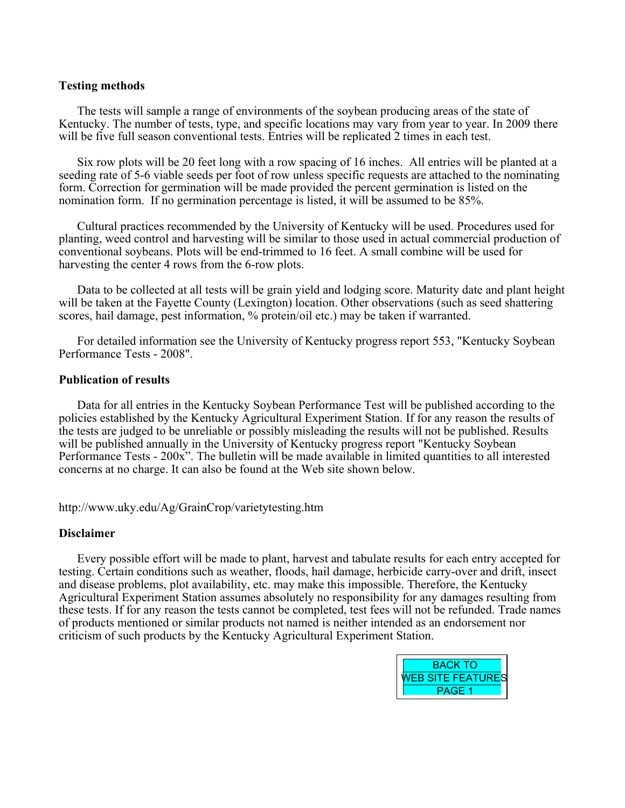### **Testing methods**

The tests will sample a range of environments of the soybean producing areas of the state of Kentucky. The number of tests, type, and specific locations may vary from year to year. In 2009 there will be five full season conventional tests. Entries will be replicated 2 times in each test.

Six row plots will be 20 feet long with a row spacing of 16 inches. All entries will be planted at a seeding rate of 5-6 viable seeds per foot of row unless specific requests are attached to the nominating form. Correction for germination will be made provided the percent germination is listed on the nomination form. If no germination percentage is listed, it will be assumed to be 85%.

Cultural practices recommended by the University of Kentucky will be used. Procedures used for planting, weed control and harvesting will be similar to those used in actual commercial production of conventional soybeans. Plots will be end-trimmed to 16 feet. A small combine will be used for harvesting the center 4 rows from the 6-row plots.

Data to be collected at all tests will be grain yield and lodging score. Maturity date and plant height will be taken at the Fayette County (Lexington) location. Other observations (such as seed shattering scores, hail damage, pest information, % protein/oil etc.) may be taken if warranted.

For detailed information see the University of Kentucky progress report 553, "Kentucky Soybean Performance Tests - 2008".

### **Publication of results**

Data for all entries in the Kentucky Soybean Performance Test will be published according to the policies established by the Kentucky Agricultural Experiment Station. If for any reason the results of the tests are judged to be unreliable or possibly misleading the results will not be published. Results will be published annually in the University of Kentucky progress report "Kentucky Soybean Performance Tests - 200x". The bulletin will be made available in limited quantities to all interested concerns at no charge. It can also be found at the Web site shown below.

http://www.uky.edu/Ag/GrainCrop/varietytesting.htm

### **Disclaimer**

Every possible effort will be made to plant, harvest and tabulate results for each entry accepted for testing. Certain conditions such as weather, floods, hail damage, herbicide carry-over and drift, insect and disease problems, plot availability, etc. may make this impossible. Therefore, the Kentucky Agricultural Experiment Station assumes absolutely no responsibility for any damages resulting from these tests. If for any reason the tests cannot be completed, test fees will not be refunded. Trade names of products mentioned or similar products not named is neither intended as an endorsement nor criticism of such products by the Kentucky Agricultural Experiment Station.

| <b>BACK TO</b>           |  |
|--------------------------|--|
| <b>WEB SITE FEATURES</b> |  |
| <b>PAGE 1</b>            |  |